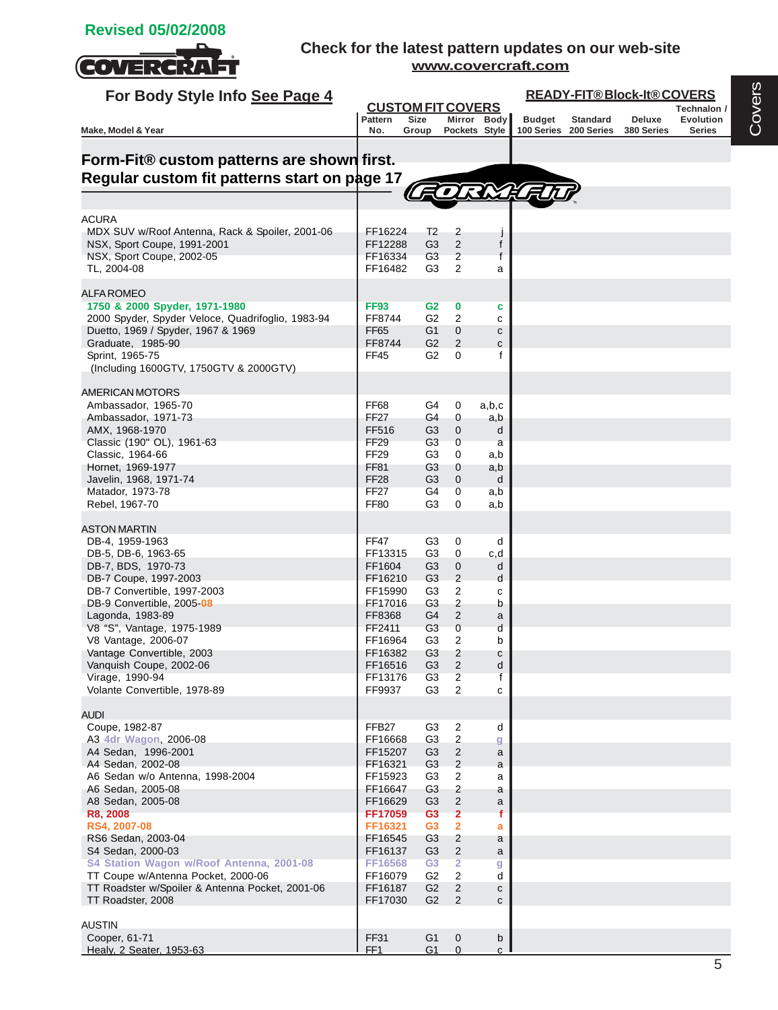

| For Body Style Info See Page 4                                                        |                       |                                         |                                           |                   | <b>READY-FIT®Block-It®COVERS</b> |                       |            |                                 |  |  |
|---------------------------------------------------------------------------------------|-----------------------|-----------------------------------------|-------------------------------------------|-------------------|----------------------------------|-----------------------|------------|---------------------------------|--|--|
|                                                                                       | <b>Pattern</b>        | <b>CUSTOM FIT COVERS</b><br><b>Size</b> |                                           | Mirror Body       | <b>Budget</b>                    | <b>Standard</b>       | Deluxe     | Technalon /<br><b>Evolution</b> |  |  |
| Make, Model & Year                                                                    | No.                   | Group                                   |                                           | Pockets Style     |                                  | 100 Series 200 Series | 380 Series | <b>Series</b>                   |  |  |
|                                                                                       |                       |                                         |                                           |                   |                                  |                       |            |                                 |  |  |
| Form-Fit® custom patterns are shown first.                                            |                       |                                         |                                           |                   |                                  |                       |            |                                 |  |  |
| Regular custom fit patterns start on page 17                                          |                       |                                         |                                           |                   |                                  |                       |            |                                 |  |  |
|                                                                                       |                       |                                         |                                           |                   |                                  |                       |            |                                 |  |  |
| <b>ACURA</b>                                                                          |                       |                                         |                                           |                   |                                  |                       |            |                                 |  |  |
| MDX SUV w/Roof Antenna, Rack & Spoiler, 2001-06                                       | FF16224               | T <sub>2</sub>                          | $\overline{c}$                            |                   |                                  |                       |            |                                 |  |  |
| NSX, Sport Coupe, 1991-2001<br>NSX, Sport Coupe, 2002-05                              | FF12288<br>FF16334    | G <sub>3</sub><br>G <sub>3</sub>        | 2<br>2                                    | f<br>f            |                                  |                       |            |                                 |  |  |
| TL, 2004-08                                                                           | FF16482               | G3                                      | 2                                         | a                 |                                  |                       |            |                                 |  |  |
|                                                                                       |                       |                                         |                                           |                   |                                  |                       |            |                                 |  |  |
| <b>ALFA ROMEO</b><br>1750 & 2000 Spyder, 1971-1980                                    |                       |                                         |                                           |                   |                                  |                       |            |                                 |  |  |
| 2000 Spyder, Spyder Veloce, Quadrifoglio, 1983-94                                     | <b>FF93</b><br>FF8744 | G <sub>2</sub><br>G2                    | 0<br>2                                    | c<br>c            |                                  |                       |            |                                 |  |  |
| Duetto, 1969 / Spyder, 1967 & 1969                                                    | <b>FF65</b>           | G1                                      | $\mathbf 0$                               | $\mathbf{C}$      |                                  |                       |            |                                 |  |  |
| Graduate, 1985-90                                                                     | FF8744                | G <sub>2</sub>                          | 2                                         | С                 |                                  |                       |            |                                 |  |  |
| Sprint, 1965-75                                                                       | FF45                  | G2                                      | $\Omega$                                  | f                 |                                  |                       |            |                                 |  |  |
| (Including 1600GTV, 1750GTV & 2000GTV)                                                |                       |                                         |                                           |                   |                                  |                       |            |                                 |  |  |
| AMERICAN MOTORS                                                                       |                       |                                         |                                           |                   |                                  |                       |            |                                 |  |  |
| Ambassador, 1965-70                                                                   | FF68                  | G4                                      | 0                                         | a,b,c             |                                  |                       |            |                                 |  |  |
| Ambassador, 1971-73<br>AMX, 1968-1970                                                 | <b>FF27</b><br>FF516  | G4<br>G3                                | 0<br>$\mathbf 0$                          | a,b<br>d          |                                  |                       |            |                                 |  |  |
| Classic (190" OL), 1961-63                                                            | FF <sub>29</sub>      | G <sub>3</sub>                          | 0                                         | a                 |                                  |                       |            |                                 |  |  |
| Classic, 1964-66                                                                      | FF <sub>29</sub>      | G3                                      | 0                                         | a,b               |                                  |                       |            |                                 |  |  |
| Hornet, 1969-1977                                                                     | FF81                  | G3                                      | 0                                         | a,b               |                                  |                       |            |                                 |  |  |
| Javelin, 1968, 1971-74<br>Matador, 1973-78                                            | <b>FF28</b><br>FF27   | G <sub>3</sub><br>G4                    | $\mathbf{0}$<br>0                         | d<br>a,b          |                                  |                       |            |                                 |  |  |
| Rebel, 1967-70                                                                        | <b>FF80</b>           | G3                                      | 0                                         | a,b               |                                  |                       |            |                                 |  |  |
|                                                                                       |                       |                                         |                                           |                   |                                  |                       |            |                                 |  |  |
| <b>ASTON MARTIN</b><br>DB-4, 1959-1963                                                | <b>FF47</b>           | G <sub>3</sub>                          | 0                                         | d                 |                                  |                       |            |                                 |  |  |
| DB-5, DB-6, 1963-65                                                                   | FF13315               | G3                                      | 0                                         | c,d               |                                  |                       |            |                                 |  |  |
| DB-7, BDS, 1970-73                                                                    | FF1604                | G3                                      | $\mathbf 0$                               | d                 |                                  |                       |            |                                 |  |  |
| DB-7 Coupe, 1997-2003<br>DB-7 Convertible, 1997-2003                                  | FF16210<br>FF15990    | G3                                      | $\overline{2}$<br>2                       | d                 |                                  |                       |            |                                 |  |  |
| DB-9 Convertible, 2005-08                                                             | FF17016               | G3<br>G <sub>3</sub>                    | $\overline{2}$                            | С<br>b            |                                  |                       |            |                                 |  |  |
| Lagonda, 1983-89                                                                      | FF8368                | G4                                      | 2                                         | a                 |                                  |                       |            |                                 |  |  |
| V8 "S", Vantage, 1975-1989                                                            | FF2411                | G <sub>3</sub>                          | 0                                         | d                 |                                  |                       |            |                                 |  |  |
| V8 Vantage, 2006-07<br>Vantage Convertible, 2003                                      | FF16964<br>FF16382    | G3<br>G <sub>3</sub>                    | 2<br>2                                    | b<br>С            |                                  |                       |            |                                 |  |  |
| Vanquish Coupe, 2002-06                                                               | FF16516               | G <sub>3</sub>                          | $\overline{2}$                            | d                 |                                  |                       |            |                                 |  |  |
| Virage, 1990-94                                                                       | FF13176               | G3                                      | 2                                         | f                 |                                  |                       |            |                                 |  |  |
| Volante Convertible, 1978-89                                                          | FF9937                | G <sub>3</sub>                          | 2                                         | с                 |                                  |                       |            |                                 |  |  |
| audi                                                                                  |                       |                                         |                                           |                   |                                  |                       |            |                                 |  |  |
| Coupe, 1982-87                                                                        | FFB <sub>27</sub>     | G3                                      | $\overline{2}$                            | d                 |                                  |                       |            |                                 |  |  |
| A3 4dr Wagon, 2006-08                                                                 | FF16668               | G <sub>3</sub>                          | $\overline{c}$                            | g                 |                                  |                       |            |                                 |  |  |
| A4 Sedan, 1996-2001<br>A4 Sedan, 2002-08                                              | FF15207<br>FF16321    | G <sub>3</sub><br>G3                    | $\sqrt{2}$<br>$\overline{c}$              | a<br>a            |                                  |                       |            |                                 |  |  |
| A6 Sedan w/o Antenna, 1998-2004                                                       | FF15923               | G3                                      | 2                                         | a                 |                                  |                       |            |                                 |  |  |
| A6 Sedan, 2005-08                                                                     | FF16647               | G <sub>3</sub>                          | $\sqrt{2}$                                | a                 |                                  |                       |            |                                 |  |  |
| A8 Sedan, 2005-08                                                                     | FF16629               | G3                                      | $\overline{2}$                            | a                 |                                  |                       |            |                                 |  |  |
| R8, 2008<br>RS4, 2007-08                                                              | FF17059<br>FF16321    | G <sub>3</sub><br>G <sub>3</sub>        | $\overline{2}$<br>$\overline{\mathbf{2}}$ | f<br>a            |                                  |                       |            |                                 |  |  |
| RS6 Sedan, 2003-04                                                                    | FF16545               | G <sub>3</sub>                          | 2                                         | a                 |                                  |                       |            |                                 |  |  |
| S4 Sedan, 2000-03                                                                     | FF16137               | G3                                      | $\sqrt{2}$                                | a                 |                                  |                       |            |                                 |  |  |
| S4 Station Wagon w/Roof Antenna, 2001-08                                              | FF16568               | G <sub>3</sub>                          | $\overline{2}$                            | g                 |                                  |                       |            |                                 |  |  |
| TT Coupe w/Antenna Pocket, 2000-06<br>TT Roadster w/Spoiler & Antenna Pocket, 2001-06 | FF16079<br>FF16187    | G <sub>2</sub><br>G <sub>2</sub>        | 2<br>$\sqrt{2}$                           | d<br>$\mathbf{C}$ |                                  |                       |            |                                 |  |  |
| TT Roadster, 2008                                                                     | FF17030               | G <sub>2</sub>                          | $\overline{2}$                            | с                 |                                  |                       |            |                                 |  |  |
|                                                                                       |                       |                                         |                                           |                   |                                  |                       |            |                                 |  |  |
| <b>AUSTIN</b><br>Cooper, 61-71                                                        | <b>FF31</b>           | G <sub>1</sub>                          |                                           |                   |                                  |                       |            |                                 |  |  |
| Healy, 2 Seater, 1953-63                                                              | FF <sub>1</sub>       | G1                                      | $\mathbf 0$<br>$\mathbf{0}$               | b<br>$\mathsf{C}$ |                                  |                       |            |                                 |  |  |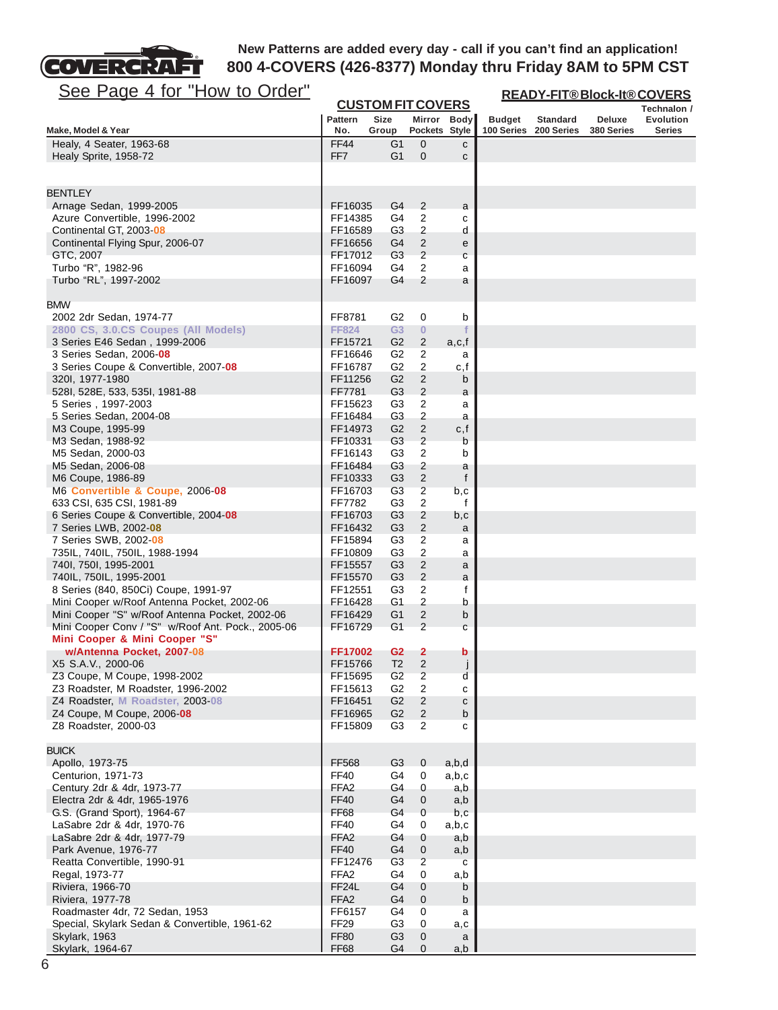

| <b>CUSTOM FIT COVERS</b><br>Technalon /<br><b>Pattern</b><br><b>Size</b><br>Mirror Body<br><b>Evolution</b><br><b>Budget</b><br><b>Standard</b><br>Deluxe<br>No.<br>Pockets Style<br>100 Series<br>200 Series<br>Make, Model & Year<br>Group<br>380 Series<br>Series<br><b>FF44</b><br>Healy, 4 Seater, 1963-68<br>G1<br>0<br>с<br>FF7<br>G1<br>$\mathbf{0}$<br>Healy Sprite, 1958-72<br>с<br><b>BENTLEY</b><br>Arnage Sedan, 1999-2005<br>FF16035<br>G4<br>2<br>a<br>Azure Convertible, 1996-2002<br>G4<br>2<br>FF14385<br>с<br>$\overline{\mathbf{c}}$<br>Continental GT, 2003-08<br>FF16589<br>G3<br>d<br>G4<br>$\overline{\mathbf{c}}$<br>Continental Flying Spur, 2006-07<br>FF16656<br>е<br>$\sqrt{2}$<br>G <sub>3</sub><br>GTC, 2007<br>FF17012<br>С<br>$\overline{2}$<br>Turbo "R", 1982-96<br>FF16094<br>G4<br>а<br>G4<br>2<br>Turbo "RL", 1997-2002<br>FF16097<br>a<br><b>BMW</b><br>G <sub>2</sub><br>0<br>2002 2dr Sedan, 1974-77<br>FF8781<br>b<br>G <sub>3</sub><br>2800 CS, 3.0.CS Coupes (All Models)<br><b>FF824</b><br>$\bf{0}$<br>G <sub>2</sub><br>$\overline{\mathbf{c}}$<br>3 Series E46 Sedan, 1999-2006<br>FF15721<br>a,c,f<br>2<br>3 Series Sedan, 2006 08<br>FF16646<br>G2<br>а<br>3 Series Coupe & Convertible, 2007-08<br>G <sub>2</sub><br>2<br>FF16787<br>c,f<br>$\sqrt{2}$<br>G <sub>2</sub><br>320I, 1977-1980<br>FF11256<br>b<br>G <sub>3</sub><br>$\overline{2}$<br>528I, 528E, 533, 535I, 1981-88<br>FF7781<br>а<br>$\overline{\mathbf{c}}$<br>G3<br>5 Series, 1997-2003<br>FF15623<br>a<br>$\overline{\mathbf{c}}$<br>G <sub>3</sub><br>FF16484<br>5 Series Sedan, 2004-08<br>a<br>$\overline{c}$<br>G <sub>2</sub><br>M3 Coupe, 1995-99<br>FF14973<br>c, f<br>$\sqrt{2}$<br>G <sub>3</sub><br>M3 Sedan, 1988-92<br>FF10331<br>b<br>$\overline{c}$<br>M5 Sedan, 2000-03<br>FF16143<br>G3<br>b<br>G <sub>3</sub><br>2<br>M5 Sedan, 2006-08<br>FF16484<br>a<br>$\overline{2}$<br>G <sub>3</sub><br>f<br>M6 Coupe, 1986-89<br>FF10333<br>$\overline{\mathbf{c}}$<br>G <sub>3</sub><br>M6 Convertible & Coupe, 2006-08<br>FF16703<br>b,c<br>$\overline{c}$<br>G3<br>633 CSI, 635 CSI, 1981-89<br>FF7782<br>f<br>$\overline{\mathbf{c}}$<br>6 Series Coupe & Convertible, 2004 08<br>FF16703<br>G3<br>b,c<br>$\overline{2}$<br>G <sub>3</sub><br>7 Series LWB, 2002-08<br>FF16432<br>a<br>G3<br>2<br>7 Series SWB, 2002-08<br>FF15894<br>a<br>G <sub>3</sub><br>2<br>735IL, 740IL, 750IL, 1988-1994<br>FF10809<br>a<br>$\sqrt{2}$<br>G <sub>3</sub><br>FF15557<br>740I, 750I, 1995-2001<br>a<br>$\overline{c}$<br>740IL, 750IL, 1995-2001<br>FF15570<br>G3<br>а<br>$\overline{c}$<br>8 Series (840, 850Ci) Coupe, 1991-97<br>G3<br>f<br>FF12551<br>$\overline{c}$<br>G1<br>Mini Cooper w/Roof Antenna Pocket, 2002-06<br>FF16428<br>b<br>Mini Cooper "S" w/Roof Antenna Pocket, 2002-06<br>G <sub>1</sub><br>2<br>FF16429<br>b<br>$\overline{2}$<br>Mini Cooper Conv / "S" w/Roof Ant. Pock., 2005-06<br>G <sub>1</sub><br>FF16729<br>С<br>Mini Cooper & Mini Cooper "S"<br>w/Antenna Pocket, 2007-08<br>G <sub>2</sub><br>$\mathbf{2}$<br>FF17002<br>b<br>X5 S.A.V., 2000-06<br>T <sub>2</sub><br>$\overline{\mathbf{c}}$<br>FF15766<br>j<br>Z3 Coupe, M Coupe, 1998-2002<br>$\overline{\mathbf{c}}$<br>FF15695<br>G <sub>2</sub><br>d<br>$\overline{c}$<br>Z3 Roadster, M Roadster, 1996-2002<br>FF15613<br>G <sub>2</sub><br>с<br>Z4 Roadster, M Roadster, 2003-08<br>G <sub>2</sub><br>$\overline{c}$<br>FF16451<br>с<br>Z4 Coupe, M Coupe, 2006-08<br>FF16965<br>G <sub>2</sub><br>2<br>b<br>G3<br>2<br>Z8 Roadster, 2000-03<br>FF15809<br>c<br><b>BUICK</b><br>Apollo, 1973-75<br>FF568<br>G3<br>0<br>a,b,d<br>Centurion, 1971-73<br><b>FF40</b><br>G4<br>a,b,c<br>0<br>FFA <sub>2</sub><br>G4<br>Century 2dr & 4dr, 1973-77<br>0<br>a,b<br>Electra 2dr & 4dr, 1965-1976<br><b>FF40</b><br>G4<br>$\mathbf 0$<br>a,b<br><b>FF68</b><br>G.S. (Grand Sport), 1964-67<br>G4<br>$\mathbf 0$<br>b, c<br><b>FF40</b><br>LaSabre 2dr & 4dr, 1970-76<br>G4<br>a,b,c<br>0<br>FFA <sub>2</sub><br>LaSabre 2dr & 4dr, 1977-79<br>G4<br>0<br>a,b<br><b>FF40</b><br>Park Avenue, 1976-77<br>G4<br>$\mathbf 0$<br>a,b<br>G <sub>3</sub><br>2<br>Reatta Convertible, 1990-91<br>FF12476<br>c<br>FFA <sub>2</sub><br>G4<br>0<br>Regal, 1973-77<br>a,b<br>FF <sub>24</sub> L<br>Riviera, 1966-70<br>G4<br>$\mathbf 0$<br>b<br>FFA <sub>2</sub><br>G4<br>Riviera, 1977-78<br>0<br>b<br>FF6157<br>G4<br>Roadmaster 4dr, 72 Sedan, 1953<br>0<br>a<br>Special, Skylark Sedan & Convertible, 1961-62<br>FF <sub>29</sub><br>G <sub>3</sub><br>0<br>a,c<br><b>FF80</b><br>Skylark, 1963<br>G <sub>3</sub><br>0<br>a<br>Skylark, 1964-67<br><b>FF68</b><br>G4<br>$\mathbf{0}$<br>a,b | <u>See Page 4 for "How to Order"</u> |  |  | <b>READY-FIT®Block-It®COVERS</b> |  |  |  |  |
|--------------------------------------------------------------------------------------------------------------------------------------------------------------------------------------------------------------------------------------------------------------------------------------------------------------------------------------------------------------------------------------------------------------------------------------------------------------------------------------------------------------------------------------------------------------------------------------------------------------------------------------------------------------------------------------------------------------------------------------------------------------------------------------------------------------------------------------------------------------------------------------------------------------------------------------------------------------------------------------------------------------------------------------------------------------------------------------------------------------------------------------------------------------------------------------------------------------------------------------------------------------------------------------------------------------------------------------------------------------------------------------------------------------------------------------------------------------------------------------------------------------------------------------------------------------------------------------------------------------------------------------------------------------------------------------------------------------------------------------------------------------------------------------------------------------------------------------------------------------------------------------------------------------------------------------------------------------------------------------------------------------------------------------------------------------------------------------------------------------------------------------------------------------------------------------------------------------------------------------------------------------------------------------------------------------------------------------------------------------------------------------------------------------------------------------------------------------------------------------------------------------------------------------------------------------------------------------------------------------------------------------------------------------------------------------------------------------------------------------------------------------------------------------------------------------------------------------------------------------------------------------------------------------------------------------------------------------------------------------------------------------------------------------------------------------------------------------------------------------------------------------------------------------------------------------------------------------------------------------------------------------------------------------------------------------------------------------------------------------------------------------------------------------------------------------------------------------------------------------------------------------------------------------------------------------------------------------------------------------------------------------------------------------------------------------------------------------------------------------------------------------------------------------------------------------------------------------------------------------------------------------------------------------------------------------------------------------------------------------------------------------------------------------------------------------------------------------------------------------------------------------------------------------------------------------------------------------------------------------------------------------------------------------------------------------------------------------------------------------------------------------------------------------------------------------------------------------------------------------------------------------------------------------------------------------------------------------------------------------------------------------------------------------------------------------------------|--------------------------------------|--|--|----------------------------------|--|--|--|--|
|                                                                                                                                                                                                                                                                                                                                                                                                                                                                                                                                                                                                                                                                                                                                                                                                                                                                                                                                                                                                                                                                                                                                                                                                                                                                                                                                                                                                                                                                                                                                                                                                                                                                                                                                                                                                                                                                                                                                                                                                                                                                                                                                                                                                                                                                                                                                                                                                                                                                                                                                                                                                                                                                                                                                                                                                                                                                                                                                                                                                                                                                                                                                                                                                                                                                                                                                                                                                                                                                                                                                                                                                                                                                                                                                                                                                                                                                                                                                                                                                                                                                                                                                                                                                                                                                                                                                                                                                                                                                                                                                                                                                                                                                                                  |                                      |  |  |                                  |  |  |  |  |
|                                                                                                                                                                                                                                                                                                                                                                                                                                                                                                                                                                                                                                                                                                                                                                                                                                                                                                                                                                                                                                                                                                                                                                                                                                                                                                                                                                                                                                                                                                                                                                                                                                                                                                                                                                                                                                                                                                                                                                                                                                                                                                                                                                                                                                                                                                                                                                                                                                                                                                                                                                                                                                                                                                                                                                                                                                                                                                                                                                                                                                                                                                                                                                                                                                                                                                                                                                                                                                                                                                                                                                                                                                                                                                                                                                                                                                                                                                                                                                                                                                                                                                                                                                                                                                                                                                                                                                                                                                                                                                                                                                                                                                                                                                  |                                      |  |  |                                  |  |  |  |  |
|                                                                                                                                                                                                                                                                                                                                                                                                                                                                                                                                                                                                                                                                                                                                                                                                                                                                                                                                                                                                                                                                                                                                                                                                                                                                                                                                                                                                                                                                                                                                                                                                                                                                                                                                                                                                                                                                                                                                                                                                                                                                                                                                                                                                                                                                                                                                                                                                                                                                                                                                                                                                                                                                                                                                                                                                                                                                                                                                                                                                                                                                                                                                                                                                                                                                                                                                                                                                                                                                                                                                                                                                                                                                                                                                                                                                                                                                                                                                                                                                                                                                                                                                                                                                                                                                                                                                                                                                                                                                                                                                                                                                                                                                                                  |                                      |  |  |                                  |  |  |  |  |
|                                                                                                                                                                                                                                                                                                                                                                                                                                                                                                                                                                                                                                                                                                                                                                                                                                                                                                                                                                                                                                                                                                                                                                                                                                                                                                                                                                                                                                                                                                                                                                                                                                                                                                                                                                                                                                                                                                                                                                                                                                                                                                                                                                                                                                                                                                                                                                                                                                                                                                                                                                                                                                                                                                                                                                                                                                                                                                                                                                                                                                                                                                                                                                                                                                                                                                                                                                                                                                                                                                                                                                                                                                                                                                                                                                                                                                                                                                                                                                                                                                                                                                                                                                                                                                                                                                                                                                                                                                                                                                                                                                                                                                                                                                  |                                      |  |  |                                  |  |  |  |  |
|                                                                                                                                                                                                                                                                                                                                                                                                                                                                                                                                                                                                                                                                                                                                                                                                                                                                                                                                                                                                                                                                                                                                                                                                                                                                                                                                                                                                                                                                                                                                                                                                                                                                                                                                                                                                                                                                                                                                                                                                                                                                                                                                                                                                                                                                                                                                                                                                                                                                                                                                                                                                                                                                                                                                                                                                                                                                                                                                                                                                                                                                                                                                                                                                                                                                                                                                                                                                                                                                                                                                                                                                                                                                                                                                                                                                                                                                                                                                                                                                                                                                                                                                                                                                                                                                                                                                                                                                                                                                                                                                                                                                                                                                                                  |                                      |  |  |                                  |  |  |  |  |
|                                                                                                                                                                                                                                                                                                                                                                                                                                                                                                                                                                                                                                                                                                                                                                                                                                                                                                                                                                                                                                                                                                                                                                                                                                                                                                                                                                                                                                                                                                                                                                                                                                                                                                                                                                                                                                                                                                                                                                                                                                                                                                                                                                                                                                                                                                                                                                                                                                                                                                                                                                                                                                                                                                                                                                                                                                                                                                                                                                                                                                                                                                                                                                                                                                                                                                                                                                                                                                                                                                                                                                                                                                                                                                                                                                                                                                                                                                                                                                                                                                                                                                                                                                                                                                                                                                                                                                                                                                                                                                                                                                                                                                                                                                  |                                      |  |  |                                  |  |  |  |  |
|                                                                                                                                                                                                                                                                                                                                                                                                                                                                                                                                                                                                                                                                                                                                                                                                                                                                                                                                                                                                                                                                                                                                                                                                                                                                                                                                                                                                                                                                                                                                                                                                                                                                                                                                                                                                                                                                                                                                                                                                                                                                                                                                                                                                                                                                                                                                                                                                                                                                                                                                                                                                                                                                                                                                                                                                                                                                                                                                                                                                                                                                                                                                                                                                                                                                                                                                                                                                                                                                                                                                                                                                                                                                                                                                                                                                                                                                                                                                                                                                                                                                                                                                                                                                                                                                                                                                                                                                                                                                                                                                                                                                                                                                                                  |                                      |  |  |                                  |  |  |  |  |
|                                                                                                                                                                                                                                                                                                                                                                                                                                                                                                                                                                                                                                                                                                                                                                                                                                                                                                                                                                                                                                                                                                                                                                                                                                                                                                                                                                                                                                                                                                                                                                                                                                                                                                                                                                                                                                                                                                                                                                                                                                                                                                                                                                                                                                                                                                                                                                                                                                                                                                                                                                                                                                                                                                                                                                                                                                                                                                                                                                                                                                                                                                                                                                                                                                                                                                                                                                                                                                                                                                                                                                                                                                                                                                                                                                                                                                                                                                                                                                                                                                                                                                                                                                                                                                                                                                                                                                                                                                                                                                                                                                                                                                                                                                  |                                      |  |  |                                  |  |  |  |  |
|                                                                                                                                                                                                                                                                                                                                                                                                                                                                                                                                                                                                                                                                                                                                                                                                                                                                                                                                                                                                                                                                                                                                                                                                                                                                                                                                                                                                                                                                                                                                                                                                                                                                                                                                                                                                                                                                                                                                                                                                                                                                                                                                                                                                                                                                                                                                                                                                                                                                                                                                                                                                                                                                                                                                                                                                                                                                                                                                                                                                                                                                                                                                                                                                                                                                                                                                                                                                                                                                                                                                                                                                                                                                                                                                                                                                                                                                                                                                                                                                                                                                                                                                                                                                                                                                                                                                                                                                                                                                                                                                                                                                                                                                                                  |                                      |  |  |                                  |  |  |  |  |
|                                                                                                                                                                                                                                                                                                                                                                                                                                                                                                                                                                                                                                                                                                                                                                                                                                                                                                                                                                                                                                                                                                                                                                                                                                                                                                                                                                                                                                                                                                                                                                                                                                                                                                                                                                                                                                                                                                                                                                                                                                                                                                                                                                                                                                                                                                                                                                                                                                                                                                                                                                                                                                                                                                                                                                                                                                                                                                                                                                                                                                                                                                                                                                                                                                                                                                                                                                                                                                                                                                                                                                                                                                                                                                                                                                                                                                                                                                                                                                                                                                                                                                                                                                                                                                                                                                                                                                                                                                                                                                                                                                                                                                                                                                  |                                      |  |  |                                  |  |  |  |  |
|                                                                                                                                                                                                                                                                                                                                                                                                                                                                                                                                                                                                                                                                                                                                                                                                                                                                                                                                                                                                                                                                                                                                                                                                                                                                                                                                                                                                                                                                                                                                                                                                                                                                                                                                                                                                                                                                                                                                                                                                                                                                                                                                                                                                                                                                                                                                                                                                                                                                                                                                                                                                                                                                                                                                                                                                                                                                                                                                                                                                                                                                                                                                                                                                                                                                                                                                                                                                                                                                                                                                                                                                                                                                                                                                                                                                                                                                                                                                                                                                                                                                                                                                                                                                                                                                                                                                                                                                                                                                                                                                                                                                                                                                                                  |                                      |  |  |                                  |  |  |  |  |
|                                                                                                                                                                                                                                                                                                                                                                                                                                                                                                                                                                                                                                                                                                                                                                                                                                                                                                                                                                                                                                                                                                                                                                                                                                                                                                                                                                                                                                                                                                                                                                                                                                                                                                                                                                                                                                                                                                                                                                                                                                                                                                                                                                                                                                                                                                                                                                                                                                                                                                                                                                                                                                                                                                                                                                                                                                                                                                                                                                                                                                                                                                                                                                                                                                                                                                                                                                                                                                                                                                                                                                                                                                                                                                                                                                                                                                                                                                                                                                                                                                                                                                                                                                                                                                                                                                                                                                                                                                                                                                                                                                                                                                                                                                  |                                      |  |  |                                  |  |  |  |  |
|                                                                                                                                                                                                                                                                                                                                                                                                                                                                                                                                                                                                                                                                                                                                                                                                                                                                                                                                                                                                                                                                                                                                                                                                                                                                                                                                                                                                                                                                                                                                                                                                                                                                                                                                                                                                                                                                                                                                                                                                                                                                                                                                                                                                                                                                                                                                                                                                                                                                                                                                                                                                                                                                                                                                                                                                                                                                                                                                                                                                                                                                                                                                                                                                                                                                                                                                                                                                                                                                                                                                                                                                                                                                                                                                                                                                                                                                                                                                                                                                                                                                                                                                                                                                                                                                                                                                                                                                                                                                                                                                                                                                                                                                                                  |                                      |  |  |                                  |  |  |  |  |
|                                                                                                                                                                                                                                                                                                                                                                                                                                                                                                                                                                                                                                                                                                                                                                                                                                                                                                                                                                                                                                                                                                                                                                                                                                                                                                                                                                                                                                                                                                                                                                                                                                                                                                                                                                                                                                                                                                                                                                                                                                                                                                                                                                                                                                                                                                                                                                                                                                                                                                                                                                                                                                                                                                                                                                                                                                                                                                                                                                                                                                                                                                                                                                                                                                                                                                                                                                                                                                                                                                                                                                                                                                                                                                                                                                                                                                                                                                                                                                                                                                                                                                                                                                                                                                                                                                                                                                                                                                                                                                                                                                                                                                                                                                  |                                      |  |  |                                  |  |  |  |  |
|                                                                                                                                                                                                                                                                                                                                                                                                                                                                                                                                                                                                                                                                                                                                                                                                                                                                                                                                                                                                                                                                                                                                                                                                                                                                                                                                                                                                                                                                                                                                                                                                                                                                                                                                                                                                                                                                                                                                                                                                                                                                                                                                                                                                                                                                                                                                                                                                                                                                                                                                                                                                                                                                                                                                                                                                                                                                                                                                                                                                                                                                                                                                                                                                                                                                                                                                                                                                                                                                                                                                                                                                                                                                                                                                                                                                                                                                                                                                                                                                                                                                                                                                                                                                                                                                                                                                                                                                                                                                                                                                                                                                                                                                                                  |                                      |  |  |                                  |  |  |  |  |
|                                                                                                                                                                                                                                                                                                                                                                                                                                                                                                                                                                                                                                                                                                                                                                                                                                                                                                                                                                                                                                                                                                                                                                                                                                                                                                                                                                                                                                                                                                                                                                                                                                                                                                                                                                                                                                                                                                                                                                                                                                                                                                                                                                                                                                                                                                                                                                                                                                                                                                                                                                                                                                                                                                                                                                                                                                                                                                                                                                                                                                                                                                                                                                                                                                                                                                                                                                                                                                                                                                                                                                                                                                                                                                                                                                                                                                                                                                                                                                                                                                                                                                                                                                                                                                                                                                                                                                                                                                                                                                                                                                                                                                                                                                  |                                      |  |  |                                  |  |  |  |  |
|                                                                                                                                                                                                                                                                                                                                                                                                                                                                                                                                                                                                                                                                                                                                                                                                                                                                                                                                                                                                                                                                                                                                                                                                                                                                                                                                                                                                                                                                                                                                                                                                                                                                                                                                                                                                                                                                                                                                                                                                                                                                                                                                                                                                                                                                                                                                                                                                                                                                                                                                                                                                                                                                                                                                                                                                                                                                                                                                                                                                                                                                                                                                                                                                                                                                                                                                                                                                                                                                                                                                                                                                                                                                                                                                                                                                                                                                                                                                                                                                                                                                                                                                                                                                                                                                                                                                                                                                                                                                                                                                                                                                                                                                                                  |                                      |  |  |                                  |  |  |  |  |
|                                                                                                                                                                                                                                                                                                                                                                                                                                                                                                                                                                                                                                                                                                                                                                                                                                                                                                                                                                                                                                                                                                                                                                                                                                                                                                                                                                                                                                                                                                                                                                                                                                                                                                                                                                                                                                                                                                                                                                                                                                                                                                                                                                                                                                                                                                                                                                                                                                                                                                                                                                                                                                                                                                                                                                                                                                                                                                                                                                                                                                                                                                                                                                                                                                                                                                                                                                                                                                                                                                                                                                                                                                                                                                                                                                                                                                                                                                                                                                                                                                                                                                                                                                                                                                                                                                                                                                                                                                                                                                                                                                                                                                                                                                  |                                      |  |  |                                  |  |  |  |  |
|                                                                                                                                                                                                                                                                                                                                                                                                                                                                                                                                                                                                                                                                                                                                                                                                                                                                                                                                                                                                                                                                                                                                                                                                                                                                                                                                                                                                                                                                                                                                                                                                                                                                                                                                                                                                                                                                                                                                                                                                                                                                                                                                                                                                                                                                                                                                                                                                                                                                                                                                                                                                                                                                                                                                                                                                                                                                                                                                                                                                                                                                                                                                                                                                                                                                                                                                                                                                                                                                                                                                                                                                                                                                                                                                                                                                                                                                                                                                                                                                                                                                                                                                                                                                                                                                                                                                                                                                                                                                                                                                                                                                                                                                                                  |                                      |  |  |                                  |  |  |  |  |
|                                                                                                                                                                                                                                                                                                                                                                                                                                                                                                                                                                                                                                                                                                                                                                                                                                                                                                                                                                                                                                                                                                                                                                                                                                                                                                                                                                                                                                                                                                                                                                                                                                                                                                                                                                                                                                                                                                                                                                                                                                                                                                                                                                                                                                                                                                                                                                                                                                                                                                                                                                                                                                                                                                                                                                                                                                                                                                                                                                                                                                                                                                                                                                                                                                                                                                                                                                                                                                                                                                                                                                                                                                                                                                                                                                                                                                                                                                                                                                                                                                                                                                                                                                                                                                                                                                                                                                                                                                                                                                                                                                                                                                                                                                  |                                      |  |  |                                  |  |  |  |  |
|                                                                                                                                                                                                                                                                                                                                                                                                                                                                                                                                                                                                                                                                                                                                                                                                                                                                                                                                                                                                                                                                                                                                                                                                                                                                                                                                                                                                                                                                                                                                                                                                                                                                                                                                                                                                                                                                                                                                                                                                                                                                                                                                                                                                                                                                                                                                                                                                                                                                                                                                                                                                                                                                                                                                                                                                                                                                                                                                                                                                                                                                                                                                                                                                                                                                                                                                                                                                                                                                                                                                                                                                                                                                                                                                                                                                                                                                                                                                                                                                                                                                                                                                                                                                                                                                                                                                                                                                                                                                                                                                                                                                                                                                                                  |                                      |  |  |                                  |  |  |  |  |
|                                                                                                                                                                                                                                                                                                                                                                                                                                                                                                                                                                                                                                                                                                                                                                                                                                                                                                                                                                                                                                                                                                                                                                                                                                                                                                                                                                                                                                                                                                                                                                                                                                                                                                                                                                                                                                                                                                                                                                                                                                                                                                                                                                                                                                                                                                                                                                                                                                                                                                                                                                                                                                                                                                                                                                                                                                                                                                                                                                                                                                                                                                                                                                                                                                                                                                                                                                                                                                                                                                                                                                                                                                                                                                                                                                                                                                                                                                                                                                                                                                                                                                                                                                                                                                                                                                                                                                                                                                                                                                                                                                                                                                                                                                  |                                      |  |  |                                  |  |  |  |  |
|                                                                                                                                                                                                                                                                                                                                                                                                                                                                                                                                                                                                                                                                                                                                                                                                                                                                                                                                                                                                                                                                                                                                                                                                                                                                                                                                                                                                                                                                                                                                                                                                                                                                                                                                                                                                                                                                                                                                                                                                                                                                                                                                                                                                                                                                                                                                                                                                                                                                                                                                                                                                                                                                                                                                                                                                                                                                                                                                                                                                                                                                                                                                                                                                                                                                                                                                                                                                                                                                                                                                                                                                                                                                                                                                                                                                                                                                                                                                                                                                                                                                                                                                                                                                                                                                                                                                                                                                                                                                                                                                                                                                                                                                                                  |                                      |  |  |                                  |  |  |  |  |
|                                                                                                                                                                                                                                                                                                                                                                                                                                                                                                                                                                                                                                                                                                                                                                                                                                                                                                                                                                                                                                                                                                                                                                                                                                                                                                                                                                                                                                                                                                                                                                                                                                                                                                                                                                                                                                                                                                                                                                                                                                                                                                                                                                                                                                                                                                                                                                                                                                                                                                                                                                                                                                                                                                                                                                                                                                                                                                                                                                                                                                                                                                                                                                                                                                                                                                                                                                                                                                                                                                                                                                                                                                                                                                                                                                                                                                                                                                                                                                                                                                                                                                                                                                                                                                                                                                                                                                                                                                                                                                                                                                                                                                                                                                  |                                      |  |  |                                  |  |  |  |  |
|                                                                                                                                                                                                                                                                                                                                                                                                                                                                                                                                                                                                                                                                                                                                                                                                                                                                                                                                                                                                                                                                                                                                                                                                                                                                                                                                                                                                                                                                                                                                                                                                                                                                                                                                                                                                                                                                                                                                                                                                                                                                                                                                                                                                                                                                                                                                                                                                                                                                                                                                                                                                                                                                                                                                                                                                                                                                                                                                                                                                                                                                                                                                                                                                                                                                                                                                                                                                                                                                                                                                                                                                                                                                                                                                                                                                                                                                                                                                                                                                                                                                                                                                                                                                                                                                                                                                                                                                                                                                                                                                                                                                                                                                                                  |                                      |  |  |                                  |  |  |  |  |
|                                                                                                                                                                                                                                                                                                                                                                                                                                                                                                                                                                                                                                                                                                                                                                                                                                                                                                                                                                                                                                                                                                                                                                                                                                                                                                                                                                                                                                                                                                                                                                                                                                                                                                                                                                                                                                                                                                                                                                                                                                                                                                                                                                                                                                                                                                                                                                                                                                                                                                                                                                                                                                                                                                                                                                                                                                                                                                                                                                                                                                                                                                                                                                                                                                                                                                                                                                                                                                                                                                                                                                                                                                                                                                                                                                                                                                                                                                                                                                                                                                                                                                                                                                                                                                                                                                                                                                                                                                                                                                                                                                                                                                                                                                  |                                      |  |  |                                  |  |  |  |  |
|                                                                                                                                                                                                                                                                                                                                                                                                                                                                                                                                                                                                                                                                                                                                                                                                                                                                                                                                                                                                                                                                                                                                                                                                                                                                                                                                                                                                                                                                                                                                                                                                                                                                                                                                                                                                                                                                                                                                                                                                                                                                                                                                                                                                                                                                                                                                                                                                                                                                                                                                                                                                                                                                                                                                                                                                                                                                                                                                                                                                                                                                                                                                                                                                                                                                                                                                                                                                                                                                                                                                                                                                                                                                                                                                                                                                                                                                                                                                                                                                                                                                                                                                                                                                                                                                                                                                                                                                                                                                                                                                                                                                                                                                                                  |                                      |  |  |                                  |  |  |  |  |
|                                                                                                                                                                                                                                                                                                                                                                                                                                                                                                                                                                                                                                                                                                                                                                                                                                                                                                                                                                                                                                                                                                                                                                                                                                                                                                                                                                                                                                                                                                                                                                                                                                                                                                                                                                                                                                                                                                                                                                                                                                                                                                                                                                                                                                                                                                                                                                                                                                                                                                                                                                                                                                                                                                                                                                                                                                                                                                                                                                                                                                                                                                                                                                                                                                                                                                                                                                                                                                                                                                                                                                                                                                                                                                                                                                                                                                                                                                                                                                                                                                                                                                                                                                                                                                                                                                                                                                                                                                                                                                                                                                                                                                                                                                  |                                      |  |  |                                  |  |  |  |  |
|                                                                                                                                                                                                                                                                                                                                                                                                                                                                                                                                                                                                                                                                                                                                                                                                                                                                                                                                                                                                                                                                                                                                                                                                                                                                                                                                                                                                                                                                                                                                                                                                                                                                                                                                                                                                                                                                                                                                                                                                                                                                                                                                                                                                                                                                                                                                                                                                                                                                                                                                                                                                                                                                                                                                                                                                                                                                                                                                                                                                                                                                                                                                                                                                                                                                                                                                                                                                                                                                                                                                                                                                                                                                                                                                                                                                                                                                                                                                                                                                                                                                                                                                                                                                                                                                                                                                                                                                                                                                                                                                                                                                                                                                                                  |                                      |  |  |                                  |  |  |  |  |
|                                                                                                                                                                                                                                                                                                                                                                                                                                                                                                                                                                                                                                                                                                                                                                                                                                                                                                                                                                                                                                                                                                                                                                                                                                                                                                                                                                                                                                                                                                                                                                                                                                                                                                                                                                                                                                                                                                                                                                                                                                                                                                                                                                                                                                                                                                                                                                                                                                                                                                                                                                                                                                                                                                                                                                                                                                                                                                                                                                                                                                                                                                                                                                                                                                                                                                                                                                                                                                                                                                                                                                                                                                                                                                                                                                                                                                                                                                                                                                                                                                                                                                                                                                                                                                                                                                                                                                                                                                                                                                                                                                                                                                                                                                  |                                      |  |  |                                  |  |  |  |  |
|                                                                                                                                                                                                                                                                                                                                                                                                                                                                                                                                                                                                                                                                                                                                                                                                                                                                                                                                                                                                                                                                                                                                                                                                                                                                                                                                                                                                                                                                                                                                                                                                                                                                                                                                                                                                                                                                                                                                                                                                                                                                                                                                                                                                                                                                                                                                                                                                                                                                                                                                                                                                                                                                                                                                                                                                                                                                                                                                                                                                                                                                                                                                                                                                                                                                                                                                                                                                                                                                                                                                                                                                                                                                                                                                                                                                                                                                                                                                                                                                                                                                                                                                                                                                                                                                                                                                                                                                                                                                                                                                                                                                                                                                                                  |                                      |  |  |                                  |  |  |  |  |
|                                                                                                                                                                                                                                                                                                                                                                                                                                                                                                                                                                                                                                                                                                                                                                                                                                                                                                                                                                                                                                                                                                                                                                                                                                                                                                                                                                                                                                                                                                                                                                                                                                                                                                                                                                                                                                                                                                                                                                                                                                                                                                                                                                                                                                                                                                                                                                                                                                                                                                                                                                                                                                                                                                                                                                                                                                                                                                                                                                                                                                                                                                                                                                                                                                                                                                                                                                                                                                                                                                                                                                                                                                                                                                                                                                                                                                                                                                                                                                                                                                                                                                                                                                                                                                                                                                                                                                                                                                                                                                                                                                                                                                                                                                  |                                      |  |  |                                  |  |  |  |  |
|                                                                                                                                                                                                                                                                                                                                                                                                                                                                                                                                                                                                                                                                                                                                                                                                                                                                                                                                                                                                                                                                                                                                                                                                                                                                                                                                                                                                                                                                                                                                                                                                                                                                                                                                                                                                                                                                                                                                                                                                                                                                                                                                                                                                                                                                                                                                                                                                                                                                                                                                                                                                                                                                                                                                                                                                                                                                                                                                                                                                                                                                                                                                                                                                                                                                                                                                                                                                                                                                                                                                                                                                                                                                                                                                                                                                                                                                                                                                                                                                                                                                                                                                                                                                                                                                                                                                                                                                                                                                                                                                                                                                                                                                                                  |                                      |  |  |                                  |  |  |  |  |
|                                                                                                                                                                                                                                                                                                                                                                                                                                                                                                                                                                                                                                                                                                                                                                                                                                                                                                                                                                                                                                                                                                                                                                                                                                                                                                                                                                                                                                                                                                                                                                                                                                                                                                                                                                                                                                                                                                                                                                                                                                                                                                                                                                                                                                                                                                                                                                                                                                                                                                                                                                                                                                                                                                                                                                                                                                                                                                                                                                                                                                                                                                                                                                                                                                                                                                                                                                                                                                                                                                                                                                                                                                                                                                                                                                                                                                                                                                                                                                                                                                                                                                                                                                                                                                                                                                                                                                                                                                                                                                                                                                                                                                                                                                  |                                      |  |  |                                  |  |  |  |  |
|                                                                                                                                                                                                                                                                                                                                                                                                                                                                                                                                                                                                                                                                                                                                                                                                                                                                                                                                                                                                                                                                                                                                                                                                                                                                                                                                                                                                                                                                                                                                                                                                                                                                                                                                                                                                                                                                                                                                                                                                                                                                                                                                                                                                                                                                                                                                                                                                                                                                                                                                                                                                                                                                                                                                                                                                                                                                                                                                                                                                                                                                                                                                                                                                                                                                                                                                                                                                                                                                                                                                                                                                                                                                                                                                                                                                                                                                                                                                                                                                                                                                                                                                                                                                                                                                                                                                                                                                                                                                                                                                                                                                                                                                                                  |                                      |  |  |                                  |  |  |  |  |
|                                                                                                                                                                                                                                                                                                                                                                                                                                                                                                                                                                                                                                                                                                                                                                                                                                                                                                                                                                                                                                                                                                                                                                                                                                                                                                                                                                                                                                                                                                                                                                                                                                                                                                                                                                                                                                                                                                                                                                                                                                                                                                                                                                                                                                                                                                                                                                                                                                                                                                                                                                                                                                                                                                                                                                                                                                                                                                                                                                                                                                                                                                                                                                                                                                                                                                                                                                                                                                                                                                                                                                                                                                                                                                                                                                                                                                                                                                                                                                                                                                                                                                                                                                                                                                                                                                                                                                                                                                                                                                                                                                                                                                                                                                  |                                      |  |  |                                  |  |  |  |  |
|                                                                                                                                                                                                                                                                                                                                                                                                                                                                                                                                                                                                                                                                                                                                                                                                                                                                                                                                                                                                                                                                                                                                                                                                                                                                                                                                                                                                                                                                                                                                                                                                                                                                                                                                                                                                                                                                                                                                                                                                                                                                                                                                                                                                                                                                                                                                                                                                                                                                                                                                                                                                                                                                                                                                                                                                                                                                                                                                                                                                                                                                                                                                                                                                                                                                                                                                                                                                                                                                                                                                                                                                                                                                                                                                                                                                                                                                                                                                                                                                                                                                                                                                                                                                                                                                                                                                                                                                                                                                                                                                                                                                                                                                                                  |                                      |  |  |                                  |  |  |  |  |
|                                                                                                                                                                                                                                                                                                                                                                                                                                                                                                                                                                                                                                                                                                                                                                                                                                                                                                                                                                                                                                                                                                                                                                                                                                                                                                                                                                                                                                                                                                                                                                                                                                                                                                                                                                                                                                                                                                                                                                                                                                                                                                                                                                                                                                                                                                                                                                                                                                                                                                                                                                                                                                                                                                                                                                                                                                                                                                                                                                                                                                                                                                                                                                                                                                                                                                                                                                                                                                                                                                                                                                                                                                                                                                                                                                                                                                                                                                                                                                                                                                                                                                                                                                                                                                                                                                                                                                                                                                                                                                                                                                                                                                                                                                  |                                      |  |  |                                  |  |  |  |  |
|                                                                                                                                                                                                                                                                                                                                                                                                                                                                                                                                                                                                                                                                                                                                                                                                                                                                                                                                                                                                                                                                                                                                                                                                                                                                                                                                                                                                                                                                                                                                                                                                                                                                                                                                                                                                                                                                                                                                                                                                                                                                                                                                                                                                                                                                                                                                                                                                                                                                                                                                                                                                                                                                                                                                                                                                                                                                                                                                                                                                                                                                                                                                                                                                                                                                                                                                                                                                                                                                                                                                                                                                                                                                                                                                                                                                                                                                                                                                                                                                                                                                                                                                                                                                                                                                                                                                                                                                                                                                                                                                                                                                                                                                                                  |                                      |  |  |                                  |  |  |  |  |
|                                                                                                                                                                                                                                                                                                                                                                                                                                                                                                                                                                                                                                                                                                                                                                                                                                                                                                                                                                                                                                                                                                                                                                                                                                                                                                                                                                                                                                                                                                                                                                                                                                                                                                                                                                                                                                                                                                                                                                                                                                                                                                                                                                                                                                                                                                                                                                                                                                                                                                                                                                                                                                                                                                                                                                                                                                                                                                                                                                                                                                                                                                                                                                                                                                                                                                                                                                                                                                                                                                                                                                                                                                                                                                                                                                                                                                                                                                                                                                                                                                                                                                                                                                                                                                                                                                                                                                                                                                                                                                                                                                                                                                                                                                  |                                      |  |  |                                  |  |  |  |  |
|                                                                                                                                                                                                                                                                                                                                                                                                                                                                                                                                                                                                                                                                                                                                                                                                                                                                                                                                                                                                                                                                                                                                                                                                                                                                                                                                                                                                                                                                                                                                                                                                                                                                                                                                                                                                                                                                                                                                                                                                                                                                                                                                                                                                                                                                                                                                                                                                                                                                                                                                                                                                                                                                                                                                                                                                                                                                                                                                                                                                                                                                                                                                                                                                                                                                                                                                                                                                                                                                                                                                                                                                                                                                                                                                                                                                                                                                                                                                                                                                                                                                                                                                                                                                                                                                                                                                                                                                                                                                                                                                                                                                                                                                                                  |                                      |  |  |                                  |  |  |  |  |
|                                                                                                                                                                                                                                                                                                                                                                                                                                                                                                                                                                                                                                                                                                                                                                                                                                                                                                                                                                                                                                                                                                                                                                                                                                                                                                                                                                                                                                                                                                                                                                                                                                                                                                                                                                                                                                                                                                                                                                                                                                                                                                                                                                                                                                                                                                                                                                                                                                                                                                                                                                                                                                                                                                                                                                                                                                                                                                                                                                                                                                                                                                                                                                                                                                                                                                                                                                                                                                                                                                                                                                                                                                                                                                                                                                                                                                                                                                                                                                                                                                                                                                                                                                                                                                                                                                                                                                                                                                                                                                                                                                                                                                                                                                  |                                      |  |  |                                  |  |  |  |  |
|                                                                                                                                                                                                                                                                                                                                                                                                                                                                                                                                                                                                                                                                                                                                                                                                                                                                                                                                                                                                                                                                                                                                                                                                                                                                                                                                                                                                                                                                                                                                                                                                                                                                                                                                                                                                                                                                                                                                                                                                                                                                                                                                                                                                                                                                                                                                                                                                                                                                                                                                                                                                                                                                                                                                                                                                                                                                                                                                                                                                                                                                                                                                                                                                                                                                                                                                                                                                                                                                                                                                                                                                                                                                                                                                                                                                                                                                                                                                                                                                                                                                                                                                                                                                                                                                                                                                                                                                                                                                                                                                                                                                                                                                                                  |                                      |  |  |                                  |  |  |  |  |
|                                                                                                                                                                                                                                                                                                                                                                                                                                                                                                                                                                                                                                                                                                                                                                                                                                                                                                                                                                                                                                                                                                                                                                                                                                                                                                                                                                                                                                                                                                                                                                                                                                                                                                                                                                                                                                                                                                                                                                                                                                                                                                                                                                                                                                                                                                                                                                                                                                                                                                                                                                                                                                                                                                                                                                                                                                                                                                                                                                                                                                                                                                                                                                                                                                                                                                                                                                                                                                                                                                                                                                                                                                                                                                                                                                                                                                                                                                                                                                                                                                                                                                                                                                                                                                                                                                                                                                                                                                                                                                                                                                                                                                                                                                  |                                      |  |  |                                  |  |  |  |  |
|                                                                                                                                                                                                                                                                                                                                                                                                                                                                                                                                                                                                                                                                                                                                                                                                                                                                                                                                                                                                                                                                                                                                                                                                                                                                                                                                                                                                                                                                                                                                                                                                                                                                                                                                                                                                                                                                                                                                                                                                                                                                                                                                                                                                                                                                                                                                                                                                                                                                                                                                                                                                                                                                                                                                                                                                                                                                                                                                                                                                                                                                                                                                                                                                                                                                                                                                                                                                                                                                                                                                                                                                                                                                                                                                                                                                                                                                                                                                                                                                                                                                                                                                                                                                                                                                                                                                                                                                                                                                                                                                                                                                                                                                                                  |                                      |  |  |                                  |  |  |  |  |
|                                                                                                                                                                                                                                                                                                                                                                                                                                                                                                                                                                                                                                                                                                                                                                                                                                                                                                                                                                                                                                                                                                                                                                                                                                                                                                                                                                                                                                                                                                                                                                                                                                                                                                                                                                                                                                                                                                                                                                                                                                                                                                                                                                                                                                                                                                                                                                                                                                                                                                                                                                                                                                                                                                                                                                                                                                                                                                                                                                                                                                                                                                                                                                                                                                                                                                                                                                                                                                                                                                                                                                                                                                                                                                                                                                                                                                                                                                                                                                                                                                                                                                                                                                                                                                                                                                                                                                                                                                                                                                                                                                                                                                                                                                  |                                      |  |  |                                  |  |  |  |  |
|                                                                                                                                                                                                                                                                                                                                                                                                                                                                                                                                                                                                                                                                                                                                                                                                                                                                                                                                                                                                                                                                                                                                                                                                                                                                                                                                                                                                                                                                                                                                                                                                                                                                                                                                                                                                                                                                                                                                                                                                                                                                                                                                                                                                                                                                                                                                                                                                                                                                                                                                                                                                                                                                                                                                                                                                                                                                                                                                                                                                                                                                                                                                                                                                                                                                                                                                                                                                                                                                                                                                                                                                                                                                                                                                                                                                                                                                                                                                                                                                                                                                                                                                                                                                                                                                                                                                                                                                                                                                                                                                                                                                                                                                                                  |                                      |  |  |                                  |  |  |  |  |
|                                                                                                                                                                                                                                                                                                                                                                                                                                                                                                                                                                                                                                                                                                                                                                                                                                                                                                                                                                                                                                                                                                                                                                                                                                                                                                                                                                                                                                                                                                                                                                                                                                                                                                                                                                                                                                                                                                                                                                                                                                                                                                                                                                                                                                                                                                                                                                                                                                                                                                                                                                                                                                                                                                                                                                                                                                                                                                                                                                                                                                                                                                                                                                                                                                                                                                                                                                                                                                                                                                                                                                                                                                                                                                                                                                                                                                                                                                                                                                                                                                                                                                                                                                                                                                                                                                                                                                                                                                                                                                                                                                                                                                                                                                  |                                      |  |  |                                  |  |  |  |  |
|                                                                                                                                                                                                                                                                                                                                                                                                                                                                                                                                                                                                                                                                                                                                                                                                                                                                                                                                                                                                                                                                                                                                                                                                                                                                                                                                                                                                                                                                                                                                                                                                                                                                                                                                                                                                                                                                                                                                                                                                                                                                                                                                                                                                                                                                                                                                                                                                                                                                                                                                                                                                                                                                                                                                                                                                                                                                                                                                                                                                                                                                                                                                                                                                                                                                                                                                                                                                                                                                                                                                                                                                                                                                                                                                                                                                                                                                                                                                                                                                                                                                                                                                                                                                                                                                                                                                                                                                                                                                                                                                                                                                                                                                                                  |                                      |  |  |                                  |  |  |  |  |
|                                                                                                                                                                                                                                                                                                                                                                                                                                                                                                                                                                                                                                                                                                                                                                                                                                                                                                                                                                                                                                                                                                                                                                                                                                                                                                                                                                                                                                                                                                                                                                                                                                                                                                                                                                                                                                                                                                                                                                                                                                                                                                                                                                                                                                                                                                                                                                                                                                                                                                                                                                                                                                                                                                                                                                                                                                                                                                                                                                                                                                                                                                                                                                                                                                                                                                                                                                                                                                                                                                                                                                                                                                                                                                                                                                                                                                                                                                                                                                                                                                                                                                                                                                                                                                                                                                                                                                                                                                                                                                                                                                                                                                                                                                  |                                      |  |  |                                  |  |  |  |  |
|                                                                                                                                                                                                                                                                                                                                                                                                                                                                                                                                                                                                                                                                                                                                                                                                                                                                                                                                                                                                                                                                                                                                                                                                                                                                                                                                                                                                                                                                                                                                                                                                                                                                                                                                                                                                                                                                                                                                                                                                                                                                                                                                                                                                                                                                                                                                                                                                                                                                                                                                                                                                                                                                                                                                                                                                                                                                                                                                                                                                                                                                                                                                                                                                                                                                                                                                                                                                                                                                                                                                                                                                                                                                                                                                                                                                                                                                                                                                                                                                                                                                                                                                                                                                                                                                                                                                                                                                                                                                                                                                                                                                                                                                                                  |                                      |  |  |                                  |  |  |  |  |
|                                                                                                                                                                                                                                                                                                                                                                                                                                                                                                                                                                                                                                                                                                                                                                                                                                                                                                                                                                                                                                                                                                                                                                                                                                                                                                                                                                                                                                                                                                                                                                                                                                                                                                                                                                                                                                                                                                                                                                                                                                                                                                                                                                                                                                                                                                                                                                                                                                                                                                                                                                                                                                                                                                                                                                                                                                                                                                                                                                                                                                                                                                                                                                                                                                                                                                                                                                                                                                                                                                                                                                                                                                                                                                                                                                                                                                                                                                                                                                                                                                                                                                                                                                                                                                                                                                                                                                                                                                                                                                                                                                                                                                                                                                  |                                      |  |  |                                  |  |  |  |  |
|                                                                                                                                                                                                                                                                                                                                                                                                                                                                                                                                                                                                                                                                                                                                                                                                                                                                                                                                                                                                                                                                                                                                                                                                                                                                                                                                                                                                                                                                                                                                                                                                                                                                                                                                                                                                                                                                                                                                                                                                                                                                                                                                                                                                                                                                                                                                                                                                                                                                                                                                                                                                                                                                                                                                                                                                                                                                                                                                                                                                                                                                                                                                                                                                                                                                                                                                                                                                                                                                                                                                                                                                                                                                                                                                                                                                                                                                                                                                                                                                                                                                                                                                                                                                                                                                                                                                                                                                                                                                                                                                                                                                                                                                                                  |                                      |  |  |                                  |  |  |  |  |
|                                                                                                                                                                                                                                                                                                                                                                                                                                                                                                                                                                                                                                                                                                                                                                                                                                                                                                                                                                                                                                                                                                                                                                                                                                                                                                                                                                                                                                                                                                                                                                                                                                                                                                                                                                                                                                                                                                                                                                                                                                                                                                                                                                                                                                                                                                                                                                                                                                                                                                                                                                                                                                                                                                                                                                                                                                                                                                                                                                                                                                                                                                                                                                                                                                                                                                                                                                                                                                                                                                                                                                                                                                                                                                                                                                                                                                                                                                                                                                                                                                                                                                                                                                                                                                                                                                                                                                                                                                                                                                                                                                                                                                                                                                  |                                      |  |  |                                  |  |  |  |  |
|                                                                                                                                                                                                                                                                                                                                                                                                                                                                                                                                                                                                                                                                                                                                                                                                                                                                                                                                                                                                                                                                                                                                                                                                                                                                                                                                                                                                                                                                                                                                                                                                                                                                                                                                                                                                                                                                                                                                                                                                                                                                                                                                                                                                                                                                                                                                                                                                                                                                                                                                                                                                                                                                                                                                                                                                                                                                                                                                                                                                                                                                                                                                                                                                                                                                                                                                                                                                                                                                                                                                                                                                                                                                                                                                                                                                                                                                                                                                                                                                                                                                                                                                                                                                                                                                                                                                                                                                                                                                                                                                                                                                                                                                                                  |                                      |  |  |                                  |  |  |  |  |
|                                                                                                                                                                                                                                                                                                                                                                                                                                                                                                                                                                                                                                                                                                                                                                                                                                                                                                                                                                                                                                                                                                                                                                                                                                                                                                                                                                                                                                                                                                                                                                                                                                                                                                                                                                                                                                                                                                                                                                                                                                                                                                                                                                                                                                                                                                                                                                                                                                                                                                                                                                                                                                                                                                                                                                                                                                                                                                                                                                                                                                                                                                                                                                                                                                                                                                                                                                                                                                                                                                                                                                                                                                                                                                                                                                                                                                                                                                                                                                                                                                                                                                                                                                                                                                                                                                                                                                                                                                                                                                                                                                                                                                                                                                  |                                      |  |  |                                  |  |  |  |  |
|                                                                                                                                                                                                                                                                                                                                                                                                                                                                                                                                                                                                                                                                                                                                                                                                                                                                                                                                                                                                                                                                                                                                                                                                                                                                                                                                                                                                                                                                                                                                                                                                                                                                                                                                                                                                                                                                                                                                                                                                                                                                                                                                                                                                                                                                                                                                                                                                                                                                                                                                                                                                                                                                                                                                                                                                                                                                                                                                                                                                                                                                                                                                                                                                                                                                                                                                                                                                                                                                                                                                                                                                                                                                                                                                                                                                                                                                                                                                                                                                                                                                                                                                                                                                                                                                                                                                                                                                                                                                                                                                                                                                                                                                                                  |                                      |  |  |                                  |  |  |  |  |
|                                                                                                                                                                                                                                                                                                                                                                                                                                                                                                                                                                                                                                                                                                                                                                                                                                                                                                                                                                                                                                                                                                                                                                                                                                                                                                                                                                                                                                                                                                                                                                                                                                                                                                                                                                                                                                                                                                                                                                                                                                                                                                                                                                                                                                                                                                                                                                                                                                                                                                                                                                                                                                                                                                                                                                                                                                                                                                                                                                                                                                                                                                                                                                                                                                                                                                                                                                                                                                                                                                                                                                                                                                                                                                                                                                                                                                                                                                                                                                                                                                                                                                                                                                                                                                                                                                                                                                                                                                                                                                                                                                                                                                                                                                  |                                      |  |  |                                  |  |  |  |  |
|                                                                                                                                                                                                                                                                                                                                                                                                                                                                                                                                                                                                                                                                                                                                                                                                                                                                                                                                                                                                                                                                                                                                                                                                                                                                                                                                                                                                                                                                                                                                                                                                                                                                                                                                                                                                                                                                                                                                                                                                                                                                                                                                                                                                                                                                                                                                                                                                                                                                                                                                                                                                                                                                                                                                                                                                                                                                                                                                                                                                                                                                                                                                                                                                                                                                                                                                                                                                                                                                                                                                                                                                                                                                                                                                                                                                                                                                                                                                                                                                                                                                                                                                                                                                                                                                                                                                                                                                                                                                                                                                                                                                                                                                                                  |                                      |  |  |                                  |  |  |  |  |
|                                                                                                                                                                                                                                                                                                                                                                                                                                                                                                                                                                                                                                                                                                                                                                                                                                                                                                                                                                                                                                                                                                                                                                                                                                                                                                                                                                                                                                                                                                                                                                                                                                                                                                                                                                                                                                                                                                                                                                                                                                                                                                                                                                                                                                                                                                                                                                                                                                                                                                                                                                                                                                                                                                                                                                                                                                                                                                                                                                                                                                                                                                                                                                                                                                                                                                                                                                                                                                                                                                                                                                                                                                                                                                                                                                                                                                                                                                                                                                                                                                                                                                                                                                                                                                                                                                                                                                                                                                                                                                                                                                                                                                                                                                  |                                      |  |  |                                  |  |  |  |  |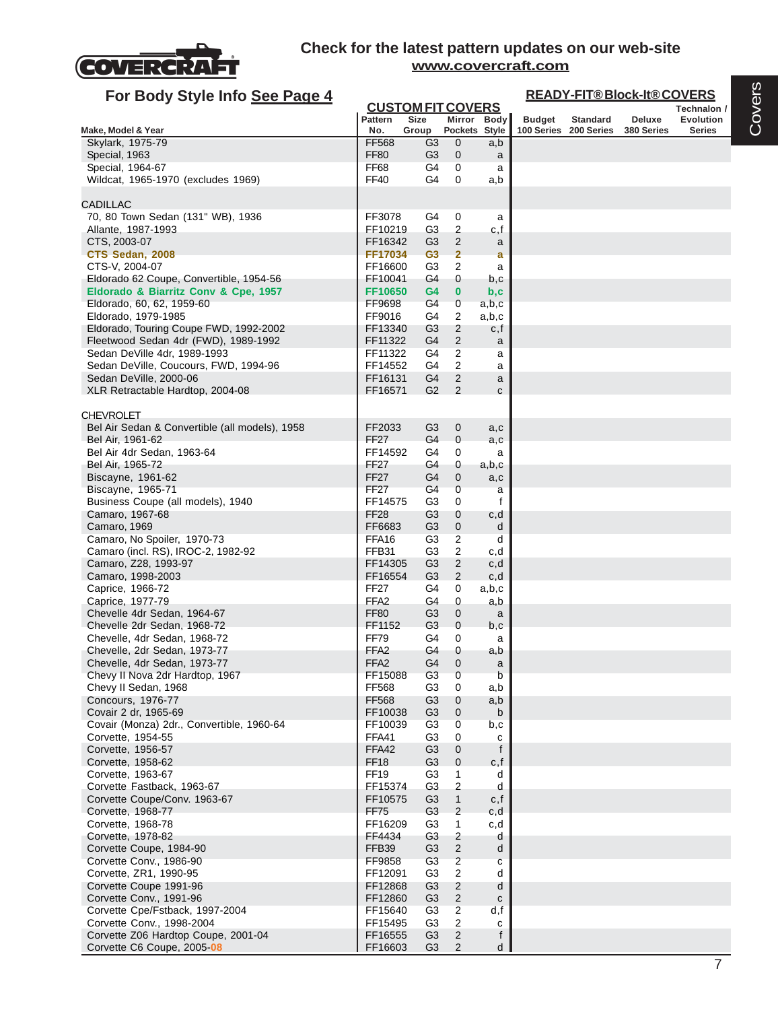

| For Body Style Info See Page 4                                        |                             |                                         |                                |              |               |                 | <b>READY-FIT®Block-It®COVERS</b> |                          |
|-----------------------------------------------------------------------|-----------------------------|-----------------------------------------|--------------------------------|--------------|---------------|-----------------|----------------------------------|--------------------------|
|                                                                       | Pattern                     | <b>CUSTOM FIT COVERS</b><br><b>Size</b> |                                | Mirror Body  | <b>Budget</b> | <b>Standard</b> | Deluxe                           | Technalon /<br>Evolution |
| Make, Model & Year                                                    | No.                         | Group                                   | Pockets Style                  |              | 100 Series    | 200 Series      | 380 Series                       | <b>Series</b>            |
| Skylark, 1975-79                                                      | <b>FF568</b>                | G <sub>3</sub>                          | $\mathbf 0$                    | a,b          |               |                 |                                  |                          |
| Special, 1963                                                         | <b>FF80</b>                 | G3                                      | $\mathbf 0$                    | a            |               |                 |                                  |                          |
| Special, 1964-67                                                      | FF68                        | G4                                      | 0                              | a            |               |                 |                                  |                          |
| Wildcat, 1965-1970 (excludes 1969)                                    | <b>FF40</b>                 | G4                                      | 0                              | a,b          |               |                 |                                  |                          |
| <b>CADILLAC</b>                                                       |                             |                                         |                                |              |               |                 |                                  |                          |
| 70, 80 Town Sedan (131" WB), 1936                                     | FF3078                      | G4                                      | 0                              | a            |               |                 |                                  |                          |
| Allante, 1987-1993                                                    | FF10219                     | G <sub>3</sub>                          | $\overline{c}$                 | c,f          |               |                 |                                  |                          |
| CTS, 2003-07                                                          | FF16342                     | G3                                      | $\overline{2}$                 | a            |               |                 |                                  |                          |
| CTS Sedan, 2008                                                       | FF17034                     | G <sub>3</sub>                          | $\overline{2}$                 | a            |               |                 |                                  |                          |
| CTS-V, 2004-07<br>Eldorado 62 Coupe, Convertible, 1954-56             | FF16600<br>FF10041          | G3<br>G4                                | $\overline{2}$<br>0            | a<br>b,c     |               |                 |                                  |                          |
| Eldorado & Biarritz Conv & Cpe, 1957                                  | FF10650                     | G4                                      | 0                              | b,c          |               |                 |                                  |                          |
| Eldorado, 60, 62, 1959-60                                             | FF9698                      | G4                                      | 0                              | a,b,c        |               |                 |                                  |                          |
| Eldorado, 1979-1985                                                   | FF9016                      | G4                                      | 2                              | a,b,c        |               |                 |                                  |                          |
| Eldorado, Touring Coupe FWD, 1992-2002                                | FF13340                     | G <sub>3</sub>                          | $\overline{2}$                 | c,f          |               |                 |                                  |                          |
| Fleetwood Sedan 4dr (FWD), 1989-1992                                  | FF11322                     | G4                                      | 2                              | a            |               |                 |                                  |                          |
| Sedan DeVille 4dr, 1989-1993<br>Sedan DeVille, Coucours, FWD, 1994-96 | FF11322<br>FF14552          | G4<br>G4                                | 2<br>2                         | a<br>a       |               |                 |                                  |                          |
| Sedan DeVille, 2000-06                                                | FF16131                     | G4                                      | $\mathbf{2}$                   | a            |               |                 |                                  |                          |
| XLR Retractable Hardtop, 2004-08                                      | FF16571                     | G <sub>2</sub>                          | $\overline{2}$                 | c            |               |                 |                                  |                          |
|                                                                       |                             |                                         |                                |              |               |                 |                                  |                          |
| <b>CHEVROLET</b>                                                      |                             |                                         |                                |              |               |                 |                                  |                          |
| Bel Air Sedan & Convertible (all models), 1958                        | FF2033                      | G3                                      | 0                              | a,c          |               |                 |                                  |                          |
| Bel Air, 1961-62<br>Bel Air 4dr Sedan, 1963-64                        | <b>FF27</b><br>FF14592      | G4<br>G4                                | $\mathbf 0$<br>0               | a,c<br>a     |               |                 |                                  |                          |
| Bel Air, 1965-72                                                      | FF27                        | G4                                      | 0                              | a,b,c        |               |                 |                                  |                          |
| Biscayne, 1961-62                                                     | FF <sub>27</sub>            | G4                                      | 0                              | a,c          |               |                 |                                  |                          |
| Biscayne, 1965-71                                                     | <b>FF27</b>                 | G4                                      | 0                              | a            |               |                 |                                  |                          |
| Business Coupe (all models), 1940                                     | FF14575                     | G3                                      | 0                              | f            |               |                 |                                  |                          |
| Camaro, 1967-68                                                       | FF <sub>28</sub>            | G <sub>3</sub>                          | $\mathbf 0$                    | c,d          |               |                 |                                  |                          |
| Camaro, 1969<br>Camaro, No Spoiler, 1970-73                           | FF6683<br>FFA <sub>16</sub> | G3<br>G <sub>3</sub>                    | $\mathbf 0$<br>2               | d<br>d       |               |                 |                                  |                          |
| Camaro (incl. RS), IROC-2, 1982-92                                    | FFB31                       | G3                                      | 2                              | c,d          |               |                 |                                  |                          |
| Camaro, Z28, 1993-97                                                  | FF14305                     | G3                                      | 2                              | c,d          |               |                 |                                  |                          |
| Camaro, 1998-2003                                                     | FF16554                     | G <sub>3</sub>                          | $\overline{2}$                 | c,d          |               |                 |                                  |                          |
| Caprice, 1966-72                                                      | <b>FF27</b>                 | G4                                      | 0                              | a,b,c        |               |                 |                                  |                          |
| Caprice, 1977-79                                                      | FFA <sub>2</sub>            | G4                                      | 0                              | a,b          |               |                 |                                  |                          |
| Chevelle 4dr Sedan, 1964-67<br>Chevelle 2dr Sedan, 1968-72            | <b>FF80</b><br>FF1152       | G3<br>G3                                | 0<br>0                         | a<br>b,c     |               |                 |                                  |                          |
| Chevelle, 4dr Sedan, 1968-72                                          | <b>FF79</b>                 | G4                                      | 0                              | a            |               |                 |                                  |                          |
| Chevelle, 2dr Sedan, 1973-77                                          | FFA <sub>2</sub>            | G4                                      | 0                              | a,b          |               |                 |                                  |                          |
| Chevelle, 4dr Sedan, 1973-77                                          | FFA <sub>2</sub>            | G4                                      | $\mathbf 0$                    | a            |               |                 |                                  |                          |
| Chevy II Nova 2dr Hardtop, 1967                                       | FF15088                     | G <sub>3</sub>                          | $\mathbf 0$                    | b            |               |                 |                                  |                          |
| Chevy II Sedan, 1968                                                  | FF568                       | G <sub>3</sub>                          | 0                              | a,b          |               |                 |                                  |                          |
| Concours, 1976-77<br>Covair 2 dr, 1965-69                             | <b>FF568</b><br>FF10038     | G <sub>3</sub><br>G <sub>3</sub>        | $\mathbf 0$<br>$\mathbf 0$     | a,b<br>b     |               |                 |                                  |                          |
| Covair (Monza) 2dr., Convertible, 1960-64                             | FF10039                     | G <sub>3</sub>                          | 0                              | b,c          |               |                 |                                  |                          |
| Corvette, 1954-55                                                     | FFA41                       | G <sub>3</sub>                          | $\mathbf 0$                    | c            |               |                 |                                  |                          |
| Corvette, 1956-57                                                     | FFA42                       | G <sub>3</sub>                          | 0                              | f            |               |                 |                                  |                          |
| Corvette, 1958-62                                                     | <b>FF18</b>                 | G <sub>3</sub>                          | $\mathbf 0$                    | c, f         |               |                 |                                  |                          |
| Corvette, 1963-67                                                     | <b>FF19</b>                 | G <sub>3</sub>                          | 1                              | d            |               |                 |                                  |                          |
| Corvette Fastback, 1963-67                                            | FF15374                     | G <sub>3</sub>                          | $\overline{2}$<br>$\mathbf{1}$ | d            |               |                 |                                  |                          |
| Corvette Coupe/Conv. 1963-67<br>Corvette, 1968-77                     | FF10575<br><b>FF75</b>      | G <sub>3</sub><br>G <sub>3</sub>        | $\overline{c}$                 | c,f<br>c,d   |               |                 |                                  |                          |
| Corvette, 1968-78                                                     | FF16209                     | G <sub>3</sub>                          | 1                              | c,d          |               |                 |                                  |                          |
| Corvette, 1978-82                                                     | FF4434                      | G <sub>3</sub>                          | $\overline{c}$                 | d            |               |                 |                                  |                          |
| Corvette Coupe, 1984-90                                               | FFB39                       | G <sub>3</sub>                          | $\overline{c}$                 | d            |               |                 |                                  |                          |
| Corvette Conv., 1986-90                                               | FF9858                      | G <sub>3</sub>                          | $\overline{c}$                 | $\mathbf{C}$ |               |                 |                                  |                          |
| Corvette, ZR1, 1990-95                                                | FF12091                     | G <sub>3</sub>                          | $\sqrt{2}$                     | d            |               |                 |                                  |                          |
| Corvette Coupe 1991-96                                                | FF12868                     | G <sub>3</sub>                          | $\overline{c}$                 | d            |               |                 |                                  |                          |
| Corvette Conv., 1991-96                                               | FF12860                     | G <sub>3</sub>                          | $\sqrt{2}$                     | $\mathbf{C}$ |               |                 |                                  |                          |
| Corvette Cpe/Fstback, 1997-2004<br>Corvette Conv., 1998-2004          | FF15640<br>FF15495          | G <sub>3</sub><br>G <sub>3</sub>        | $\overline{c}$<br>2            | d, f<br>c    |               |                 |                                  |                          |
| Corvette Z06 Hardtop Coupe, 2001-04                                   | FF16555                     | G <sub>3</sub>                          | $\overline{c}$                 | f            |               |                 |                                  |                          |
| Corvette C6 Coupe, 2005 08                                            | FF16603                     | G <sub>3</sub>                          | 2                              | d            |               |                 |                                  |                          |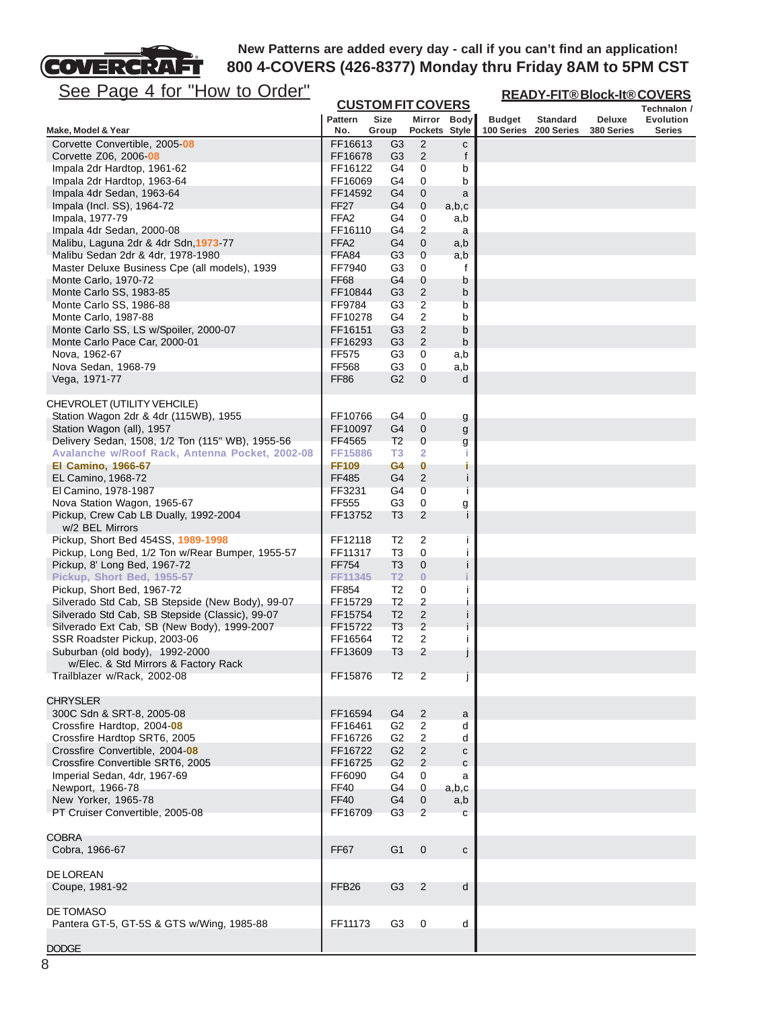# See Page 4 for "How to Order"

COVERCRAFT

| <u>See Page 4 for "How to Order"</u>                                               |                       |                          |                     |              | <b>READY-FIT®Block-It®COVERS</b> |                               |                             |                                   |  |
|------------------------------------------------------------------------------------|-----------------------|--------------------------|---------------------|--------------|----------------------------------|-------------------------------|-----------------------------|-----------------------------------|--|
|                                                                                    |                       | <b>CUSTOM FIT COVERS</b> |                     |              |                                  |                               |                             | Technalon /                       |  |
| Make, Model & Year                                                                 | <b>Pattern</b><br>No. | Size<br>Group            | Pockets Style       | Mirror Body  | <b>Budget</b><br>100 Series      | <b>Standard</b><br>200 Series | <b>Deluxe</b><br>380 Series | <b>Evolution</b><br><b>Series</b> |  |
| Corvette Convertible, 2005-08                                                      | FF16613               | G3                       | 2                   | с            |                                  |                               |                             |                                   |  |
| Corvette Z06, 2006-08                                                              | FF16678               | G3                       | 2                   | f            |                                  |                               |                             |                                   |  |
| Impala 2dr Hardtop, 1961-62                                                        | FF16122               | G4                       | 0                   | b            |                                  |                               |                             |                                   |  |
| Impala 2dr Hardtop, 1963-64<br>Impala 4dr Sedan, 1963-64                           | FF16069<br>FF14592    | G4<br>G4                 | 0<br>0              | b<br>a       |                                  |                               |                             |                                   |  |
| Impala (Incl. SS), 1964-72                                                         | <b>FF27</b>           | G <sub>4</sub>           | 0                   | a,b,c        |                                  |                               |                             |                                   |  |
| Impala, 1977-79                                                                    | FFA <sub>2</sub>      | G4                       | 0                   | a,b          |                                  |                               |                             |                                   |  |
| Impala 4dr Sedan, 2000-08                                                          | FF16110               | G4                       | 2                   | a            |                                  |                               |                             |                                   |  |
| Malibu, Laguna 2dr & 4dr Sdn, 1973-77                                              | FFA <sub>2</sub>      | G4                       | 0                   | a,b          |                                  |                               |                             |                                   |  |
| Malibu Sedan 2dr & 4dr, 1978-1980<br>Master Deluxe Business Cpe (all models), 1939 | FFA84<br>FF7940       | G <sub>3</sub><br>G3     | 0<br>0              | a,b<br>f     |                                  |                               |                             |                                   |  |
| Monte Carlo, 1970-72                                                               | FF68                  | G4                       | 0                   | b            |                                  |                               |                             |                                   |  |
| Monte Carlo SS, 1983-85                                                            | FF10844               | G3                       | $\overline{c}$      | b            |                                  |                               |                             |                                   |  |
| Monte Carlo SS, 1986-88                                                            | FF9784                | G3                       | 2                   | b            |                                  |                               |                             |                                   |  |
| Monte Carlo, 1987-88                                                               | FF10278               | G4                       | 2                   | b            |                                  |                               |                             |                                   |  |
| Monte Carlo SS, LS w/Spoiler, 2000-07                                              | FF16151               | G <sub>3</sub>           | 2                   | b            |                                  |                               |                             |                                   |  |
| Monte Carlo Pace Car, 2000-01<br>Nova, 1962-67                                     | FF16293<br>FF575      | G3<br>G3                 | 2<br>0              | b<br>a,b     |                                  |                               |                             |                                   |  |
| Nova Sedan, 1968-79                                                                | FF568                 | G <sub>3</sub>           | 0                   | a,b          |                                  |                               |                             |                                   |  |
| Vega, 1971-77                                                                      | FF86                  | G <sub>2</sub>           | $\mathbf{0}$        | d            |                                  |                               |                             |                                   |  |
|                                                                                    |                       |                          |                     |              |                                  |                               |                             |                                   |  |
| CHEVROLET (UTILITY VEHCILE)                                                        |                       |                          |                     |              |                                  |                               |                             |                                   |  |
| Station Wagon 2dr & 4dr (115WB), 1955                                              | FF10766               | G4                       | 0                   | g            |                                  |                               |                             |                                   |  |
| Station Wagon (all), 1957<br>Delivery Sedan, 1508, 1/2 Ton (115" WB), 1955-56      | FF10097<br>FF4565     | G4<br>T <sub>2</sub>     | $\mathbf 0$<br>0    | g            |                                  |                               |                             |                                   |  |
| Avalanche w/Roof Rack, Antenna Pocket, 2002-08                                     | FF15886               | T <sub>3</sub>           | $\overline{2}$      | g<br>т       |                                  |                               |                             |                                   |  |
| <b>El Camino, 1966-67</b>                                                          | <b>FF109</b>          | G4                       | 0                   | п            |                                  |                               |                             |                                   |  |
| EL Camino, 1968-72                                                                 | FF485                 | G4                       | $\mathbf{2}$        | j            |                                  |                               |                             |                                   |  |
| El Camino, 1978-1987                                                               | FF3231                | G4                       | 0                   | -1           |                                  |                               |                             |                                   |  |
| Nova Station Wagon, 1965-67<br>Pickup, Crew Cab LB Dually, 1992-2004               | FF555<br>FF13752      | G3<br>T <sub>3</sub>     | 0<br>2              | g<br>j       |                                  |                               |                             |                                   |  |
| w/2 BEL Mirrors                                                                    |                       |                          |                     |              |                                  |                               |                             |                                   |  |
| Pickup, Short Bed 454SS, 1989-1998                                                 | FF12118               | T2                       | 2                   | Ť            |                                  |                               |                             |                                   |  |
| Pickup, Long Bed, 1/2 Ton w/Rear Bumper, 1955-57                                   | FF11317               | T3                       | 0                   |              |                                  |                               |                             |                                   |  |
| Pickup, 8' Long Bed, 1967-72                                                       | FF754                 | T3                       | 0                   | j.           |                                  |                               |                             |                                   |  |
| Pickup, Short Bed, 1955-57                                                         | FF11345               | <b>T2</b>                | $\overline{0}$      |              |                                  |                               |                             |                                   |  |
| Pickup, Short Bed, 1967-72<br>Silverado Std Cab, SB Stepside (New Body), 99-07     | FF854<br>FF15729      | T2<br>T2                 | 0<br>2              | Ť            |                                  |                               |                             |                                   |  |
| Silverado Std Cab, SB Stepside (Classic), 99-07                                    | FF15754               | T <sub>2</sub>           | $\overline{c}$      | ш            |                                  |                               |                             |                                   |  |
| Silverado Ext Cab, SB (New Body), 1999-2007                                        | FF15722               | T <sub>3</sub>           | $\overline{c}$      | j            |                                  |                               |                             |                                   |  |
| SSR Roadster Pickup, 2003-06                                                       | FF16564               | T <sub>2</sub>           | 2                   | Ť            |                                  |                               |                             |                                   |  |
| Suburban (old body), 1992-2000                                                     | FF13609               | T3                       | 2                   |              |                                  |                               |                             |                                   |  |
| w/Elec. & Std Mirrors & Factory Rack                                               |                       |                          | $\overline{2}$      |              |                                  |                               |                             |                                   |  |
| Trailblazer w/Rack, 2002-08                                                        | FF15876               | T <sub>2</sub>           |                     | J            |                                  |                               |                             |                                   |  |
| <b>CHRYSLER</b>                                                                    |                       |                          |                     |              |                                  |                               |                             |                                   |  |
| 300C Sdn & SRT-8, 2005-08                                                          | FF16594               | G4                       | 2                   | a            |                                  |                               |                             |                                   |  |
| Crossfire Hardtop, 2004-08                                                         | FF16461               | G <sub>2</sub>           | $\overline{2}$      | d            |                                  |                               |                             |                                   |  |
| Crossfire Hardtop SRT6, 2005                                                       | FF16726               | G <sub>2</sub>           | $\overline{2}$      | d            |                                  |                               |                             |                                   |  |
| Crossfire Convertible, 2004-08<br>Crossfire Convertible SRT6, 2005                 | FF16722<br>FF16725    | G <sub>2</sub><br>G2     | $\overline{c}$<br>2 | с<br>C       |                                  |                               |                             |                                   |  |
| Imperial Sedan, 4dr, 1967-69                                                       | FF6090                | G4                       | 0                   | a            |                                  |                               |                             |                                   |  |
| Newport, 1966-78                                                                   | FF40                  | G4                       | 0                   | a,b,c        |                                  |                               |                             |                                   |  |
| New Yorker, 1965-78                                                                | <b>FF40</b>           | G4                       | 0                   | a,b          |                                  |                               |                             |                                   |  |
| PT Cruiser Convertible, 2005-08                                                    | FF16709               | G3                       | 2                   | C            |                                  |                               |                             |                                   |  |
|                                                                                    |                       |                          |                     |              |                                  |                               |                             |                                   |  |
| <b>COBRA</b><br>Cobra, 1966-67                                                     | FF67                  | G <sub>1</sub>           | $\mathbf 0$         | $\mathbf{C}$ |                                  |                               |                             |                                   |  |
|                                                                                    |                       |                          |                     |              |                                  |                               |                             |                                   |  |
| DE LOREAN                                                                          | FFB <sub>26</sub>     | G <sub>3</sub>           | $\overline{2}$      | d            |                                  |                               |                             |                                   |  |
| Coupe, 1981-92                                                                     |                       |                          |                     |              |                                  |                               |                             |                                   |  |
| DE TOMASO                                                                          |                       |                          |                     |              |                                  |                               |                             |                                   |  |
| Pantera GT-5, GT-5S & GTS w/Wing, 1985-88                                          | FF11173               | G <sub>3</sub>           | $\mathbf 0$         | d            |                                  |                               |                             |                                   |  |
| <b>DODGE</b>                                                                       |                       |                          |                     |              |                                  |                               |                             |                                   |  |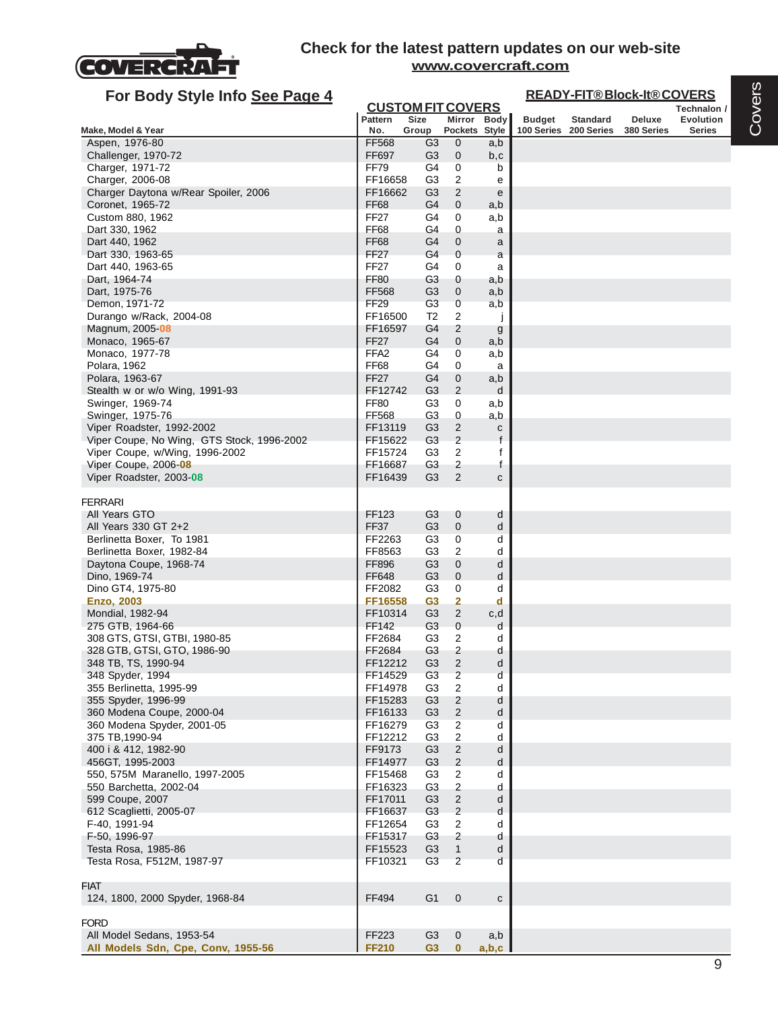

| For Body Style Info See Page 4                         |                        |                                         |                                  |               |               | <b>READY-FIT®Block-It®COVERS</b> |               |                          |
|--------------------------------------------------------|------------------------|-----------------------------------------|----------------------------------|---------------|---------------|----------------------------------|---------------|--------------------------|
|                                                        | <b>Pattern</b>         | <b>CUSTOM FIT COVERS</b><br><b>Size</b> |                                  | Mirror Body   |               | <b>Standard</b>                  | <b>Deluxe</b> | Technalon /<br>Evolution |
| Make, Model & Year                                     | No.                    | Group                                   |                                  | Pockets Style | <b>Budget</b> | 100 Series 200 Series            | 380 Series    | <b>Series</b>            |
| Aspen, 1976-80                                         | <b>FF568</b>           | G3                                      | 0                                | a,b           |               |                                  |               |                          |
| Challenger, 1970-72                                    | FF697                  | G <sub>3</sub>                          | $\mathbf 0$                      | b,c           |               |                                  |               |                          |
| Charger, 1971-72                                       | FF79                   | G4                                      | 0                                | b             |               |                                  |               |                          |
| Charger, 2006-08                                       | FF16658                | G <sub>3</sub>                          | 2                                | e             |               |                                  |               |                          |
| Charger Daytona w/Rear Spoiler, 2006                   | FF16662                | G <sub>3</sub>                          | $\overline{2}$                   | e             |               |                                  |               |                          |
| Coronet, 1965-72                                       | <b>FF68</b>            | G4                                      | 0                                | a,b           |               |                                  |               |                          |
| Custom 880, 1962<br>Dart 330, 1962                     | <b>FF27</b><br>FF68    | G4<br>G4                                | 0<br>0                           | a,b<br>a      |               |                                  |               |                          |
| Dart 440, 1962                                         | <b>FF68</b>            | G4                                      | 0                                | a             |               |                                  |               |                          |
| Dart 330, 1963-65                                      | <b>FF27</b>            | G4                                      | $\mathbf{0}$                     | a             |               |                                  |               |                          |
| Dart 440, 1963-65                                      | <b>FF27</b>            | G4                                      | 0                                | a             |               |                                  |               |                          |
| Dart, 1964-74                                          | <b>FF80</b>            | G3                                      | 0                                | a,b           |               |                                  |               |                          |
| Dart, 1975-76                                          | <b>FF568</b>           | G <sub>3</sub>                          | $\mathbf 0$                      | a,b           |               |                                  |               |                          |
| Demon, 1971-72                                         | FF <sub>29</sub>       | G <sub>3</sub>                          | $\mathbf 0$                      | a,b           |               |                                  |               |                          |
| Durango w/Rack, 2004-08                                | FF16500                | T <sub>2</sub>                          | 2                                |               |               |                                  |               |                          |
| Magnum, 2005- <b>08</b>                                | FF16597<br><b>FF27</b> | G4<br>G4                                | 2<br>$\mathbf 0$                 | g             |               |                                  |               |                          |
| Monaco, 1965-67<br>Monaco, 1977-78                     | FFA <sub>2</sub>       | G4                                      | 0                                | a,b<br>a,b    |               |                                  |               |                          |
| Polara, 1962                                           | <b>FF68</b>            | G4                                      | 0                                | a             |               |                                  |               |                          |
| Polara, 1963-67                                        | <b>FF27</b>            | G4                                      | $\mathbf 0$                      | a,b           |               |                                  |               |                          |
| Stealth w or w/o Wing, 1991-93                         | FF12742                | G <sub>3</sub>                          | $\overline{2}$                   | d             |               |                                  |               |                          |
| Swinger, 1969-74                                       | FF80                   | G3                                      | 0                                | a,b           |               |                                  |               |                          |
| Swinger, 1975-76                                       | FF568                  | G3                                      | 0                                | a,b           |               |                                  |               |                          |
| Viper Roadster, 1992-2002                              | FF13119                | G3                                      | $\overline{2}$                   | $\mathbf c$   |               |                                  |               |                          |
| Viper Coupe, No Wing, GTS Stock, 1996-2002             | FF15622                | G <sub>3</sub>                          | $\overline{2}$<br>$\overline{2}$ | f             |               |                                  |               |                          |
| Viper Coupe, w/Wing, 1996-2002<br>Viper Coupe, 2006-08 | FF15724<br>FF16687     | G <sub>3</sub><br>G <sub>3</sub>        | $\overline{2}$                   | f<br>f        |               |                                  |               |                          |
| Viper Roadster, 2003-08                                | FF16439                | G <sub>3</sub>                          | $\mathbf{2}$                     | $\mathbf{C}$  |               |                                  |               |                          |
|                                                        |                        |                                         |                                  |               |               |                                  |               |                          |
| <b>FERRARI</b>                                         |                        |                                         |                                  |               |               |                                  |               |                          |
| All Years GTO                                          | FF123                  | G <sub>3</sub>                          | 0                                | d             |               |                                  |               |                          |
| All Years 330 GT 2+2                                   | <b>FF37</b>            | G <sub>3</sub>                          | $\mathbf 0$                      | d             |               |                                  |               |                          |
| Berlinetta Boxer, To 1981                              | FF2263<br>FF8563       | G <sub>3</sub><br>G <sub>3</sub>        | 0<br>$\overline{2}$              | d<br>d        |               |                                  |               |                          |
| Berlinetta Boxer, 1982-84<br>Daytona Coupe, 1968-74    | FF896                  | G <sub>3</sub>                          | $\mathbf{0}$                     | d             |               |                                  |               |                          |
| Dino, 1969-74                                          | FF648                  | G <sub>3</sub>                          | $\mathbf 0$                      | d             |               |                                  |               |                          |
| Dino GT4, 1975-80                                      | FF2082                 | G3                                      | 0                                | d             |               |                                  |               |                          |
| <b>Enzo, 2003</b>                                      | FF16558                | G <sub>3</sub>                          | 2                                | d             |               |                                  |               |                          |
| Mondial, 1982-94                                       | FF10314                | G <sub>3</sub>                          | $\overline{2}$                   | c,d           |               |                                  |               |                          |
| 275 GTB, 1964-66                                       | FF142                  | G <sub>3</sub>                          | $\mathbf{0}$                     | d             |               |                                  |               |                          |
| 308 GTS, GTSI, GTBI, 1980-85                           | FF2684                 | G <sub>3</sub>                          | 2                                | d             |               |                                  |               |                          |
| 328 GTB, GTSI, GTO, 1986-90<br>348 TB, TS, 1990-94     | FF2684<br>FF12212      | G <sub>3</sub><br>G <sub>3</sub>        | $\overline{2}$<br>$\overline{2}$ | d<br>d        |               |                                  |               |                          |
| 348 Spyder, 1994                                       | FF14529                | G <sub>3</sub>                          | $\overline{\mathbf{c}}$          | d             |               |                                  |               |                          |
| 355 Berlinetta, 1995-99                                | FF14978                | G <sub>3</sub>                          | $\sqrt{2}$                       | d             |               |                                  |               |                          |
| 355 Spyder, 1996-99                                    | FF15283                | G <sub>3</sub>                          | 2                                | d             |               |                                  |               |                          |
| 360 Modena Coupe, 2000-04                              | FF16133                | G <sub>3</sub>                          | $\sqrt{2}$                       | d             |               |                                  |               |                          |
| 360 Modena Spyder, 2001-05                             | FF16279                | G <sub>3</sub>                          | 2                                | d             |               |                                  |               |                          |
| 375 TB, 1990-94                                        | FF12212                | G <sub>3</sub>                          | $\overline{c}$                   | d             |               |                                  |               |                          |
| 400 i & 412, 1982-90                                   | FF9173                 | G <sub>3</sub>                          | $\overline{c}$                   | d             |               |                                  |               |                          |
| 456GT, 1995-2003<br>550, 575M Maranello, 1997-2005     | FF14977<br>FF15468     | G <sub>3</sub><br>G <sub>3</sub>        | 2<br>$\overline{c}$              | d<br>d        |               |                                  |               |                          |
| 550 Barchetta, 2002-04                                 | FF16323                | G <sub>3</sub>                          | 2                                | d             |               |                                  |               |                          |
| 599 Coupe, 2007                                        | FF17011                | G <sub>3</sub>                          | $\overline{2}$                   | d             |               |                                  |               |                          |
| 612 Scaglietti, 2005-07                                | FF16637                | G <sub>3</sub>                          | $\sqrt{2}$                       | d             |               |                                  |               |                          |
| F-40, 1991-94                                          | FF12654                | G <sub>3</sub>                          | $\overline{c}$                   | d             |               |                                  |               |                          |
| F-50, 1996-97                                          | FF15317                | G <sub>3</sub>                          | $\overline{2}$                   | d             |               |                                  |               |                          |
| Testa Rosa, 1985-86                                    | FF15523                | G <sub>3</sub>                          | $\mathbf{1}$                     | d             |               |                                  |               |                          |
| Testa Rosa, F512M, 1987-97                             | FF10321                | G <sub>3</sub>                          | $\overline{2}$                   | d             |               |                                  |               |                          |
| <b>FIAT</b>                                            |                        |                                         |                                  |               |               |                                  |               |                          |
| 124, 1800, 2000 Spyder, 1968-84                        | FF494                  | G <sub>1</sub>                          | $\boldsymbol{0}$                 | $\mathtt{C}$  |               |                                  |               |                          |
|                                                        |                        |                                         |                                  |               |               |                                  |               |                          |
| <b>FORD</b>                                            |                        |                                         |                                  |               |               |                                  |               |                          |
| All Model Sedans, 1953-54                              | FF223                  | G <sub>3</sub>                          | 0                                | a,b           |               |                                  |               |                          |
| All Models Sdn, Cpe, Conv, 1955-56                     | <b>FF210</b>           | G3                                      | $\mathbf{0}$                     | a,b,c         |               |                                  |               |                          |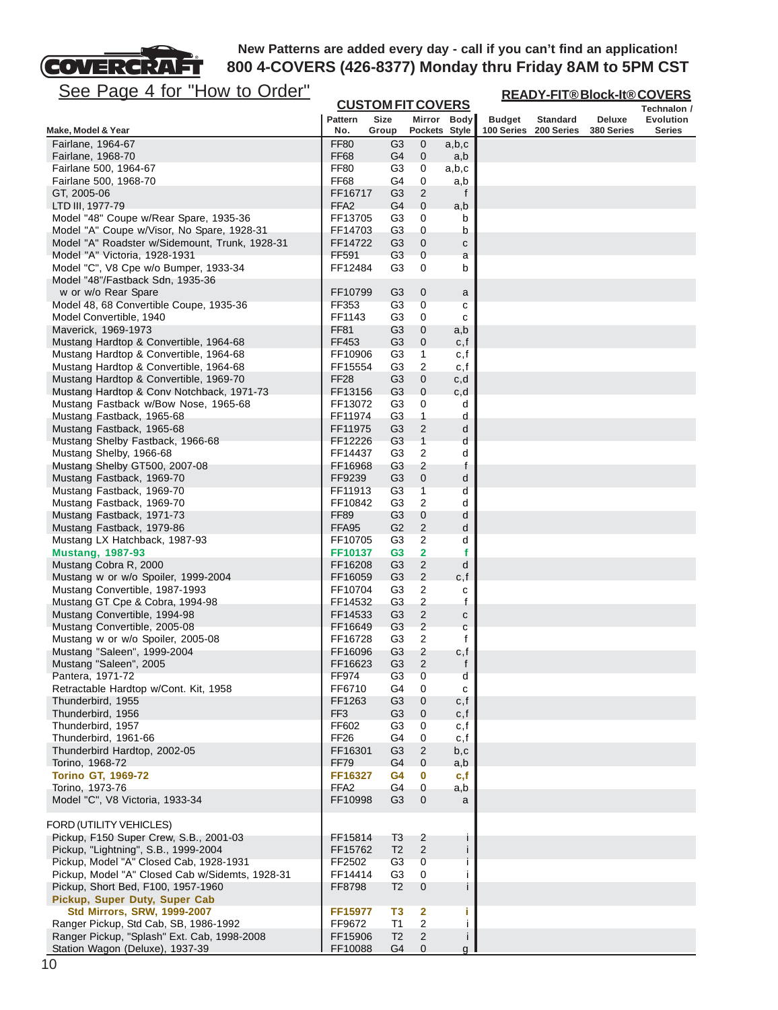

**READY-FIT® Block-It® COVERS**

| <u>JUC LAYG 4 IVI TIUW IV VIUCI</u>                                              | <b>CUSTOM FIT COVERS</b>    |                                  |                         | <u>READY-FIT®BIOCK-It®COVERS</u> |                             |                 |            |                            |
|----------------------------------------------------------------------------------|-----------------------------|----------------------------------|-------------------------|----------------------------------|-----------------------------|-----------------|------------|----------------------------|
|                                                                                  | <b>Pattern</b>              | <b>Size</b>                      |                         |                                  |                             | <b>Standard</b> | Deluxe     | Technalon /                |
| Make, Model & Year                                                               | No.                         | Group                            |                         | Mirror Body<br>Pockets Style     | <b>Budget</b><br>100 Series | 200 Series      | 380 Series | Evolution<br><b>Series</b> |
| Fairlane, 1964-67                                                                | <b>FF80</b>                 | G3                               | $\mathbf 0$             | a,b,c                            |                             |                 |            |                            |
| Fairlane, 1968-70                                                                | <b>FF68</b>                 | G4                               | 0                       | a,b                              |                             |                 |            |                            |
| Fairlane 500, 1964-67                                                            | FF80                        | G3                               | 0                       | a,b,c                            |                             |                 |            |                            |
| Fairlane 500, 1968-70                                                            | <b>FF68</b>                 | G4                               | 0                       | a,b                              |                             |                 |            |                            |
| GT, 2005-06                                                                      | FF16717                     | G <sub>3</sub>                   | $\sqrt{2}$              | f                                |                             |                 |            |                            |
| LTD III, 1977-79                                                                 | FFA <sub>2</sub>            | G4                               | $\mathbf 0$             | a,b                              |                             |                 |            |                            |
| Model "48" Coupe w/Rear Spare, 1935-36                                           | FF13705                     | G3                               | 0                       | b                                |                             |                 |            |                            |
| Model "A" Coupe w/Visor, No Spare, 1928-31                                       | FF14703                     | G3                               | 0                       | b                                |                             |                 |            |                            |
| Model "A" Roadster w/Sidemount, Trunk, 1928-31                                   | FF14722                     | G <sub>3</sub>                   | 0                       | с                                |                             |                 |            |                            |
| Model "A" Victoria, 1928-1931                                                    | FF591                       | G <sub>3</sub>                   | 0                       | a                                |                             |                 |            |                            |
| Model "C", V8 Cpe w/o Bumper, 1933-34                                            | FF12484                     | G3                               | 0                       | b                                |                             |                 |            |                            |
| Model "48"/Fastback Sdn, 1935-36                                                 |                             |                                  |                         |                                  |                             |                 |            |                            |
| w or w/o Rear Spare                                                              | FF10799                     | G3                               | $\boldsymbol{0}$        | a                                |                             |                 |            |                            |
| Model 48, 68 Convertible Coupe, 1935-36                                          | FF353                       | G <sub>3</sub>                   | 0                       | с                                |                             |                 |            |                            |
| Model Convertible, 1940                                                          | FF1143                      | G3                               | 0                       | с                                |                             |                 |            |                            |
| Maverick, 1969-1973                                                              | <b>FF81</b>                 | G <sub>3</sub>                   | $\boldsymbol{0}$        | a,b                              |                             |                 |            |                            |
| Mustang Hardtop & Convertible, 1964-68                                           | FF453                       | G3                               | 0                       | c, f                             |                             |                 |            |                            |
| Mustang Hardtop & Convertible, 1964-68                                           | FF10906                     | G3                               | 1                       | c,f                              |                             |                 |            |                            |
| Mustang Hardtop & Convertible, 1964-68<br>Mustang Hardtop & Convertible, 1969-70 | FF15554                     | G <sub>3</sub><br>G <sub>3</sub> | 2<br>$\pmb{0}$          | c,f                              |                             |                 |            |                            |
| Mustang Hardtop & Conv Notchback, 1971-73                                        | FF <sub>28</sub><br>FF13156 | G <sub>3</sub>                   | $\mathbf 0$             | c,d<br>c,d                       |                             |                 |            |                            |
| Mustang Fastback w/Bow Nose, 1965-68                                             | FF13072                     | G3                               | 0                       | d                                |                             |                 |            |                            |
| Mustang Fastback, 1965-68                                                        | FF11974                     | G3                               | $\mathbf{1}$            | d                                |                             |                 |            |                            |
| Mustang Fastback, 1965-68                                                        | FF11975                     | G3                               | $\overline{c}$          | d                                |                             |                 |            |                            |
| Mustang Shelby Fastback, 1966-68                                                 | FF12226                     | G <sub>3</sub>                   | $\mathbf{1}$            | d                                |                             |                 |            |                            |
| Mustang Shelby, 1966-68                                                          | FF14437                     | G3                               | 2                       | d                                |                             |                 |            |                            |
| Mustang Shelby GT500, 2007-08                                                    | FF16968                     | G3                               | 2                       | f                                |                             |                 |            |                            |
| Mustang Fastback, 1969-70                                                        | FF9239                      | G <sub>3</sub>                   | $\pmb{0}$               | d                                |                             |                 |            |                            |
| Mustang Fastback, 1969-70                                                        | FF11913                     | G <sub>3</sub>                   | 1                       | d                                |                             |                 |            |                            |
| Mustang Fastback, 1969-70                                                        | FF10842                     | G3                               | $\overline{c}$          | d                                |                             |                 |            |                            |
| Mustang Fastback, 1971-73                                                        | <b>FF89</b>                 | G <sub>3</sub>                   | $\boldsymbol{0}$        | d                                |                             |                 |            |                            |
| Mustang Fastback, 1979-86                                                        | FFA95                       | G2                               | $\overline{c}$          | d                                |                             |                 |            |                            |
| Mustang LX Hatchback, 1987-93                                                    | FF10705                     | G3                               | 2                       | d                                |                             |                 |            |                            |
| <b>Mustang, 1987-93</b>                                                          | FF10137                     | G <sub>3</sub>                   | $\overline{\mathbf{2}}$ | f                                |                             |                 |            |                            |
| Mustang Cobra R, 2000                                                            | FF16208                     | G <sub>3</sub>                   | $\mathbf 2$             | d                                |                             |                 |            |                            |
| Mustang w or w/o Spoiler, 1999-2004                                              | FF16059                     | G <sub>3</sub>                   | $\overline{2}$          | c, f                             |                             |                 |            |                            |
| Mustang Convertible, 1987-1993                                                   | FF10704                     | G3                               | 2                       | c                                |                             |                 |            |                            |
| Mustang GT Cpe & Cobra, 1994-98                                                  | FF14532                     | G3                               | $\overline{\mathbf{c}}$ | f                                |                             |                 |            |                            |
| Mustang Convertible, 1994-98                                                     | FF14533                     | G3                               | $\overline{c}$          | с                                |                             |                 |            |                            |
| Mustang Convertible, 2005-08                                                     | FF16649                     | G <sub>3</sub>                   | $\overline{\mathbf{c}}$ | С                                |                             |                 |            |                            |
| Mustang w or w/o Spoiler, 2005-08                                                | FF16728                     | G3                               | $\overline{2}$          | f                                |                             |                 |            |                            |
| Mustang "Saleen", 1999-2004<br>Mustang "Saleen", 2005                            | FF16096<br>FF16623          | G <sub>3</sub><br>G <sub>3</sub> | 2<br>$\overline{2}$     | c,f<br>f                         |                             |                 |            |                            |
| Pantera, 1971-72                                                                 | FF974                       | G <sub>3</sub>                   | 0                       |                                  |                             |                 |            |                            |
| Retractable Hardtop w/Cont. Kit, 1958                                            | FF6710                      | G4                               | 0                       | d<br>с                           |                             |                 |            |                            |
| Thunderbird, 1955                                                                | FF1263                      | G <sub>3</sub>                   | 0                       | c, f                             |                             |                 |            |                            |
| Thunderbird, 1956                                                                | FF <sub>3</sub>             | G3                               | 0                       | c, f                             |                             |                 |            |                            |
| Thunderbird, 1957                                                                | FF602                       | G3                               | 0                       | c,f                              |                             |                 |            |                            |
| Thunderbird, 1961-66                                                             | FF <sub>26</sub>            | G4                               | 0                       | c,f                              |                             |                 |            |                            |
| Thunderbird Hardtop, 2002-05                                                     | FF16301                     | G <sub>3</sub>                   | $\overline{c}$          | b,c                              |                             |                 |            |                            |
| Torino, 1968-72                                                                  | <b>FF79</b>                 | G4                               | $\mathbf{0}$            | a,b                              |                             |                 |            |                            |
| <b>Torino GT, 1969-72</b>                                                        | FF16327                     | G4                               | $\bf{0}$                | c,f                              |                             |                 |            |                            |
| Torino, 1973-76                                                                  | FFA2                        | G4                               | 0                       | a,b                              |                             |                 |            |                            |
| Model "C", V8 Victoria, 1933-34                                                  | FF10998                     | G <sub>3</sub>                   | $\mathbf{0}$            | a                                |                             |                 |            |                            |
|                                                                                  |                             |                                  |                         |                                  |                             |                 |            |                            |
| FORD (UTILITY VEHICLES)                                                          |                             |                                  |                         |                                  |                             |                 |            |                            |
| Pickup, F150 Super Crew, S.B., 2001-03                                           | FF15814                     | T3                               | 2                       | J.                               |                             |                 |            |                            |
| Pickup, "Lightning", S.B., 1999-2004                                             | FF15762                     | T <sub>2</sub>                   | $\overline{2}$          | j                                |                             |                 |            |                            |
| Pickup, Model "A" Closed Cab, 1928-1931                                          | FF2502                      | G <sub>3</sub>                   | 0                       |                                  |                             |                 |            |                            |
| Pickup, Model "A" Closed Cab w/Sidemts, 1928-31                                  | FF14414                     | G <sub>3</sub>                   | 0                       | j.                               |                             |                 |            |                            |
| Pickup, Short Bed, F100, 1957-1960                                               | FF8798                      | T <sub>2</sub>                   | $\mathbf 0$             | İ                                |                             |                 |            |                            |
| Pickup, Super Duty, Super Cab                                                    |                             |                                  |                         |                                  |                             |                 |            |                            |
| <b>Std Mirrors, SRW, 1999-2007</b>                                               | FF15977                     | T3                               | $\overline{\mathbf{2}}$ | j.                               |                             |                 |            |                            |
| Ranger Pickup, Std Cab, SB, 1986-1992                                            | FF9672                      | T <sub>1</sub>                   | $\overline{\mathbf{c}}$ | Ш                                |                             |                 |            |                            |
| Ranger Pickup, "Splash" Ext. Cab, 1998-2008                                      | FF15906                     | T <sub>2</sub>                   | $\overline{c}$          | j.                               |                             |                 |            |                            |
| Station Wagon (Deluxe), 1937-39                                                  | FF10088                     | G4                               | $\mathbf{0}$            | g                                |                             |                 |            |                            |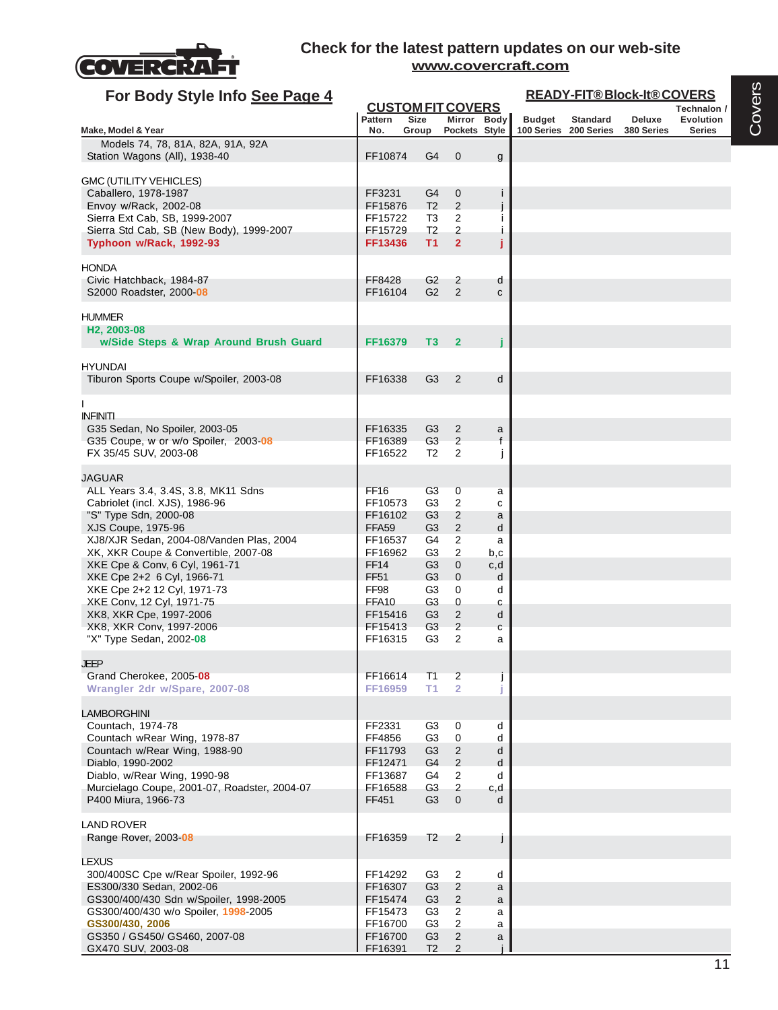

| For Body Style Info See Page 4                                                                                                                                                                                                                                                     |                                                                                              |                                                                                  |                                                                                                          |                                          | <b>READY-FIT®Block-It®COVERS</b> |                       |            |                          |  |  |
|------------------------------------------------------------------------------------------------------------------------------------------------------------------------------------------------------------------------------------------------------------------------------------|----------------------------------------------------------------------------------------------|----------------------------------------------------------------------------------|----------------------------------------------------------------------------------------------------------|------------------------------------------|----------------------------------|-----------------------|------------|--------------------------|--|--|
|                                                                                                                                                                                                                                                                                    | <b>CUSTOM FIT COVERS</b><br><b>Pattern</b>                                                   | <b>Size</b>                                                                      | Mirror Body                                                                                              |                                          | <b>Budget</b>                    | <b>Standard</b>       | Deluxe     | Technalon /<br>Evolution |  |  |
| Make, Model & Year                                                                                                                                                                                                                                                                 | No.                                                                                          | Group                                                                            | Pockets Style                                                                                            |                                          |                                  | 100 Series 200 Series | 380 Series | <b>Series</b>            |  |  |
| Models 74, 78, 81A, 82A, 91A, 92A<br>Station Wagons (All), 1938-40                                                                                                                                                                                                                 | FF10874                                                                                      | G4                                                                               | $\mathbf 0$                                                                                              | g                                        |                                  |                       |            |                          |  |  |
| GMC (UTILITY VEHICLES)<br>Caballero, 1978-1987<br>Envoy w/Rack, 2002-08<br>Sierra Ext Cab, SB, 1999-2007<br>Sierra Std Cab, SB (New Body), 1999-2007<br>Typhoon w/Rack, 1992-93                                                                                                    | FF3231<br>FF15876<br>FF15722<br>FF15729<br>FF13436                                           | G4<br>T <sub>2</sub><br>T3<br>T <sub>2</sub><br>T1                               | 0<br>2<br>2<br>2<br>$\overline{2}$                                                                       | Ť<br>j.<br>Ĵ                             |                                  |                       |            |                          |  |  |
| <b>HONDA</b><br>Civic Hatchback, 1984-87<br>S2000 Roadster, 2000 08                                                                                                                                                                                                                | FF8428<br>FF16104                                                                            | G <sub>2</sub><br>G2                                                             | 2<br>$\overline{2}$                                                                                      | d<br>$\mathbf{C}$                        |                                  |                       |            |                          |  |  |
| <b>HUMMER</b><br>H <sub>2</sub> , 2003-08<br>w/Side Steps & Wrap Around Brush Guard                                                                                                                                                                                                | FF16379                                                                                      | T3                                                                               | $\overline{2}$                                                                                           |                                          |                                  |                       |            |                          |  |  |
| <b>HYUNDAI</b><br>Tiburon Sports Coupe w/Spoiler, 2003-08                                                                                                                                                                                                                          | FF16338                                                                                      | G <sub>3</sub>                                                                   | 2                                                                                                        | d                                        |                                  |                       |            |                          |  |  |
| <b>INFINITI</b><br>G35 Sedan, No Spoiler, 2003-05<br>G35 Coupe, w or w/o Spoiler, 2003-08<br>FX 35/45 SUV, 2003-08                                                                                                                                                                 | FF16335<br>FF16389<br>FF16522                                                                | G3<br>G <sub>3</sub><br>T <sub>2</sub>                                           | 2<br>$\overline{2}$<br>2                                                                                 | a<br>f<br>I                              |                                  |                       |            |                          |  |  |
| JAGUAR<br>ALL Years 3.4, 3.4S, 3.8, MK11 Sdns<br>Cabriolet (incl. XJS), 1986-96<br>"S" Type Sdn, 2000-08<br>XJS Coupe, 1975-96<br>XJ8/XJR Sedan, 2004-08/Vanden Plas, 2004<br>XK, XKR Coupe & Convertible, 2007-08<br>XKE Cpe & Conv, 6 Cyl, 1961-71<br>XKE Cpe 2+2 6 Cyl, 1966-71 | <b>FF16</b><br>FF10573<br>FF16102<br>FFA <sub>59</sub><br>FF16537<br>FF16962<br>FF14<br>FF51 | G3<br>G <sub>3</sub><br>G3<br>G <sub>3</sub><br>G4<br>G3<br>G <sub>3</sub><br>G3 | 0<br>$\overline{c}$<br>2<br>$\overline{2}$<br>2<br>2<br>$\mathbf 0$<br>$\mathbf 0$                       | a<br>C<br>a<br>d<br>a<br>b,c<br>c,d<br>d |                                  |                       |            |                          |  |  |
| XKE Cpe 2+2 12 Cyl, 1971-73<br>XKE Conv, 12 Cyl, 1971-75<br>XK8, XKR Cpe, 1997-2006<br>XK8, XKR Conv, 1997-2006<br>"X" Type Sedan, 2002-08                                                                                                                                         | FF98<br>FFA10<br>FF15416<br>FF15413<br>FF16315                                               | G <sub>3</sub><br>G <sub>3</sub><br>G3<br>G <sub>3</sub><br>G3                   | 0<br>0<br>2<br>$\overline{2}$<br>2                                                                       | d<br>с<br>d<br>$\mathbf{C}$<br>a         |                                  |                       |            |                          |  |  |
| JEEP<br>Grand Cherokee, 2005-08<br>Wrangler 2dr w/Spare, 2007-08                                                                                                                                                                                                                   | FF16614<br>FF16959                                                                           | T1<br>T1                                                                         | $\overline{2}$<br>$\overline{2}$                                                                         |                                          |                                  |                       |            |                          |  |  |
| LAMBORGHINI<br>Countach, 1974-78<br>Countach wRear Wing, 1978-87<br>Countach w/Rear Wing, 1988-90<br>Diablo, 1990-2002<br>Diablo, w/Rear Wing, 1990-98<br>Murcielago Coupe, 2001-07, Roadster, 2004-07<br>P400 Miura, 1966-73                                                      | FF2331<br>FF4856<br>FF11793<br>FF12471<br>FF13687<br>FF16588<br>FF451                        | G3<br>G3<br>G <sub>3</sub><br>G4<br>G4<br>G <sub>3</sub><br>G <sub>3</sub>       | 0<br>$\mathbf 0$<br>$\overline{2}$<br>$\overline{2}$<br>$\overline{2}$<br>$\overline{c}$<br>$\mathbf{0}$ | d<br>d<br>d<br>d<br>d<br>c,d<br>d        |                                  |                       |            |                          |  |  |
| <b>LAND ROVER</b><br>Range Rover, 2003-08                                                                                                                                                                                                                                          | FF16359                                                                                      | T <sub>2</sub>                                                                   | 2                                                                                                        |                                          |                                  |                       |            |                          |  |  |
| <b>LEXUS</b><br>300/400SC Cpe w/Rear Spoiler, 1992-96<br>ES300/330 Sedan, 2002-06<br>GS300/400/430 Sdn w/Spoiler, 1998-2005<br>GS300/400/430 w/o Spoiler, 1998-2005<br>GS300/430, 2006<br>GS350 / GS450/ GS460, 2007-08                                                            | FF14292<br>FF16307<br>FF15474<br>FF15473<br>FF16700<br>FF16700                               | G <sub>3</sub><br>G3<br>G <sub>3</sub><br>G3<br>G <sub>3</sub><br>G <sub>3</sub> | $\overline{2}$<br>$\overline{2}$<br>$\overline{2}$<br>$\overline{2}$<br>2<br>$\overline{c}$              | d<br>a<br>a<br>a<br>a<br>a               |                                  |                       |            |                          |  |  |
| GX470 SUV, 2003-08                                                                                                                                                                                                                                                                 | FF16391                                                                                      | T <sub>2</sub>                                                                   | $\overline{2}$                                                                                           |                                          |                                  |                       |            |                          |  |  |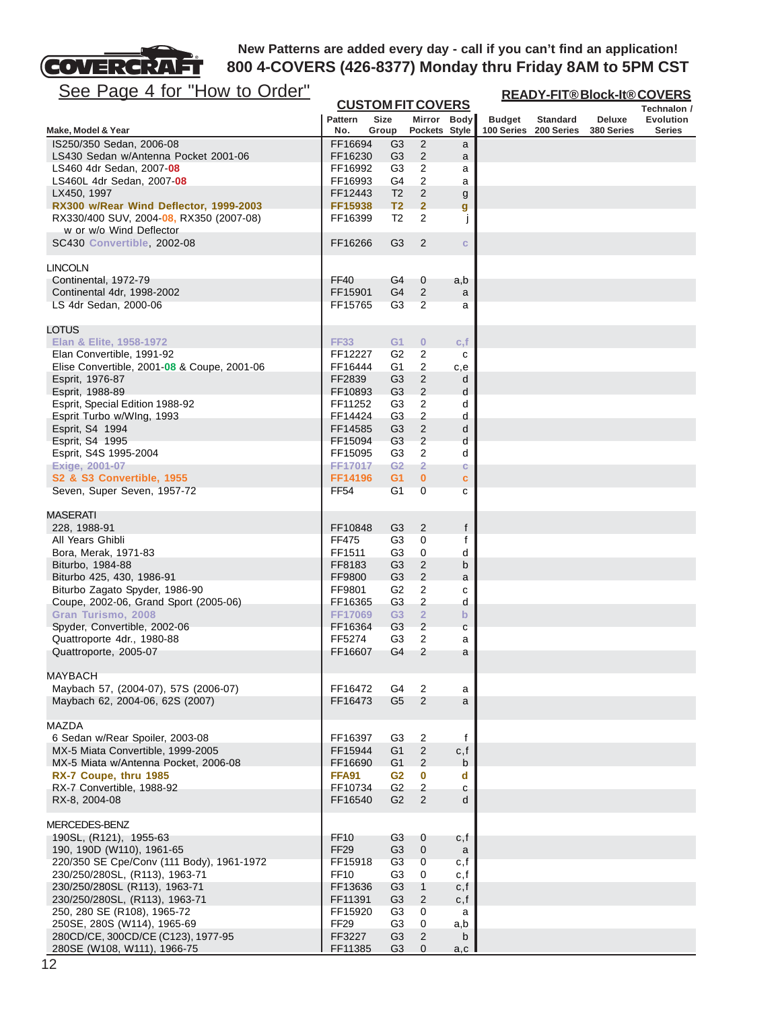

**READY-FIT® Block-It® COVERS**

| <u>See Page 4 for How to Order</u>                                |                             |                                  |                                  |              | <u>READY-FIT®Block-It®COVERS</u> |                                          |                      |                                   |  |
|-------------------------------------------------------------------|-----------------------------|----------------------------------|----------------------------------|--------------|----------------------------------|------------------------------------------|----------------------|-----------------------------------|--|
|                                                                   |                             |                                  | <b>CUSTOM FIT COVERS</b>         |              |                                  |                                          |                      | Technalon /                       |  |
|                                                                   | <b>Pattern</b><br>No.       | <b>Size</b>                      | Mirror Body<br>Pockets Style     |              | <b>Budget</b>                    | <b>Standard</b><br>100 Series 200 Series | Deluxe<br>380 Series | <b>Evolution</b><br><b>Series</b> |  |
| Make, Model & Year<br>IS250/350 Sedan, 2006-08                    | FF16694                     | Group                            | $\overline{2}$                   |              |                                  |                                          |                      |                                   |  |
| LS430 Sedan w/Antenna Pocket 2001-06                              | FF16230                     | G <sub>3</sub><br>G3             | $\overline{2}$                   | a            |                                  |                                          |                      |                                   |  |
| LS460 4dr Sedan, 2007-08                                          | FF16992                     | G3                               | 2                                | a<br>a       |                                  |                                          |                      |                                   |  |
| LS460L 4dr Sedan, 2007-08                                         | FF16993                     | G4                               | $\overline{c}$                   | a            |                                  |                                          |                      |                                   |  |
| LX450, 1997                                                       | FF12443                     | T <sub>2</sub>                   | $\overline{2}$                   | g            |                                  |                                          |                      |                                   |  |
| RX300 w/Rear Wind Deflector, 1999-2003                            | FF15938                     | T <sub>2</sub>                   | $\overline{2}$                   | g            |                                  |                                          |                      |                                   |  |
| RX330/400 SUV, 2004-08, RX350 (2007-08)                           | FF16399                     | T <sub>2</sub>                   | 2                                | j            |                                  |                                          |                      |                                   |  |
| w or w/o Wind Deflector                                           |                             |                                  |                                  |              |                                  |                                          |                      |                                   |  |
| SC430 Convertible, 2002-08                                        | FF16266                     | G <sub>3</sub>                   | 2                                | $\mathbf{C}$ |                                  |                                          |                      |                                   |  |
|                                                                   |                             |                                  |                                  |              |                                  |                                          |                      |                                   |  |
| LINCOLN                                                           |                             |                                  |                                  |              |                                  |                                          |                      |                                   |  |
| Continental, 1972-79                                              | <b>FF40</b>                 | G4                               | $\mathbf 0$                      | a,b          |                                  |                                          |                      |                                   |  |
| Continental 4dr, 1998-2002                                        | FF15901                     | G4                               | 2                                | a            |                                  |                                          |                      |                                   |  |
| LS 4dr Sedan, 2000-06                                             | FF15765                     | G <sub>3</sub>                   | $\overline{2}$                   | a            |                                  |                                          |                      |                                   |  |
| LOTUS                                                             |                             |                                  |                                  |              |                                  |                                          |                      |                                   |  |
| Elan & Elite, 1958-1972                                           | <b>FF33</b>                 | G <sub>1</sub>                   | $\bf{0}$                         | c, f         |                                  |                                          |                      |                                   |  |
| Elan Convertible, 1991-92                                         | FF12227                     | G2                               | 2                                | с            |                                  |                                          |                      |                                   |  |
| Elise Convertible, 2001-08 & Coupe, 2001-06                       | FF16444                     | G1                               | $\overline{c}$                   | c,e          |                                  |                                          |                      |                                   |  |
|                                                                   | FF2839                      | G <sub>3</sub>                   |                                  |              |                                  |                                          |                      |                                   |  |
| Esprit, 1976-87                                                   | FF10893                     | G <sub>3</sub>                   | $\overline{c}$<br>$\overline{2}$ | d<br>d       |                                  |                                          |                      |                                   |  |
| Esprit, 1988-89                                                   |                             |                                  |                                  |              |                                  |                                          |                      |                                   |  |
| Esprit, Special Edition 1988-92                                   | FF11252                     | G3                               | $\overline{c}$                   | d            |                                  |                                          |                      |                                   |  |
| Esprit Turbo w/Wlng, 1993                                         | FF14424                     | G <sub>3</sub>                   | $\overline{c}$                   | d            |                                  |                                          |                      |                                   |  |
| Esprit, S4 1994                                                   | FF14585                     | G <sub>3</sub>                   | $\sqrt{2}$                       | d            |                                  |                                          |                      |                                   |  |
| Esprit, S4 1995                                                   | FF15094                     | G <sub>3</sub>                   | $\sqrt{2}$                       | d            |                                  |                                          |                      |                                   |  |
| Esprit, S4S 1995-2004                                             | FF15095                     | G3                               | $\overline{2}$                   | d            |                                  |                                          |                      |                                   |  |
| Exige, 2001-07                                                    | FF17017                     | G2                               | $\overline{2}$                   | c            |                                  |                                          |                      |                                   |  |
| S2 & S3 Convertible, 1955                                         | FF14196                     | G <sub>1</sub>                   | $\bf{0}$                         | c            |                                  |                                          |                      |                                   |  |
| Seven, Super Seven, 1957-72                                       | <b>FF54</b>                 | G <sub>1</sub>                   | $\overline{0}$                   | $\mathbf{C}$ |                                  |                                          |                      |                                   |  |
| <b>MASERATI</b>                                                   |                             |                                  |                                  |              |                                  |                                          |                      |                                   |  |
|                                                                   |                             |                                  |                                  |              |                                  |                                          |                      |                                   |  |
| 228, 1988-91                                                      | FF10848                     | G3                               | 2                                | f            |                                  |                                          |                      |                                   |  |
| All Years Ghibli                                                  | FF475                       | G3                               | 0                                | f            |                                  |                                          |                      |                                   |  |
| Bora, Merak, 1971-83                                              | FF1511                      | G <sub>3</sub>                   | 0                                | d            |                                  |                                          |                      |                                   |  |
| Biturbo, 1984-88                                                  | FF8183                      | G <sub>3</sub>                   | $\overline{c}$                   | b            |                                  |                                          |                      |                                   |  |
| Biturbo 425, 430, 1986-91                                         | FF9800                      | G <sub>3</sub>                   | $\overline{c}$                   | a            |                                  |                                          |                      |                                   |  |
| Biturbo Zagato Spyder, 1986-90                                    | FF9801                      | G <sub>2</sub>                   | $\overline{c}$                   | с            |                                  |                                          |                      |                                   |  |
| Coupe, 2002-06, Grand Sport (2005-06)                             | FF16365                     | G <sub>3</sub>                   | 2                                | d            |                                  |                                          |                      |                                   |  |
| Gran Turismo, 2008                                                | <b>FF17069</b>              | G <sub>3</sub>                   | $\overline{2}$                   | $\mathbf b$  |                                  |                                          |                      |                                   |  |
| Spyder, Convertible, 2002-06                                      | FF16364                     | G <sub>3</sub>                   | $\overline{c}$                   | С            |                                  |                                          |                      |                                   |  |
| Quattroporte 4dr., 1980-88                                        | FF5274                      | G3                               | $\boldsymbol{2}$                 | а            |                                  |                                          |                      |                                   |  |
| Quattroporte, 2005-07                                             | FF16607                     | G4                               | $\overline{2}$                   | a            |                                  |                                          |                      |                                   |  |
| <b>MAYBACH</b>                                                    |                             |                                  |                                  |              |                                  |                                          |                      |                                   |  |
| Maybach 57, (2004-07), 57S (2006-07)                              | FF16472                     | G4                               | 2                                | a            |                                  |                                          |                      |                                   |  |
| Maybach 62, 2004-06, 62S (2007)                                   | FF16473                     | G <sub>5</sub>                   | 2                                | a            |                                  |                                          |                      |                                   |  |
|                                                                   |                             |                                  |                                  |              |                                  |                                          |                      |                                   |  |
| <b>MAZDA</b>                                                      |                             |                                  |                                  |              |                                  |                                          |                      |                                   |  |
| 6 Sedan w/Rear Spoiler, 2003-08                                   | FF16397                     | G <sub>3</sub>                   | $\overline{c}$                   | f            |                                  |                                          |                      |                                   |  |
| MX-5 Miata Convertible, 1999-2005                                 | FF15944                     | G <sub>1</sub>                   | $\sqrt{2}$                       | c, f         |                                  |                                          |                      |                                   |  |
| MX-5 Miata w/Antenna Pocket, 2006-08                              | FF16690                     | G <sub>1</sub>                   | $\overline{2}$                   | b            |                                  |                                          |                      |                                   |  |
| RX-7 Coupe, thru 1985                                             | <b>FFA91</b>                | G <sub>2</sub>                   | $\bf{0}$                         | d            |                                  |                                          |                      |                                   |  |
| RX-7 Convertible, 1988-92                                         | FF10734                     | G2                               | $\sqrt{2}$                       | с            |                                  |                                          |                      |                                   |  |
| RX-8, 2004-08                                                     | FF16540                     | G2                               | $\overline{2}$                   | d            |                                  |                                          |                      |                                   |  |
| MERCEDES-BENZ                                                     |                             |                                  |                                  |              |                                  |                                          |                      |                                   |  |
| 190SL, (R121), 1955-63                                            | <b>FF10</b>                 | G3                               | $\mathbf 0$                      | c,f          |                                  |                                          |                      |                                   |  |
| 190, 190D (W110), 1961-65                                         | FF <sub>29</sub>            | G <sub>3</sub>                   | $\mathbf 0$                      | a            |                                  |                                          |                      |                                   |  |
| 220/350 SE Cpe/Conv (111 Body), 1961-1972                         | FF15918                     | G <sub>3</sub>                   | $\mathbf 0$                      | c, f         |                                  |                                          |                      |                                   |  |
| 230/250/280SL, (R113), 1963-71                                    | <b>FF10</b>                 | G3                               | 0                                |              |                                  |                                          |                      |                                   |  |
| 230/250/280SL (R113), 1963-71                                     | FF13636                     | G <sub>3</sub>                   | $\mathbf{1}$                     | c, f         |                                  |                                          |                      |                                   |  |
|                                                                   |                             |                                  |                                  | c, f         |                                  |                                          |                      |                                   |  |
| 230/250/280SL, (R113), 1963-71                                    | FF11391                     | G <sub>3</sub>                   | $\overline{2}$                   | c, f         |                                  |                                          |                      |                                   |  |
| 250, 280 SE (R108), 1965-72                                       | FF15920<br>FF <sub>29</sub> | G3                               | 0                                | a            |                                  |                                          |                      |                                   |  |
| 250SE, 280S (W114), 1965-69                                       |                             | G <sub>3</sub>                   | 0                                | a,b          |                                  |                                          |                      |                                   |  |
| 280CD/CE, 300CD/CE (C123), 1977-95<br>280SE (W108, W111), 1966-75 | FF3227<br>FF11385           | G <sub>3</sub><br>G <sub>3</sub> | $\overline{2}$<br>$\mathbf{0}$   | b<br>a,c l   |                                  |                                          |                      |                                   |  |
|                                                                   |                             |                                  |                                  |              |                                  |                                          |                      |                                   |  |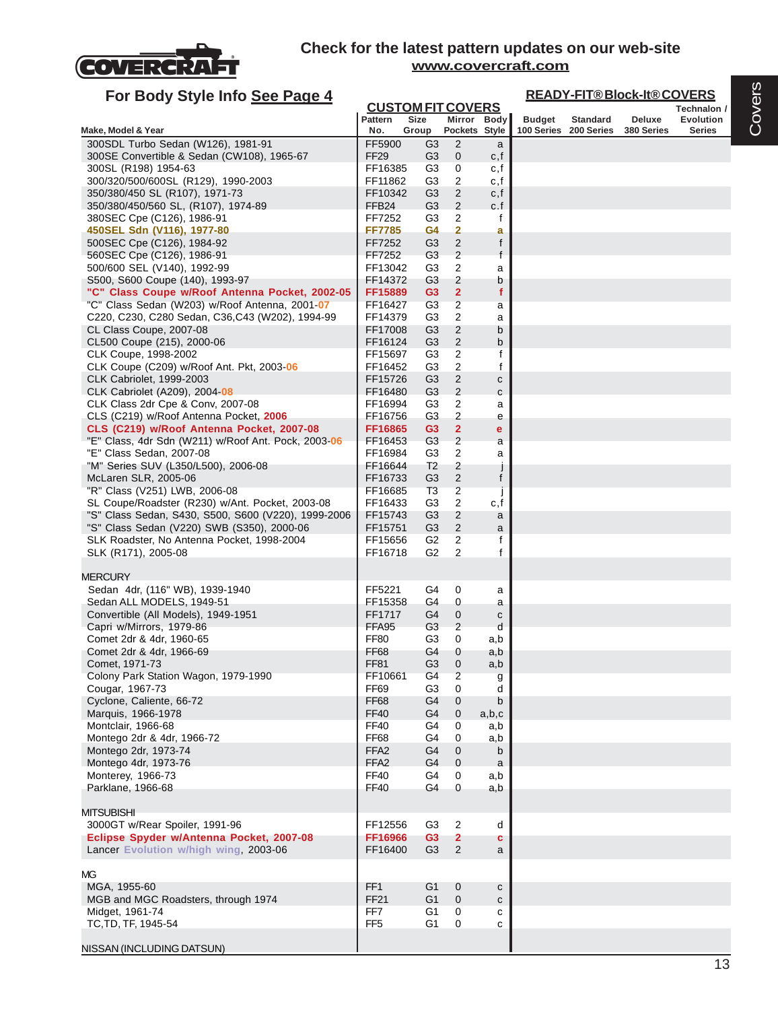

| For Body Style Info See Page 4                               |                    |                                         |                                  |                        | <b>READY-FIT®Block-It®COVERS</b> |                       |            |                                 |  |  |
|--------------------------------------------------------------|--------------------|-----------------------------------------|----------------------------------|------------------------|----------------------------------|-----------------------|------------|---------------------------------|--|--|
|                                                              | <b>Pattern</b>     | <b>CUSTOM FIT COVERS</b><br><b>Size</b> |                                  | Mirror Body            | <b>Budget</b>                    | <b>Standard</b>       | Deluxe     | Technalon /<br><b>Evolution</b> |  |  |
| Make, Model & Year                                           | No.                | Group                                   |                                  | Pockets Style          |                                  | 100 Series 200 Series | 380 Series | <b>Series</b>                   |  |  |
| 300SDL Turbo Sedan (W126), 1981-91                           | FF5900             | G <sub>3</sub>                          | 2                                | a                      |                                  |                       |            |                                 |  |  |
| 300SE Convertible & Sedan (CW108), 1965-67                   | <b>FF29</b>        | G <sub>3</sub>                          | $\mathbf 0$                      | c, f                   |                                  |                       |            |                                 |  |  |
| 300SL (R198) 1954-63                                         | FF16385            | G <sub>3</sub>                          | $\mathbf 0$                      | c, f                   |                                  |                       |            |                                 |  |  |
| 300/320/500/600SL (R129), 1990-2003                          | FF11862            | G3                                      | 2                                | c,f                    |                                  |                       |            |                                 |  |  |
| 350/380/450 SL (R107), 1971-73                               | FF10342            | G <sub>3</sub>                          | $\overline{c}$                   | c, f                   |                                  |                       |            |                                 |  |  |
| 350/380/450/560 SL, (R107), 1974-89                          | FFB <sub>24</sub>  | G <sub>3</sub>                          | $\overline{2}$                   | c.f                    |                                  |                       |            |                                 |  |  |
| 380SEC Cpe (C126), 1986-91                                   | FF7252             | G <sub>3</sub>                          | $\overline{c}$                   | f                      |                                  |                       |            |                                 |  |  |
| 450SEL Sdn (V116), 1977-80                                   | <b>FF7785</b>      | G4                                      | $\mathbf{2}$                     | а                      |                                  |                       |            |                                 |  |  |
| 500SEC Cpe (C126), 1984-92                                   | FF7252             | G3                                      | $\overline{2}$                   | f                      |                                  |                       |            |                                 |  |  |
| 560SEC Cpe (C126), 1986-91<br>500/600 SEL (V140), 1992-99    | FF7252<br>FF13042  | G3<br>G <sub>3</sub>                    | $\overline{c}$<br>$\overline{2}$ | $\mathsf{f}$           |                                  |                       |            |                                 |  |  |
| S500, S600 Coupe (140), 1993-97                              | FF14372            | G <sub>3</sub>                          | 2                                | a<br>b                 |                                  |                       |            |                                 |  |  |
| "C" Class Coupe w/Roof Antenna Pocket, 2002-05               | FF15889            | G <sub>3</sub>                          | $\overline{2}$                   | f                      |                                  |                       |            |                                 |  |  |
| "C" Class Sedan (W203) w/Roof Antenna, 2001-07               | FF16427            | G <sub>3</sub>                          | $\overline{2}$                   | a                      |                                  |                       |            |                                 |  |  |
| C220, C230, C280 Sedan, C36, C43 (W202), 1994-99             | FF14379            | G3                                      | $\overline{c}$                   | a                      |                                  |                       |            |                                 |  |  |
| CL Class Coupe, 2007-08                                      | FF17008            | G <sub>3</sub>                          | $\overline{2}$                   | b                      |                                  |                       |            |                                 |  |  |
| CL500 Coupe (215), 2000-06                                   | FF16124            | G <sub>3</sub>                          | $\overline{2}$                   | b                      |                                  |                       |            |                                 |  |  |
| CLK Coupe, 1998-2002                                         | FF15697            | G <sub>3</sub>                          | 2                                | f                      |                                  |                       |            |                                 |  |  |
| CLK Coupe (C209) w/Roof Ant. Pkt, 2003-06                    | FF16452            | G3                                      | $\mathbf{2}$                     | f                      |                                  |                       |            |                                 |  |  |
| CLK Cabriolet, 1999-2003                                     | FF15726            | G <sub>3</sub>                          | $\overline{c}$                   | С                      |                                  |                       |            |                                 |  |  |
| CLK Cabriolet (A209), 2004-08                                | FF16480            | G <sub>3</sub>                          | $\overline{2}$                   | $\mathbf c$            |                                  |                       |            |                                 |  |  |
| CLK Class 2dr Cpe & Conv, 2007-08                            | FF16994            | G <sub>3</sub>                          | $\overline{c}$                   | a                      |                                  |                       |            |                                 |  |  |
| CLS (C219) w/Roof Antenna Pocket, 2006                       | FF16756            | G <sub>3</sub>                          | $\overline{c}$                   | е                      |                                  |                       |            |                                 |  |  |
| CLS (C219) w/Roof Antenna Pocket, 2007-08                    | FF16865            | G <sub>3</sub>                          | $\overline{2}$                   | $\mathbf e$            |                                  |                       |            |                                 |  |  |
| "E" Class, 4dr Sdn (W211) w/Roof Ant. Pock, 2003-06          | FF16453            | G3                                      | $\overline{c}$                   | a                      |                                  |                       |            |                                 |  |  |
| "E" Class Sedan, 2007-08                                     | FF16984            | G <sub>3</sub>                          | $\overline{2}$                   | a                      |                                  |                       |            |                                 |  |  |
| "M" Series SUV (L350/L500), 2006-08                          | FF16644            | T <sub>2</sub><br>G <sub>3</sub>        | 2<br>2                           | j<br>f                 |                                  |                       |            |                                 |  |  |
| McLaren SLR, 2005-06<br>"R" Class (V251) LWB, 2006-08        | FF16733<br>FF16685 | T <sub>3</sub>                          | $\overline{c}$                   |                        |                                  |                       |            |                                 |  |  |
| SL Coupe/Roadster (R230) w/Ant. Pocket, 2003-08              | FF16433            | G3                                      | $\overline{c}$                   | J<br>c,f               |                                  |                       |            |                                 |  |  |
| "S" Class Sedan, S430, S500, S600 (V220), 1999-2006          | FF15743            | G <sub>3</sub>                          | $\overline{2}$                   | a                      |                                  |                       |            |                                 |  |  |
| "S" Class Sedan (V220) SWB (S350), 2000-06                   | FF15751            | G <sub>3</sub>                          | 2                                | a                      |                                  |                       |            |                                 |  |  |
| SLK Roadster, No Antenna Pocket, 1998-2004                   | FF15656            | G2                                      | 2                                | f                      |                                  |                       |            |                                 |  |  |
| SLK (R171), 2005-08                                          | FF16718            | G <sub>2</sub>                          | 2                                | f                      |                                  |                       |            |                                 |  |  |
|                                                              |                    |                                         |                                  |                        |                                  |                       |            |                                 |  |  |
| <b>MERCURY</b>                                               |                    |                                         |                                  |                        |                                  |                       |            |                                 |  |  |
| Sedan 4dr, (116" WB), 1939-1940<br>Sedan ALL MODELS, 1949-51 | FF5221<br>FF15358  | G4<br>G4                                | 0<br>$\mathbf 0$                 | а                      |                                  |                       |            |                                 |  |  |
| Convertible (All Models), 1949-1951                          | FF1717             | G4                                      | $\mathbf 0$                      | а<br>С                 |                                  |                       |            |                                 |  |  |
| Capri w/Mirrors, 1979-86                                     | FFA95              | G3                                      | $\overline{2}$                   | d                      |                                  |                       |            |                                 |  |  |
| Comet 2dr & 4dr, 1960-65                                     | <b>FF80</b>        | G3                                      | 0                                | a,b                    |                                  |                       |            |                                 |  |  |
| Comet 2dr & 4dr, 1966-69                                     | FF68               | G4                                      | 0                                | a,b                    |                                  |                       |            |                                 |  |  |
| Comet, 1971-73                                               | FF81               | G3                                      | $\mathsf{U}$                     | a,b                    |                                  |                       |            |                                 |  |  |
| Colony Park Station Wagon, 1979-1990                         | FF10661            | G4                                      | $\overline{2}$                   | g                      |                                  |                       |            |                                 |  |  |
| Cougar, 1967-73                                              | FF69               | G3                                      | $\mathbf 0$                      | d                      |                                  |                       |            |                                 |  |  |
| Cyclone, Caliente, 66-72                                     | FF68               | G4                                      | $\mathbf 0$                      | b                      |                                  |                       |            |                                 |  |  |
| Marquis, 1966-1978                                           | <b>FF40</b>        | G4                                      | $\mathbf 0$                      | a,b,c                  |                                  |                       |            |                                 |  |  |
| Montclair, 1966-68                                           | FF40               | G4                                      | 0                                | a,b                    |                                  |                       |            |                                 |  |  |
| Montego 2dr & 4dr, 1966-72                                   | FF68               | G4                                      | 0                                | a,b                    |                                  |                       |            |                                 |  |  |
| Montego 2dr, 1973-74                                         | FFA <sub>2</sub>   | G4                                      | $\mathbf{0}$                     | b                      |                                  |                       |            |                                 |  |  |
| Montego 4dr, 1973-76                                         | FFA <sub>2</sub>   | G4                                      | $\mathbf{0}$                     | a                      |                                  |                       |            |                                 |  |  |
| Monterey, 1966-73                                            | <b>FF40</b>        | G4                                      | 0                                | a,b                    |                                  |                       |            |                                 |  |  |
| Parklane, 1966-68                                            | FF40               | G4                                      | $\mathbf 0$                      | a,b                    |                                  |                       |            |                                 |  |  |
| <b>MITSUBISHI</b>                                            |                    |                                         |                                  |                        |                                  |                       |            |                                 |  |  |
| 3000GT w/Rear Spoiler, 1991-96                               | FF12556            | G <sub>3</sub>                          | $\overline{c}$                   | d                      |                                  |                       |            |                                 |  |  |
| Eclipse Spyder w/Antenna Pocket, 2007-08                     | FF16966            | G <sub>3</sub>                          | $\overline{2}$                   | c                      |                                  |                       |            |                                 |  |  |
| Lancer Evolution w/high wing, 2003-06                        | FF16400            | G <sub>3</sub>                          | 2                                | a                      |                                  |                       |            |                                 |  |  |
|                                                              |                    |                                         |                                  |                        |                                  |                       |            |                                 |  |  |
| <b>MG</b>                                                    |                    |                                         |                                  |                        |                                  |                       |            |                                 |  |  |
| MGA, 1955-60<br>MGB and MGC Roadsters, through 1974          | FF1<br><b>FF21</b> | G <sub>1</sub><br>G1                    | $\mathbf 0$<br>$\mathbf 0$       | ${\bf c}$<br>${\bf c}$ |                                  |                       |            |                                 |  |  |
| Midget, 1961-74                                              | FF7                | G <sub>1</sub>                          | 0                                | с                      |                                  |                       |            |                                 |  |  |
| TC, TD, TF, 1945-54                                          | FF <sub>5</sub>    | G <sub>1</sub>                          | 0                                | c                      |                                  |                       |            |                                 |  |  |
|                                                              |                    |                                         |                                  |                        |                                  |                       |            |                                 |  |  |
| NISSAN (INCLUDING DATSUN)                                    |                    |                                         |                                  |                        |                                  |                       |            |                                 |  |  |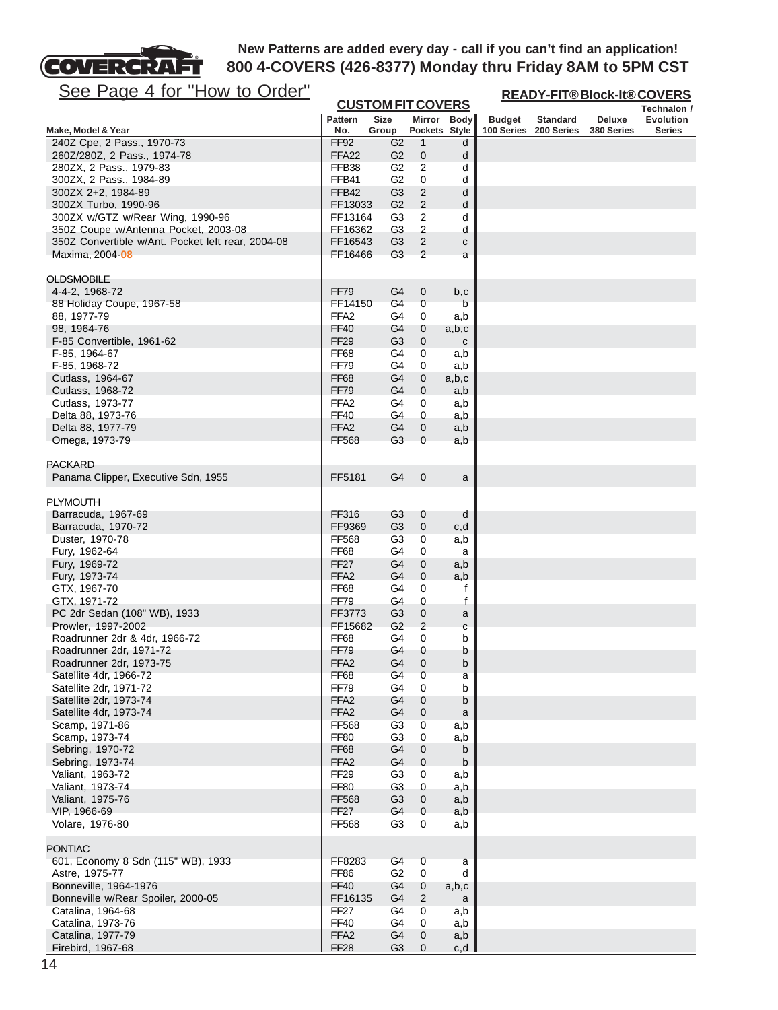

**READY-FIT® Block-It® COVERS**

| <u>See Page 4 for How to Urger</u>                                   |                                 |                                         |                     |              | <b>READY-FIT®Block-It®COVERS</b> |                       |            |                                 |  |
|----------------------------------------------------------------------|---------------------------------|-----------------------------------------|---------------------|--------------|----------------------------------|-----------------------|------------|---------------------------------|--|
|                                                                      | <b>Pattern</b>                  | <b>CUSTOM FIT COVERS</b><br><b>Size</b> |                     | Mirror Body  | <b>Budget</b>                    | <b>Standard</b>       | Deluxe     | Technalon /<br><b>Evolution</b> |  |
| Make, Model & Year                                                   | No.                             | Group                                   | Pockets Style       |              |                                  | 100 Series 200 Series | 380 Series | <b>Series</b>                   |  |
| 240Z Cpe, 2 Pass., 1970-73                                           | FF92                            | G <sub>2</sub>                          | 1                   | d            |                                  |                       |            |                                 |  |
| 260Z/280Z, 2 Pass., 1974-78                                          | FFA22                           | G <sub>2</sub>                          | 0                   | d            |                                  |                       |            |                                 |  |
| 280ZX, 2 Pass., 1979-83<br>300ZX, 2 Pass., 1984-89                   | FFB38<br>FFB41                  | G <sub>2</sub><br>G <sub>2</sub>        | 2<br>0              | d<br>d       |                                  |                       |            |                                 |  |
| 300ZX 2+2, 1984-89                                                   | FFB42                           | G <sub>3</sub>                          | $\overline{c}$      | d            |                                  |                       |            |                                 |  |
| 300ZX Turbo, 1990-96                                                 | FF13033                         | G <sub>2</sub>                          | $\overline{2}$      | d            |                                  |                       |            |                                 |  |
| 300ZX w/GTZ w/Rear Wing, 1990-96                                     | FF13164                         | G3                                      | $\overline{c}$      | d            |                                  |                       |            |                                 |  |
| 350Z Coupe w/Antenna Pocket, 2003-08                                 | FF16362                         | G <sub>3</sub>                          | 2                   | d            |                                  |                       |            |                                 |  |
| 350Z Convertible w/Ant. Pocket left rear, 2004-08<br>Maxima, 2004-08 | FF16543<br>FF16466              | G <sub>3</sub><br>G <sub>3</sub>        | $\overline{2}$<br>2 | С<br>a       |                                  |                       |            |                                 |  |
|                                                                      |                                 |                                         |                     |              |                                  |                       |            |                                 |  |
| OLDSMOBILE                                                           |                                 |                                         |                     |              |                                  |                       |            |                                 |  |
| 4-4-2, 1968-72                                                       | FF79                            | G4                                      | 0                   | b, c         |                                  |                       |            |                                 |  |
| 88 Holiday Coupe, 1967-58                                            | FF14150                         | G4                                      | $\pmb{0}$           | b            |                                  |                       |            |                                 |  |
| 88, 1977-79<br>98, 1964-76                                           | FFA <sub>2</sub><br><b>FF40</b> | G4<br>G4                                | 0<br>0              | a,b<br>a,b,c |                                  |                       |            |                                 |  |
| F-85 Convertible, 1961-62                                            | <b>FF29</b>                     | G <sub>3</sub>                          | 0                   | $\mathbf{C}$ |                                  |                       |            |                                 |  |
| F-85, 1964-67                                                        | <b>FF68</b>                     | G4                                      | 0                   | a,b          |                                  |                       |            |                                 |  |
| F-85, 1968-72                                                        | <b>FF79</b>                     | G4                                      | 0                   | a,b          |                                  |                       |            |                                 |  |
| Cutlass, 1964-67                                                     | <b>FF68</b>                     | G4                                      | 0                   | a,b,c        |                                  |                       |            |                                 |  |
| Cutlass, 1968-72<br>Cutlass, 1973-77                                 | FF79<br>FFA <sub>2</sub>        | G4<br>G4                                | 0<br>0              | a,b          |                                  |                       |            |                                 |  |
| Delta 88, 1973-76                                                    | FF40                            | G4                                      | 0                   | a,b<br>a,b   |                                  |                       |            |                                 |  |
| Delta 88, 1977-79                                                    | FFA <sub>2</sub>                | G <sub>4</sub>                          | 0                   | a,b          |                                  |                       |            |                                 |  |
| Omega, 1973-79                                                       | <b>FF568</b>                    | G <sub>3</sub>                          | $\Omega$            | a,b          |                                  |                       |            |                                 |  |
|                                                                      |                                 |                                         |                     |              |                                  |                       |            |                                 |  |
| <b>PACKARD</b><br>Panama Clipper, Executive Sdn, 1955                | FF5181                          | G4                                      | 0                   |              |                                  |                       |            |                                 |  |
|                                                                      |                                 |                                         |                     | a            |                                  |                       |            |                                 |  |
| <b>PLYMOUTH</b>                                                      |                                 |                                         |                     |              |                                  |                       |            |                                 |  |
| Barracuda, 1967-69                                                   | FF316                           | G <sub>3</sub>                          | 0                   | d            |                                  |                       |            |                                 |  |
| Barracuda, 1970-72                                                   | FF9369                          | G3                                      | 0                   | c,d          |                                  |                       |            |                                 |  |
| Duster, 1970-78<br>Fury, 1962-64                                     | FF568<br><b>FF68</b>            | G <sub>3</sub><br>G4                    | 0<br>0              | a,b<br>a     |                                  |                       |            |                                 |  |
| Fury, 1969-72                                                        | <b>FF27</b>                     | G4                                      | 0                   | a,b          |                                  |                       |            |                                 |  |
| Fury, 1973-74                                                        | FFA <sub>2</sub>                | G4                                      | 0                   | a,b          |                                  |                       |            |                                 |  |
| GTX, 1967-70                                                         | <b>FF68</b>                     | G4                                      | 0                   | f            |                                  |                       |            |                                 |  |
| GTX, 1971-72                                                         | <b>FF79</b>                     | G4                                      | 0                   | f            |                                  |                       |            |                                 |  |
| PC 2dr Sedan (108" WB), 1933<br>Prowler, 1997-2002                   | FF3773<br>FF15682               | G <sub>3</sub><br>G <sub>2</sub>        | 0<br>$\overline{c}$ | a<br>С       |                                  |                       |            |                                 |  |
| Roadrunner 2dr & 4dr, 1966-72                                        | <b>FF68</b>                     | G4                                      | 0                   | b            |                                  |                       |            |                                 |  |
| Roadrunner 2dr, 1971-72                                              | FF79                            | G4                                      | 0                   | b            |                                  |                       |            |                                 |  |
| Roadrunner 2dr, 1973-75                                              | FFA <sub>2</sub>                | G4                                      | 0                   | b            |                                  |                       |            |                                 |  |
| Satellite 4dr, 1966-72                                               | FF68                            | G <sub>4</sub>                          | 0                   | a            |                                  |                       |            |                                 |  |
| Satellite 2dr, 1971-72<br>Satellite 2dr, 1973-74                     | <b>FF79</b><br>FFA <sub>2</sub> | G4<br>G4                                | 0<br>0              | b<br>b       |                                  |                       |            |                                 |  |
| Satellite 4dr, 1973-74                                               | FFA <sub>2</sub>                | G4                                      | 0                   | a            |                                  |                       |            |                                 |  |
| Scamp, 1971-86                                                       | FF568                           | G <sub>3</sub>                          | 0                   | a,b          |                                  |                       |            |                                 |  |
| Scamp, 1973-74                                                       | <b>FF80</b>                     | G <sub>3</sub>                          | 0                   | a,b          |                                  |                       |            |                                 |  |
| Sebring, 1970-72                                                     | <b>FF68</b>                     | G <sub>4</sub>                          | 0                   | b            |                                  |                       |            |                                 |  |
| Sebring, 1973-74<br>Valiant, 1963-72                                 | FFA <sub>2</sub><br><b>FF29</b> | G4<br>G <sub>3</sub>                    | 0<br>0              | b<br>a,b     |                                  |                       |            |                                 |  |
| Valiant, 1973-74                                                     | <b>FF80</b>                     | G <sub>3</sub>                          | 0                   | a,b          |                                  |                       |            |                                 |  |
| Valiant, 1975-76                                                     | FF568                           | G <sub>3</sub>                          | 0                   | a,b          |                                  |                       |            |                                 |  |
| VIP, 1966-69                                                         | <b>FF27</b>                     | G4                                      | 0                   | a,b          |                                  |                       |            |                                 |  |
| Volare, 1976-80                                                      | FF568                           | G <sub>3</sub>                          | 0                   | a,b          |                                  |                       |            |                                 |  |
| <b>PONTIAC</b>                                                       |                                 |                                         |                     |              |                                  |                       |            |                                 |  |
| 601, Economy 8 Sdn (115" WB), 1933                                   | FF8283                          | G4                                      | $\pmb{0}$           | a            |                                  |                       |            |                                 |  |
| Astre, 1975-77                                                       | <b>FF86</b>                     | G <sub>2</sub>                          | 0                   | d            |                                  |                       |            |                                 |  |
| Bonneville, 1964-1976                                                | <b>FF40</b>                     | G4                                      | 0                   | a,b,c        |                                  |                       |            |                                 |  |
| Bonneville w/Rear Spoiler, 2000-05                                   | FF16135                         | G4                                      | 2                   | a            |                                  |                       |            |                                 |  |
| Catalina, 1964-68<br>Catalina, 1973-76                               | FF27<br><b>FF40</b>             | G4<br>G <sub>4</sub>                    | 0<br>0              | a,b<br>a,b   |                                  |                       |            |                                 |  |
| Catalina, 1977-79                                                    | FFA <sub>2</sub>                | G <sub>4</sub>                          | 0                   | a,b          |                                  |                       |            |                                 |  |
| Firebird, 1967-68                                                    | FF <sub>28</sub>                | G <sub>3</sub>                          | 0                   | c,d          |                                  |                       |            |                                 |  |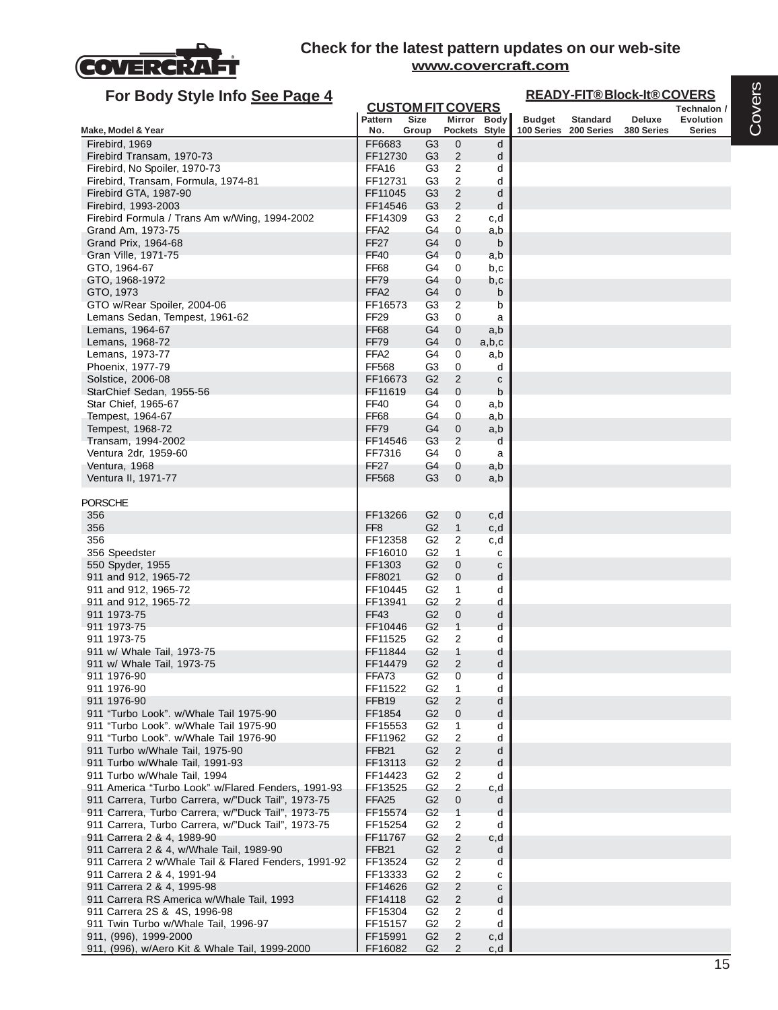

| For Body Style Info See Page 4                                                     |                                            |                                  |                                  |                   |               |                                          | <b>READY-FIT®Block-It®COVERS</b> |                            |
|------------------------------------------------------------------------------------|--------------------------------------------|----------------------------------|----------------------------------|-------------------|---------------|------------------------------------------|----------------------------------|----------------------------|
|                                                                                    | <b>CUSTOM FIT COVERS</b><br><b>Pattern</b> | <b>Size</b>                      |                                  |                   |               |                                          |                                  | Technalon /                |
| Make, Model & Year                                                                 | No.                                        | Group                            | Pockets Style                    | Mirror Body       | <b>Budget</b> | <b>Standard</b><br>100 Series 200 Series | Deluxe<br>380 Series             | Evolution<br><b>Series</b> |
| Firebird, 1969                                                                     | FF6683                                     | G3                               | 0                                | d                 |               |                                          |                                  |                            |
| Firebird Transam, 1970-73                                                          | FF12730                                    | G <sub>3</sub>                   | $\overline{2}$                   | d                 |               |                                          |                                  |                            |
| Firebird, No Spoiler, 1970-73                                                      | FFA <sub>16</sub>                          | G <sub>3</sub>                   | 2                                | d                 |               |                                          |                                  |                            |
| Firebird, Transam, Formula, 1974-81                                                | FF12731                                    | G <sub>3</sub>                   | $\overline{2}$                   | d                 |               |                                          |                                  |                            |
| Firebird GTA, 1987-90                                                              | FF11045                                    | G <sub>3</sub>                   | $\overline{2}$                   | d                 |               |                                          |                                  |                            |
| Firebird, 1993-2003                                                                | FF14546                                    | G3                               | $\overline{2}$                   | d                 |               |                                          |                                  |                            |
| Firebird Formula / Trans Am w/Wing, 1994-2002<br>Grand Am, 1973-75                 | FF14309<br>FFA <sub>2</sub>                | G3<br>G <sub>4</sub>             | 2<br>0                           | c,d<br>a,b        |               |                                          |                                  |                            |
| Grand Prix, 1964-68                                                                | <b>FF27</b>                                | G <sub>4</sub>                   | 0                                | b                 |               |                                          |                                  |                            |
| Gran Ville, 1971-75                                                                | <b>FF40</b>                                | G4                               | $\mathbf 0$                      | a,b               |               |                                          |                                  |                            |
| GTO, 1964-67                                                                       | FF68                                       | G4                               | 0                                | b,c               |               |                                          |                                  |                            |
| GTO, 1968-1972                                                                     | <b>FF79</b>                                | G4                               | 0                                | b,c               |               |                                          |                                  |                            |
| GTO, 1973                                                                          | FFA <sub>2</sub>                           | G4                               | $\boldsymbol{0}$                 | b                 |               |                                          |                                  |                            |
| GTO w/Rear Spoiler, 2004-06                                                        | FF16573                                    | G3                               | $\overline{2}$                   | b                 |               |                                          |                                  |                            |
| Lemans Sedan, Tempest, 1961-62                                                     | FF <sub>29</sub>                           | G <sub>3</sub>                   | 0                                | a                 |               |                                          |                                  |                            |
| Lemans, 1964-67                                                                    | FF68                                       | G4                               | 0                                | a,b               |               |                                          |                                  |                            |
| Lemans, 1968-72<br>Lemans, 1973-77                                                 | <b>FF79</b><br>FFA <sub>2</sub>            | G4<br>G4                         | $\boldsymbol{0}$<br>0            | a,b,c<br>a,b      |               |                                          |                                  |                            |
| Phoenix, 1977-79                                                                   | <b>FF568</b>                               | G3                               | 0                                | d                 |               |                                          |                                  |                            |
| Solstice, 2006-08                                                                  | FF16673                                    | G <sub>2</sub>                   | $\overline{2}$                   | C                 |               |                                          |                                  |                            |
| StarChief Sedan, 1955-56                                                           | FF11619                                    | G4                               | 0                                | b                 |               |                                          |                                  |                            |
| Star Chief, 1965-67                                                                | <b>FF40</b>                                | G4                               | 0                                | a,b               |               |                                          |                                  |                            |
| Tempest, 1964-67                                                                   | FF68                                       | G4                               | 0                                | a,b               |               |                                          |                                  |                            |
| Tempest, 1968-72                                                                   | FF79                                       | G4                               | 0                                | a,b               |               |                                          |                                  |                            |
| Transam, 1994-2002                                                                 | FF14546                                    | G <sub>3</sub>                   | $\overline{2}$                   | d                 |               |                                          |                                  |                            |
| Ventura 2dr, 1959-60<br>Ventura, 1968                                              | FF7316<br><b>FF27</b>                      | G4<br>G4                         | 0<br>0                           | a                 |               |                                          |                                  |                            |
| Ventura II, 1971-77                                                                | <b>FF568</b>                               | G <sub>3</sub>                   | 0                                | a,b<br>a,b        |               |                                          |                                  |                            |
|                                                                                    |                                            |                                  |                                  |                   |               |                                          |                                  |                            |
| <b>PORSCHE</b>                                                                     |                                            |                                  |                                  |                   |               |                                          |                                  |                            |
| 356                                                                                | FF13266                                    | G2                               | 0                                | c,d               |               |                                          |                                  |                            |
| 356                                                                                | FF <sub>8</sub>                            | G <sub>2</sub>                   | $\mathbf{1}$                     | c,d               |               |                                          |                                  |                            |
| 356                                                                                | FF12358                                    | G <sub>2</sub><br>G <sub>2</sub> | 2                                | c,d               |               |                                          |                                  |                            |
| 356 Speedster<br>550 Spyder, 1955                                                  | FF16010<br>FF1303                          | G <sub>2</sub>                   | 1<br>$\mathbf 0$                 | c<br>$\mathbf{C}$ |               |                                          |                                  |                            |
| 911 and 912, 1965-72                                                               | FF8021                                     | G <sub>2</sub>                   | $\mathbf 0$                      | d                 |               |                                          |                                  |                            |
| 911 and 912, 1965-72                                                               | FF10445                                    | G2                               | 1                                | d                 |               |                                          |                                  |                            |
| 911 and 912, 1965-72                                                               | FF13941                                    | G <sub>2</sub>                   | 2                                | d                 |               |                                          |                                  |                            |
| 911 1973-75                                                                        | FF43                                       | G <sub>2</sub>                   | $\mathbf 0$                      | d                 |               |                                          |                                  |                            |
| 911 1973-75                                                                        | FF10446                                    | G <sub>2</sub>                   | $\mathbf{1}$                     | d                 |               |                                          |                                  |                            |
| 911 1973-75                                                                        | FF11525                                    | G2                               | 2                                | d                 |               |                                          |                                  |                            |
| 911 w/ Whale Tail, 1973-75<br>911 w/ Whale Tail, 1973-75                           | FF11844<br>FF14479                         | G2<br>G <sub>2</sub>             | 1<br>2                           | d<br>d            |               |                                          |                                  |                            |
| 911 1976-90                                                                        | FFA73                                      | G <sub>2</sub>                   | 0                                | d                 |               |                                          |                                  |                            |
| 911 1976-90                                                                        | FF11522                                    | G <sub>2</sub>                   | 1                                | d                 |               |                                          |                                  |                            |
| 911 1976-90                                                                        | FFB <sub>19</sub>                          | G2                               | 2                                | d                 |               |                                          |                                  |                            |
| 911 "Turbo Look". w/Whale Tail 1975-90                                             | FF1854                                     | G <sub>2</sub>                   | $\mathbf 0$                      | d                 |               |                                          |                                  |                            |
| 911 "Turbo Look". w/Whale Tail 1975-90                                             | FF15553                                    | G <sub>2</sub>                   | 1                                | d                 |               |                                          |                                  |                            |
| 911 "Turbo Look". w/Whale Tail 1976-90                                             | FF11962                                    | G <sub>2</sub>                   | $\overline{c}$                   | d                 |               |                                          |                                  |                            |
| 911 Turbo w/Whale Tail, 1975-90                                                    | FFB <sub>21</sub>                          | G <sub>2</sub>                   | $\overline{2}$                   | d                 |               |                                          |                                  |                            |
| 911 Turbo w/Whale Tail, 1991-93                                                    | FF13113                                    | G <sub>2</sub>                   | $\overline{2}$                   | d<br>d            |               |                                          |                                  |                            |
| 911 Turbo w/Whale Tail, 1994<br>911 America "Turbo Look" w/Flared Fenders, 1991-93 | FF14423<br>FF13525                         | G <sub>2</sub><br>G2             | $\overline{c}$<br>$\overline{c}$ | c,d               |               |                                          |                                  |                            |
| 911 Carrera, Turbo Carrera, w/"Duck Tail", 1973-75                                 | FFA <sub>25</sub>                          | G <sub>2</sub>                   | $\mathbf 0$                      | d                 |               |                                          |                                  |                            |
| 911 Carrera, Turbo Carrera, w/"Duck Tail", 1973-75                                 | FF15574                                    | G <sub>2</sub>                   | $\mathbf{1}$                     | d                 |               |                                          |                                  |                            |
| 911 Carrera, Turbo Carrera, w/"Duck Tail", 1973-75                                 | FF15254                                    | G2                               | 2                                | d                 |               |                                          |                                  |                            |
| 911 Carrera 2 & 4, 1989-90                                                         | FF11767                                    | G <sub>2</sub>                   | $\overline{c}$                   | c,d               |               |                                          |                                  |                            |
| 911 Carrera 2 & 4, w/Whale Tail, 1989-90                                           | FFB <sub>21</sub>                          | G <sub>2</sub>                   | $\sqrt{2}$                       | d                 |               |                                          |                                  |                            |
| 911 Carrera 2 w/Whale Tail & Flared Fenders, 1991-92                               | FF13524                                    | G <sub>2</sub>                   | $\overline{c}$                   | d                 |               |                                          |                                  |                            |
| 911 Carrera 2 & 4, 1991-94                                                         | FF13333                                    | G <sub>2</sub>                   | $\overline{c}$                   | c                 |               |                                          |                                  |                            |
| 911 Carrera 2 & 4, 1995-98                                                         | FF14626                                    | G <sub>2</sub>                   | 2                                | $\mathbf{C}$      |               |                                          |                                  |                            |
| 911 Carrera RS America w/Whale Tail, 1993                                          | FF14118                                    | G <sub>2</sub>                   | $\sqrt{2}$                       | d                 |               |                                          |                                  |                            |
| 911 Carrera 2S & 4S, 1996-98<br>911 Twin Turbo w/Whale Tail, 1996-97               | FF15304<br>FF15157                         | G <sub>2</sub><br>G <sub>2</sub> | $\overline{2}$<br>2              | d<br>d            |               |                                          |                                  |                            |
| 911, (996), 1999-2000                                                              | FF15991                                    | G <sub>2</sub>                   | 2                                | c,d               |               |                                          |                                  |                            |
| 911, (996), w/Aero Kit & Whale Tail, 1999-2000                                     | FF16082                                    | G2                               | $\overline{2}$                   | c,d               |               |                                          |                                  |                            |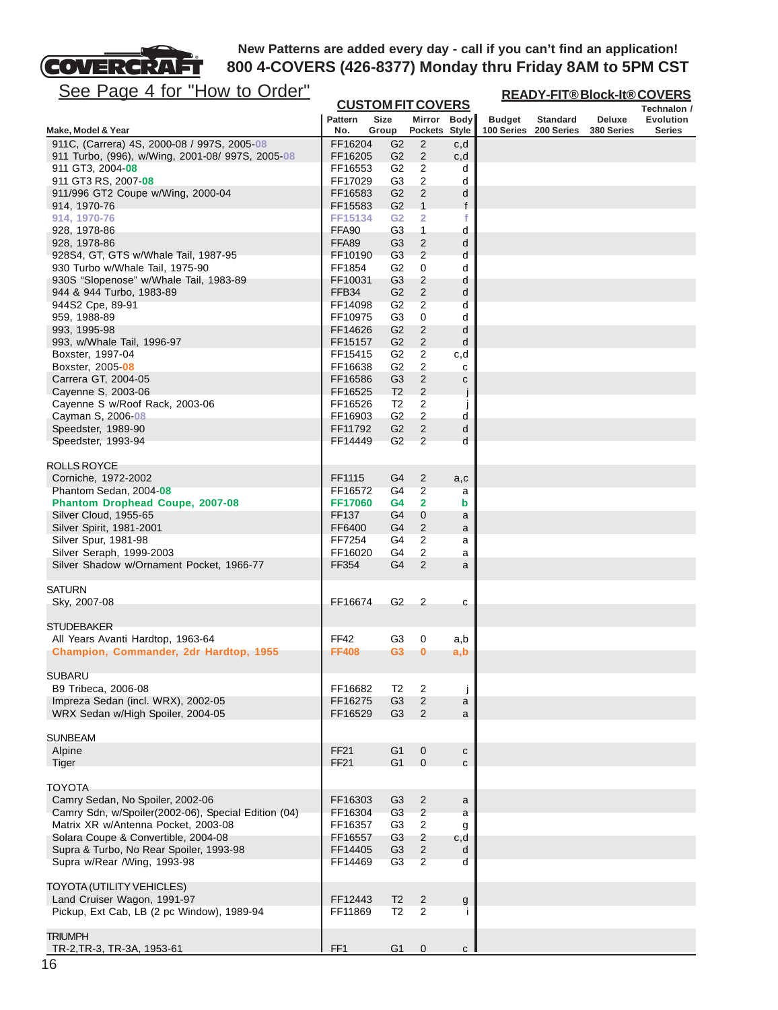

| <u>See Page 4 for "How to Order"</u>                                      |                    |                                         |                                           |              |               | <b>READY-FIT®Block-It®COVERS</b>         |                      |                     |  |  |  |
|---------------------------------------------------------------------------|--------------------|-----------------------------------------|-------------------------------------------|--------------|---------------|------------------------------------------|----------------------|---------------------|--|--|--|
|                                                                           | <b>Pattern</b>     | <b>CUSTOM FIT COVERS</b><br><b>Size</b> | Mirror                                    |              |               |                                          |                      | Technalon /         |  |  |  |
| Make, Model & Year                                                        | No.                | Group                                   | Pockets Style                             | <b>Body</b>  | <b>Budget</b> | <b>Standard</b><br>100 Series 200 Series | Deluxe<br>380 Series | Evolution<br>Series |  |  |  |
| 911C, (Carrera) 4S, 2000-08 / 997S, 2005-08                               | FF16204            | G <sub>2</sub>                          | 2                                         | c,d          |               |                                          |                      |                     |  |  |  |
| 911 Turbo, (996), w/Wing, 2001-08/ 997S, 2005-08                          | FF16205            | G <sub>2</sub>                          | $\overline{2}$                            | c,d          |               |                                          |                      |                     |  |  |  |
| 911 GT3, 2004- <b>08</b>                                                  | FF16553            | G <sub>2</sub>                          | $\overline{2}$                            | d            |               |                                          |                      |                     |  |  |  |
| 911 GT3 RS, 2007-08                                                       | FF17029            | G <sub>3</sub><br>G <sub>2</sub>        | 2<br>$\overline{2}$                       | d            |               |                                          |                      |                     |  |  |  |
| 911/996 GT2 Coupe w/Wing, 2000-04<br>914, 1970-76                         | FF16583<br>FF15583 | G <sub>2</sub>                          | $\mathbf{1}$                              | d<br>f       |               |                                          |                      |                     |  |  |  |
| 914, 1970-76                                                              | FF15134            | G <sub>2</sub>                          | $\overline{\mathbf{2}}$                   | f            |               |                                          |                      |                     |  |  |  |
| 928, 1978-86                                                              | FFA90              | G <sub>3</sub>                          | $\mathbf{1}$                              | d            |               |                                          |                      |                     |  |  |  |
| 928, 1978-86                                                              | FFA89              | G <sub>3</sub>                          | $\overline{2}$                            | d            |               |                                          |                      |                     |  |  |  |
| 928S4, GT, GTS w/Whale Tail, 1987-95                                      | FF10190            | G <sub>3</sub>                          | $\overline{2}$                            | d            |               |                                          |                      |                     |  |  |  |
| 930 Turbo w/Whale Tail, 1975-90                                           | FF1854             | G <sub>2</sub>                          | 0                                         | d            |               |                                          |                      |                     |  |  |  |
| 930S "Slopenose" w/Whale Tail, 1983-89                                    | FF10031            | G <sub>3</sub>                          | $\overline{c}$                            | d            |               |                                          |                      |                     |  |  |  |
| 944 & 944 Turbo, 1983-89                                                  | FFB34              | G <sub>2</sub><br>G <sub>2</sub>        | $\overline{c}$<br>$\overline{2}$          | d            |               |                                          |                      |                     |  |  |  |
| 944S2 Cpe, 89-91<br>959, 1988-89                                          | FF14098<br>FF10975 | G <sub>3</sub>                          | 0                                         | d<br>d       |               |                                          |                      |                     |  |  |  |
| 993, 1995-98                                                              | FF14626            | G <sub>2</sub>                          | 2                                         | d            |               |                                          |                      |                     |  |  |  |
| 993, w/Whale Tail, 1996-97                                                | FF15157            | G2                                      | $\sqrt{2}$                                | d            |               |                                          |                      |                     |  |  |  |
| Boxster, 1997-04                                                          | FF15415            | G <sub>2</sub>                          | $\overline{2}$                            | c,d          |               |                                          |                      |                     |  |  |  |
| Boxster, 2005-08                                                          | FF16638            | G <sub>2</sub>                          | 2                                         | с            |               |                                          |                      |                     |  |  |  |
| Carrera GT, 2004-05                                                       | FF16586            | G <sub>3</sub>                          | $\overline{2}$                            | С            |               |                                          |                      |                     |  |  |  |
| Cayenne S, 2003-06                                                        | FF16525            | T <sub>2</sub>                          | $\overline{2}$                            | j            |               |                                          |                      |                     |  |  |  |
| Cayenne S w/Roof Rack, 2003-06                                            | FF16526            | T <sub>2</sub>                          | $\overline{c}$                            | $\mathbf{I}$ |               |                                          |                      |                     |  |  |  |
| Cayman S, 2006-08<br>Speedster, 1989-90                                   | FF16903            | G <sub>2</sub><br>G <sub>2</sub>        | $\overline{\mathbf{c}}$<br>$\overline{2}$ | d            |               |                                          |                      |                     |  |  |  |
| Speedster, 1993-94                                                        | FF11792<br>FF14449 | G <sub>2</sub>                          | $\overline{2}$                            | d<br>d       |               |                                          |                      |                     |  |  |  |
|                                                                           |                    |                                         |                                           |              |               |                                          |                      |                     |  |  |  |
| <b>ROLLS ROYCE</b>                                                        |                    |                                         |                                           |              |               |                                          |                      |                     |  |  |  |
| Corniche, 1972-2002                                                       | FF1115             | G4                                      | $\overline{c}$                            | a,c          |               |                                          |                      |                     |  |  |  |
| Phantom Sedan, 2004-08                                                    | FF16572            | G4                                      | $\overline{2}$                            | a            |               |                                          |                      |                     |  |  |  |
| Phantom Drophead Coupe, 2007-08                                           | FF17060            | G <sub>4</sub>                          | $\overline{\mathbf{2}}$                   | b            |               |                                          |                      |                     |  |  |  |
| Silver Cloud, 1955-65                                                     | FF137              | G4                                      | $\mathbf 0$                               | a            |               |                                          |                      |                     |  |  |  |
| Silver Spirit, 1981-2001                                                  | FF6400             | G <sub>4</sub><br>G4                    | $\overline{2}$                            | a            |               |                                          |                      |                     |  |  |  |
| Silver Spur, 1981-98<br>Silver Seraph, 1999-2003                          | FF7254<br>FF16020  | G4                                      | 2<br>2                                    | a<br>a       |               |                                          |                      |                     |  |  |  |
| Silver Shadow w/Ornament Pocket, 1966-77                                  | FF354              | G <sub>4</sub>                          | $\overline{2}$                            | a            |               |                                          |                      |                     |  |  |  |
|                                                                           |                    |                                         |                                           |              |               |                                          |                      |                     |  |  |  |
| <b>SATURN</b>                                                             |                    |                                         |                                           |              |               |                                          |                      |                     |  |  |  |
| Sky, 2007-08                                                              | FF16674            | G <sub>2</sub>                          | $\overline{c}$                            | С            |               |                                          |                      |                     |  |  |  |
| <b>STUDEBAKER</b>                                                         |                    |                                         |                                           |              |               |                                          |                      |                     |  |  |  |
| All Years Avanti Hardtop, 1963-64                                         | FF42               | G3                                      | 0                                         | a,b          |               |                                          |                      |                     |  |  |  |
| Champion, Commander, 2dr Hardtop, 1955                                    | <b>FF408</b>       | G <sub>3</sub>                          | $\bf{0}$                                  | a,b          |               |                                          |                      |                     |  |  |  |
|                                                                           |                    |                                         |                                           |              |               |                                          |                      |                     |  |  |  |
| <b>SUBARU</b>                                                             |                    |                                         |                                           |              |               |                                          |                      |                     |  |  |  |
| B9 Tribeca, 2006-08                                                       | FF16682            | T <sub>2</sub>                          | $\overline{2}$                            | j            |               |                                          |                      |                     |  |  |  |
| Impreza Sedan (incl. WRX), 2002-05                                        | FF16275            | G <sub>3</sub>                          | 2                                         | a            |               |                                          |                      |                     |  |  |  |
| WRX Sedan w/High Spoiler, 2004-05                                         | FF16529            | G <sub>3</sub>                          | 2                                         | a            |               |                                          |                      |                     |  |  |  |
| <b>SUNBEAM</b>                                                            |                    |                                         |                                           |              |               |                                          |                      |                     |  |  |  |
| Alpine                                                                    | <b>FF21</b>        | G <sub>1</sub>                          | $\boldsymbol{0}$                          | $\mathbf{C}$ |               |                                          |                      |                     |  |  |  |
| Tiger                                                                     | FF21               | G <sub>1</sub>                          | $\mathbf{0}$                              | $\mathbf c$  |               |                                          |                      |                     |  |  |  |
|                                                                           |                    |                                         |                                           |              |               |                                          |                      |                     |  |  |  |
| <b>TOYOTA</b><br>Camry Sedan, No Spoiler, 2002-06                         | FF16303            | G <sub>3</sub>                          |                                           |              |               |                                          |                      |                     |  |  |  |
| Camry Sdn, w/Spoiler(2002-06), Special Edition (04)                       | FF16304            | G <sub>3</sub>                          | $\overline{\mathbf{c}}$<br>$\sqrt{2}$     | a<br>a       |               |                                          |                      |                     |  |  |  |
| Matrix XR w/Antenna Pocket, 2003-08                                       | FF16357            | G <sub>3</sub>                          | $\sqrt{2}$                                | g            |               |                                          |                      |                     |  |  |  |
| Solara Coupe & Convertible, 2004-08                                       | FF16557            | G <sub>3</sub>                          | $\overline{c}$                            | c,d          |               |                                          |                      |                     |  |  |  |
| Supra & Turbo, No Rear Spoiler, 1993-98                                   | FF14405            | G <sub>3</sub>                          | $\overline{c}$                            | d            |               |                                          |                      |                     |  |  |  |
| Supra w/Rear /Wing, 1993-98                                               | FF14469            | G <sub>3</sub>                          | $\overline{2}$                            | d            |               |                                          |                      |                     |  |  |  |
|                                                                           |                    |                                         |                                           |              |               |                                          |                      |                     |  |  |  |
| <b>TOYOTA (UTILITY VEHICLES)</b>                                          |                    |                                         |                                           |              |               |                                          |                      |                     |  |  |  |
| Land Cruiser Wagon, 1991-97<br>Pickup, Ext Cab, LB (2 pc Window), 1989-94 | FF12443<br>FF11869 | T <sub>2</sub><br>T2                    | $\overline{2}$<br>2                       | g            |               |                                          |                      |                     |  |  |  |
|                                                                           |                    |                                         |                                           |              |               |                                          |                      |                     |  |  |  |
| <b>TRIUMPH</b>                                                            |                    |                                         |                                           |              |               |                                          |                      |                     |  |  |  |
| TR-2, TR-3, TR-3A, 1953-61                                                | FF <sub>1</sub>    | G <sub>1</sub>                          | $\mathbf 0$                               | $\mathsf{C}$ |               |                                          |                      |                     |  |  |  |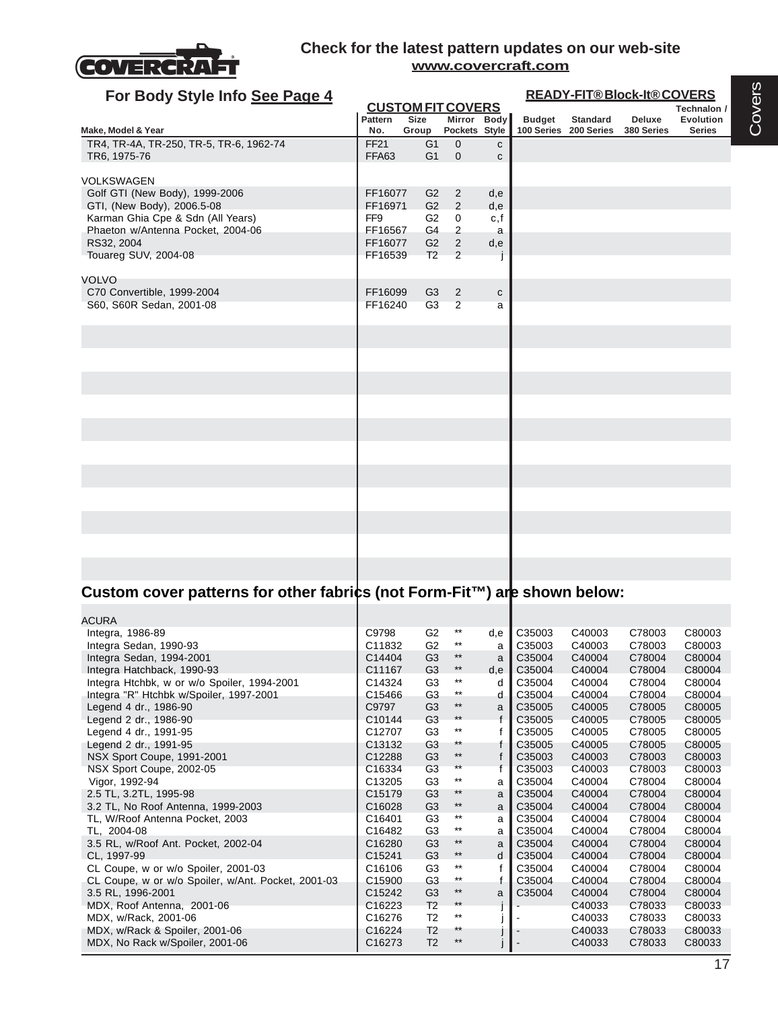

| For Body Style Info See Page 4          | <b>READY-FIT®Block-It®COVERS</b> |                          |                                 |              |               |                                          |                      |                            |  |  |
|-----------------------------------------|----------------------------------|--------------------------|---------------------------------|--------------|---------------|------------------------------------------|----------------------|----------------------------|--|--|
|                                         |                                  | <b>CUSTOM FIT COVERS</b> |                                 |              |               |                                          | Technalon /          |                            |  |  |
| Make, Model & Year                      | Pattern<br>No.                   | Size                     |                                 | Mirror Body  | <b>Budget</b> | <b>Standard</b><br>100 Series 200 Series | Deluxe<br>380 Series | Evolution<br><b>Series</b> |  |  |
| TR4, TR-4A, TR-250, TR-5, TR-6, 1962-74 | <b>FF21</b>                      | Group<br>G <sub>1</sub>  | Pockets Style<br>$\overline{0}$ | $\mathbf{c}$ |               |                                          |                      |                            |  |  |
| TR6, 1975-76                            | FFA63                            | G <sub>1</sub>           | $\mathbf 0$                     | $\mathbf{C}$ |               |                                          |                      |                            |  |  |
| <b>VOLKSWAGEN</b>                       |                                  |                          |                                 |              |               |                                          |                      |                            |  |  |
| Golf GTI (New Body), 1999-2006          | FF16077                          | G2                       | $\overline{2}$                  | d,e          |               |                                          |                      |                            |  |  |
| GTI, (New Body), 2006.5-08              | FF16971                          | G2                       | 2                               | d,e          |               |                                          |                      |                            |  |  |
| Karman Ghia Cpe & Sdn (All Years)       | FF <sub>9</sub>                  | G <sub>2</sub>           | $\mathbf 0$                     | c, f         |               |                                          |                      |                            |  |  |
| Phaeton w/Antenna Pocket, 2004-06       | FF16567                          | G4                       | $\overline{2}$                  | a            |               |                                          |                      |                            |  |  |
| RS32, 2004                              | FF16077                          | G2                       | $\overline{2}$                  | d,e          |               |                                          |                      |                            |  |  |
| Touareg SUV, 2004-08                    | FF16539                          | T2                       | 2                               |              |               |                                          |                      |                            |  |  |
| <b>VOLVO</b>                            |                                  |                          |                                 |              |               |                                          |                      |                            |  |  |
| C70 Convertible, 1999-2004              | FF16099                          | G <sub>3</sub>           | $\overline{2}$                  | $\mathbf{C}$ |               |                                          |                      |                            |  |  |
| S60, S60R Sedan, 2001-08                | FF16240                          | G <sub>3</sub>           | 2                               | a            |               |                                          |                      |                            |  |  |
|                                         |                                  |                          |                                 |              |               |                                          |                      |                            |  |  |
|                                         |                                  |                          |                                 |              |               |                                          |                      |                            |  |  |
|                                         |                                  |                          |                                 |              |               |                                          |                      |                            |  |  |
|                                         |                                  |                          |                                 |              |               |                                          |                      |                            |  |  |
|                                         |                                  |                          |                                 |              |               |                                          |                      |                            |  |  |
|                                         |                                  |                          |                                 |              |               |                                          |                      |                            |  |  |
|                                         |                                  |                          |                                 |              |               |                                          |                      |                            |  |  |
|                                         |                                  |                          |                                 |              |               |                                          |                      |                            |  |  |
|                                         |                                  |                          |                                 |              |               |                                          |                      |                            |  |  |
|                                         |                                  |                          |                                 |              |               |                                          |                      |                            |  |  |
|                                         |                                  |                          |                                 |              |               |                                          |                      |                            |  |  |
|                                         |                                  |                          |                                 |              |               |                                          |                      |                            |  |  |
|                                         |                                  |                          |                                 |              |               |                                          |                      |                            |  |  |
|                                         |                                  |                          |                                 |              |               |                                          |                      |                            |  |  |
|                                         |                                  |                          |                                 |              |               |                                          |                      |                            |  |  |
|                                         |                                  |                          |                                 |              |               |                                          |                      |                            |  |  |

# Custom cover patterns for other fabrics (not Form-Fit™) are shown below:

| ACURA                                              |                    |                |                 |              |        |        |        |        |
|----------------------------------------------------|--------------------|----------------|-----------------|--------------|--------|--------|--------|--------|
| Integra, 1986-89                                   | C9798              | G <sub>2</sub> | $^{\star\star}$ | d,e          | C35003 | C40003 | C78003 | C80003 |
| Integra Sedan, 1990-93                             | C11832             | G <sub>2</sub> | $***$           | a            | C35003 | C40003 | C78003 | C80003 |
| Integra Sedan, 1994-2001                           | C14404             | G <sub>3</sub> | $^{\star\star}$ | a            | C35004 | C40004 | C78004 | C80004 |
| Integra Hatchback, 1990-93                         | C11167             | G <sub>3</sub> | $***$           | d,e          | C35004 | C40004 | C78004 | C80004 |
| Integra Htchbk, w or w/o Spoiler, 1994-2001        | C14324             | G <sub>3</sub> | $***$           | d            | C35004 | C40004 | C78004 | C80004 |
| Integra "R" Htchbk w/Spoiler, 1997-2001            | C15466             | G <sub>3</sub> | $***$           | d            | C35004 | C40004 | C78004 | C80004 |
| Legend 4 dr., 1986-90                              | C9797              | G <sub>3</sub> | $***$           | a            | C35005 | C40005 | C78005 | C80005 |
| Legend 2 dr., 1986-90                              | C <sub>10144</sub> | G <sub>3</sub> | $***$           | f            | C35005 | C40005 | C78005 | C80005 |
| Legend 4 dr., 1991-95                              | C12707             | G <sub>3</sub> | $***$           | f            | C35005 | C40005 | C78005 | C80005 |
| Legend 2 dr., 1991-95                              | C <sub>13132</sub> | G <sub>3</sub> | $***$           | f            | C35005 | C40005 | C78005 | C80005 |
| NSX Sport Coupe, 1991-2001                         | C12288             | G <sub>3</sub> | $***$           | $\mathsf{f}$ | C35003 | C40003 | C78003 | C80003 |
| NSX Sport Coupe, 2002-05                           | C <sub>16334</sub> | G <sub>3</sub> | $***$           | f            | C35003 | C40003 | C78003 | C80003 |
| Vigor, 1992-94                                     | C13205             | G <sub>3</sub> | $***$           | a            | C35004 | C40004 | C78004 | C80004 |
| 2.5 TL, 3.2TL, 1995-98                             | C <sub>15179</sub> | G <sub>3</sub> | $***$           | a            | C35004 | C40004 | C78004 | C80004 |
| 3.2 TL, No Roof Antenna, 1999-2003                 | C16028             | G <sub>3</sub> | $***$           | a            | C35004 | C40004 | C78004 | C80004 |
| TL, W/Roof Antenna Pocket, 2003                    | C16401             | G <sub>3</sub> | $***$           | a            | C35004 | C40004 | C78004 | C80004 |
| TL. 2004-08                                        | C16482             | G <sub>3</sub> | $***$           | a            | C35004 | C40004 | C78004 | C80004 |
| 3.5 RL, w/Roof Ant. Pocket, 2002-04                | C16280             | G <sub>3</sub> | $***$           | a            | C35004 | C40004 | C78004 | C80004 |
| CL, 1997-99                                        | C15241             | G <sub>3</sub> | $***$           | d            | C35004 | C40004 | C78004 | C80004 |
| CL Coupe, w or w/o Spoiler, 2001-03                | C16106             | G <sub>3</sub> | $***$           | f            | C35004 | C40004 | C78004 | C80004 |
| CL Coupe, w or w/o Spoiler, w/Ant. Pocket, 2001-03 | C <sub>15900</sub> | G <sub>3</sub> | $***$           | f            | C35004 | C40004 | C78004 | C80004 |
| 3.5 RL, 1996-2001                                  | C15242             | G <sub>3</sub> | $***$           | a            | C35004 | C40004 | C78004 | C80004 |
| MDX, Roof Antenna, 2001-06                         | C16223             | T <sub>2</sub> | $***$           |              |        | C40033 | C78033 | C80033 |
| MDX, w/Rack, 2001-06                               | C16276             | T <sub>2</sub> | $***$           |              |        | C40033 | C78033 | C80033 |
| MDX, w/Rack & Spoiler, 2001-06                     | C16224             | T <sub>2</sub> | $**$            |              |        | C40033 | C78033 | C80033 |
| MDX, No Rack w/Spoiler, 2001-06                    | C16273             | T <sub>2</sub> | $***$           |              |        | C40033 | C78033 | C80033 |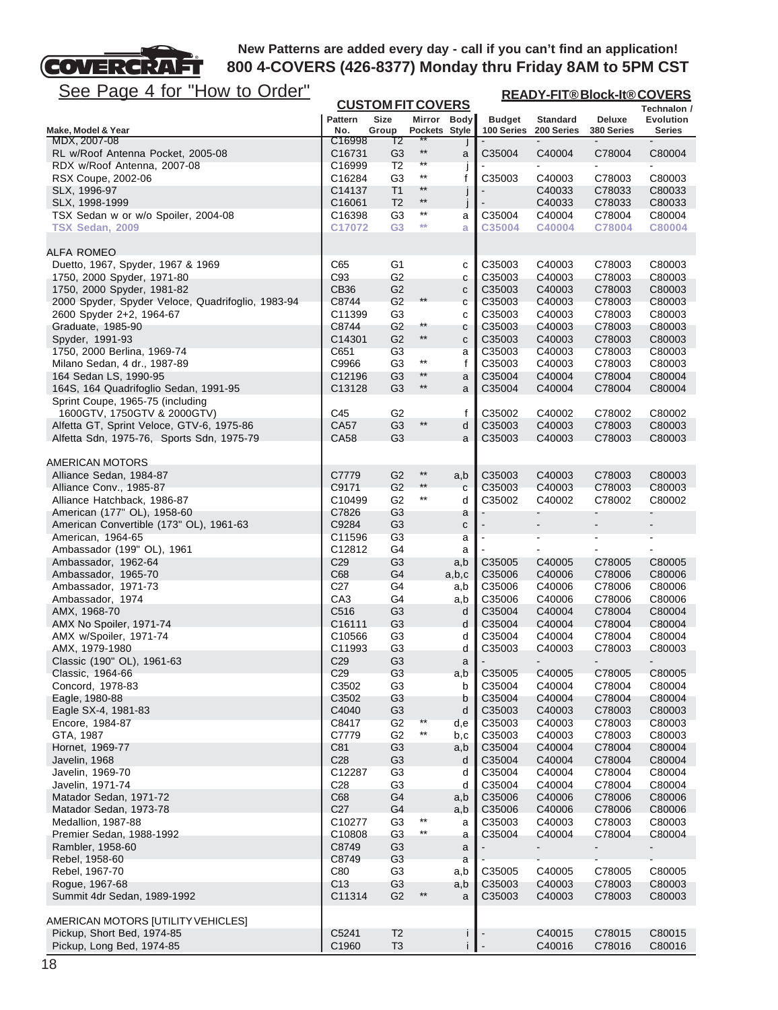

| <u>See Page 4 for "How to Order"</u>               |                        |                                  |                 |                              | <b>READY-FIT®Block-It®COVERS</b> |                               |                              |                            |
|----------------------------------------------------|------------------------|----------------------------------|-----------------|------------------------------|----------------------------------|-------------------------------|------------------------------|----------------------------|
|                                                    |                        | <b>CUSTOM FIT COVERS</b>         |                 |                              |                                  |                               |                              | Technalon /                |
| Make, Model & Year                                 | <b>Pattern</b><br>No.  | <b>Size</b><br>Group             | Pockets Style   | Mirror Body                  | <b>Budget</b><br>100 Series      | <b>Standard</b><br>200 Series | <b>Deluxe</b><br>380 Series  | Evolution<br><b>Series</b> |
| MDX, 2007-08                                       | C16998                 | T2                               |                 |                              |                                  |                               |                              |                            |
| RL w/Roof Antenna Pocket, 2005-08                  | C <sub>16731</sub>     | G <sub>3</sub>                   | $***$<br>**     | a                            | C35004                           | C40004                        | C78004                       | C80004                     |
| RDX w/Roof Antenna, 2007-08<br>RSX Coupe, 2002-06  | C16999<br>C16284       | T <sub>2</sub><br>G <sub>3</sub> | $^{\star\star}$ | $\mathbf{I}$<br>$\mathsf{f}$ | C35003                           | C40003                        | C78003                       | C80003                     |
| SLX, 1996-97                                       | C14137                 | T <sub>1</sub>                   | **              | j                            |                                  | C40033                        | C78033                       | C80033                     |
| SLX, 1998-1999                                     | C16061                 | T <sub>2</sub>                   | $***$           | j                            |                                  | C40033                        | C78033                       | C80033                     |
| TSX Sedan w or w/o Spoiler, 2004-08                | C16398                 | G <sub>3</sub>                   | $^{\star\star}$ | a                            | C35004                           | C40004                        | C78004                       | C80004                     |
| TSX Sedan, 2009                                    | C17072                 | G <sub>3</sub>                   | $**$            | a                            | C35004                           | C40004                        | C78004                       | C80004                     |
| <b>ALFA ROMEO</b>                                  |                        |                                  |                 |                              |                                  |                               |                              |                            |
| Duetto, 1967, Spyder, 1967 & 1969                  | C65                    | G1                               |                 | С                            | C35003                           | C40003                        | C78003                       | C80003                     |
| 1750, 2000 Spyder, 1971-80                         | C93                    | G2                               |                 | C                            | C35003                           | C40003                        | C78003                       | C80003                     |
| 1750, 2000 Spyder, 1981-82                         | CB36                   | G <sub>2</sub>                   |                 | C                            | C35003                           | C40003                        | C78003                       | C80003                     |
| 2000 Spyder, Spyder Veloce, Quadrifoglio, 1983-94  | C8744                  | G <sub>2</sub>                   | $***$           | C                            | C35003                           | C40003                        | C78003                       | C80003                     |
| 2600 Spyder 2+2, 1964-67<br>Graduate, 1985-90      | C11399<br>C8744        | G3<br>G <sub>2</sub>             | $^{\star\star}$ | C                            | C35003<br>C35003                 | C40003<br>C40003              | C78003<br>C78003             | C80003<br>C80003           |
| Spyder, 1991-93                                    | C14301                 | G <sub>2</sub>                   | $^{\star\star}$ | с<br>C                       | C35003                           | C40003                        | C78003                       | C80003                     |
| 1750, 2000 Berlina, 1969-74                        | C651                   | G <sub>3</sub>                   |                 | a                            | C35003                           | C40003                        | C78003                       | C80003                     |
| Milano Sedan, 4 dr., 1987-89                       | C9966                  | G <sub>3</sub>                   | $***$           | f                            | C35003                           | C40003                        | C78003                       | C80003                     |
| 164 Sedan LS, 1990-95                              | C12196                 | G <sub>3</sub>                   | **              | a                            | C35004                           | C40004                        | C78004                       | C80004                     |
| 164S, 164 Quadrifoglio Sedan, 1991-95              | C13128                 | G <sub>3</sub>                   | $^{\star\star}$ | a                            | C35004                           | C40004                        | C78004                       | C80004                     |
| Sprint Coupe, 1965-75 (including                   |                        |                                  |                 |                              |                                  |                               |                              |                            |
| 1600GTV, 1750GTV & 2000GTV)                        | C45                    | G <sub>2</sub>                   |                 | f                            | C35002                           | C40002                        | C78002                       | C80002                     |
| Alfetta GT, Sprint Veloce, GTV-6, 1975-86          | CA57                   | G <sub>3</sub>                   | $^{\star\star}$ | d                            | C35003                           | C40003                        | C78003                       | C80003                     |
| Alfetta Sdn, 1975-76, Sports Sdn, 1975-79          | CA58                   | G <sub>3</sub>                   |                 | a                            | C35003                           | C40003                        | C78003                       | C80003                     |
| AMERICAN MOTORS                                    |                        |                                  |                 |                              |                                  |                               |                              |                            |
| Alliance Sedan, 1984-87<br>Alliance Conv., 1985-87 | C7779<br>C9171         | G <sub>2</sub><br>G <sub>2</sub> | $***$<br>$***$  | a,b                          | C35003<br>C35003                 | C40003<br>C40003              | C78003<br>C78003             | C80003<br>C80003           |
| Alliance Hatchback, 1986-87                        | C10499                 | G <sub>2</sub>                   | $^{\star\star}$ | C<br>d                       | C35002                           | C40002                        | C78002                       | C80002                     |
| American (177" OL), 1958-60                        | C7826                  | G <sub>3</sub>                   |                 | a                            |                                  |                               |                              |                            |
| American Convertible (173" OL), 1961-63            | C9284                  | G <sub>3</sub>                   |                 | C                            |                                  |                               |                              |                            |
| American, 1964-65                                  | C11596                 | G <sub>3</sub>                   |                 | a                            |                                  | ۰                             | $\qquad \qquad \blacksquare$ | ۰                          |
| Ambassador (199" OL), 1961                         | C12812                 | G4                               |                 | a                            |                                  |                               |                              |                            |
| Ambassador, 1962-64                                | C <sub>29</sub>        | G <sub>3</sub>                   |                 | a,b                          | C35005                           | C40005                        | C78005                       | C80005                     |
| Ambassador, 1965-70                                | C68                    | G4                               |                 | a,b,c                        | C35006                           | C40006                        | C78006                       | C80006                     |
| Ambassador, 1971-73                                | C <sub>27</sub><br>CA3 | G4<br>G4                         |                 | a,b                          | C35006<br>C35006                 | C40006<br>C40006              | C78006<br>C78006             | C80006<br>C80006           |
| Ambassador, 1974<br>AMX, 1968-70                   | C516                   | G <sub>3</sub>                   |                 | a,b<br>d                     | C35004                           | C40004                        | C78004                       | C80004                     |
| AMX No Spoiler, 1971-74                            | C <sub>16111</sub>     | G <sub>3</sub>                   |                 | d                            | C35004                           | C40004                        | C78004                       | C80004                     |
| AMX w/Spoiler, 1971-74                             | C <sub>10566</sub>     | G <sub>3</sub>                   |                 | d                            | C35004                           | C40004                        | C78004                       | C80004                     |
| AMX, 1979-1980                                     | C11993                 | G <sub>3</sub>                   |                 | d                            | C35003                           | C40003                        | C78003                       | C80003                     |
| Classic (190" OL), 1961-63                         | C <sub>29</sub>        | G <sub>3</sub>                   |                 | a                            |                                  |                               |                              |                            |
| Classic, 1964-66                                   | C <sub>29</sub>        | G <sub>3</sub>                   |                 | a,b                          | C35005                           | C40005                        | C78005                       | C80005                     |
| Concord, 1978-83                                   | C3502                  | G <sub>3</sub>                   |                 | b                            | C35004                           | C40004                        | C78004                       | C80004                     |
| Eagle, 1980-88                                     | C3502                  | G <sub>3</sub>                   |                 | b                            | C35004                           | C40004                        | C78004                       | C80004                     |
| Eagle SX-4, 1981-83                                | C4040                  | G <sub>3</sub>                   | $***$           | d                            | C35003<br>C35003                 | C40003                        | C78003                       | C80003                     |
| Encore, 1984-87<br>GTA, 1987                       | C8417<br>C7779         | G <sub>2</sub><br>G <sub>2</sub> | $^{\star\star}$ | d,e<br>b,c                   | C35003                           | C40003<br>C40003              | C78003<br>C78003             | C80003<br>C80003           |
| Hornet, 1969-77                                    | C81                    | G <sub>3</sub>                   |                 | a,b                          | C35004                           | C40004                        | C78004                       | C80004                     |
| Javelin, 1968                                      | C <sub>28</sub>        | G <sub>3</sub>                   |                 | d                            | C35004                           | C40004                        | C78004                       | C80004                     |
| Javelin, 1969-70                                   | C12287                 | G <sub>3</sub>                   |                 | d                            | C35004                           | C40004                        | C78004                       | C80004                     |
| Javelin, 1971-74                                   | C <sub>28</sub>        | G <sub>3</sub>                   |                 | d                            | C35004                           | C40004                        | C78004                       | C80004                     |
| Matador Sedan, 1971-72                             | C68                    | G <sub>4</sub>                   |                 | a,b                          | C35006                           | C40006                        | C78006                       | C80006                     |
| Matador Sedan, 1973-78                             | C <sub>27</sub>        | G <sub>4</sub>                   |                 | a,b                          | C35006                           | C40006                        | C78006                       | C80006                     |
| Medallion, 1987-88                                 | C10277                 | G <sub>3</sub>                   | $***$           | a                            | C35003                           | C40003                        | C78003                       | C80003                     |
| Premier Sedan, 1988-1992                           | C10808                 | G <sub>3</sub>                   | $^{\star\star}$ | a                            | C35004                           | C40004                        | C78004                       | C80004                     |
| Rambler, 1958-60                                   | C8749<br>C8749         | G <sub>3</sub><br>G <sub>3</sub> |                 | a                            |                                  |                               |                              |                            |
| Rebel, 1958-60<br>Rebel, 1967-70                   | C80                    | G <sub>3</sub>                   |                 | a<br>a,b                     | C35005                           | C40005                        | C78005                       | C80005                     |
| Rogue, 1967-68                                     | C <sub>13</sub>        | G <sub>3</sub>                   |                 | a,b                          | C35003                           | C40003                        | C78003                       | C80003                     |
| Summit 4dr Sedan, 1989-1992                        | C11314                 | G <sub>2</sub>                   | $\star\star$    | a                            | C35003                           | C40003                        | C78003                       | C80003                     |
| AMERICAN MOTORS [UTILITY VEHICLES]                 |                        |                                  |                 |                              |                                  |                               |                              |                            |
| Pickup, Short Bed, 1974-85                         | C5241                  | T <sub>2</sub>                   |                 | I                            |                                  | C40015                        | C78015                       | C80015                     |
| Pickup, Long Bed, 1974-85                          | C1960                  | T <sub>3</sub>                   |                 | Ť                            |                                  | C40016                        | C78016                       | C80016                     |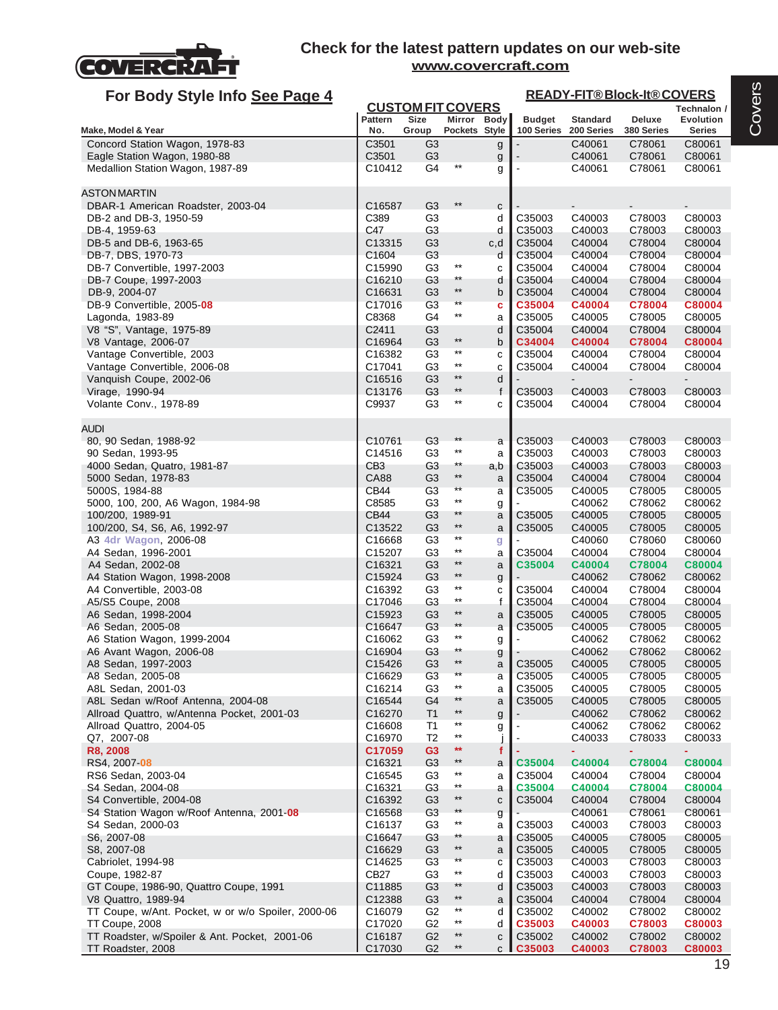

| For Body Style Info See Page 4                                      |                    |                                  |                                    |              |                             |                               | <b>READY-FIT®Block-It®COVERS</b> |                            |
|---------------------------------------------------------------------|--------------------|----------------------------------|------------------------------------|--------------|-----------------------------|-------------------------------|----------------------------------|----------------------------|
|                                                                     |                    | <b>CUSTOM FIT COVERS</b>         |                                    |              |                             |                               |                                  | Technalon /                |
| Make, Model & Year                                                  | Pattern<br>No.     | Size<br>Group                    | Mirror Body<br>Pockets Style       |              | <b>Budget</b><br>100 Series | <b>Standard</b><br>200 Series | Deluxe<br>380 Series             | <b>Evolution</b><br>Series |
| Concord Station Wagon, 1978-83                                      | C3501              | G <sub>3</sub>                   |                                    | g            |                             | C40061                        | C78061                           | C80061                     |
| Eagle Station Wagon, 1980-88                                        | C3501              | G <sub>3</sub>                   |                                    | g            |                             | C40061                        | C78061                           | C80061                     |
| Medallion Station Wagon, 1987-89                                    | C10412             | G4                               | $^{\star\star}$                    | g            |                             | C40061                        | C78061                           | C80061                     |
|                                                                     |                    |                                  |                                    |              |                             |                               |                                  |                            |
| ASTONMARTIN                                                         |                    |                                  |                                    |              |                             |                               |                                  |                            |
| DBAR-1 American Roadster, 2003-04                                   | C16587             | G <sub>3</sub>                   | $***$                              | c            |                             |                               |                                  |                            |
| DB-2 and DB-3, 1950-59                                              | C389<br>C47        | G <sub>3</sub><br>G <sub>3</sub> |                                    | d            | C35003<br>C35003            | C40003<br>C40003              | C78003                           | C80003                     |
| DB-4, 1959-63<br>DB-5 and DB-6, 1963-65                             | C13315             | G <sub>3</sub>                   |                                    | d<br>c,d     | C35004                      | C40004                        | C78003<br>C78004                 | C80003<br>C80004           |
| DB-7, DBS, 1970-73                                                  | C1604              | G <sub>3</sub>                   |                                    | d            | C35004                      | C40004                        | C78004                           | C80004                     |
| DB-7 Convertible, 1997-2003                                         | C15990             | G <sub>3</sub>                   | $^{\star\star}$                    | C            | C35004                      | C40004                        | C78004                           | C80004                     |
| DB-7 Coupe, 1997-2003                                               | C16210             | G <sub>3</sub>                   | $^{\star\star}$                    | d            | C35004                      | C40004                        | C78004                           | C80004                     |
| DB-9, 2004-07                                                       | C <sub>16631</sub> | G <sub>3</sub>                   | $^{\star\star}$                    | b            | C35004                      | C40004                        | C78004                           | C80004                     |
| DB-9 Convertible, 2005-08                                           | C17016             | G <sub>3</sub>                   | $**$                               | c            | C35004                      | C40004                        | C78004                           | C80004                     |
| Lagonda, 1983-89                                                    | C8368              | G4                               | $^{\star\star}$                    | a            | C35005                      | C40005                        | C78005                           | C80005                     |
| V8 "S", Vantage, 1975-89<br>V8 Vantage, 2006-07                     | C2411<br>C16964    | G <sub>3</sub><br>G <sub>3</sub> | $***$                              | d<br>b       | C35004<br>C34004            | C40004<br>C40004              | C78004<br>C78004                 | C80004<br>C80004           |
| Vantage Convertible, 2003                                           | C16382             | G <sub>3</sub>                   | $^{\star\star}$                    | C            | C35004                      | C40004                        | C78004                           | C80004                     |
| Vantage Convertible, 2006-08                                        | C17041             | G <sub>3</sub>                   | $^{\star\star}$                    | C            | C35004                      | C40004                        | C78004                           | C80004                     |
| Vanquish Coupe, 2002-06                                             | C16516             | G <sub>3</sub>                   | $^{\star\star}$                    | d            |                             |                               |                                  |                            |
| Virage, 1990-94                                                     | C13176             | G <sub>3</sub>                   | $\star\star$                       | $\mathsf{f}$ | C35003                      | C40003                        | C78003                           | C80003                     |
| Volante Conv., 1978-89                                              | C9937              | G <sub>3</sub>                   | $^{\star\star}$                    | c            | C35004                      | C40004                        | C78004                           | C80004                     |
|                                                                     |                    |                                  |                                    |              |                             |                               |                                  |                            |
| audi                                                                |                    |                                  | $***$                              |              |                             |                               |                                  |                            |
| 80, 90 Sedan, 1988-92                                               | C10761<br>C14516   | G <sub>3</sub><br>G <sub>3</sub> | $^{\star\star}$                    | a            | C35003<br>C35003            | C40003<br>C40003              | C78003                           | C80003                     |
| 90 Sedan, 1993-95<br>4000 Sedan, Quatro, 1981-87                    | CB <sub>3</sub>    | G <sub>3</sub>                   | $^{\star\star}$                    | a<br>a,b     | C35003                      | C40003                        | C78003<br>C78003                 | C80003<br>C80003           |
| 5000 Sedan, 1978-83                                                 | CA88               | G <sub>3</sub>                   | $***$                              | a            | C35004                      | C40004                        | C78004                           | C80004                     |
| 5000S, 1984-88                                                      | CB44               | G <sub>3</sub>                   | $**$                               | a            | C35005                      | C40005                        | C78005                           | C80005                     |
| 5000, 100, 200, A6 Wagon, 1984-98                                   | C8585              | G <sub>3</sub>                   | $^{\star\star}$                    | g            |                             | C40062                        | C78062                           | C80062                     |
| 100/200, 1989-91                                                    | <b>CB44</b>        | G <sub>3</sub>                   | $**$                               | a            | C35005                      | C40005                        | C78005                           | C80005                     |
| 100/200, S4, S6, A6, 1992-97                                        | C13522             | G <sub>3</sub>                   | $^{\star\star}$                    | a            | C35005                      | C40005                        | C78005                           | C80005                     |
| A3 4dr Wagon, 2006-08                                               | C16668             | G <sub>3</sub>                   | $^{\star\star}$                    | g            |                             | C40060                        | C78060                           | C80060                     |
| A4 Sedan, 1996-2001                                                 | C15207             | G <sub>3</sub>                   | $^{\star\star}$<br>$^{\star\star}$ | a            | C35004                      | C40004                        | C78004                           | C80004                     |
| A4 Sedan, 2002-08<br>A4 Station Wagon, 1998-2008                    | C16321<br>C15924   | G <sub>3</sub><br>G <sub>3</sub> | $\star\star$                       | a            | C35004                      | C40004<br>C40062              | C78004<br>C78062                 | C80004<br>C80062           |
| A4 Convertible, 2003-08                                             | C16392             | G <sub>3</sub>                   | $^{\star\star}$                    | g<br>C       | C35004                      | C40004                        | C78004                           | C80004                     |
| A5/S5 Coupe, 2008                                                   | C17046             | G <sub>3</sub>                   | $^{\star\star}$                    | f            | C35004                      | C40004                        | C78004                           | C80004                     |
| A6 Sedan, 1998-2004                                                 | C15923             | G <sub>3</sub>                   | $^{\star\star}$                    | a            | C35005                      | C40005                        | C78005                           | C80005                     |
| A6 Sedan, 2005-08                                                   | C16647             | G <sub>3</sub>                   | $^{\star\star}$                    | a            | C35005                      | C40005                        | C78005                           | C80005                     |
| A6 Station Wagon, 1999-2004                                         | C16062             | G <sub>3</sub>                   | $^{\star\star}$                    | g            |                             | C40062                        | C78062                           | C80062                     |
| A6 Avant Wagon, 2006-08                                             | C16904             | G <sub>3</sub>                   | **<br>$***$                        | g            |                             | C40062                        | C78062                           | C80062                     |
| A8 Sedan, 1997-2003                                                 | C15426             | G <sub>3</sub>                   | $***$                              | a            | C35005                      | C40005                        | C78005                           | C80005                     |
| A8 Sedan, 2005-08<br>A8L Sedan, 2001-03                             | C16629<br>C16214   | G <sub>3</sub><br>G <sub>3</sub> | $^{\star\star}$                    | a<br>a       | C35005<br>C35005            | C40005<br>C40005              | C78005<br>C78005                 | C80005<br>C80005           |
| A8L Sedan w/Roof Antenna, 2004-08                                   | C16544             | G <sub>4</sub>                   | **                                 | a            | C35005                      | C40005                        | C78005                           | C80005                     |
| Allroad Quattro, w/Antenna Pocket, 2001-03                          | C16270             | T1                               | $***$                              | g            |                             | C40062                        | C78062                           | C80062                     |
| Allroad Quattro, 2004-05                                            | C16608             | T <sub>1</sub>                   | $***$                              | g            | $\blacksquare$              | C40062                        | C78062                           | C80062                     |
| Q7, 2007-08                                                         | C16970             | T <sub>2</sub>                   | $^{\star\star}$                    |              |                             | C40033                        | C78033                           | C80033                     |
| R8, 2008                                                            | C17059             | G <sub>3</sub>                   | $\star\star$                       | f            |                             | ٠                             | ٠                                | ٠                          |
| RS4, 2007 08                                                        | C16321             | G <sub>3</sub>                   | $^{\star\star}$                    | a            | C35004                      | C40004                        | C78004                           | C80004                     |
| RS6 Sedan, 2003-04                                                  | C16545             | G <sub>3</sub>                   | $^{\star\star}$<br>$^{\star\star}$ | a            | C35004                      | C40004                        | C78004                           | C80004                     |
| S4 Sedan, 2004-08                                                   | C16321             | G <sub>3</sub>                   | $^{\star\star}$                    | a            | C35004                      | C40004                        | C78004                           | C80004                     |
| S4 Convertible, 2004-08<br>S4 Station Wagon w/Roof Antenna, 2001-08 | C16392<br>C16568   | G <sub>3</sub><br>G <sub>3</sub> | $**$                               | ${\bf c}$    | C35004                      | C40004<br>C40061              | C78004<br>C78061                 | C80004<br>C80061           |
| S4 Sedan, 2000-03                                                   | C16137             | G <sub>3</sub>                   | $^{\star\star}$                    | g<br>a       | C35003                      | C40003                        | C78003                           | C80003                     |
| S6, 2007-08                                                         | C16647             | G3                               | $^{\star\star}$                    | a            | C35005                      | C40005                        | C78005                           | C80005                     |
| S8, 2007-08                                                         | C16629             | G3                               | $^{\star\star}$                    | a            | C35005                      | C40005                        | C78005                           | C80005                     |
| Cabriolet, 1994-98                                                  | C14625             | G <sub>3</sub>                   | $\star\star$                       | C            | C35003                      | C40003                        | C78003                           | C80003                     |
| Coupe, 1982-87                                                      | CB27               | G <sub>3</sub>                   | $^{\star\star}$                    | d            | C35003                      | C40003                        | C78003                           | C80003                     |
| GT Coupe, 1986-90, Quattro Coupe, 1991                              | C11885             | G <sub>3</sub>                   | $**$                               | d            | C35003                      | C40003                        | C78003                           | C80003                     |
| V8 Quattro, 1989-94                                                 | C12388             | G <sub>3</sub>                   | $^{\star\star}$                    | a            | C35004                      | C40004                        | C78004                           | C80004                     |
| TT Coupe, w/Ant. Pocket, w or w/o Spoiler, 2000-06                  | C16079             | G <sub>2</sub>                   | $***$<br>$^{\star\star}$           | d            | C35002                      | C40002                        | C78002                           | C80002                     |
| TT Coupe, 2008<br>TT Roadster, w/Spoiler & Ant. Pocket, 2001-06     | C17020<br>C16187   | G <sub>2</sub><br>G <sub>2</sub> | $^{\star\star}$                    | d<br>С       | C35003<br>C35002            | C40003<br>C40002              | C78003<br>C78002                 | C80003<br>C80002           |
| TT Roadster, 2008                                                   | C17030             | G <sub>2</sub>                   | $^{\star\star}$                    | C            | C35003                      | C40003                        | C78003                           | C80003                     |
|                                                                     |                    |                                  |                                    |              |                             |                               |                                  |                            |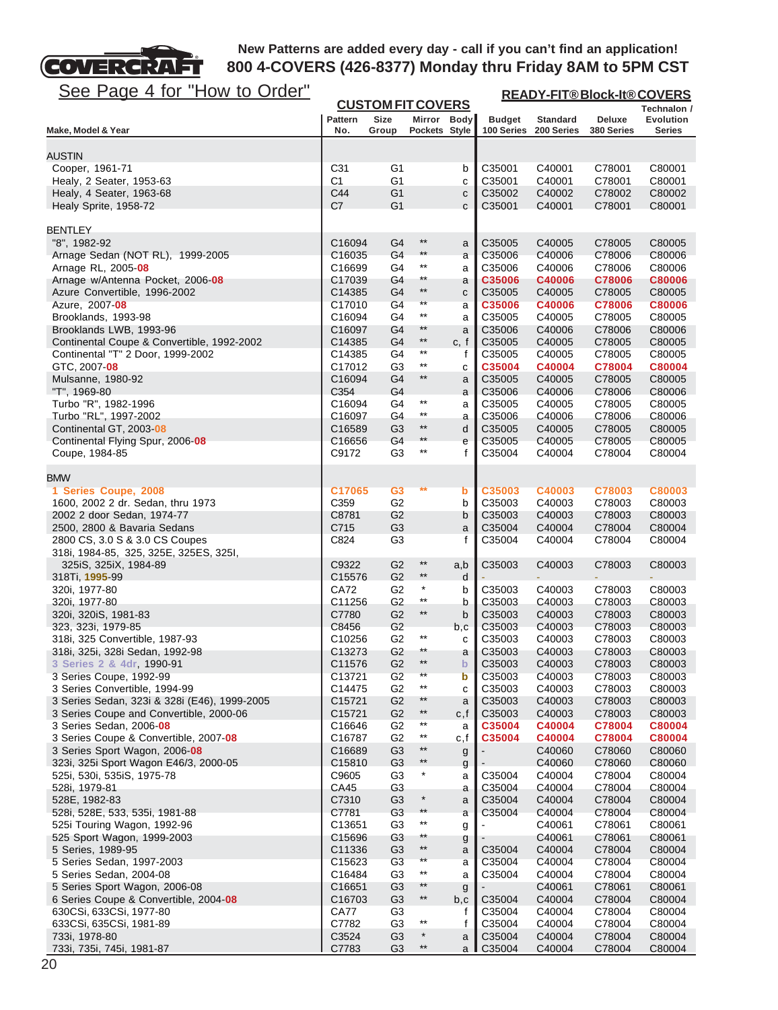

| <u>See Page 4 for "How to Order"</u>                                            | <b>READY-FIT®Block-It®COVERS</b><br><b>CUSTOM FIT COVERS</b> |                                  |                              |                             |                             |                               |                             |                            |  |  |
|---------------------------------------------------------------------------------|--------------------------------------------------------------|----------------------------------|------------------------------|-----------------------------|-----------------------------|-------------------------------|-----------------------------|----------------------------|--|--|
|                                                                                 |                                                              |                                  |                              |                             |                             |                               |                             | Technalon /                |  |  |
| Make, Model & Year                                                              | <b>Pattern</b><br>No.                                        | Size<br>Group                    | Mirror Body<br>Pockets Style |                             | <b>Budget</b><br>100 Series | <b>Standard</b><br>200 Series | <b>Deluxe</b><br>380 Series | <b>Evolution</b><br>Series |  |  |
|                                                                                 |                                                              |                                  |                              |                             |                             |                               |                             |                            |  |  |
| <b>AUSTIN</b>                                                                   |                                                              |                                  |                              |                             |                             |                               |                             |                            |  |  |
| Cooper, 1961-71                                                                 | C <sub>31</sub>                                              | G <sub>1</sub>                   |                              | b                           | C35001                      | C40001                        | C78001                      | C80001                     |  |  |
| Healy, 2 Seater, 1953-63                                                        | C1                                                           | G1                               |                              | C                           | C35001                      | C40001                        | C78001                      | C80001                     |  |  |
| Healy, 4 Seater, 1963-68<br>Healy Sprite, 1958-72                               | C44<br>C7                                                    | G1<br>G <sub>1</sub>             |                              | $\mathbf C$<br>$\mathbf{C}$ | C35002<br>C35001            | C40002<br>C40001              | C78002<br>C78001            | C80002<br>C80001           |  |  |
|                                                                                 |                                                              |                                  |                              |                             |                             |                               |                             |                            |  |  |
| <b>BENTLEY</b>                                                                  |                                                              |                                  |                              |                             |                             |                               |                             |                            |  |  |
| "8", 1982-92                                                                    | C16094                                                       | G4                               | $^{\star\star}$              | a                           | C35005                      | C40005                        | C78005                      | C80005                     |  |  |
| Arnage Sedan (NOT RL), 1999-2005                                                | C16035                                                       | G <sub>4</sub>                   | $***$<br>$***$               | a                           | C35006                      | C40006                        | C78006                      | C80006                     |  |  |
| Arnage RL, 2005-08<br>Arnage w/Antenna Pocket, 2006-08                          | C16699<br>C17039                                             | G4<br>G4                         | $***$                        | a<br>a                      | C35006<br>C35006            | C40006<br>C40006              | C78006<br>C78006            | C80006<br><b>C80006</b>    |  |  |
| Azure Convertible, 1996-2002                                                    | C14385                                                       | G4                               | $^{\star\star}$              | C                           | C35005                      | C40005                        | C78005                      | C80005                     |  |  |
| Azure, 2007 08                                                                  | C17010                                                       | G4                               | **                           | a                           | C35006                      | C40006                        | C78006                      | <b>C80006</b>              |  |  |
| Brooklands, 1993-98                                                             | C16094                                                       | G4                               | **                           | a                           | C35005                      | C40005                        | C78005                      | C80005                     |  |  |
| Brooklands LWB, 1993-96                                                         | C16097                                                       | G4                               | **                           | a                           | C35006                      | C40006                        | C78006                      | C80006                     |  |  |
| Continental Coupe & Convertible, 1992-2002<br>Continental "T" 2 Door, 1999-2002 | C14385<br>C14385                                             | G4<br>G4                         | $***$<br>$***$               | c, f<br>f                   | C35005<br>C35005            | C40005<br>C40005              | C78005<br>C78005            | C80005<br>C80005           |  |  |
| GTC, 2007- <b>08</b>                                                            | C17012                                                       | G <sub>3</sub>                   | $^{\star\star}$              | C                           | C35004                      | C40004                        | C78004                      | C80004                     |  |  |
| Mulsanne, 1980-92                                                               | C16094                                                       | G4                               | $***$                        | a                           | C35005                      | C40005                        | C78005                      | C80005                     |  |  |
| "T", 1969-80                                                                    | C354                                                         | G4                               |                              | a                           | C35006                      | C40006                        | C78006                      | C80006                     |  |  |
| Turbo "R", 1982-1996                                                            | C16094                                                       | G4                               | $***$                        | a                           | C35005                      | C40005                        | C78005                      | C80005                     |  |  |
| Turbo "RL", 1997-2002                                                           | C16097                                                       | G4                               | $***$<br>$^{\star\star}$     | a                           | C35006                      | C40006                        | C78006                      | C80006                     |  |  |
| Continental GT, 2003-08<br>Continental Flying Spur, 2006-08                     | C16589<br>C16656                                             | G <sub>3</sub><br>G <sub>4</sub> | $***$                        | d<br>e                      | C35005<br>C35005            | C40005<br>C40005              | C78005<br>C78005            | C80005<br>C80005           |  |  |
| Coupe, 1984-85                                                                  | C9172                                                        | G <sub>3</sub>                   | $^{\star\star}$              | f                           | C35004                      | C40004                        | C78004                      | C80004                     |  |  |
|                                                                                 |                                                              |                                  |                              |                             |                             |                               |                             |                            |  |  |
| <b>BMW</b>                                                                      |                                                              |                                  |                              |                             |                             |                               |                             |                            |  |  |
| 1 Series Coupe, 2008                                                            | C17065                                                       | G <sub>3</sub>                   | **                           | $\mathbf b$                 | C35003                      | C40003                        | C78003                      | C80003                     |  |  |
| 1600, 2002 2 dr. Sedan, thru 1973                                               | C359                                                         | G <sub>2</sub>                   |                              | b                           | C35003                      | C40003                        | C78003                      | C80003                     |  |  |
| 2002 2 door Sedan, 1974-77                                                      | C8781                                                        | G <sub>2</sub>                   |                              | b                           | C35003                      | C40003                        | C78003                      | C80003                     |  |  |
| 2500, 2800 & Bavaria Sedans<br>2800 CS, 3.0 S & 3.0 CS Coupes                   | C715<br>C824                                                 | G <sub>3</sub><br>G <sub>3</sub> |                              | a<br>f                      | C35004<br>C35004            | C40004<br>C40004              | C78004<br>C78004            | C80004<br>C80004           |  |  |
| 318i, 1984-85, 325, 325E, 325ES, 325I,                                          |                                                              |                                  |                              |                             |                             |                               |                             |                            |  |  |
| 325iS, 325iX, 1984-89                                                           | C9322                                                        | G <sub>2</sub>                   | $***$                        | a,b                         | C35003                      | C40003                        | C78003                      | C80003                     |  |  |
| 318Ti, 1995-99                                                                  | C15576                                                       | G <sub>2</sub>                   | $^{\star\star}$              | d                           |                             |                               |                             |                            |  |  |
| 320i, 1977-80                                                                   | CA72                                                         | G <sub>2</sub>                   | $\star$<br>$^{\star\star}$   | b                           | C35003                      | C40003                        | C78003                      | C80003                     |  |  |
| 320i, 1977-80<br>320i, 320iS, 1981-83                                           | C11256<br>C7780                                              | G <sub>2</sub><br>G <sub>2</sub> | $^{\star\star}$              | b<br>b                      | C35003<br>C35003            | C40003<br>C40003              | C78003<br>C78003            | C80003<br>C80003           |  |  |
| 323, 323i, 1979-85                                                              | C8456                                                        | G <sub>2</sub>                   |                              | b,c                         | C35003                      | C40003                        | C78003                      | C80003                     |  |  |
| 318i, 325 Convertible, 1987-93                                                  | C10256                                                       | G2                               | $***$                        | с                           | C35003                      | C40003                        | C78003                      | C80003                     |  |  |
| 318i, 325i, 328i Sedan, 1992-98                                                 | C13273                                                       | G <sub>2</sub>                   | $***$                        | a                           | C35003                      | C40003                        | C78003                      | C80003                     |  |  |
| 3 Series 2 & 4dr, 1990-91                                                       | C11576                                                       | G <sub>2</sub>                   | **                           | $\mathsf b$                 | C35003                      | C40003                        | C78003                      | C80003                     |  |  |
| 3 Series Coupe, 1992-99                                                         | C13721                                                       | G <sub>2</sub>                   | **                           | b                           | C35003                      | C40003                        | C78003                      | C80003                     |  |  |
| 3 Series Convertible, 1994-99                                                   | C14475                                                       | G <sub>2</sub>                   | $^{\star\star}$              | с                           | C35003                      | C40003                        | C78003                      | C80003                     |  |  |
| 3 Series Sedan, 323i & 328i (E46), 1999-2005                                    | C15721                                                       | G <sub>2</sub>                   | $^{\star\star}$<br>$***$     | a                           | C35003                      | C40003                        | C78003                      | C80003                     |  |  |
| 3 Series Coupe and Convertible, 2000-06<br>3 Series Sedan, 2006-08              | C15721<br>C16646                                             | G <sub>2</sub><br>G <sub>2</sub> | $***$                        | c, f<br>a                   | C35003<br>C35004            | C40003<br>C40004              | C78003<br>C78004            | C80003<br>C80004           |  |  |
| 3 Series Coupe & Convertible, 2007-08                                           | C16787                                                       | G <sub>2</sub>                   | $***$                        | c,f                         | C35004                      | C40004                        | C78004                      | C80004                     |  |  |
| 3 Series Sport Wagon, 2006-08                                                   | C16689                                                       | G <sub>3</sub>                   | $***$                        | g                           |                             | C40060                        | C78060                      | C80060                     |  |  |
| 323i, 325i Sport Wagon E46/3, 2000-05                                           | C15810                                                       | G <sub>3</sub>                   | $^{\star\star}$              | g                           |                             | C40060                        | C78060                      | C80060                     |  |  |
| 525i, 530i, 535iS, 1975-78                                                      | C9605                                                        | G <sub>3</sub>                   | $\star$                      | a                           | C35004                      | C40004                        | C78004                      | C80004                     |  |  |
| 528i, 1979-81                                                                   | CA45                                                         | G3                               |                              | а                           | C35004                      | C40004                        | C78004                      | C80004                     |  |  |
| 528E, 1982-83                                                                   | C7310                                                        | G3                               | $\ast$                       | a                           | C35004                      | C40004                        | C78004                      | C80004                     |  |  |
| 528i, 528E, 533, 535i, 1981-88                                                  | C7781                                                        | G <sub>3</sub>                   | $***$<br>$^{\star\star}$     | a                           | C35004                      | C40004                        | C78004                      | C80004                     |  |  |
| 525i Touring Wagon, 1992-96<br>525 Sport Wagon, 1999-2003                       | C13651<br>C15696                                             | G3<br>G <sub>3</sub>             | **                           | g                           |                             | C40061<br>C40061              | C78061<br>C78061            | C80061<br>C80061           |  |  |
| 5 Series, 1989-95                                                               | C11336                                                       | G3                               | $^{\star\star}$              | g<br>a                      | C35004                      | C40004                        | C78004                      | C80004                     |  |  |
| 5 Series Sedan, 1997-2003                                                       | C15623                                                       | G3                               | $***$                        | a                           | C35004                      | C40004                        | C78004                      | C80004                     |  |  |
| 5 Series Sedan, 2004-08                                                         | C16484                                                       | G <sub>3</sub>                   | $^{\star\star}$              | a                           | C35004                      | C40004                        | C78004                      | C80004                     |  |  |
| 5 Series Sport Wagon, 2006-08                                                   | C16651                                                       | G3                               | **                           | g                           |                             | C40061                        | C78061                      | C80061                     |  |  |
| 6 Series Coupe & Convertible, 2004 08                                           | C16703                                                       | G <sub>3</sub>                   | $^{\star\star}$              | b, c                        | C35004                      | C40004                        | C78004                      | C80004                     |  |  |
| 630CSi, 633CSi, 1977-80                                                         | CA77                                                         | G3                               |                              | f                           | C35004                      | C40004                        | C78004                      | C80004                     |  |  |
| 633CSi, 635CSi, 1981-89                                                         | C7782<br>C3524                                               | G3<br>G <sub>3</sub>             | $***$<br>$\ast$              | f                           | C35004<br>C35004            | C40004<br>C40004              | C78004<br>C78004            | C80004<br>C80004           |  |  |
| 733i, 1978-80<br>733i, 735i, 745i, 1981-87                                      | C7783                                                        | G <sub>3</sub>                   | $^{\star\star}$              | a<br>a I                    | C35004                      | C40004                        | C78004                      | C80004                     |  |  |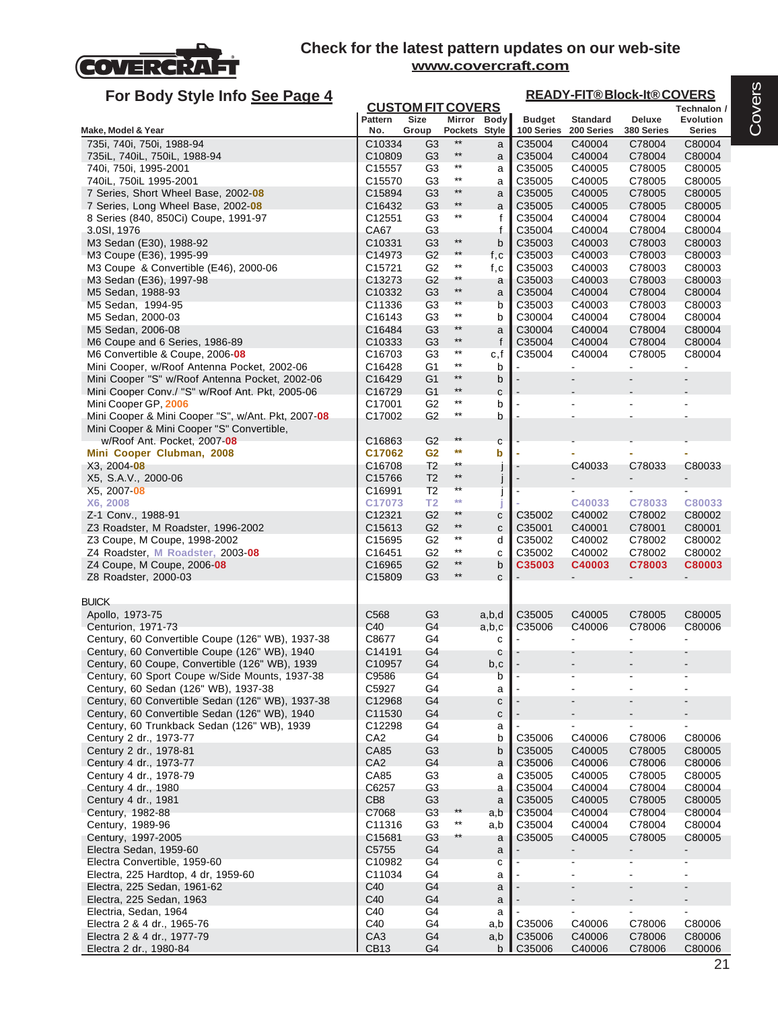

| For Body Style Info See Page 4                                                                   |                              |                                  |                          |             |                             |                               | <b>READY-FIT®Block-It®COVERS</b> |                            |  |
|--------------------------------------------------------------------------------------------------|------------------------------|----------------------------------|--------------------------|-------------|-----------------------------|-------------------------------|----------------------------------|----------------------------|--|
|                                                                                                  |                              | <b>CUSTOM FIT COVERS</b>         |                          |             |                             |                               |                                  | Technalon /                |  |
| Make, Model & Year                                                                               | <b>Pattern</b><br>No.        | <b>Size</b><br>Group             | Pockets Style            | Mirror Body | <b>Budget</b><br>100 Series | <b>Standard</b><br>200 Series | Deluxe<br>380 Series             | Evolution<br><b>Series</b> |  |
| 735i, 740i, 750i, 1988-94                                                                        | C10334                       | G3                               | $***$                    | a           | C35004                      | C40004                        | C78004                           | C80004                     |  |
| 735iL, 740iL, 750iL, 1988-94                                                                     | C10809                       | G <sub>3</sub>                   | $***$                    | a           | C35004                      | C40004                        | C78004                           | C80004                     |  |
| 740i, 750i, 1995-2001                                                                            | C <sub>15557</sub>           | G <sub>3</sub>                   | $^{\star\star}$          | a           | C35005                      | C40005                        | C78005                           | C80005                     |  |
| 740iL, 750iL 1995-2001                                                                           | C15570                       | G <sub>3</sub>                   | $***$                    | a           | C35005                      | C40005                        | C78005                           | C80005                     |  |
| 7 Series, Short Wheel Base, 2002-08                                                              | C15894                       | G <sub>3</sub>                   | $***$<br>$***$           | a           | C35005                      | C40005                        | C78005                           | C80005                     |  |
| 7 Series, Long Wheel Base, 2002-08                                                               | C <sub>16432</sub><br>C12551 | G <sub>3</sub><br>G <sub>3</sub> | $^{\star\star}$          | a<br>f      | C35005<br>C35004            | C40005<br>C40004              | C78005<br>C78004                 | C80005<br>C80004           |  |
| 8 Series (840, 850Ci) Coupe, 1991-97<br>3.0SI, 1976                                              | CA67                         | G <sub>3</sub>                   |                          | f           | C35004                      | C40004                        | C78004                           | C80004                     |  |
| M3 Sedan (E30), 1988-92                                                                          | C10331                       | G <sub>3</sub>                   | $^{\star\star}$          | b           | C35003                      | C40003                        | C78003                           | C80003                     |  |
| M3 Coupe (E36), 1995-99                                                                          | C14973                       | G <sub>2</sub>                   | $***$                    | f,c         | C35003                      | C40003                        | C78003                           | C80003                     |  |
| M3 Coupe & Convertible (E46), 2000-06                                                            | C <sub>15721</sub>           | G <sub>2</sub>                   | $^{\star\star}$          | f, c        | C35003                      | C40003                        | C78003                           | C80003                     |  |
| M3 Sedan (E36), 1997-98                                                                          | C13273                       | G <sub>2</sub>                   | $***$                    | a           | C35003                      | C40003                        | C78003                           | C80003                     |  |
| M5 Sedan, 1988-93                                                                                | C <sub>10332</sub>           | G <sub>3</sub>                   | $^{\star\star}$<br>$***$ | a           | C35004                      | C40004                        | C78004                           | C80004                     |  |
| M5 Sedan, 1994-95                                                                                | C11336                       | G <sub>3</sub>                   | $^{\star\star}$          | b           | C35003                      | C40003                        | C78003                           | C80003                     |  |
| M5 Sedan, 2000-03<br>M5 Sedan, 2006-08                                                           | C16143<br>C16484             | G <sub>3</sub><br>G <sub>3</sub> | **                       | b<br>a      | C30004<br>C30004            | C40004<br>C40004              | C78004<br>C78004                 | C80004<br>C80004           |  |
| M6 Coupe and 6 Series, 1986-89                                                                   | C10333                       | G <sub>3</sub>                   | $***$                    | f           | C35004                      | C40004                        | C78004                           | C80004                     |  |
| M6 Convertible & Coupe, 2006-08                                                                  | C <sub>16703</sub>           | G <sub>3</sub>                   | $^{\star\star}$          | c,f         | C35004                      | C40004                        | C78005                           | C80004                     |  |
| Mini Cooper, w/Roof Antenna Pocket, 2002-06                                                      | C16428                       | G1                               | $^{\star\star}$          | b           |                             |                               |                                  | ä,                         |  |
| Mini Cooper "S" w/Roof Antenna Pocket, 2002-06                                                   | C16429                       | G <sub>1</sub>                   | $^{\star\star}$          | b           |                             |                               |                                  |                            |  |
| Mini Cooper Conv./ "S" w/Roof Ant. Pkt, 2005-06                                                  | C16729                       | G <sub>1</sub>                   | $**$                     | С           |                             |                               |                                  |                            |  |
| Mini Cooper GP, 2006                                                                             | C17001                       | G <sub>2</sub>                   | $***$<br>$^{\star\star}$ | b           |                             |                               |                                  |                            |  |
| Mini Cooper & Mini Cooper "S", w/Ant. Pkt, 2007-08<br>Mini Cooper & Mini Cooper "S" Convertible, | C17002                       | G <sub>2</sub>                   |                          | b           |                             |                               |                                  |                            |  |
| w/Roof Ant. Pocket, 2007-08                                                                      | C <sub>16863</sub>           | G <sub>2</sub>                   | $***$                    | С           |                             |                               |                                  |                            |  |
| Mini Cooper Clubman, 2008                                                                        | C17062                       | G <sub>2</sub>                   | $**$                     | b           |                             |                               |                                  |                            |  |
| X3, 2004-08                                                                                      | C16708                       | T <sub>2</sub>                   | **                       |             |                             | C40033                        | C78033                           | C80033                     |  |
| X5, S.A.V., 2000-06                                                                              | C <sub>15766</sub>           | T <sub>2</sub>                   | $^{\star\star}$          |             |                             |                               |                                  | ۰.                         |  |
| X5, 2007 08                                                                                      | C16991                       | T <sub>2</sub>                   | **                       |             |                             |                               |                                  |                            |  |
| X6, 2008                                                                                         | C17073                       | T <sub>2</sub>                   | $**$                     |             |                             | C40033                        | C78033                           | C80033                     |  |
| Z-1 Conv., 1988-91                                                                               | C12321                       | G <sub>2</sub>                   | $**$<br>$***$            | C           | C35002                      | C40002                        | C78002                           | C80002                     |  |
| Z3 Roadster, M Roadster, 1996-2002<br>Z3 Coupe, M Coupe, 1998-2002                               | C15613<br>C <sub>15695</sub> | G <sub>2</sub><br>G <sub>2</sub> | $^{\star\star}$          | С<br>d      | C35001<br>C35002            | C40001<br>C40002              | C78001<br>C78002                 | C80001<br>C80002           |  |
| Z4 Roadster, M Roadster, 2003-08                                                                 | C <sub>16451</sub>           | G <sub>2</sub>                   | $^{\star\star}$          | C           | C35002                      | C40002                        | C78002                           | C80002                     |  |
| Z4 Coupe, M Coupe, 2006- <b>08</b>                                                               | C16965                       | G <sub>2</sub>                   | $***$                    | b           | C35003                      | C40003                        | C78003                           | C80003                     |  |
| Z8 Roadster, 2000-03                                                                             | C <sub>15809</sub>           | G <sub>3</sub>                   | $^{\star\star}$          | C           |                             |                               |                                  |                            |  |
|                                                                                                  |                              |                                  |                          |             |                             |                               |                                  |                            |  |
| <b>BUICK</b>                                                                                     |                              |                                  |                          |             |                             |                               |                                  |                            |  |
| Apollo, 1973-75                                                                                  | C568                         | G <sub>3</sub>                   |                          | a,b,d       | C35005                      | C40005                        | C78005                           | C80005                     |  |
| Centurion, 1971-73<br>Century, 60 Convertible Coupe (126" WB), 1937-38                           | C40<br>C8677                 | G4<br>G4                         |                          | a,b,c<br>с  | C35006                      | C40006                        | C78006                           | C80006                     |  |
| Century, 60 Convertible Coupe (126" WB), 1940                                                    | C14191                       | G4                               |                          | с           |                             |                               |                                  |                            |  |
| Century, 60 Coupe, Convertible (126" WB), 1939                                                   | C <sub>10957</sub>           | G4                               |                          | b, c        |                             |                               |                                  |                            |  |
| Century, 60 Sport Coupe w/Side Mounts, 1937-38                                                   | C9586                        | G4                               |                          | b           |                             |                               |                                  |                            |  |
| Century, 60 Sedan (126" WB), 1937-38                                                             | C5927                        | G4                               |                          | а           |                             |                               |                                  |                            |  |
| Century, 60 Convertible Sedan (126" WB), 1937-38                                                 | C12968                       | G <sub>4</sub>                   |                          | С           |                             |                               |                                  |                            |  |
| Century, 60 Convertible Sedan (126" WB), 1940                                                    | C <sub>11530</sub>           | G <sub>4</sub>                   |                          | С           |                             |                               |                                  |                            |  |
| Century, 60 Trunkback Sedan (126" WB), 1939                                                      | C12298<br>CA <sub>2</sub>    | G <sub>4</sub><br>G4             |                          | a<br>b      | C35006                      | C40006                        | C78006                           | C80006                     |  |
| Century 2 dr., 1973-77<br>Century 2 dr., 1978-81                                                 | <b>CA85</b>                  | G <sub>3</sub>                   |                          | b           | C35005                      | C40005                        | C78005                           | C80005                     |  |
| Century 4 dr., 1973-77                                                                           | CA <sub>2</sub>              | G <sub>4</sub>                   |                          | a           | C35006                      | C40006                        | C78006                           | C80006                     |  |
| Century 4 dr., 1978-79                                                                           | CA85                         | G <sub>3</sub>                   |                          | а           | C35005                      | C40005                        | C78005                           | C80005                     |  |
| Century 4 dr., 1980                                                                              | C6257                        | G <sub>3</sub>                   |                          | a           | C35004                      | C40004                        | C78004                           | C80004                     |  |
| Century 4 dr., 1981                                                                              | CB <sub>8</sub>              | G <sub>3</sub>                   |                          | a           | C35005                      | C40005                        | C78005                           | C80005                     |  |
| Century, 1982-88                                                                                 | C7068                        | G <sub>3</sub>                   |                          | a,b         | C35004                      | C40004                        | C78004                           | C80004                     |  |
| Century, 1989-96                                                                                 | C11316                       | G <sub>3</sub>                   | $^{\star\star}$          | a,b         | C35004                      | C40004                        | C78004                           | C80004                     |  |
| Century, 1997-2005                                                                               | C15681                       | G <sub>3</sub>                   | **                       | a           | C35005                      | C40005                        | C78005                           | C80005                     |  |
| Electra Sedan, 1959-60<br>Electra Convertible, 1959-60                                           | C5755<br>C10982              | G <sub>4</sub><br>G <sub>4</sub> |                          | a           |                             | $\frac{1}{2}$                 |                                  |                            |  |
| Electra, 225 Hardtop, 4 dr, 1959-60                                                              | C11034                       | G4                               |                          | С           |                             |                               |                                  | ۰                          |  |
| Electra, 225 Sedan, 1961-62                                                                      | C40                          | G <sub>4</sub>                   |                          | a<br>a      |                             |                               |                                  |                            |  |
| Electra, 225 Sedan, 1963                                                                         | C40                          | G <sub>4</sub>                   |                          | a           |                             |                               |                                  |                            |  |
| Electria, Sedan, 1964                                                                            | C40                          | G <sub>4</sub>                   |                          | a           |                             | $\blacksquare$                |                                  |                            |  |
| Electra 2 & 4 dr., 1965-76                                                                       | C40                          | G4                               |                          | a,b         | C35006                      | C40006                        | C78006                           | C80006                     |  |
| Electra 2 & 4 dr., 1977-79                                                                       | CA <sub>3</sub>              | G <sub>4</sub>                   |                          | a,b         | C35006                      | C40006                        | C78006                           | C80006                     |  |
| Electra 2 dr., 1980-84                                                                           | <b>CB13</b>                  | G <sub>4</sub>                   |                          | b           | C35006                      | C40006                        | C78006                           | C80006                     |  |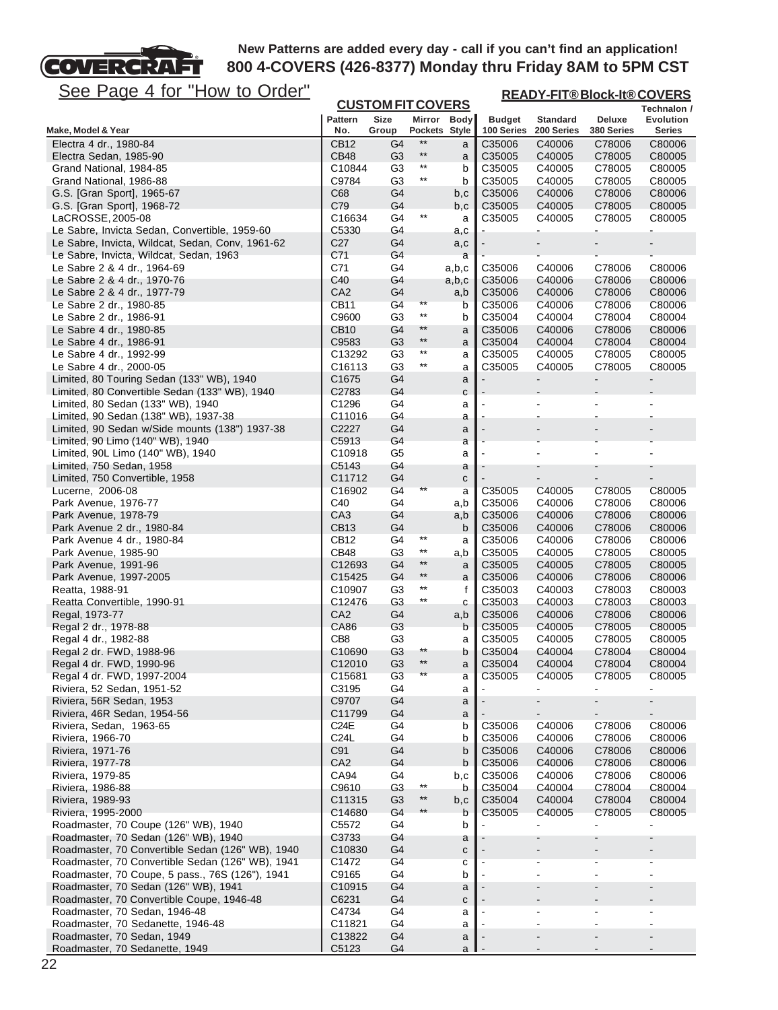

| See Page 4 for "How to Order"                                                                        |                                 |                          |                 |             |                             | <b>READY-FIT®Block-It®COVERS</b> |                          |                              |  |  |
|------------------------------------------------------------------------------------------------------|---------------------------------|--------------------------|-----------------|-------------|-----------------------------|----------------------------------|--------------------------|------------------------------|--|--|
|                                                                                                      |                                 | <b>CUSTOM FIT COVERS</b> |                 |             |                             |                                  |                          | Technalon /                  |  |  |
| Make, Model & Year                                                                                   | Pattern<br>No.                  | Size<br>Group            | Pockets Style   | Mirror Body | <b>Budget</b><br>100 Series | <b>Standard</b><br>200 Series    | Deluxe<br>380 Series     | <b>Evolution</b><br>Series   |  |  |
| Electra 4 dr., 1980-84                                                                               | CB <sub>12</sub>                | G4                       | $**$            | a           | C35006                      | C40006                           | C78006                   | C80006                       |  |  |
| Electra Sedan, 1985-90                                                                               | <b>CB48</b>                     | G <sub>3</sub>           | $^{\star\star}$ | a           | C35005                      | C40005                           | C78005                   | C80005                       |  |  |
| Grand National, 1984-85                                                                              | C10844                          | G3                       | $^{\star\star}$ | b           | C35005                      | C40005                           | C78005                   | C80005                       |  |  |
| Grand National, 1986-88                                                                              | C9784                           | G3                       | $^{\star\star}$ | b           | C35005                      | C40005                           | C78005                   | C80005                       |  |  |
| G.S. [Gran Sport], 1965-67                                                                           | C68<br>C79                      | G4                       |                 | b,c         | C35006                      | C40006                           | C78006                   | C80006                       |  |  |
| G.S. [Gran Sport], 1968-72<br>LaCROSSE, 2005-08                                                      | C16634                          | G4<br>G4                 | $^{\star\star}$ | b,c<br>a    | C35005<br>C35005            | C40005<br>C40005                 | C78005<br>C78005         | C80005<br>C80005             |  |  |
| Le Sabre, Invicta Sedan, Convertible, 1959-60                                                        | C5330                           | G4                       |                 | a,c         |                             |                                  | -                        | ۰                            |  |  |
| Le Sabre, Invicta, Wildcat, Sedan, Conv, 1961-62                                                     | C <sub>27</sub>                 | G4                       |                 | a,c         |                             | $\blacksquare$                   | $\overline{\phantom{0}}$ |                              |  |  |
| Le Sabre, Invicta, Wildcat, Sedan, 1963                                                              | C71                             | G4                       |                 | a           |                             |                                  |                          |                              |  |  |
| Le Sabre 2 & 4 dr., 1964-69                                                                          | C71                             | G4                       |                 | a,b,c       | C35006                      | C40006                           | C78006                   | C80006                       |  |  |
| Le Sabre 2 & 4 dr., 1970-76                                                                          | C40                             | G4                       |                 | a,b,c       | C35006                      | C40006                           | C78006                   | C80006                       |  |  |
| Le Sabre 2 & 4 dr., 1977-79                                                                          | CA <sub>2</sub>                 | G4                       | $***$           | a,b         | C35006                      | C40006                           | C78006                   | C80006                       |  |  |
| Le Sabre 2 dr., 1980-85<br>Le Sabre 2 dr., 1986-91                                                   | CB11<br>C9600                   | G4<br>G <sub>3</sub>     | $***$           | b<br>b      | C35006<br>C35004            | C40006<br>C40004                 | C78006<br>C78004         | C80006<br>C80004             |  |  |
| Le Sabre 4 dr., 1980-85                                                                              | CB <sub>10</sub>                | G4                       | $**$            | a           | C35006                      | C40006                           | C78006                   | C80006                       |  |  |
| Le Sabre 4 dr., 1986-91                                                                              | C9583                           | G <sub>3</sub>           | $***$           | a           | C35004                      | C40004                           | C78004                   | C80004                       |  |  |
| Le Sabre 4 dr., 1992-99                                                                              | C13292                          | G <sub>3</sub>           | $^{\star\star}$ | а           | C35005                      | C40005                           | C78005                   | C80005                       |  |  |
| Le Sabre 4 dr., 2000-05                                                                              | C <sub>16113</sub>              | G3                       | $^{\star\star}$ | a           | C35005                      | C40005                           | C78005                   | C80005                       |  |  |
| Limited, 80 Touring Sedan (133" WB), 1940                                                            | C <sub>1675</sub>               | G4                       |                 | a           |                             |                                  | $\overline{\phantom{0}}$ | $\qquad \qquad \blacksquare$ |  |  |
| Limited, 80 Convertible Sedan (133" WB), 1940                                                        | C2783                           | G4                       |                 | С           |                             |                                  |                          |                              |  |  |
| Limited, 80 Sedan (133" WB), 1940                                                                    | C1296                           | G4                       |                 | а           |                             |                                  |                          |                              |  |  |
| Limited, 90 Sedan (138" WB), 1937-38<br>Limited, 90 Sedan w/Side mounts (138") 1937-38               | C11016<br>C2227                 | G4<br>G4                 |                 | а           |                             |                                  | $\overline{\phantom{0}}$ |                              |  |  |
| Limited, 90 Limo (140" WB), 1940                                                                     | C5913                           | G4                       |                 | a<br>a      |                             |                                  |                          |                              |  |  |
| Limited, 90L Limo (140" WB), 1940                                                                    | C10918                          | G5                       |                 | а           |                             |                                  |                          |                              |  |  |
| Limited, 750 Sedan, 1958                                                                             | C5143                           | G4                       |                 | a           |                             |                                  |                          |                              |  |  |
| Limited, 750 Convertible, 1958                                                                       | C11712                          | G4                       |                 | С           |                             |                                  |                          |                              |  |  |
| Lucerne, 2006-08                                                                                     | C16902                          | G4                       | $***$           | a           | C35005                      | C40005                           | C78005                   | C80005                       |  |  |
| Park Avenue, 1976-77                                                                                 | C40                             | G4                       |                 | a,b         | C35006                      | C40006                           | C78006                   | C80006                       |  |  |
| Park Avenue, 1978-79                                                                                 | CA <sub>3</sub>                 | G4                       |                 | a,b         | C35006                      | C40006                           | C78006                   | C80006                       |  |  |
| Park Avenue 2 dr., 1980-84<br>Park Avenue 4 dr., 1980-84                                             | <b>CB13</b><br>CB <sub>12</sub> | G4<br>G4                 | $^{\star\star}$ | b           | C35006<br>C35006            | C40006<br>C40006                 | C78006<br>C78006         | C80006<br>C80006             |  |  |
| Park Avenue, 1985-90                                                                                 | CB48                            | G3                       | $^{\star\star}$ | a<br>a,b    | C35005                      | C40005                           | C78005                   | C80005                       |  |  |
| Park Avenue, 1991-96                                                                                 | C <sub>12693</sub>              | G4                       | $***$           | a           | C35005                      | C40005                           | C78005                   | C80005                       |  |  |
| Park Avenue, 1997-2005                                                                               | C <sub>15425</sub>              | G4                       | $^{\star\star}$ | a           | C35006                      | C40006                           | C78006                   | C80006                       |  |  |
| Reatta, 1988-91                                                                                      | C <sub>10907</sub>              | G <sub>3</sub>           | $^{\star\star}$ | f           | C35003                      | C40003                           | C78003                   | C80003                       |  |  |
| Reatta Convertible, 1990-91                                                                          | C12476                          | G3                       | $^{\star\star}$ | С           | C35003                      | C40003                           | C78003                   | C80003                       |  |  |
| Regal, 1973-77                                                                                       | CA <sub>2</sub>                 | G4                       |                 | a,b         | C35006                      | C40006                           | C78006                   | C80006                       |  |  |
| Regal 2 dr., 1978-88                                                                                 | CA86                            | G3                       |                 | b           | C35005                      | C40005                           | C78005                   | C80005                       |  |  |
| Regal 4 dr., 1982-88<br>Regal 2 dr. FWD, 1988-96                                                     | CB8<br>C10690                   | G3<br>G <sub>3</sub>     | $***$           | а<br>b      | C35005<br>C35004            | C40005<br>C40004                 | C78005<br>C78004         | C80005<br>C80004             |  |  |
| Regal 4 dr. FWD, 1990-96                                                                             | C <sub>12010</sub>              | G <sub>3</sub>           | $***$           | a           | C35004                      | C40004                           | C78004                   | C80004                       |  |  |
| Regal 4 dr. FWD, 1997-2004                                                                           | C15681                          | G <sub>3</sub>           | $***$           | а           | C35005                      | C40005                           | C78005                   | C80005                       |  |  |
| Riviera, 52 Sedan, 1951-52                                                                           | C3195                           | G4                       |                 | a           |                             |                                  |                          |                              |  |  |
| Riviera, 56R Sedan, 1953                                                                             | C9707                           | G4                       |                 | a           |                             |                                  |                          |                              |  |  |
| Riviera, 46R Sedan, 1954-56                                                                          | C11799                          | G4                       |                 | $\mathsf a$ |                             |                                  |                          |                              |  |  |
| Riviera, Sedan, 1963-65                                                                              | C <sub>24</sub> E               | G4                       |                 | b           | C35006                      | C40006                           | C78006                   | C80006                       |  |  |
| Riviera, 1966-70<br>Riviera, 1971-76                                                                 | C <sub>24</sub> L<br>C91        | G4<br>G4                 |                 | b<br>b      | C35006<br>C35006            | C40006<br>C40006                 | C78006<br>C78006         | C80006<br>C80006             |  |  |
| Riviera, 1977-78                                                                                     | CA <sub>2</sub>                 | G4                       |                 | b           | C35006                      | C40006                           | C78006                   | C80006                       |  |  |
| Riviera, 1979-85                                                                                     | CA94                            | G4                       |                 | b,c         | C35006                      | C40006                           | C78006                   | C80006                       |  |  |
| Riviera, 1986-88                                                                                     | C9610                           | G <sub>3</sub>           | $***$           | b           | C35004                      | C40004                           | C78004                   | C80004                       |  |  |
| Riviera, 1989-93                                                                                     | C11315                          | G <sub>3</sub>           | $^{\star\star}$ | b,c         | C35004                      | C40004                           | C78004                   | C80004                       |  |  |
| Riviera, 1995-2000                                                                                   | C14680                          | G4                       |                 | b           | C35005                      | C40005                           | C78005                   | C80005                       |  |  |
| Roadmaster, 70 Coupe (126" WB), 1940                                                                 | C5572                           | G4                       |                 | b           |                             |                                  |                          | Ξ.                           |  |  |
| Roadmaster, 70 Sedan (126" WB), 1940                                                                 | C3733                           | G4                       |                 | a           |                             |                                  |                          |                              |  |  |
| Roadmaster, 70 Convertible Sedan (126" WB), 1940<br>Roadmaster, 70 Convertible Sedan (126" WB), 1941 | C <sub>10830</sub><br>C1472     | G4<br>G4                 |                 | С           |                             |                                  |                          |                              |  |  |
| Roadmaster, 70 Coupe, 5 pass., 76S (126"), 1941                                                      | C9165                           | G4                       |                 | С<br>b      |                             |                                  |                          |                              |  |  |
| Roadmaster, 70 Sedan (126" WB), 1941                                                                 | C <sub>10915</sub>              | G4                       |                 | a           |                             |                                  | $\overline{\phantom{0}}$ |                              |  |  |
| Roadmaster, 70 Convertible Coupe, 1946-48                                                            | C6231                           | G4                       |                 | С           |                             |                                  |                          |                              |  |  |
| Roadmaster, 70 Sedan, 1946-48                                                                        | C4734                           | G4                       |                 | а           |                             |                                  |                          |                              |  |  |
| Roadmaster, 70 Sedanette, 1946-48                                                                    | C11821                          | G4                       |                 | a           |                             |                                  |                          |                              |  |  |
| Roadmaster, 70 Sedan, 1949                                                                           | C13822                          | G4                       |                 | a           |                             |                                  |                          |                              |  |  |
| Roadmaster, 70 Sedanette, 1949                                                                       | C5123                           | G4                       |                 | a           |                             |                                  |                          |                              |  |  |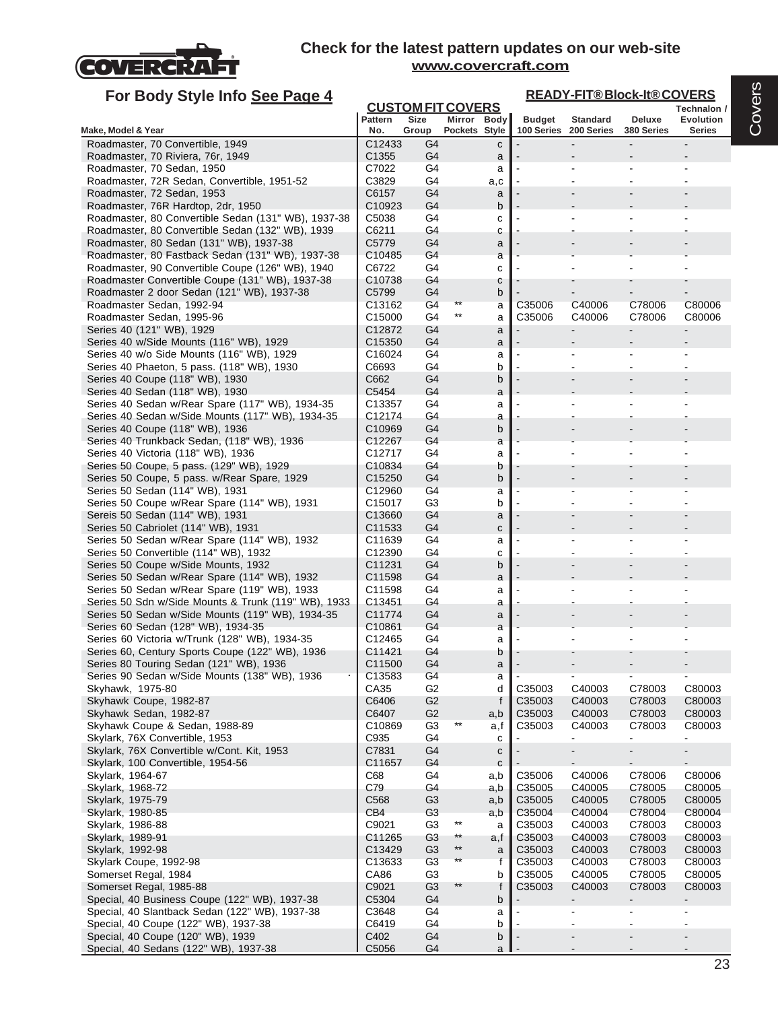

| For Body Style Info See Page 4                                                                      | <b>READY-FIT®Block-It®COVERS</b><br><b>CUSTOM FIT COVERS</b> |                                  |                 |              |                  |                       |                  |                          |
|-----------------------------------------------------------------------------------------------------|--------------------------------------------------------------|----------------------------------|-----------------|--------------|------------------|-----------------------|------------------|--------------------------|
|                                                                                                     | <b>Pattern</b>                                               | Size                             |                 | Mirror Body  | <b>Budget</b>    | <b>Standard</b>       | Deluxe           | Technalon /<br>Evolution |
| Make, Model & Year                                                                                  | No.                                                          | Group                            | Pockets Style   |              |                  | 100 Series 200 Series | 380 Series       | <b>Series</b>            |
| Roadmaster, 70 Convertible, 1949                                                                    | C12433                                                       | G4                               |                 | $\mathbf{C}$ |                  |                       |                  |                          |
| Roadmaster, 70 Riviera, 76r, 1949                                                                   | C <sub>1355</sub>                                            | G4                               |                 | a            |                  |                       |                  |                          |
| Roadmaster, 70 Sedan, 1950<br>Roadmaster, 72R Sedan, Convertible, 1951-52                           | C7022<br>C3829                                               | G4<br>G4                         |                 | a            |                  |                       |                  |                          |
| Roadmaster, 72 Sedan, 1953                                                                          | C6157                                                        | G4                               |                 | a,c<br>a     |                  |                       |                  |                          |
| Roadmaster, 76R Hardtop, 2dr, 1950                                                                  | C <sub>10923</sub>                                           | G4                               |                 | b            |                  |                       |                  |                          |
| Roadmaster, 80 Convertible Sedan (131" WB), 1937-38                                                 | C5038                                                        | G4                               |                 | c            |                  |                       |                  |                          |
| Roadmaster, 80 Convertible Sedan (132" WB), 1939                                                    | C6211                                                        | G4                               |                 | C            |                  |                       |                  |                          |
| Roadmaster, 80 Sedan (131" WB), 1937-38                                                             | C5779                                                        | G4                               |                 | a            |                  |                       |                  |                          |
| Roadmaster, 80 Fastback Sedan (131" WB), 1937-38                                                    | C <sub>10485</sub>                                           | G4                               |                 | a            |                  |                       |                  |                          |
| Roadmaster, 90 Convertible Coupe (126" WB), 1940<br>Roadmaster Convertible Coupe (131" WB), 1937-38 | C6722<br>C <sub>10738</sub>                                  | G4<br>G4                         |                 | C<br>с       |                  |                       |                  |                          |
| Roadmaster 2 door Sedan (121" WB), 1937-38                                                          | C5799                                                        | G4                               |                 | b            |                  |                       |                  |                          |
| Roadmaster Sedan, 1992-94                                                                           | C13162                                                       | G4                               | **              | a            | C35006           | C40006                | C78006           | C80006                   |
| Roadmaster Sedan, 1995-96                                                                           | C <sub>15000</sub>                                           | G4                               | $***$           | a            | C35006           | C40006                | C78006           | C80006                   |
| Series 40 (121" WB), 1929                                                                           | C12872                                                       | G4                               |                 | a            |                  |                       | $\overline{a}$   |                          |
| Series 40 w/Side Mounts (116" WB), 1929                                                             | C15350                                                       | G4                               |                 | a            |                  |                       |                  |                          |
| Series 40 w/o Side Mounts (116" WB), 1929                                                           | C16024                                                       | G4                               |                 | a            |                  |                       |                  |                          |
| Series 40 Phaeton, 5 pass. (118" WB), 1930<br>Series 40 Coupe (118" WB), 1930                       | C6693<br>C662                                                | G4<br>G4                         |                 | b<br>b       |                  |                       |                  |                          |
| Series 40 Sedan (118" WB), 1930                                                                     | C5454                                                        | G4                               |                 | a            |                  |                       |                  |                          |
| Series 40 Sedan w/Rear Spare (117" WB), 1934-35                                                     | C <sub>13357</sub>                                           | G4                               |                 | a            |                  |                       |                  |                          |
| Series 40 Sedan w/Side Mounts (117" WB), 1934-35                                                    | C12174                                                       | G4                               |                 | a            |                  |                       |                  |                          |
| Series 40 Coupe (118" WB), 1936                                                                     | C10969                                                       | G4                               |                 | b            |                  |                       |                  |                          |
| Series 40 Trunkback Sedan, (118" WB), 1936                                                          | C12267                                                       | G4                               |                 | a            |                  |                       |                  |                          |
| Series 40 Victoria (118" WB), 1936<br>Series 50 Coupe, 5 pass. (129" WB), 1929                      | C12717<br>C10834                                             | G4<br>G4                         |                 | a<br>b       |                  |                       |                  |                          |
| Series 50 Coupe, 5 pass. w/Rear Spare, 1929                                                         | C <sub>15250</sub>                                           | G4                               |                 | b            |                  |                       |                  |                          |
| Series 50 Sedan (114" WB), 1931                                                                     | C12960                                                       | G4                               |                 | a            |                  |                       |                  |                          |
| Series 50 Coupe w/Rear Spare (114" WB), 1931                                                        | C15017                                                       | G3                               |                 | b            |                  |                       |                  |                          |
| Sereis 50 Sedan (114" WB), 1931                                                                     | C <sub>13660</sub>                                           | G4                               |                 | a            |                  |                       |                  |                          |
| Series 50 Cabriolet (114" WB), 1931                                                                 | C11533                                                       | G4                               |                 | C            |                  |                       |                  |                          |
| Series 50 Sedan w/Rear Spare (114" WB), 1932<br>Series 50 Convertible (114" WB), 1932               | C11639<br>C12390                                             | G4<br>G4                         |                 | a<br>c       |                  |                       |                  |                          |
| Series 50 Coupe w/Side Mounts, 1932                                                                 | C11231                                                       | G4                               |                 | b            |                  |                       |                  |                          |
| Series 50 Sedan w/Rear Spare (114" WB), 1932                                                        | C11598                                                       | G4                               |                 | a            |                  |                       |                  |                          |
| Series 50 Sedan w/Rear Spare (119" WB), 1933                                                        | C11598                                                       | G4                               |                 | a            |                  |                       |                  |                          |
| Series 50 Sdn w/Side Mounts & Trunk (119" WB), 1933                                                 | C <sub>13451</sub>                                           | G4                               |                 | a            |                  |                       |                  |                          |
| Series 50 Sedan w/Side Mounts (119" WB), 1934-35<br>Series 60 Sedan (128" WB), 1934-35              | C11774<br>C10861                                             | G4<br>G4                         |                 | a<br>a       |                  |                       |                  |                          |
| Series 60 Victoria w/Trunk (128" WB), 1934-35                                                       | C12465                                                       | G4                               |                 | a            |                  |                       |                  |                          |
| Series 60, Century Sports Coupe (122" WB), 1936                                                     | C11421                                                       | G4                               |                 | b            |                  |                       |                  |                          |
| Series 80 Touring Sedan (121" WB), 1936                                                             | C <sub>11500</sub>                                           | G4                               |                 | a            |                  |                       |                  |                          |
| Series 90 Sedan w/Side Mounts (138" WB), 1936                                                       | C13583                                                       | G4                               |                 | a            |                  |                       |                  |                          |
| Skyhawk, 1975-80                                                                                    | CA35                                                         | G <sub>2</sub>                   |                 | d            | C35003           | C40003                | C78003           | C80003                   |
| Skyhawk Coupe, 1982-87<br>Skyhawk Sedan, 1982-87                                                    | C6406<br>C6407                                               | G <sub>2</sub><br>G <sub>2</sub> |                 | f            | C35003<br>C35003 | C40003<br>C40003      | C78003<br>C78003 | C80003<br>C80003         |
| Skyhawk Coupe & Sedan, 1988-89                                                                      | C10869                                                       | G <sub>3</sub>                   | $^{\star\star}$ | a,b<br>a,f   | C35003           | C40003                | C78003           | C80003                   |
| Skylark, 76X Convertible, 1953                                                                      | C935                                                         | G4                               |                 | c            |                  | ٠                     | $\blacksquare$   | $\blacksquare$           |
| Skylark, 76X Convertible w/Cont. Kit, 1953                                                          | C7831                                                        | G4                               |                 | ${\bf c}$    |                  |                       |                  |                          |
| Skylark, 100 Convertible, 1954-56                                                                   | C11657                                                       | G4                               |                 | $\mathbf{C}$ |                  |                       |                  |                          |
| Skylark, 1964-67                                                                                    | C68                                                          | G4                               |                 | a,b          | C35006           | C40006                | C78006           | C80006                   |
| Skylark, 1968-72<br>Skylark, 1975-79                                                                | C79<br>C568                                                  | G4<br>G <sub>3</sub>             |                 | a,b          | C35005<br>C35005 | C40005<br>C40005      | C78005<br>C78005 | C80005<br>C80005         |
| Skylark, 1980-85                                                                                    | CB <sub>4</sub>                                              | G <sub>3</sub>                   |                 | a,b<br>a,b   | C35004           | C40004                | C78004           | C80004                   |
| Skylark, 1986-88                                                                                    | C9021                                                        | G <sub>3</sub>                   | $***$           | a            | C35003           | C40003                | C78003           | C80003                   |
| Skylark, 1989-91                                                                                    | C11265                                                       | G <sub>3</sub>                   | $***$           | a,f          | C35003           | C40003                | C78003           | C80003                   |
| Skylark, 1992-98                                                                                    | C13429                                                       | G <sub>3</sub>                   | $***$           | a            | C35003           | C40003                | C78003           | C80003                   |
| Skylark Coupe, 1992-98                                                                              | C13633                                                       | G <sub>3</sub>                   | $\star\star$    | f            | C35003           | C40003                | C78003           | C80003                   |
| Somerset Regal, 1984                                                                                | CA86                                                         | G <sub>3</sub>                   |                 | b            | C35005           | C40005                | C78005           | C80005                   |
| Somerset Regal, 1985-88                                                                             | C9021                                                        | G <sub>3</sub>                   | **              | f            | C35003           | C40003                | C78003           | C80003                   |
| Special, 40 Business Coupe (122" WB), 1937-38<br>Special, 40 Slantback Sedan (122" WB), 1937-38     | C5304<br>C3648                                               | G4<br>G4                         |                 | b<br>a       |                  |                       |                  |                          |
| Special, 40 Coupe (122" WB), 1937-38                                                                | C6419                                                        | G4                               |                 | b            |                  |                       |                  |                          |
| Special, 40 Coupe (120" WB), 1939                                                                   | C402                                                         | G4                               |                 | b            |                  |                       |                  | $\blacksquare$           |
| Special, 40 Sedans (122" WB), 1937-38                                                               | C5056                                                        | G4                               |                 | a l          |                  |                       |                  |                          |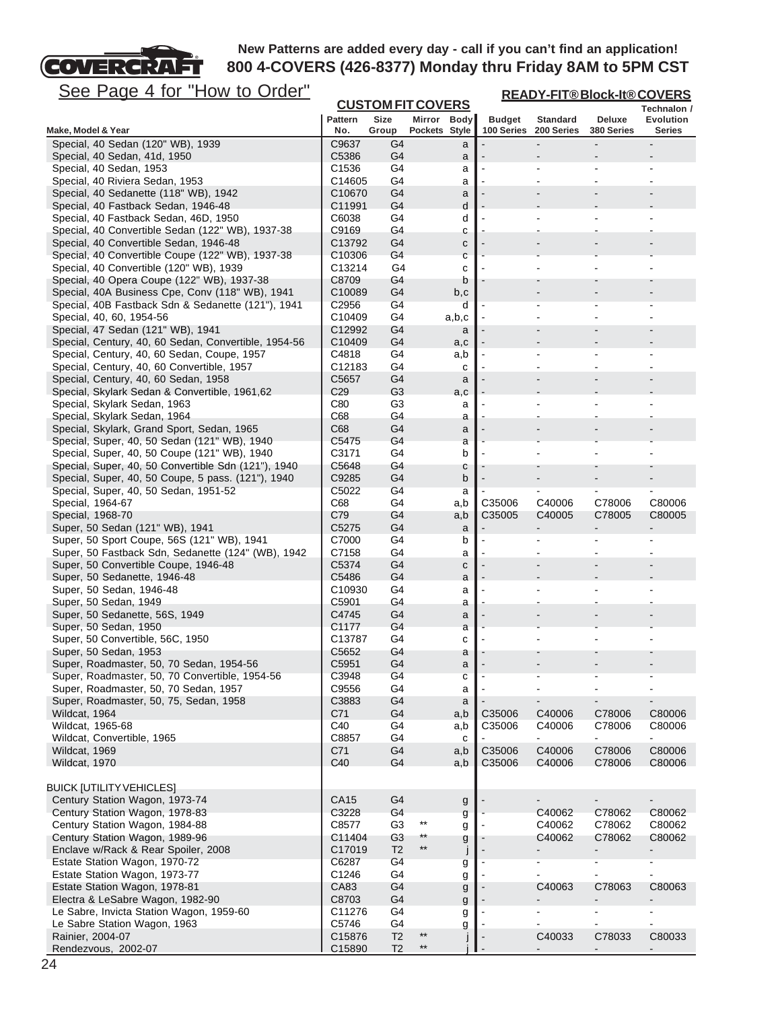# See Page 4 for "How to Order"

FT

COVERCRA

| <u>See Page 4 for "How to Order"</u>                                           |                             |                          |                 |                    | <b>READY-FIT®Block-It®COVERS</b> |                               |                                  |                     |  |  |
|--------------------------------------------------------------------------------|-----------------------------|--------------------------|-----------------|--------------------|----------------------------------|-------------------------------|----------------------------------|---------------------|--|--|
|                                                                                |                             | <b>CUSTOM FIT COVERS</b> |                 |                    |                                  |                               |                                  | Technalon /         |  |  |
| Make, Model & Year                                                             | <b>Pattern</b><br>No.       | Size<br>Group            | Pockets Style   | Mirror Body        | <b>Budget</b><br>100 Series      | <b>Standard</b><br>200 Series | Deluxe<br>380 Series             | Evolution<br>Series |  |  |
| Special, 40 Sedan (120" WB), 1939                                              | C9637                       | G4                       |                 | a                  |                                  |                               |                                  |                     |  |  |
| Special, 40 Sedan, 41d, 1950                                                   | C5386                       | G4                       |                 | a                  |                                  |                               |                                  |                     |  |  |
| Special, 40 Sedan, 1953                                                        | C <sub>1536</sub>           | G4                       |                 | а                  |                                  |                               | ä,                               |                     |  |  |
| Special, 40 Riviera Sedan, 1953                                                | C14605                      | G4                       |                 | a                  |                                  |                               |                                  |                     |  |  |
| Special, 40 Sedanette (118" WB), 1942                                          | C <sub>10670</sub>          | G4                       |                 | a                  |                                  |                               |                                  |                     |  |  |
| Special, 40 Fastback Sedan, 1946-48<br>Special, 40 Fastback Sedan, 46D, 1950   | C11991<br>C6038             | G4<br>G4                 |                 | d<br>d             |                                  |                               |                                  |                     |  |  |
| Special, 40 Convertible Sedan (122" WB), 1937-38                               | C9169                       | G4                       |                 | с                  |                                  |                               |                                  |                     |  |  |
| Special, 40 Convertible Sedan, 1946-48                                         | C13792                      | G4                       |                 | C                  |                                  |                               |                                  |                     |  |  |
| Special, 40 Convertible Coupe (122" WB), 1937-38                               | C <sub>10306</sub>          | G4                       |                 | C                  |                                  |                               |                                  |                     |  |  |
| Special, 40 Convertible (120" WB), 1939                                        | C13214                      | G4                       |                 | c                  |                                  |                               |                                  |                     |  |  |
| Special, 40 Opera Coupe (122" WB), 1937-38                                     | C8709                       | G4                       |                 | b                  |                                  |                               |                                  |                     |  |  |
| Special, 40A Business Cpe, Conv (118" WB), 1941                                | C10089                      | G4                       |                 | b,c                |                                  |                               |                                  |                     |  |  |
| Special, 40B Fastback Sdn & Sedanette (121"), 1941<br>Special, 40, 60, 1954-56 | C2956<br>C <sub>10409</sub> | G4<br>G4                 |                 | d<br>a,b,c         |                                  |                               |                                  |                     |  |  |
| Special, 47 Sedan (121" WB), 1941                                              | C12992                      | G4                       |                 | a                  |                                  |                               |                                  |                     |  |  |
| Special, Century, 40, 60 Sedan, Convertible, 1954-56                           | C10409                      | G4                       |                 | a,c                |                                  |                               |                                  |                     |  |  |
| Special, Century, 40, 60 Sedan, Coupe, 1957                                    | C4818                       | G4                       |                 | a,b                |                                  | $\overline{\phantom{a}}$      | $\overline{a}$                   |                     |  |  |
| Special, Century, 40, 60 Convertible, 1957                                     | C <sub>12183</sub>          | G4                       |                 | c                  |                                  |                               |                                  |                     |  |  |
| Special, Century, 40, 60 Sedan, 1958                                           | C5657                       | G4                       |                 | a                  |                                  |                               |                                  |                     |  |  |
| Special, Skylark Sedan & Convertible, 1961,62                                  | C <sub>29</sub>             | G3                       |                 | a,c                |                                  |                               |                                  |                     |  |  |
| Special, Skylark Sedan, 1963                                                   | C80<br>C68                  | G <sub>3</sub><br>G4     |                 | a                  |                                  |                               |                                  |                     |  |  |
| Special, Skylark Sedan, 1964<br>Special, Skylark, Grand Sport, Sedan, 1965     | C68                         | G4                       |                 | a<br>a             |                                  |                               |                                  |                     |  |  |
| Special, Super, 40, 50 Sedan (121" WB), 1940                                   | C5475                       | G4                       |                 | a                  |                                  |                               |                                  |                     |  |  |
| Special, Super, 40, 50 Coupe (121" WB), 1940                                   | C3171                       | G4                       |                 | b                  |                                  |                               |                                  |                     |  |  |
| Special, Super, 40, 50 Convertible Sdn (121"), 1940                            | C5648                       | G4                       |                 | С                  |                                  |                               |                                  |                     |  |  |
| Special, Super, 40, 50 Coupe, 5 pass. (121"), 1940                             | C9285                       | G4                       |                 | b                  |                                  |                               |                                  |                     |  |  |
| Special, Super, 40, 50 Sedan, 1951-52                                          | C5022                       | G4                       |                 | а                  |                                  |                               | $\blacksquare$                   |                     |  |  |
| Special, 1964-67                                                               | C68                         | G4                       |                 | a,b                | C35006                           | C40006                        | C78006                           | C80006              |  |  |
| Special, 1968-70<br>Super, 50 Sedan (121" WB), 1941                            | C79<br>C5275                | G4<br>G4                 |                 | a,b                | C <sub>35005</sub>               | C40005                        | C78005                           | C80005              |  |  |
| Super, 50 Sport Coupe, 56S (121" WB), 1941                                     | C7000                       | G4                       |                 | a<br>b             |                                  |                               | ä,                               |                     |  |  |
| Super, 50 Fastback Sdn, Sedanette (124" (WB), 1942                             | C7158                       | G4                       |                 | a                  |                                  |                               |                                  |                     |  |  |
| Super, 50 Convertible Coupe, 1946-48                                           | C5374                       | G4                       |                 | $\mathbf C$        |                                  |                               |                                  |                     |  |  |
| Super, 50 Sedanette, 1946-48                                                   | C5486                       | G4                       |                 | a                  |                                  |                               |                                  |                     |  |  |
| Super, 50 Sedan, 1946-48                                                       | C10930                      | G4                       |                 | a                  |                                  |                               |                                  |                     |  |  |
| Super, 50 Sedan, 1949                                                          | C5901                       | G4                       |                 | a                  |                                  |                               |                                  |                     |  |  |
| Super, 50 Sedanette, 56S, 1949<br>Super, 50 Sedan, 1950                        | C4745<br>C1177              | G4<br>G4                 |                 | a                  |                                  |                               |                                  |                     |  |  |
| Super, 50 Convertible, 56C, 1950                                               | C13787                      | G4                       |                 | a<br>C             |                                  |                               |                                  |                     |  |  |
| Super, 50 Sedan, 1953                                                          | C5652                       | G4                       |                 | a                  |                                  |                               |                                  |                     |  |  |
| Super, Roadmaster, 50, 70 Sedan, 1954-56                                       | C5951                       | G4                       |                 | a                  |                                  |                               |                                  |                     |  |  |
| Super, Roadmaster, 50, 70 Convertible, 1954-56                                 | C3948                       | G4                       |                 | С                  |                                  |                               |                                  |                     |  |  |
| Super, Roadmaster, 50, 70 Sedan, 1957                                          | C9556                       | G4                       |                 | a                  |                                  |                               |                                  |                     |  |  |
| Super, Roadmaster, 50, 75, Sedan, 1958                                         | C3883                       | G4                       |                 | a                  |                                  |                               |                                  |                     |  |  |
| Wildcat, 1964<br>Wildcat, 1965-68                                              | C71<br>C40                  | G4<br>G4                 |                 | a,b                | C35006<br>C35006                 | C40006<br>C40006              | C78006<br>C78006                 | C80006<br>C80006    |  |  |
| Wildcat, Convertible, 1965                                                     | C8857                       | G4                       |                 | a,b<br>$\mathbf c$ |                                  |                               | $\blacksquare$                   | $\blacksquare$      |  |  |
| Wildcat, 1969                                                                  | C71                         | G <sub>4</sub>           |                 | a,b                | C35006                           | C40006                        | C78006                           | C80006              |  |  |
| Wildcat, 1970                                                                  | C <sub>40</sub>             | G4                       |                 | a,b                | C35006                           | C40006                        | C78006                           | C80006              |  |  |
|                                                                                |                             |                          |                 |                    |                                  |                               |                                  |                     |  |  |
| BUICK [UTILITY VEHICLES]                                                       |                             |                          |                 |                    |                                  |                               |                                  |                     |  |  |
| Century Station Wagon, 1973-74                                                 | <b>CA15</b>                 | G <sub>4</sub>           |                 | g                  |                                  |                               |                                  |                     |  |  |
| Century Station Wagon, 1978-83                                                 | C3228                       | G <sub>4</sub>           | $^{\star\star}$ | g                  |                                  | C40062                        | C78062                           | C80062<br>C80062    |  |  |
| Century Station Wagon, 1984-88<br>Century Station Wagon, 1989-96               | C8577<br>C11404             | G3<br>G <sub>3</sub>     | $^{\star\star}$ | g                  |                                  | C40062<br>C40062              | C78062<br>C78062                 | C80062              |  |  |
| Enclave w/Rack & Rear Spoiler, 2008                                            | C17019                      | T <sub>2</sub>           | $***$           | g<br>Ĵ             |                                  | $\blacksquare$                | $\overline{\phantom{a}}$         | $\blacksquare$      |  |  |
| Estate Station Wagon, 1970-72                                                  | C6287                       | G <sub>4</sub>           |                 | g                  |                                  |                               | $\blacksquare$                   | $\blacksquare$      |  |  |
| Estate Station Wagon, 1973-77                                                  | C1246                       | G4                       |                 | g                  |                                  | $\blacksquare$                |                                  | ä,                  |  |  |
| Estate Station Wagon, 1978-81                                                  | CA83                        | G4                       |                 | g                  |                                  | C40063                        | C78063                           | C80063              |  |  |
| Electra & LeSabre Wagon, 1982-90                                               | C8703                       | G <sub>4</sub>           |                 | g                  |                                  |                               |                                  |                     |  |  |
| Le Sabre, Invicta Station Wagon, 1959-60                                       | C11276                      | G4                       |                 | g                  |                                  | $\overline{\phantom{a}}$      | $\blacksquare$<br>$\blacksquare$ | $\blacksquare$      |  |  |
| Le Sabre Station Wagon, 1963<br>Rainier, 2004-07                               | C5746<br>C15876             | G4<br>T <sub>2</sub>     | $***$           | g                  |                                  | $\blacksquare$<br>C40033      | C78033                           | $\sim$<br>C80033    |  |  |
| Rendezvous, 2002-07                                                            | C15890                      | T <sub>2</sub>           | $^{\star\star}$ |                    |                                  |                               |                                  |                     |  |  |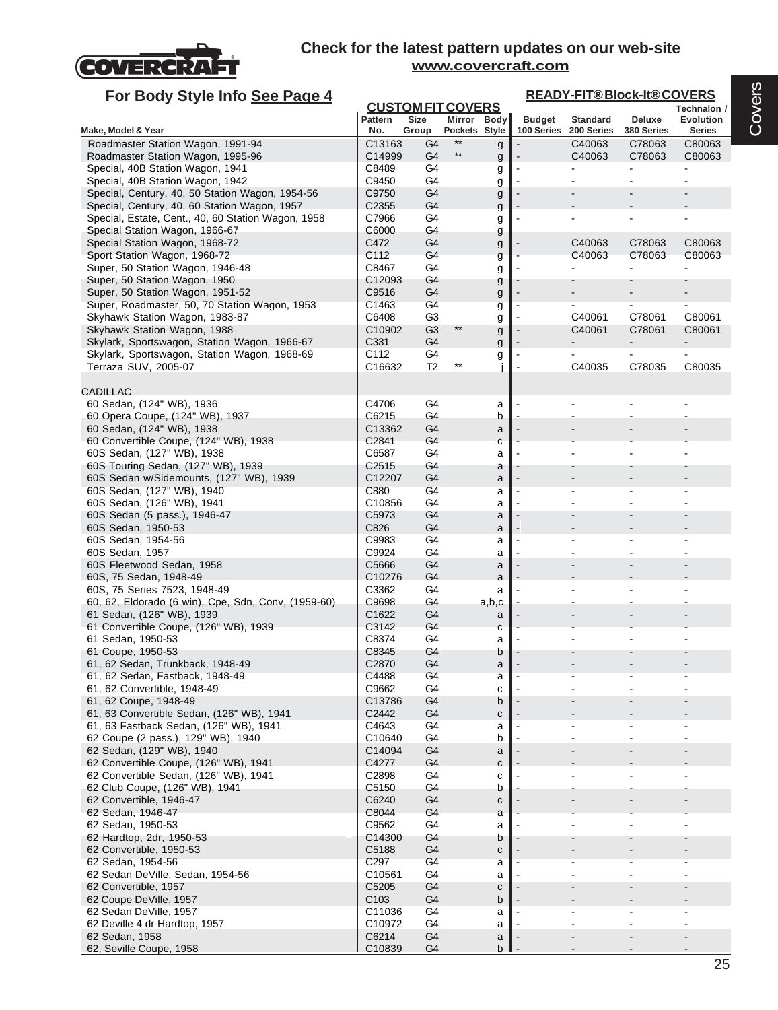

| For Body Style Info See Page 4                                                       |                                       |                                  |                              |                   |                                        | <b>READY-FIT®Block-It®COVERS</b> |                      |                          |  |  |  |
|--------------------------------------------------------------------------------------|---------------------------------------|----------------------------------|------------------------------|-------------------|----------------------------------------|----------------------------------|----------------------|--------------------------|--|--|--|
|                                                                                      |                                       | <b>CUSTOM FIT COVERS</b>         |                              |                   |                                        |                                  |                      | Technalon /              |  |  |  |
| Make, Model & Year                                                                   | Pattern<br>No.                        | Size<br>Group                    | Mirror Body<br>Pockets Style |                   | <b>Budget</b><br>100 Series 200 Series | <b>Standard</b>                  | Deluxe<br>380 Series | Evolution<br>Series      |  |  |  |
| Roadmaster Station Wagon, 1991-94                                                    | C <sub>13163</sub>                    | G4                               | $**$                         | g                 |                                        | C40063                           | C78063               | C80063                   |  |  |  |
| Roadmaster Station Wagon, 1995-96                                                    | C14999                                | G4                               | $***$                        | g                 |                                        | C40063                           | C78063               | C80063                   |  |  |  |
| Special, 40B Station Wagon, 1941                                                     | C8489                                 | G4                               |                              | g                 |                                        |                                  |                      |                          |  |  |  |
| Special, 40B Station Wagon, 1942                                                     | C9450                                 | G4                               |                              | g                 |                                        |                                  |                      |                          |  |  |  |
| Special, Century, 40, 50 Station Wagon, 1954-56                                      | C9750                                 | G4                               |                              | g                 |                                        |                                  |                      |                          |  |  |  |
| Special, Century, 40, 60 Station Wagon, 1957                                         | C <sub>2355</sub>                     | G4                               |                              | g                 |                                        |                                  |                      |                          |  |  |  |
| Special, Estate, Cent., 40, 60 Station Wagon, 1958<br>Special Station Wagon, 1966-67 | C7966<br>C6000                        | G4<br>G4                         |                              | g                 |                                        |                                  |                      |                          |  |  |  |
| Special Station Wagon, 1968-72                                                       | C472                                  | G4                               |                              | g<br>g            |                                        | C40063                           | C78063               | C80063                   |  |  |  |
| Sport Station Wagon, 1968-72                                                         | C112                                  | G4                               |                              | g                 |                                        | C40063                           | C78063               | C80063                   |  |  |  |
| Super, 50 Station Wagon, 1946-48                                                     | C8467                                 | G4                               |                              | g                 |                                        |                                  |                      |                          |  |  |  |
| Super, 50 Station Wagon, 1950                                                        | C12093                                | G4                               |                              | g                 |                                        |                                  |                      |                          |  |  |  |
| Super, 50 Station Wagon, 1951-52                                                     | C9516                                 | G <sub>4</sub>                   |                              | g                 |                                        |                                  |                      |                          |  |  |  |
| Super, Roadmaster, 50, 70 Station Wagon, 1953                                        | C1463                                 | G4                               |                              | g                 |                                        |                                  |                      |                          |  |  |  |
| Skyhawk Station Wagon, 1983-87                                                       | C6408                                 | G <sub>3</sub>                   | $**$                         | g                 |                                        | C40061                           | C78061               | C80061                   |  |  |  |
| Skyhawk Station Wagon, 1988<br>Skylark, Sportswagon, Station Wagon, 1966-67          | C <sub>10902</sub><br>C331            | G <sub>3</sub><br>G4             |                              | g                 |                                        | C40061                           | C78061               | C80061                   |  |  |  |
| Skylark, Sportswagon, Station Wagon, 1968-69                                         | C112                                  | G4                               |                              | g<br>g            |                                        |                                  |                      |                          |  |  |  |
| Terraza SUV, 2005-07                                                                 | C16632                                | T2                               | $^{\star\star}$              |                   |                                        | C40035                           | C78035               | C80035                   |  |  |  |
|                                                                                      |                                       |                                  |                              |                   |                                        |                                  |                      |                          |  |  |  |
| <b>CADILLAC</b>                                                                      |                                       |                                  |                              |                   |                                        |                                  |                      |                          |  |  |  |
| 60 Sedan, (124" WB), 1936                                                            | C4706                                 | G4                               |                              | a                 |                                        |                                  |                      |                          |  |  |  |
| 60 Opera Coupe, (124" WB), 1937                                                      | C6215                                 | G4                               |                              | b                 |                                        |                                  |                      |                          |  |  |  |
| 60 Sedan, (124" WB), 1938                                                            | C13362                                | G4                               |                              | a                 |                                        |                                  |                      |                          |  |  |  |
| 60 Convertible Coupe, (124" WB), 1938<br>60S Sedan, (127" WB), 1938                  | C2841<br>C6587                        | G4<br>G4                         |                              | $\mathbf{C}$<br>a |                                        |                                  |                      |                          |  |  |  |
| 60S Touring Sedan, (127" WB), 1939                                                   | C <sub>2515</sub>                     | G4                               |                              | a                 |                                        |                                  |                      |                          |  |  |  |
| 60S Sedan w/Sidemounts, (127" WB), 1939                                              | C12207                                | G4                               |                              | a                 |                                        |                                  |                      |                          |  |  |  |
| 60S Sedan, (127" WB), 1940                                                           | C880                                  | G4                               |                              | a                 |                                        |                                  |                      |                          |  |  |  |
| 60S Sedan, (126" WB), 1941                                                           | C <sub>10856</sub>                    | G4                               |                              | a                 |                                        |                                  |                      |                          |  |  |  |
| 60S Sedan (5 pass.), 1946-47                                                         | C <sub>5973</sub>                     | G4                               |                              | a                 |                                        |                                  |                      |                          |  |  |  |
| 60S Sedan, 1950-53                                                                   | C826                                  | G4                               |                              | a                 |                                        |                                  |                      |                          |  |  |  |
| 60S Sedan, 1954-56                                                                   | C9983                                 | G4                               |                              | a                 |                                        |                                  |                      |                          |  |  |  |
| 60S Sedan, 1957<br>60S Fleetwood Sedan, 1958                                         | C9924<br>C5666                        | G4<br>G4                         |                              | a<br>a            |                                        |                                  |                      |                          |  |  |  |
| 60S, 75 Sedan, 1948-49                                                               | C <sub>10276</sub>                    | G4                               |                              | a                 |                                        |                                  |                      |                          |  |  |  |
| 60S, 75 Series 7523, 1948-49                                                         | C3362                                 | G4                               |                              | a                 |                                        |                                  |                      |                          |  |  |  |
| 60, 62, Eldorado (6 win), Cpe, Sdn, Conv, (1959-60)                                  | C9698                                 | G4                               |                              | a,b,c             |                                        |                                  |                      |                          |  |  |  |
| 61 Sedan, (126" WB), 1939                                                            | C1622                                 | G4                               |                              | a                 |                                        |                                  |                      |                          |  |  |  |
| 61 Convertible Coupe, (126" WB), 1939                                                | C3142                                 | G4                               |                              | C                 |                                        |                                  |                      |                          |  |  |  |
| 61 Sedan, 1950-53                                                                    | C8374                                 | G4                               |                              | a                 |                                        |                                  |                      |                          |  |  |  |
| 61 Coupe, 1950-53                                                                    | C8345<br>C2870                        | G4<br>G4                         |                              | b                 |                                        |                                  |                      |                          |  |  |  |
| 61, 62 Sedan, Trunkback, 1948-49<br>61, 62 Sedan, Fastback, 1948-49                  | C4488                                 | G <sub>4</sub>                   |                              | a<br>a            |                                        |                                  |                      |                          |  |  |  |
| 61, 62 Convertible, 1948-49                                                          | C9662                                 | G4                               |                              | С                 |                                        |                                  |                      |                          |  |  |  |
| 61, 62 Coupe, 1948-49                                                                | C13786                                | G4                               |                              | b                 |                                        |                                  |                      |                          |  |  |  |
| 61, 63 Convertible Sedan, (126" WB), 1941                                            | C2442                                 | G4                               |                              | С                 |                                        |                                  |                      |                          |  |  |  |
| 61, 63 Fastback Sedan, (126" WB), 1941                                               | C4643                                 | G4                               |                              | a                 |                                        |                                  |                      |                          |  |  |  |
| 62 Coupe (2 pass.), 129" WB), 1940                                                   | C10640                                | G4                               |                              | b                 |                                        |                                  |                      |                          |  |  |  |
| 62 Sedan, (129" WB), 1940                                                            | C14094                                | G4                               |                              | a                 |                                        |                                  |                      |                          |  |  |  |
| 62 Convertible Coupe, (126" WB), 1941                                                | C4277<br>C2898                        | G <sub>4</sub><br>G4             |                              | C                 |                                        |                                  |                      |                          |  |  |  |
| 62 Convertible Sedan, (126" WB), 1941<br>62 Club Coupe, (126" WB), 1941              | C5150                                 | G4                               |                              | с<br>b            |                                        |                                  |                      |                          |  |  |  |
| 62 Convertible, 1946-47                                                              | C6240                                 | G <sub>4</sub>                   |                              | C                 |                                        |                                  |                      |                          |  |  |  |
| 62 Sedan, 1946-47                                                                    | C8044                                 | G4                               |                              | a                 |                                        |                                  |                      |                          |  |  |  |
| 62 Sedan, 1950-53                                                                    | C9562                                 | G4                               |                              | a                 |                                        |                                  |                      |                          |  |  |  |
| 62 Hardtop, 2dr, 1950-53                                                             | C14300                                | G4                               |                              | b                 |                                        |                                  |                      |                          |  |  |  |
| 62 Convertible, 1950-53                                                              | C5188                                 | G <sub>4</sub>                   |                              | С                 |                                        |                                  |                      |                          |  |  |  |
| 62 Sedan, 1954-56                                                                    | C297                                  | G4                               |                              | a                 |                                        |                                  |                      |                          |  |  |  |
| 62 Sedan DeVille, Sedan, 1954-56                                                     | C <sub>10561</sub>                    | G4                               |                              | a                 |                                        |                                  |                      |                          |  |  |  |
| 62 Convertible, 1957                                                                 | C <sub>5205</sub><br>C <sub>103</sub> | G <sub>4</sub><br>G <sub>4</sub> |                              | С                 |                                        |                                  |                      |                          |  |  |  |
| 62 Coupe DeVille, 1957<br>62 Sedan DeVille, 1957                                     | C <sub>11036</sub>                    | G4                               |                              | b<br>a            |                                        |                                  |                      |                          |  |  |  |
| 62 Deville 4 dr Hardtop, 1957                                                        | C10972                                | G4                               |                              | a                 |                                        |                                  |                      | $\overline{\phantom{a}}$ |  |  |  |
| 62 Sedan, 1958                                                                       | C6214                                 | G <sub>4</sub>                   |                              | a                 |                                        |                                  |                      |                          |  |  |  |
| 62, Seville Coupe, 1958                                                              | C10839                                | G <sub>4</sub>                   |                              | b                 |                                        |                                  |                      |                          |  |  |  |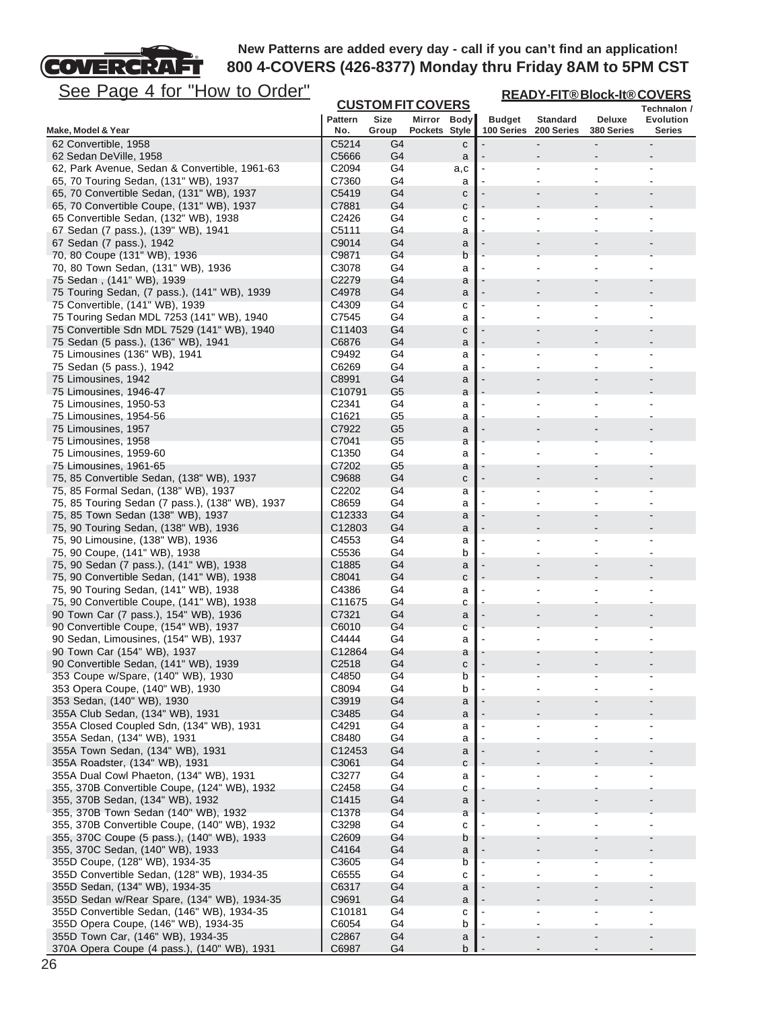

**READY-FIT® Block-It® COVERS**

| <u>See Page 4 IUI</u><br><u>HOW to Order</u>                                              |                    |                          |               |        |               |                 | <b>READY-FIT®Block-It®COVERS</b> |             |
|-------------------------------------------------------------------------------------------|--------------------|--------------------------|---------------|--------|---------------|-----------------|----------------------------------|-------------|
|                                                                                           |                    | <b>CUSTOM FIT COVERS</b> |               |        |               |                 |                                  | Technalon / |
|                                                                                           | <b>Pattern</b>     | Size                     | Mirror Body   |        | <b>Budget</b> | <b>Standard</b> | <b>Deluxe</b>                    | Evolution   |
| Make, Model & Year                                                                        | No.                | Group                    | Pockets Style |        | 100 Series    | 200 Series      | 380 Series                       | Series      |
| 62 Convertible, 1958                                                                      | C5214              | G4                       |               | с      |               |                 |                                  |             |
| 62 Sedan DeVille, 1958                                                                    | C5666<br>C2094     | G4                       |               | a      |               |                 | $\overline{a}$                   |             |
| 62, Park Avenue, Sedan & Convertible, 1961-63<br>65, 70 Touring Sedan, (131" WB), 1937    | C7360              | G4<br>G4                 |               | a,c    |               |                 |                                  |             |
| 65, 70 Convertible Sedan, (131" WB), 1937                                                 | C5419              | G4                       |               | a      |               |                 |                                  |             |
| 65, 70 Convertible Coupe, (131" WB), 1937                                                 | C7881              | G4                       |               | с<br>c |               |                 |                                  |             |
| 65 Convertible Sedan, (132" WB), 1938                                                     | C2426              | G4                       |               | с      |               |                 |                                  |             |
| 67 Sedan (7 pass.), (139" WB), 1941                                                       | C5111              | G4                       |               | а      |               |                 |                                  |             |
| 67 Sedan (7 pass.), 1942                                                                  | C9014              | G4                       |               | a      |               |                 |                                  |             |
| 70, 80 Coupe (131" WB), 1936                                                              | C9871              | G4                       |               | b      |               |                 |                                  |             |
| 70, 80 Town Sedan, (131" WB), 1936                                                        | C3078              | G4                       |               | a      |               |                 |                                  |             |
| 75 Sedan, (141" WB), 1939                                                                 | C2279              | G4                       |               | a      |               |                 |                                  |             |
| 75 Touring Sedan, (7 pass.), (141" WB), 1939                                              | C4978              | G4                       |               | a      |               |                 |                                  |             |
| 75 Convertible, (141" WB), 1939                                                           | C4309              | G <sub>4</sub>           |               | C      |               |                 |                                  |             |
| 75 Touring Sedan MDL 7253 (141" WB), 1940                                                 | C7545              | G4                       |               | a      |               |                 | ۰                                |             |
| 75 Convertible Sdn MDL 7529 (141" WB), 1940                                               | C11403             | G4                       |               | с      |               |                 |                                  |             |
| 75 Sedan (5 pass.), (136" WB), 1941                                                       | C6876              | G4                       |               | a      |               |                 |                                  |             |
| 75 Limousines (136" WB), 1941                                                             | C9492              | G4                       |               | a      |               |                 |                                  |             |
| 75 Sedan (5 pass.), 1942                                                                  | C6269              | G4                       |               | a      |               |                 |                                  |             |
| 75 Limousines, 1942                                                                       | C8991              | G4                       |               | a      |               |                 |                                  |             |
| 75 Limousines, 1946-47                                                                    | C <sub>10791</sub> | G <sub>5</sub>           |               | a      |               |                 |                                  |             |
| 75 Limousines, 1950-53                                                                    | C2341              | G4                       |               | a      |               |                 |                                  |             |
| 75 Limousines, 1954-56                                                                    | C1621              | G5                       |               | a      |               |                 |                                  |             |
| 75 Limousines, 1957                                                                       | C7922              | G <sub>5</sub>           |               | a      |               |                 |                                  |             |
| 75 Limousines, 1958                                                                       | C7041              | G <sub>5</sub>           |               | a      |               |                 |                                  |             |
| 75 Limousines, 1959-60                                                                    | C1350              | G4                       |               | a      |               |                 |                                  |             |
| 75 Limousines, 1961-65                                                                    | C7202              | G5                       |               | a      |               |                 |                                  |             |
| 75, 85 Convertible Sedan, (138" WB), 1937                                                 | C9688              | G4                       |               | с      |               |                 |                                  |             |
| 75, 85 Formal Sedan, (138" WB), 1937                                                      | C2202              | G <sub>4</sub>           |               | a      |               |                 |                                  |             |
| 75, 85 Touring Sedan (7 pass.), (138" WB), 1937                                           | C8659              | G4                       |               | a      |               | $\blacksquare$  | $\overline{\phantom{a}}$         |             |
| 75, 85 Town Sedan (138" WB), 1937                                                         | C12333             | G4                       |               | a      |               |                 |                                  |             |
| 75, 90 Touring Sedan, (138" WB), 1936                                                     | C12803             | G4                       |               | a      |               |                 |                                  |             |
| 75, 90 Limousine, (138" WB), 1936<br>75, 90 Coupe, (141" WB), 1938                        | C4553<br>C5536     | G4<br>G <sub>4</sub>     |               | а<br>b |               |                 |                                  |             |
| 75, 90 Sedan (7 pass.), (141" WB), 1938                                                   | C1885              | G4                       |               | a      |               |                 |                                  |             |
| 75, 90 Convertible Sedan, (141" WB), 1938                                                 | C8041              | G4                       |               | c      |               |                 |                                  |             |
| 75, 90 Touring Sedan, (141" WB), 1938                                                     | C4386              | G4                       |               | a      |               |                 |                                  |             |
| 75, 90 Convertible Coupe, (141" WB), 1938                                                 | C11675             | G4                       |               | с      |               |                 |                                  |             |
| 90 Town Car (7 pass.), 154" WB), 1936                                                     | C7321              | G4                       |               | a      |               |                 |                                  |             |
| 90 Convertible Coupe, (154" WB), 1937                                                     | C6010              | G4                       |               | С      |               |                 |                                  |             |
| 90 Sedan, Limousines, (154" WB), 1937                                                     | C4444              | G4                       |               | a      |               |                 |                                  |             |
| 90 Town Car (154" WB), 1937                                                               | C12864             | G4                       |               | a      |               |                 |                                  |             |
| 90 Convertible Sedan, (141" WB), 1939                                                     | C <sub>2518</sub>  | G4                       |               | c      |               |                 |                                  |             |
| 353 Coupe w/Spare, (140" WB), 1930                                                        | C4850              | G <sub>4</sub>           |               | b      |               |                 |                                  |             |
| 353 Opera Coupe, (140" WB), 1930                                                          | C8094              | G4                       |               | b      |               |                 |                                  |             |
| 353 Sedan, (140" WB), 1930                                                                | C3919              | G4                       |               | a      |               |                 |                                  |             |
| 355A Club Sedan, (134" WB), 1931                                                          | C3485              | G4                       |               | a      |               |                 |                                  |             |
| 355A Closed Coupled Sdn, (134" WB), 1931                                                  | C4291              | G4                       |               | а      |               |                 |                                  |             |
| 355A Sedan, (134" WB), 1931                                                               | C8480              | G4                       |               | a      |               |                 |                                  |             |
| 355A Town Sedan, (134" WB), 1931                                                          | C12453             | G4                       |               | a      |               |                 |                                  |             |
| 355A Roadster, (134" WB), 1931                                                            | C3061              | G <sub>4</sub>           |               | C      |               |                 |                                  |             |
| 355A Dual Cowl Phaeton, (134" WB), 1931                                                   | C3277              | G4                       |               | а      |               |                 |                                  |             |
| 355, 370B Convertible Coupe, (124" WB), 1932                                              | C2458              | G4                       |               | с      |               |                 |                                  |             |
| 355, 370B Sedan, (134" WB), 1932                                                          | C1415              | G <sub>4</sub>           |               | a      |               |                 |                                  |             |
| 355, 370B Town Sedan (140" WB), 1932                                                      | C1378              | G <sub>4</sub>           |               | а      |               |                 |                                  |             |
| 355, 370B Convertible Coupe, (140" WB), 1932                                              | C3298              | G4                       |               | С      |               |                 |                                  |             |
| 355, 370C Coupe (5 pass.), (140" WB), 1933                                                | C <sub>2609</sub>  | G4                       |               | b      |               |                 |                                  |             |
| 355, 370C Sedan, (140" WB), 1933                                                          | C4164              | G4                       |               | a      |               |                 |                                  |             |
| 355D Coupe, (128" WB), 1934-35                                                            | C3605              | G4                       |               | b      |               |                 |                                  |             |
| 355D Convertible Sedan, (128" WB), 1934-35                                                | C6555              | G4<br>G4                 |               | С      |               | $\blacksquare$  | $\blacksquare$                   |             |
| 355D Sedan, (134" WB), 1934-35                                                            | C6317              |                          |               | a      |               |                 |                                  |             |
| 355D Sedan w/Rear Spare, (134" WB), 1934-35<br>355D Convertible Sedan, (146" WB), 1934-35 | C9691<br>C10181    | G4<br>G4                 |               | a      |               |                 |                                  |             |
| 355D Opera Coupe, (146" WB), 1934-35                                                      | C6054              | G4                       |               | С<br>b |               |                 |                                  |             |
| 355D Town Car, (146" WB), 1934-35                                                         | C2867              | G <sub>4</sub>           |               | a      |               |                 |                                  |             |
| 370A Opera Coupe (4 pass.), (140" WB), 1931                                               | C6987              | G <sub>4</sub>           |               | b      |               |                 |                                  |             |
|                                                                                           |                    |                          |               |        |               |                 |                                  |             |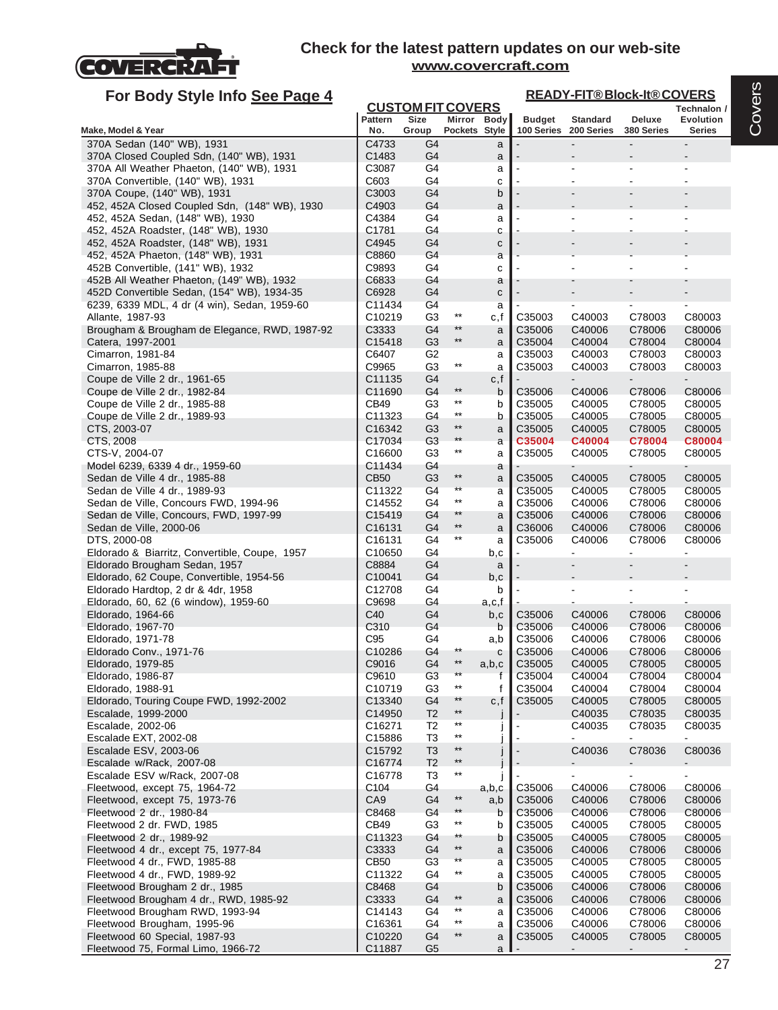

| For Body Style Info See Page 4                                                             |                              | <b>CUSTOM FIT COVERS</b> |                                    |             |                  | <b>READY-FIT®Block-It®COVERS</b> |                  |                                 |
|--------------------------------------------------------------------------------------------|------------------------------|--------------------------|------------------------------------|-------------|------------------|----------------------------------|------------------|---------------------------------|
|                                                                                            | Pattern                      | Size                     |                                    | Mirror Body | <b>Budget</b>    | <b>Standard</b>                  | Deluxe           | Technalon /<br><b>Evolution</b> |
| Make, Model & Year                                                                         | No.                          | Group                    | Pockets Style                      |             | 100 Series       | 200 Series                       | 380 Series       | <b>Series</b>                   |
| 370A Sedan (140" WB), 1931                                                                 | C4733                        | G4                       |                                    | a           |                  |                                  |                  |                                 |
| 370A Closed Coupled Sdn, (140" WB), 1931                                                   | C1483                        | G4                       |                                    | a           |                  |                                  |                  |                                 |
| 370A All Weather Phaeton, (140" WB), 1931                                                  | C3087<br>C603                | G4<br>G4                 |                                    | a           |                  |                                  |                  |                                 |
| 370A Convertible, (140" WB), 1931<br>370A Coupe, (140" WB), 1931                           | C3003                        | G4                       |                                    | C<br>b      |                  |                                  |                  |                                 |
| 452, 452A Closed Coupled Sdn, (148" WB), 1930                                              | C4903                        | G4                       |                                    | a           |                  |                                  |                  |                                 |
| 452, 452A Sedan, (148" WB), 1930                                                           | C4384                        | G4                       |                                    | a           |                  |                                  |                  |                                 |
| 452, 452A Roadster, (148" WB), 1930                                                        | C1781                        | G4                       |                                    | С           |                  |                                  |                  |                                 |
| 452, 452A Roadster, (148" WB), 1931                                                        | C4945                        | G4                       |                                    | C           |                  |                                  |                  |                                 |
| 452, 452A Phaeton, (148" WB), 1931                                                         | C8860                        | G4                       |                                    | a           |                  |                                  |                  |                                 |
| 452B Convertible, (141" WB), 1932                                                          | C9893                        | G4                       |                                    | С           |                  |                                  |                  |                                 |
| 452B All Weather Phaeton, (149" WB), 1932                                                  | C6833<br>C6928               | G4<br>G4                 |                                    | a           |                  |                                  |                  |                                 |
| 452D Convertible Sedan, (154" WB), 1934-35<br>6239, 6339 MDL, 4 dr (4 win), Sedan, 1959-60 | C11434                       | G4                       |                                    | C<br>a      |                  | $\blacksquare$                   |                  |                                 |
| Allante, 1987-93                                                                           | C <sub>10219</sub>           | G <sub>3</sub>           | $***$                              | c,f         | C35003           | C40003                           | C78003           | C80003                          |
| Brougham & Brougham de Elegance, RWD, 1987-92                                              | C3333                        | G4                       | **                                 | a           | C35006           | C40006                           | C78006           | C80006                          |
| Catera, 1997-2001                                                                          | C <sub>15418</sub>           | G <sub>3</sub>           | $^{\star\star}$                    | a           | C35004           | C40004                           | C78004           | C80004                          |
| Cimarron, 1981-84                                                                          | C6407                        | G <sub>2</sub>           |                                    | a           | C35003           | C40003                           | C78003           | C80003                          |
| Cimarron, 1985-88                                                                          | C9965                        | G3                       | $***$                              | a           | C35003           | C40003                           | C78003           | C80003                          |
| Coupe de Ville 2 dr., 1961-65                                                              | C <sub>11135</sub>           | G4                       |                                    | c,f         |                  |                                  |                  |                                 |
| Coupe de Ville 2 dr., 1982-84                                                              | C11690                       | G4                       | $***$<br>$^{\star\star}$           | b           | C35006           | C40006                           | C78006           | C80006                          |
| Coupe de Ville 2 dr., 1985-88                                                              | CB49                         | G <sub>3</sub><br>G4     | $***$                              | b<br>b      | C35005<br>C35005 | C40005                           | C78005           | C80005                          |
| Coupe de Ville 2 dr., 1989-93<br>CTS, 2003-07                                              | C11323<br>C16342             | G <sub>3</sub>           | $^{\star\star}$                    | a           | C35005           | C40005<br>C40005                 | C78005<br>C78005 | C80005<br>C80005                |
| CTS, 2008                                                                                  | C17034                       | G3                       | $***$                              | a           | C35004           | C40004                           | C78004           | C80004                          |
| CTS-V, 2004-07                                                                             | C16600                       | G <sub>3</sub>           | $***$                              | a           | C35005           | C40005                           | C78005           | C80005                          |
| Model 6239, 6339 4 dr., 1959-60                                                            | C11434                       | G4                       |                                    | a           |                  |                                  |                  |                                 |
| Sedan de Ville 4 dr., 1985-88                                                              | <b>CB50</b>                  | G <sub>3</sub>           | $***$                              | a           | C35005           | C40005                           | C78005           | C80005                          |
| Sedan de Ville 4 dr., 1989-93                                                              | C11322                       | G4                       | **                                 | a           | C35005           | C40005                           | C78005           | C80005                          |
| Sedan de Ville, Concours FWD, 1994-96                                                      | C14552                       | G4                       | $***$                              | a           | C35006           | C40006                           | C78006           | C80006                          |
| Sedan de Ville, Concours, FWD, 1997-99                                                     | C15419                       | G4                       | **<br>$^{\star\star}$              | a           | C35006           | C40006                           | C78006           | C80006                          |
| Sedan de Ville, 2000-06                                                                    | C <sub>16131</sub>           | G <sub>4</sub>           | $***$                              | a           | C36006           | C40006                           | C78006           | C80006                          |
| DTS, 2000-08<br>Eldorado & Biarritz, Convertible, Coupe, 1957                              | C16131<br>C <sub>10650</sub> | G4<br>G4                 |                                    | a<br>b,c    | C35006           | C40006<br>$\mathbf{r}$           | C78006           | C80006<br>$\blacksquare$        |
| Eldorado Brougham Sedan, 1957                                                              | C8884                        | G4                       |                                    | a           |                  |                                  |                  |                                 |
| Eldorado, 62 Coupe, Convertible, 1954-56                                                   | C <sub>10041</sub>           | G4                       |                                    | b,c         |                  |                                  |                  |                                 |
| Eldorado Hardtop, 2 dr & 4dr, 1958                                                         | C <sub>12708</sub>           | G4                       |                                    | b           |                  |                                  |                  |                                 |
| Eldorado, 60, 62 (6 window), 1959-60                                                       | C9698                        | G4                       |                                    | a,c,f       |                  |                                  |                  |                                 |
| Eldorado, 1964-66                                                                          | C40                          | G4                       |                                    | b,c         | C35006           | C40006                           | C78006           | C80006                          |
| Eldorado, 1967-70                                                                          | C310                         | G4                       |                                    | b           | C35006           | C40006                           | C78006           | C80006                          |
| Eldorado, 1971-78<br>Eldorado Conv., 1971-76                                               | C <sub>95</sub>              | G4                       | **                                 | a,b         | C35006           | C40006                           | C78006           | C80006                          |
| Eldorado, 1979-85                                                                          | C <sub>10286</sub><br>C9016  | G4<br>G4                 | $***$                              | c<br>a,b,c  | C35006<br>C35005 | C40006<br>C40005                 | C78006<br>C78005 | C80006<br>C80005                |
| Eldorado, 1986-87                                                                          | C9610                        | G <sub>3</sub>           | **                                 | t           | C35004           | C40004                           | C78004           | C80004                          |
| Eldorado, 1988-91                                                                          | C10719                       | G <sub>3</sub>           | $\star\star$                       | f           | C35004           | C40004                           | C78004           | C80004                          |
| Eldorado, Touring Coupe FWD, 1992-2002                                                     | C13340                       | G4                       | **                                 | c, f        | C35005           | C40005                           | C78005           | C80005                          |
| Escalade, 1999-2000                                                                        | C14950                       | T <sub>2</sub>           | $^{\star\star}$                    |             |                  | C40035                           | C78035           | C80035                          |
| Escalade, 2002-06                                                                          | C16271                       | T <sub>2</sub>           | $^{\star\star}$                    |             |                  | C40035                           | C78035           | C80035                          |
| Escalade EXT, 2002-08                                                                      | C15886                       | T <sub>3</sub>           | $^{\star\star}$                    |             |                  | $\blacksquare$                   |                  |                                 |
| Escalade ESV, 2003-06                                                                      | C15792                       | T <sub>3</sub>           | $***$<br>$^{\star\star}$           |             |                  | C40036                           | C78036           | C80036                          |
| Escalade w/Rack, 2007-08                                                                   | C16774                       | T <sub>2</sub>           | $^{\star\star}$                    |             |                  |                                  |                  |                                 |
| Escalade ESV w/Rack, 2007-08<br>Fleetwood, except 75, 1964-72                              | C16778<br>C104               | T <sub>3</sub><br>G4     |                                    | a,b,c       | C35006           | C40006                           | C78006           | C80006                          |
| Fleetwood, except 75, 1973-76                                                              | CA <sub>9</sub>              | G4                       | $^{\star\star}$                    | a,b         | C35006           | C40006                           | C78006           | C80006                          |
| Fleetwood 2 dr., 1980-84                                                                   | C8468                        | G4                       | $**$                               | b           | C35006           | C40006                           | C78006           | C80006                          |
| Fleetwood 2 dr. FWD, 1985                                                                  | CB49                         | G <sub>3</sub>           | $^{\star\star}$                    | b           | C35005           | C40005                           | C78005           | C80005                          |
| Fleetwood 2 dr., 1989-92                                                                   | C11323                       | G4                       | **                                 | b           | C35005           | C40005                           | C78005           | C80005                          |
| Fleetwood 4 dr., except 75, 1977-84                                                        | C3333                        | G4                       | $***$                              | a           | C35006           | C40006                           | C78006           | C80006                          |
| Fleetwood 4 dr., FWD, 1985-88                                                              | <b>CB50</b>                  | G <sub>3</sub>           | **                                 | a           | C35005           | C40005                           | C78005           | C80005                          |
| Fleetwood 4 dr., FWD, 1989-92                                                              | C11322                       | G4                       | $^{\star\star}$                    | a           | C35005           | C40005                           | C78005           | C80005                          |
| Fleetwood Brougham 2 dr., 1985                                                             | C8468                        | G <sub>4</sub>           |                                    | b           | C35006           | C40006                           | C78006           | C80006                          |
| Fleetwood Brougham 4 dr., RWD, 1985-92                                                     | C3333                        | G4                       | $^{\star\star}$<br>$^{\star\star}$ | a           | C35006           | C40006                           | C78006           | C80006                          |
| Fleetwood Brougham RWD, 1993-94                                                            | C14143                       | G4                       | $^{\star\star}$                    | a           | C35006           | C40006                           | C78006           | C80006                          |
| Fleetwood Brougham, 1995-96<br>Fleetwood 60 Special, 1987-93                               | C <sub>16361</sub><br>C10220 | G4<br>G4                 | $^{\star\star}$                    | a           | C35006<br>C35005 | C40006<br>C40005                 | C78006<br>C78005 | C80006                          |
| Fleetwood 75, Formal Limo, 1966-72                                                         | C11887                       | G <sub>5</sub>           |                                    | a<br>a      |                  |                                  |                  | C80005                          |
|                                                                                            |                              |                          |                                    |             |                  |                                  |                  |                                 |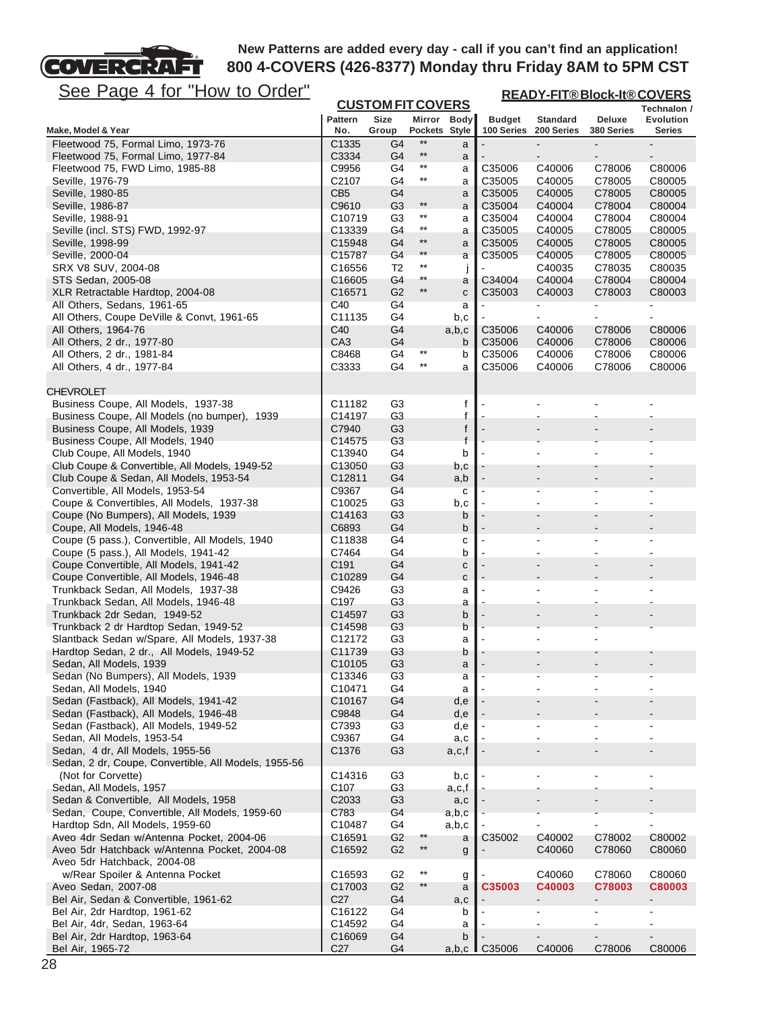

**READY-FIT® Block-It® COVERS**

| <u>See Page 4 IUI</u><br><u>HOW to Order</u>                                              |                              |                                  |                                    |              | <u>READY-FIT®Block-It®COVERS</u> |                               |                          |                                        |  |
|-------------------------------------------------------------------------------------------|------------------------------|----------------------------------|------------------------------------|--------------|----------------------------------|-------------------------------|--------------------------|----------------------------------------|--|
|                                                                                           |                              | <b>CUSTOM FIT COVERS</b>         |                                    |              |                                  |                               |                          | Technalon /                            |  |
| Make, Model & Year                                                                        | <b>Pattern</b><br>No.        | <b>Size</b><br>Group             | Pockets Style                      | Mirror Body  | <b>Budget</b><br>100 Series      | <b>Standard</b><br>200 Series | Deluxe<br>380 Series     | Evolution<br>Series                    |  |
| Fleetwood 75, Formal Limo, 1973-76                                                        | C1335                        | G4                               | $**$                               | a            |                                  |                               |                          |                                        |  |
| Fleetwood 75, Formal Limo, 1977-84                                                        | C3334                        | G4                               | $***$                              | a            |                                  | $\blacksquare$                | $\overline{\phantom{a}}$ |                                        |  |
| Fleetwood 75, FWD Limo, 1985-88                                                           | C9956                        | G4                               | $***$                              | a            | C35006                           | C40006                        | C78006                   | C80006                                 |  |
| Seville, 1976-79                                                                          | C2107                        | G4                               | $^{\star\star}$                    | a            | C35005                           | C40005                        | C78005                   | C80005                                 |  |
| Seville, 1980-85                                                                          | CB <sub>5</sub>              | G4                               |                                    | a            | C35005                           | C40005                        | C78005                   | C80005                                 |  |
| Seville, 1986-87                                                                          | C9610                        | G <sub>3</sub>                   | $***$                              | a            | C35004                           | C40004                        | C78004                   | C80004                                 |  |
| Seville, 1988-91                                                                          | C10719                       | G3                               | $^{\star\star}$<br>$^{\star\star}$ | a            | C35004                           | C40004                        | C78004                   | C80004                                 |  |
| Seville (incl. STS) FWD, 1992-97<br>Seville, 1998-99                                      | C13339<br>C15948             | G4<br>G <sub>4</sub>             | $**$                               | a<br>a       | C35005<br>C35005                 | C40005<br>C40005              | C78005<br>C78005         | C80005<br>C80005                       |  |
| Seville, 2000-04                                                                          | C15787                       | G4                               | $**$                               | a            | C35005                           | C40005                        | C78005                   | C80005                                 |  |
| SRX V8 SUV, 2004-08                                                                       | C16556                       | T <sub>2</sub>                   | $^{\star\star}$                    | Ĵ            |                                  | C40035                        | C78035                   | C80035                                 |  |
| STS Sedan, 2005-08                                                                        | C <sub>16605</sub>           | G4                               | $^{\star\star}$                    | a            | C34004                           | C40004                        | C78004                   | C80004                                 |  |
| XLR Retractable Hardtop, 2004-08                                                          | C <sub>16571</sub>           | G <sub>2</sub>                   | $^{\star\star}$                    | C            | C35003                           | C40003                        | C78003                   | C80003                                 |  |
| All Others, Sedans, 1961-65                                                               | C40                          | G <sub>4</sub>                   |                                    | a            |                                  | $\blacksquare$                |                          | $\blacksquare$                         |  |
| All Others, Coupe DeVille & Convt, 1961-65                                                | C11135                       | G4                               |                                    | b,c          |                                  | $\blacksquare$                |                          |                                        |  |
| All Others, 1964-76                                                                       | C40                          | G <sub>4</sub>                   |                                    | a,b,c        | C35006                           | C40006<br>C40006              | C78006                   | C80006<br>C80006                       |  |
| All Others, 2 dr., 1977-80<br>All Others, 2 dr., 1981-84                                  | CA <sub>3</sub><br>C8468     | G4<br>G4                         | $***$                              | b<br>b       | C35006<br>C35006                 | C40006                        | C78006<br>C78006         | C80006                                 |  |
| All Others, 4 dr., 1977-84                                                                | C3333                        | G4                               | $***$                              | a            | C35006                           | C40006                        | C78006                   | C80006                                 |  |
|                                                                                           |                              |                                  |                                    |              |                                  |                               |                          |                                        |  |
| <b>CHEVROLET</b>                                                                          |                              |                                  |                                    |              |                                  |                               |                          |                                        |  |
| Business Coupe, All Models, 1937-38                                                       | C11182                       | G3                               |                                    | f            | $\overline{a}$                   | $\overline{\phantom{a}}$      | $\blacksquare$           |                                        |  |
| Business Coupe, All Models (no bumper), 1939                                              | C14197                       | G <sub>3</sub>                   |                                    | f            |                                  |                               |                          |                                        |  |
| Business Coupe, All Models, 1939                                                          | C7940                        | G <sub>3</sub>                   |                                    | f            |                                  |                               |                          |                                        |  |
| Business Coupe, All Models, 1940                                                          | C14575                       | G <sub>3</sub><br>G4             |                                    | f<br>b       |                                  |                               |                          |                                        |  |
| Club Coupe, All Models, 1940<br>Club Coupe & Convertible, All Models, 1949-52             | C13940<br>C <sub>13050</sub> | G3                               |                                    | b,c          |                                  |                               |                          |                                        |  |
| Club Coupe & Sedan, All Models, 1953-54                                                   | C12811                       | G <sub>4</sub>                   |                                    | a,b          |                                  |                               |                          |                                        |  |
| Convertible, All Models, 1953-54                                                          | C9367                        | G <sub>4</sub>                   |                                    | $\mathbf{C}$ |                                  | $\overline{\phantom{a}}$      | $\blacksquare$           |                                        |  |
| Coupe & Convertibles, All Models, 1937-38                                                 | C <sub>10025</sub>           | G <sub>3</sub>                   |                                    | b,c          | $\blacksquare$                   | $\overline{\phantom{a}}$      | $\blacksquare$           |                                        |  |
| Coupe (No Bumpers), All Models, 1939                                                      | C14163                       | G <sub>3</sub>                   |                                    | b            |                                  |                               |                          |                                        |  |
| Coupe, All Models, 1946-48                                                                | C6893                        | G4                               |                                    | b            |                                  |                               |                          |                                        |  |
| Coupe (5 pass.), Convertible, All Models, 1940<br>Coupe (5 pass.), All Models, 1941-42    | C11838<br>C7464              | G4<br>G4                         |                                    | С<br>b       |                                  | $\blacksquare$<br>L,          | $\blacksquare$           |                                        |  |
| Coupe Convertible, All Models, 1941-42                                                    | C <sub>191</sub>             | G4                               |                                    | $\mathbf C$  | $\overline{a}$                   | $\overline{a}$                |                          |                                        |  |
| Coupe Convertible, All Models, 1946-48                                                    | C <sub>10289</sub>           | G4                               |                                    | C            |                                  |                               |                          |                                        |  |
| Trunkback Sedan, All Models, 1937-38                                                      | C9426                        | G3                               |                                    | a            |                                  | $\blacksquare$                |                          |                                        |  |
| Trunkback Sedan, All Models, 1946-48                                                      | C197                         | G <sub>3</sub>                   |                                    | a            |                                  |                               |                          |                                        |  |
| Trunkback 2dr Sedan, 1949-52                                                              | C14597                       | G <sub>3</sub>                   |                                    | b            |                                  |                               |                          |                                        |  |
| Trunkback 2 dr Hardtop Sedan, 1949-52                                                     | C14598                       | G <sub>3</sub>                   |                                    | b            |                                  |                               |                          |                                        |  |
| Slantback Sedan w/Spare, All Models, 1937-38<br>Hardtop Sedan, 2 dr., All Models, 1949-52 | C12172<br>C11739             | G <sub>3</sub><br>G3             |                                    | a            |                                  |                               |                          |                                        |  |
| Sedan, All Models, 1939                                                                   | C <sub>10105</sub>           | G <sub>3</sub>                   |                                    | b<br>a       |                                  |                               |                          |                                        |  |
| Sedan (No Bumpers), All Models, 1939                                                      | C13346                       | G <sub>3</sub>                   |                                    | a            |                                  |                               |                          |                                        |  |
| Sedan, All Models, 1940                                                                   | C <sub>10471</sub>           | G4                               |                                    | a            |                                  |                               |                          |                                        |  |
| Sedan (Fastback), All Models, 1941-42                                                     | C <sub>10167</sub>           | G <sub>4</sub>                   |                                    | d,e          |                                  |                               |                          |                                        |  |
| Sedan (Fastback), All Models, 1946-48                                                     | C9848                        | G4                               |                                    | d,e          |                                  |                               |                          |                                        |  |
| Sedan (Fastback), All Models, 1949-52                                                     | C7393                        | G <sub>3</sub>                   |                                    | d,e          |                                  |                               | $\overline{a}$           | $\overline{a}$                         |  |
| Sedan, All Models, 1953-54<br>Sedan, 4 dr, All Models, 1955-56                            | C9367<br>C1376               | G4<br>G <sub>3</sub>             |                                    | a,c          |                                  |                               | $\overline{a}$           |                                        |  |
| Sedan, 2 dr, Coupe, Convertible, All Models, 1955-56                                      |                              |                                  |                                    | a,c,f        |                                  |                               |                          |                                        |  |
| (Not for Corvette)                                                                        | C14316                       | G3                               |                                    | b,c          |                                  |                               |                          | $\overline{\phantom{a}}$               |  |
| Sedan, All Models, 1957                                                                   | C <sub>107</sub>             | G3                               |                                    | a,c,f        |                                  |                               |                          |                                        |  |
| Sedan & Convertible, All Models, 1958                                                     | C <sub>2033</sub>            | G <sub>3</sub>                   |                                    | a,c          |                                  |                               |                          |                                        |  |
| Sedan, Coupe, Convertible, All Models, 1959-60                                            | C783                         | G4                               |                                    | a,b,c        |                                  |                               |                          |                                        |  |
| Hardtop Sdn, All Models, 1959-60                                                          | C10487                       | G4                               |                                    | a,b,c        |                                  |                               |                          |                                        |  |
| Aveo 4dr Sedan w/Antenna Pocket, 2004-06                                                  | C16591                       | G <sub>2</sub><br>G <sub>2</sub> | $^{\star\star}$<br>$^{\star\star}$ | a            | C35002                           | C40002<br>C40060              | C78002                   | C80002                                 |  |
| Aveo 5dr Hatchback w/Antenna Pocket, 2004-08<br>Aveo 5dr Hatchback, 2004-08               | C16592                       |                                  |                                    | g            |                                  |                               | C78060                   | C80060                                 |  |
| w/Rear Spoiler & Antenna Pocket                                                           | C <sub>16593</sub>           | G <sub>2</sub>                   | $^{\star\star}$                    | g            |                                  | C40060                        | C78060                   | C80060                                 |  |
| Aveo Sedan, 2007-08                                                                       | C17003                       | G <sub>2</sub>                   | $**$                               | a            | C35003                           | C40003                        | C78003                   | C80003                                 |  |
| Bel Air, Sedan & Convertible, 1961-62                                                     | C <sub>27</sub>              | G4                               |                                    | a,c          |                                  | $\overline{\phantom{a}}$      | $\overline{\phantom{a}}$ | $\blacksquare$                         |  |
| Bel Air, 2dr Hardtop, 1961-62                                                             | C16122                       | G4                               |                                    | b            |                                  | ٠                             | $\blacksquare$           | $\blacksquare$                         |  |
| Bel Air, 4dr, Sedan, 1963-64                                                              | C14592                       | G4                               |                                    | а            |                                  | ÷,                            |                          | $\blacksquare$                         |  |
| Bel Air, 2dr Hardtop, 1963-64<br>Bel Air, 1965-72                                         | C16069<br>C <sub>27</sub>    | G <sub>4</sub><br>G4             |                                    | b<br>a,b,c   |                                  | $\blacksquare$<br>C40006      | $\blacksquare$<br>C78006 | $\qquad \qquad \blacksquare$<br>C80006 |  |
|                                                                                           |                              |                                  |                                    |              | C35006                           |                               |                          |                                        |  |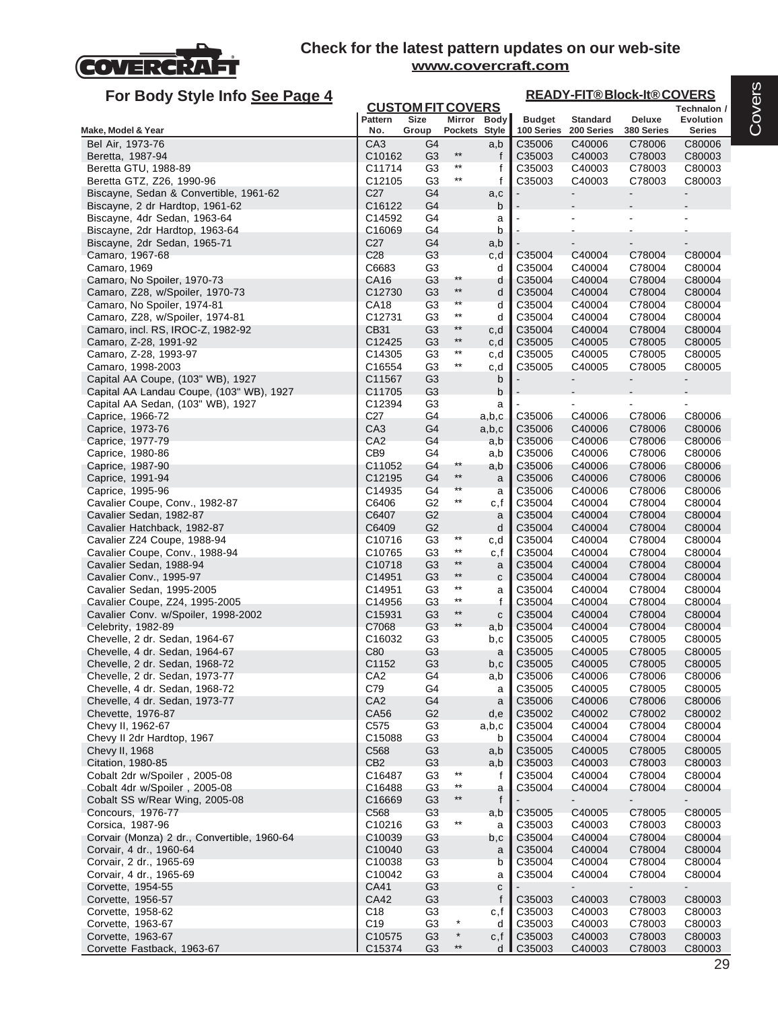

| For Body Style Info See Page 4                                       |                  |                                  |                              |              |                  |                  | <b>READY-FIT®Block-It®COVERS</b> |                          |
|----------------------------------------------------------------------|------------------|----------------------------------|------------------------------|--------------|------------------|------------------|----------------------------------|--------------------------|
|                                                                      | <b>Pattern</b>   | <b>CUSTOM FIT COVERS</b><br>Size | Mirror                       | <b>Body</b>  | <b>Budget</b>    | <b>Standard</b>  | Deluxe                           | Technalon /<br>Evolution |
| Make, Model & Year                                                   | No.              | Group                            | Pockets Style                |              | 100 Series       | 200 Series       | 380 Series                       | Series                   |
| Bel Air, 1973-76                                                     | CA <sub>3</sub>  | G4                               |                              | a,b          | C35006           | C40006           | C78006                           | C80006                   |
| Beretta, 1987-94                                                     | C10162           | G <sub>3</sub>                   | $***$<br>$^{\star\star}$     | f            | C35003           | C40003           | C78003                           | C80003                   |
| Beretta GTU, 1988-89                                                 | C11714           | G <sub>3</sub>                   | $^{\star\star}$              | f            | C35003           | C40003           | C78003                           | C80003                   |
| Beretta GTZ, Z26, 1990-96<br>Biscayne, Sedan & Convertible, 1961-62  | C12105<br>C27    | G <sub>3</sub><br>G4             |                              | f            | C35003           | C40003           | C78003<br>$\blacksquare$         | C80003<br>۰.             |
| Biscayne, 2 dr Hardtop, 1961-62                                      | C16122           | G4                               |                              | a,c<br>b     |                  |                  |                                  |                          |
| Biscayne, 4dr Sedan, 1963-64                                         | C14592           | G4                               |                              | a            |                  |                  |                                  |                          |
| Biscayne, 2dr Hardtop, 1963-64                                       | C16069           | G4                               |                              | b            |                  |                  |                                  |                          |
| Biscayne, 2dr Sedan, 1965-71                                         | C <sub>27</sub>  | G4                               |                              | a,b          |                  |                  |                                  |                          |
| Camaro, 1967-68                                                      | C <sub>28</sub>  | G3                               |                              | c,d          | C35004           | C40004           | C78004                           | C80004                   |
| Camaro, 1969                                                         | C6683            | G <sub>3</sub>                   |                              | d            | C35004           | C40004           | C78004                           | C80004                   |
| Camaro, No Spoiler, 1970-73                                          | CA16             | G3                               | $***$                        | d            | C35004           | C40004           | C78004                           | C80004                   |
| Camaro, Z28, w/Spoiler, 1970-73                                      | C12730           | G <sub>3</sub>                   | $\star\star$<br>$\star\star$ | d            | C35004           | C40004           | C78004                           | C80004                   |
| Camaro, No Spoiler, 1974-81                                          | <b>CA18</b>      | G <sub>3</sub>                   | $^{\star\star}$              | d            | C35004           | C40004           | C78004                           | C80004                   |
| Camaro, Z28, w/Spoiler, 1974-81<br>Camaro, incl. RS, IROC-Z, 1982-92 | C12731<br>CB31   | G3<br>G <sub>3</sub>             | $**$                         | d<br>c,d     | C35004<br>C35004 | C40004<br>C40004 | C78004<br>C78004                 | C80004<br>C80004         |
| Camaro, Z-28, 1991-92                                                | C12425           | G <sub>3</sub>                   | $\star\star$                 | c,d          | C35005           | C40005           | C78005                           | C80005                   |
| Camaro, Z-28, 1993-97                                                | C14305           | G <sub>3</sub>                   | **                           | c,d          | C35005           | C40005           | C78005                           | C80005                   |
| Camaro, 1998-2003                                                    | C16554           | G <sub>3</sub>                   | $^{\star\star}$              | c,d          | C35005           | C40005           | C78005                           | C80005                   |
| Capital AA Coupe, (103" WB), 1927                                    | C11567           | G <sub>3</sub>                   |                              | b            |                  |                  | $\blacksquare$                   | -                        |
| Capital AA Landau Coupe, (103" WB), 1927                             | C11705           | G <sub>3</sub>                   |                              | b            |                  |                  |                                  |                          |
| Capital AA Sedan, (103" WB), 1927                                    | C12394           | G <sub>3</sub>                   |                              | a            |                  |                  |                                  |                          |
| Caprice, 1966-72                                                     | C27              | G4                               |                              | a,b,c        | C35006           | C40006           | C78006                           | C80006                   |
| Caprice, 1973-76                                                     | CA <sub>3</sub>  | G4                               |                              | a,b,c        | C35006           | C40006           | C78006                           | C80006                   |
| Caprice, 1977-79                                                     | CA <sub>2</sub>  | G4                               |                              | a,b          | C35006           | C40006           | C78006                           | C80006                   |
| Caprice, 1980-86                                                     | CB <sub>9</sub>  | G4                               | $^{\star\star}$              | a,b          | C35006           | C40006           | C78006                           | C80006                   |
| Caprice, 1987-90<br>Caprice, 1991-94                                 | C11052<br>C12195 | G4<br>G4                         | $\star\star$                 | a,b<br>a     | C35006<br>C35006 | C40006<br>C40006 | C78006<br>C78006                 | C80006<br>C80006         |
| Caprice, 1995-96                                                     | C14935           | G4                               | $\star\star$                 | а            | C35006           | C40006           | C78006                           | C80006                   |
| Cavalier Coupe, Conv., 1982-87                                       | C6406            | G <sub>2</sub>                   | $^{\star\star}$              | c,f          | C35004           | C40004           | C78004                           | C80004                   |
| Cavalier Sedan, 1982-87                                              | C6407            | G <sub>2</sub>                   |                              | a            | C35004           | C40004           | C78004                           | C80004                   |
| Cavalier Hatchback, 1982-87                                          | C6409            | G <sub>2</sub>                   |                              | d            | C35004           | C40004           | C78004                           | C80004                   |
| Cavalier Z24 Coupe, 1988-94                                          | C10716           | G <sub>3</sub>                   | $^{\star\star}$              | c,d          | C35004           | C40004           | C78004                           | C80004                   |
| Cavalier Coupe, Conv., 1988-94                                       | C10765           | G <sub>3</sub>                   | $^{\star\star}$              | c,f          | C35004           | C40004           | C78004                           | C80004                   |
| Cavalier Sedan, 1988-94                                              | C10718           | G <sub>3</sub>                   | $\star\star$<br>$\star\star$ | a            | C35004           | C40004           | C78004                           | C80004                   |
| Cavalier Conv., 1995-97                                              | C14951           | G <sub>3</sub>                   | $^{\star\star}$              | C            | C35004           | C40004           | C78004                           | C80004                   |
| Cavalier Sedan, 1995-2005<br>Cavalier Coupe, Z24, 1995-2005          | C14951<br>C14956 | G <sub>3</sub><br>G <sub>3</sub> | $\star\star$                 | a<br>f       | C35004<br>C35004 | C40004<br>C40004 | C78004<br>C78004                 | C80004<br>C80004         |
| Cavalier Conv. w/Spoiler, 1998-2002                                  | C15931           | G <sub>3</sub>                   | $\star\star$                 | C            | C35004           | C40004           | C78004                           | C80004                   |
| Celebrity, 1982-89                                                   | C7068            | G <sub>3</sub>                   | $***$                        | a,b          | C35004           | C40004           | C78004                           | C80004                   |
| Chevelle, 2 dr. Sedan, 1964-67                                       | C16032           | G <sub>3</sub>                   |                              | b,c          | C35005           | C40005           | C78005                           | C80005                   |
| Chevelle, 4 dr. Sedan, 1964-67                                       | C80              | G3                               |                              | a            | C35005           | C40005           | C78005                           | C80005                   |
| Chevelle, 2 dr. Sedan, 1968-72                                       | C1152            | G <sub>3</sub>                   |                              | b,c          | C35005           | C40005           | C78005                           | C80005                   |
| Chevelle, 2 dr. Sedan, 1973-77                                       | CA <sub>2</sub>  | G4                               |                              | a,b          | C35006           | C40006           | C78006                           | C80006                   |
| Chevelle, 4 dr. Sedan, 1968-72                                       | C79              | G4                               |                              | a            | C35005           | C40005           | C78005                           | C80005                   |
| Chevelle, 4 dr. Sedan, 1973-77                                       | CA <sub>2</sub>  | G4                               |                              | a            | C35006           | C40006           | C78006                           | C80006                   |
| Chevette, 1976-87                                                    | CA56             | G <sub>2</sub>                   |                              | d,e          | C35002           | C40002           | C78002                           | C80002                   |
| Chevy II, 1962-67<br>Chevy II 2dr Hardtop, 1967                      | C575<br>C15088   | G <sub>3</sub><br>G <sub>3</sub> |                              | a,b,c<br>b   | C35004<br>C35004 | C40004<br>C40004 | C78004<br>C78004                 | C80004<br>C80004         |
| Chevy II, 1968                                                       | C568             | G <sub>3</sub>                   |                              | a,b          | C35005           | C40005           | C78005                           | C80005                   |
| Citation, 1980-85                                                    | CB <sub>2</sub>  | G <sub>3</sub>                   |                              | a,b          | C35003           | C40003           | C78003                           | C80003                   |
| Cobalt 2dr w/Spoiler, 2005-08                                        | C16487           | G <sub>3</sub>                   | $***$                        | f            | C35004           | C40004           | C78004                           | C80004                   |
| Cobalt 4dr w/Spoiler, 2005-08                                        | C16488           | G <sub>3</sub>                   | $\star\star$                 | а            | C35004           | C40004           | C78004                           | C80004                   |
| Cobalt SS w/Rear Wing, 2005-08                                       | C16669           | G <sub>3</sub>                   | $***$                        | $\mathsf{f}$ |                  |                  |                                  |                          |
| Concours, 1976-77                                                    | C568             | G <sub>3</sub>                   |                              | a,b          | C35005           | C40005           | C78005                           | C80005                   |
| Corsica, 1987-96                                                     | C10216           | G <sub>3</sub>                   | $^{\star\star}$              | a            | C35003           | C40003           | C78003                           | C80003                   |
| Corvair (Monza) 2 dr., Convertible, 1960-64                          | C10039           | G <sub>3</sub>                   |                              | b,c          | C35004           | C40004           | C78004                           | C80004                   |
| Corvair, 4 dr., 1960-64                                              | C10040           | G <sub>3</sub>                   |                              | a            | C35004           | C40004           | C78004                           | C80004                   |
| Corvair, 2 dr., 1965-69                                              | C10038           | G <sub>3</sub>                   |                              | b            | C35004           | C40004           | C78004                           | C80004                   |
| Corvair, 4 dr., 1965-69                                              | C10042           | G <sub>3</sub>                   |                              | a            | C35004           | C40004           | C78004                           | C80004                   |
| Corvette, 1954-55                                                    | <b>CA41</b>      | G <sub>3</sub>                   |                              | ${\bf c}$    |                  |                  | $\blacksquare$                   | $\blacksquare$           |
| Corvette, 1956-57                                                    | <b>CA42</b>      | G <sub>3</sub>                   |                              | f            | C35003           | C40003           | C78003                           | C80003                   |
| Corvette, 1958-62                                                    | C <sub>18</sub>  | G <sub>3</sub>                   | $\star$                      | c,f          | C35003           | C40003           | C78003                           | C80003                   |
| Corvette, 1963-67<br>Corvette, 1963-67                               | C19<br>C10575    | G <sub>3</sub><br>G <sub>3</sub> | $\star$                      | d<br>c, f    | C35003<br>C35003 | C40003<br>C40003 | C78003<br>C78003                 | C80003<br>C80003         |
| Corvette Fastback, 1963-67                                           | C15374           | G <sub>3</sub>                   | $^{\star\star}$              | d            | C35003           | C40003           | C78003                           | C80003                   |
|                                                                      |                  |                                  |                              |              |                  |                  |                                  |                          |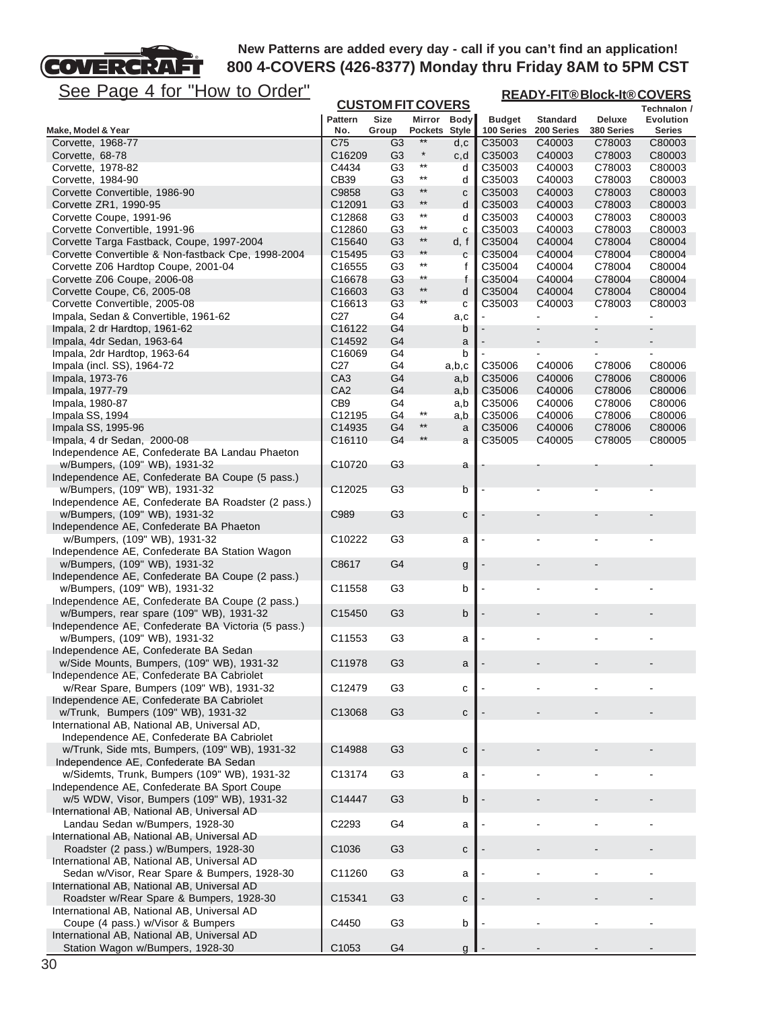

**READY-FIT® Block-It® COVERS**

| <u>JULE F ayu + IVI</u><br><b>I IUW IU VIUCI</b>                                      | <b>CUSTOM FIT COVERS</b> |                                  |                 |              | <u>READY-FIT®BIOCK-It®COVERS</u> |                  |                  |                  |  |  |
|---------------------------------------------------------------------------------------|--------------------------|----------------------------------|-----------------|--------------|----------------------------------|------------------|------------------|------------------|--|--|
|                                                                                       |                          |                                  |                 |              |                                  |                  |                  | Technalon /      |  |  |
|                                                                                       | <b>Pattern</b>           | <b>Size</b>                      | <b>Pockets</b>  | Mirror Body  | <b>Budget</b>                    | <b>Standard</b>  | Deluxe           | Evolution        |  |  |
| Make, Model & Year                                                                    | No.                      | Group                            | $^{\star\star}$ | Style        | 100 Series                       | 200 Series       | 380 Series       | <b>Series</b>    |  |  |
| Corvette, 1968-77                                                                     | C75                      | G3                               | $^\star$        | d,c          | C35003                           | C40003           | C78003           | C80003           |  |  |
| Corvette, 68-78<br>Corvette, 1978-82                                                  | C16209<br>C4434          | G <sub>3</sub><br>G <sub>3</sub> | $***$           | c,d<br>d     | C35003<br>C35003                 | C40003<br>C40003 | C78003<br>C78003 | C80003<br>C80003 |  |  |
| Corvette, 1984-90                                                                     | CB39                     | G <sub>3</sub>                   | $^{\star\star}$ | d            | C35003                           | C40003           | C78003           | C80003           |  |  |
| Corvette Convertible, 1986-90                                                         | C9858                    | G <sub>3</sub>                   | $***$           | с            | C35003                           | C40003           | C78003           | C80003           |  |  |
| Corvette ZR1, 1990-95                                                                 | C12091                   | G <sub>3</sub>                   | $^{\star\star}$ | d            | C35003                           | C40003           | C78003           | C80003           |  |  |
| Corvette Coupe, 1991-96                                                               | C12868                   | G <sub>3</sub>                   | $***$           | d            | C35003                           | C40003           | C78003           | C80003           |  |  |
| Corvette Convertible, 1991-96                                                         | C12860                   | G <sub>3</sub>                   | $***$           | С            | C35003                           | C40003           | C78003           | C80003           |  |  |
| Corvette Targa Fastback, Coupe, 1997-2004                                             | C <sub>15640</sub>       | G <sub>3</sub>                   | $^{\star\star}$ | d, f         | C35004                           | C40004           | C78004           | C80004           |  |  |
| Corvette Convertible & Non-fastback Cpe, 1998-2004                                    | C <sub>15495</sub>       | G <sub>3</sub>                   | $^{\star\star}$ | C            | C35004                           | C40004           | C78004           | C80004           |  |  |
| Corvette Z06 Hardtop Coupe, 2001-04                                                   | C <sub>16555</sub>       | G3                               | $^{\star\star}$ | f            | C35004                           | C40004           | C78004           | C80004           |  |  |
| Corvette Z06 Coupe, 2006-08                                                           | C16678                   | G <sub>3</sub>                   | $^{\star\star}$ | t            | C35004                           | C40004           | C78004           | C80004           |  |  |
| Corvette Coupe, C6, 2005-08                                                           | C <sub>16603</sub>       | G <sub>3</sub>                   | $^{\star\star}$ | d            | C35004                           | C40004           | C78004           | C80004           |  |  |
| Corvette Convertible, 2005-08                                                         | C <sub>16613</sub>       | G3                               | **              | C            | C35003                           | C40003           | C78003           | C80003           |  |  |
| Impala, Sedan & Convertible, 1961-62                                                  | C27                      | G4                               |                 | a,c          |                                  |                  |                  |                  |  |  |
| Impala, 2 dr Hardtop, 1961-62                                                         | C <sub>16122</sub>       | G4                               |                 | b            |                                  |                  |                  |                  |  |  |
| Impala, 4dr Sedan, 1963-64                                                            | C14592                   | G4                               |                 | a            |                                  |                  |                  |                  |  |  |
| Impala, 2dr Hardtop, 1963-64                                                          | C <sub>16069</sub>       | G4                               |                 | b            |                                  |                  |                  |                  |  |  |
| Impala (incl. SS), 1964-72                                                            | C <sub>27</sub>          | G4                               |                 | a,b,c        | C35006                           | C40006           | C78006           | C80006           |  |  |
| Impala, 1973-76                                                                       | CA <sub>3</sub>          | G4                               |                 | a,b          | C35006                           | C40006           | C78006           | C80006           |  |  |
| Impala, 1977-79                                                                       | CA <sub>2</sub>          | G4                               |                 | a,b          | C35006                           | C40006           | C78006           | C80006           |  |  |
| Impala, 1980-87                                                                       | CB <sub>9</sub>          | G4                               |                 | a,b          | C35006                           | C40006           | C78006           | C80006           |  |  |
| Impala SS, 1994                                                                       | C12195                   | G4                               | $^{\star\star}$ | a,b          | C35006                           | C40006           | C78006           | C80006           |  |  |
| Impala SS, 1995-96                                                                    | C14935                   | G4                               | $^{\star\star}$ | a            | C35006                           | C40006           | C78006           | C80006           |  |  |
| Impala, 4 dr Sedan, 2000-08                                                           | C16110                   | G4                               | $***$           | a            | C35005                           | C40005           | C78005           | C80005           |  |  |
| Independence AE, Confederate BA Landau Phaeton                                        |                          |                                  |                 |              |                                  |                  |                  |                  |  |  |
| w/Bumpers, (109" WB), 1931-32                                                         | C10720                   | G <sub>3</sub>                   |                 | а            |                                  |                  |                  |                  |  |  |
| Independence AE, Confederate BA Coupe (5 pass.)                                       |                          |                                  |                 |              |                                  |                  |                  |                  |  |  |
| w/Bumpers, (109" WB), 1931-32                                                         | C <sub>12025</sub>       | G3                               |                 | b            |                                  |                  |                  |                  |  |  |
| Independence AE, Confederate BA Roadster (2 pass.)                                    |                          |                                  |                 |              |                                  |                  |                  |                  |  |  |
| w/Bumpers, (109" WB), 1931-32                                                         | C989                     | G <sub>3</sub>                   |                 | С            |                                  |                  |                  |                  |  |  |
| Independence AE, Confederate BA Phaeton                                               |                          |                                  |                 |              |                                  |                  |                  |                  |  |  |
| w/Bumpers, (109" WB), 1931-32                                                         | C10222                   | G <sub>3</sub>                   |                 | a            |                                  |                  |                  |                  |  |  |
| Independence AE, Confederate BA Station Wagon                                         |                          |                                  |                 |              |                                  |                  |                  |                  |  |  |
| w/Bumpers, (109" WB), 1931-32                                                         | C8617                    | G <sub>4</sub>                   |                 | g            |                                  |                  |                  |                  |  |  |
| Independence AE, Confederate BA Coupe (2 pass.)                                       |                          |                                  |                 |              |                                  |                  |                  |                  |  |  |
| w/Bumpers, (109" WB), 1931-32                                                         | C11558                   | G <sub>3</sub>                   |                 | b            |                                  |                  |                  |                  |  |  |
| Independence AE, Confederate BA Coupe (2 pass.)                                       |                          |                                  |                 |              |                                  |                  |                  |                  |  |  |
| w/Bumpers, rear spare (109" WB), 1931-32                                              | C15450                   | G <sub>3</sub>                   |                 | b            |                                  |                  |                  |                  |  |  |
| Independence AE, Confederate BA Victoria (5 pass.)                                    |                          |                                  |                 |              |                                  |                  |                  |                  |  |  |
| w/Bumpers, (109" WB), 1931-32                                                         | C11553                   | G3                               |                 | а            |                                  |                  |                  |                  |  |  |
| Independence AE, Confederate BA Sedan                                                 |                          |                                  |                 |              |                                  |                  |                  |                  |  |  |
| w/Side Mounts, Bumpers, (109" WB), 1931-32                                            | C11978                   | G3                               |                 | a            |                                  |                  |                  |                  |  |  |
| Independence AE, Confederate BA Cabriolet<br>w/Rear Spare, Bumpers (109" WB), 1931-32 | C12479                   | G <sub>3</sub>                   |                 |              |                                  |                  |                  |                  |  |  |
| Independence AE, Confederate BA Cabriolet                                             |                          |                                  |                 | с            |                                  |                  |                  |                  |  |  |
| w/Trunk, Bumpers (109" WB), 1931-32                                                   | C13068                   | G <sub>3</sub>                   |                 | C            |                                  |                  |                  |                  |  |  |
| International AB, National AB, Universal AD,                                          |                          |                                  |                 |              |                                  |                  |                  |                  |  |  |
| Independence AE, Confederate BA Cabriolet                                             |                          |                                  |                 |              |                                  |                  |                  |                  |  |  |
| w/Trunk, Side mts, Bumpers, (109" WB), 1931-32                                        | C14988                   | G <sub>3</sub>                   |                 | С            |                                  |                  |                  |                  |  |  |
| Independence AE, Confederate BA Sedan                                                 |                          |                                  |                 |              |                                  |                  |                  |                  |  |  |
| w/Sidemts, Trunk, Bumpers (109" WB), 1931-32                                          | C13174                   | G <sub>3</sub>                   |                 | а            |                                  |                  |                  |                  |  |  |
| Independence AE, Confederate BA Sport Coupe                                           |                          |                                  |                 |              |                                  |                  |                  |                  |  |  |
| w/5 WDW, Visor, Bumpers (109" WB), 1931-32                                            | C14447                   | G <sub>3</sub>                   |                 | b            |                                  |                  |                  |                  |  |  |
| International AB, National AB, Universal AD                                           |                          |                                  |                 |              |                                  |                  |                  |                  |  |  |
| Landau Sedan w/Bumpers, 1928-30                                                       | C2293                    | G4                               |                 | a            |                                  |                  |                  |                  |  |  |
| International AB, National AB, Universal AD                                           |                          |                                  |                 |              |                                  |                  |                  |                  |  |  |
| Roadster (2 pass.) w/Bumpers, 1928-30                                                 | C1036                    | G <sub>3</sub>                   |                 | $\mathbf{C}$ |                                  |                  |                  |                  |  |  |
| International AB, National AB, Universal AD                                           |                          |                                  |                 |              |                                  |                  |                  |                  |  |  |
| Sedan w/Visor, Rear Spare & Bumpers, 1928-30                                          | C11260                   | G <sub>3</sub>                   |                 | a            |                                  |                  |                  |                  |  |  |
| International AB, National AB, Universal AD                                           |                          |                                  |                 |              |                                  |                  |                  |                  |  |  |
| Roadster w/Rear Spare & Bumpers, 1928-30                                              | C15341                   | G <sub>3</sub>                   |                 | $\mathbf{C}$ |                                  |                  |                  |                  |  |  |
| International AB, National AB, Universal AD                                           |                          |                                  |                 |              |                                  |                  |                  |                  |  |  |
| Coupe (4 pass.) w/Visor & Bumpers                                                     | C4450                    | G <sub>3</sub>                   |                 | b            |                                  |                  |                  |                  |  |  |
| International AB, National AB, Universal AD                                           |                          |                                  |                 |              |                                  |                  |                  |                  |  |  |
| Station Wagon w/Bumpers, 1928-30                                                      | C1053                    | G4                               |                 | $\mathsf g$  |                                  |                  |                  |                  |  |  |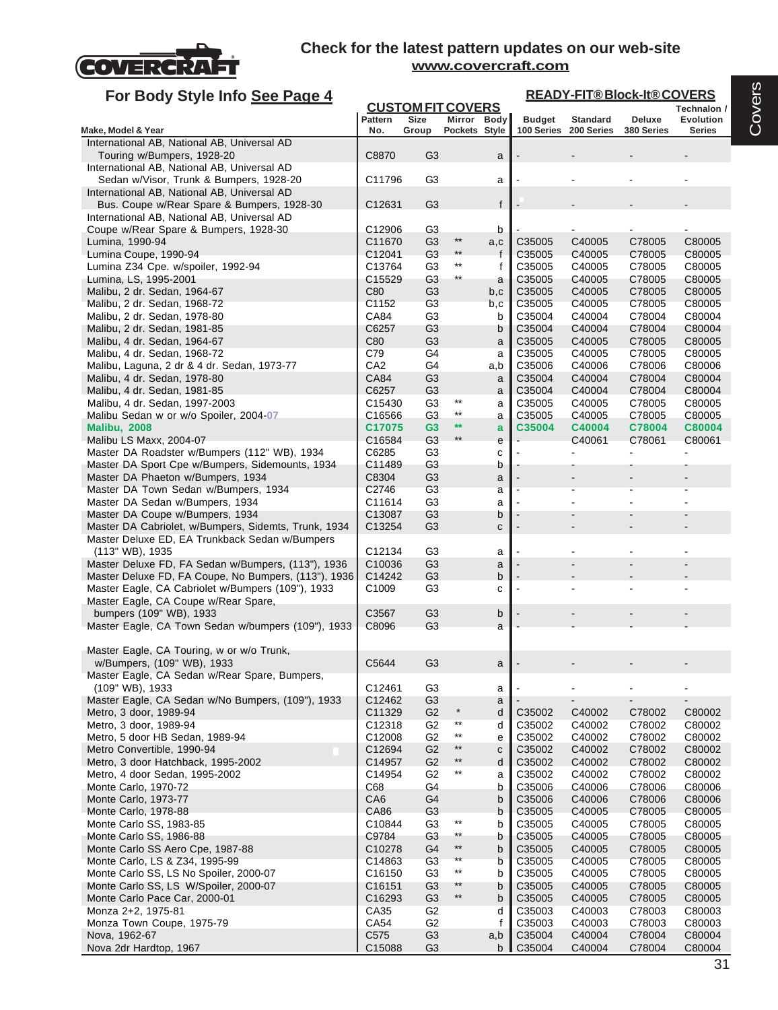

| For Body Style Info See Page 4                                        |                    |                                  |                 |              |                  | <b>READY-FIT®Block-It®COVERS</b> |                  |                              |
|-----------------------------------------------------------------------|--------------------|----------------------------------|-----------------|--------------|------------------|----------------------------------|------------------|------------------------------|
|                                                                       |                    | <b>CUSTOM FIT COVERS</b>         |                 |              |                  |                                  |                  | Technalon /                  |
|                                                                       | Pattern            | <b>Size</b>                      | Mirror Body     |              | <b>Budget</b>    | <b>Standard</b>                  | Deluxe           | <b>Evolution</b>             |
| Make, Model & Year<br>International AB, National AB, Universal AD     | No.                | Group                            | Pockets Style   |              | 100 Series       | 200 Series                       | 380 Series       | <b>Series</b>                |
| Touring w/Bumpers, 1928-20                                            | C8870              | G <sub>3</sub>                   |                 | a            |                  |                                  |                  |                              |
| International AB, National AB, Universal AD                           |                    |                                  |                 |              |                  |                                  |                  |                              |
| Sedan w/Visor, Trunk & Bumpers, 1928-20                               | C11796             | G <sub>3</sub>                   |                 | а            |                  |                                  |                  |                              |
| International AB, National AB, Universal AD                           |                    |                                  |                 |              |                  |                                  |                  |                              |
| Bus. Coupe w/Rear Spare & Bumpers, 1928-30                            | C12631             | G <sub>3</sub>                   |                 | $\mathsf{f}$ |                  |                                  |                  |                              |
| International AB, National AB, Universal AD                           |                    |                                  |                 |              |                  |                                  |                  |                              |
| Coupe w/Rear Spare & Bumpers, 1928-30                                 | C12906             | G3                               |                 | b            |                  |                                  |                  |                              |
| Lumina, 1990-94                                                       | C11670             | G <sub>3</sub>                   | $***$           | a,c          | C35005           | C40005                           | C78005           | C80005                       |
| Lumina Coupe, 1990-94                                                 | C12041             | G3                               | $^{\star\star}$ | f            | C35005           | C40005                           | C78005           | C80005                       |
| Lumina Z34 Cpe. w/spoiler, 1992-94                                    | C13764             | G <sub>3</sub>                   | $***$           | f            | C35005           | C40005                           | C78005           | C80005                       |
| Lumina, LS, 1995-2001                                                 | C15529             | G3                               | $***$           | a            | C35005           | C40005                           | C78005           | C80005                       |
| Malibu, 2 dr. Sedan, 1964-67                                          | C80                | G <sub>3</sub>                   |                 | b,c          | C35005           | C40005                           | C78005           | C80005                       |
| Malibu, 2 dr. Sedan, 1968-72                                          | C1152              | G <sub>3</sub>                   |                 | b,c          | C35005           | C40005                           | C78005           | C80005                       |
| Malibu, 2 dr. Sedan, 1978-80                                          | CA84<br>C6257      | G3<br>G <sub>3</sub>             |                 | b<br>b       | C35004<br>C35004 | C40004<br>C40004                 | C78004<br>C78004 | C80004                       |
| Malibu, 2 dr. Sedan, 1981-85<br>Malibu, 4 dr. Sedan, 1964-67          | C80                | G <sub>3</sub>                   |                 |              | C35005           | C40005                           | C78005           | C80004<br>C80005             |
| Malibu, 4 dr. Sedan, 1968-72                                          | C79                | G4                               |                 | a<br>a       | C35005           | C40005                           | C78005           | C80005                       |
| Malibu, Laguna, 2 dr & 4 dr. Sedan, 1973-77                           | CA <sub>2</sub>    | G4                               |                 | a,b          | C35006           | C40006                           | C78006           | C80006                       |
| Malibu, 4 dr. Sedan, 1978-80                                          | CA84               | G <sub>3</sub>                   |                 | a            | C35004           | C40004                           | C78004           | C80004                       |
| Malibu, 4 dr. Sedan, 1981-85                                          | C6257              | G <sub>3</sub>                   |                 | a            | C35004           | C40004                           | C78004           | C80004                       |
| Malibu, 4 dr. Sedan, 1997-2003                                        | C15430             | G3                               | $^{\star\star}$ | a            | C35005           | C40005                           | C78005           | C80005                       |
| Malibu Sedan w or w/o Spoiler, 2004-07                                | C16566             | G <sub>3</sub>                   | $^{\star\star}$ | a            | C35005           | C40005                           | C78005           | C80005                       |
| <b>Malibu, 2008</b>                                                   | C17075             | G3                               | $**$            | a            | C35004           | C40004                           | C78004           | C80004                       |
| Malibu LS Maxx, 2004-07                                               | C16584             | G3                               | $^{\star\star}$ | e            |                  | C40061                           | C78061           | C80061                       |
| Master DA Roadster w/Bumpers (112" WB), 1934                          | C6285              | G <sub>3</sub>                   |                 | С            |                  |                                  |                  |                              |
| Master DA Sport Cpe w/Bumpers, Sidemounts, 1934                       | C11489             | G3                               |                 | b            |                  |                                  |                  |                              |
| Master DA Phaeton w/Bumpers, 1934                                     | C8304              | G <sub>3</sub>                   |                 | a            |                  |                                  |                  |                              |
| Master DA Town Sedan w/Bumpers, 1934                                  | C2746              | G <sub>3</sub>                   |                 | а            |                  |                                  |                  |                              |
| Master DA Sedan w/Bumpers, 1934                                       | C11614             | G3                               |                 | a            |                  |                                  |                  |                              |
| Master DA Coupe w/Bumpers, 1934                                       | C13087             | G <sub>3</sub>                   |                 | b            |                  |                                  |                  |                              |
| Master DA Cabriolet, w/Bumpers, Sidemts, Trunk, 1934                  | C13254             | G <sub>3</sub>                   |                 | C            |                  |                                  |                  |                              |
| Master Deluxe ED, EA Trunkback Sedan w/Bumpers                        | C12134             | G <sub>3</sub>                   |                 |              |                  |                                  |                  |                              |
| (113" WB), 1935<br>Master Deluxe FD, FA Sedan w/Bumpers, (113"), 1936 | C10036             | G <sub>3</sub>                   |                 | a<br>a       |                  |                                  |                  |                              |
| Master Deluxe FD, FA Coupe, No Bumpers, (113"), 1936                  | C14242             | G <sub>3</sub>                   |                 | b            |                  |                                  |                  |                              |
| Master Eagle, CA Cabriolet w/Bumpers (109"), 1933                     | C <sub>1009</sub>  | G3                               |                 | C            |                  |                                  |                  |                              |
| Master Eagle, CA Coupe w/Rear Spare,                                  |                    |                                  |                 |              |                  |                                  |                  |                              |
| bumpers (109" WB), 1933                                               | C3567              | G <sub>3</sub>                   |                 | b            |                  |                                  |                  |                              |
| Master Eagle, CA Town Sedan w/bumpers (109"), 1933                    | C8096              | G3                               |                 | a            |                  |                                  |                  |                              |
|                                                                       |                    |                                  |                 |              |                  |                                  |                  |                              |
| Master Eagle, CA Touring, w or w/o Trunk,                             |                    |                                  |                 |              |                  |                                  |                  |                              |
| w/Bumpers, (109" WB), 1933                                            | C5644              | G3                               |                 | a            |                  |                                  |                  |                              |
| Master Eagle, CA Sedan w/Rear Spare, Bumpers,                         |                    |                                  |                 |              |                  |                                  |                  |                              |
| (109" WB), 1933                                                       | C12461             | G <sub>3</sub>                   |                 | a            |                  |                                  |                  |                              |
| Master Eagle, CA Sedan w/No Bumpers, (109"), 1933                     | C12462             | G <sub>3</sub>                   | $\star$         | a            |                  | $\qquad \qquad \blacksquare$     |                  | $\qquad \qquad \blacksquare$ |
| Metro, 3 door, 1989-94                                                | C11329<br>C12318   | G <sub>2</sub>                   | $***$           | d            | C35002           | C40002                           | C78002           | C80002                       |
| Metro, 3 door, 1989-94<br>Metro, 5 door HB Sedan, 1989-94             |                    | G <sub>2</sub><br>G <sub>2</sub> | $\star\star$    | d            | C35002           | C40002                           | C78002           | C80002                       |
| Metro Convertible, 1990-94                                            | C12008<br>C12694   | G <sub>2</sub>                   | $***$           | e<br>C       | C35002<br>C35002 | C40002<br>C40002                 | C78002<br>C78002 | C80002<br>C80002             |
| Metro, 3 door Hatchback, 1995-2002                                    | C14957             | G <sub>2</sub>                   | $^{\star\star}$ | d            | C35002           | C40002                           | C78002           | C80002                       |
| Metro, 4 door Sedan, 1995-2002                                        | C14954             | G <sub>2</sub>                   | $^{\star\star}$ | a            | C35002           | C40002                           | C78002           | C80002                       |
| Monte Carlo, 1970-72                                                  | C68                | G4                               |                 | b            | C35006           | C40006                           | C78006           | C80006                       |
| Monte Carlo, 1973-77                                                  | CA6                | G <sub>4</sub>                   |                 | b            | C35006           | C40006                           | C78006           | C80006                       |
| Monte Carlo, 1978-88                                                  | CA86               | G <sub>3</sub>                   |                 | b            | C35005           | C40005                           | C78005           | C80005                       |
| Monte Carlo SS, 1983-85                                               | C10844             | G <sub>3</sub>                   | $^{\star\star}$ | b            | C35005           | C40005                           | C78005           | C80005                       |
| Monte Carlo SS, 1986-88                                               | C9784              | G <sub>3</sub>                   | $^{\star\star}$ | b            | C35005           | C40005                           | C78005           | C80005                       |
| Monte Carlo SS Aero Cpe, 1987-88                                      | C10278             | G4                               | $***$           | b            | C35005           | C40005                           | C78005           | C80005                       |
| Monte Carlo, LS & Z34, 1995-99                                        | C14863             | G <sub>3</sub>                   | $\star\star$    | b            | C35005           | C40005                           | C78005           | C80005                       |
| Monte Carlo SS, LS No Spoiler, 2000-07                                | C16150             | G <sub>3</sub>                   | $\star\star$    | b            | C35005           | C40005                           | C78005           | C80005                       |
| Monte Carlo SS, LS W/Spoiler, 2000-07                                 | C <sub>16151</sub> | G <sub>3</sub>                   | $**$            | b            | C35005           | C40005                           | C78005           | C80005                       |
| Monte Carlo Pace Car, 2000-01                                         | C16293             | G <sub>3</sub>                   | $\star\star$    | b            | C35005           | C40005                           | C78005           | C80005                       |
| Monza 2+2, 1975-81                                                    | CA35               | G <sub>2</sub>                   |                 | d            | C35003           | C40003                           | C78003           | C80003                       |
| Monza Town Coupe, 1975-79                                             | CA54               | G <sub>2</sub>                   |                 | f            | C35003           | C40003                           | C78003           | C80003                       |
| Nova, 1962-67                                                         | C575               | G <sub>3</sub>                   |                 | a,b          | C35004           | C40004                           | C78004           | C80004                       |
| Nova 2dr Hardtop, 1967                                                | C15088             | G <sub>3</sub>                   |                 | b            | C35004           | C40004                           | C78004           | C80004                       |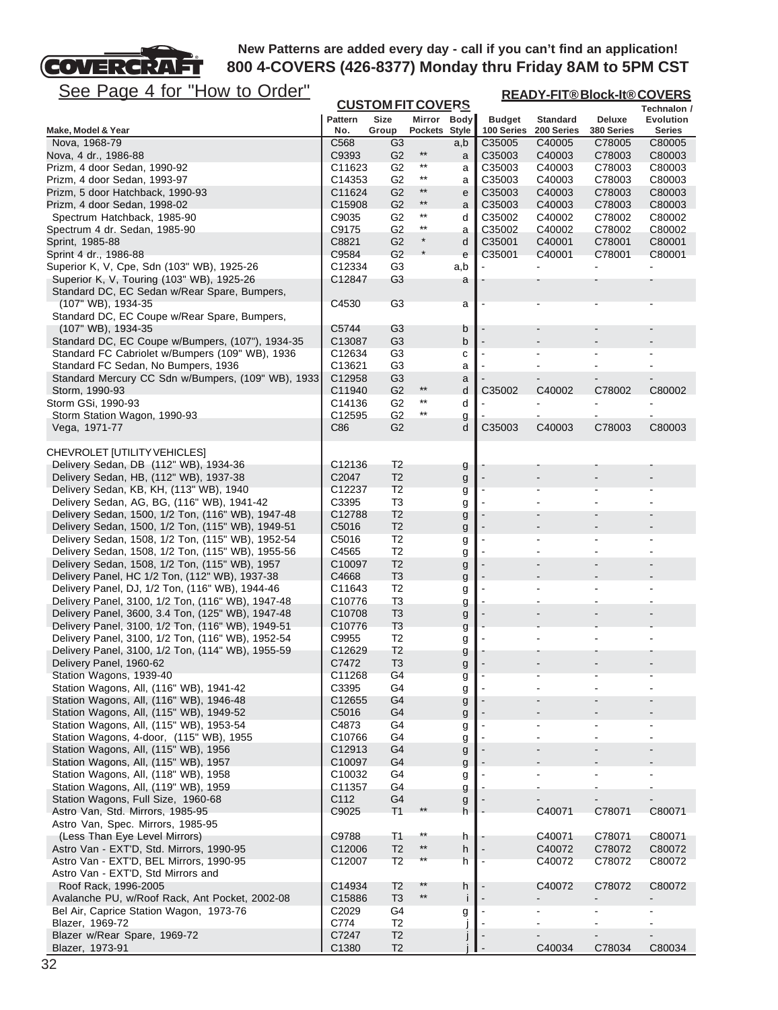# FT See Page 4 for "How to Order"

COVERCRA

| <u>See Page 4 for "How to Order"</u>                                                                   |                    | <b>CUSTOM FIT COVERS</b>         |                                    |          | <b>READY-FIT®Block-It®COVERS</b> |                                                |                  |                                  |  |  |
|--------------------------------------------------------------------------------------------------------|--------------------|----------------------------------|------------------------------------|----------|----------------------------------|------------------------------------------------|------------------|----------------------------------|--|--|
|                                                                                                        | <b>Pattern</b>     | Size                             | Mirror Body                        |          | <b>Budget</b>                    | <b>Standard</b>                                | Deluxe           | Technalon /<br>Evolution         |  |  |
| Make, Model & Year                                                                                     | No.                | Group                            | Pockets Style                      |          | 100 Series                       | 200 Series                                     | 380 Series       | <b>Series</b>                    |  |  |
| Nova, 1968-79                                                                                          | C568               | G3                               | $***$                              | a,b      | C35005                           | C40005                                         | C78005           | C80005                           |  |  |
| Nova, 4 dr., 1986-88<br>Prizm, 4 door Sedan, 1990-92                                                   | C9393<br>C11623    | G <sub>2</sub><br>G2             | $***$                              | a<br>а   | C35003<br>C <sub>35003</sub>     | C40003<br>C40003                               | C78003<br>C78003 | C80003<br>C80003                 |  |  |
| Prizm, 4 door Sedan, 1993-97                                                                           | C14353             | G <sub>2</sub>                   | $^{\star\star}$                    | a        | C35003                           | C40003                                         | C78003           | C80003                           |  |  |
| Prizm, 5 door Hatchback, 1990-93                                                                       | C11624             | G <sub>2</sub>                   | $***$                              | e        | C35003                           | C40003                                         | C78003           | C80003                           |  |  |
| Prizm, 4 door Sedan, 1998-02                                                                           | C <sub>15908</sub> | G <sub>2</sub>                   | $***$                              | a        | C35003                           | C40003                                         | C78003           | C80003                           |  |  |
| Spectrum Hatchback, 1985-90                                                                            | C9035              | G2                               | $***$                              | d        | C35002                           | C40002                                         | C78002           | C80002                           |  |  |
| Spectrum 4 dr. Sedan, 1985-90                                                                          | C9175              | G <sub>2</sub>                   | $^{\star\star}$                    | a        | C35002                           | C40002                                         | C78002           | C80002                           |  |  |
| Sprint, 1985-88                                                                                        | C8821              | G <sub>2</sub>                   | $\star$                            | d        | C35001                           | C40001                                         | C78001           | C80001                           |  |  |
| Sprint 4 dr., 1986-88<br>Superior K, V, Cpe, Sdn (103" WB), 1925-26                                    | C9584<br>C12334    | G <sub>2</sub><br>G <sub>3</sub> |                                    | e<br>a,b | C35001                           | C40001                                         | C78001           | C80001                           |  |  |
| Superior K, V, Touring (103" WB), 1925-26                                                              | C12847             | G3                               |                                    | а        |                                  |                                                |                  |                                  |  |  |
| Standard DC, EC Sedan w/Rear Spare, Bumpers,                                                           |                    |                                  |                                    |          |                                  |                                                |                  |                                  |  |  |
| (107" WB), 1934-35                                                                                     | C4530              | G <sub>3</sub>                   |                                    | a        |                                  |                                                |                  |                                  |  |  |
| Standard DC, EC Coupe w/Rear Spare, Bumpers,<br>(107" WB), 1934-35                                     | C5744              | G3                               |                                    | b        |                                  |                                                |                  |                                  |  |  |
| Standard DC, EC Coupe w/Bumpers, (107"), 1934-35                                                       | C13087             | G <sub>3</sub>                   |                                    | b        |                                  |                                                |                  |                                  |  |  |
| Standard FC Cabriolet w/Bumpers (109" WB), 1936                                                        | C12634             | G3                               |                                    | С        |                                  |                                                | $\blacksquare$   |                                  |  |  |
| Standard FC Sedan, No Bumpers, 1936                                                                    | C13621             | G <sub>3</sub>                   |                                    | a        |                                  |                                                |                  |                                  |  |  |
| Standard Mercury CC Sdn w/Bumpers, (109" WB), 1933                                                     | C12958             | G3                               |                                    | a        |                                  |                                                |                  |                                  |  |  |
| Storm, 1990-93                                                                                         | C11940             | G <sub>2</sub>                   | $^{\star\star}$                    | d        | C35002                           | C40002                                         | C78002           | C80002                           |  |  |
| Storm GSi, 1990-93                                                                                     | C14136             | G <sub>2</sub>                   | $^{\star\star}$<br>$^{\star\star}$ | d        |                                  |                                                |                  |                                  |  |  |
| Storm Station Wagon, 1990-93<br>Vega, 1971-77                                                          | C12595<br>C86      | G <sub>2</sub><br>G <sub>2</sub> |                                    | g<br>d   | C35003                           | C40003                                         | C78003           | C80003                           |  |  |
| CHEVROLET [UTILITY VEHICLES]                                                                           |                    |                                  |                                    |          |                                  |                                                |                  |                                  |  |  |
| Delivery Sedan, DB (112" WB), 1934-36                                                                  | C <sub>12136</sub> | T <sub>2</sub>                   |                                    | g        |                                  |                                                |                  |                                  |  |  |
| Delivery Sedan, HB, (112" WB), 1937-38                                                                 | C <sub>2047</sub>  | T <sub>2</sub>                   |                                    | g        |                                  |                                                |                  |                                  |  |  |
| Delivery Sedan, KB, KH, (113" WB), 1940                                                                | C12237             | T <sub>2</sub>                   |                                    | g        |                                  |                                                |                  |                                  |  |  |
| Delivery Sedan, AG, BG, (116" WB), 1941-42                                                             | C3395              | T <sub>3</sub>                   |                                    | g        |                                  |                                                |                  |                                  |  |  |
| Delivery Sedan, 1500, 1/2 Ton, (116" WB), 1947-48                                                      | C12788             | T <sub>2</sub>                   |                                    | g        |                                  |                                                |                  |                                  |  |  |
| Delivery Sedan, 1500, 1/2 Ton, (115" WB), 1949-51<br>Delivery Sedan, 1508, 1/2 Ton, (115" WB), 1952-54 | C5016<br>C5016     | T <sub>2</sub><br>T <sub>2</sub> |                                    | g        |                                  | $\blacksquare$                                 | $\blacksquare$   |                                  |  |  |
| Delivery Sedan, 1508, 1/2 Ton, (115" WB), 1955-56                                                      | C4565              | T <sub>2</sub>                   |                                    | g<br>g   |                                  | $\blacksquare$                                 |                  |                                  |  |  |
| Delivery Sedan, 1508, 1/2 Ton, (115" WB), 1957                                                         | C <sub>10097</sub> | T <sub>2</sub>                   |                                    | g        |                                  |                                                |                  |                                  |  |  |
| Delivery Panel, HC 1/2 Ton, (112" WB), 1937-38                                                         | C4668              | T <sub>3</sub>                   |                                    | g        |                                  |                                                |                  |                                  |  |  |
| Delivery Panel, DJ, 1/2 Ton, (116" WB), 1944-46                                                        | C11643             | T <sub>2</sub>                   |                                    | g        |                                  |                                                |                  |                                  |  |  |
| Delivery Panel, 3100, 1/2 Ton, (116" WB), 1947-48                                                      | C <sub>10776</sub> | T <sub>3</sub>                   |                                    | g        |                                  |                                                |                  |                                  |  |  |
| Delivery Panel, 3600, 3.4 Ton, (125" WB), 1947-48                                                      | C <sub>10708</sub> | T <sub>3</sub>                   |                                    | g        |                                  |                                                |                  |                                  |  |  |
| Delivery Panel, 3100, 1/2 Ton, (116" WB), 1949-51<br>Delivery Panel, 3100, 1/2 Ton, (116" WB), 1952-54 | C10776<br>C9955    | T <sub>3</sub><br>T <sub>2</sub> |                                    | g        |                                  |                                                |                  |                                  |  |  |
| Delivery Panel, 3100, 1/2 Ton, (114" WB), 1955-59                                                      | C12629             | T <sub>2</sub>                   |                                    | g<br>g   |                                  |                                                |                  |                                  |  |  |
| Delivery Panel, 1960-62                                                                                | C7472              | T <sub>3</sub>                   |                                    | g        |                                  |                                                |                  |                                  |  |  |
| Station Wagons, 1939-40                                                                                | C11268             | G <sub>4</sub>                   |                                    | g        |                                  |                                                |                  |                                  |  |  |
| Station Wagons, All, (116" WB), 1941-42                                                                | C3395              | G4                               |                                    | g        |                                  |                                                |                  |                                  |  |  |
| Station Wagons, All, (116" WB), 1946-48                                                                | C12655             | G4                               |                                    | g        |                                  |                                                |                  |                                  |  |  |
| Station Wagons, All, (115" WB), 1949-52                                                                | C5016              | G4                               |                                    | g        |                                  |                                                |                  |                                  |  |  |
| Station Wagons, All, (115" WB), 1953-54<br>Station Wagons, 4-door, (115" WB), 1955                     | C4873<br>C10766    | G4<br>G4                         |                                    | g        |                                  | $\qquad \qquad \blacksquare$<br>$\blacksquare$ | $\overline{a}$   |                                  |  |  |
| Station Wagons, All, (115" WB), 1956                                                                   | C12913             | G4                               |                                    | g<br>g   |                                  |                                                | $\overline{a}$   |                                  |  |  |
| Station Wagons, All, (115" WB), 1957                                                                   | C <sub>10097</sub> | G <sub>4</sub>                   |                                    | g        |                                  |                                                |                  |                                  |  |  |
| Station Wagons, All, (118" WB), 1958                                                                   | C <sub>10032</sub> | G4                               |                                    | g        |                                  |                                                |                  |                                  |  |  |
| Station Wagons, All, (119" WB), 1959                                                                   | C11357             | G4                               |                                    | g        |                                  |                                                |                  |                                  |  |  |
| Station Wagons, Full Size, 1960-68                                                                     | C112               | G4                               |                                    | g        |                                  |                                                |                  |                                  |  |  |
| Astro Van, Std. Mirrors, 1985-95                                                                       | C9025              | T1                               |                                    | h        |                                  | C40071                                         | C78071           | C80071                           |  |  |
| Astro Van, Spec. Mirrors, 1985-95<br>(Less Than Eye Level Mirrors)                                     | C9788              | T <sub>1</sub>                   | $***$                              | h        |                                  | C40071                                         | C78071           | C80071                           |  |  |
| Astro Van - EXT'D, Std. Mirrors, 1990-95                                                               | C12006             | T <sub>2</sub>                   | $***$                              | h        |                                  | C40072                                         | C78072           | C80072                           |  |  |
| Astro Van - EXT'D, BEL Mirrors, 1990-95                                                                | C12007             | T <sub>2</sub>                   | $***$                              | h        |                                  | C40072                                         | C78072           | C80072                           |  |  |
| Astro Van - EXT'D, Std Mirrors and                                                                     |                    |                                  |                                    |          |                                  |                                                |                  |                                  |  |  |
| Roof Rack, 1996-2005                                                                                   | C14934             | T <sub>2</sub>                   | $***$                              | h        |                                  | C40072                                         | C78072           | C80072                           |  |  |
| Avalanche PU, w/Roof Rack, Ant Pocket, 2002-08                                                         | C15886             | T <sub>3</sub>                   | $^{\star\star}$                    | j        |                                  |                                                |                  |                                  |  |  |
| Bel Air, Caprice Station Wagon, 1973-76                                                                | C <sub>2029</sub>  | G4                               |                                    | g        |                                  |                                                | $\blacksquare$   | $\blacksquare$<br>$\blacksquare$ |  |  |
| Blazer, 1969-72<br>Blazer w/Rear Spare, 1969-72                                                        | C774<br>C7247      | T <sub>2</sub><br>T <sub>2</sub> |                                    |          |                                  | $\qquad \qquad \blacksquare$                   | $\overline{a}$   | $\overline{\phantom{a}}$         |  |  |
| Blazer, 1973-91                                                                                        | C1380              | T <sub>2</sub>                   |                                    |          |                                  | C40034                                         | C78034           | C80034                           |  |  |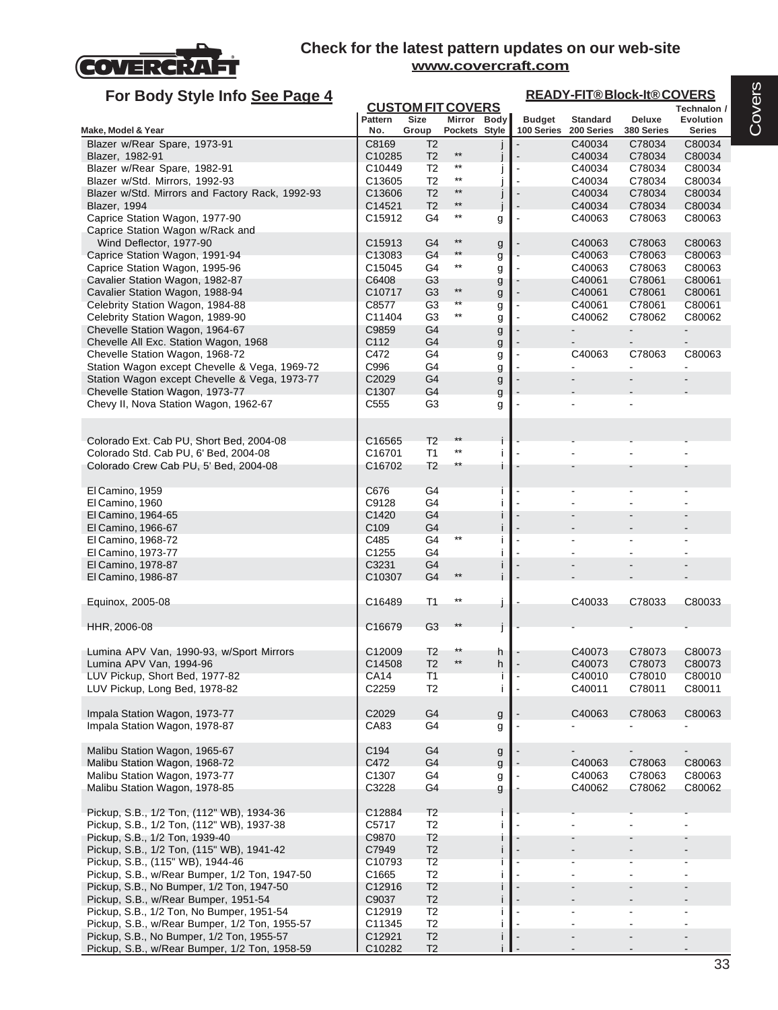

| For Body Style Info See Page 4                                                 |                    |                          |                              |        | <b>READY-FIT®Block-It®COVERS</b> |                               |                      |                            |  |  |
|--------------------------------------------------------------------------------|--------------------|--------------------------|------------------------------|--------|----------------------------------|-------------------------------|----------------------|----------------------------|--|--|
|                                                                                |                    | <b>CUSTOM FIT COVERS</b> |                              |        |                                  |                               |                      | Technalon /                |  |  |
| Make, Model & Year                                                             | Pattern<br>No.     | Size<br>Group            | Mirror Body<br>Pockets Style |        | <b>Budget</b><br>100 Series      | <b>Standard</b><br>200 Series | Deluxe<br>380 Series | Evolution<br><b>Series</b> |  |  |
| Blazer w/Rear Spare, 1973-91                                                   | C8169              | T <sub>2</sub>           |                              |        |                                  | C40034                        | C78034               | C80034                     |  |  |
| Blazer, 1982-91                                                                | C10285             | T <sub>2</sub>           | $^{\star\star}$              |        |                                  | C40034                        | C78034               | C80034                     |  |  |
| Blazer w/Rear Spare, 1982-91                                                   | C10449             | T2                       | $***$                        |        |                                  | C40034                        | C78034               | C80034                     |  |  |
| Blazer w/Std. Mirrors, 1992-93                                                 | C <sub>13605</sub> | T <sub>2</sub>           | $***$                        |        |                                  | C40034                        | C78034               | C80034                     |  |  |
| Blazer w/Std. Mirrors and Factory Rack, 1992-93                                | C13606             | T <sub>2</sub>           | $***$                        |        |                                  | C40034                        | C78034               | C80034                     |  |  |
| Blazer, 1994                                                                   | C14521             | T <sub>2</sub>           | $^{\star\star}$              |        |                                  | C40034                        | C78034               | C80034                     |  |  |
| Caprice Station Wagon, 1977-90                                                 | C15912             | G4                       | $***$                        | g      |                                  | C40063                        | C78063               | C80063                     |  |  |
| Caprice Station Wagon w/Rack and                                               |                    |                          |                              |        |                                  |                               |                      |                            |  |  |
| Wind Deflector, 1977-90                                                        | C <sub>15913</sub> | G4                       | $^{\star\star}$              | g      |                                  | C40063                        | C78063               | C80063                     |  |  |
| Caprice Station Wagon, 1991-94                                                 | C13083             | G4                       | $**$                         | g      |                                  | C40063                        | C78063               | C80063                     |  |  |
| Caprice Station Wagon, 1995-96                                                 | C15045             | G4                       | $^{\star\star}$              | g      |                                  | C40063                        | C78063               | C80063                     |  |  |
| Cavalier Station Wagon, 1982-87                                                | C6408              | G <sub>3</sub>           |                              | g      |                                  | C40061                        | C78061               | C80061                     |  |  |
| Cavalier Station Wagon, 1988-94                                                | C10717             | G <sub>3</sub>           | $***$                        | g      |                                  | C40061                        | C78061               | C80061                     |  |  |
| Celebrity Station Wagon, 1984-88                                               | C8577              | G <sub>3</sub>           | $\star\star$                 | g      |                                  | C40061                        | C78061               | C80061                     |  |  |
| Celebrity Station Wagon, 1989-90                                               | C11404             | G <sub>3</sub>           | $^{\star\star}$              | g      |                                  | C40062                        | C78062               | C80062                     |  |  |
| Chevelle Station Wagon, 1964-67                                                | C9859              | G4                       |                              | g      |                                  |                               | $\blacksquare$       | $\blacksquare$             |  |  |
| Chevelle All Exc. Station Wagon, 1968                                          | C112               | G4                       |                              | g      |                                  |                               |                      |                            |  |  |
| Chevelle Station Wagon, 1968-72                                                | C472               | G4                       |                              | g      |                                  | C40063                        | C78063               | C80063                     |  |  |
| Station Wagon except Chevelle & Vega, 1969-72                                  | C996               | G4                       |                              | g      |                                  |                               |                      | $\blacksquare$             |  |  |
| Station Wagon except Chevelle & Vega, 1973-77                                  | C2029              | G4                       |                              | g      |                                  |                               |                      |                            |  |  |
| Chevelle Station Wagon, 1973-77                                                | C1307              | G4                       |                              | g      |                                  |                               |                      |                            |  |  |
| Chevy II, Nova Station Wagon, 1962-67                                          | C <sub>555</sub>   | G3                       |                              | g      |                                  |                               |                      |                            |  |  |
|                                                                                |                    |                          |                              |        |                                  |                               |                      |                            |  |  |
|                                                                                |                    |                          |                              |        |                                  |                               |                      |                            |  |  |
| Colorado Ext. Cab PU, Short Bed, 2004-08                                       | C16565<br>C16701   | T <sub>2</sub><br>T1     | $***$                        | i      |                                  |                               |                      |                            |  |  |
| Colorado Std. Cab PU, 6' Bed, 2004-08<br>Colorado Crew Cab PU, 5' Bed, 2004-08 | C16702             | T2                       | $^{\star\star}$              |        |                                  |                               |                      |                            |  |  |
|                                                                                |                    |                          |                              |        |                                  |                               |                      |                            |  |  |
| El Camino, 1959                                                                | C676               | G4                       |                              |        |                                  |                               |                      |                            |  |  |
| El Camino, 1960                                                                | C9128              | G <sub>4</sub>           |                              |        |                                  |                               |                      |                            |  |  |
| El Camino, 1964-65                                                             | C1420              | G4                       |                              |        |                                  |                               |                      |                            |  |  |
| El Camino, 1966-67                                                             | C <sub>109</sub>   | G4                       |                              |        |                                  |                               |                      |                            |  |  |
| El Camino, 1968-72                                                             | C485               | G4                       | $^{\star\star}$              |        |                                  | $\blacksquare$                |                      |                            |  |  |
| El Camino, 1973-77                                                             | C1255              | G4                       |                              |        |                                  |                               |                      |                            |  |  |
| El Camino, 1978-87                                                             | C3231              | G4                       |                              |        |                                  |                               |                      |                            |  |  |
| El Camino, 1986-87                                                             | C10307             | G <sub>4</sub>           | $\star\star$                 |        |                                  |                               |                      |                            |  |  |
|                                                                                |                    |                          |                              |        |                                  |                               |                      |                            |  |  |
| Equinox, 2005-08                                                               | C16489             | T <sub>1</sub>           | $^{\star\star}$              |        |                                  | C40033                        | C78033               | C80033                     |  |  |
|                                                                                |                    |                          |                              |        |                                  |                               |                      |                            |  |  |
| HHR, 2006-08                                                                   | C16679             | G <sub>3</sub>           |                              |        |                                  |                               |                      |                            |  |  |
|                                                                                |                    |                          |                              |        |                                  |                               |                      |                            |  |  |
| Lumina APV Van, 1990-93, w/Sport Mirrors                                       | C12009             | T <sub>2</sub>           |                              | h      |                                  | C40073                        | C78073               | C80073                     |  |  |
| Lumina APV Van, 1994-96                                                        | C14508             | T <sub>2</sub>           | $***$                        | h      |                                  | C40073                        | C78073               | C80073                     |  |  |
| LUV Pickup, Short Bed, 1977-82                                                 | <b>CA14</b>        | T1                       |                              | т      |                                  | C40010                        | C78010               | C80010                     |  |  |
| LUV Pickup, Long Bed, 1978-82                                                  | C2259              | T <sub>2</sub>           |                              |        |                                  | C40011                        | C78011               | C80011                     |  |  |
| Impala Station Wagon, 1973-77                                                  |                    |                          |                              |        |                                  |                               |                      | C80063                     |  |  |
|                                                                                | C2029              | G4<br>G4                 |                              | g      |                                  | C40063                        | C78063               |                            |  |  |
| Impala Station Wagon, 1978-87                                                  | CA83               |                          |                              | g      |                                  |                               |                      |                            |  |  |
| Malibu Station Wagon, 1965-67                                                  | C194               | G <sub>4</sub>           |                              |        |                                  | $\qquad \qquad \blacksquare$  |                      |                            |  |  |
| Malibu Station Wagon, 1968-72                                                  | C472               | G <sub>4</sub>           |                              | g      |                                  | C40063                        | C78063               | C80063                     |  |  |
| Malibu Station Wagon, 1973-77                                                  | C1307              | G4                       |                              | g      |                                  | C40063                        | C78063               | C80063                     |  |  |
| Malibu Station Wagon, 1978-85                                                  | C3228              | G4                       |                              | g<br>g |                                  | C40062                        | C78062               | C80062                     |  |  |
|                                                                                |                    |                          |                              |        |                                  |                               |                      |                            |  |  |
| Pickup, S.B., 1/2 Ton, (112" WB), 1934-36                                      | C12884             | T <sub>2</sub>           |                              |        |                                  |                               |                      |                            |  |  |
| Pickup, S.B., 1/2 Ton, (112" WB), 1937-38                                      | C5717              | T <sub>2</sub>           |                              |        |                                  |                               |                      |                            |  |  |
| Pickup, S.B., 1/2 Ton, 1939-40                                                 | C9870              | T <sub>2</sub>           |                              |        |                                  |                               |                      |                            |  |  |
| Pickup, S.B., 1/2 Ton, (115" WB), 1941-42                                      | C7949              | T <sub>2</sub>           |                              |        |                                  |                               |                      |                            |  |  |
| Pickup, S.B., (115" WB), 1944-46                                               | C10793             | T <sub>2</sub>           |                              |        |                                  |                               |                      |                            |  |  |
| Pickup, S.B., w/Rear Bumper, 1/2 Ton, 1947-50                                  | C1665              | T <sub>2</sub>           |                              |        |                                  |                               |                      |                            |  |  |
| Pickup, S.B., No Bumper, 1/2 Ton, 1947-50                                      | C12916             | T <sub>2</sub>           |                              |        |                                  |                               |                      |                            |  |  |
| Pickup, S.B., w/Rear Bumper, 1951-54                                           | C9037              | T <sub>2</sub>           |                              |        |                                  |                               |                      |                            |  |  |
| Pickup, S.B., 1/2 Ton, No Bumper, 1951-54                                      | C12919             | T <sub>2</sub>           |                              |        |                                  | $\blacksquare$                |                      |                            |  |  |
| Pickup, S.B., w/Rear Bumper, 1/2 Ton, 1955-57                                  | C11345             | T <sub>2</sub>           |                              |        |                                  |                               |                      | $\overline{a}$             |  |  |
| Pickup, S.B., No Bumper, 1/2 Ton, 1955-57                                      | C12921             | T <sub>2</sub>           |                              |        |                                  |                               |                      |                            |  |  |
| Pickup, S.B., w/Rear Bumper, 1/2 Ton, 1958-59                                  | C10282             | T <sub>2</sub>           |                              |        |                                  |                               |                      |                            |  |  |
|                                                                                |                    |                          |                              |        |                                  |                               |                      |                            |  |  |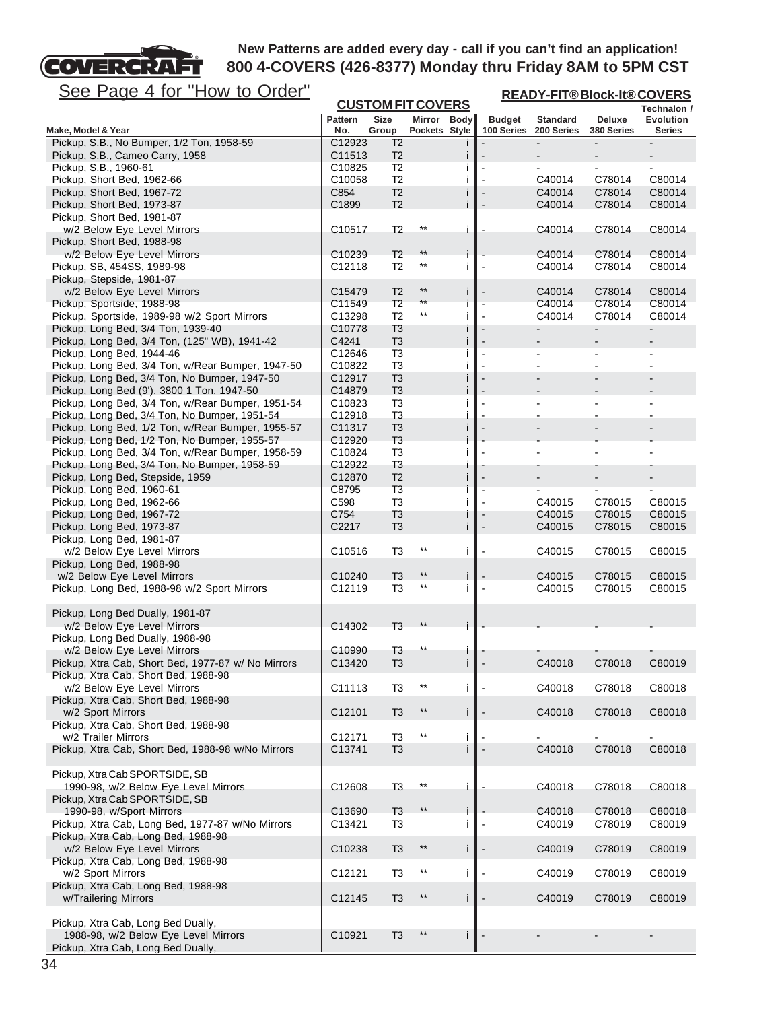

**READY-FIT® Block-It® COVERS**

| <u>See Page 4 for How to Order</u>                                                  |                    |                                  |                              |    | <u>READY-FIT®Block-It®COVERS</u> |                  |                          |                          |  |
|-------------------------------------------------------------------------------------|--------------------|----------------------------------|------------------------------|----|----------------------------------|------------------|--------------------------|--------------------------|--|
|                                                                                     |                    |                                  | <b>CUSTOM FIT COVERS</b>     |    |                                  |                  |                          | Technalon /              |  |
|                                                                                     | <b>Pattern</b>     | <b>Size</b><br>Group             | Mirror Body<br>Pockets Style |    | <b>Budget</b>                    | <b>Standard</b>  | Deluxe                   | Evolution                |  |
| Make, Model & Year<br>Pickup, S.B., No Bumper, 1/2 Ton, 1958-59                     | No.<br>C12923      | T <sub>2</sub>                   |                              |    | 100 Series                       | 200 Series       | 380 Series               | Series                   |  |
| Pickup, S.B., Cameo Carry, 1958                                                     | C11513             | T <sub>2</sub>                   |                              | п  |                                  |                  | $\overline{\phantom{a}}$ |                          |  |
| Pickup, S.B., 1960-61                                                               | C <sub>10825</sub> | T <sub>2</sub>                   |                              |    |                                  |                  |                          |                          |  |
| Pickup, Short Bed, 1962-66                                                          | C10058             | T <sub>2</sub>                   |                              | Ť  |                                  | C40014           | C78014                   | C80014                   |  |
| Pickup, Short Bed, 1967-72                                                          | C854               | T <sub>2</sub>                   |                              |    |                                  | C40014           | C78014                   | C80014                   |  |
| Pickup, Short Bed, 1973-87                                                          | C1899              | T <sub>2</sub>                   |                              |    |                                  | C40014           | C78014                   | C80014                   |  |
| Pickup, Short Bed, 1981-87                                                          |                    |                                  |                              |    |                                  |                  |                          |                          |  |
| w/2 Below Eye Level Mirrors                                                         | C10517             | T <sub>2</sub>                   | $***$                        | j. |                                  | C40014           | C78014                   | C80014                   |  |
| Pickup, Short Bed, 1988-98                                                          |                    |                                  |                              |    |                                  |                  |                          |                          |  |
| w/2 Below Eye Level Mirrors                                                         | C <sub>10239</sub> | T <sub>2</sub>                   | $***$                        | Ť  |                                  | C40014           | C78014                   | C80014                   |  |
| Pickup, SB, 454SS, 1989-98                                                          | C12118             | T <sub>2</sub>                   | $^{\star\star}$              | j. |                                  | C40014           | C78014                   | C80014                   |  |
| Pickup, Stepside, 1981-87                                                           |                    |                                  |                              |    |                                  |                  |                          |                          |  |
| w/2 Below Eye Level Mirrors                                                         | C15479             | T <sub>2</sub>                   | $***$<br>**                  | Ť  |                                  | C40014           | C78014                   | C80014                   |  |
| Pickup, Sportside, 1988-98                                                          | C11549             | T <sub>2</sub>                   | $***$                        | İ  |                                  | C40014           | C78014                   | C80014                   |  |
| Pickup, Sportside, 1989-98 w/2 Sport Mirrors                                        | C13298<br>C10778   | T <sub>2</sub>                   |                              | j  |                                  | C40014           | C78014<br>÷,             | C80014<br>$\blacksquare$ |  |
| Pickup, Long Bed, 3/4 Ton, 1939-40<br>Pickup, Long Bed, 3/4 Ton, (125" WB), 1941-42 | C4241              | T3<br>T <sub>3</sub>             |                              | Ť  |                                  |                  |                          |                          |  |
| Pickup, Long Bed, 1944-46                                                           | C12646             | T <sub>3</sub>                   |                              |    |                                  |                  |                          |                          |  |
| Pickup, Long Bed, 3/4 Ton, w/Rear Bumper, 1947-50                                   | C10822             | T <sub>3</sub>                   |                              | j. |                                  | $\blacksquare$   | $\blacksquare$           |                          |  |
| Pickup, Long Bed, 3/4 Ton, No Bumper, 1947-50                                       | C12917             | T <sub>3</sub>                   |                              |    |                                  |                  |                          |                          |  |
| Pickup, Long Bed (9'), 3800 1 Ton, 1947-50                                          | C14879             | T <sub>3</sub>                   |                              |    |                                  |                  |                          |                          |  |
| Pickup, Long Bed, 3/4 Ton, w/Rear Bumper, 1951-54                                   | C10823             | T <sub>3</sub>                   |                              |    | $\blacksquare$                   |                  |                          |                          |  |
| Pickup, Long Bed, 3/4 Ton, No Bumper, 1951-54                                       | C12918             | T <sub>3</sub>                   |                              |    |                                  |                  |                          |                          |  |
| Pickup, Long Bed, 1/2 Ton, w/Rear Bumper, 1955-57                                   | C11317             | T <sub>3</sub>                   |                              | Ť  |                                  |                  |                          |                          |  |
| Pickup, Long Bed, 1/2 Ton, No Bumper, 1955-57                                       | C12920             | T <sub>3</sub>                   |                              |    |                                  |                  |                          |                          |  |
| Pickup, Long Bed, 3/4 Ton, w/Rear Bumper, 1958-59                                   | C10824             | T <sub>3</sub>                   |                              |    |                                  |                  |                          |                          |  |
| Pickup, Long Bed, 3/4 Ton, No Bumper, 1958-59                                       | C12922             | T <sub>3</sub>                   |                              |    |                                  |                  |                          |                          |  |
| Pickup, Long Bed, Stepside, 1959                                                    | C12870             | T <sub>2</sub>                   |                              | j. |                                  |                  |                          |                          |  |
| Pickup, Long Bed, 1960-61                                                           | C8795              | T <sub>3</sub>                   |                              |    |                                  |                  |                          |                          |  |
| Pickup, Long Bed, 1962-66                                                           | C598               | T <sub>3</sub>                   |                              | j  |                                  | C40015           | C78015                   | C80015                   |  |
| Pickup, Long Bed, 1967-72<br>Pickup, Long Bed, 1973-87                              | C754<br>C2217      | T <sub>3</sub><br>T <sub>3</sub> |                              | İ  |                                  | C40015<br>C40015 | C78015<br>C78015         | C80015<br>C80015         |  |
| Pickup, Long Bed, 1981-87                                                           |                    |                                  |                              |    |                                  |                  |                          |                          |  |
| w/2 Below Eye Level Mirrors                                                         | C10516             | T <sub>3</sub>                   | $^{\star\star}$              | i  |                                  | C40015           | C78015                   | C80015                   |  |
| Pickup, Long Bed, 1988-98                                                           |                    |                                  |                              |    |                                  |                  |                          |                          |  |
| w/2 Below Eye Level Mirrors                                                         | C10240             | T <sub>3</sub>                   | $^{\star\star}$              | i  |                                  | C40015           | C78015                   | C80015                   |  |
| Pickup, Long Bed, 1988-98 w/2 Sport Mirrors                                         | C12119             | T3                               | $***$                        | j  |                                  | C40015           | C78015                   | C80015                   |  |
|                                                                                     |                    |                                  |                              |    |                                  |                  |                          |                          |  |
| Pickup, Long Bed Dually, 1981-87                                                    |                    |                                  |                              |    |                                  |                  |                          |                          |  |
| w/2 Below Eye Level Mirrors                                                         | C14302             | T <sub>3</sub>                   | $***$                        |    |                                  |                  |                          |                          |  |
| Pickup, Long Bed Dually, 1988-98                                                    |                    |                                  |                              |    |                                  |                  |                          |                          |  |
| w/2 Below Eye Level Mirrors                                                         | C10990             | T <sub>3</sub>                   |                              |    |                                  |                  |                          |                          |  |
| Pickup, Xtra Cab, Short Bed, 1977-87 w/ No Mirrors                                  | C13420             | T <sub>3</sub>                   |                              |    |                                  | C40018           | C78018                   | C80019                   |  |
| Pickup, Xtra Cab, Short Bed, 1988-98                                                |                    |                                  | $***$                        |    |                                  |                  |                          |                          |  |
| w/2 Below Eye Level Mirrors<br>Pickup, Xtra Cab, Short Bed, 1988-98                 | C11113             | T <sub>3</sub>                   |                              | i  |                                  | C40018           | C78018                   | C80018                   |  |
| w/2 Sport Mirrors                                                                   | C12101             | T <sub>3</sub>                   | $***$                        | Ť  |                                  | C40018           | C78018                   | C80018                   |  |
| Pickup, Xtra Cab, Short Bed, 1988-98                                                |                    |                                  |                              |    |                                  |                  |                          |                          |  |
| w/2 Trailer Mirrors                                                                 | C12171             | T <sub>3</sub>                   | $^{\star\star}$              | j. |                                  | $\blacksquare$   | $\blacksquare$           | Ξ.                       |  |
| Pickup, Xtra Cab, Short Bed, 1988-98 w/No Mirrors                                   | C13741             | T <sub>3</sub>                   |                              |    |                                  | C40018           | C78018                   | C80018                   |  |
|                                                                                     |                    |                                  |                              |    |                                  |                  |                          |                          |  |
| Pickup, Xtra Cab SPORTSIDE, SB                                                      |                    |                                  |                              |    |                                  |                  |                          |                          |  |
| 1990-98, w/2 Below Eye Level Mirrors                                                | C12608             | T <sub>3</sub>                   | $^{\star\star}$              | İ  |                                  | C40018           | C78018                   | C80018                   |  |
| Pickup, Xtra Cab SPORTSIDE, SB                                                      |                    |                                  |                              |    |                                  |                  |                          |                          |  |
| 1990-98, w/Sport Mirrors                                                            | C13690             | T <sub>3</sub>                   | $**$                         |    |                                  | C40018           | C78018                   | C80018                   |  |
| Pickup, Xtra Cab, Long Bed, 1977-87 w/No Mirrors                                    | C13421             | T <sub>3</sub>                   |                              | i  |                                  | C40019           | C78019                   | C80019                   |  |
| Pickup, Xtra Cab, Long Bed, 1988-98                                                 |                    |                                  |                              |    |                                  |                  |                          |                          |  |
| w/2 Below Eye Level Mirrors                                                         | C10238             | T <sub>3</sub>                   | $***$                        | İ  |                                  | C40019           | C78019                   | C80019                   |  |
| Pickup, Xtra Cab, Long Bed, 1988-98                                                 |                    |                                  |                              |    |                                  |                  |                          |                          |  |
| w/2 Sport Mirrors                                                                   | C12121             | T <sub>3</sub>                   | $^{\star\star}$              | i  |                                  | C40019           | C78019                   | C80019                   |  |
| Pickup, Xtra Cab, Long Bed, 1988-98                                                 |                    | T <sub>3</sub>                   | $***$                        |    |                                  |                  |                          |                          |  |
| w/Trailering Mirrors                                                                | C12145             |                                  |                              | i  |                                  | C40019           | C78019                   | C80019                   |  |
| Pickup, Xtra Cab, Long Bed Dually,                                                  |                    |                                  |                              |    |                                  |                  |                          |                          |  |
| 1988-98, w/2 Below Eye Level Mirrors                                                | C10921             | T <sub>3</sub>                   | $**$                         |    |                                  |                  |                          |                          |  |
| Pickup, Xtra Cab, Long Bed Dually,                                                  |                    |                                  |                              |    |                                  |                  |                          |                          |  |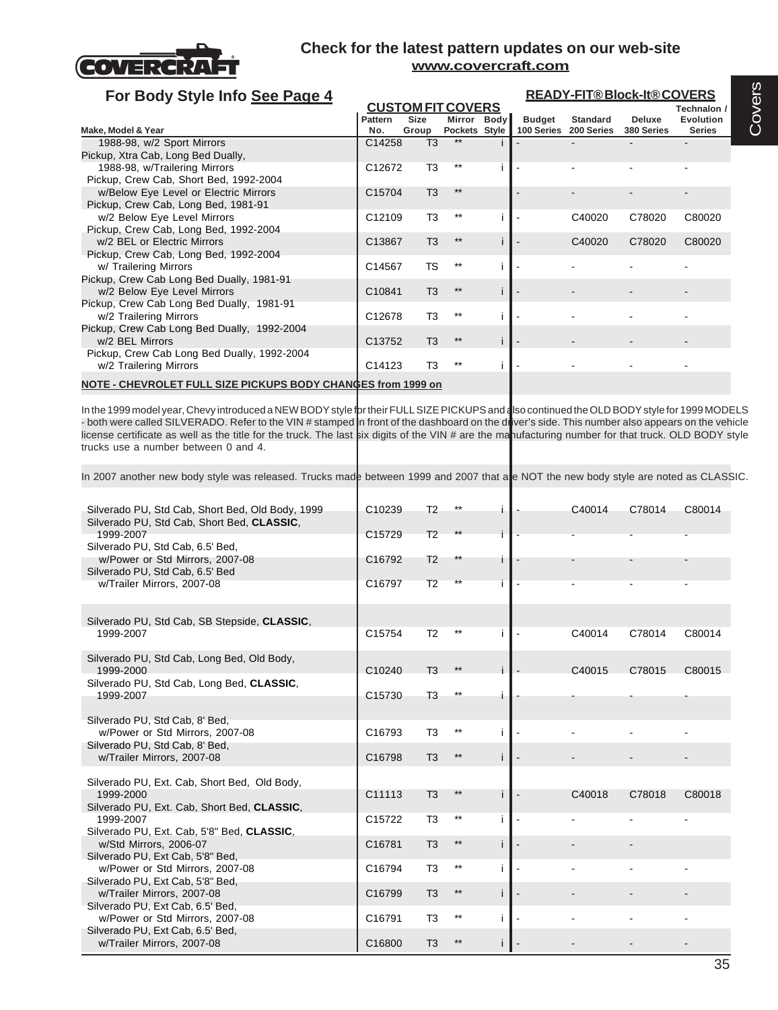

| For Body Style Info See Page 4                               |                    |                |                          | <b>READY-FIT®Block-It®COVERS</b> |                       |               |                  |  |  |  |
|--------------------------------------------------------------|--------------------|----------------|--------------------------|----------------------------------|-----------------------|---------------|------------------|--|--|--|
|                                                              |                    |                | <b>CUSTOM FIT COVERS</b> |                                  |                       |               | Technalon /      |  |  |  |
|                                                              | Pattern            | <b>Size</b>    | Mirror Body              | <b>Budget</b>                    | <b>Standard</b>       | <b>Deluxe</b> | <b>Evolution</b> |  |  |  |
| Make, Model & Year                                           | No.                | Group          | Pockets Style            |                                  | 100 Series 200 Series | 380 Series    | <b>Series</b>    |  |  |  |
| 1988-98, w/2 Sport Mirrors                                   | C14258             | T3             | **                       |                                  |                       |               |                  |  |  |  |
| Pickup, Xtra Cab, Long Bed Dually,                           |                    |                |                          |                                  |                       |               |                  |  |  |  |
| 1988-98, w/Trailering Mirrors                                | C12672             | T3             | $***$                    |                                  |                       |               |                  |  |  |  |
| Pickup, Crew Cab, Short Bed, 1992-2004                       |                    |                |                          |                                  |                       |               |                  |  |  |  |
| w/Below Eye Level or Electric Mirrors                        | C15704             | T <sub>3</sub> | $**$                     |                                  |                       |               |                  |  |  |  |
| Pickup, Crew Cab, Long Bed, 1981-91                          |                    |                |                          |                                  |                       |               |                  |  |  |  |
| w/2 Below Eye Level Mirrors                                  | C12109             | T <sub>3</sub> | $***$                    |                                  | C40020                | C78020        | C80020           |  |  |  |
| Pickup, Crew Cab, Long Bed, 1992-2004                        |                    |                |                          |                                  |                       |               |                  |  |  |  |
| w/2 BEL or Electric Mirrors                                  | C13867             | T <sub>3</sub> | $***$                    |                                  | C40020                | C78020        | C80020           |  |  |  |
| Pickup, Crew Cab, Long Bed, 1992-2004                        |                    |                |                          |                                  |                       |               |                  |  |  |  |
| w/ Trailering Mirrors                                        | C14567             | <b>TS</b>      | $***$                    |                                  |                       |               |                  |  |  |  |
| Pickup, Crew Cab Long Bed Dually, 1981-91                    |                    |                |                          |                                  |                       |               |                  |  |  |  |
| w/2 Below Eye Level Mirrors                                  | C10841             | T <sub>3</sub> | $***$                    |                                  |                       |               |                  |  |  |  |
| Pickup, Crew Cab Long Bed Dually, 1981-91                    |                    |                |                          |                                  |                       |               |                  |  |  |  |
| w/2 Trailering Mirrors                                       | C12678             | T <sub>3</sub> | $***$                    |                                  |                       |               |                  |  |  |  |
| Pickup, Crew Cab Long Bed Dually, 1992-2004                  |                    |                |                          |                                  |                       |               |                  |  |  |  |
| w/2 BEL Mirrors                                              | C <sub>13752</sub> | T <sub>3</sub> | $***$                    |                                  |                       |               |                  |  |  |  |
| Pickup, Crew Cab Long Bed Dually, 1992-2004                  |                    |                |                          |                                  |                       |               |                  |  |  |  |
| w/2 Trailering Mirrors                                       | C14123             | T3             | $***$                    |                                  |                       |               |                  |  |  |  |
|                                                              |                    |                |                          |                                  |                       |               |                  |  |  |  |
| NOTE - CHEVROLET FULL SIZE PICKUPS BODY CHANGES from 1999 on |                    |                |                          |                                  |                       |               |                  |  |  |  |

In the 1999 model year, Chevy introduced a NEW BODY style for their FULL SIZE PICKUPS and also continued the OLD BODY style for 1999 MODELS - both were called SILVERADO. Refer to the VIN # stamped in front of the dashboard on the driver's side. This number also appears on the vehicle license certificate as well as the title for the truck. The last six digits of the VIN # are the manufacturing number for that truck. OLD BODY style trucks use a number between 0 and 4.

In 2007 another new body style was released. Trucks made between 1999 and 2007 that are NOT the new body style are noted as CLASSIC.

| Silverado PU, Std Cab, Short Bed, Old Body, 1999<br>Silverado PU, Std Cab, Short Bed, CLASSIC, | C10239             | T <sub>2</sub> |       |    | C40014 | C78014 | C80014 |
|------------------------------------------------------------------------------------------------|--------------------|----------------|-------|----|--------|--------|--------|
| 1999-2007<br>Silverado PU, Std Cab, 6.5' Bed,                                                  | C15729             | T <sub>2</sub> |       |    |        |        |        |
| w/Power or Std Mirrors, 2007-08<br>Silverado PU, Std Cab, 6.5' Bed                             | C16792             | T <sub>2</sub> |       |    |        |        |        |
| w/Trailer Mirrors, 2007-08                                                                     | C16797             | T <sub>2</sub> |       |    |        |        |        |
|                                                                                                |                    |                |       |    |        |        |        |
| Silverado PU, Std Cab, SB Stepside, CLASSIC,<br>1999-2007                                      | C15754             | T <sub>2</sub> |       |    | C40014 | C78014 | C80014 |
|                                                                                                |                    |                |       |    |        |        |        |
| Silverado PU, Std Cab, Long Bed, Old Body,<br>1999-2000                                        | C10240             | T <sub>3</sub> | $***$ |    | C40015 | C78015 | C80015 |
| Silverado PU, Std Cab, Long Bed, CLASSIC,<br>1999-2007                                         | C <sub>15730</sub> | T <sub>3</sub> | $***$ |    |        |        |        |
|                                                                                                |                    |                |       |    |        |        |        |
| Silverado PU, Std Cab, 8' Bed,<br>w/Power or Std Mirrors, 2007-08                              | C <sub>16793</sub> | T <sub>3</sub> | $***$ |    |        |        |        |
| Silverado PU, Std Cab, 8' Bed,<br>w/Trailer Mirrors, 2007-08                                   | C16798             | T <sub>3</sub> | $***$ |    |        |        |        |
| Silverado PU, Ext. Cab, Short Bed, Old Body,                                                   |                    |                |       |    |        |        |        |
| 1999-2000                                                                                      | C11113             | T <sub>3</sub> |       |    | C40018 | C78018 | C80018 |
| Silverado PU, Ext. Cab, Short Bed, CLASSIC,                                                    |                    |                |       |    |        |        |        |
| 1999-2007<br>Silverado PU, Ext. Cab, 5'8" Bed, CLASSIC,                                        | C <sub>15722</sub> | T <sub>3</sub> | **    |    |        |        |        |
| w/Std Mirrors, 2006-07                                                                         | C16781             | T <sub>3</sub> | $***$ |    |        |        |        |
| Silverado PU, Ext Cab, 5'8" Bed,<br>w/Power or Std Mirrors, 2007-08                            | C16794             | T <sub>3</sub> | $***$ |    |        |        |        |
| Silverado PU, Ext Cab, 5'8" Bed,                                                               |                    |                |       |    |        |        |        |
| w/Trailer Mirrors, 2007-08                                                                     | C16799             | T <sub>3</sub> | $***$ | j. |        |        |        |
| Silverado PU, Ext Cab, 6.5' Bed,<br>w/Power or Std Mirrors, 2007-08                            | C16791             | T <sub>3</sub> | $***$ |    |        |        |        |
| Silverado PU, Ext Cab, 6.5' Bed,<br>w/Trailer Mirrors, 2007-08                                 | C16800             | T <sub>3</sub> |       |    |        |        |        |
|                                                                                                |                    |                |       |    |        |        |        |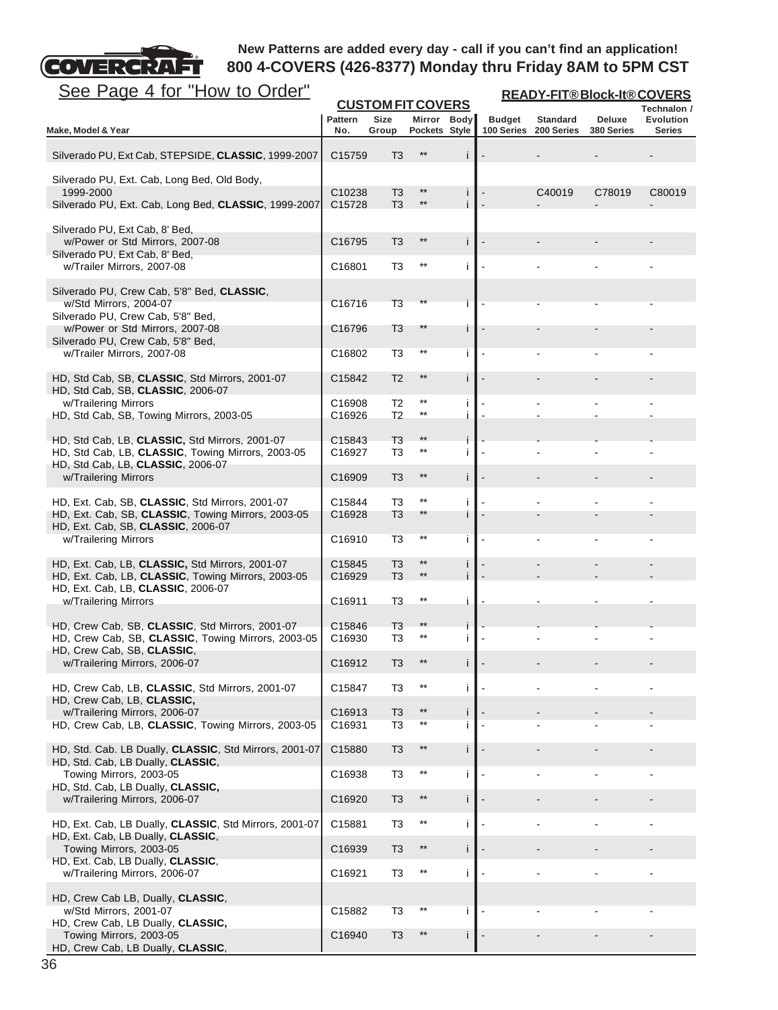

| <b>CUSTOM FIT COVERS</b><br>Technalon /<br>Pattern<br>Size<br>Mirror Body<br>Evolution<br><b>Budget</b><br><b>Standard</b><br>Deluxe<br>Pockets Style<br>No.<br>Group<br>100 Series<br>200 Series<br>380 Series<br><b>Series</b><br>Make, Model & Year<br>$***$<br>Silverado PU, Ext Cab, STEPSIDE, CLASSIC, 1999-2007<br>C15759<br>T <sub>3</sub><br>j<br>Silverado PU, Ext. Cab, Long Bed, Old Body,<br>$***$<br>1999-2000<br>C10238<br>T <sub>3</sub><br>C40019<br>C78019<br>C80019<br>$\mathbf{I}$<br>T <sub>3</sub><br>$***$<br>Silverado PU, Ext. Cab, Long Bed, CLASSIC, 1999-2007<br>C15728<br>Silverado PU, Ext Cab, 8' Bed,<br>$***$<br>İ<br>w/Power or Std Mirrors, 2007-08<br>C16795<br>T <sub>3</sub><br>Silverado PU, Ext Cab, 8' Bed,<br>$***$<br>w/Trailer Mirrors, 2007-08<br>C16801<br>T3<br>i<br>Silverado PU, Crew Cab, 5'8" Bed, CLASSIC,<br>w/Std Mirrors, 2004-07<br>T3<br>**<br>C <sub>16716</sub><br>Silverado PU, Crew Cab, 5'8" Bed,<br>w/Power or Std Mirrors, 2007-08<br>T <sub>3</sub><br>$***$<br>C <sub>16796</sub><br>Ť<br>Silverado PU, Crew Cab, 5'8" Bed,<br>$***$<br>w/Trailer Mirrors, 2007-08<br>T3<br>C16802<br>j<br>$***$<br>HD, Std Cab, SB, CLASSIC, Std Mirrors, 2001-07<br>T <sub>2</sub><br>İ<br>C15842<br>HD, Std Cab, SB, CLASSIC, 2006-07<br>$***$<br>w/Trailering Mirrors<br>T <sub>2</sub><br>C <sub>16908</sub><br>j.<br>HD, Std Cab, SB, Towing Mirrors, 2003-05<br>$^{\star\star}$<br>T <sub>2</sub><br>İ<br>C16926<br>T <sub>3</sub><br>$***$<br>HD, Std Cab, LB, CLASSIC, Std Mirrors, 2001-07<br>C <sub>15843</sub><br>$^{\star\star}$<br>HD, Std Cab, LB, CLASSIC, Towing Mirrors, 2003-05<br>T3<br>C <sub>16927</sub><br>Ť<br>HD, Std Cab, LB, CLASSIC, 2006-07<br>$***$<br>w/Trailering Mirrors<br>İ<br>C <sub>16909</sub><br>T3<br>$***$<br>HD, Ext. Cab, SB, CLASSIC, Std Mirrors, 2001-07<br>C15844<br>T3<br>j.<br>$***$<br>HD, Ext. Cab, SB, CLASSIC, Towing Mirrors, 2003-05<br>T <sub>3</sub><br>C <sub>16928</sub><br>Ť<br>HD, Ext. Cab, SB, CLASSIC, 2006-07<br>$***$<br>w/Trailering Mirrors<br>T3<br>C <sub>16910</sub><br>Ť<br>$***$<br>HD, Ext. Cab, LB, CLASSIC, Std Mirrors, 2001-07<br>C15845<br>T <sub>3</sub><br>Ť<br>$***$<br>T <sub>3</sub><br>HD, Ext. Cab, LB, CLASSIC, Towing Mirrors, 2003-05<br>İ<br>C <sub>16929</sub><br>HD, Ext. Cab, LB, CLASSIC, 2006-07<br>$^{\star\star}$<br>w/Trailering Mirrors<br>T <sub>3</sub><br>C <sub>16911</sub><br>İ<br>HD, Crew Cab, SB, CLASSIC, Std Mirrors, 2001-07<br>T <sub>3</sub><br>$***$<br>C15846<br>j<br>$***$<br>HD, Crew Cab, SB, CLASSIC, Towing Mirrors, 2003-05<br>T3<br>C <sub>16930</sub><br>j.<br>HD, Crew Cab, SB, CLASSIC,<br>w/Trailering Mirrors, 2006-07<br>**<br>C16912<br>T3<br>$***$<br>HD, Crew Cab, LB, CLASSIC, Std Mirrors, 2001-07<br>T3<br>Ť<br>C15847<br>HD, Crew Cab, LB, CLASSIC,<br>w/Trailering Mirrors, 2006-07<br>$***$<br>C16913<br>T <sub>3</sub><br>j<br>$***$<br>HD, Crew Cab, LB, CLASSIC, Towing Mirrors, 2003-05<br>T3<br>Ť<br>C16931<br>$***$<br>HD, Std. Cab. LB Dually, CLASSIC, Std Mirrors, 2001-07<br>C15880<br>T <sub>3</sub><br>Ť<br>HD, Std. Cab, LB Dually, CLASSIC,<br>Towing Mirrors, 2003-05<br>$***$<br>C16938<br>T3<br>j.<br>HD, Std. Cab, LB Dually, CLASSIC,<br>$***$<br>İ<br>w/Trailering Mirrors, 2006-07<br>C16920<br>T <sub>3</sub><br>$^{\star\star}$<br>HD, Ext. Cab, LB Dually, CLASSIC, Std Mirrors, 2001-07<br>C15881<br>İ<br>T3<br>HD, Ext. Cab, LB Dually, CLASSIC,<br>$***$<br>Towing Mirrors, 2003-05<br>C16939<br>T <sub>3</sub><br>İ<br>HD, Ext. Cab, LB Dually, CLASSIC,<br>w/Trailering Mirrors, 2006-07<br>$^{\star\star}$<br>C16921<br>T <sub>3</sub><br>Ť<br>HD, Crew Cab LB, Dually, CLASSIC,<br>$***$<br>w/Std Mirrors, 2001-07<br>C15882<br>T <sub>3</sub><br>Ť<br>HD, Crew Cab, LB Dually, CLASSIC,<br>Towing Mirrors, 2003-05<br>$***$<br>C16940<br>T <sub>3</sub><br>j.<br>HD, Crew Cab, LB Dually, CLASSIC, | See Page 4 for "How to Order" |  |  | <b>READY-FIT®Block-It®COVERS</b> |  |  |  |  |  |
|------------------------------------------------------------------------------------------------------------------------------------------------------------------------------------------------------------------------------------------------------------------------------------------------------------------------------------------------------------------------------------------------------------------------------------------------------------------------------------------------------------------------------------------------------------------------------------------------------------------------------------------------------------------------------------------------------------------------------------------------------------------------------------------------------------------------------------------------------------------------------------------------------------------------------------------------------------------------------------------------------------------------------------------------------------------------------------------------------------------------------------------------------------------------------------------------------------------------------------------------------------------------------------------------------------------------------------------------------------------------------------------------------------------------------------------------------------------------------------------------------------------------------------------------------------------------------------------------------------------------------------------------------------------------------------------------------------------------------------------------------------------------------------------------------------------------------------------------------------------------------------------------------------------------------------------------------------------------------------------------------------------------------------------------------------------------------------------------------------------------------------------------------------------------------------------------------------------------------------------------------------------------------------------------------------------------------------------------------------------------------------------------------------------------------------------------------------------------------------------------------------------------------------------------------------------------------------------------------------------------------------------------------------------------------------------------------------------------------------------------------------------------------------------------------------------------------------------------------------------------------------------------------------------------------------------------------------------------------------------------------------------------------------------------------------------------------------------------------------------------------------------------------------------------------------------------------------------------------------------------------------------------------------------------------------------------------------------------------------------------------------------------------------------------------------------------------------------------------------------------------------------------------------------------------------------------------------------------------------------------------------------------------------------------------------------------------------------------------------------------------------------------------------------------------------------------------------------------------------------------------------------------------------------------------|-------------------------------|--|--|----------------------------------|--|--|--|--|--|
|                                                                                                                                                                                                                                                                                                                                                                                                                                                                                                                                                                                                                                                                                                                                                                                                                                                                                                                                                                                                                                                                                                                                                                                                                                                                                                                                                                                                                                                                                                                                                                                                                                                                                                                                                                                                                                                                                                                                                                                                                                                                                                                                                                                                                                                                                                                                                                                                                                                                                                                                                                                                                                                                                                                                                                                                                                                                                                                                                                                                                                                                                                                                                                                                                                                                                                                                                                                                                                                                                                                                                                                                                                                                                                                                                                                                                                                                                                                              |                               |  |  |                                  |  |  |  |  |  |
|                                                                                                                                                                                                                                                                                                                                                                                                                                                                                                                                                                                                                                                                                                                                                                                                                                                                                                                                                                                                                                                                                                                                                                                                                                                                                                                                                                                                                                                                                                                                                                                                                                                                                                                                                                                                                                                                                                                                                                                                                                                                                                                                                                                                                                                                                                                                                                                                                                                                                                                                                                                                                                                                                                                                                                                                                                                                                                                                                                                                                                                                                                                                                                                                                                                                                                                                                                                                                                                                                                                                                                                                                                                                                                                                                                                                                                                                                                                              |                               |  |  |                                  |  |  |  |  |  |
|                                                                                                                                                                                                                                                                                                                                                                                                                                                                                                                                                                                                                                                                                                                                                                                                                                                                                                                                                                                                                                                                                                                                                                                                                                                                                                                                                                                                                                                                                                                                                                                                                                                                                                                                                                                                                                                                                                                                                                                                                                                                                                                                                                                                                                                                                                                                                                                                                                                                                                                                                                                                                                                                                                                                                                                                                                                                                                                                                                                                                                                                                                                                                                                                                                                                                                                                                                                                                                                                                                                                                                                                                                                                                                                                                                                                                                                                                                                              |                               |  |  |                                  |  |  |  |  |  |
|                                                                                                                                                                                                                                                                                                                                                                                                                                                                                                                                                                                                                                                                                                                                                                                                                                                                                                                                                                                                                                                                                                                                                                                                                                                                                                                                                                                                                                                                                                                                                                                                                                                                                                                                                                                                                                                                                                                                                                                                                                                                                                                                                                                                                                                                                                                                                                                                                                                                                                                                                                                                                                                                                                                                                                                                                                                                                                                                                                                                                                                                                                                                                                                                                                                                                                                                                                                                                                                                                                                                                                                                                                                                                                                                                                                                                                                                                                                              |                               |  |  |                                  |  |  |  |  |  |
|                                                                                                                                                                                                                                                                                                                                                                                                                                                                                                                                                                                                                                                                                                                                                                                                                                                                                                                                                                                                                                                                                                                                                                                                                                                                                                                                                                                                                                                                                                                                                                                                                                                                                                                                                                                                                                                                                                                                                                                                                                                                                                                                                                                                                                                                                                                                                                                                                                                                                                                                                                                                                                                                                                                                                                                                                                                                                                                                                                                                                                                                                                                                                                                                                                                                                                                                                                                                                                                                                                                                                                                                                                                                                                                                                                                                                                                                                                                              |                               |  |  |                                  |  |  |  |  |  |
|                                                                                                                                                                                                                                                                                                                                                                                                                                                                                                                                                                                                                                                                                                                                                                                                                                                                                                                                                                                                                                                                                                                                                                                                                                                                                                                                                                                                                                                                                                                                                                                                                                                                                                                                                                                                                                                                                                                                                                                                                                                                                                                                                                                                                                                                                                                                                                                                                                                                                                                                                                                                                                                                                                                                                                                                                                                                                                                                                                                                                                                                                                                                                                                                                                                                                                                                                                                                                                                                                                                                                                                                                                                                                                                                                                                                                                                                                                                              |                               |  |  |                                  |  |  |  |  |  |
|                                                                                                                                                                                                                                                                                                                                                                                                                                                                                                                                                                                                                                                                                                                                                                                                                                                                                                                                                                                                                                                                                                                                                                                                                                                                                                                                                                                                                                                                                                                                                                                                                                                                                                                                                                                                                                                                                                                                                                                                                                                                                                                                                                                                                                                                                                                                                                                                                                                                                                                                                                                                                                                                                                                                                                                                                                                                                                                                                                                                                                                                                                                                                                                                                                                                                                                                                                                                                                                                                                                                                                                                                                                                                                                                                                                                                                                                                                                              |                               |  |  |                                  |  |  |  |  |  |
|                                                                                                                                                                                                                                                                                                                                                                                                                                                                                                                                                                                                                                                                                                                                                                                                                                                                                                                                                                                                                                                                                                                                                                                                                                                                                                                                                                                                                                                                                                                                                                                                                                                                                                                                                                                                                                                                                                                                                                                                                                                                                                                                                                                                                                                                                                                                                                                                                                                                                                                                                                                                                                                                                                                                                                                                                                                                                                                                                                                                                                                                                                                                                                                                                                                                                                                                                                                                                                                                                                                                                                                                                                                                                                                                                                                                                                                                                                                              |                               |  |  |                                  |  |  |  |  |  |
|                                                                                                                                                                                                                                                                                                                                                                                                                                                                                                                                                                                                                                                                                                                                                                                                                                                                                                                                                                                                                                                                                                                                                                                                                                                                                                                                                                                                                                                                                                                                                                                                                                                                                                                                                                                                                                                                                                                                                                                                                                                                                                                                                                                                                                                                                                                                                                                                                                                                                                                                                                                                                                                                                                                                                                                                                                                                                                                                                                                                                                                                                                                                                                                                                                                                                                                                                                                                                                                                                                                                                                                                                                                                                                                                                                                                                                                                                                                              |                               |  |  |                                  |  |  |  |  |  |
|                                                                                                                                                                                                                                                                                                                                                                                                                                                                                                                                                                                                                                                                                                                                                                                                                                                                                                                                                                                                                                                                                                                                                                                                                                                                                                                                                                                                                                                                                                                                                                                                                                                                                                                                                                                                                                                                                                                                                                                                                                                                                                                                                                                                                                                                                                                                                                                                                                                                                                                                                                                                                                                                                                                                                                                                                                                                                                                                                                                                                                                                                                                                                                                                                                                                                                                                                                                                                                                                                                                                                                                                                                                                                                                                                                                                                                                                                                                              |                               |  |  |                                  |  |  |  |  |  |
|                                                                                                                                                                                                                                                                                                                                                                                                                                                                                                                                                                                                                                                                                                                                                                                                                                                                                                                                                                                                                                                                                                                                                                                                                                                                                                                                                                                                                                                                                                                                                                                                                                                                                                                                                                                                                                                                                                                                                                                                                                                                                                                                                                                                                                                                                                                                                                                                                                                                                                                                                                                                                                                                                                                                                                                                                                                                                                                                                                                                                                                                                                                                                                                                                                                                                                                                                                                                                                                                                                                                                                                                                                                                                                                                                                                                                                                                                                                              |                               |  |  |                                  |  |  |  |  |  |
|                                                                                                                                                                                                                                                                                                                                                                                                                                                                                                                                                                                                                                                                                                                                                                                                                                                                                                                                                                                                                                                                                                                                                                                                                                                                                                                                                                                                                                                                                                                                                                                                                                                                                                                                                                                                                                                                                                                                                                                                                                                                                                                                                                                                                                                                                                                                                                                                                                                                                                                                                                                                                                                                                                                                                                                                                                                                                                                                                                                                                                                                                                                                                                                                                                                                                                                                                                                                                                                                                                                                                                                                                                                                                                                                                                                                                                                                                                                              |                               |  |  |                                  |  |  |  |  |  |
|                                                                                                                                                                                                                                                                                                                                                                                                                                                                                                                                                                                                                                                                                                                                                                                                                                                                                                                                                                                                                                                                                                                                                                                                                                                                                                                                                                                                                                                                                                                                                                                                                                                                                                                                                                                                                                                                                                                                                                                                                                                                                                                                                                                                                                                                                                                                                                                                                                                                                                                                                                                                                                                                                                                                                                                                                                                                                                                                                                                                                                                                                                                                                                                                                                                                                                                                                                                                                                                                                                                                                                                                                                                                                                                                                                                                                                                                                                                              |                               |  |  |                                  |  |  |  |  |  |
|                                                                                                                                                                                                                                                                                                                                                                                                                                                                                                                                                                                                                                                                                                                                                                                                                                                                                                                                                                                                                                                                                                                                                                                                                                                                                                                                                                                                                                                                                                                                                                                                                                                                                                                                                                                                                                                                                                                                                                                                                                                                                                                                                                                                                                                                                                                                                                                                                                                                                                                                                                                                                                                                                                                                                                                                                                                                                                                                                                                                                                                                                                                                                                                                                                                                                                                                                                                                                                                                                                                                                                                                                                                                                                                                                                                                                                                                                                                              |                               |  |  |                                  |  |  |  |  |  |
|                                                                                                                                                                                                                                                                                                                                                                                                                                                                                                                                                                                                                                                                                                                                                                                                                                                                                                                                                                                                                                                                                                                                                                                                                                                                                                                                                                                                                                                                                                                                                                                                                                                                                                                                                                                                                                                                                                                                                                                                                                                                                                                                                                                                                                                                                                                                                                                                                                                                                                                                                                                                                                                                                                                                                                                                                                                                                                                                                                                                                                                                                                                                                                                                                                                                                                                                                                                                                                                                                                                                                                                                                                                                                                                                                                                                                                                                                                                              |                               |  |  |                                  |  |  |  |  |  |
|                                                                                                                                                                                                                                                                                                                                                                                                                                                                                                                                                                                                                                                                                                                                                                                                                                                                                                                                                                                                                                                                                                                                                                                                                                                                                                                                                                                                                                                                                                                                                                                                                                                                                                                                                                                                                                                                                                                                                                                                                                                                                                                                                                                                                                                                                                                                                                                                                                                                                                                                                                                                                                                                                                                                                                                                                                                                                                                                                                                                                                                                                                                                                                                                                                                                                                                                                                                                                                                                                                                                                                                                                                                                                                                                                                                                                                                                                                                              |                               |  |  |                                  |  |  |  |  |  |
|                                                                                                                                                                                                                                                                                                                                                                                                                                                                                                                                                                                                                                                                                                                                                                                                                                                                                                                                                                                                                                                                                                                                                                                                                                                                                                                                                                                                                                                                                                                                                                                                                                                                                                                                                                                                                                                                                                                                                                                                                                                                                                                                                                                                                                                                                                                                                                                                                                                                                                                                                                                                                                                                                                                                                                                                                                                                                                                                                                                                                                                                                                                                                                                                                                                                                                                                                                                                                                                                                                                                                                                                                                                                                                                                                                                                                                                                                                                              |                               |  |  |                                  |  |  |  |  |  |
|                                                                                                                                                                                                                                                                                                                                                                                                                                                                                                                                                                                                                                                                                                                                                                                                                                                                                                                                                                                                                                                                                                                                                                                                                                                                                                                                                                                                                                                                                                                                                                                                                                                                                                                                                                                                                                                                                                                                                                                                                                                                                                                                                                                                                                                                                                                                                                                                                                                                                                                                                                                                                                                                                                                                                                                                                                                                                                                                                                                                                                                                                                                                                                                                                                                                                                                                                                                                                                                                                                                                                                                                                                                                                                                                                                                                                                                                                                                              |                               |  |  |                                  |  |  |  |  |  |
|                                                                                                                                                                                                                                                                                                                                                                                                                                                                                                                                                                                                                                                                                                                                                                                                                                                                                                                                                                                                                                                                                                                                                                                                                                                                                                                                                                                                                                                                                                                                                                                                                                                                                                                                                                                                                                                                                                                                                                                                                                                                                                                                                                                                                                                                                                                                                                                                                                                                                                                                                                                                                                                                                                                                                                                                                                                                                                                                                                                                                                                                                                                                                                                                                                                                                                                                                                                                                                                                                                                                                                                                                                                                                                                                                                                                                                                                                                                              |                               |  |  |                                  |  |  |  |  |  |
|                                                                                                                                                                                                                                                                                                                                                                                                                                                                                                                                                                                                                                                                                                                                                                                                                                                                                                                                                                                                                                                                                                                                                                                                                                                                                                                                                                                                                                                                                                                                                                                                                                                                                                                                                                                                                                                                                                                                                                                                                                                                                                                                                                                                                                                                                                                                                                                                                                                                                                                                                                                                                                                                                                                                                                                                                                                                                                                                                                                                                                                                                                                                                                                                                                                                                                                                                                                                                                                                                                                                                                                                                                                                                                                                                                                                                                                                                                                              |                               |  |  |                                  |  |  |  |  |  |
|                                                                                                                                                                                                                                                                                                                                                                                                                                                                                                                                                                                                                                                                                                                                                                                                                                                                                                                                                                                                                                                                                                                                                                                                                                                                                                                                                                                                                                                                                                                                                                                                                                                                                                                                                                                                                                                                                                                                                                                                                                                                                                                                                                                                                                                                                                                                                                                                                                                                                                                                                                                                                                                                                                                                                                                                                                                                                                                                                                                                                                                                                                                                                                                                                                                                                                                                                                                                                                                                                                                                                                                                                                                                                                                                                                                                                                                                                                                              |                               |  |  |                                  |  |  |  |  |  |
|                                                                                                                                                                                                                                                                                                                                                                                                                                                                                                                                                                                                                                                                                                                                                                                                                                                                                                                                                                                                                                                                                                                                                                                                                                                                                                                                                                                                                                                                                                                                                                                                                                                                                                                                                                                                                                                                                                                                                                                                                                                                                                                                                                                                                                                                                                                                                                                                                                                                                                                                                                                                                                                                                                                                                                                                                                                                                                                                                                                                                                                                                                                                                                                                                                                                                                                                                                                                                                                                                                                                                                                                                                                                                                                                                                                                                                                                                                                              |                               |  |  |                                  |  |  |  |  |  |
|                                                                                                                                                                                                                                                                                                                                                                                                                                                                                                                                                                                                                                                                                                                                                                                                                                                                                                                                                                                                                                                                                                                                                                                                                                                                                                                                                                                                                                                                                                                                                                                                                                                                                                                                                                                                                                                                                                                                                                                                                                                                                                                                                                                                                                                                                                                                                                                                                                                                                                                                                                                                                                                                                                                                                                                                                                                                                                                                                                                                                                                                                                                                                                                                                                                                                                                                                                                                                                                                                                                                                                                                                                                                                                                                                                                                                                                                                                                              |                               |  |  |                                  |  |  |  |  |  |
|                                                                                                                                                                                                                                                                                                                                                                                                                                                                                                                                                                                                                                                                                                                                                                                                                                                                                                                                                                                                                                                                                                                                                                                                                                                                                                                                                                                                                                                                                                                                                                                                                                                                                                                                                                                                                                                                                                                                                                                                                                                                                                                                                                                                                                                                                                                                                                                                                                                                                                                                                                                                                                                                                                                                                                                                                                                                                                                                                                                                                                                                                                                                                                                                                                                                                                                                                                                                                                                                                                                                                                                                                                                                                                                                                                                                                                                                                                                              |                               |  |  |                                  |  |  |  |  |  |
|                                                                                                                                                                                                                                                                                                                                                                                                                                                                                                                                                                                                                                                                                                                                                                                                                                                                                                                                                                                                                                                                                                                                                                                                                                                                                                                                                                                                                                                                                                                                                                                                                                                                                                                                                                                                                                                                                                                                                                                                                                                                                                                                                                                                                                                                                                                                                                                                                                                                                                                                                                                                                                                                                                                                                                                                                                                                                                                                                                                                                                                                                                                                                                                                                                                                                                                                                                                                                                                                                                                                                                                                                                                                                                                                                                                                                                                                                                                              |                               |  |  |                                  |  |  |  |  |  |
|                                                                                                                                                                                                                                                                                                                                                                                                                                                                                                                                                                                                                                                                                                                                                                                                                                                                                                                                                                                                                                                                                                                                                                                                                                                                                                                                                                                                                                                                                                                                                                                                                                                                                                                                                                                                                                                                                                                                                                                                                                                                                                                                                                                                                                                                                                                                                                                                                                                                                                                                                                                                                                                                                                                                                                                                                                                                                                                                                                                                                                                                                                                                                                                                                                                                                                                                                                                                                                                                                                                                                                                                                                                                                                                                                                                                                                                                                                                              |                               |  |  |                                  |  |  |  |  |  |
|                                                                                                                                                                                                                                                                                                                                                                                                                                                                                                                                                                                                                                                                                                                                                                                                                                                                                                                                                                                                                                                                                                                                                                                                                                                                                                                                                                                                                                                                                                                                                                                                                                                                                                                                                                                                                                                                                                                                                                                                                                                                                                                                                                                                                                                                                                                                                                                                                                                                                                                                                                                                                                                                                                                                                                                                                                                                                                                                                                                                                                                                                                                                                                                                                                                                                                                                                                                                                                                                                                                                                                                                                                                                                                                                                                                                                                                                                                                              |                               |  |  |                                  |  |  |  |  |  |
|                                                                                                                                                                                                                                                                                                                                                                                                                                                                                                                                                                                                                                                                                                                                                                                                                                                                                                                                                                                                                                                                                                                                                                                                                                                                                                                                                                                                                                                                                                                                                                                                                                                                                                                                                                                                                                                                                                                                                                                                                                                                                                                                                                                                                                                                                                                                                                                                                                                                                                                                                                                                                                                                                                                                                                                                                                                                                                                                                                                                                                                                                                                                                                                                                                                                                                                                                                                                                                                                                                                                                                                                                                                                                                                                                                                                                                                                                                                              |                               |  |  |                                  |  |  |  |  |  |
|                                                                                                                                                                                                                                                                                                                                                                                                                                                                                                                                                                                                                                                                                                                                                                                                                                                                                                                                                                                                                                                                                                                                                                                                                                                                                                                                                                                                                                                                                                                                                                                                                                                                                                                                                                                                                                                                                                                                                                                                                                                                                                                                                                                                                                                                                                                                                                                                                                                                                                                                                                                                                                                                                                                                                                                                                                                                                                                                                                                                                                                                                                                                                                                                                                                                                                                                                                                                                                                                                                                                                                                                                                                                                                                                                                                                                                                                                                                              |                               |  |  |                                  |  |  |  |  |  |
|                                                                                                                                                                                                                                                                                                                                                                                                                                                                                                                                                                                                                                                                                                                                                                                                                                                                                                                                                                                                                                                                                                                                                                                                                                                                                                                                                                                                                                                                                                                                                                                                                                                                                                                                                                                                                                                                                                                                                                                                                                                                                                                                                                                                                                                                                                                                                                                                                                                                                                                                                                                                                                                                                                                                                                                                                                                                                                                                                                                                                                                                                                                                                                                                                                                                                                                                                                                                                                                                                                                                                                                                                                                                                                                                                                                                                                                                                                                              |                               |  |  |                                  |  |  |  |  |  |
|                                                                                                                                                                                                                                                                                                                                                                                                                                                                                                                                                                                                                                                                                                                                                                                                                                                                                                                                                                                                                                                                                                                                                                                                                                                                                                                                                                                                                                                                                                                                                                                                                                                                                                                                                                                                                                                                                                                                                                                                                                                                                                                                                                                                                                                                                                                                                                                                                                                                                                                                                                                                                                                                                                                                                                                                                                                                                                                                                                                                                                                                                                                                                                                                                                                                                                                                                                                                                                                                                                                                                                                                                                                                                                                                                                                                                                                                                                                              |                               |  |  |                                  |  |  |  |  |  |
|                                                                                                                                                                                                                                                                                                                                                                                                                                                                                                                                                                                                                                                                                                                                                                                                                                                                                                                                                                                                                                                                                                                                                                                                                                                                                                                                                                                                                                                                                                                                                                                                                                                                                                                                                                                                                                                                                                                                                                                                                                                                                                                                                                                                                                                                                                                                                                                                                                                                                                                                                                                                                                                                                                                                                                                                                                                                                                                                                                                                                                                                                                                                                                                                                                                                                                                                                                                                                                                                                                                                                                                                                                                                                                                                                                                                                                                                                                                              |                               |  |  |                                  |  |  |  |  |  |
|                                                                                                                                                                                                                                                                                                                                                                                                                                                                                                                                                                                                                                                                                                                                                                                                                                                                                                                                                                                                                                                                                                                                                                                                                                                                                                                                                                                                                                                                                                                                                                                                                                                                                                                                                                                                                                                                                                                                                                                                                                                                                                                                                                                                                                                                                                                                                                                                                                                                                                                                                                                                                                                                                                                                                                                                                                                                                                                                                                                                                                                                                                                                                                                                                                                                                                                                                                                                                                                                                                                                                                                                                                                                                                                                                                                                                                                                                                                              |                               |  |  |                                  |  |  |  |  |  |
|                                                                                                                                                                                                                                                                                                                                                                                                                                                                                                                                                                                                                                                                                                                                                                                                                                                                                                                                                                                                                                                                                                                                                                                                                                                                                                                                                                                                                                                                                                                                                                                                                                                                                                                                                                                                                                                                                                                                                                                                                                                                                                                                                                                                                                                                                                                                                                                                                                                                                                                                                                                                                                                                                                                                                                                                                                                                                                                                                                                                                                                                                                                                                                                                                                                                                                                                                                                                                                                                                                                                                                                                                                                                                                                                                                                                                                                                                                                              |                               |  |  |                                  |  |  |  |  |  |
|                                                                                                                                                                                                                                                                                                                                                                                                                                                                                                                                                                                                                                                                                                                                                                                                                                                                                                                                                                                                                                                                                                                                                                                                                                                                                                                                                                                                                                                                                                                                                                                                                                                                                                                                                                                                                                                                                                                                                                                                                                                                                                                                                                                                                                                                                                                                                                                                                                                                                                                                                                                                                                                                                                                                                                                                                                                                                                                                                                                                                                                                                                                                                                                                                                                                                                                                                                                                                                                                                                                                                                                                                                                                                                                                                                                                                                                                                                                              |                               |  |  |                                  |  |  |  |  |  |
|                                                                                                                                                                                                                                                                                                                                                                                                                                                                                                                                                                                                                                                                                                                                                                                                                                                                                                                                                                                                                                                                                                                                                                                                                                                                                                                                                                                                                                                                                                                                                                                                                                                                                                                                                                                                                                                                                                                                                                                                                                                                                                                                                                                                                                                                                                                                                                                                                                                                                                                                                                                                                                                                                                                                                                                                                                                                                                                                                                                                                                                                                                                                                                                                                                                                                                                                                                                                                                                                                                                                                                                                                                                                                                                                                                                                                                                                                                                              |                               |  |  |                                  |  |  |  |  |  |
|                                                                                                                                                                                                                                                                                                                                                                                                                                                                                                                                                                                                                                                                                                                                                                                                                                                                                                                                                                                                                                                                                                                                                                                                                                                                                                                                                                                                                                                                                                                                                                                                                                                                                                                                                                                                                                                                                                                                                                                                                                                                                                                                                                                                                                                                                                                                                                                                                                                                                                                                                                                                                                                                                                                                                                                                                                                                                                                                                                                                                                                                                                                                                                                                                                                                                                                                                                                                                                                                                                                                                                                                                                                                                                                                                                                                                                                                                                                              |                               |  |  |                                  |  |  |  |  |  |
|                                                                                                                                                                                                                                                                                                                                                                                                                                                                                                                                                                                                                                                                                                                                                                                                                                                                                                                                                                                                                                                                                                                                                                                                                                                                                                                                                                                                                                                                                                                                                                                                                                                                                                                                                                                                                                                                                                                                                                                                                                                                                                                                                                                                                                                                                                                                                                                                                                                                                                                                                                                                                                                                                                                                                                                                                                                                                                                                                                                                                                                                                                                                                                                                                                                                                                                                                                                                                                                                                                                                                                                                                                                                                                                                                                                                                                                                                                                              |                               |  |  |                                  |  |  |  |  |  |
|                                                                                                                                                                                                                                                                                                                                                                                                                                                                                                                                                                                                                                                                                                                                                                                                                                                                                                                                                                                                                                                                                                                                                                                                                                                                                                                                                                                                                                                                                                                                                                                                                                                                                                                                                                                                                                                                                                                                                                                                                                                                                                                                                                                                                                                                                                                                                                                                                                                                                                                                                                                                                                                                                                                                                                                                                                                                                                                                                                                                                                                                                                                                                                                                                                                                                                                                                                                                                                                                                                                                                                                                                                                                                                                                                                                                                                                                                                                              |                               |  |  |                                  |  |  |  |  |  |
|                                                                                                                                                                                                                                                                                                                                                                                                                                                                                                                                                                                                                                                                                                                                                                                                                                                                                                                                                                                                                                                                                                                                                                                                                                                                                                                                                                                                                                                                                                                                                                                                                                                                                                                                                                                                                                                                                                                                                                                                                                                                                                                                                                                                                                                                                                                                                                                                                                                                                                                                                                                                                                                                                                                                                                                                                                                                                                                                                                                                                                                                                                                                                                                                                                                                                                                                                                                                                                                                                                                                                                                                                                                                                                                                                                                                                                                                                                                              |                               |  |  |                                  |  |  |  |  |  |
|                                                                                                                                                                                                                                                                                                                                                                                                                                                                                                                                                                                                                                                                                                                                                                                                                                                                                                                                                                                                                                                                                                                                                                                                                                                                                                                                                                                                                                                                                                                                                                                                                                                                                                                                                                                                                                                                                                                                                                                                                                                                                                                                                                                                                                                                                                                                                                                                                                                                                                                                                                                                                                                                                                                                                                                                                                                                                                                                                                                                                                                                                                                                                                                                                                                                                                                                                                                                                                                                                                                                                                                                                                                                                                                                                                                                                                                                                                                              |                               |  |  |                                  |  |  |  |  |  |
|                                                                                                                                                                                                                                                                                                                                                                                                                                                                                                                                                                                                                                                                                                                                                                                                                                                                                                                                                                                                                                                                                                                                                                                                                                                                                                                                                                                                                                                                                                                                                                                                                                                                                                                                                                                                                                                                                                                                                                                                                                                                                                                                                                                                                                                                                                                                                                                                                                                                                                                                                                                                                                                                                                                                                                                                                                                                                                                                                                                                                                                                                                                                                                                                                                                                                                                                                                                                                                                                                                                                                                                                                                                                                                                                                                                                                                                                                                                              |                               |  |  |                                  |  |  |  |  |  |
|                                                                                                                                                                                                                                                                                                                                                                                                                                                                                                                                                                                                                                                                                                                                                                                                                                                                                                                                                                                                                                                                                                                                                                                                                                                                                                                                                                                                                                                                                                                                                                                                                                                                                                                                                                                                                                                                                                                                                                                                                                                                                                                                                                                                                                                                                                                                                                                                                                                                                                                                                                                                                                                                                                                                                                                                                                                                                                                                                                                                                                                                                                                                                                                                                                                                                                                                                                                                                                                                                                                                                                                                                                                                                                                                                                                                                                                                                                                              |                               |  |  |                                  |  |  |  |  |  |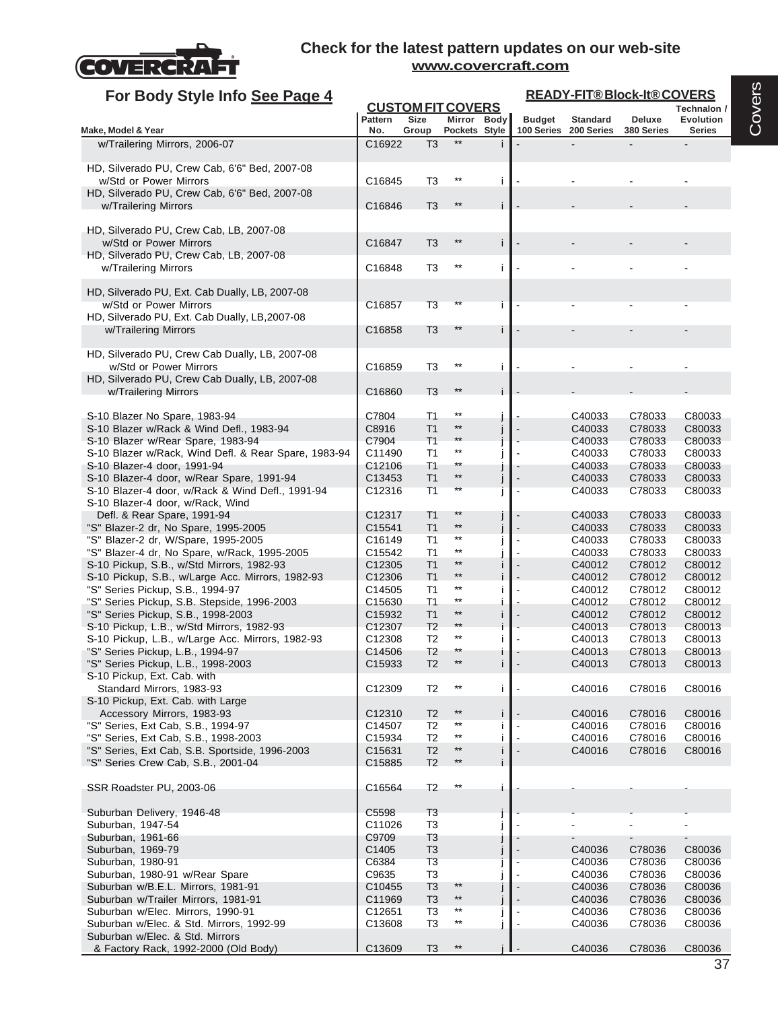

| For Body Style Info See Page 4                                                       |                              |                                  |                              |   | <b>READY-FIT®Block-It®COVERS</b> |                               |                             |                                   |  |  |
|--------------------------------------------------------------------------------------|------------------------------|----------------------------------|------------------------------|---|----------------------------------|-------------------------------|-----------------------------|-----------------------------------|--|--|
|                                                                                      |                              |                                  | <b>CUSTOM FIT COVERS</b>     |   |                                  |                               |                             | Technalon /                       |  |  |
| Make, Model & Year                                                                   | <b>Pattern</b><br>No.        | <b>Size</b><br>Group             | Mirror Body<br>Pockets Style |   | <b>Budget</b><br>100 Series      | <b>Standard</b><br>200 Series | <b>Deluxe</b><br>380 Series | <b>Evolution</b><br><b>Series</b> |  |  |
| w/Trailering Mirrors, 2006-07                                                        | C16922                       | T <sub>3</sub>                   | **                           |   |                                  |                               |                             |                                   |  |  |
|                                                                                      |                              |                                  |                              |   |                                  |                               |                             |                                   |  |  |
| HD, Silverado PU, Crew Cab, 6'6" Bed, 2007-08<br>w/Std or Power Mirrors              | C16845                       | T3                               | $***$                        | j |                                  |                               |                             |                                   |  |  |
| HD, Silverado PU, Crew Cab, 6'6" Bed, 2007-08                                        |                              |                                  |                              |   |                                  |                               |                             |                                   |  |  |
| w/Trailering Mirrors                                                                 | C16846                       | T <sub>3</sub>                   | $***$                        |   |                                  |                               |                             |                                   |  |  |
|                                                                                      |                              |                                  |                              |   |                                  |                               |                             |                                   |  |  |
| HD, Silverado PU, Crew Cab, LB, 2007-08<br>w/Std or Power Mirrors                    | C16847                       | T3                               | $***$                        |   |                                  |                               |                             |                                   |  |  |
| HD, Silverado PU, Crew Cab, LB, 2007-08                                              |                              |                                  |                              |   |                                  |                               |                             |                                   |  |  |
| w/Trailering Mirrors                                                                 | C16848                       | T3                               | $***$                        | Ť |                                  |                               |                             |                                   |  |  |
| HD, Silverado PU, Ext. Cab Dually, LB, 2007-08                                       |                              |                                  |                              |   |                                  |                               |                             |                                   |  |  |
| w/Std or Power Mirrors                                                               | C16857                       | T <sub>3</sub>                   |                              |   |                                  |                               |                             |                                   |  |  |
| HD, Silverado PU, Ext. Cab Dually, LB, 2007-08                                       |                              |                                  |                              |   |                                  |                               |                             |                                   |  |  |
| w/Trailering Mirrors                                                                 | C16858                       | T <sub>3</sub>                   | $***$                        |   |                                  |                               |                             |                                   |  |  |
| HD, Silverado PU, Crew Cab Dually, LB, 2007-08                                       |                              |                                  |                              |   |                                  |                               |                             |                                   |  |  |
| w/Std or Power Mirrors                                                               | C16859                       | T <sub>3</sub>                   | $^{\star\star}$              | j |                                  |                               |                             |                                   |  |  |
| HD, Silverado PU, Crew Cab Dually, LB, 2007-08                                       |                              |                                  |                              |   |                                  |                               |                             |                                   |  |  |
| w/Trailering Mirrors                                                                 | C16860                       | T <sub>3</sub>                   | $***$                        |   |                                  |                               |                             |                                   |  |  |
| S-10 Blazer No Spare, 1983-94                                                        | C7804                        | T1                               | $^{\star\star}$              |   |                                  | C40033                        | C78033                      | C80033                            |  |  |
| S-10 Blazer w/Rack & Wind Defl., 1983-94                                             | C8916                        | T <sub>1</sub>                   | $***$                        |   |                                  | C40033                        | C78033                      | C80033                            |  |  |
| S-10 Blazer w/Rear Spare, 1983-94                                                    | C7904                        | T1                               | $***$                        |   |                                  | C40033                        | C78033                      | C80033                            |  |  |
| S-10 Blazer w/Rack, Wind Defl. & Rear Spare, 1983-94<br>S-10 Blazer-4 door, 1991-94  | C11490<br>C12106             | T <sub>1</sub><br>T <sub>1</sub> | $***$<br>**                  |   |                                  | C40033<br>C40033              | C78033<br>C78033            | C80033                            |  |  |
| S-10 Blazer-4 door, w/Rear Spare, 1991-94                                            | C13453                       | T <sub>1</sub>                   | $^{\star\star}$              |   |                                  | C40033                        | C78033                      | C80033<br>C80033                  |  |  |
| S-10 Blazer-4 door, w/Rack & Wind Defl., 1991-94                                     | C12316                       | T <sub>1</sub>                   | **                           |   |                                  | C40033                        | C78033                      | C80033                            |  |  |
| S-10 Blazer-4 door, w/Rack, Wind                                                     |                              |                                  |                              |   |                                  |                               |                             |                                   |  |  |
| Defl. & Rear Spare, 1991-94<br>"S" Blazer-2 dr, No Spare, 1995-2005                  | C12317<br>C15541             | T <sub>1</sub><br>T <sub>1</sub> | $^{\star\star}$<br>$***$     |   |                                  | C40033<br>C40033              | C78033<br>C78033            | C80033<br>C80033                  |  |  |
| "S" Blazer-2 dr, W/Spare, 1995-2005                                                  | C16149                       | T <sub>1</sub>                   | $^{\star\star}$              |   |                                  | C40033                        | C78033                      | C80033                            |  |  |
| "S" Blazer-4 dr, No Spare, w/Rack, 1995-2005                                         | C15542                       | T <sub>1</sub>                   | $***$                        |   |                                  | C40033                        | C78033                      | C80033                            |  |  |
| S-10 Pickup, S.B., w/Std Mirrors, 1982-93                                            | C12305                       | T1                               | $***$<br>$^{\star\star}$     |   |                                  | C40012                        | C78012                      | C80012                            |  |  |
| S-10 Pickup, S.B., w/Large Acc. Mirrors, 1982-93<br>"S" Series Pickup, S.B., 1994-97 | C12306<br>C14505             | T1<br>T <sub>1</sub>             | $^{\star\star}$              |   |                                  | C40012<br>C40012              | C78012<br>C78012            | C80012<br>C80012                  |  |  |
| "S" Series Pickup, S.B. Stepside, 1996-2003                                          | C15630                       | T1                               | $***$                        |   |                                  | C40012                        | C78012                      | C80012                            |  |  |
| "S" Series Pickup, S.B., 1998-2003                                                   | C15932                       | T <sub>1</sub>                   | $***$                        |   |                                  | C40012                        | C78012                      | C80012                            |  |  |
| S-10 Pickup, L.B., w/Std Mirrors, 1982-93                                            | C12307                       | T <sub>2</sub>                   | $***$<br>$^{\star\star}$     |   |                                  | C40013                        | C78013                      | C80013                            |  |  |
| S-10 Pickup, L.B., w/Large Acc. Mirrors, 1982-93<br>"S" Series Pickup, L.B., 1994-97 | C12308<br>C14506             | T <sub>2</sub><br>T <sub>2</sub> | **                           |   |                                  | C40013<br>C40013              | C78013<br>C78013            | C80013<br>C80013                  |  |  |
| "S" Series Pickup, L.B., 1998-2003                                                   | C <sub>15933</sub>           | T <sub>2</sub>                   |                              | T |                                  | C40013                        | C78013                      | C80013                            |  |  |
| S-10 Pickup, Ext. Cab. with                                                          |                              |                                  |                              |   |                                  |                               |                             |                                   |  |  |
| Standard Mirrors, 1983-93<br>S-10 Pickup, Ext. Cab. with Large                       | C12309                       | T <sub>2</sub>                   | $^{\star\star}$              | Ť |                                  | C40016                        | C78016                      | C80016                            |  |  |
| Accessory Mirrors, 1983-93                                                           | C12310                       | T <sub>2</sub>                   | $^{\star\star}$              | Ť |                                  | C40016                        | C78016                      | C80016                            |  |  |
| "S" Series, Ext Cab, S.B., 1994-97                                                   | C14507                       | T <sub>2</sub>                   | $^{\star\star}$              |   |                                  | C40016                        | C78016                      | C80016                            |  |  |
| "S" Series, Ext Cab, S.B., 1998-2003                                                 | C15934                       | T <sub>2</sub>                   | $***$                        |   |                                  | C40016                        | C78016                      | C80016                            |  |  |
| "S" Series, Ext Cab, S.B. Sportside, 1996-2003<br>"S" Series Crew Cab, S.B., 2001-04 | C15631<br>C15885             | T <sub>2</sub><br>T <sub>2</sub> | $^{\star\star}$<br>$**$      | i |                                  | C40016                        | C78016                      | C80016                            |  |  |
|                                                                                      |                              |                                  |                              |   |                                  |                               |                             |                                   |  |  |
| SSR Roadster PU, 2003-06                                                             | C16564                       | T <sub>2</sub>                   | $^{\star\star}$              |   |                                  |                               |                             |                                   |  |  |
|                                                                                      |                              |                                  |                              |   |                                  |                               |                             |                                   |  |  |
| Suburban Delivery, 1946-48                                                           | C5598                        | T <sub>3</sub>                   |                              |   |                                  |                               |                             |                                   |  |  |
| Suburban, 1947-54<br>Suburban, 1961-66                                               | C11026<br>C9709              | T <sub>3</sub><br>T <sub>3</sub> |                              |   |                                  |                               |                             |                                   |  |  |
| Suburban, 1969-79                                                                    | C1405                        | T <sub>3</sub>                   |                              |   |                                  | C40036                        | C78036                      | C80036                            |  |  |
| Suburban, 1980-91                                                                    | C6384                        | T <sub>3</sub>                   |                              |   |                                  | C40036                        | C78036                      | C80036                            |  |  |
| Suburban, 1980-91 w/Rear Spare                                                       | C9635                        | T <sub>3</sub>                   | $**$                         |   |                                  | C40036                        | C78036                      | C80036                            |  |  |
| Suburban w/B.E.L. Mirrors, 1981-91<br>Suburban w/Trailer Mirrors, 1981-91            | C <sub>10455</sub><br>C11969 | T <sub>3</sub><br>T <sub>3</sub> | $**$                         |   |                                  | C40036<br>C40036              | C78036<br>C78036            | C80036<br>C80036                  |  |  |
| Suburban w/Elec. Mirrors, 1990-91                                                    | C12651                       | T <sub>3</sub>                   | $^{\star\star}$              |   |                                  | C40036                        | C78036                      | C80036                            |  |  |
| Suburban w/Elec. & Std. Mirrors, 1992-99                                             | C13608                       | T <sub>3</sub>                   | $^{\star\star}$              |   |                                  | C40036                        | C78036                      | C80036                            |  |  |
| Suburban w/Elec. & Std. Mirrors                                                      |                              |                                  |                              |   |                                  |                               |                             |                                   |  |  |
| & Factory Rack, 1992-2000 (Old Body)                                                 | C13609                       | T <sub>3</sub>                   | $^{\star\star}$              |   |                                  | C40036                        | C78036                      | C80036                            |  |  |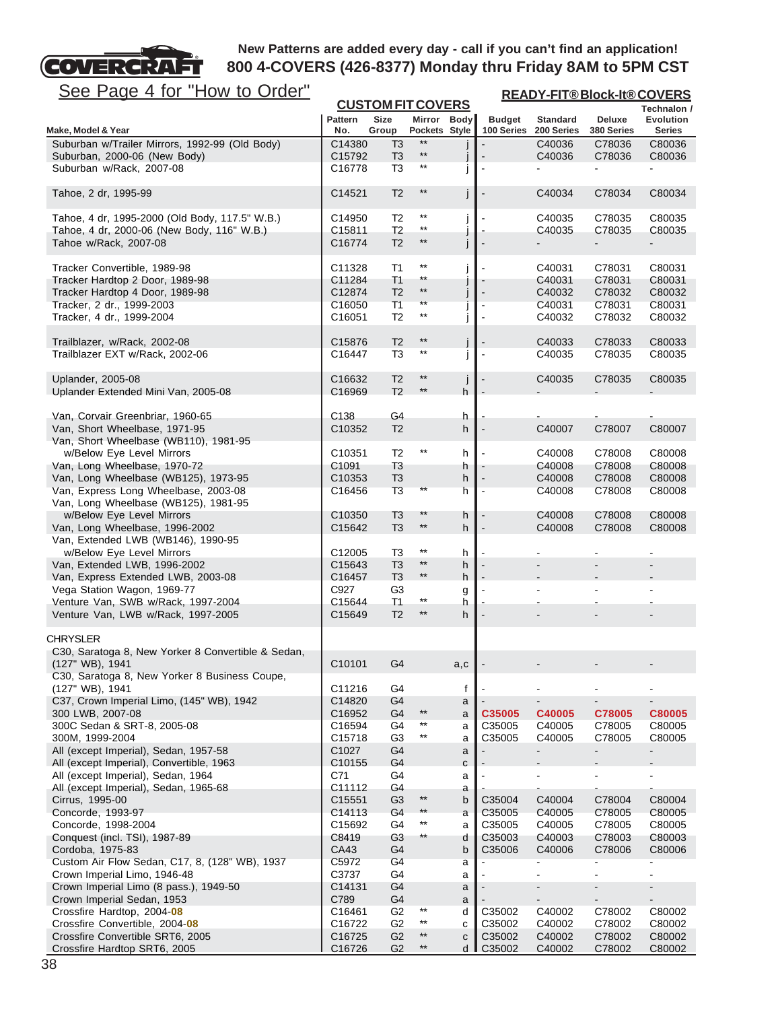

| <u>See Page 4 for "How to Order"</u>                                 | <b>READY-FIT®Block-It®COVERS</b><br><b>CUSTOM FIT COVERS</b> |                                  |                                 |                   |                  |                              |                  |                          |
|----------------------------------------------------------------------|--------------------------------------------------------------|----------------------------------|---------------------------------|-------------------|------------------|------------------------------|------------------|--------------------------|
|                                                                      | <b>Pattern</b>                                               | Size                             | Mirror Body                     |                   | <b>Budget</b>    | <b>Standard</b>              | Deluxe           | Technalon /<br>Evolution |
| Make, Model & Year                                                   | No.                                                          | Group                            | Pockets Style                   |                   | 100 Series       | 200 Series                   | 380 Series       | Series                   |
| Suburban w/Trailer Mirrors, 1992-99 (Old Body)                       | C14380                                                       | T3                               | $***$                           |                   |                  | C40036                       | C78036           | C80036                   |
| Suburban, 2000-06 (New Body)                                         | C15792                                                       | T <sub>3</sub>                   | $^{\star\star}$<br>$***$        |                   |                  | C40036                       | C78036           | C80036                   |
| Suburban w/Rack, 2007-08                                             | C16778                                                       | T <sub>3</sub>                   |                                 |                   |                  |                              |                  |                          |
| Tahoe, 2 dr, 1995-99                                                 | C14521                                                       | T <sub>2</sub>                   | $^{\star\star}$                 | j                 |                  | C40034                       | C78034           | C80034                   |
| Tahoe, 4 dr, 1995-2000 (Old Body, 117.5" W.B.)                       | C14950                                                       | T <sub>2</sub>                   | $^{\star\star}$                 |                   |                  | C40035                       | C78035           | C80035                   |
| Tahoe, 4 dr, 2000-06 (New Body, 116" W.B.)                           | C15811                                                       | T <sub>2</sub>                   | $^{\star\star}$                 | J                 |                  | C40035                       | C78035           | C80035                   |
| Tahoe w/Rack, 2007-08                                                | C16774                                                       | T <sub>2</sub>                   | $**$                            | j                 |                  |                              |                  |                          |
|                                                                      |                                                              |                                  |                                 |                   |                  |                              |                  |                          |
| Tracker Convertible, 1989-98                                         | C11328                                                       | T <sub>1</sub>                   | $^{\star\star}$                 | $\int$            |                  | C40031                       | C78031           | C80031                   |
| Tracker Hardtop 2 Door, 1989-98                                      | C11284                                                       | T1                               | **<br>$^{\star\star}$           |                   |                  | C40031                       | C78031           | C80031                   |
| Tracker Hardtop 4 Door, 1989-98                                      | C12874<br>C16050                                             | T <sub>2</sub><br>T1             | **                              | j                 |                  | C40032<br>C40031             | C78032           | C80032<br>C80031         |
| Tracker, 2 dr., 1999-2003<br>Tracker, 4 dr., 1999-2004               | C16051                                                       | T <sub>2</sub>                   | $^{\star\star}$                 | j                 |                  | C40032                       | C78031<br>C78032 | C80032                   |
|                                                                      |                                                              |                                  |                                 |                   |                  |                              |                  |                          |
| Trailblazer, w/Rack, 2002-08                                         | C <sub>15876</sub>                                           | T <sub>2</sub>                   | $^{\star\star}$                 |                   |                  | C40033                       | C78033           | C80033                   |
| Trailblazer EXT w/Rack, 2002-06                                      | C16447                                                       | T <sub>3</sub>                   | $***$                           | j                 |                  | C40035                       | C78035           | C80035                   |
|                                                                      |                                                              |                                  | $**$                            |                   |                  |                              |                  |                          |
| <b>Uplander, 2005-08</b><br>Uplander Extended Mini Van, 2005-08      | C16632<br>C16969                                             | T <sub>2</sub><br>T <sub>2</sub> | $***$                           | $\mathsf{l}$<br>h |                  | C40035                       | C78035           | C80035                   |
|                                                                      |                                                              |                                  |                                 |                   |                  |                              |                  |                          |
| Van, Corvair Greenbriar, 1960-65                                     | C <sub>138</sub>                                             | G4                               |                                 | h                 |                  |                              |                  |                          |
| Van, Short Wheelbase, 1971-95                                        | C10352                                                       | T <sub>2</sub>                   |                                 | h                 |                  | C40007                       | C78007           | C80007                   |
| Van, Short Wheelbase (WB110), 1981-95                                |                                                              |                                  |                                 |                   |                  |                              |                  |                          |
| w/Below Eye Level Mirrors                                            | C <sub>10351</sub>                                           | T <sub>2</sub>                   | $^{\star\star}$                 | h                 |                  | C40008                       | C78008           | C80008                   |
| Van, Long Wheelbase, 1970-72<br>Van, Long Wheelbase (WB125), 1973-95 | C1091<br>C10353                                              | T3                               |                                 | h                 |                  | C40008<br>C40008             | C78008<br>C78008 | C80008<br>C80008         |
| Van, Express Long Wheelbase, 2003-08                                 | C16456                                                       | T <sub>3</sub><br>T <sub>3</sub> | **                              | h<br>h            |                  | C40008                       | C78008           | C80008                   |
| Van, Long Wheelbase (WB125), 1981-95                                 |                                                              |                                  |                                 |                   |                  |                              |                  |                          |
| w/Below Eye Level Mirrors                                            | C <sub>10350</sub>                                           | T <sub>3</sub>                   | $**$                            | h                 |                  | C40008                       | C78008           | C80008                   |
| Van, Long Wheelbase, 1996-2002                                       | C15642                                                       | T <sub>3</sub>                   | $***$                           | h                 |                  | C40008                       | C78008           | C80008                   |
| Van, Extended LWB (WB146), 1990-95                                   |                                                              |                                  |                                 |                   |                  |                              |                  |                          |
| w/Below Eye Level Mirrors                                            | C <sub>12005</sub>                                           | T <sub>3</sub>                   | $^{\star\star}$<br>$\star\star$ | h                 |                  |                              |                  |                          |
| Van, Extended LWB, 1996-2002<br>Van, Express Extended LWB, 2003-08   | C15643<br>C16457                                             | T <sub>3</sub><br>T <sub>3</sub> | $**$                            | h<br>h            |                  |                              |                  |                          |
| Vega Station Wagon, 1969-77                                          | C927                                                         | G3                               |                                 | g                 |                  |                              |                  |                          |
| Venture Van, SWB w/Rack, 1997-2004                                   | C15644                                                       | <b>T1</b>                        | $^{\star\star}$                 | h                 |                  |                              |                  |                          |
| Venture Van, LWB w/Rack, 1997-2005                                   | C15649                                                       | T <sub>2</sub>                   | $***$                           | h                 |                  |                              |                  |                          |
| <b>CHRYSLER</b>                                                      |                                                              |                                  |                                 |                   |                  |                              |                  |                          |
| C30, Saratoga 8, New Yorker 8 Convertible & Sedan,                   |                                                              |                                  |                                 |                   |                  |                              |                  |                          |
| (127" WB), 1941                                                      | C10101                                                       | G4                               |                                 | a,c               |                  |                              |                  |                          |
| C30, Saratoga 8, New Yorker 8 Business Coupe,                        |                                                              |                                  |                                 |                   |                  |                              |                  |                          |
| (127" WB), 1941                                                      | C11216                                                       | G4                               |                                 | f                 |                  |                              |                  |                          |
| C37, Crown Imperial Limo, (145" WB), 1942                            | C14820                                                       | G4                               | $^{\star\star}$                 | a                 |                  | $\qquad \qquad \blacksquare$ | C78005           |                          |
| 300 LWB, 2007-08<br>300C Sedan & SRT-8, 2005-08                      | C16952<br>C16594                                             | G4<br>G4                         | $^{\star\star}$                 | a<br>a            | C35005<br>C35005 | C40005<br>C40005             | C78005           | C80005<br>C80005         |
| 300M, 1999-2004                                                      | C <sub>15718</sub>                                           | G <sub>3</sub>                   | $***$                           | a                 | C35005           | C40005                       | C78005           | C80005                   |
| All (except Imperial), Sedan, 1957-58                                | C1027                                                        | G4                               |                                 | a                 |                  |                              |                  |                          |
| All (except Imperial), Convertible, 1963                             | C10155                                                       | G4                               |                                 | C                 |                  |                              |                  |                          |
| All (except Imperial), Sedan, 1964                                   | C71                                                          | G4                               |                                 | a                 |                  |                              |                  |                          |
| All (except Imperial), Sedan, 1965-68                                | C11112                                                       | G4                               | $^{\star\star}$                 | a                 |                  |                              |                  |                          |
| Cirrus, 1995-00<br>Concorde, 1993-97                                 | C15551<br>C14113                                             | G <sub>3</sub><br>G4             | $**$                            | b                 | C35004<br>C35005 | C40004                       | C78004           | C80004<br>C80005         |
| Concorde, 1998-2004                                                  | C15692                                                       | G4                               | $^{\star\star}$                 | a<br>a            | C35005           | C40005<br>C40005             | C78005<br>C78005 | C80005                   |
| Conquest (incl. TSI), 1987-89                                        | C8419                                                        | G <sub>3</sub>                   | $^{\star\star}$                 | d                 | C35003           | C40003                       | C78003           | C80003                   |
| Cordoba, 1975-83                                                     | CA43                                                         | G4                               |                                 | b                 | C35006           | C40006                       | C78006           | C80006                   |
| Custom Air Flow Sedan, C17, 8, (128" WB), 1937                       | C5972                                                        | G <sub>4</sub>                   |                                 | а                 |                  |                              |                  |                          |
| Crown Imperial Limo, 1946-48                                         | C3737                                                        | G4                               |                                 | a                 |                  | $\blacksquare$               | ä,               | $\blacksquare$           |
| Crown Imperial Limo (8 pass.), 1949-50                               | C14131                                                       | G4                               |                                 | a                 |                  |                              |                  |                          |
| Crown Imperial Sedan, 1953<br>Crossfire Hardtop, 2004-08             | C789<br>C16461                                               | G4<br>G <sub>2</sub>             | $^{\star\star}$                 | a<br>d            | C35002           | C40002                       | C78002           | C80002                   |
| Crossfire Convertible, 2004-08                                       | C16722                                                       | G <sub>2</sub>                   | $***$                           | C                 | C35002           | C40002                       | C78002           | C80002                   |
| Crossfire Convertible SRT6, 2005                                     | C16725                                                       | G <sub>2</sub>                   | $***$                           | $\mathbf C$       | C35002           | C40002                       | C78002           | C80002                   |
| Crossfire Hardtop SRT6, 2005                                         | C16726                                                       | G <sub>2</sub>                   | $^{\star\star}$                 | d I               | C35002           | C40002                       | C78002           | C80002                   |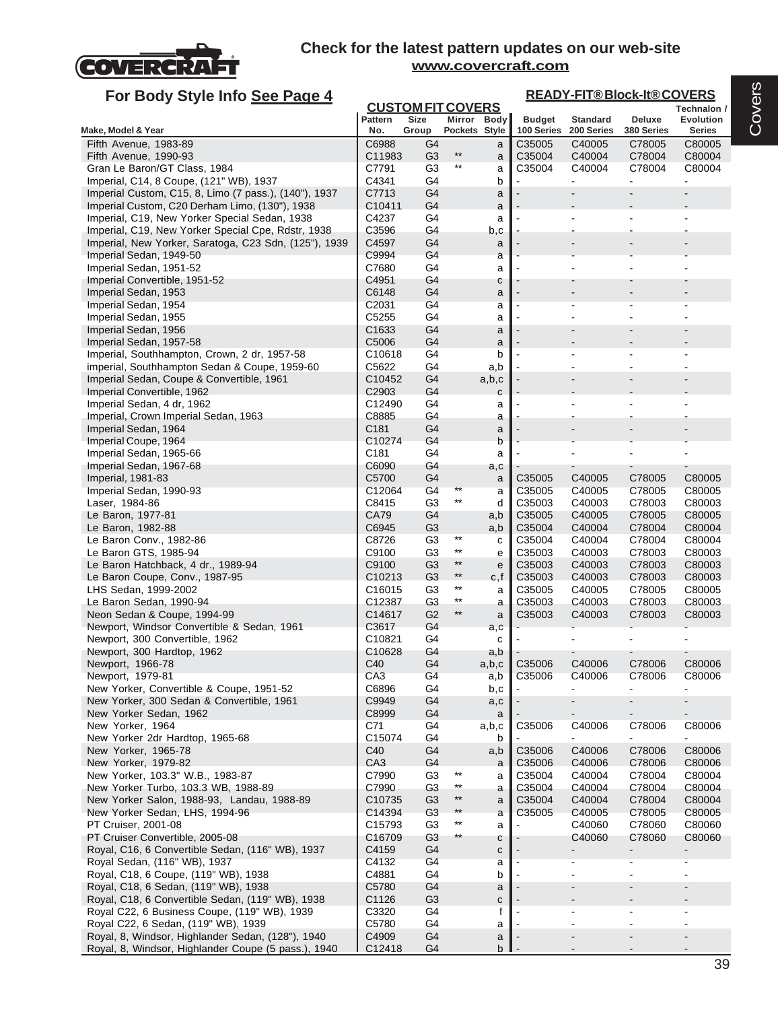

| For Body Style Info See Page 4                                                                   |                             | <b>READY-FIT®Block-It®COVERS</b> |                          |             |                      |                      |                      |                         |
|--------------------------------------------------------------------------------------------------|-----------------------------|----------------------------------|--------------------------|-------------|----------------------|----------------------|----------------------|-------------------------|
|                                                                                                  |                             | <b>CUSTOM FIT COVERS</b>         |                          |             |                      |                      |                      | Technalon /             |
|                                                                                                  | Pattern<br>No.              | <b>Size</b>                      |                          | Mirror Body | <b>Budget</b>        | <b>Standard</b>      | Deluxe               | <b>Evolution</b>        |
| Make, Model & Year<br>Fifth Avenue, 1983-89                                                      | C6988                       | Group<br>G4                      | Pockets Style            | a           | 100 Series<br>C35005 | 200 Series<br>C40005 | 380 Series<br>C78005 | <b>Series</b><br>C80005 |
| Fifth Avenue, 1990-93                                                                            | C11983                      | G <sub>3</sub>                   | $***$                    | a           | C35004               | C40004               | C78004               | C80004                  |
| Gran Le Baron/GT Class, 1984                                                                     | C7791                       | G <sub>3</sub>                   | $***$                    | a           | C35004               | C40004               | C78004               | C80004                  |
| Imperial, C14, 8 Coupe, (121" WB), 1937                                                          | C4341                       | G4                               |                          | b           | ä,                   | $\overline{a}$       | $\blacksquare$       | $\blacksquare$          |
| Imperial Custom, C15, 8, Limo (7 pass.), (140"), 1937                                            | C7713                       | G4                               |                          | a           |                      |                      |                      |                         |
| Imperial Custom, C20 Derham Limo, (130"), 1938                                                   | C <sub>10411</sub>          | G4                               |                          | a           |                      |                      |                      |                         |
| Imperial, C19, New Yorker Special Sedan, 1938                                                    | C4237                       | G4                               |                          | a           |                      |                      |                      |                         |
| Imperial, C19, New Yorker Special Cpe, Rdstr, 1938                                               | C3596                       | G4                               |                          | b,c         |                      |                      |                      |                         |
| Imperial, New Yorker, Saratoga, C23 Sdn, (125"), 1939<br>Imperial Sedan, 1949-50                 | C4597<br>C9994              | G4<br>G4                         |                          | a<br>a      |                      |                      |                      |                         |
| Imperial Sedan, 1951-52                                                                          | C7680                       | G4                               |                          | a           |                      |                      |                      |                         |
| Imperial Convertible, 1951-52                                                                    | C4951                       | G4                               |                          | с           |                      |                      |                      |                         |
| Imperial Sedan, 1953                                                                             | C6148                       | G4                               |                          | a           |                      |                      |                      |                         |
| Imperial Sedan, 1954                                                                             | C2031                       | G4                               |                          | a           |                      |                      |                      |                         |
| Imperial Sedan, 1955                                                                             | C5255                       | G4                               |                          | a           |                      |                      |                      |                         |
| Imperial Sedan, 1956                                                                             | C <sub>1633</sub>           | G4                               |                          | a           |                      |                      |                      |                         |
| Imperial Sedan, 1957-58<br>Imperial, Southhampton, Crown, 2 dr, 1957-58                          | C5006<br>C <sub>10618</sub> | G4<br>G4                         |                          | a<br>b      |                      |                      |                      |                         |
| imperial, Southhampton Sedan & Coupe, 1959-60                                                    | C5622                       | G4                               |                          | a,b         |                      |                      |                      |                         |
| Imperial Sedan, Coupe & Convertible, 1961                                                        | C <sub>10452</sub>          | G4                               |                          | a,b,c       |                      |                      |                      |                         |
| Imperial Convertible, 1962                                                                       | C <sub>2903</sub>           | G4                               |                          | $\mathbf c$ |                      |                      |                      |                         |
| Imperial Sedan, 4 dr, 1962                                                                       | C12490                      | G4                               |                          | a           |                      |                      |                      |                         |
| Imperial, Crown Imperial Sedan, 1963                                                             | C8885                       | G4                               |                          | a           |                      |                      |                      |                         |
| Imperial Sedan, 1964                                                                             | C181                        | G4                               |                          | a           |                      |                      |                      |                         |
| Imperial Coupe, 1964                                                                             | C10274                      | G4                               |                          | b           |                      |                      |                      |                         |
| Imperial Sedan, 1965-66                                                                          | C181<br>C6090               | G4<br>G4                         |                          | a           |                      | $\blacksquare$       | ٠                    |                         |
| Imperial Sedan, 1967-68<br>Imperial, 1981-83                                                     | C5700                       | G4                               |                          | a,c<br>a    | C35005               | C40005               | C78005               | C80005                  |
| Imperial Sedan, 1990-93                                                                          | C12064                      | G4                               |                          | a           | C35005               | C40005               | C78005               | C80005                  |
| Laser, 1984-86                                                                                   | C8415                       | G <sub>3</sub>                   | $***$                    | d           | C35003               | C40003               | C78003               | C80003                  |
| Le Baron, 1977-81                                                                                | CA79                        | G4                               |                          | a,b         | C35005               | C40005               | C78005               | C80005                  |
| Le Baron, 1982-88                                                                                | C6945                       | G <sub>3</sub>                   |                          | a,b         | C35004               | C40004               | C78004               | C80004                  |
| Le Baron Conv., 1982-86                                                                          | C8726                       | G <sub>3</sub>                   | $***$                    | с           | C35004               | C40004               | C78004               | C80004                  |
| Le Baron GTS, 1985-94                                                                            | C9100                       | G3                               | $***$<br>$***$           | e           | C35003               | C40003               | C78003               | C80003                  |
| Le Baron Hatchback, 4 dr., 1989-94<br>Le Baron Coupe, Conv., 1987-95                             | C9100<br>C <sub>10213</sub> | G <sub>3</sub><br>G3             | $***$                    | e           | C35003<br>C35003     | C40003<br>C40003     | C78003<br>C78003     | C80003<br>C80003        |
| LHS Sedan, 1999-2002                                                                             | C <sub>16015</sub>          | G3                               | $***$                    | c,f<br>a    | C35005               | C40005               | C78005               | C80005                  |
| Le Baron Sedan, 1990-94                                                                          | C12387                      | G <sub>3</sub>                   | $***$                    | a           | C35003               | C40003               | C78003               | C80003                  |
| Neon Sedan & Coupe, 1994-99                                                                      | C14617                      | G <sub>2</sub>                   | $^{\star\star}$          | a           | C35003               | C40003               | C78003               | C80003                  |
| Newport, Windsor Convertible & Sedan, 1961                                                       | C3617                       | G4                               |                          | a,c         |                      |                      |                      |                         |
| Newport, 300 Convertible, 1962                                                                   | C10821                      | G4                               |                          | С           |                      |                      |                      |                         |
| Newport, 300 Hardtop, 1962                                                                       | C10628                      | G4                               |                          | a,b         |                      |                      |                      |                         |
| Newport, 1966-78                                                                                 | C40                         | G <sub>4</sub>                   |                          | a,b,c       | C35006<br>C35006     | C40006               | C78006               | C80006                  |
| Newport, 1979-81<br>New Yorker, Convertible & Coupe, 1951-52                                     | CA <sub>3</sub><br>C6896    | G4<br>G4                         |                          | a,b<br>b,c  |                      | C40006               | C78006               | C80006                  |
| New Yorker, 300 Sedan & Convertible, 1961                                                        | C9949                       | G4                               |                          | a,c         |                      |                      |                      |                         |
| New Yorker Sedan, 1962                                                                           | C8999                       | G4                               |                          | a           |                      |                      |                      |                         |
| New Yorker, 1964                                                                                 | C71                         | G4                               |                          | a,b,c       | C35006               | C40006               | C78006               | C80006                  |
| New Yorker 2dr Hardtop, 1965-68                                                                  | C15074                      | G4                               |                          | b           |                      |                      |                      | $\blacksquare$          |
| New Yorker, 1965-78                                                                              | C40                         | G <sub>4</sub>                   |                          | a,b         | C35006               | C40006               | C78006               | C80006                  |
| New Yorker, 1979-82                                                                              | CA <sub>3</sub>             | G4                               |                          | a           | C35006               | C40006               | C78006               | C80006                  |
| New Yorker, 103.3" W.B., 1983-87                                                                 | C7990                       | G <sub>3</sub>                   | $***$<br>$^{\star\star}$ | a           | C35004               | C40004               | C78004               | C80004                  |
| New Yorker Turbo, 103.3 WB, 1988-89<br>New Yorker Salon, 1988-93, Landau, 1988-89                | C7990<br>C <sub>10735</sub> | G <sub>3</sub><br>G3             | $***$                    | а           | C35004<br>C35004     | C40004<br>C40004     | C78004<br>C78004     | C80004<br>C80004        |
| New Yorker Sedan, LHS, 1994-96                                                                   | C14394                      | G <sub>3</sub>                   | $***$                    | a<br>a      | C35005               | C40005               | C78005               | C80005                  |
| PT Cruiser, 2001-08                                                                              | C15793                      | G3                               | $^{\star\star}$          | a           |                      | C40060               | C78060               | C80060                  |
| PT Cruiser Convertible, 2005-08                                                                  | C16709                      | G <sub>3</sub>                   | $^{\star\star}$          | с           |                      | C40060               | C78060               | C80060                  |
| Royal, C16, 6 Convertible Sedan, (116" WB), 1937                                                 | C4159                       | G4                               |                          | с           |                      |                      |                      |                         |
| Royal Sedan, (116" WB), 1937                                                                     | C4132                       | G <sub>4</sub>                   |                          | a           |                      |                      |                      |                         |
| Royal, C18, 6 Coupe, (119" WB), 1938                                                             | C4881                       | G4                               |                          | b           |                      |                      |                      |                         |
| Royal, C18, 6 Sedan, (119" WB), 1938                                                             | C5780                       | G4                               |                          | a           |                      |                      |                      |                         |
| Royal, C18, 6 Convertible Sedan, (119" WB), 1938<br>Royal C22, 6 Business Coupe, (119" WB), 1939 | C1126<br>C3320              | G <sub>3</sub><br>G4             |                          | С<br>f      |                      |                      |                      |                         |
| Royal C22, 6 Sedan, (119" WB), 1939                                                              | C5780                       | G4                               |                          | a           |                      | $\blacksquare$       | ۰                    |                         |
| Royal, 8, Windsor, Highlander Sedan, (128"), 1940                                                | C4909                       | G4                               |                          | a           |                      |                      |                      |                         |
| Royal, 8, Windsor, Highlander Coupe (5 pass.), 1940                                              | C12418                      | G4                               |                          | b           |                      |                      | $\blacksquare$       |                         |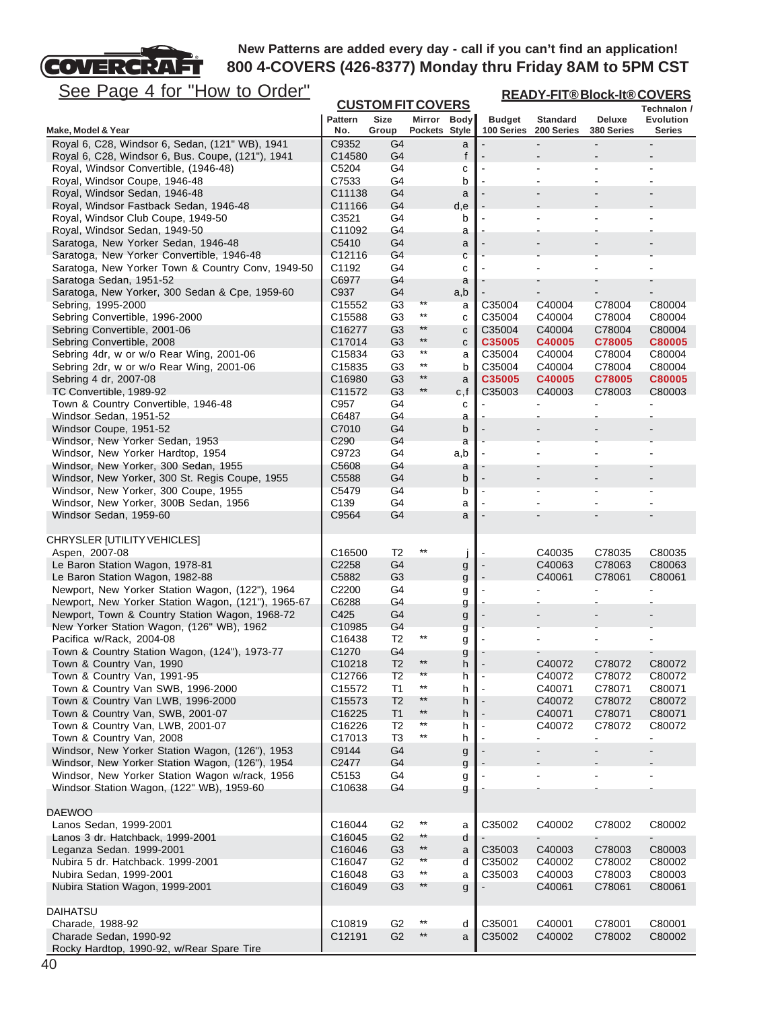**READY-FIT® Block-It® COVERS**

# See Page 4 for "How to Order"

**COVERCRAFT** 

| <u>See Page 4 Iol</u><br><b>HOW to Order</b>                              |                           |                                  |                                    |          | <u>READY-FIT®Block-It®COVERS</u> |                               |                          |                              |  |
|---------------------------------------------------------------------------|---------------------------|----------------------------------|------------------------------------|----------|----------------------------------|-------------------------------|--------------------------|------------------------------|--|
|                                                                           |                           |                                  | <b>CUSTOM FIT COVERS</b>           |          |                                  |                               |                          | Technalon /                  |  |
| Make, Model & Year                                                        | <b>Pattern</b><br>No.     | <b>Size</b><br>Group             | Mirror Body<br>Pockets Style       |          | <b>Budget</b><br>100 Series      | <b>Standard</b><br>200 Series | Deluxe<br>380 Series     | Evolution<br>Series          |  |
| Royal 6, C28, Windsor 6, Sedan, (121" WB), 1941                           | C9352                     | G4                               |                                    |          |                                  |                               |                          |                              |  |
| Royal 6, C28, Windsor 6, Bus. Coupe, (121"), 1941                         | C14580                    | G4                               |                                    | a<br>f   |                                  |                               |                          |                              |  |
| Royal, Windsor Convertible, (1946-48)                                     | C5204                     | G4                               |                                    | с        |                                  |                               | $\blacksquare$           |                              |  |
| Royal, Windsor Coupe, 1946-48                                             | C7533                     | G4                               |                                    | b        |                                  |                               |                          |                              |  |
| Royal, Windsor Sedan, 1946-48                                             | C11138                    | G4                               |                                    | a        |                                  |                               |                          |                              |  |
| Royal, Windsor Fastback Sedan, 1946-48                                    | C11166                    | G4                               |                                    | d,e      |                                  |                               |                          |                              |  |
| Royal, Windsor Club Coupe, 1949-50                                        | C3521                     | G4                               |                                    | b        |                                  |                               |                          |                              |  |
| Royal, Windsor Sedan, 1949-50                                             | C11092                    | G4                               |                                    | а        |                                  |                               |                          |                              |  |
| Saratoga, New Yorker Sedan, 1946-48                                       | C5410                     | G4                               |                                    | a        |                                  |                               |                          |                              |  |
| Saratoga, New Yorker Convertible, 1946-48                                 | C12116                    | G4                               |                                    | С        |                                  |                               |                          |                              |  |
| Saratoga, New Yorker Town & Country Conv, 1949-50                         | C1192                     | G4                               |                                    | c        |                                  |                               |                          |                              |  |
| Saratoga Sedan, 1951-52<br>Saratoga, New Yorker, 300 Sedan & Cpe, 1959-60 | C6977<br>C937             | G4<br>G4                         |                                    | a        |                                  |                               |                          |                              |  |
| Sebring, 1995-2000                                                        | C15552                    | G <sub>3</sub>                   | **                                 | a,b<br>a | C35004                           | C40004                        | C78004                   | C80004                       |  |
| Sebring Convertible, 1996-2000                                            | C15588                    | G <sub>3</sub>                   | $***$                              | c        | C35004                           | C40004                        | C78004                   | C80004                       |  |
| Sebring Convertible, 2001-06                                              | C16277                    | G <sub>3</sub>                   | $**$                               | с        | C35004                           | C40004                        | C78004                   | C80004                       |  |
| Sebring Convertible, 2008                                                 | C17014                    | G <sub>3</sub>                   | $**$                               | с        | C35005                           | C40005                        | C78005                   | C80005                       |  |
| Sebring 4dr, w or w/o Rear Wing, 2001-06                                  | C15834                    | G <sub>3</sub>                   | $***$                              | а        | C35004                           | C40004                        | C78004                   | C80004                       |  |
| Sebring 2dr, w or w/o Rear Wing, 2001-06                                  | C15835                    | G <sub>3</sub>                   | $^{\star\star}$                    | b        | C35004                           | C40004                        | C78004                   | C80004                       |  |
| Sebring 4 dr, 2007-08                                                     | C16980                    | G <sub>3</sub>                   | $**$                               | a        | C35005                           | C40005                        | C78005                   | C80005                       |  |
| TC Convertible, 1989-92                                                   | C11572                    | G <sub>3</sub>                   | $***$                              | c,f      | C35003                           | C40003                        | C78003                   | C80003                       |  |
| Town & Country Convertible, 1946-48                                       | C957                      | G4                               |                                    | с        |                                  |                               |                          |                              |  |
| Windsor Sedan, 1951-52                                                    | C6487                     | G4                               |                                    | а        |                                  |                               |                          |                              |  |
| Windsor Coupe, 1951-52<br>Windsor, New Yorker Sedan, 1953                 | C7010<br>C <sub>290</sub> | G4<br>G4                         |                                    | b        |                                  |                               |                          |                              |  |
| Windsor, New Yorker Hardtop, 1954                                         | C9723                     | G4                               |                                    | a<br>a,b |                                  |                               |                          |                              |  |
| Windsor, New Yorker, 300 Sedan, 1955                                      | C5608                     | G4                               |                                    | a        |                                  |                               |                          |                              |  |
| Windsor, New Yorker, 300 St. Regis Coupe, 1955                            | C5588                     | G4                               |                                    | b        |                                  |                               |                          |                              |  |
| Windsor, New Yorker, 300 Coupe, 1955                                      | C5479                     | G4                               |                                    | b        |                                  |                               | $\blacksquare$           |                              |  |
| Windsor, New Yorker, 300B Sedan, 1956                                     | C139                      | G4                               |                                    | а        |                                  |                               | $\blacksquare$           |                              |  |
| Windsor Sedan, 1959-60                                                    | C9564                     | G4                               |                                    | a        |                                  |                               |                          |                              |  |
|                                                                           |                           |                                  |                                    |          |                                  |                               |                          |                              |  |
| CHRYSLER [UTILITY VEHICLES]                                               |                           |                                  | $***$                              |          |                                  |                               |                          |                              |  |
| Aspen, 2007-08                                                            | C16500                    | T <sub>2</sub>                   |                                    |          |                                  | C40035                        | C78035                   | C80035                       |  |
| Le Baron Station Wagon, 1978-81<br>Le Baron Station Wagon, 1982-88        | C2258<br>C5882            | G4<br>G <sub>3</sub>             |                                    | g        |                                  | C40063<br>C40061              | C78063<br>C78061         | C80063<br>C80061             |  |
| Newport, New Yorker Station Wagon, (122"), 1964                           | C <sub>2200</sub>         | G4                               |                                    | g<br>g   |                                  |                               |                          |                              |  |
| Newport, New Yorker Station Wagon, (121"), 1965-67                        | C6288                     | G4                               |                                    | g        |                                  |                               |                          |                              |  |
| Newport, Town & Country Station Wagon, 1968-72                            | C425                      | G4                               |                                    | g        |                                  |                               |                          |                              |  |
| New Yorker Station Wagon, (126" WB), 1962                                 | C10985                    | G4                               |                                    | g        |                                  |                               |                          |                              |  |
| Pacifica w/Rack, 2004-08                                                  | C16438                    | T <sub>2</sub>                   | $***$                              | g        |                                  |                               |                          |                              |  |
| Town & Country Station Wagon, (124"), 1973-77                             | C1270                     | G4                               |                                    | g        |                                  |                               |                          |                              |  |
| Town & Country Van, 1990                                                  | C10218                    | T <sub>2</sub>                   | $^{\star\star}$                    | h        |                                  | C40072                        | C78072                   | C80072                       |  |
| Town & Country Van, 1991-95                                               | C12766                    | T2                               | **<br>$***$                        | h        |                                  | C40072                        | C78072                   | C80072                       |  |
| Town & Country Van SWB, 1996-2000                                         | C15572                    | T <sub>1</sub>                   | $**$                               | h        |                                  | C40071                        | C78071                   | C80071                       |  |
| Town & Country Van LWB, 1996-2000<br>Town & Country Van, SWB, 2001-07     | C15573<br>C16225          | T <sub>2</sub><br>T <sub>1</sub> | $***$                              | h        |                                  | C40072<br>C40071              | C78072<br>C78071         | C80072<br>C80071             |  |
| Town & Country Van, LWB, 2001-07                                          | C16226                    | T <sub>2</sub>                   | $^{\star\star}$                    | h<br>h   |                                  | C40072                        | C78072                   | C80072                       |  |
| Town & Country Van, 2008                                                  | C17013                    | T <sub>3</sub>                   | $^{\star\star}$                    | h        |                                  |                               | L,                       | ÷.                           |  |
| Windsor, New Yorker Station Wagon, (126"), 1953                           | C9144                     | G4                               |                                    | g        |                                  |                               | $\overline{\phantom{0}}$ | $\qquad \qquad \blacksquare$ |  |
| Windsor, New Yorker Station Wagon, (126"), 1954                           | C2477                     | G4                               |                                    | g        |                                  |                               |                          |                              |  |
| Windsor, New Yorker Station Wagon w/rack, 1956                            | C5153                     | G4                               |                                    | g        |                                  |                               |                          |                              |  |
| Windsor Station Wagon, (122" WB), 1959-60                                 | C10638                    | G4                               |                                    | g        |                                  |                               |                          |                              |  |
|                                                                           |                           |                                  |                                    |          |                                  |                               |                          |                              |  |
| <b>DAEWOO</b>                                                             |                           |                                  |                                    |          |                                  |                               |                          |                              |  |
| Lanos Sedan, 1999-2001                                                    | C16044                    | G <sub>2</sub>                   | $^{\star\star}$<br>$^{\star\star}$ | a        | C35002                           | C40002                        | C78002                   | C80002                       |  |
| Lanos 3 dr. Hatchback, 1999-2001                                          | C16045                    | G2<br>G <sub>3</sub>             | $^{\star\star}$                    | d        | C35003                           | C40003                        |                          | C80003                       |  |
| Leganza Sedan. 1999-2001<br>Nubira 5 dr. Hatchback. 1999-2001             | C16046<br>C16047          | G <sub>2</sub>                   | **                                 | a<br>d   | C35002                           | C40002                        | C78003<br>C78002         | C80002                       |  |
| Nubira Sedan, 1999-2001                                                   | C16048                    | G <sub>3</sub>                   | **                                 | a        | C35003                           | C40003                        | C78003                   | C80003                       |  |
| Nubira Station Wagon, 1999-2001                                           | C16049                    | G <sub>3</sub>                   | $**$                               | g        |                                  | C40061                        | C78061                   | C80061                       |  |
|                                                                           |                           |                                  |                                    |          |                                  |                               |                          |                              |  |
| <b>DAIHATSU</b>                                                           |                           |                                  |                                    |          |                                  |                               |                          |                              |  |
| Charade, 1988-92                                                          | C10819                    | G <sub>2</sub>                   | $***$                              | d        | C35001                           | C40001                        | C78001                   | C80001                       |  |
| Charade Sedan, 1990-92                                                    | C12191                    | G <sub>2</sub>                   | $***$                              | a        | C35002                           | C40002                        | C78002                   | C80002                       |  |
| Rocky Hardtop, 1990-92, w/Rear Spare Tire                                 |                           |                                  |                                    |          |                                  |                               |                          |                              |  |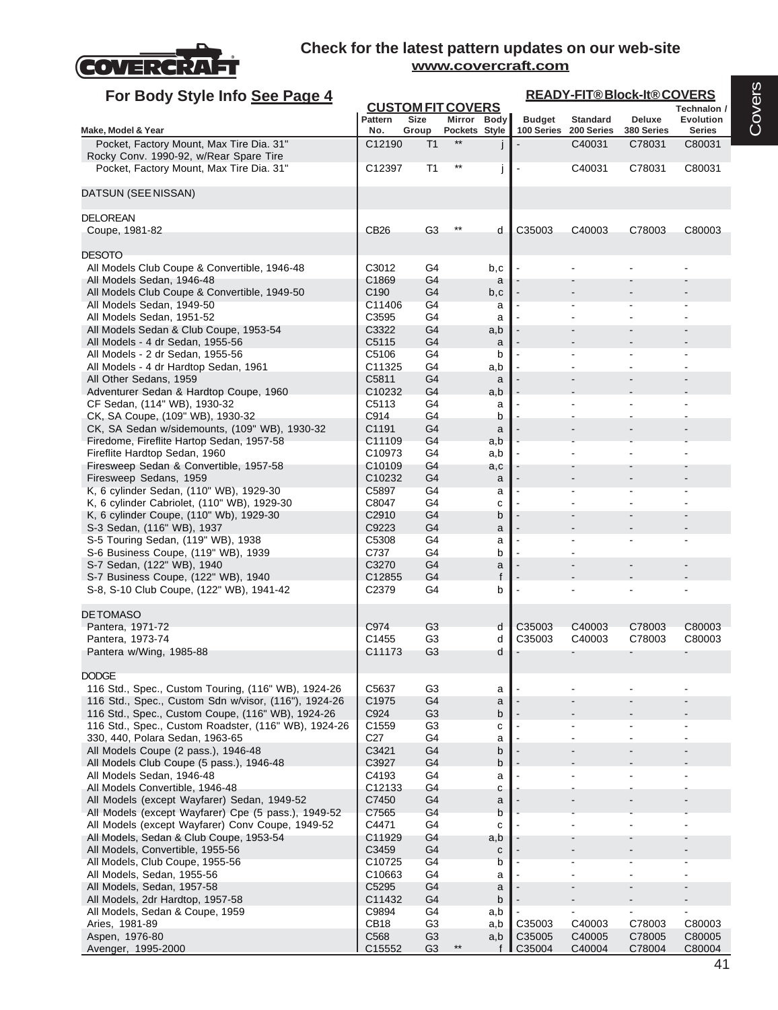

| For Body Style Info See Page 4                                                              |                       |                          |                              |              | <b>READY-FIT®Block-It®COVERS</b> |                               |                      |                                   |  |  |
|---------------------------------------------------------------------------------------------|-----------------------|--------------------------|------------------------------|--------------|----------------------------------|-------------------------------|----------------------|-----------------------------------|--|--|
|                                                                                             |                       | <b>CUSTOM FIT COVERS</b> |                              |              |                                  |                               |                      | Technalon /                       |  |  |
| Make, Model & Year                                                                          | <b>Pattern</b><br>No. | <b>Size</b><br>Group     | Mirror Body<br>Pockets Style |              | <b>Budget</b><br>100 Series      | <b>Standard</b><br>200 Series | Deluxe<br>380 Series | <b>Evolution</b><br><b>Series</b> |  |  |
| Pocket, Factory Mount, Max Tire Dia. 31"                                                    | C12190                | T <sub>1</sub>           | $***$                        |              |                                  | C40031                        | C78031               | C80031                            |  |  |
| Rocky Conv. 1990-92, w/Rear Spare Tire                                                      |                       |                          |                              |              |                                  |                               |                      |                                   |  |  |
| Pocket, Factory Mount, Max Tire Dia. 31"                                                    | C12397                | T <sub>1</sub>           |                              | j            |                                  | C40031                        | C78031               | C80031                            |  |  |
| DATSUN (SEE NISSAN)                                                                         |                       |                          |                              |              |                                  |                               |                      |                                   |  |  |
|                                                                                             |                       |                          |                              |              |                                  |                               |                      |                                   |  |  |
| <b>DELOREAN</b>                                                                             |                       |                          |                              |              |                                  |                               |                      |                                   |  |  |
| Coupe, 1981-82                                                                              | <b>CB26</b>           | G <sub>3</sub>           |                              | d            | C35003                           | C40003                        | C78003               | C80003                            |  |  |
| <b>DESOTO</b>                                                                               |                       |                          |                              |              |                                  |                               |                      |                                   |  |  |
| All Models Club Coupe & Convertible, 1946-48                                                | C3012                 | G4                       |                              | b,c          |                                  |                               |                      |                                   |  |  |
| All Models Sedan, 1946-48                                                                   | C1869                 | G4                       |                              | a            |                                  |                               |                      |                                   |  |  |
| All Models Club Coupe & Convertible, 1949-50                                                | C <sub>190</sub>      | G4                       |                              | b,c          |                                  |                               |                      |                                   |  |  |
| All Models Sedan, 1949-50<br>All Models Sedan, 1951-52                                      | C11406<br>C3595       | G4<br>G4                 |                              | a<br>a       |                                  |                               |                      |                                   |  |  |
| All Models Sedan & Club Coupe, 1953-54                                                      | C3322                 | G4                       |                              | a,b          |                                  |                               |                      |                                   |  |  |
| All Models - 4 dr Sedan, 1955-56                                                            | C5115                 | G4                       |                              | a            |                                  |                               |                      |                                   |  |  |
| All Models - 2 dr Sedan, 1955-56                                                            | C5106                 | G4                       |                              | b            |                                  |                               |                      |                                   |  |  |
| All Models - 4 dr Hardtop Sedan, 1961                                                       | C11325                | G4                       |                              | a,b          |                                  |                               |                      |                                   |  |  |
| All Other Sedans, 1959<br>Adventurer Sedan & Hardtop Coupe, 1960                            | C5811<br>C10232       | G4<br>G4                 |                              | a<br>a,b     |                                  |                               |                      |                                   |  |  |
| CF Sedan, (114" WB), 1930-32                                                                | C5113                 | G4                       |                              | a            |                                  |                               |                      |                                   |  |  |
| CK, SA Coupe, (109" WB), 1930-32                                                            | C914                  | G4                       |                              | b            |                                  |                               |                      |                                   |  |  |
| CK, SA Sedan w/sidemounts, (109" WB), 1930-32                                               | C1191                 | G4                       |                              | a            |                                  |                               |                      |                                   |  |  |
| Firedome, Fireflite Hartop Sedan, 1957-58                                                   | C11109                | G4                       |                              | a,b          |                                  |                               |                      |                                   |  |  |
| Fireflite Hardtop Sedan, 1960<br>Firesweep Sedan & Convertible, 1957-58                     | C10973<br>C10109      | G4<br>G4                 |                              | a,b          |                                  |                               |                      |                                   |  |  |
| Firesweep Sedans, 1959                                                                      | C10232                | G4                       |                              | a,c<br>a     |                                  |                               |                      |                                   |  |  |
| K, 6 cylinder Sedan, (110" WB), 1929-30                                                     | C5897                 | G4                       |                              | a            |                                  |                               |                      |                                   |  |  |
| K, 6 cylinder Cabriolet, (110" WB), 1929-30                                                 | C8047                 | G4                       |                              | C            |                                  |                               |                      |                                   |  |  |
| K, 6 cylinder Coupe, (110" Wb), 1929-30                                                     | C2910                 | G4                       |                              | b            |                                  |                               |                      |                                   |  |  |
| S-3 Sedan, (116" WB), 1937                                                                  | C9223                 | G4                       |                              | a            |                                  |                               |                      |                                   |  |  |
| S-5 Touring Sedan, (119" WB), 1938<br>S-6 Business Coupe, (119" WB), 1939                   | C5308<br>C737         | G4<br>G4                 |                              | a<br>b       |                                  |                               |                      |                                   |  |  |
| S-7 Sedan, (122" WB), 1940                                                                  | C3270                 | G4                       |                              | a            |                                  |                               |                      |                                   |  |  |
| S-7 Business Coupe, (122" WB), 1940                                                         | C12855                | G4                       |                              | $\mathbf{f}$ |                                  |                               |                      |                                   |  |  |
| S-8, S-10 Club Coupe, (122" WB), 1941-42                                                    | C <sub>2379</sub>     | G4                       |                              | b            |                                  |                               |                      |                                   |  |  |
| <b>DETOMASO</b>                                                                             |                       |                          |                              |              |                                  |                               |                      |                                   |  |  |
| Pantera, 1971-72                                                                            | C974                  | G3                       |                              | d            | C35003                           | C40003                        | C78003               | C80003                            |  |  |
| Pantera, 1973-74                                                                            | C1455                 | G3                       |                              | d            | C35003                           | C40003                        | C78003               | C80003                            |  |  |
| Pantera w/Wing, 1985-88                                                                     | C11173                | G <sub>3</sub>           |                              | d            |                                  |                               |                      |                                   |  |  |
|                                                                                             |                       |                          |                              |              |                                  |                               |                      |                                   |  |  |
| <b>DODGE</b><br>116 Std., Spec., Custom Touring, (116" WB), 1924-26                         | C5637                 | G <sub>3</sub>           |                              | а            |                                  |                               |                      |                                   |  |  |
| 116 Std., Spec., Custom Sdn w/visor, (116"), 1924-26                                        | C1975                 | G4                       |                              | a            |                                  |                               |                      |                                   |  |  |
| 116 Std., Spec., Custom Coupe, (116" WB), 1924-26                                           | C924                  | G <sub>3</sub>           |                              | b            |                                  |                               |                      |                                   |  |  |
| 116 Std., Spec., Custom Roadster, (116" WB), 1924-26                                        | C1559                 | G <sub>3</sub>           |                              | C            |                                  |                               |                      |                                   |  |  |
| 330, 440, Polara Sedan, 1963-65                                                             | C27                   | G4                       |                              | a            |                                  |                               |                      |                                   |  |  |
| All Models Coupe (2 pass.), 1946-48<br>All Models Club Coupe (5 pass.), 1946-48             | C3421<br>C3927        | G4<br>G4                 |                              | b<br>b       |                                  |                               |                      |                                   |  |  |
| All Models Sedan, 1946-48                                                                   | C4193                 | G4                       |                              | a            |                                  |                               |                      |                                   |  |  |
| All Models Convertible, 1946-48                                                             | C12133                | G4                       |                              | С            |                                  |                               |                      |                                   |  |  |
| All Models (except Wayfarer) Sedan, 1949-52                                                 | C7450                 | G4                       |                              | a            |                                  |                               |                      |                                   |  |  |
| All Models (except Wayfarer) Cpe (5 pass.), 1949-52                                         | C7565                 | G4                       |                              | b            |                                  |                               |                      |                                   |  |  |
| All Models (except Wayfarer) Conv Coupe, 1949-52<br>All Models, Sedan & Club Coupe, 1953-54 | C4471<br>C11929       | G4<br>G4                 |                              | C<br>a,b     |                                  |                               |                      |                                   |  |  |
| All Models, Convertible, 1955-56                                                            | C3459                 | G4                       |                              | с            |                                  |                               |                      |                                   |  |  |
| All Models, Club Coupe, 1955-56                                                             | C10725                | G4                       |                              | b            |                                  |                               |                      |                                   |  |  |
| All Models, Sedan, 1955-56                                                                  | C10663                | G4                       |                              | а            |                                  |                               |                      |                                   |  |  |
| All Models, Sedan, 1957-58                                                                  | C5295                 | G4                       |                              | a            |                                  |                               |                      |                                   |  |  |
| All Models, 2dr Hardtop, 1957-58                                                            | C11432                | G4                       |                              | b            |                                  |                               |                      |                                   |  |  |
| All Models, Sedan & Coupe, 1959<br>Aries, 1981-89                                           | C9894<br>CB18         | G4<br>G <sub>3</sub>     |                              | a,b<br>a,b   | C35003                           | C40003                        | C78003               | C80003                            |  |  |
| Aspen, 1976-80                                                                              | C568                  | G <sub>3</sub>           |                              | a,b          | C35005                           | C40005                        | C78005               | C80005                            |  |  |
| Avenger, 1995-2000                                                                          | C15552                | G <sub>3</sub>           | $***$                        | f            | C35004                           | C40004                        | C78004               | C80004                            |  |  |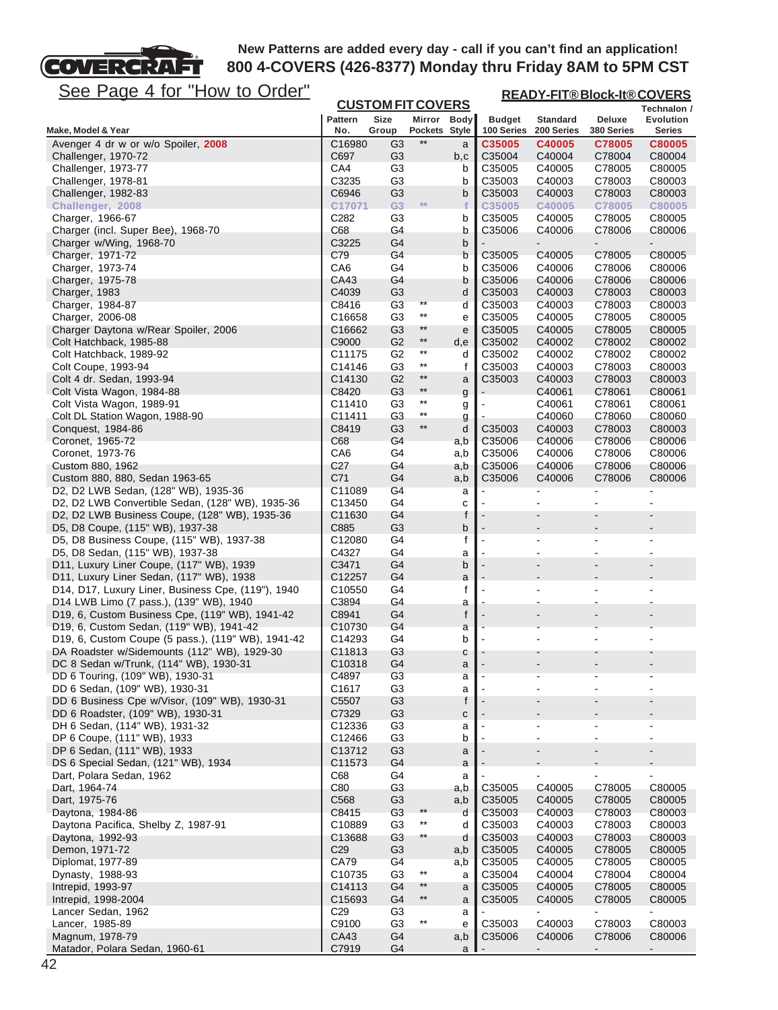

| <u>See Page 4 for "How to Order"</u>                                                  | <b>READY-FIT®Block-It®COVERS</b><br><b>CUSTOM FIT COVERS</b> |                                  |                                 |            |                             |                               |                      |                            |  |  |
|---------------------------------------------------------------------------------------|--------------------------------------------------------------|----------------------------------|---------------------------------|------------|-----------------------------|-------------------------------|----------------------|----------------------------|--|--|
|                                                                                       |                                                              |                                  |                                 |            |                             |                               |                      | Technalon /                |  |  |
| Make, Model & Year                                                                    | Pattern<br>No.                                               | Size<br>Group                    | Mirror Body<br>Pockets Style    |            | <b>Budget</b><br>100 Series | <b>Standard</b><br>200 Series | Deluxe<br>380 Series | <b>Evolution</b><br>Series |  |  |
| Avenger 4 dr w or w/o Spoiler, 2008                                                   | C16980                                                       | G3                               | $**$                            | a          | C35005                      | C40005                        | C78005               | C80005                     |  |  |
| Challenger, 1970-72                                                                   | C697                                                         | G <sub>3</sub>                   |                                 | b,c        | C35004                      | C40004                        | C78004               | C80004                     |  |  |
| Challenger, 1973-77                                                                   | CA4                                                          | G <sub>3</sub>                   |                                 | b          | C35005                      | C40005                        | C78005               | C80005                     |  |  |
| Challenger, 1978-81                                                                   | C3235                                                        | G3                               |                                 | b          | C35003                      | C40003                        | C78003               | C80003                     |  |  |
| Challenger, 1982-83                                                                   | C6946                                                        | G <sub>3</sub><br>G <sub>3</sub> | **                              | b          | C35003                      | C40003                        | C78003               | C80003                     |  |  |
| Challenger, 2008<br>Charger, 1966-67                                                  | C17071<br>C <sub>282</sub>                                   | G3                               |                                 | f<br>b     | C35005<br>C35005            | C40005<br>C40005              | C78005<br>C78005     | C80005<br>C80005           |  |  |
| Charger (incl. Super Bee), 1968-70                                                    | C68                                                          | G4                               |                                 | b          | C35006                      | C40006                        | C78006               | C80006                     |  |  |
| Charger w/Wing, 1968-70                                                               | C3225                                                        | G4                               |                                 | b          |                             |                               |                      |                            |  |  |
| Charger, 1971-72                                                                      | C79                                                          | G4                               |                                 | b          | C35005                      | C40005                        | C78005               | C80005                     |  |  |
| Charger, 1973-74                                                                      | CA <sub>6</sub>                                              | G4                               |                                 | b          | C35006                      | C40006                        | C78006               | C80006                     |  |  |
| Charger, 1975-78                                                                      | CA43                                                         | G4                               |                                 | b          | C35006                      | C40006                        | C78006               | C80006                     |  |  |
| Charger, 1983                                                                         | C4039                                                        | G <sub>3</sub>                   | **                              | d          | C35003                      | C40003                        | C78003               | C80003                     |  |  |
| Charger, 1984-87<br>Charger, 2006-08                                                  | C8416<br>C16658                                              | G <sub>3</sub><br>G <sub>3</sub> | $^{\star\star}$                 | d          | C35003<br>C35005            | C40003<br>C40005              | C78003<br>C78005     | C80003<br>C80005           |  |  |
| Charger Daytona w/Rear Spoiler, 2006                                                  | C16662                                                       | G3                               | **                              | е<br>e     | C35005                      | C40005                        | C78005               | C80005                     |  |  |
| Colt Hatchback, 1985-88                                                               | C9000                                                        | G <sub>2</sub>                   | $***$                           | d,e        | C35002                      | C40002                        | C78002               | C80002                     |  |  |
| Colt Hatchback, 1989-92                                                               | C11175                                                       | G <sub>2</sub>                   | $^{\star\star}$                 | d          | C35002                      | C40002                        | C78002               | C80002                     |  |  |
| Colt Coupe, 1993-94                                                                   | C14146                                                       | G <sub>3</sub>                   | $^{\star\star}$                 | f          | C35003                      | C40003                        | C78003               | C80003                     |  |  |
| Colt 4 dr. Sedan, 1993-94                                                             | C14130                                                       | G <sub>2</sub>                   | $***$                           | a          | C35003                      | C40003                        | C78003               | C80003                     |  |  |
| Colt Vista Wagon, 1984-88                                                             | C8420                                                        | G <sub>3</sub>                   | $\star\star$                    | g          |                             | C40061                        | C78061               | C80061                     |  |  |
| Colt Vista Wagon, 1989-91                                                             | C11410                                                       | G3                               | $^{\star\star}$<br>$\star\star$ | g          |                             | C40061                        | C78061               | C80061                     |  |  |
| Colt DL Station Wagon, 1988-90                                                        | C11411                                                       | G <sub>3</sub>                   | $^{\star\star}$                 | g          |                             | C40060                        | C78060               | C80060                     |  |  |
| Conquest, 1984-86                                                                     | C8419<br>C68                                                 | G <sub>3</sub><br>G4             |                                 | d          | C35003<br>C35006            | C40003                        | C78003               | C80003                     |  |  |
| Coronet, 1965-72<br>Coronet, 1973-76                                                  | CA6                                                          | G4                               |                                 | a,b<br>a,b | C35006                      | C40006<br>C40006              | C78006<br>C78006     | C80006<br>C80006           |  |  |
| Custom 880, 1962                                                                      | C27                                                          | G4                               |                                 | a,b        | C35006                      | C40006                        | C78006               | C80006                     |  |  |
| Custom 880, 880, Sedan 1963-65                                                        | C71                                                          | G4                               |                                 | a,b        | C35006                      | C40006                        | C78006               | C80006                     |  |  |
| D2, D2 LWB Sedan, (128" WB), 1935-36                                                  | C11089                                                       | G4                               |                                 | а          |                             |                               |                      |                            |  |  |
| D2, D2 LWB Convertible Sedan, (128" WB), 1935-36                                      | C <sub>13450</sub>                                           | G4                               |                                 | с          |                             |                               |                      |                            |  |  |
| D2, D2 LWB Business Coupe, (128" WB), 1935-36                                         | C11630                                                       | G4                               |                                 | f          |                             |                               |                      |                            |  |  |
| D5, D8 Coupe, (115" WB), 1937-38                                                      | C885                                                         | G <sub>3</sub>                   |                                 | b          |                             |                               |                      |                            |  |  |
| D5, D8 Business Coupe, (115" WB), 1937-38<br>D5, D8 Sedan, (115" WB), 1937-38         | C12080<br>C4327                                              | G4<br>G4                         |                                 | f          |                             |                               |                      |                            |  |  |
| D11, Luxury Liner Coupe, (117" WB), 1939                                              | C3471                                                        | G4                               |                                 | a<br>b     |                             |                               |                      |                            |  |  |
| D11, Luxury Liner Sedan, (117" WB), 1938                                              | C <sub>12257</sub>                                           | G4                               |                                 | a          |                             |                               |                      |                            |  |  |
| D14, D17, Luxury Liner, Business Cpe, (119"), 1940                                    | C <sub>10550</sub>                                           | G4                               |                                 | f          |                             |                               |                      |                            |  |  |
| D14 LWB Limo (7 pass.), (139" WB), 1940                                               | C3894                                                        | G4                               |                                 | а          |                             |                               |                      |                            |  |  |
| D19, 6, Custom Business Cpe, (119" WB), 1941-42                                       | C8941                                                        | G4                               |                                 | f          |                             |                               |                      |                            |  |  |
| D <sub>19</sub> , 6, Custom Sedan, (119" WB), 1941-42                                 | C <sub>10730</sub>                                           | G4                               |                                 | a          |                             |                               |                      |                            |  |  |
| D19, 6, Custom Coupe (5 pass.), (119" WB), 1941-42                                    | C14293                                                       | G4                               |                                 | b          |                             |                               |                      |                            |  |  |
| DA Roadster w/Sidemounts (112" WB), 1929-30<br>DC 8 Sedan w/Trunk, (114" WB), 1930-31 | C11813<br>C10318                                             | G3<br>G <sub>4</sub>             |                                 | с<br>a     |                             |                               |                      |                            |  |  |
| DD 6 Touring, (109" WB), 1930-31                                                      | C4897                                                        | G <sub>3</sub>                   |                                 | а          |                             |                               |                      |                            |  |  |
| DD 6 Sedan, (109" WB), 1930-31                                                        | C1617                                                        | G <sub>3</sub>                   |                                 | а          |                             |                               |                      |                            |  |  |
| DD 6 Business Cpe w/Visor, (109" WB), 1930-31                                         | C5507                                                        | G <sub>3</sub>                   |                                 | f          |                             |                               |                      |                            |  |  |
| DD 6 Roadster, (109" WB), 1930-31                                                     | C7329                                                        | G <sub>3</sub>                   |                                 | С          |                             |                               |                      |                            |  |  |
| DH 6 Sedan, (114" WB), 1931-32                                                        | C12336                                                       | G <sub>3</sub>                   |                                 | а          |                             |                               |                      |                            |  |  |
| DP 6 Coupe, (111" WB), 1933                                                           | C12466                                                       | G <sub>3</sub>                   |                                 | b          |                             |                               |                      |                            |  |  |
| DP 6 Sedan, (111" WB), 1933                                                           | C13712<br>C11573                                             | G <sub>3</sub>                   |                                 | a          |                             |                               |                      |                            |  |  |
| DS 6 Special Sedan, (121" WB), 1934<br>Dart, Polara Sedan, 1962                       | C68                                                          | G4<br>G4                         |                                 | a<br>a     |                             |                               |                      |                            |  |  |
| Dart, 1964-74                                                                         | C80                                                          | G <sub>3</sub>                   |                                 | a,b        | C35005                      | C40005                        | C78005               | C80005                     |  |  |
| Dart, 1975-76                                                                         | C <sub>568</sub>                                             | G3                               |                                 | a,b        | C35005                      | C40005                        | C78005               | C80005                     |  |  |
| Daytona, 1984-86                                                                      | C8415                                                        | G <sub>3</sub>                   | $***$                           | d          | C35003                      | C40003                        | C78003               | C80003                     |  |  |
| Daytona Pacifica, Shelby Z, 1987-91                                                   | C10889                                                       | G3                               | $^{\star\star}$                 | d          | C35003                      | C40003                        | C78003               | C80003                     |  |  |
| Daytona, 1992-93                                                                      | C13688                                                       | G <sub>3</sub>                   | $^{\star\star}$                 | d          | C35003                      | C40003                        | C78003               | C80003                     |  |  |
| Demon, 1971-72                                                                        | C <sub>29</sub>                                              | G <sub>3</sub>                   |                                 | a,b        | C35005                      | C40005                        | C78005               | C80005                     |  |  |
| Diplomat, 1977-89                                                                     | <b>CA79</b>                                                  | G <sub>4</sub>                   | $***$                           | a,b        | C35005                      | C40005                        | C78005               | C80005                     |  |  |
| Dynasty, 1988-93<br>Intrepid, 1993-97                                                 | C10735<br>C14113                                             | G <sub>3</sub><br>G4             | $***$                           | a<br>a     | C35004<br>C35005            | C40004<br>C40005              | C78004<br>C78005     | C80004<br>C80005           |  |  |
| Intrepid, 1998-2004                                                                   | C15693                                                       | G <sub>4</sub>                   | $^{\star\star}$                 | a          | C35005                      | C40005                        | C78005               | C80005                     |  |  |
| Lancer Sedan, 1962                                                                    | C <sub>29</sub>                                              | G <sub>3</sub>                   |                                 | a          |                             |                               |                      |                            |  |  |
| Lancer, 1985-89                                                                       | C9100                                                        | G <sub>3</sub>                   | $^{\star\star}$                 | е          | C35003                      | C40003                        | C78003               | C80003                     |  |  |
| Magnum, 1978-79                                                                       | CA43                                                         | G4                               |                                 | a,b        | C35006                      | C40006                        | C78006               | C80006                     |  |  |
| Matador, Polara Sedan, 1960-61                                                        | C7919                                                        | G4                               |                                 | a          |                             |                               |                      | $\blacksquare$             |  |  |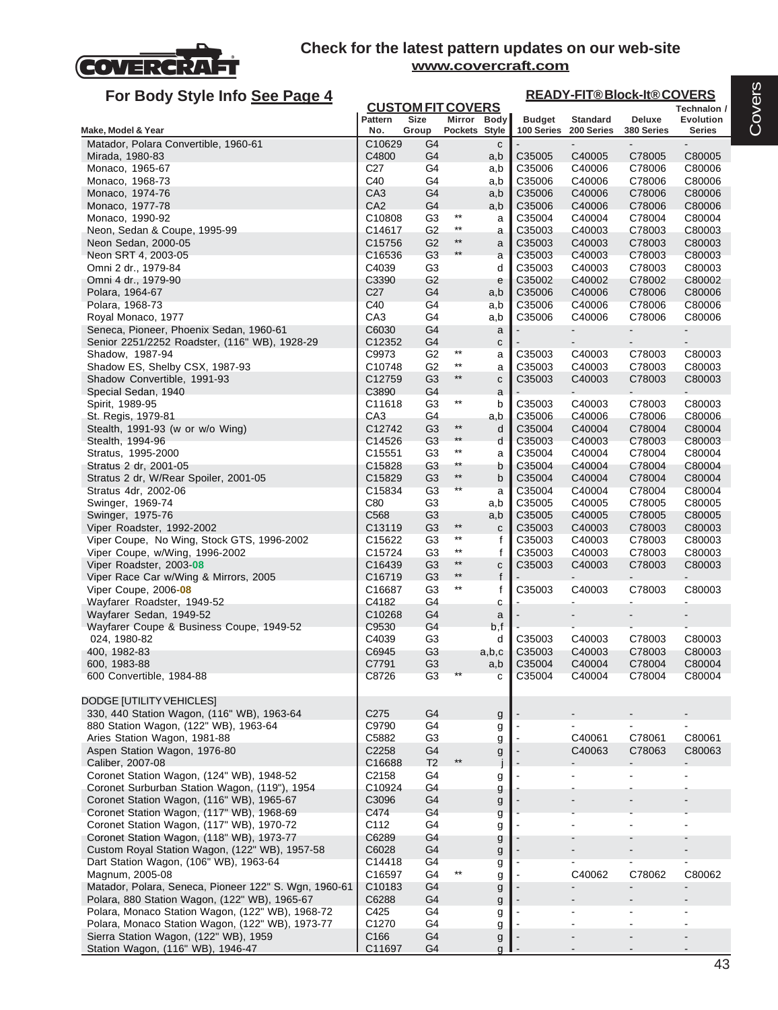

# **For Body Style Info See Page 4**

#### **READY-FIT® Block-It® COVERS**

| Ful Duy Jiyit IIIIU <u>JEE Fayt 4</u>                                                       |                              | <b>CUSTOM FIT COVERS</b>         |                 |                   |                             | <u>INLADI THODIOUR ROOTLING</u><br>Technalon / |                      |                            |  |  |
|---------------------------------------------------------------------------------------------|------------------------------|----------------------------------|-----------------|-------------------|-----------------------------|------------------------------------------------|----------------------|----------------------------|--|--|
| Make, Model & Year                                                                          | Pattern<br>No.               | <b>Size</b><br>Group             | Pockets Style   | Mirror Body       | <b>Budget</b><br>100 Series | Standard<br>200 Series                         | Deluxe<br>380 Series | Evolution<br><b>Series</b> |  |  |
| Matador, Polara Convertible, 1960-61                                                        | C10629                       | G4                               |                 | $\mathbf{C}$      |                             |                                                |                      |                            |  |  |
| Mirada, 1980-83                                                                             | C4800                        | G4                               |                 | a,b               | C35005                      | C40005                                         | C78005               | C80005                     |  |  |
| Monaco, 1965-67                                                                             | C <sub>27</sub>              | G4                               |                 | a,b               | C35006                      | C40006                                         | C78006               | C80006                     |  |  |
| Monaco, 1968-73                                                                             | C40                          | G4                               |                 | a,b               | C35006                      | C40006                                         | C78006               | C80006                     |  |  |
| Monaco, 1974-76                                                                             | CA <sub>3</sub>              | G <sub>4</sub>                   |                 | a,b               | C35006                      | C40006                                         | C78006               | C80006                     |  |  |
| Monaco, 1977-78                                                                             | CA <sub>2</sub>              | G4                               | $***$           | a,b               | C35006                      | C40006                                         | C78006               | C80006                     |  |  |
| Monaco, 1990-92<br>Neon, Sedan & Coupe, 1995-99                                             | C10808<br>C14617             | G <sub>3</sub><br>G <sub>2</sub> | $^{\star\star}$ | a                 | C35004<br>C35003            | C40004<br>C40003                               | C78004<br>C78003     | C80004<br>C80003           |  |  |
| Neon Sedan, 2000-05                                                                         | C15756                       | G <sub>2</sub>                   | $***$           | a<br>a            | C35003                      | C40003                                         | C78003               | C80003                     |  |  |
| Neon SRT 4, 2003-05                                                                         | C16536                       | G <sub>3</sub>                   | **              | a                 | C35003                      | C40003                                         | C78003               | C80003                     |  |  |
| Omni 2 dr., 1979-84                                                                         | C4039                        | G <sub>3</sub>                   |                 | d                 | C35003                      | C40003                                         | C78003               | C80003                     |  |  |
| Omni 4 dr., 1979-90                                                                         | C3390                        | G <sub>2</sub>                   |                 | e                 | C35002                      | C40002                                         | C78002               | C80002                     |  |  |
| Polara, 1964-67                                                                             | C <sub>27</sub>              | G4                               |                 | a,b               | C35006                      | C40006                                         | C78006               | C80006                     |  |  |
| Polara, 1968-73                                                                             | C40                          | G4                               |                 | a,b               | C35006                      | C40006                                         | C78006               | C80006                     |  |  |
| Royal Monaco, 1977                                                                          | CA <sub>3</sub><br>C6030     | G4<br>G4                         |                 | a,b               | C35006                      | C40006                                         | C78006               | C80006                     |  |  |
| Seneca, Pioneer, Phoenix Sedan, 1960-61<br>Senior 2251/2252 Roadster, (116" WB), 1928-29    | C12352                       | G4                               |                 | a<br>$\mathbf{C}$ |                             |                                                |                      | ۰                          |  |  |
| Shadow, 1987-94                                                                             | C9973                        | G <sub>2</sub>                   | $***$           | a                 | C35003                      | C40003                                         | C78003               | C80003                     |  |  |
| Shadow ES, Shelby CSX, 1987-93                                                              | C10748                       | G <sub>2</sub>                   | $^{\star\star}$ | a                 | C35003                      | C40003                                         | C78003               | C80003                     |  |  |
| Shadow Convertible, 1991-93                                                                 | C12759                       | G <sub>3</sub>                   | $^{\star\star}$ | c                 | C35003                      | C40003                                         | C78003               | C80003                     |  |  |
| Special Sedan, 1940                                                                         | C3890                        | G4                               |                 | a                 |                             |                                                |                      |                            |  |  |
| Spirit, 1989-95                                                                             | C11618                       | G <sub>3</sub>                   | $***$           | b                 | C35003                      | C40003                                         | C78003               | C80003                     |  |  |
| St. Regis, 1979-81                                                                          | CA <sub>3</sub>              | G4                               | $***$           | a,b               | C35006                      | C40006                                         | C78006               | C80006                     |  |  |
| Stealth, 1991-93 (w or w/o Wing)<br>Stealth, 1994-96                                        | C12742<br>C14526             | G <sub>3</sub><br>G <sub>3</sub> | **              | d<br>d            | C35004<br>C35003            | C40004<br>C40003                               | C78004<br>C78003     | C80004<br>C80003           |  |  |
| Stratus, 1995-2000                                                                          | C15551                       | G <sub>3</sub>                   | $***$           | a                 | C35004                      | C40004                                         | C78004               | C80004                     |  |  |
| Stratus 2 dr, 2001-05                                                                       | C15828                       | G <sub>3</sub>                   | $***$           | b                 | C35004                      | C40004                                         | C78004               | C80004                     |  |  |
| Stratus 2 dr, W/Rear Spoiler, 2001-05                                                       | C15829                       | G <sub>3</sub>                   | $***$           | b                 | C35004                      | C40004                                         | C78004               | C80004                     |  |  |
| Stratus 4dr, 2002-06                                                                        | C15834                       | G <sub>3</sub>                   | $**$            | a                 | C35004                      | C40004                                         | C78004               | C80004                     |  |  |
| Swinger, 1969-74                                                                            | C80                          | G <sub>3</sub>                   |                 | a,b               | C35005                      | C40005                                         | C78005               | C80005                     |  |  |
| Swinger, 1975-76                                                                            | C <sub>568</sub>             | G <sub>3</sub>                   | $^{\star\star}$ | a,b               | C35005                      | C40005                                         | C78005               | C80005                     |  |  |
| Viper Roadster, 1992-2002<br>Viper Coupe, No Wing, Stock GTS, 1996-2002                     | C13119<br>C <sub>15622</sub> | G <sub>3</sub><br>G <sub>3</sub> | $***$           | $\mathbf{C}$<br>f | C35003<br>C35003            | C40003<br>C40003                               | C78003<br>C78003     | C80003<br>C80003           |  |  |
| Viper Coupe, w/Wing, 1996-2002                                                              | C15724                       | G <sub>3</sub>                   | $^{\star\star}$ | f                 | C35003                      | C40003                                         | C78003               | C80003                     |  |  |
| Viper Roadster, 2003-08                                                                     | C16439                       | G <sub>3</sub>                   | $***$           | $\mathbf{C}$      | C35003                      | C40003                                         | C78003               | C80003                     |  |  |
| Viper Race Car w/Wing & Mirrors, 2005                                                       | C16719                       | G <sub>3</sub>                   | $***$           | f                 |                             |                                                |                      |                            |  |  |
| Viper Coupe, 2006-08                                                                        | C16687                       | G <sub>3</sub>                   | $***$           | f                 | C35003                      | C40003                                         | C78003               | C80003                     |  |  |
| Wayfarer Roadster, 1949-52                                                                  | C4182                        | G4                               |                 | c                 |                             |                                                |                      |                            |  |  |
| Wayfarer Sedan, 1949-52                                                                     | C <sub>10268</sub>           | G4                               |                 | a                 |                             | $\centerdot$                                   |                      |                            |  |  |
| Wayfarer Coupe & Business Coupe, 1949-52<br>024, 1980-82                                    | C9530<br>C4039               | G4<br>G <sub>3</sub>             |                 | b,f<br>d          | C35003                      | C40003                                         | C78003               | C80003                     |  |  |
| 400, 1982-83                                                                                | C6945                        | G <sub>3</sub>                   |                 | a,b,c             | C35003                      | C40003                                         | C78003               | C80003                     |  |  |
| 600, 1983-88                                                                                | C7791                        | G <sub>3</sub>                   |                 | a,b               | C35004                      | C40004                                         | C78004               | C80004                     |  |  |
| 600 Convertible, 1984-88                                                                    | C8726                        | G <sub>3</sub>                   | $**$            |                   | C35004                      | C40004                                         | C78004               | C80004                     |  |  |
|                                                                                             |                              |                                  |                 |                   |                             |                                                |                      |                            |  |  |
| DODGE [UTILITY VEHICLES]                                                                    |                              |                                  |                 |                   |                             |                                                |                      |                            |  |  |
| 330, 440 Station Wagon, (116" WB), 1963-64                                                  | C275                         | G4                               |                 | g                 |                             |                                                |                      |                            |  |  |
| 880 Station Wagon, (122" WB), 1963-64<br>Aries Station Wagon, 1981-88                       | C9790<br>C5882               | G4<br>G <sub>3</sub>             |                 | g                 |                             | C40061                                         | C78061               | C80061                     |  |  |
| Aspen Station Wagon, 1976-80                                                                | C2258                        | G <sub>4</sub>                   |                 | g<br>g            |                             | C40063                                         | C78063               | C80063                     |  |  |
| Caliber, 2007-08                                                                            | C16688                       | T <sub>2</sub>                   | $^{\star\star}$ |                   |                             |                                                |                      |                            |  |  |
| Coronet Station Wagon, (124" WB), 1948-52                                                   | C2158                        | G4                               |                 | g                 |                             |                                                |                      |                            |  |  |
| Coronet Surburban Station Wagon, (119"), 1954                                               | C10924                       | G4                               |                 | g                 |                             |                                                |                      |                            |  |  |
| Coronet Station Wagon, (116" WB), 1965-67                                                   | C3096                        | G <sub>4</sub>                   |                 | $\boldsymbol{g}$  |                             |                                                |                      |                            |  |  |
| Coronet Station Wagon, (117" WB), 1968-69                                                   | C474                         | G <sub>4</sub>                   |                 | g                 |                             |                                                |                      |                            |  |  |
| Coronet Station Wagon, (117" WB), 1970-72                                                   | C112                         | G4                               |                 | g                 |                             |                                                |                      |                            |  |  |
| Coronet Station Wagon, (118" WB), 1973-77<br>Custom Royal Station Wagon, (122" WB), 1957-58 | C6289<br>C6028               | G <sub>4</sub><br>G4             |                 | g                 |                             |                                                |                      |                            |  |  |
| Dart Station Wagon, (106" WB), 1963-64                                                      | C14418                       | G <sub>4</sub>                   |                 | g<br>g            |                             |                                                |                      |                            |  |  |
| Magnum, 2005-08                                                                             | C16597                       | G4                               |                 | g                 |                             | C40062                                         | C78062               | C80062                     |  |  |
| Matador, Polara, Seneca, Pioneer 122" S. Wgn, 1960-61                                       | C <sub>10183</sub>           | G <sub>4</sub>                   |                 | g                 |                             |                                                |                      |                            |  |  |
| Polara, 880 Station Wagon, (122" WB), 1965-67                                               | C6288                        | G4                               |                 | $\boldsymbol{g}$  |                             |                                                |                      |                            |  |  |
| Polara, Monaco Station Wagon, (122" WB), 1968-72                                            | C425                         | G4                               |                 | g                 |                             |                                                |                      |                            |  |  |
| Polara, Monaco Station Wagon, (122" WB), 1973-77                                            | C1270                        | G4                               |                 | g                 |                             |                                                |                      |                            |  |  |
| Sierra Station Wagon, (122" WB), 1959                                                       | C166                         | G <sub>4</sub>                   |                 | g                 |                             |                                                |                      |                            |  |  |
| Station Wagon, (116" WB), 1946-47                                                           | C11697                       | G4                               |                 | q                 |                             |                                                |                      |                            |  |  |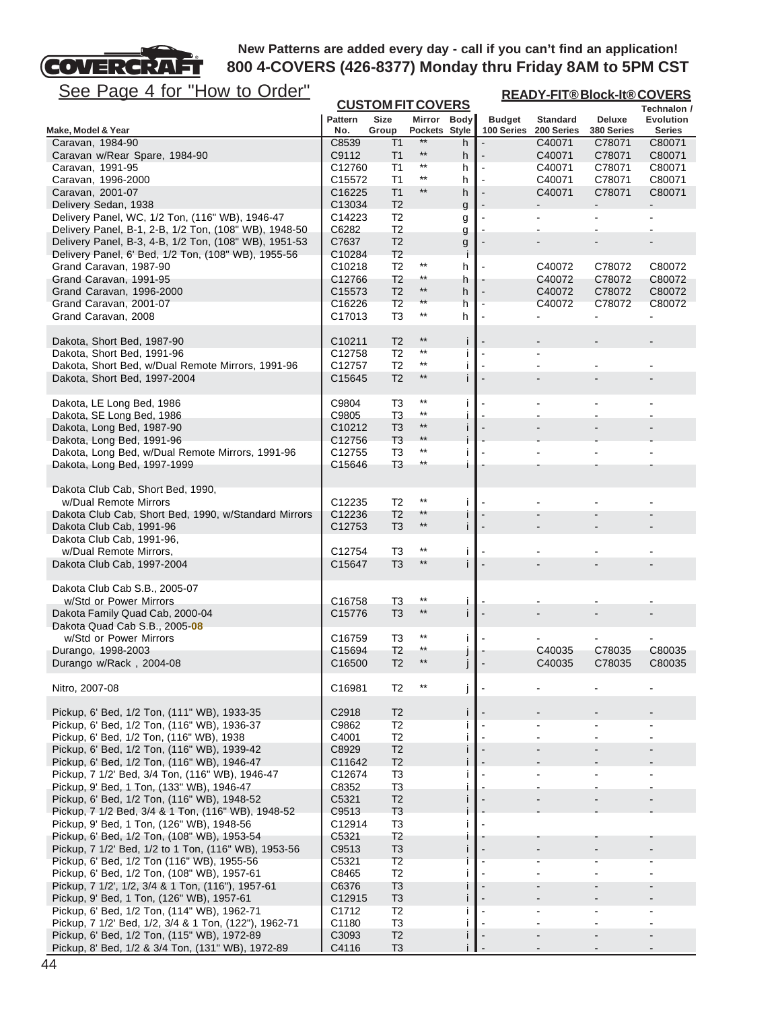

| <u>See Page 4 for "How to Order"</u>                                                                 | <b>READY-FIT®Block-It®COVERS</b><br><b>CUSTOM FIT COVERS</b> |                                  |                          |                    |                |                 |               |                                 |  |
|------------------------------------------------------------------------------------------------------|--------------------------------------------------------------|----------------------------------|--------------------------|--------------------|----------------|-----------------|---------------|---------------------------------|--|
|                                                                                                      | <b>Pattern</b>                                               | <b>Size</b>                      | Mirror Body              |                    | <b>Budget</b>  | <b>Standard</b> | <b>Deluxe</b> | Technalon /<br><b>Evolution</b> |  |
| Make, Model & Year                                                                                   | No.                                                          | Group                            | Pockets Style            |                    | 100 Series     | 200 Series      | 380 Series    | <b>Series</b>                   |  |
| Caravan, 1984-90                                                                                     | C8539                                                        | T1                               | $***$                    | h                  |                | C40071          | C78071        | C80071                          |  |
| Caravan w/Rear Spare, 1984-90                                                                        | C9112                                                        | T <sub>1</sub>                   | $***$                    | h                  |                | C40071          | C78071        | C80071                          |  |
| Caravan, 1991-95                                                                                     | C12760                                                       | T1                               | $^{\star\star}$          | h                  | $\blacksquare$ | C40071          | C78071        | C80071                          |  |
| Caravan, 1996-2000                                                                                   | C15572                                                       | T1                               | $^{\star\star}$          | h                  |                | C40071          | C78071        | C80071                          |  |
| Caravan, 2001-07                                                                                     | C16225                                                       | T1                               | $^{\star\star}$          | h                  |                | C40071          | C78071        | C80071                          |  |
| Delivery Sedan, 1938<br>Delivery Panel, WC, 1/2 Ton, (116" WB), 1946-47                              | C13034<br>C14223                                             | T <sub>2</sub><br>T <sub>2</sub> |                          | g                  |                |                 |               |                                 |  |
| Delivery Panel, B-1, 2-B, 1/2 Ton, (108" WB), 1948-50                                                | C6282                                                        | T <sub>2</sub>                   |                          | g<br>g             |                |                 |               |                                 |  |
| Delivery Panel, B-3, 4-B, 1/2 Ton, (108" WB), 1951-53                                                | C7637                                                        | T <sub>2</sub>                   |                          | g                  |                |                 |               |                                 |  |
| Delivery Panel, 6' Bed, 1/2 Ton, (108" WB), 1955-56                                                  | C10284                                                       | T <sub>2</sub>                   |                          | Ť                  |                |                 |               |                                 |  |
| Grand Caravan, 1987-90                                                                               | C10218                                                       | T <sub>2</sub>                   | $^{\ast\ast}$            | h                  |                | C40072          | C78072        | C80072                          |  |
| Grand Caravan, 1991-95                                                                               | C12766                                                       | T <sub>2</sub>                   | $***$                    | h                  |                | C40072          | C78072        | C80072                          |  |
| Grand Caravan, 1996-2000                                                                             | C <sub>15573</sub>                                           | T <sub>2</sub>                   | $***$                    | h                  | $\overline{a}$ | C40072          | C78072        | C80072                          |  |
| Grand Caravan, 2001-07                                                                               | C16226                                                       | T <sub>2</sub>                   | $^{\star\star}$          | h                  |                | C40072          | C78072        | C80072                          |  |
| Grand Caravan, 2008                                                                                  | C17013                                                       | T3                               | $^{\star\star}$          | h                  |                |                 |               |                                 |  |
| Dakota, Short Bed, 1987-90                                                                           | C <sub>10211</sub>                                           | T <sub>2</sub>                   | $***$                    | j.                 |                |                 |               |                                 |  |
| Dakota, Short Bed, 1991-96                                                                           | C12758                                                       | T <sub>2</sub>                   | $^{\star\star}$          | j.                 |                |                 |               |                                 |  |
| Dakota, Short Bed, w/Dual Remote Mirrors, 1991-96                                                    | C12757                                                       | T <sub>2</sub>                   | $^{\star\star}$          | j.                 |                |                 |               |                                 |  |
| Dakota, Short Bed, 1997-2004                                                                         | C15645                                                       | T <sub>2</sub>                   | $***$                    | j.                 |                |                 |               |                                 |  |
| Dakota, LE Long Bed, 1986                                                                            | C9804                                                        | T3                               | $^{\star\star}$          | j.                 |                |                 |               |                                 |  |
| Dakota, SE Long Bed, 1986                                                                            | C9805                                                        | T3                               | $***$                    | j.                 |                |                 |               |                                 |  |
| Dakota, Long Bed, 1987-90                                                                            | C10212                                                       | T <sub>3</sub>                   | $***$                    | j.                 |                |                 |               |                                 |  |
| Dakota, Long Bed, 1991-96                                                                            | C12756                                                       | T <sub>3</sub>                   | $***$                    |                    |                |                 |               |                                 |  |
| Dakota, Long Bed, w/Dual Remote Mirrors, 1991-96                                                     | C12755                                                       | T <sub>3</sub>                   | $***$<br>$^{\star\star}$ | j.                 |                |                 |               |                                 |  |
| Dakota, Long Bed, 1997-1999                                                                          | C15646                                                       | T <sub>3</sub>                   |                          | $\mathbf{I}$       |                |                 |               |                                 |  |
| Dakota Club Cab, Short Bed, 1990,                                                                    |                                                              |                                  |                          |                    |                |                 |               |                                 |  |
| w/Dual Remote Mirrors                                                                                | C12235                                                       | T <sub>2</sub>                   | $***$                    | j.                 |                |                 |               |                                 |  |
| Dakota Club Cab, Short Bed, 1990, w/Standard Mirrors                                                 | C12236                                                       | T <sub>2</sub>                   | $***$                    | Ť.                 |                |                 |               |                                 |  |
| Dakota Club Cab, 1991-96                                                                             | C <sub>12753</sub>                                           | T <sub>3</sub>                   | $**$                     | j.                 |                |                 |               |                                 |  |
| Dakota Club Cab, 1991-96,<br>w/Dual Remote Mirrors,                                                  | C12754                                                       | T <sub>3</sub>                   | $***$                    | j.                 |                |                 |               |                                 |  |
| Dakota Club Cab, 1997-2004                                                                           | C15647                                                       | T <sub>3</sub>                   | $**$                     | İ                  |                |                 |               |                                 |  |
|                                                                                                      |                                                              |                                  |                          |                    |                |                 |               |                                 |  |
| Dakota Club Cab S.B., 2005-07                                                                        |                                                              |                                  |                          |                    |                |                 |               |                                 |  |
| w/Std or Power Mirrors                                                                               | C16758                                                       | T3                               | $^{\star\star}$<br>$***$ | $\mathbf{I}$       |                |                 |               |                                 |  |
| Dakota Family Quad Cab, 2000-04                                                                      | C <sub>15776</sub>                                           | T <sub>3</sub>                   |                          | j.                 |                |                 |               |                                 |  |
| Dakota Quad Cab S.B., 2005-08<br>w/Std or Power Mirrors                                              | C <sub>16759</sub>                                           | T3                               | $^{\ast\ast}$            | $\mathbf{I}$       |                |                 |               |                                 |  |
| Durango, 1998-2003                                                                                   | C15694                                                       | T <sub>2</sub>                   | $^{\star\star}$          |                    |                | C40035          | C78035        | C80035                          |  |
| Durango w/Rack, 2004-08                                                                              | C <sub>16500</sub>                                           | T <sub>2</sub>                   | $**$                     |                    |                | C40035          | C78035        | C80035                          |  |
|                                                                                                      |                                                              |                                  |                          |                    |                |                 |               |                                 |  |
| Nitro, 2007-08                                                                                       | C16981                                                       | T <sub>2</sub>                   |                          | j                  |                |                 |               |                                 |  |
| Pickup, 6' Bed, 1/2 Ton, (111" WB), 1933-35                                                          | C2918                                                        | T <sub>2</sub>                   |                          | j.                 |                |                 |               |                                 |  |
| Pickup, 6' Bed, 1/2 Ton, (116" WB), 1936-37                                                          | C9862                                                        | T <sub>2</sub>                   |                          | Ť                  |                |                 |               |                                 |  |
| Pickup, 6' Bed, 1/2 Ton, (116" WB), 1938                                                             | C4001                                                        | T <sub>2</sub>                   |                          | j.                 |                |                 |               |                                 |  |
| Pickup, 6' Bed, 1/2 Ton, (116" WB), 1939-42                                                          | C8929                                                        | T <sub>2</sub>                   |                          | $\mathbf{I}$       |                |                 |               |                                 |  |
| Pickup, 6' Bed, 1/2 Ton, (116" WB), 1946-47                                                          | C11642                                                       | T <sub>2</sub>                   |                          |                    |                |                 |               |                                 |  |
| Pickup, 7 1/2' Bed, 3/4 Ton, (116" WB), 1946-47                                                      | C12674                                                       | T3                               |                          | j.                 |                |                 |               |                                 |  |
| Pickup, 9' Bed, 1 Ton, (133" WB), 1946-47<br>Pickup, 6' Bed, 1/2 Ton, (116" WB), 1948-52             | C8352<br>C5321                                               | T <sub>3</sub><br>T <sub>2</sub> |                          |                    |                |                 |               |                                 |  |
| Pickup, 7 1/2 Bed, 3/4 & 1 Ton, (116" WB), 1948-52                                                   | C9513                                                        | T <sub>3</sub>                   |                          |                    |                |                 |               |                                 |  |
| Pickup, 9' Bed, 1 Ton, (126" WB), 1948-56                                                            | C12914                                                       | T <sub>3</sub>                   |                          | Ť                  |                |                 |               |                                 |  |
| Pickup, 6' Bed, 1/2 Ton, (108" WB), 1953-54                                                          | C5321                                                        | T <sub>2</sub>                   |                          |                    |                |                 |               |                                 |  |
| Pickup, 7 1/2' Bed, 1/2 to 1 Ton, (116" WB), 1953-56                                                 | C9513                                                        | T <sub>3</sub>                   |                          | $\mathbf{I}$       |                |                 |               |                                 |  |
| Pickup, 6' Bed, 1/2 Ton (116" WB), 1955-56                                                           | C5321                                                        | T <sub>2</sub>                   |                          |                    |                |                 |               |                                 |  |
| Pickup, 6' Bed, 1/2 Ton, (108" WB), 1957-61                                                          | C8465                                                        | T <sub>2</sub>                   |                          | j.                 |                |                 |               |                                 |  |
| Pickup, 7 1/2', 1/2, 3/4 & 1 Ton, (116"), 1957-61                                                    | C6376                                                        | T <sub>3</sub>                   |                          |                    |                |                 |               |                                 |  |
| Pickup, 9' Bed, 1 Ton, (126" WB), 1957-61                                                            | C12915                                                       | T <sub>3</sub>                   |                          | j.                 |                |                 |               |                                 |  |
| Pickup, 6' Bed, 1/2 Ton, (114" WB), 1962-71<br>Pickup, 7 1/2' Bed, 1/2, 3/4 & 1 Ton, (122"), 1962-71 | C1712<br>C1180                                               | T <sub>2</sub><br>T <sub>3</sub> |                          | $\mathbf{I}$<br>j. |                |                 |               |                                 |  |
| Pickup, 6' Bed, 1/2 Ton, (115" WB), 1972-89                                                          | C3093                                                        | T <sub>2</sub>                   |                          | $\mathbf{I}$       |                |                 |               |                                 |  |
| Pickup, 8' Bed, 1/2 & 3/4 Ton, (131" WB), 1972-89                                                    | C4116                                                        | T <sub>3</sub>                   |                          |                    |                |                 |               |                                 |  |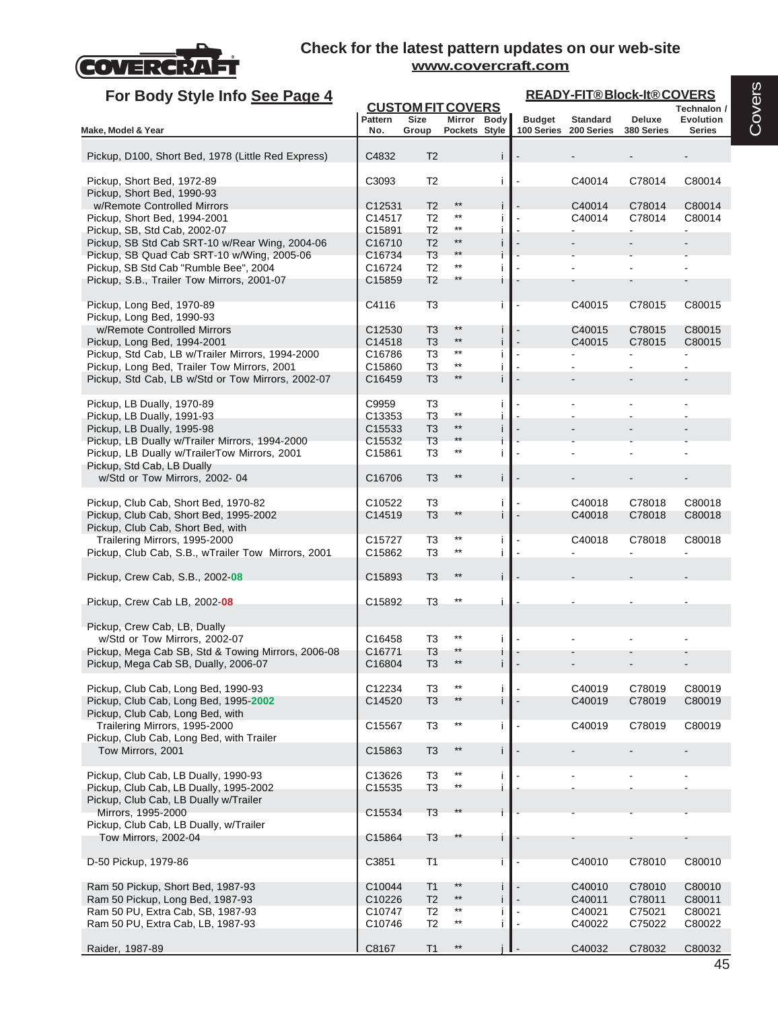

| For Body Style Info See Page 4                                                 |                       |                                  |                              |          |                |                                          |                      | <b>READY-FIT®Block-It®COVERS</b> |  |  |  |
|--------------------------------------------------------------------------------|-----------------------|----------------------------------|------------------------------|----------|----------------|------------------------------------------|----------------------|----------------------------------|--|--|--|
|                                                                                |                       | <b>CUSTOM FIT COVERS</b>         |                              |          |                |                                          |                      | Technalon /                      |  |  |  |
| Make, Model & Year                                                             | <b>Pattern</b><br>No. | <b>Size</b><br>Group             | Mirror Body<br>Pockets Style |          | <b>Budget</b>  | <b>Standard</b><br>100 Series 200 Series | Deluxe<br>380 Series | Evolution<br><b>Series</b>       |  |  |  |
|                                                                                |                       |                                  |                              |          |                |                                          |                      |                                  |  |  |  |
| Pickup, D100, Short Bed, 1978 (Little Red Express)                             | C4832                 | T <sub>2</sub>                   |                              | i.       |                |                                          |                      |                                  |  |  |  |
| Pickup, Short Bed, 1972-89                                                     | C3093                 | T <sub>2</sub>                   |                              | j.       |                | C40014                                   | C78014               | C80014                           |  |  |  |
| Pickup, Short Bed, 1990-93                                                     |                       |                                  |                              |          |                |                                          |                      |                                  |  |  |  |
| w/Remote Controlled Mirrors                                                    | C12531                | T <sub>2</sub>                   | $^{\star\star}$              | i        |                | C40014                                   | C78014               | C80014                           |  |  |  |
| Pickup, Short Bed, 1994-2001                                                   | C14517<br>C15891      | T <sub>2</sub><br>T <sub>2</sub> | $^{\star\star}$<br>$***$     | j.<br>i. |                | C40014                                   | C78014               | C80014                           |  |  |  |
| Pickup, SB, Std Cab, 2002-07<br>Pickup, SB Std Cab SRT-10 w/Rear Wing, 2004-06 | C16710                | T <sub>2</sub>                   | $**$                         | i        |                |                                          |                      |                                  |  |  |  |
| Pickup, SB Quad Cab SRT-10 w/Wing, 2005-06                                     | C16734                | T <sub>3</sub>                   | $***$                        | i        |                |                                          |                      |                                  |  |  |  |
| Pickup, SB Std Cab "Rumble Bee", 2004                                          | C16724                | T <sub>2</sub>                   | $***$                        | i        |                |                                          |                      |                                  |  |  |  |
| Pickup, S.B., Trailer Tow Mirrors, 2001-07                                     | C15859                | T <sub>2</sub>                   | $^{\star\star}$              | i.       |                |                                          |                      |                                  |  |  |  |
| Pickup, Long Bed, 1970-89<br>Pickup, Long Bed, 1990-93                         | C4116                 | T <sub>3</sub>                   |                              | Ť        |                | C40015                                   | C78015               | C80015                           |  |  |  |
| w/Remote Controlled Mirrors                                                    | C <sub>12530</sub>    | T <sub>3</sub>                   | $^{\star\star}$              | i.       |                | C40015                                   | C78015               | C80015                           |  |  |  |
| Pickup, Long Bed, 1994-2001                                                    | C14518                | T <sub>3</sub>                   | $^{\star\star}$              | i.       |                | C40015                                   | C78015               | C80015                           |  |  |  |
| Pickup, Std Cab, LB w/Trailer Mirrors, 1994-2000                               | C16786                | T3                               | $***$                        | i.       | $\blacksquare$ |                                          |                      | $\blacksquare$                   |  |  |  |
| Pickup, Long Bed, Trailer Tow Mirrors, 2001                                    | C15860                | T3                               | $***$<br>$^{\star\star}$     | i        |                |                                          |                      |                                  |  |  |  |
| Pickup, Std Cab, LB w/Std or Tow Mirrors, 2002-07                              | C16459                | T <sub>3</sub>                   |                              | i.       |                |                                          |                      |                                  |  |  |  |
| Pickup, LB Dually, 1970-89                                                     | C9959                 | T3                               | $^{\star\star}$              | j.       |                |                                          |                      |                                  |  |  |  |
| Pickup, LB Dually, 1991-93<br>Pickup, LB Dually, 1995-98                       | C13353<br>C15533      | T3<br>T3                         | $^{\star\star}$              | i<br>i   |                |                                          |                      |                                  |  |  |  |
| Pickup, LB Dually w/Trailer Mirrors, 1994-2000                                 | C15532                | T <sub>3</sub>                   | $***$                        | i        |                |                                          |                      |                                  |  |  |  |
| Pickup, LB Dually w/TrailerTow Mirrors, 2001<br>Pickup, Std Cab, LB Dually     | C15861                | T3                               | $***$                        | i.       |                |                                          |                      |                                  |  |  |  |
| w/Std or Tow Mirrors, 2002-04                                                  | C16706                | T <sub>3</sub>                   | $***$                        | i.       |                |                                          |                      |                                  |  |  |  |
| Pickup, Club Cab, Short Bed, 1970-82                                           | C10522                | T3                               |                              | j.       |                | C40018                                   | C78018               | C80018                           |  |  |  |
| Pickup, Club Cab, Short Bed, 1995-2002                                         | C14519                | T <sub>3</sub>                   | **                           | i.       |                | C40018                                   | C78018               | C80018                           |  |  |  |
| Pickup, Club Cab, Short Bed, with                                              |                       |                                  |                              |          |                |                                          |                      |                                  |  |  |  |
| Trailering Mirrors, 1995-2000                                                  | C15727                | T3                               | $***$                        | j.       |                | C40018                                   | C78018               | C80018                           |  |  |  |
| Pickup, Club Cab, S.B., wTrailer Tow Mirrors, 2001                             | C15862                | T3                               | $^{\star\star}$              | i.       |                |                                          |                      |                                  |  |  |  |
| Pickup, Crew Cab, S.B., 2002-08                                                | C <sub>15893</sub>    | T <sub>3</sub>                   | $***$                        | i        |                |                                          |                      |                                  |  |  |  |
|                                                                                |                       |                                  |                              |          |                |                                          |                      |                                  |  |  |  |
| Pickup, Crew Cab LB, 2002-08                                                   | C15892                | T <sub>3</sub>                   | $^{\star\star}$              | j.       |                |                                          |                      |                                  |  |  |  |
| Pickup, Crew Cab, LB, Dually                                                   |                       |                                  |                              |          |                |                                          |                      |                                  |  |  |  |
| w/Std or Tow Mirrors, 2002-07                                                  | C16458                | T3                               | $^{\star\star}$              | i        |                |                                          |                      |                                  |  |  |  |
| Pickup, Mega Cab SB, Std & Towing Mirrors, 2006-08                             | C16771                | T3                               | $^{\star\star}$              |          |                |                                          |                      |                                  |  |  |  |
| Pickup, Mega Cab SB, Dually, 2006-07                                           | C16804                | T <sub>3</sub>                   | $***$                        |          |                |                                          |                      |                                  |  |  |  |
| Pickup, Club Cab, Long Bed, 1990-93                                            | C12234                | T <sub>3</sub>                   | $^{\star\star}$              | j.       |                | C40019                                   | C78019               | C80019                           |  |  |  |
| Pickup, Club Cab, Long Bed, 1995-2002                                          | C14520                | T <sub>3</sub>                   | **                           | i        |                | C40019                                   | C78019               | C80019                           |  |  |  |
| Pickup, Club Cab, Long Bed, with                                               |                       |                                  |                              |          |                |                                          |                      |                                  |  |  |  |
| Trailering Mirrors, 1995-2000                                                  | C15567                | T <sub>3</sub>                   | $^{\star\star}$              | i.       | $\blacksquare$ | C40019                                   | C78019               | C80019                           |  |  |  |
| Pickup, Club Cab, Long Bed, with Trailer<br>Tow Mirrors, 2001                  | C15863                | T <sub>3</sub>                   | $***$                        | j.       |                |                                          |                      |                                  |  |  |  |
| Pickup, Club Cab, LB Dually, 1990-93                                           | C13626                | T <sub>3</sub>                   | $^{\star\star}$              | j.       |                |                                          |                      |                                  |  |  |  |
| Pickup, Club Cab, LB Dually, 1995-2002                                         | C15535                | T <sub>3</sub>                   | $^{\star\star}$              | j.       |                |                                          |                      |                                  |  |  |  |
| Pickup, Club Cab, LB Dually w/Trailer                                          |                       |                                  |                              |          |                |                                          |                      |                                  |  |  |  |
| Mirrors. 1995-2000                                                             | C15534                | T <sub>3</sub>                   | $***$                        | i        |                |                                          |                      |                                  |  |  |  |
| Pickup, Club Cab, LB Dually, w/Trailer                                         |                       |                                  |                              |          |                |                                          |                      |                                  |  |  |  |
| Tow Mirrors, 2002-04                                                           | C15864                | T <sub>3</sub>                   | **                           | Ĺ        |                |                                          |                      |                                  |  |  |  |
| D-50 Pickup, 1979-86                                                           | C3851                 | T1                               |                              | Ť        |                | C40010                                   | C78010               | C80010                           |  |  |  |
|                                                                                |                       |                                  |                              |          |                |                                          |                      |                                  |  |  |  |
| Ram 50 Pickup, Short Bed, 1987-93                                              | C10044                | T1                               | $^{\star\star}$              | i.       |                | C40010                                   | C78010               | C80010                           |  |  |  |
| Ram 50 Pickup, Long Bed, 1987-93<br>Ram 50 PU, Extra Cab, SB, 1987-93          | C10226<br>C10747      | T <sub>2</sub><br>T <sub>2</sub> | $^{\star\star}$<br>$***$     | i.<br>j. | $\blacksquare$ | C40011<br>C40021                         | C78011<br>C75021     | C80011<br>C80021                 |  |  |  |
| Ram 50 PU, Extra Cab, LB, 1987-93                                              | C10746                | T <sub>2</sub>                   | $^{\star\star}$              | i.       | $\blacksquare$ | C40022                                   | C75022               | C80022                           |  |  |  |
|                                                                                |                       |                                  |                              |          |                |                                          |                      |                                  |  |  |  |
| Raider, 1987-89                                                                | C8167                 | T1                               | $***$                        |          |                | C40032                                   | C78032               | C80032                           |  |  |  |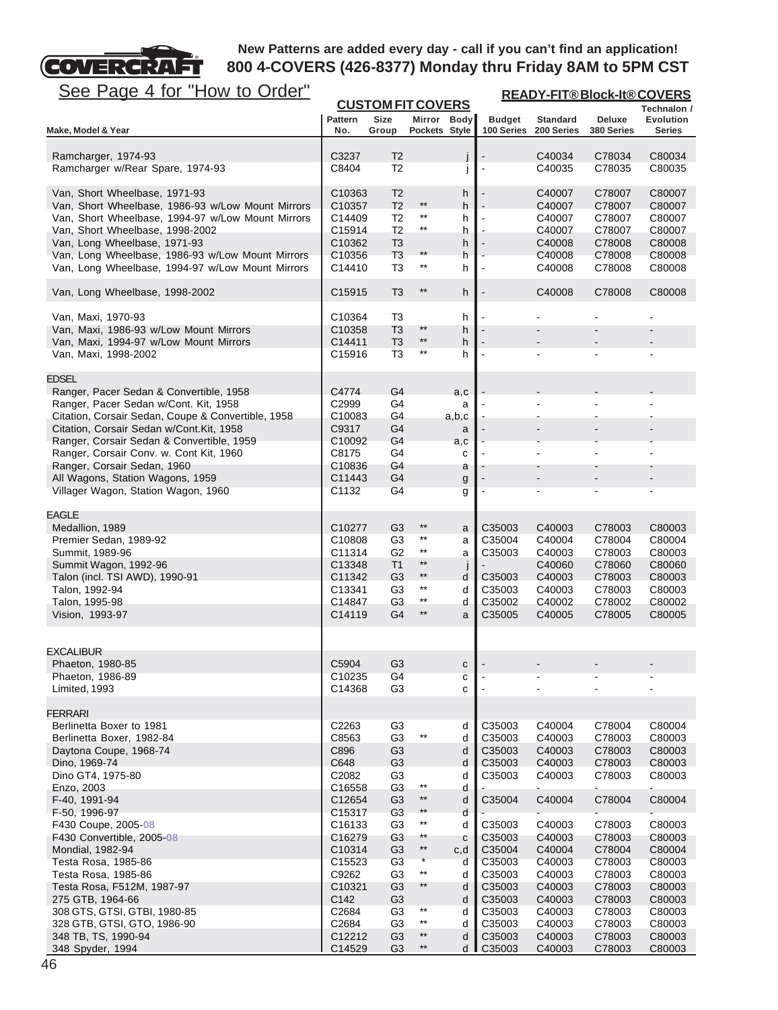

| <u>See Page 4 for "How to Order"</u>                                                 | <b>READY-FIT®Block-It®COVERS</b><br><b>CUSTOM FIT COVERS</b> |                                  |                 |                    |                             |                               |                      |                                   |  |
|--------------------------------------------------------------------------------------|--------------------------------------------------------------|----------------------------------|-----------------|--------------------|-----------------------------|-------------------------------|----------------------|-----------------------------------|--|
|                                                                                      |                                                              |                                  |                 |                    |                             |                               |                      | Technalon /                       |  |
| Make, Model & Year                                                                   | <b>Pattern</b><br>No.                                        | <b>Size</b><br>Group             | Pockets Style   | Mirror Body        | <b>Budget</b><br>100 Series | <b>Standard</b><br>200 Series | Deluxe<br>380 Series | <b>Evolution</b><br><b>Series</b> |  |
|                                                                                      |                                                              |                                  |                 |                    |                             |                               |                      |                                   |  |
| Ramcharger, 1974-93                                                                  | C3237                                                        | T <sub>2</sub>                   |                 |                    |                             | C40034                        | C78034               | C80034                            |  |
| Ramcharger w/Rear Spare, 1974-93                                                     | C8404                                                        | T <sub>2</sub>                   |                 | $\mathbf{I}$       |                             | C40035                        | C78035               | C80035                            |  |
| Van, Short Wheelbase, 1971-93                                                        | C <sub>10363</sub>                                           | T <sub>2</sub>                   |                 | h                  |                             | C40007                        | C78007               | C80007                            |  |
| Van, Short Wheelbase, 1986-93 w/Low Mount Mirrors                                    | C10357                                                       | T <sub>2</sub>                   | $^{\star\star}$ | h                  |                             | C40007                        | C78007               | C80007                            |  |
| Van, Short Wheelbase, 1994-97 w/Low Mount Mirrors                                    | C14409                                                       | T <sub>2</sub>                   | $^{\star\star}$ | h                  |                             | C40007                        | C78007               | C80007                            |  |
| Van, Short Wheelbase, 1998-2002                                                      | C15914                                                       | T <sub>2</sub>                   | $\star\star$    | h                  |                             | C40007                        | C78007               | C80007                            |  |
| Van, Long Wheelbase, 1971-93                                                         | C10362                                                       | T <sub>3</sub>                   | $***$           | h                  |                             | C40008                        | C78008               | C80008                            |  |
| Van, Long Wheelbase, 1986-93 w/Low Mount Mirrors                                     | C10356                                                       | T <sub>3</sub>                   | $***$           | h                  |                             | C40008                        | C78008               | C80008                            |  |
| Van, Long Wheelbase, 1994-97 w/Low Mount Mirrors                                     | C14410                                                       | T <sub>3</sub>                   |                 | h                  |                             | C40008                        | C78008               | C80008                            |  |
| Van, Long Wheelbase, 1998-2002                                                       | C15915                                                       | T <sub>3</sub>                   | $^{\star\star}$ | h                  |                             | C40008                        | C78008               | C80008                            |  |
| Van, Maxi, 1970-93                                                                   | C10364                                                       | T <sub>3</sub>                   |                 | h                  |                             |                               |                      |                                   |  |
| Van, Maxi, 1986-93 w/Low Mount Mirrors                                               | C10358                                                       | T <sub>3</sub>                   | $**$            | h                  |                             |                               |                      |                                   |  |
| Van, Maxi, 1994-97 w/Low Mount Mirrors                                               | C14411                                                       | T <sub>3</sub>                   | $***$           | h                  |                             |                               |                      |                                   |  |
| Van, Maxi, 1998-2002                                                                 | C15916                                                       | T <sub>3</sub>                   | $***$           | h                  |                             |                               |                      |                                   |  |
| <b>EDSEL</b>                                                                         |                                                              |                                  |                 |                    |                             |                               |                      |                                   |  |
| Ranger, Pacer Sedan & Convertible, 1958                                              | C4774                                                        | G4                               |                 | a,c                |                             |                               |                      |                                   |  |
| Ranger, Pacer Sedan w/Cont. Kit, 1958                                                | C2999                                                        | G4                               |                 | a                  |                             |                               |                      |                                   |  |
| Citation, Corsair Sedan, Coupe & Convertible, 1958                                   | C10083                                                       | G4                               |                 | a,b,c              |                             |                               |                      |                                   |  |
| Citation, Corsair Sedan w/Cont.Kit, 1958                                             | C9317                                                        | G4                               |                 | a                  |                             |                               |                      |                                   |  |
| Ranger, Corsair Sedan & Convertible, 1959<br>Ranger, Corsair Conv. w. Cont Kit, 1960 | C10092<br>C8175                                              | G4<br>G4                         |                 | a,c                |                             |                               | Ĭ.                   |                                   |  |
| Ranger, Corsair Sedan, 1960                                                          | C10836                                                       | G4                               |                 | c<br>a             |                             |                               |                      |                                   |  |
| All Wagons, Station Wagons, 1959                                                     | C11443                                                       | G4                               |                 | g                  |                             |                               |                      |                                   |  |
| Villager Wagon, Station Wagon, 1960                                                  | C1132                                                        | G <sub>4</sub>                   |                 | g                  |                             |                               |                      | $\blacksquare$                    |  |
|                                                                                      |                                                              |                                  |                 |                    |                             |                               |                      |                                   |  |
| <b>EAGLE</b>                                                                         |                                                              |                                  | $***$           |                    | C35003                      |                               |                      |                                   |  |
| Medallion, 1989<br>Premier Sedan, 1989-92                                            | C10277<br>C10808                                             | G3<br>G3                         | **              | a<br>a             | C35004                      | C40003<br>C40004              | C78003<br>C78004     | C80003<br>C80004                  |  |
| Summit, 1989-96                                                                      | C11314                                                       | G2                               | $^{\star\star}$ | a                  | C35003                      | C40003                        | C78003               | C80003                            |  |
| Summit Wagon, 1992-96                                                                | C13348                                                       | T <sub>1</sub>                   | $^{\star\star}$ | $\mathsf{I}$       |                             | C40060                        | C78060               | C80060                            |  |
| Talon (incl. TSI AWD), 1990-91                                                       | C11342                                                       | G <sub>3</sub>                   | $^{\star\star}$ | d                  | C35003                      | C40003                        | C78003               | C80003                            |  |
| Talon, 1992-94                                                                       | C <sub>13341</sub>                                           | G3                               | $^{\star\star}$ | d                  | C35003                      | C40003                        | C78003               | C80003                            |  |
| Talon, 1995-98                                                                       | C14847                                                       | G3                               | $\star\star$    | d                  | C35002                      | C40002                        | C78002               | C80002                            |  |
| Vision, 1993-97                                                                      | C14119                                                       | G4                               | **              | a                  | C35005                      | C40005                        | C78005               | C80005                            |  |
|                                                                                      |                                                              |                                  |                 |                    |                             |                               |                      |                                   |  |
| <b>EXCALIBUR</b>                                                                     |                                                              |                                  |                 |                    |                             |                               |                      |                                   |  |
| Phaeton, 1980-85                                                                     | C5904                                                        | G <sub>3</sub>                   |                 | C                  |                             |                               |                      |                                   |  |
| Phaeton, 1986-89<br>Limited, 1993                                                    | C10235<br>C14368                                             | G4<br>G3                         |                 | с<br>c             |                             |                               |                      |                                   |  |
|                                                                                      |                                                              |                                  |                 |                    |                             |                               |                      |                                   |  |
| <b>FERRARI</b>                                                                       |                                                              |                                  |                 |                    |                             |                               |                      |                                   |  |
| Berlinetta Boxer to 1981                                                             | C2263                                                        | G <sub>3</sub>                   | $^{\star\star}$ | d                  | C35003                      | C40004                        | C78004               | C80004                            |  |
| Berlinetta Boxer, 1982-84                                                            | C8563                                                        | G <sub>3</sub>                   |                 | d                  | C35003                      | C40003                        | C78003               | C80003                            |  |
| Daytona Coupe, 1968-74<br>Dino, 1969-74                                              | C896<br>C648                                                 | G <sub>3</sub><br>G <sub>3</sub> |                 | d<br>d             | C35003<br>C35003            | C40003<br>C40003              | C78003<br>C78003     | C80003<br>C80003                  |  |
| Dino GT4, 1975-80                                                                    | C2082                                                        | G3                               |                 | d                  | C35003                      | C40003                        | C78003               | C80003                            |  |
| Enzo, 2003                                                                           | C16558                                                       | G <sub>3</sub>                   | $^{\star\star}$ | d                  |                             |                               |                      |                                   |  |
| F-40, 1991-94                                                                        | C12654                                                       | G <sub>3</sub>                   | $^{\star\star}$ | d                  | C35004                      | C40004                        | C78004               | C80004                            |  |
| F-50, 1996-97                                                                        | C15317                                                       | G <sub>3</sub>                   | $***$           | d                  |                             |                               |                      |                                   |  |
| F430 Coupe, 2005-08                                                                  | C <sub>16133</sub>                                           | G <sub>3</sub>                   | $***$           | d                  | C35003                      | C40003                        | C78003               | C80003                            |  |
| F430 Convertible, 2005-08                                                            | C16279                                                       | G <sub>3</sub>                   | **              | с                  | C35003                      | C40003                        | C78003               | C80003                            |  |
| Mondial, 1982-94                                                                     | C10314                                                       | G3                               | $^{\star\star}$ | c,d                | C35004                      | C40004                        | C78004               | C80004                            |  |
| Testa Rosa, 1985-86                                                                  | C15523                                                       | G3                               |                 | d                  | C35003                      | C40003                        | C78003               | C80003                            |  |
| Testa Rosa, 1985-86                                                                  | C9262                                                        | G <sub>3</sub>                   | $^{\star\star}$ | d                  | C35003                      | C40003                        | C78003               | C80003                            |  |
| Testa Rosa, F512M, 1987-97                                                           | C10321                                                       | G <sub>3</sub>                   | **              | d                  | C35003                      | C40003                        | C78003               | C80003                            |  |
| 275 GTB, 1964-66                                                                     | C142                                                         | G3                               | $***$           | d                  | C35003                      | C40003                        | C78003               | C80003                            |  |
| 308 GTS, GTSI, GTBI, 1980-85                                                         | C2684                                                        | G <sub>3</sub>                   | $***$           | d                  | C35003                      | C40003                        | C78003               | C80003                            |  |
| 328 GTB, GTSI, GTO, 1986-90<br>348 TB, TS, 1990-94                                   | C2684<br>C12212                                              | G <sub>3</sub><br>G <sub>3</sub> | $^{\star\star}$ | d<br>d             | C35003<br>C35003            | C40003<br>C40003              | C78003<br>C78003     | C80003<br>C80003                  |  |
| 348 Spyder, 1994                                                                     | C14529                                                       | G <sub>3</sub>                   | $***$           | $d$ $\blacksquare$ | C35003                      | C40003                        | C78003               | C80003                            |  |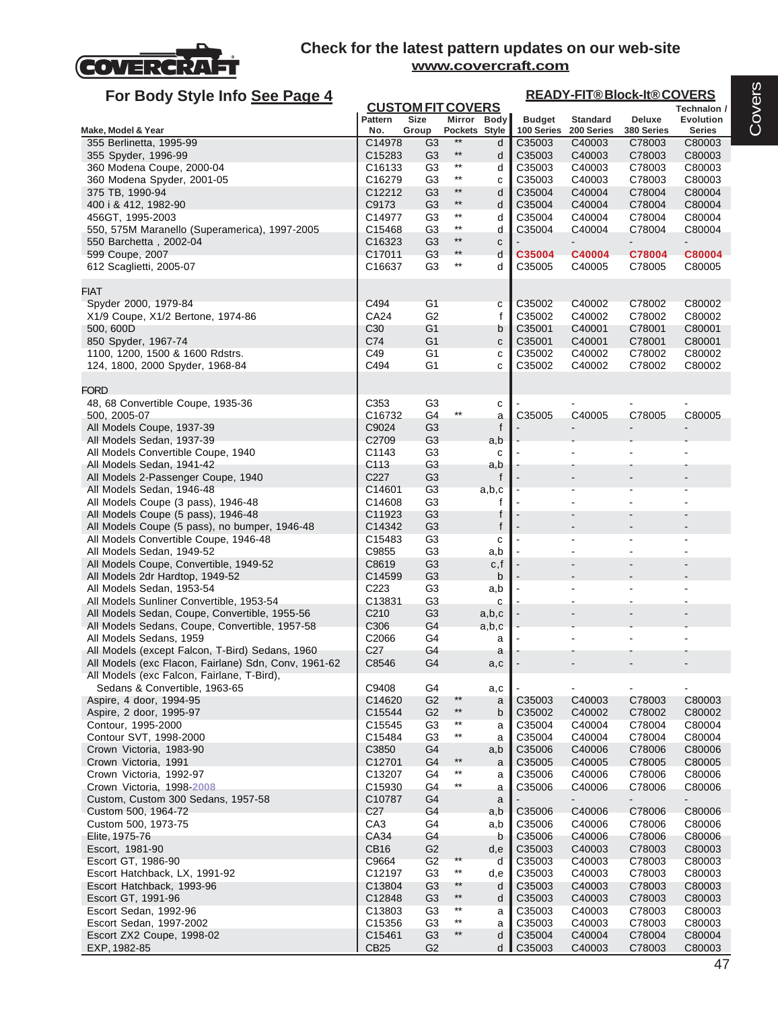

| For Body Style Info See Page 4                                      |                          |                                  |                         |             | <b>READY-FIT®Block-It®COVERS</b> |                      |                      |                  |  |
|---------------------------------------------------------------------|--------------------------|----------------------------------|-------------------------|-------------|----------------------------------|----------------------|----------------------|------------------|--|
|                                                                     | <b>CUSTOM FIT COVERS</b> |                                  |                         |             |                                  |                      |                      |                  |  |
|                                                                     | <b>Pattern</b>           | <b>Size</b>                      |                         | Mirror Body | <b>Budget</b>                    | <b>Standard</b>      | Deluxe               | Evolution        |  |
| Make, Model & Year<br>355 Berlinetta, 1995-99                       | No.<br>C14978            | Group<br>G <sub>3</sub>          | Pockets Style<br>$**$   | d           | 100 Series<br>C35003             | 200 Series<br>C40003 | 380 Series<br>C78003 | Series<br>C80003 |  |
| 355 Spyder, 1996-99                                                 | C15283                   | G <sub>3</sub>                   | $^{\star\star}$         | d           | C35003                           | C40003               | C78003               | C80003           |  |
| 360 Modena Coupe, 2000-04                                           | C <sub>16133</sub>       | G <sub>3</sub>                   | $^{\star\star}$         | d           | C35003                           | C40003               | C78003               | C80003           |  |
| 360 Modena Spyder, 2001-05                                          | C16279                   | G <sub>3</sub>                   | $^{\star\star}$         | C           | C35003                           | C40003               | C78003               | C80003           |  |
| 375 TB, 1990-94                                                     | C12212                   | G <sub>3</sub>                   | $***$                   | d           | C35004                           | C40004               | C78004               | C80004           |  |
| 400 i & 412, 1982-90                                                | C9173                    | G <sub>3</sub>                   | $***$                   | d           | C35004                           | C40004               | C78004               | C80004           |  |
| 456GT, 1995-2003                                                    | C14977                   | G <sub>3</sub>                   | $***$                   | d           | C35004                           | C40004               | C78004               | C80004           |  |
| 550, 575M Maranello (Superamerica), 1997-2005                       | C15468                   | G <sub>3</sub>                   | $^{\star\star}$         | d           | C35004                           | C40004               | C78004               | C80004           |  |
| 550 Barchetta, 2002-04                                              | C16323                   | G <sub>3</sub>                   | $**$                    | C           |                                  |                      |                      |                  |  |
| 599 Coupe, 2007                                                     | C17011<br>C16637         | G <sub>3</sub><br>G <sub>3</sub> | $**$<br>$^{\star\star}$ | d           | C35004<br>C35005                 | C40004               | C78004               | <b>C80004</b>    |  |
| 612 Scaglietti, 2005-07                                             |                          |                                  |                         | d           |                                  | C40005               | C78005               | C80005           |  |
| <b>FIAT</b>                                                         |                          |                                  |                         |             |                                  |                      |                      |                  |  |
| Spyder 2000, 1979-84                                                | C494                     | G <sub>1</sub>                   |                         | C           | C35002                           | C40002               | C78002               | C80002           |  |
| X1/9 Coupe, X1/2 Bertone, 1974-86                                   | CA24                     | G2                               |                         | f           | C35002                           | C40002               | C78002               | C80002           |  |
| 500, 600D                                                           | C <sub>30</sub>          | G <sub>1</sub>                   |                         | b           | C35001                           | C40001               | C78001               | C80001           |  |
| 850 Spyder, 1967-74                                                 | C74                      | G1                               |                         | ${\bf c}$   | C35001                           | C40001               | C78001               | C80001           |  |
| 1100, 1200, 1500 & 1600 Rdstrs.                                     | C49                      | G1                               |                         | с           | C35002                           | C40002               | C78002               | C80002           |  |
| 124, 1800, 2000 Spyder, 1968-84                                     | C494                     | G1                               |                         | C           | C35002                           | C40002               | C78002               | C80002           |  |
|                                                                     |                          |                                  |                         |             |                                  |                      |                      |                  |  |
| <b>FORD</b>                                                         |                          |                                  |                         |             |                                  |                      |                      |                  |  |
| 48, 68 Convertible Coupe, 1935-36<br>500, 2005-07                   | C353<br>C16732           | G <sub>3</sub><br>G4             | $^{\star\star}$         | с           | C35005                           | C40005               | C78005               | C80005           |  |
| All Models Coupe, 1937-39                                           | C9024                    | G <sub>3</sub>                   |                         | a<br>f      |                                  |                      |                      |                  |  |
| All Models Sedan, 1937-39                                           | C2709                    | G <sub>3</sub>                   |                         | a,b         |                                  |                      |                      |                  |  |
| All Models Convertible Coupe, 1940                                  | C1143                    | G <sub>3</sub>                   |                         | с           |                                  |                      |                      |                  |  |
| All Models Sedan, 1941-42                                           | C113                     | G <sub>3</sub>                   |                         | a,b         |                                  |                      |                      |                  |  |
| All Models 2-Passenger Coupe, 1940                                  | C227                     | G <sub>3</sub>                   |                         | f           |                                  |                      |                      |                  |  |
| All Models Sedan, 1946-48                                           | C14601                   | G <sub>3</sub>                   |                         | a,b,c       |                                  |                      |                      |                  |  |
| All Models Coupe (3 pass), 1946-48                                  | C14608                   | G <sub>3</sub>                   |                         | f           |                                  |                      |                      |                  |  |
| All Models Coupe (5 pass), 1946-48                                  | C11923                   | G <sub>3</sub>                   |                         | f           |                                  |                      |                      |                  |  |
| All Models Coupe (5 pass), no bumper, 1946-48                       | C14342                   | G <sub>3</sub>                   |                         | f           |                                  |                      |                      |                  |  |
| All Models Convertible Coupe, 1946-48                               | C15483                   | G <sub>3</sub>                   |                         | с           |                                  |                      |                      |                  |  |
| All Models Sedan, 1949-52<br>All Models Coupe, Convertible, 1949-52 | C9855<br>C8619           | G <sub>3</sub><br>G <sub>3</sub> |                         | a,b<br>c, f |                                  |                      |                      |                  |  |
| All Models 2dr Hardtop, 1949-52                                     | C14599                   | G <sub>3</sub>                   |                         | b           |                                  |                      |                      |                  |  |
| All Models Sedan, 1953-54                                           | C223                     | G <sub>3</sub>                   |                         | a,b         |                                  |                      |                      |                  |  |
| All Models Sunliner Convertible, 1953-54                            | C13831                   | G <sub>3</sub>                   |                         | С           |                                  |                      |                      |                  |  |
| All Models Sedan, Coupe, Convertible, 1955-56                       | C <sub>210</sub>         | G <sub>3</sub>                   |                         | a,b,c       |                                  |                      |                      |                  |  |
| All Models Sedans, Coupe, Convertible, 1957-58                      | C306                     | G4                               |                         | a,b,c       |                                  |                      |                      |                  |  |
| All Models Sedans, 1959                                             | C2066                    | G4                               |                         | a           |                                  |                      |                      |                  |  |
| All Models (except Falcon, T-Bird) Sedans, 1960                     | C <sub>27</sub>          | G4                               |                         | a           |                                  |                      |                      |                  |  |
| All Models (exc Flacon, Fairlane) Sdn, Conv, 1961-62                | C8546                    | G4                               |                         | a,c         |                                  |                      |                      |                  |  |
| All Models (exc Falcon, Fairlane, T-Bird),                          |                          |                                  |                         |             |                                  |                      |                      |                  |  |
| Sedans & Convertible, 1963-65                                       | C9408                    | G4<br>G <sub>2</sub>             | $***$                   | a,c         |                                  | C40003               |                      |                  |  |
| Aspire, 4 door, 1994-95<br>Aspire, 2 door, 1995-97                  | C14620<br>C15544         | G <sub>2</sub>                   | $***$                   | a<br>b      | C35003<br>C35002                 | C40002               | C78003<br>C78002     | C80003<br>C80002 |  |
| Contour, 1995-2000                                                  | C15545                   | G <sub>3</sub>                   | $^{\star\star}$         | a           | C35004                           | C40004               | C78004               | C80004           |  |
| Contour SVT, 1998-2000                                              | C15484                   | G <sub>3</sub>                   | $***$                   | a           | C35004                           | C40004               | C78004               | C80004           |  |
| Crown Victoria, 1983-90                                             | C3850                    | G4                               |                         | a,b         | C35006                           | C40006               | C78006               | C80006           |  |
| Crown Victoria, 1991                                                | C12701                   | G4                               | $^{\star\star}$         | a           | C35005                           | C40005               | C78005               | C80005           |  |
| Crown Victoria, 1992-97                                             | C13207                   | G4                               | $***$                   | a           | C35006                           | C40006               | C78006               | C80006           |  |
| Crown Victoria, 1998-2008                                           | C15930                   | G4                               | $^{\star\star}$         | a           | C35006                           | C40006               | C78006               | C80006           |  |
| Custom, Custom 300 Sedans, 1957-58                                  | C10787                   | G4                               |                         | a           |                                  |                      |                      |                  |  |
| Custom 500, 1964-72                                                 | C <sub>27</sub>          | G4                               |                         | a,b         | C35006                           | C40006               | C78006               | C80006           |  |
| Custom 500, 1973-75                                                 | CA <sub>3</sub>          | G4                               |                         | a,b         | C35006                           | C40006               | C78006               | C80006           |  |
| Elite, 1975-76                                                      | CA34<br><b>CB16</b>      | G4<br>G <sub>2</sub>             |                         | b           | C35006                           | C40006               | C78006               | C80006           |  |
| Escort, 1981-90<br>Escort GT, 1986-90                               | C9664                    | G <sub>2</sub>                   | $***$                   | d,e<br>d    | C35003<br>C35003                 | C40003<br>C40003     | C78003<br>C78003     | C80003<br>C80003 |  |
| Escort Hatchback, LX, 1991-92                                       | C12197                   | G <sub>3</sub>                   | $^{\star\star}$         | d,e         | C35003                           | C40003               | C78003               | C80003           |  |
| Escort Hatchback, 1993-96                                           | C13804                   | G <sub>3</sub>                   | $***$                   | d           | C35003                           | C40003               | C78003               | C80003           |  |
| Escort GT, 1991-96                                                  | C12848                   | G <sub>3</sub>                   | $^{\star\star}$         | d           | C35003                           | C40003               | C78003               | C80003           |  |
| Escort Sedan, 1992-96                                               | C13803                   | G <sub>3</sub>                   | $^{\star\star}$         | a           | C35003                           | C40003               | C78003               | C80003           |  |
| Escort Sedan, 1997-2002                                             | C15356                   | G <sub>3</sub>                   | $^{\star\star}$         | a           | C35003                           | C40003               | C78003               | C80003           |  |
| Escort ZX2 Coupe, 1998-02                                           | C15461                   | G <sub>3</sub>                   | $^{\star\star}$         | d           | C35004                           | C40004               | C78004               | C80004           |  |
| EXP, 1982-85                                                        | CB <sub>25</sub>         | G <sub>2</sub>                   |                         | d           | C35003                           | C40003               | C78003               | C80003           |  |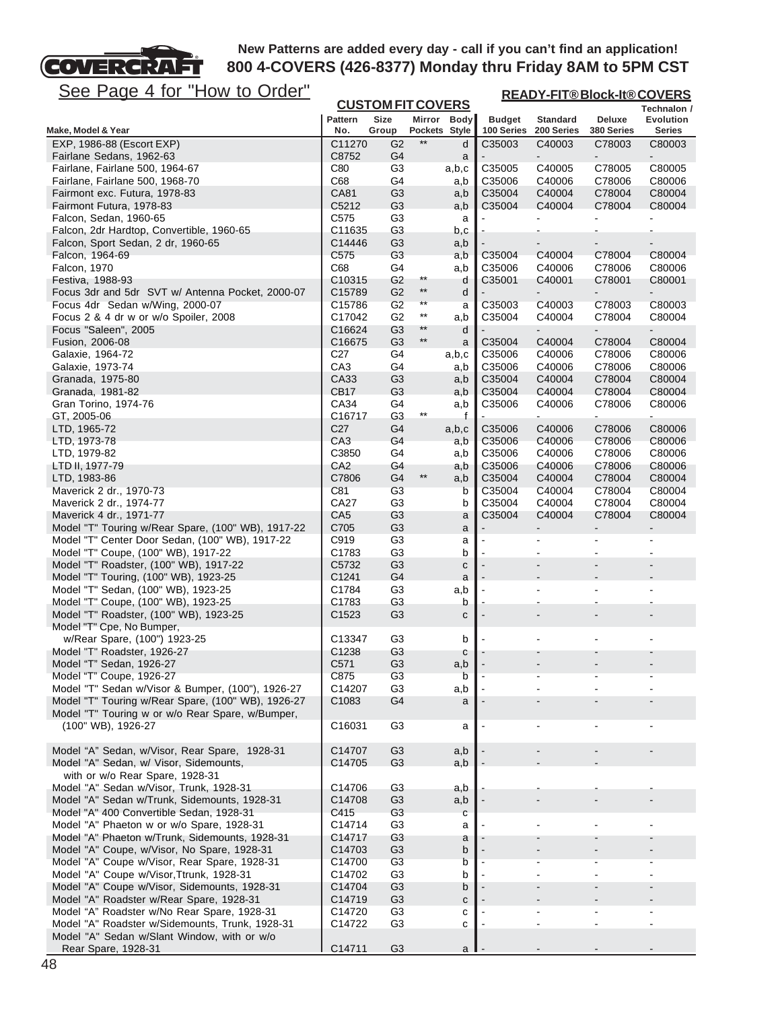## **COVERCRA** FГ

# **New Patterns are added every day - call if you can't find an application! 800 4-COVERS (426-8377) Monday thru Friday 8AM to 5PM CST**

**READY-FIT® Block-It® COVERS**

| <u> סטט</u><br><u>ayu + IUI</u><br><u><b>I IUW WU UIUUI</b></u>                               |                           | <b>CUSTOM FIT COVERS</b>         |                       |                   |                  | <b>READY-FIT®BIOCK-IT®COVERS</b><br>Technalon / |                          |                  |  |
|-----------------------------------------------------------------------------------------------|---------------------------|----------------------------------|-----------------------|-------------------|------------------|-------------------------------------------------|--------------------------|------------------|--|
|                                                                                               | <b>Pattern</b>            | <b>Size</b>                      |                       | Mirror Body       | <b>Budget</b>    | <b>Standard</b>                                 | Deluxe                   | Evolution        |  |
| Make, Model & Year                                                                            | No.                       | Group                            | Pockets Style         |                   | 100 Series       | 200 Series                                      | 380 Series               | <b>Series</b>    |  |
| EXP, 1986-88 (Escort EXP)<br>Fairlane Sedans, 1962-63                                         | C11270<br>C8752           | G <sub>2</sub><br>G <sub>4</sub> | $***$                 | d<br>a            | C35003           | C40003                                          | C78003                   | C80003           |  |
| Fairlane, Fairlane 500, 1964-67                                                               | C80                       | G <sub>3</sub>                   |                       | a,b,c             | C35005           | C40005                                          | C78005                   | C80005           |  |
| Fairlane, Fairlane 500, 1968-70                                                               | C68                       | G4                               |                       | a,b               | C35006           | C40006                                          | C78006                   | C80006           |  |
| Fairmont exc. Futura, 1978-83                                                                 | <b>CA81</b>               | G <sub>3</sub>                   |                       | a,b               | C35004           | C40004                                          | C78004                   | C80004           |  |
| Fairmont Futura, 1978-83                                                                      | C5212                     | G3                               |                       | a,b               | C35004           | C40004                                          | C78004                   | C80004           |  |
| Falcon, Sedan, 1960-65                                                                        | C575                      | G <sub>3</sub>                   |                       | a                 |                  |                                                 |                          |                  |  |
| Falcon, 2dr Hardtop, Convertible, 1960-65<br>Falcon, Sport Sedan, 2 dr, 1960-65               | C11635<br>C14446          | G <sub>3</sub><br>G <sub>3</sub> |                       | b,c               |                  |                                                 |                          |                  |  |
| Falcon, 1964-69                                                                               | C575                      | G <sub>3</sub>                   |                       | a,b<br>a,b        | C35004           | C40004                                          | C78004                   | C80004           |  |
| Falcon, 1970                                                                                  | C68                       | G4                               |                       | a,b               | C35006           | C40006                                          | C78006                   | C80006           |  |
| Festiva, 1988-93                                                                              | C <sub>10315</sub>        | G <sub>2</sub>                   | $^{\star\star}$       | d                 | C35001           | C40001                                          | C78001                   | C80001           |  |
| Focus 3dr and 5dr SVT w/ Antenna Pocket, 2000-07                                              | C <sub>15789</sub>        | G <sub>2</sub>                   | $***$                 | d                 |                  |                                                 |                          |                  |  |
| Focus 4dr Sedan w/Wing, 2000-07                                                               | C <sub>15786</sub>        | G <sub>2</sub>                   | $***$                 | a                 | C35003           | C40003                                          | C78003                   | C80003           |  |
| Focus 2 & 4 dr w or w/o Spoiler, 2008                                                         | C17042                    | G <sub>2</sub>                   | $^{\star\star}$       | a,b               | C35004           | C40004                                          | C78004                   | C80004           |  |
| Focus "Saleen", 2005                                                                          | C16624                    | G <sub>3</sub>                   | **<br>$^{\star\star}$ | d                 |                  | $\blacksquare$                                  | $\overline{\phantom{a}}$ | $\blacksquare$   |  |
| Fusion, 2006-08                                                                               | C16675<br>C <sub>27</sub> | G <sub>3</sub><br>G4             |                       | a                 | C35004<br>C35006 | C40004                                          | C78004                   | C80004           |  |
| Galaxie, 1964-72<br>Galaxie, 1973-74                                                          | CA <sub>3</sub>           | G4                               |                       | a,b,c<br>a,b      | C35006           | C40006<br>C40006                                | C78006<br>C78006         | C80006<br>C80006 |  |
| Granada, 1975-80                                                                              | CA33                      | G <sub>3</sub>                   |                       | a,b               | C35004           | C40004                                          | C78004                   | C80004           |  |
| Granada, 1981-82                                                                              | <b>CB17</b>               | G <sub>3</sub>                   |                       | a,b               | C35004           | C40004                                          | C78004                   | C80004           |  |
| Gran Torino, 1974-76                                                                          | CA34                      | G4                               |                       | a,b               | C35006           | C40006                                          | C78006                   | C80006           |  |
| GT, 2005-06                                                                                   | C16717                    | G <sub>3</sub>                   | $^{\star\star}$       | f                 |                  |                                                 |                          |                  |  |
| LTD, 1965-72                                                                                  | C <sub>27</sub>           | G4                               |                       | a,b,c             | C35006           | C40006                                          | C78006                   | C80006           |  |
| LTD, 1973-78                                                                                  | CA <sub>3</sub>           | G4                               |                       | a,b               | C35006           | C40006                                          | C78006                   | C80006           |  |
| LTD, 1979-82                                                                                  | C3850                     | G4                               |                       | a,b               | C35006           | C40006                                          | C78006                   | C80006           |  |
| LTD II, 1977-79                                                                               | CA <sub>2</sub>           | G4                               | $***$                 | a,b               | C35006           | C40006                                          | C78006                   | C80006           |  |
| LTD, 1983-86<br>Maverick 2 dr., 1970-73                                                       | C7806<br>C81              | G4<br>G <sub>3</sub>             |                       | a,b<br>b          | C35004<br>C35004 | C40004<br>C40004                                | C78004<br>C78004         | C80004<br>C80004 |  |
| Maverick 2 dr., 1974-77                                                                       | CA27                      | G <sub>3</sub>                   |                       | b                 | C35004           | C40004                                          | C78004                   | C80004           |  |
| Maverick 4 dr., 1971-77                                                                       | CA <sub>5</sub>           | G <sub>3</sub>                   |                       | a                 | C35004           | C40004                                          | C78004                   | C80004           |  |
| Model "T" Touring w/Rear Spare, (100" WB), 1917-22                                            | C705                      | G <sub>3</sub>                   |                       | a                 |                  |                                                 |                          |                  |  |
| Model "T" Center Door Sedan, (100" WB), 1917-22                                               | C919                      | G <sub>3</sub>                   |                       | a                 |                  |                                                 |                          |                  |  |
| Model "T" Coupe, (100" WB), 1917-22                                                           | C <sub>1783</sub>         | G <sub>3</sub>                   |                       | b                 |                  |                                                 |                          |                  |  |
| Model "T" Roadster, (100" WB), 1917-22<br>Model "T" Touring, (100" WB), 1923-25               | C5732<br>C1241            | G <sub>3</sub><br>G4             |                       | $\mathbf{C}$<br>a |                  |                                                 |                          |                  |  |
| Model "T" Sedan, (100" WB), 1923-25                                                           | C1784                     | G3                               |                       | a,b               |                  |                                                 |                          |                  |  |
| Model "T" Coupe, (100" WB), 1923-25                                                           | C1783                     | G <sub>3</sub>                   |                       | b                 |                  |                                                 |                          |                  |  |
| Model "T" Roadster, (100" WB), 1923-25                                                        | C1523                     | G <sub>3</sub>                   |                       | с                 |                  |                                                 |                          |                  |  |
| Model "T" Cpe, No Bumper,                                                                     |                           |                                  |                       |                   |                  |                                                 |                          |                  |  |
| w/Rear Spare, (100") 1923-25                                                                  | C13347                    | G3                               |                       | b                 |                  |                                                 |                          |                  |  |
| Model "T" Roadster, 1926-27                                                                   | C1238<br>C571             | G3<br>G <sub>3</sub>             |                       | с                 |                  |                                                 |                          |                  |  |
| Model "T" Sedan, 1926-27<br>Model "T" Coupe, 1926-27                                          | C875                      | G <sub>3</sub>                   |                       | a,b<br>b          |                  |                                                 |                          |                  |  |
| Model "T" Sedan w/Visor & Bumper, (100"), 1926-27                                             | C14207                    | G <sub>3</sub>                   |                       | a,b               |                  |                                                 |                          |                  |  |
| Model "T" Touring w/Rear Spare, (100" WB), 1926-27                                            | C1083                     | G4                               |                       | a                 |                  |                                                 |                          |                  |  |
| Model "T" Touring w or w/o Rear Spare, w/Bumper,                                              |                           |                                  |                       |                   |                  |                                                 |                          |                  |  |
| (100" WB), 1926-27                                                                            | C16031                    | G <sub>3</sub>                   |                       | a                 |                  |                                                 |                          |                  |  |
| Model "A" Sedan, w/Visor, Rear Spare, 1928-31                                                 | C14707                    | G <sub>3</sub>                   |                       | a,b               |                  |                                                 |                          |                  |  |
| Model "A" Sedan, w/ Visor, Sidemounts,                                                        | C <sub>14705</sub>        | G <sub>3</sub>                   |                       | a,b               |                  |                                                 |                          |                  |  |
| with or w/o Rear Spare, 1928-31                                                               |                           |                                  |                       |                   |                  |                                                 |                          |                  |  |
| Model "A" Sedan w/Visor, Trunk, 1928-31                                                       | C14706                    | G <sub>3</sub>                   |                       | a,b               |                  |                                                 |                          |                  |  |
| Model "A" Sedan w/Trunk, Sidemounts, 1928-31                                                  | C14708                    | G <sub>3</sub>                   |                       | a,b               |                  |                                                 |                          |                  |  |
| Model "A" 400 Convertible Sedan, 1928-31                                                      | C415                      | G <sub>3</sub>                   |                       | С                 |                  |                                                 |                          |                  |  |
| Model "A" Phaeton w or w/o Spare, 1928-31                                                     | C14714                    | G <sub>3</sub>                   |                       | а                 |                  |                                                 |                          |                  |  |
| Model "A" Phaeton w/Trunk, Sidemounts, 1928-31<br>Model "A" Coupe, w/Visor, No Spare, 1928-31 | C14717<br>C14703          | G <sub>3</sub><br>G <sub>3</sub> |                       | a                 |                  |                                                 |                          |                  |  |
| Model "A" Coupe w/Visor, Rear Spare, 1928-31                                                  | C14700                    | G <sub>3</sub>                   |                       | b<br>b            |                  |                                                 |                          |                  |  |
| Model "A" Coupe w/Visor, Ttrunk, 1928-31                                                      | C14702                    | G <sub>3</sub>                   |                       | b                 |                  |                                                 |                          |                  |  |
| Model "A" Coupe w/Visor, Sidemounts, 1928-31                                                  | C14704                    | G <sub>3</sub>                   |                       | b                 |                  |                                                 |                          |                  |  |
| Model "A" Roadster w/Rear Spare, 1928-31                                                      | C14719                    | G <sub>3</sub>                   |                       | C                 |                  |                                                 |                          |                  |  |
| Model "A" Roadster w/No Rear Spare, 1928-31                                                   | C14720                    | G <sub>3</sub>                   |                       | С                 |                  |                                                 |                          |                  |  |
| Model "A" Roadster w/Sidemounts, Trunk, 1928-31                                               | C14722                    | G <sub>3</sub>                   |                       | С                 |                  |                                                 |                          |                  |  |
| Model "A" Sedan w/Slant Window, with or w/o                                                   |                           |                                  |                       |                   |                  |                                                 |                          |                  |  |
| Rear Spare, 1928-31                                                                           | C14711                    | G <sub>3</sub>                   |                       | a                 |                  |                                                 |                          |                  |  |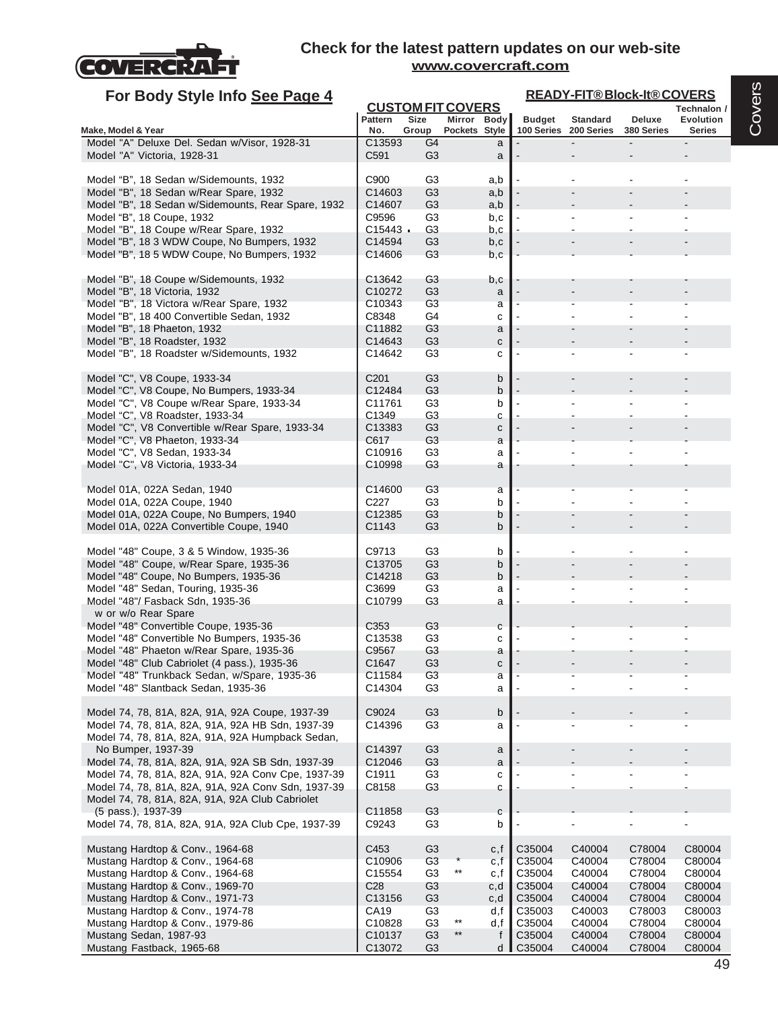

| For Body Style Info See Page 4                                                                        |                              |                                  |                              |            |               |                                          | <b>READY-FIT®Block-It®COVERS</b> |                                   |
|-------------------------------------------------------------------------------------------------------|------------------------------|----------------------------------|------------------------------|------------|---------------|------------------------------------------|----------------------------------|-----------------------------------|
|                                                                                                       |                              | <b>CUSTOM FIT COVERS</b>         |                              |            |               |                                          |                                  | Technalon /                       |
| Make, Model & Year                                                                                    | Pattern<br>No.               | <b>Size</b><br>Group             | Mirror Body<br>Pockets Style |            | <b>Budget</b> | <b>Standard</b><br>100 Series 200 Series | Deluxe<br>380 Series             | <b>Evolution</b><br><b>Series</b> |
| Model "A" Deluxe Del. Sedan w/Visor, 1928-31                                                          | C13593                       | G4                               |                              | a          |               |                                          |                                  |                                   |
| Model "A" Victoria, 1928-31                                                                           | C591                         | G <sub>3</sub>                   |                              | a          |               |                                          |                                  |                                   |
| Model "B", 18 Sedan w/Sidemounts, 1932                                                                | C900                         | G <sub>3</sub>                   |                              | a,b        |               |                                          |                                  |                                   |
| Model "B", 18 Sedan w/Rear Spare, 1932                                                                | C14603                       | G <sub>3</sub>                   |                              | a,b        |               |                                          |                                  |                                   |
| Model "B", 18 Sedan w/Sidemounts, Rear Spare, 1932                                                    | C14607                       | G <sub>3</sub>                   |                              | a,b        |               |                                          |                                  |                                   |
| Model "B", 18 Coupe, 1932<br>Model "B", 18 Coupe w/Rear Spare, 1932                                   | C9596<br>$C15443$ $\cdot$    | G <sub>3</sub><br>G <sub>3</sub> |                              | b,c<br>b,c |               |                                          |                                  |                                   |
| Model "B", 18 3 WDW Coupe, No Bumpers, 1932                                                           | C14594                       | G <sub>3</sub>                   |                              | b,c        |               |                                          |                                  |                                   |
| Model "B", 18 5 WDW Coupe, No Bumpers, 1932                                                           | C14606                       | G <sub>3</sub>                   |                              | b.c        |               |                                          |                                  |                                   |
| Model "B", 18 Coupe w/Sidemounts, 1932                                                                | C13642                       | G <sub>3</sub>                   |                              | b,c        |               |                                          |                                  |                                   |
| Model "B", 18 Victoria, 1932<br>Model "B", 18 Victora w/Rear Spare, 1932                              | C10272<br>C <sub>10343</sub> | G <sub>3</sub><br>G <sub>3</sub> |                              | a<br>a     |               |                                          |                                  |                                   |
| Model "B", 18 400 Convertible Sedan, 1932                                                             | C8348                        | G4                               |                              | C          |               |                                          |                                  |                                   |
| Model "B", 18 Phaeton, 1932                                                                           | C11882                       | G <sub>3</sub>                   |                              | a          |               |                                          |                                  |                                   |
| Model "B", 18 Roadster, 1932                                                                          | C14643                       | G <sub>3</sub>                   |                              | с          |               |                                          |                                  |                                   |
| Model "B", 18 Roadster w/Sidemounts, 1932                                                             | C14642                       | G <sub>3</sub>                   |                              | C          |               |                                          |                                  |                                   |
| Model "C", V8 Coupe, 1933-34<br>Model "C", V8 Coupe, No Bumpers, 1933-34                              | C <sub>201</sub><br>C12484   | G <sub>3</sub><br>G <sub>3</sub> |                              | b<br>b     |               |                                          |                                  |                                   |
| Model "C", V8 Coupe w/Rear Spare, 1933-34                                                             | C11761                       | G <sub>3</sub>                   |                              | b          |               |                                          |                                  |                                   |
| Model "C", V8 Roadster, 1933-34                                                                       | C1349                        | G <sub>3</sub>                   |                              | C          |               |                                          |                                  |                                   |
| Model "C", V8 Convertible w/Rear Spare, 1933-34                                                       | C <sub>13383</sub>           | G <sub>3</sub>                   |                              | C          |               |                                          |                                  |                                   |
| Model "C", V8 Phaeton, 1933-34                                                                        | C617                         | G <sub>3</sub>                   |                              | a          |               |                                          |                                  |                                   |
| Model "C", V8 Sedan, 1933-34                                                                          | C10916                       | G <sub>3</sub>                   |                              | a          |               |                                          |                                  |                                   |
| Model "C", V8 Victoria, 1933-34                                                                       | C10998                       | G <sub>3</sub>                   |                              | a          |               |                                          |                                  |                                   |
| Model 01A, 022A Sedan, 1940                                                                           | C14600                       | G <sub>3</sub>                   |                              | a          |               |                                          |                                  |                                   |
| Model 01A, 022A Coupe, 1940                                                                           | C227                         | G <sub>3</sub>                   |                              | b          |               |                                          |                                  |                                   |
| Model 01A, 022A Coupe, No Bumpers, 1940                                                               | C12385                       | G <sub>3</sub>                   |                              | b          |               |                                          |                                  |                                   |
| Model 01A, 022A Convertible Coupe, 1940                                                               | C1143                        | G <sub>3</sub>                   |                              | b          |               |                                          |                                  |                                   |
| Model "48" Coupe, 3 & 5 Window, 1935-36                                                               | C9713                        | G3                               |                              | b          |               |                                          |                                  |                                   |
| Model "48" Coupe, w/Rear Spare, 1935-36                                                               | C13705                       | G <sub>3</sub>                   |                              | b          |               |                                          |                                  |                                   |
| Model "48" Coupe, No Bumpers, 1935-36                                                                 | C14218                       | G3                               |                              | b          |               |                                          |                                  |                                   |
| Model "48" Sedan, Touring, 1935-36                                                                    | C3699                        | G <sub>3</sub>                   |                              | a          |               |                                          |                                  |                                   |
| Model "48"/ Fasback Sdn, 1935-36                                                                      | C10799                       | G <sub>3</sub>                   |                              | a          |               |                                          |                                  |                                   |
| w or w/o Rear Spare                                                                                   |                              |                                  |                              |            |               |                                          |                                  |                                   |
| Model "48" Convertible Coupe, 1935-36                                                                 | C353                         | G <sub>3</sub>                   |                              | с          |               |                                          |                                  |                                   |
| Model "48" Convertible No Bumpers, 1935-36<br>Model "48" Phaeton w/Rear Spare, 1935-36                | C <sub>13538</sub><br>C9567  | G <sub>3</sub><br>G <sub>3</sub> |                              | С          |               |                                          |                                  |                                   |
| Model "48" Club Cabriolet (4 pass.), 1935-36                                                          | C1647                        | G <sub>3</sub>                   |                              | a<br>C     |               |                                          |                                  |                                   |
| Model "48" Trunkback Sedan, w/Spare, 1935-36                                                          | C11584                       | G <sub>3</sub>                   |                              | a          |               |                                          |                                  |                                   |
| Model "48" Slantback Sedan, 1935-36                                                                   | C14304                       | G <sub>3</sub>                   |                              | a          |               |                                          |                                  |                                   |
|                                                                                                       |                              |                                  |                              |            |               |                                          |                                  |                                   |
| Model 74, 78, 81A, 82A, 91A, 92A Coupe, 1937-39<br>Model 74, 78, 81A, 82A, 91A, 92A HB Sdn, 1937-39   | C9024<br>C14396              | G <sub>3</sub><br>G <sub>3</sub> |                              | b<br>a     |               |                                          |                                  |                                   |
| Model 74, 78, 81A, 82A, 91A, 92A Humpback Sedan,                                                      |                              |                                  |                              |            |               |                                          |                                  |                                   |
| No Bumper, 1937-39                                                                                    | C14397                       | G <sub>3</sub>                   |                              | a          |               |                                          |                                  |                                   |
| Model 74, 78, 81A, 82A, 91A, 92A SB Sdn, 1937-39                                                      | C12046                       | G <sub>3</sub>                   |                              | a          |               |                                          |                                  |                                   |
| Model 74, 78, 81A, 82A, 91A, 92A Conv Cpe, 1937-39                                                    | C1911                        | G <sub>3</sub>                   |                              | с          |               |                                          |                                  |                                   |
| Model 74, 78, 81A, 82A, 91A, 92A Conv Sdn, 1937-39<br>Model 74, 78, 81A, 82A, 91A, 92A Club Cabriolet | C8158                        | G <sub>3</sub>                   |                              | c          |               |                                          |                                  |                                   |
| (5 pass.), 1937-39                                                                                    | C11858                       | G <sub>3</sub>                   |                              | с          |               |                                          |                                  |                                   |
| Model 74, 78, 81A, 82A, 91A, 92A Club Cpe, 1937-39                                                    | C9243                        | G <sub>3</sub>                   |                              | b          |               |                                          |                                  |                                   |
| Mustang Hardtop & Conv., 1964-68                                                                      | C453                         | G <sub>3</sub>                   |                              | c,f        | C35004        | C40004                                   | C78004                           | C80004                            |
| Mustang Hardtop & Conv., 1964-68                                                                      | C <sub>10906</sub>           | G <sub>3</sub>                   |                              | c,f        | C35004        | C40004                                   | C78004                           | C80004                            |
| Mustang Hardtop & Conv., 1964-68                                                                      | C15554                       | G <sub>3</sub>                   | $***$                        | c,f        | C35004        | C40004                                   | C78004                           | C80004                            |
| Mustang Hardtop & Conv., 1969-70                                                                      | C <sub>28</sub>              | G <sub>3</sub>                   |                              | c,d        | C35004        | C40004                                   | C78004                           | C80004                            |
| Mustang Hardtop & Conv., 1971-73                                                                      | C13156                       | G <sub>3</sub>                   |                              | c,d        | C35004        | C40004                                   | C78004                           | C80004                            |
| Mustang Hardtop & Conv., 1974-78                                                                      | CA19                         | G <sub>3</sub>                   |                              | d,f        | C35003        | C40003                                   | C78003                           | C80003                            |
| Mustang Hardtop & Conv., 1979-86                                                                      | C10828                       | G <sub>3</sub>                   | $***$                        | d,f        | C35004        | C40004                                   | C78004                           | C80004                            |
| Mustang Sedan, 1987-93                                                                                | C10137                       | G <sub>3</sub>                   | $***$                        | f          | C35004        | C40004                                   | C78004                           | C80004                            |
| Mustang Fastback, 1965-68                                                                             | C13072                       | G3                               |                              | d          | C35004        | C40004                                   | C78004                           | C80004                            |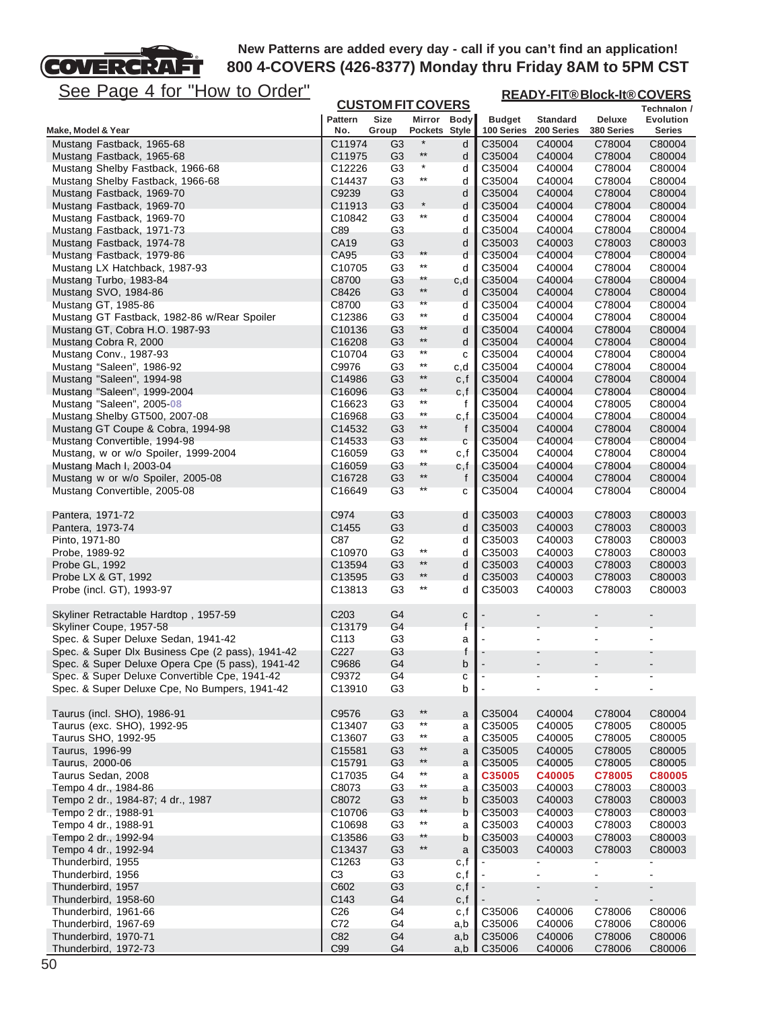# See Page 4 for "How to Order"

FT

COVERCRA

| <u>See Page 4 for "How to Order"</u>                               |                                        |                                  |                                    |                   |                             |                               | <b>READY-FIT®Block-It®COVERS</b> |                              |
|--------------------------------------------------------------------|----------------------------------------|----------------------------------|------------------------------------|-------------------|-----------------------------|-------------------------------|----------------------------------|------------------------------|
|                                                                    |                                        | <b>CUSTOM FIT COVERS</b>         |                                    |                   |                             |                               |                                  | Technalon /                  |
| Make, Model & Year                                                 | <b>Pattern</b><br>No.                  | <b>Size</b><br>Group             | Mirror Body<br>Pockets Style       |                   | <b>Budget</b><br>100 Series | <b>Standard</b><br>200 Series | Deluxe<br>380 Series             | Evolution<br>Series          |
| Mustang Fastback, 1965-68                                          | C11974                                 | G3                               | $\ast$                             | d                 | C35004                      | C40004                        | C78004                           | C80004                       |
| Mustang Fastback, 1965-68                                          | C11975                                 | G <sub>3</sub>                   | $^{\star\star}$                    | d                 | C35004                      | C40004                        | C78004                           | C80004                       |
| Mustang Shelby Fastback, 1966-68                                   | C12226                                 | G3                               | $^\star$                           | d                 | C35004                      | C40004                        | C78004                           | C80004                       |
| Mustang Shelby Fastback, 1966-68                                   | C14437                                 | G3                               | $^{\star\star}$                    | d                 | C35004                      | C40004                        | C78004                           | C80004                       |
| Mustang Fastback, 1969-70<br>Mustang Fastback, 1969-70             | C9239<br>C <sub>11913</sub>            | G <sub>3</sub><br>G3             | $^\star$                           | d<br>d            | C35004<br>C35004            | C40004<br>C40004              | C78004<br>C78004                 | C80004<br>C80004             |
| Mustang Fastback, 1969-70                                          | C10842                                 | G <sub>3</sub>                   | $^{\star\star}$                    | d                 | C35004                      | C40004                        | C78004                           | C80004                       |
| Mustang Fastback, 1971-73                                          | C89                                    | G <sub>3</sub>                   |                                    | d                 | C35004                      | C40004                        | C78004                           | C80004                       |
| Mustang Fastback, 1974-78                                          | <b>CA19</b>                            | G <sub>3</sub>                   |                                    | d                 | C35003                      | C40003                        | C78003                           | C80003                       |
| Mustang Fastback, 1979-86                                          | CA95                                   | G <sub>3</sub>                   | $***$                              | d                 | C35004                      | C40004                        | C78004                           | C80004                       |
| Mustang LX Hatchback, 1987-93                                      | C <sub>10705</sub>                     | G3                               | $^{\star\star}$                    | d                 | C35004                      | C40004                        | C78004                           | C80004                       |
| Mustang Turbo, 1983-84                                             | C8700                                  | G <sub>3</sub>                   | $^{\star\star}$<br>$^{\star\star}$ | c,d               | C35004                      | C40004                        | C78004                           | C80004                       |
| Mustang SVO, 1984-86                                               | C8426<br>C8700                         | G <sub>3</sub><br>G <sub>3</sub> | $\star\star$                       | d                 | C35004<br>C35004            | C40004<br>C40004              | C78004<br>C78004                 | C80004<br>C80004             |
| Mustang GT, 1985-86<br>Mustang GT Fastback, 1982-86 w/Rear Spoiler | C <sub>12386</sub>                     | G <sub>3</sub>                   | $***$                              | d<br>d            | C35004                      | C40004                        | C78004                           | C80004                       |
| Mustang GT, Cobra H.O. 1987-93                                     | C <sub>10136</sub>                     | G3                               | **                                 | d                 | C35004                      | C40004                        | C78004                           | C80004                       |
| Mustang Cobra R, 2000                                              | C16208                                 | G <sub>3</sub>                   | $^{\star\star}$                    | d                 | C35004                      | C40004                        | C78004                           | C80004                       |
| Mustang Conv., 1987-93                                             | C10704                                 | G <sub>3</sub>                   | $^{\star\star}$                    | с                 | C35004                      | C40004                        | C78004                           | C80004                       |
| Mustang "Saleen", 1986-92                                          | C9976                                  | G3                               | $^{\star\star}$                    | c,d               | C35004                      | C40004                        | C78004                           | C80004                       |
| Mustang "Saleen", 1994-98                                          | C14986                                 | G <sub>3</sub>                   | $^{\star\star}$                    | c,f               | C35004                      | C40004                        | C78004                           | C80004                       |
| Mustang "Saleen", 1999-2004                                        | C16096                                 | G <sub>3</sub>                   | $^{\star\star}$<br>$^{\star\star}$ | c,f               | C35004                      | C40004                        | C78004                           | C80004                       |
| Mustang "Saleen", 2005-08                                          | C16623                                 | G <sub>3</sub>                   | $^{\star\star}$                    | f                 | C35004                      | C40004                        | C78005                           | C80004                       |
| Mustang Shelby GT500, 2007-08<br>Mustang GT Coupe & Cobra, 1994-98 | C16968<br>C14532                       | G <sub>3</sub><br>G <sub>3</sub> | $^{\star\star}$                    | c,f<br>f          | C35004<br>C35004            | C40004<br>C40004              | C78004<br>C78004                 | C80004<br>C80004             |
| Mustang Convertible, 1994-98                                       | C14533                                 | G <sub>3</sub>                   | $^{\star\star}$                    | $\mathbf c$       | C35004                      | C40004                        | C78004                           | C80004                       |
| Mustang, w or w/o Spoiler, 1999-2004                               | C16059                                 | G3                               | $^{\star\star}$                    | c,f               | C35004                      | C40004                        | C78004                           | C80004                       |
| Mustang Mach I, 2003-04                                            | C16059                                 | G <sub>3</sub>                   | $^{\star\star}$                    | c,f               | C35004                      | C40004                        | C78004                           | C80004                       |
| Mustang w or w/o Spoiler, 2005-08                                  | C16728                                 | G <sub>3</sub>                   | $^{\star\star}$                    | f                 | C35004                      | C40004                        | C78004                           | C80004                       |
| Mustang Convertible, 2005-08                                       | C16649                                 | G3                               | $\star\star$                       | с                 | C35004                      | C40004                        | C78004                           | C80004                       |
|                                                                    |                                        |                                  |                                    |                   |                             |                               |                                  |                              |
| Pantera, 1971-72                                                   | C974                                   | G <sub>3</sub>                   |                                    | d                 | C35003                      | C40003                        | C78003                           | C80003                       |
| Pantera, 1973-74<br>Pinto, 1971-80                                 | C1455<br>C87                           | G <sub>3</sub><br>G <sub>2</sub> |                                    | d<br>d            | C35003<br>C35003            | C40003<br>C40003              | C78003<br>C78003                 | C80003<br>C80003             |
| Probe, 1989-92                                                     | C10970                                 | G3                               | $^{\star\star}$                    | d                 | C35003                      | C40003                        | C78003                           | C80003                       |
| Probe GL, 1992                                                     | C13594                                 | G <sub>3</sub>                   | $***$                              | d                 | C35003                      | C40003                        | C78003                           | C80003                       |
| Probe LX & GT, 1992                                                | C <sub>13595</sub>                     | G <sub>3</sub>                   | $^{\star\star}$                    | d                 | C35003                      | C40003                        | C78003                           | C80003                       |
| Probe (incl. GT), 1993-97                                          | C13813                                 | G <sub>3</sub>                   | $^{\star\star}$                    | d                 | C35003                      | C40003                        | C78003                           | C80003                       |
|                                                                    |                                        |                                  |                                    |                   |                             |                               |                                  |                              |
| Skyliner Retractable Hardtop, 1957-59<br>Skyliner Coupe, 1957-58   | C <sub>203</sub><br>C <sub>13179</sub> | G4<br>G4                         |                                    | С<br>$\mathsf{f}$ |                             |                               |                                  |                              |
| Spec. & Super Deluxe Sedan, 1941-42                                | C <sub>113</sub>                       | G3                               |                                    | a                 |                             |                               | L                                |                              |
| Spec. & Super Dlx Business Cpe (2 pass), 1941-42                   | C227                                   | G <sub>3</sub>                   |                                    | f                 |                             |                               |                                  |                              |
| Spec. & Super Deluxe Opera Cpe (5 pass), 1941-42                   | C9686                                  | G4                               |                                    | b                 |                             |                               |                                  |                              |
| Spec. & Super Deluxe Convertible Cpe, 1941-42                      | C9372                                  | G <sub>4</sub>                   |                                    | с                 |                             |                               |                                  |                              |
| Spec. & Super Deluxe Cpe, No Bumpers, 1941-42                      | C13910                                 | G <sub>3</sub>                   |                                    | b                 |                             |                               |                                  |                              |
| Taurus (incl. SHO), 1986-91                                        |                                        |                                  | $^{\star\star}$                    |                   |                             |                               |                                  |                              |
| Taurus (exc. SHO), 1992-95                                         | C9576<br>C13407                        | G <sub>3</sub><br>G <sub>3</sub> | $^{\star\star}$                    | a<br>a            | C35004<br>C35005            | C40004<br>C40005              | C78004<br>C78005                 | C80004<br>C80005             |
| Taurus SHO, 1992-95                                                | C13607                                 | G <sub>3</sub>                   | $^{\star\star}$                    | a                 | C35005                      | C40005                        | C78005                           | C80005                       |
| Taurus, 1996-99                                                    | C15581                                 | G <sub>3</sub>                   | $^{\star\star}$                    | a                 | C35005                      | C40005                        | C78005                           | C80005                       |
| Taurus, 2000-06                                                    | C15791                                 | G <sub>3</sub>                   | $***$                              | a                 | C <sub>35005</sub>          | C40005                        | C78005                           | C80005                       |
| Taurus Sedan, 2008                                                 | C17035                                 | G4                               | $^{\star\star}$                    | a                 | C35005                      | C40005                        | C78005                           | C80005                       |
| Tempo 4 dr., 1984-86                                               | C8073                                  | G <sub>3</sub>                   | $***$                              | a                 | C35003                      | C40003                        | C78003                           | C80003                       |
| Tempo 2 dr., 1984-87; 4 dr., 1987                                  | C8072                                  | G <sub>3</sub>                   | $^{\star\star}$                    | b                 | C35003                      | C40003                        | C78003                           | C80003                       |
| Tempo 2 dr., 1988-91                                               | C10706                                 | G <sub>3</sub>                   | $***$<br>$^{\star\star}$           | b                 | C35003                      | C40003                        | C78003                           | C80003                       |
| Tempo 4 dr., 1988-91<br>Tempo 2 dr., 1992-94                       | C10698<br>C13586                       | G3<br>G <sub>3</sub>             | $***$                              | a<br>b            | C35003<br>C35003            | C40003<br>C40003              | C78003<br>C78003                 | C80003<br>C80003             |
| Tempo 4 dr., 1992-94                                               | C13437                                 | G <sub>3</sub>                   | $***$                              | a                 | C35003                      | C40003                        | C78003                           | C80003                       |
| Thunderbird, 1955                                                  | C1263                                  | G <sub>3</sub>                   |                                    | c,f               |                             |                               |                                  |                              |
| Thunderbird, 1956                                                  | C <sub>3</sub>                         | G <sub>3</sub>                   |                                    | c,f               |                             | $\overline{a}$                | $\overline{\phantom{a}}$         | $\overline{\phantom{a}}$     |
| Thunderbird, 1957                                                  | C602                                   | G <sub>3</sub>                   |                                    | c,f               |                             | $\centerdot$                  | $\overline{\phantom{0}}$         | $\qquad \qquad \blacksquare$ |
| Thunderbird, 1958-60                                               | C143                                   | G4                               |                                    | c, f              |                             |                               |                                  |                              |
| Thunderbird, 1961-66                                               | C <sub>26</sub>                        | G4                               |                                    | c,f               | C35006                      | C40006                        | C78006                           | C80006                       |
| Thunderbird, 1967-69<br>Thunderbird, 1970-71                       | C72<br>C82                             | G4<br>G4                         |                                    | a,b<br>a,b        | C35006<br>C35006            | C40006<br>C40006              | C78006<br>C78006                 | C80006<br>C80006             |
| Thunderbird, 1972-73                                               | C <sub>99</sub>                        | G4                               |                                    |                   | a,b I C35006                | C40006                        | C78006                           | C80006                       |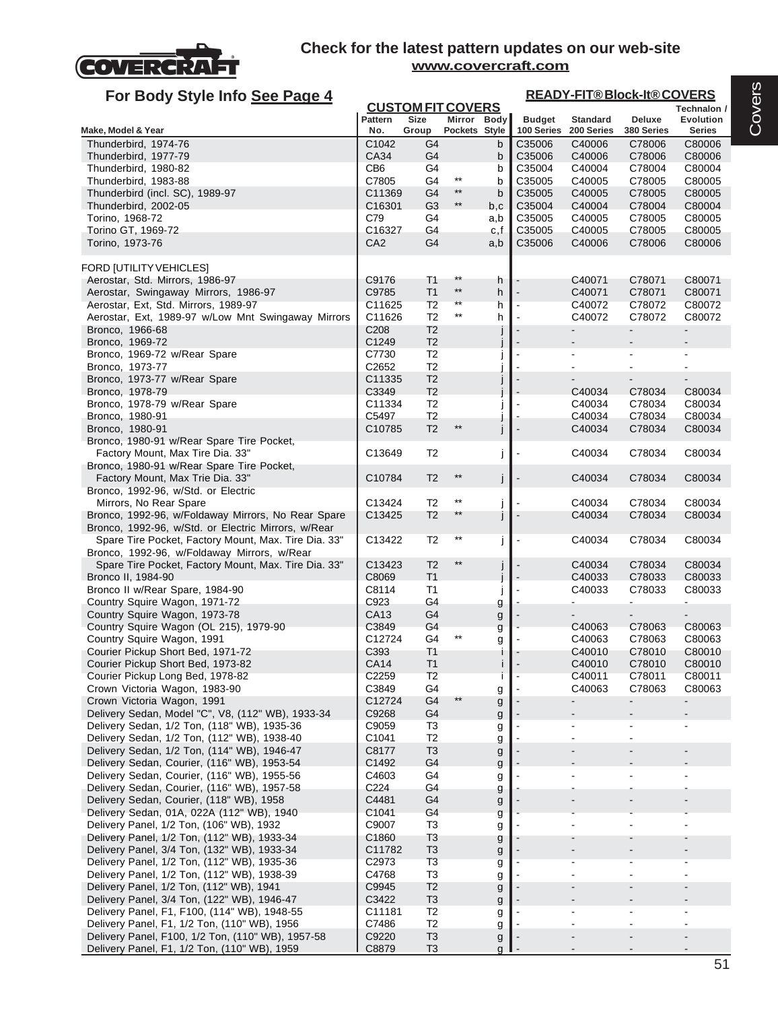

#### **Technalon / Pattern Size Mirror Body Budget Standard Deluxe Evolution Make, Model & Year No. Group Pockets Style 100 Series 200 Series 380 Series Series CUSTOM FIT COVERS READY-FIT® Block-It® COVERS For Body Style Info See Page 4** Thunderbird, 1974-76 C1042 G4 b C35006 C40006 C78006 C80006 Thunderbird, 1977-79 CA34 G4 b C35006 C40006 C78006 C80006 Thunderbird, 1980-82 CB6 G4 b C35004 C40004 C78004 C80004 Thunderbird, 1983-88<br>Thunderbird, 1983-88<br>Thunderbird, ISO 1980-97 Thunderbird (incl. SC), 1989-97 C11369 G4 \*\* b C11369 G4 C35005 C40005 C78005 C80005 Thunderbird, 2002-05 C16301 G3 \*\* b.c C35004 C40004 C78004 C80004 Torino, 1968-72 C79 G4 a,b C35005 C40005 C78005 C80005 Torino GT, 1969-72 C16327 G4 c,f C35005 C40005 C78005 C80005 Torino, 1973-76 CA2 G4 a,b C35006 C40006 C78006 C80006 FORD [UTILITY VEHICLES] Aerostar, Std. Mirrors, 1986-97 C9176 T1 \*\* h C40071 C78071 C80071 C80071 C80071 C80071 C80071 C80071 Aerostar, Swingaway Mirrors, 1986-97 C9785 T1 \*\* h C40071 C78071 C80071 C80072 C80072 C80072 C80072 C80072 C80072 C80072 C80072 C80072 C80072 C80072 C80 Aerostar, Ext, Std. Mirrors, 1989-97 <br>Aerostar, Ext, 4989.97 will sur Met Ovincewer Mirrors, C44000 Fo, \*\* h | C40072 C79079 C80072 Aerostar, Ext. 1989-97 w/Low Mnt Swingaway Mirrors | C11626 T2 \*\* h |- C40072 C78072 C80072 Bronco, 1966-68 C208 T2 Bronco, 1969-72 **C1249** T2 j Bronco, 1969-72 w/Rear Spare | C7730 T2 Bronco, 1973-77 30 | C2652 T2 Bronco, 1973-77 w/Rear Spare C11335 T2 Bronco, 1978-79 **C30034** C78034 C80034 C80034 C80034 C80034 C80034 Bronco, 1978-79 w/Rear Spare | C11334 T2 | | - C40034 C78034 C80034 Bronco, 1980-91 C5497 T2 j - C40034 C78034 C80034 Bronco, 1980-91 **C10785** T2 **\*\* iii** - C40034 C78034 Bronco, 1980-91 w/Rear Spare Tire Pocket, Factory Mount, Max Tire Dia. 33" | C13649 T2 j - C40034 C78034 C80034 Bronco, 1980-91 w/Rear Spare Tire Pocket, Factory Mount, Max Trie Dia. 33" | C10784 T2 \*\* | C40034 C78034 C80034 Bronco, 1992-96, w/Std. or Electric Mirrors, No Rear Spare **Call 2013** Conserved a Call 2013424 T2 \*\* iii if a call call 202034 C80034 Bronco, 1992-96, w/Foldaway Mirrors, No Rear Spare  $\begin{array}{ccc} \vert & C13425 & T2 \end{array}$  \*\*  $\begin{array}{ccc} \vert & \vert & \vert & \vert & \vert & \vert \end{array}$  C40034 C78034 C80034 Bronco, 1992-96, w/Std. or Electric Mirrors, w/Rear Spare Tire Pocket, Factory Mount, Max. Tire Dia. 33" C13422 T2 \*\* j - C40034 C78034 C80034 Bronco, 1992-96, w/Foldaway Mirrors, w/Rear Spare Tire Pocket, Factory Mount, Max. Tire Dia. 33" C13423 T2 \*\* j - C40034 C78034 C80034 Bronco II, 1984-90 **C80033** C80033 C80033 C80033 C80033 C80033 C80033 C80033 C80033 Bronco II w/Rear Spare, 1984-90 **C8114** T1 j - C40033 C78033 C80033 Country Squire Wagon, 1971-72 C923 G4 g - - - - Country Squire Wagon, 1973-78 CA13 G4 g - - - - Country Squire Wagon (OL 215), 1979-90 C3849 G4 g - C40063 C78063 C80063 Country Squire Wagon, 1991 **Cauntry Squire Wagon, 1991** C12724 G4 \*\* g - C40063 C78063 C80063 Courier Pickup Short Bed, 1971-72 C393 T1 i - C40010 C78010 C80010 Courier Pickup Short Bed, 1973-82 CA14 T1 i - C40010 C78010 C80010 Courier Pickup Long Bed, 1978-82 C2259 T2 i - C40011 C78011 C80011 Crown Victoria Wagon, 1983-90 **Canadia C3849** G4 g - C40063 C78063 C80063 Crown Victoria Wagon, 1991 C12724 G4 \*\* g - - - - Delivery Sedan, Model "C", V8, (112" WB), 1933-34 C9268 G4 g<br>Delivery Sedan, 1/2 Ton, (118" WB), 1935-36 C9059 T3 Delivery Sedan, 1/2 Ton, (118" WB), 1935-36 C9059 T3 g - - - - Delivery Sedan, 1/2 Ton, (112" WB), 1938-40 | C1041 T2 | g Delivery Sedan, 1/2 Ton, (114" WB), 1946-47 | C8177 T3 | G Delivery Sedan, Courier, (116" WB), 1953-54 C1492 G4 g Delivery Sedan, Courier, (116" WB), 1955-56  $\vert$  C4603 G4 g  $\vert$  -  $\vert$ Delivery Sedan, Courier, (116" WB), 1957-58 C224 G4 G4 g Delivery Sedan, Courier, (118" WB), 1958 C4481 G4 g - - - - Delivery Sedan, 01A, 022A (112" WB), 1940 C1041 G4 G4

Delivery Panel, 1/2 Ton, (106" WB), 1932 | C9007 T3 g Delivery Panel, 1/2 Ton, (112" WB), 1933-34 C1860 T3 g

Delivery Panel, 3/4 Ton, (122" WB), 1946-47 | C3422 T3 | G3422 | C3422 C3422 | C3422 | C3422 C3 Delivery Panel, F1, F100, (114" WB), 1948-55 C11181 T2 g

Delivery Panel, F1, 1/2 Ton, (110" WB), 1959 C8879 T3 g

Delivery Panel, 3/4 Ton, (132" WB), 1933-34  $\vert$  C11782 T3 g  $\vert$  - -

Delivery Panel, 1/2 Ton, (112" WB), 1935-36 C2973 T3 g - - - - Delivery Panel, 1/2 Ton, (112" WB), 1938-39 C4768 T3 g - - - -

Delivery Panel, F1, 1/2 Ton, (110" WB), 1956 C7486 T2 g - G7486 C72 g - - - - - - - - - - - - - - -Delivery Panel, F100, 1/2 Ton, (110" WB), 1957-58 C9220 T3 g - - - -

Delivery Panel, 1/2 Ton, (112" WB), 1941 C9945 T2 g - - - -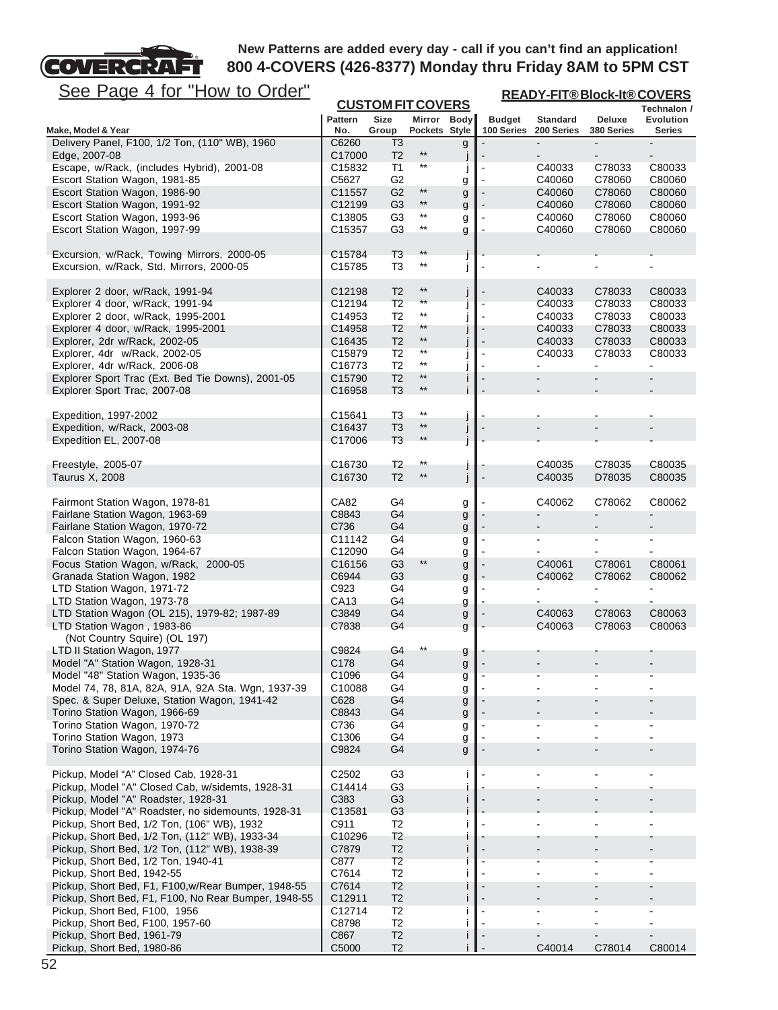

| <u>See Page 4 for "How to Order"</u>                                                      |                              |                                         |                              |        | <b>READY-FIT®Block-It®COVERS</b> |                  |                          |                                 |  |
|-------------------------------------------------------------------------------------------|------------------------------|-----------------------------------------|------------------------------|--------|----------------------------------|------------------|--------------------------|---------------------------------|--|
|                                                                                           | <b>Pattern</b>               | <b>CUSTOM FIT COVERS</b><br><b>Size</b> | Mirror Body                  |        | <b>Budget</b>                    | <b>Standard</b>  | Deluxe                   | Technalon /<br><b>Evolution</b> |  |
| Make, Model & Year                                                                        | No.                          | Group                                   | Pockets Style                |        | 100 Series                       | 200 Series       | 380 Series               | <b>Series</b>                   |  |
| Delivery Panel, F100, 1/2 Ton, (110" WB), 1960<br>Edge, 2007-08                           | C6260<br>C17000              | T <sub>3</sub><br>T <sub>2</sub>        | $^{\star\star}$              | g<br>J |                                  |                  |                          |                                 |  |
| Escape, w/Rack, (includes Hybrid), 2001-08                                                | C15832                       | T1                                      | $^{\star\star}$              | J      | $\blacksquare$                   | C40033           | C78033                   | C80033                          |  |
| Escort Station Wagon, 1981-85                                                             | C5627                        | G <sub>2</sub>                          |                              | g      |                                  | C40060           | C78060                   | C80060                          |  |
| Escort Station Wagon, 1986-90                                                             | C11557                       | G <sub>2</sub>                          | $\star\star$<br>$\star\star$ | g      |                                  | C40060           | C78060                   | C80060                          |  |
| Escort Station Wagon, 1991-92                                                             | C12199                       | G <sub>3</sub>                          | $^{\star\star}$              | g      |                                  | C40060           | C78060                   | C80060                          |  |
| Escort Station Wagon, 1993-96<br>Escort Station Wagon, 1997-99                            | C <sub>13805</sub><br>C15357 | G3<br>G3                                | $^{\star\star}$              | g<br>g |                                  | C40060<br>C40060 | C78060<br>C78060         | C80060<br>C80060                |  |
| Excursion, w/Rack, Towing Mirrors, 2000-05<br>Excursion, w/Rack, Std. Mirrors, 2000-05    | C15784<br>C <sub>15785</sub> | T <sub>3</sub><br>T3                    | $**$<br>$^{\star\star}$      |        |                                  |                  |                          |                                 |  |
| Explorer 2 door, w/Rack, 1991-94                                                          | C <sub>12198</sub>           | T <sub>2</sub>                          | $^{\star\star}$              | J      |                                  | C40033           | C78033                   | C80033                          |  |
| Explorer 4 door, w/Rack, 1991-94                                                          | C12194                       | T <sub>2</sub>                          | $\star\star$                 |        |                                  | C40033           | C78033                   | C80033                          |  |
| Explorer 2 door, w/Rack, 1995-2001                                                        | C14953                       | T <sub>2</sub>                          | $^{\star\star}$              |        |                                  | C40033           | C78033                   | C80033                          |  |
| Explorer 4 door, w/Rack, 1995-2001                                                        | C14958                       | T <sub>2</sub>                          | **<br>$**$                   |        |                                  | C40033           | C78033                   | C80033                          |  |
| Explorer, 2dr w/Rack, 2002-05<br>Explorer, 4dr w/Rack, 2002-05                            | C16435<br>C <sub>15879</sub> | T <sub>2</sub><br>T <sub>2</sub>        | $***$                        |        | $\blacksquare$                   | C40033<br>C40033 | C78033<br>C78033         | C80033<br>C80033                |  |
| Explorer, 4dr w/Rack, 2006-08                                                             | C16773                       | T <sub>2</sub>                          | $^{\star\star}$              |        |                                  |                  |                          |                                 |  |
| Explorer Sport Trac (Ext. Bed Tie Downs), 2001-05                                         | C15790                       | T <sub>2</sub>                          | $***$                        | Ť      |                                  |                  | $\overline{\phantom{a}}$ |                                 |  |
| Explorer Sport Trac, 2007-08                                                              | C16958                       | T <sub>3</sub>                          | $***$                        |        |                                  |                  |                          |                                 |  |
| Expedition, 1997-2002                                                                     | C <sub>15641</sub>           | T <sub>3</sub>                          | $^{\star\star}$              |        |                                  |                  |                          |                                 |  |
| Expedition, w/Rack, 2003-08                                                               | C16437                       | T <sub>3</sub>                          | $^{\star\star}$              | J      |                                  |                  |                          |                                 |  |
| Expedition EL, 2007-08                                                                    | C17006                       | T <sub>3</sub>                          | $***$                        | j      |                                  |                  |                          |                                 |  |
| Freestyle, 2005-07                                                                        | C16730                       | T <sub>2</sub>                          | $^{\star\star}$              | J      |                                  | C40035           | C78035                   | C80035                          |  |
| Taurus X, 2008                                                                            | C16730                       | T <sub>2</sub>                          | $^{\star\star}$              | j      |                                  | C40035           | D78035                   | C80035                          |  |
| Fairmont Station Wagon, 1978-81                                                           | CA82                         | G4                                      |                              | g      |                                  | C40062           | C78062                   | C80062                          |  |
| Fairlane Station Wagon, 1963-69                                                           | C8843                        | G4                                      |                              | g      |                                  |                  |                          |                                 |  |
| Fairlane Station Wagon, 1970-72<br>Falcon Station Wagon, 1960-63                          | C736<br>C11142               | G4<br>G4                                |                              | g      |                                  | ۰                |                          | $\blacksquare$                  |  |
| Falcon Station Wagon, 1964-67                                                             | C12090                       | G4                                      |                              | g      |                                  |                  | ۰                        |                                 |  |
| Focus Station Wagon, w/Rack, 2000-05                                                      | C16156                       | G <sub>3</sub>                          | $^{\star\star}$              | g<br>g |                                  | C40061           | C78061                   | C80061                          |  |
| Granada Station Wagon, 1982                                                               | C6944                        | G <sub>3</sub>                          |                              | g      |                                  | C40062           | C78062                   | C80062                          |  |
| LTD Station Wagon, 1971-72                                                                | C923                         | G4                                      |                              | g      |                                  |                  |                          |                                 |  |
| LTD Station Wagon, 1973-78                                                                | CA13                         | G4                                      |                              | g      |                                  |                  |                          |                                 |  |
| LTD Station Wagon (OL 215), 1979-82; 1987-89                                              | C3849                        | G4                                      |                              | g      |                                  | C40063           | C78063                   | C80063                          |  |
| LTD Station Wagon, 1983-86<br>(Not Country Squire) (OL 197)                               | C7838                        | G4                                      |                              | g      |                                  | C40063           | C78063                   | C80063                          |  |
| LTD II Station Wagon, 1977                                                                | C9824                        | G4                                      |                              |        |                                  |                  |                          |                                 |  |
| Model "A" Station Wagon, 1928-31                                                          | C178                         | G4                                      |                              | g<br>g |                                  |                  |                          |                                 |  |
| Model "48" Station Wagon, 1935-36                                                         | C1096                        | G4                                      |                              | g      |                                  |                  |                          |                                 |  |
| Model 74, 78, 81A, 82A, 91A, 92A Sta. Wgn, 1937-39                                        | C10088                       | G4                                      |                              | g      |                                  |                  |                          |                                 |  |
| Spec. & Super Deluxe, Station Wagon, 1941-42                                              | C628                         | G4                                      |                              | g      |                                  |                  |                          |                                 |  |
| Torino Station Wagon, 1966-69                                                             | C8843                        | G4                                      |                              | g      |                                  |                  |                          |                                 |  |
| Torino Station Wagon, 1970-72                                                             | C736                         | G4                                      |                              | g      |                                  |                  | -                        | ۰                               |  |
| Torino Station Wagon, 1973<br>Torino Station Wagon, 1974-76                               | C1306<br>C9824               | G4<br>G4                                |                              | g<br>g |                                  |                  | -                        |                                 |  |
| Pickup, Model "A" Closed Cab, 1928-31                                                     | C <sub>2502</sub>            | G3                                      |                              |        |                                  |                  |                          |                                 |  |
| Pickup, Model "A" Closed Cab, w/sidemts, 1928-31                                          | C14414                       | G3                                      |                              |        |                                  |                  |                          |                                 |  |
| Pickup, Model "A" Roadster, 1928-31<br>Pickup, Model "A" Roadster, no sidemounts, 1928-31 | C383<br>C13581               | G <sub>3</sub><br>G <sub>3</sub>        |                              | T      |                                  |                  |                          |                                 |  |
| Pickup, Short Bed, 1/2 Ton, (106" WB), 1932                                               | C911                         | T <sub>2</sub>                          |                              |        |                                  |                  |                          |                                 |  |
| Pickup, Short Bed, 1/2 Ton, (112" WB), 1933-34                                            | C <sub>10296</sub>           | T <sub>2</sub>                          |                              |        |                                  |                  |                          |                                 |  |
| Pickup, Short Bed, 1/2 Ton, (112" WB), 1938-39<br>Pickup, Short Bed, 1/2 Ton, 1940-41     | C7879<br>C877                | T <sub>2</sub><br>T <sub>2</sub>        |                              |        |                                  |                  |                          |                                 |  |
| Pickup, Short Bed, 1942-55                                                                | C7614                        | T <sub>2</sub>                          |                              |        |                                  |                  |                          |                                 |  |
| Pickup, Short Bed, F1, F100,w/Rear Bumper, 1948-55                                        | C7614                        | T <sub>2</sub>                          |                              |        |                                  |                  |                          |                                 |  |
| Pickup, Short Bed, F1, F100, No Rear Bumper, 1948-55                                      | C12911                       | T <sub>2</sub>                          |                              |        |                                  |                  |                          |                                 |  |
| Pickup, Short Bed, F100, 1956                                                             | C12714                       | T <sub>2</sub>                          |                              |        |                                  |                  |                          |                                 |  |
| Pickup, Short Bed, F100, 1957-60                                                          | C8798                        | T <sub>2</sub>                          |                              | п      |                                  |                  |                          |                                 |  |
| Pickup, Short Bed, 1961-79                                                                | C867                         | T <sub>2</sub>                          |                              | п      |                                  |                  | -                        | $\overline{\phantom{a}}$        |  |
| Pickup, Short Bed, 1980-86                                                                | C5000                        | T <sub>2</sub>                          |                              | Ť      |                                  | C40014           | C78014                   | C80014                          |  |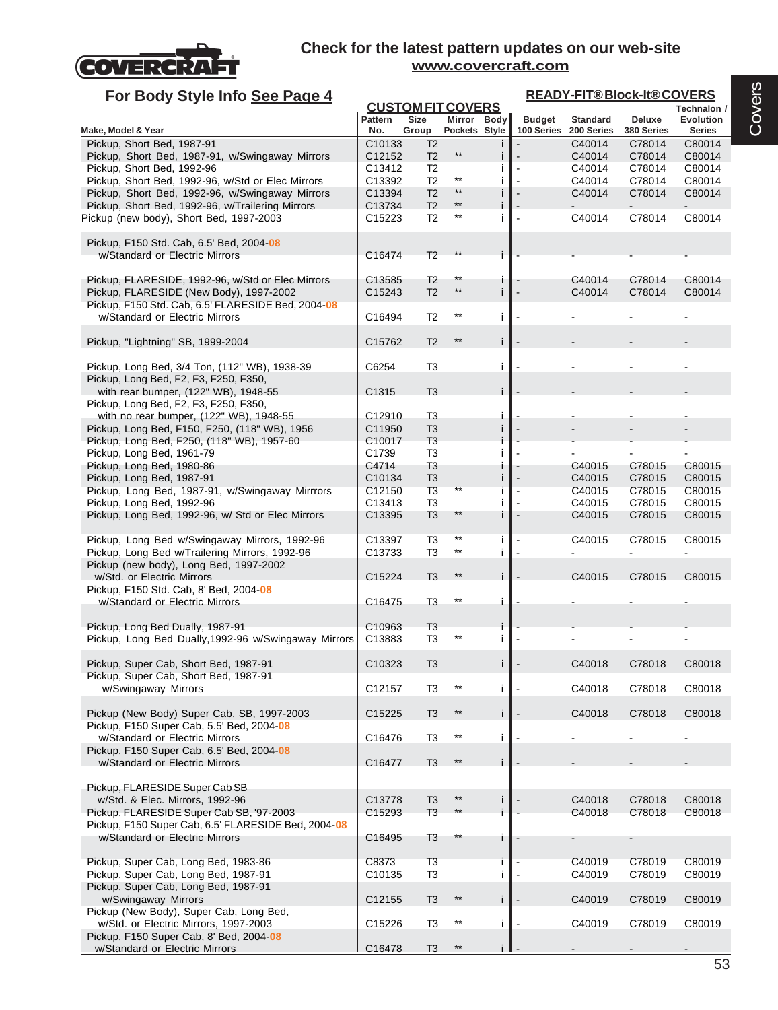

Pickup, F150 Super Cab, 8' Bed, 2004-**08**

w/Standard or Electric Mirrors and C16478 T3 \*\* i

#### **Check for the latest pattern updates on our web-site www.covercraft.com**

#### **For Body Style Info See Page 4**

# **READY-FIT® Block-It® COVERS**

|                                                      |                       |                      | <b>CUSTOM FIT COVERS</b>     |    |                             |                               |                      | Technalon /                       |
|------------------------------------------------------|-----------------------|----------------------|------------------------------|----|-----------------------------|-------------------------------|----------------------|-----------------------------------|
| Make, Model & Year                                   | <b>Pattern</b><br>No. | <b>Size</b><br>Group | Mirror Body<br>Pockets Style |    | <b>Budget</b><br>100 Series | <b>Standard</b><br>200 Series | Deluxe<br>380 Series | <b>Evolution</b><br><b>Series</b> |
| Pickup, Short Bed, 1987-91                           | C <sub>10133</sub>    | T <sub>2</sub>       |                              |    |                             | C40014                        | C78014               | C80014                            |
| Pickup, Short Bed, 1987-91, w/Swingaway Mirrors      | C12152                | T <sub>2</sub>       | $^{\star\star}$              |    |                             | C40014                        | C78014               | C80014                            |
| Pickup, Short Bed, 1992-96                           | C13412                | T <sub>2</sub>       |                              |    |                             | C40014                        | C78014               | C80014                            |
| Pickup, Short Bed, 1992-96, w/Std or Elec Mirrors    | C13392                | T <sub>2</sub>       | $^{\star\star}$              |    |                             | C40014                        | C78014               | C80014                            |
| Pickup, Short Bed, 1992-96, w/Swingaway Mirrors      | C13394                | T <sub>2</sub>       | $^{\star\star}$              |    |                             | C40014                        | C78014               | C80014                            |
| Pickup, Short Bed, 1992-96, w/Trailering Mirrors     | C13734                | T <sub>2</sub>       | $***$                        |    |                             |                               |                      |                                   |
| Pickup (new body), Short Bed, 1997-2003              | C <sub>15223</sub>    | T <sub>2</sub>       | $^{\star\star}$              |    |                             | C40014                        | C78014               | C80014                            |
|                                                      |                       |                      |                              |    |                             |                               |                      |                                   |
| Pickup, F150 Std. Cab, 6.5' Bed, 2004-08             |                       |                      |                              |    |                             |                               |                      |                                   |
| w/Standard or Electric Mirrors                       | C16474                | T <sub>2</sub>       |                              |    |                             |                               |                      |                                   |
|                                                      |                       |                      | **                           |    |                             |                               |                      |                                   |
| Pickup, FLARESIDE, 1992-96, w/Std or Elec Mirrors    | C13585                | T <sub>2</sub>       | $***$                        | L  |                             | C40014                        | C78014               | C80014                            |
| Pickup, FLARESIDE (New Body), 1997-2002              | C15243                | T <sub>2</sub>       |                              | j. |                             | C40014                        | C78014               | C80014                            |
| Pickup, F150 Std. Cab, 6.5' FLARESIDE Bed, 2004-08   |                       |                      | $^{\star\star}$              |    |                             |                               |                      |                                   |
| w/Standard or Electric Mirrors                       | C16494                | T <sub>2</sub>       |                              | j. |                             |                               |                      |                                   |
|                                                      |                       |                      | $***$                        |    |                             |                               |                      |                                   |
| Pickup, "Lightning" SB, 1999-2004                    | C15762                | T <sub>2</sub>       |                              | j. |                             |                               |                      |                                   |
| Pickup, Long Bed, 3/4 Ton, (112" WB), 1938-39        | C6254                 | T <sub>3</sub>       |                              | Ť  |                             |                               |                      |                                   |
| Pickup, Long Bed, F2, F3, F250, F350,                |                       |                      |                              |    |                             |                               |                      |                                   |
| with rear bumper, (122" WB), 1948-55                 | C1315                 | T <sub>3</sub>       |                              |    |                             |                               |                      |                                   |
| Pickup, Long Bed, F2, F3, F250, F350,                |                       |                      |                              |    |                             |                               |                      |                                   |
| with no rear bumper, (122" WB), 1948-55              | C12910                | T <sub>3</sub>       |                              |    |                             |                               |                      |                                   |
| Pickup, Long Bed, F150, F250, (118" WB), 1956        | C11950                | T <sub>3</sub>       |                              |    |                             |                               |                      |                                   |
| Pickup, Long Bed, F250, (118" WB), 1957-60           | C10017                | T <sub>3</sub>       |                              |    |                             |                               |                      |                                   |
| Pickup, Long Bed, 1961-79                            | C1739                 | T <sub>3</sub>       |                              |    |                             |                               |                      |                                   |
| Pickup, Long Bed, 1980-86                            | C4714                 | T <sub>3</sub>       |                              |    |                             | C40015                        | C78015               | C80015                            |
| Pickup, Long Bed, 1987-91                            | C10134                | T <sub>3</sub>       |                              |    |                             | C40015                        | C78015               | C80015                            |
| Pickup, Long Bed, 1987-91, w/Swingaway Mirrrors      | C12150                | T <sub>3</sub>       | $***$                        |    |                             | C40015                        | C78015               | C80015                            |
| Pickup, Long Bed, 1992-96                            | C13413                | T <sub>3</sub>       |                              |    |                             | C40015                        | C78015               | C80015                            |
| Pickup, Long Bed, 1992-96, w/ Std or Elec Mirrors    | C13395                | T <sub>3</sub>       | $^{\star\star}$              |    |                             | C40015                        | C78015               | C80015                            |
|                                                      |                       |                      |                              |    |                             |                               |                      |                                   |
| Pickup, Long Bed w/Swingaway Mirrors, 1992-96        | C13397                | T <sub>3</sub>       | $***$                        | j  |                             | C40015                        | C78015               | C80015                            |
| Pickup, Long Bed w/Trailering Mirrors, 1992-96       | C13733                | T <sub>3</sub>       | $^{\star\star}$              | j  |                             |                               |                      |                                   |
| Pickup (new body), Long Bed, 1997-2002               |                       |                      |                              |    |                             |                               |                      |                                   |
| w/Std. or Electric Mirrors                           | C15224                | T <sub>3</sub>       | $***$                        |    |                             | C40015                        | C78015               | C80015                            |
| Pickup, F150 Std. Cab, 8' Bed, 2004 08               |                       |                      |                              |    |                             |                               |                      |                                   |
| w/Standard or Electric Mirrors                       | C16475                | T <sub>3</sub>       | $***$                        | j  |                             |                               |                      |                                   |
|                                                      |                       |                      |                              |    |                             |                               |                      |                                   |
| Pickup, Long Bed Dually, 1987-91                     | C <sub>10963</sub>    | T <sub>3</sub>       |                              |    |                             |                               |                      |                                   |
| Pickup, Long Bed Dually, 1992-96 w/Swingaway Mirrors | C13883                | T <sub>3</sub>       | **                           |    |                             |                               |                      |                                   |
|                                                      |                       |                      |                              |    |                             |                               |                      |                                   |
| Pickup, Super Cab, Short Bed, 1987-91                | C10323                | T <sub>3</sub>       |                              |    |                             | C40018                        | C78018               | C80018                            |
| Pickup, Super Cab, Short Bed, 1987-91                |                       |                      |                              |    |                             |                               |                      |                                   |
| w/Swingaway Mirrors                                  | C12157                | T <sub>3</sub>       |                              |    |                             | C40018                        | C78018               | C80018                            |
|                                                      |                       |                      |                              |    |                             |                               |                      |                                   |
| Pickup (New Body) Super Cab, SB, 1997-2003           | C15225                | T <sub>3</sub>       | $^{\star\star}$              |    |                             | C40018                        | C78018               | C80018                            |
| Pickup, F150 Super Cab, 5.5' Bed, 2004 08            |                       |                      |                              |    |                             |                               |                      |                                   |
| w/Standard or Electric Mirrors                       | C16476                | T <sub>3</sub>       | $^{\star\star}$              | j. |                             |                               |                      |                                   |
| Pickup, F150 Super Cab, 6.5' Bed, 2004-08            |                       |                      |                              |    |                             |                               |                      |                                   |
| w/Standard or Electric Mirrors                       | C16477                | T <sub>3</sub>       | $**$                         |    |                             |                               |                      |                                   |
|                                                      |                       |                      |                              |    |                             |                               |                      |                                   |
| Pickup, FLARESIDE Super Cab SB                       |                       |                      |                              |    |                             |                               |                      |                                   |
| w/Std. & Elec. Mirrors, 1992-96                      | C13778                | T <sub>3</sub>       | $^{\star\star}$              |    |                             | C40018                        | C78018               | C80018                            |
| Pickup, FLARESIDE Super Cab SB, '97-2003             | C15293                | T <sub>3</sub>       | $***$                        |    |                             | C40018                        | C78018               | C80018                            |
| Pickup, F150 Super Cab, 6.5' FLARESIDE Bed, 2004-08  |                       |                      |                              |    |                             |                               |                      |                                   |
| w/Standard or Electric Mirrors                       | C16495                | T <sub>3</sub>       |                              |    |                             |                               |                      |                                   |
|                                                      |                       |                      |                              |    |                             |                               |                      |                                   |
| Pickup, Super Cab, Long Bed, 1983-86                 | C8373                 | T <sub>3</sub>       |                              |    |                             | C40019                        | C78019               | C80019                            |
| Pickup, Super Cab, Long Bed, 1987-91                 | C10135                | T <sub>3</sub>       |                              | J. |                             | C40019                        | C78019               | C80019                            |
| Pickup, Super Cab, Long Bed, 1987-91                 |                       |                      |                              |    |                             |                               |                      |                                   |
| w/Swingaway Mirrors                                  | C12155                | T <sub>3</sub>       | $***$                        |    |                             | C40019                        | C78019               | C80019                            |
|                                                      |                       |                      |                              |    |                             |                               |                      |                                   |
| Pickup (New Body), Super Cab, Long Bed,              |                       |                      |                              |    |                             |                               |                      |                                   |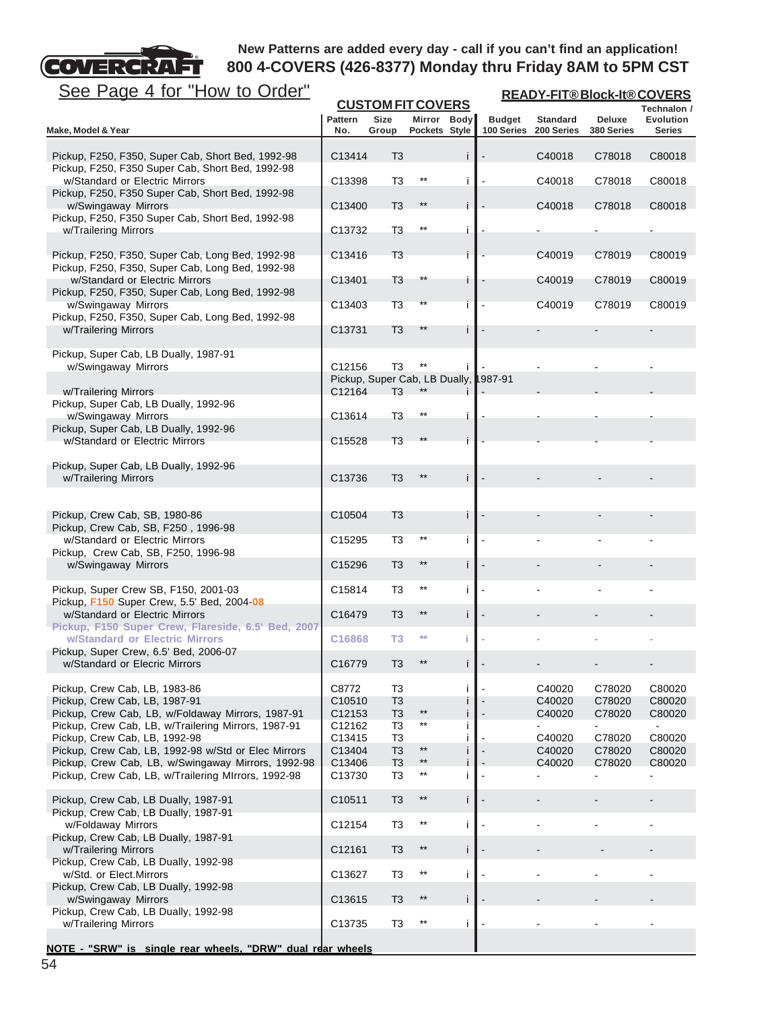# FТ See Page 4 for "How to Order"

**COVERCRA** 

| <u>See Page 4 for "How to Order"</u>                                                                 | <b>READY-FIT®Block-It®COVERS</b> |                                       |                              |        |               |                                          |                             |                            |  |
|------------------------------------------------------------------------------------------------------|----------------------------------|---------------------------------------|------------------------------|--------|---------------|------------------------------------------|-----------------------------|----------------------------|--|
|                                                                                                      |                                  | <b>CUSTOM FIT COVERS</b>              |                              |        |               |                                          |                             | Technalon /                |  |
| Make, Model & Year                                                                                   | <b>Pattern</b><br>No.            | <b>Size</b><br>Group                  | Mirror Body<br>Pockets Style |        | <b>Budget</b> | <b>Standard</b><br>100 Series 200 Series | <b>Deluxe</b><br>380 Series | Evolution<br><b>Series</b> |  |
|                                                                                                      |                                  |                                       |                              |        |               |                                          |                             |                            |  |
| Pickup, F250, F350, Super Cab, Short Bed, 1992-98                                                    | C13414                           | T <sub>3</sub>                        |                              |        |               | C40018                                   | C78018                      | C80018                     |  |
| Pickup, F250, F350 Super Cab, Short Bed, 1992-98                                                     |                                  |                                       |                              |        |               |                                          |                             |                            |  |
| w/Standard or Electric Mirrors                                                                       | C13398                           | T <sub>3</sub>                        | $^{\star\star}$              |        |               | C40018                                   | C78018                      | C80018                     |  |
| Pickup, F250, F350 Super Cab, Short Bed, 1992-98<br>w/Swingaway Mirrors                              | C13400                           | T <sub>3</sub>                        | $***$                        |        |               | C40018                                   | C78018                      | C80018                     |  |
| Pickup, F250, F350 Super Cab, Short Bed, 1992-98                                                     |                                  |                                       |                              |        |               |                                          |                             |                            |  |
| w/Trailering Mirrors                                                                                 | C13732                           | T <sub>3</sub>                        | $^{\star\star}$              | i      |               |                                          |                             |                            |  |
|                                                                                                      |                                  |                                       |                              |        |               |                                          |                             |                            |  |
| Pickup, F250, F350, Super Cab, Long Bed, 1992-98<br>Pickup, F250, F350, Super Cab, Long Bed, 1992-98 | C13416                           | T <sub>3</sub>                        |                              |        |               | C40019                                   | C78019                      | C80019                     |  |
| w/Standard or Electric Mirrors                                                                       | C13401                           | T <sub>3</sub>                        | **                           |        |               | C40019                                   | C78019                      | C80019                     |  |
| Pickup, F250, F350, Super Cab, Long Bed, 1992-98                                                     |                                  |                                       |                              |        |               |                                          |                             |                            |  |
| w/Swingaway Mirrors                                                                                  | C13403                           | T3                                    | **                           |        |               | C40019                                   | C78019                      | C80019                     |  |
| Pickup, F250, F350, Super Cab, Long Bed, 1992-98                                                     |                                  |                                       | **                           |        |               |                                          |                             |                            |  |
| w/Trailering Mirrors                                                                                 | C13731                           | T <sub>3</sub>                        |                              |        |               |                                          |                             |                            |  |
| Pickup, Super Cab, LB Dually, 1987-91                                                                |                                  |                                       |                              |        |               |                                          |                             |                            |  |
| w/Swingaway Mirrors                                                                                  | C12156                           | T <sub>3</sub>                        | $***$                        |        |               |                                          |                             |                            |  |
|                                                                                                      |                                  | Pickup, Super Cab, LB Dually, 1987-91 |                              |        |               |                                          |                             |                            |  |
| w/Trailering Mirrors<br>Pickup, Super Cab, LB Dually, 1992-96                                        | C12164                           | T <sub>3</sub>                        |                              |        |               |                                          |                             |                            |  |
| w/Swingaway Mirrors                                                                                  | C13614                           | T <sub>3</sub>                        | $***$                        |        |               |                                          |                             |                            |  |
| Pickup, Super Cab, LB Dually, 1992-96                                                                |                                  |                                       |                              |        |               |                                          |                             |                            |  |
| w/Standard or Electric Mirrors                                                                       | C15528                           | T <sub>3</sub>                        |                              |        |               |                                          |                             |                            |  |
|                                                                                                      |                                  |                                       |                              |        |               |                                          |                             |                            |  |
| Pickup, Super Cab, LB Dually, 1992-96<br>w/Trailering Mirrors                                        | C13736                           | T <sub>3</sub>                        |                              | j.     |               |                                          |                             |                            |  |
|                                                                                                      |                                  |                                       |                              |        |               |                                          |                             |                            |  |
|                                                                                                      |                                  |                                       |                              |        |               |                                          |                             |                            |  |
| Pickup, Crew Cab, SB, 1980-86                                                                        | C10504                           | T <sub>3</sub>                        |                              |        |               |                                          |                             |                            |  |
| Pickup, Crew Cab, SB, F250, 1996-98<br>w/Standard or Electric Mirrors                                | C15295                           | T <sub>3</sub>                        | $***$                        |        |               |                                          |                             |                            |  |
| Pickup, Crew Cab, SB, F250, 1996-98                                                                  |                                  |                                       |                              |        |               |                                          |                             |                            |  |
| w/Swingaway Mirrors                                                                                  | C15296                           | T <sub>3</sub>                        | $***$                        | İ      |               |                                          |                             |                            |  |
|                                                                                                      |                                  |                                       |                              |        |               |                                          |                             |                            |  |
| Pickup, Super Crew SB, F150, 2001-03                                                                 | C15814                           | T <sub>3</sub>                        | $***$                        | j      |               |                                          |                             |                            |  |
| Pickup, F150 Super Crew, 5.5' Bed, 2004-08<br>w/Standard or Electric Mirrors                         | C16479                           | T <sub>3</sub>                        | $***$                        | İ      |               |                                          |                             |                            |  |
| Pickup, F150 Super Crew, Flareside, 6.5' Bed, 2007                                                   |                                  |                                       |                              |        |               |                                          |                             |                            |  |
| w/Standard or Electric Mirrors                                                                       | C16868                           | T <sub>3</sub>                        | $**$                         | Ť      |               |                                          |                             |                            |  |
| Pickup, Super Crew, 6.5' Bed, 2006-07                                                                |                                  |                                       |                              |        |               |                                          |                             |                            |  |
| w/Standard or Elecric Mirrors                                                                        | C16779                           | T <sub>3</sub>                        |                              |        |               |                                          |                             |                            |  |
| Pickup, Crew Cab, LB, 1983-86                                                                        | C8772                            | T <sub>3</sub>                        |                              | j.     |               | C40020                                   | C78020                      | C80020                     |  |
| Pickup, Crew Cab, LB, 1987-91                                                                        | C10510                           | T <sub>3</sub>                        |                              |        |               | C40020                                   | C78020                      | C80020                     |  |
| Pickup, Crew Cab, LB, w/Foldaway Mirrors, 1987-91                                                    | C12153                           | T <sub>3</sub>                        | $^{\star\star}$<br>$***$     | j      |               | C40020                                   | C78020                      | C80020                     |  |
| Pickup, Crew Cab, LB, w/Trailering Mirrors, 1987-91<br>Pickup, Crew Cab, LB, 1992-98                 | C12162<br>C13415                 | T3<br>T <sub>3</sub>                  |                              | j<br>i |               | C40020                                   | C78020                      | C80020                     |  |
| Pickup, Crew Cab, LB, 1992-98 w/Std or Elec Mirrors                                                  | C13404                           | T <sub>3</sub>                        | $^{\star\star}$              | Ť      |               | C40020                                   | C78020                      | C80020                     |  |
| Pickup, Crew Cab, LB, w/Swingaway Mirrors, 1992-98                                                   | C13406                           | T <sub>3</sub>                        | $^{\star\star}$              |        |               | C40020                                   | C78020                      | C80020                     |  |
| Pickup, Crew Cab, LB, w/Trailering MIrrors, 1992-98                                                  | C13730                           | T <sub>3</sub>                        | $***$                        | j.     |               |                                          |                             | ۰                          |  |
|                                                                                                      |                                  |                                       | $^{\star\star}$              |        |               |                                          |                             |                            |  |
| Pickup, Crew Cab, LB Dually, 1987-91<br>Pickup, Crew Cab, LB Dually, 1987-91                         | C10511                           | T <sub>3</sub>                        |                              | İ      |               |                                          |                             |                            |  |
| w/Foldaway Mirrors                                                                                   | C12154                           | T <sub>3</sub>                        | $^{\star\star}$              | j      |               |                                          |                             |                            |  |
| Pickup, Crew Cab, LB Dually, 1987-91                                                                 |                                  |                                       |                              |        |               |                                          |                             |                            |  |
| w/Trailering Mirrors                                                                                 | C12161                           | T <sub>3</sub>                        | $***$                        | j.     |               |                                          |                             |                            |  |
| Pickup, Crew Cab, LB Dually, 1992-98<br>w/Std. or Elect.Mirrors                                      | C13627                           | T <sub>3</sub>                        | $^{\star\star}$              | j      |               |                                          |                             |                            |  |
| Pickup, Crew Cab, LB Dually, 1992-98                                                                 |                                  |                                       |                              |        |               |                                          |                             |                            |  |
| w/Swingaway Mirrors                                                                                  | C13615                           | T <sub>3</sub>                        | $***$                        | j.     |               |                                          |                             |                            |  |
| Pickup, Crew Cab, LB Dually, 1992-98                                                                 |                                  |                                       |                              |        |               |                                          |                             |                            |  |
| w/Trailering Mirrors                                                                                 | C13735                           | T <sub>3</sub>                        | $^{\star\star}$              | j.     |               |                                          |                             |                            |  |
| NOTE - "SRW" is single rear wheels, "DRW" dual rear wheels                                           |                                  |                                       |                              |        |               |                                          |                             |                            |  |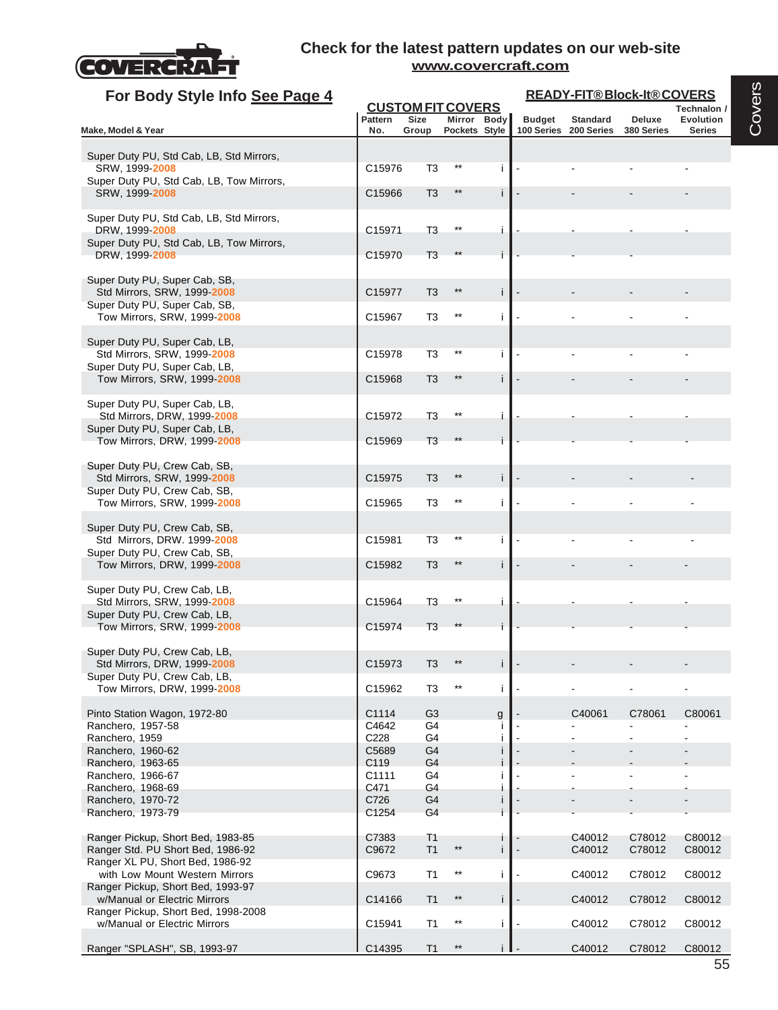

| For Body Style Info See Page 4                                     |                |                |                                         |              | READY-FIT®Block-It®COVERS |                       |            |                          |  |  |
|--------------------------------------------------------------------|----------------|----------------|-----------------------------------------|--------------|---------------------------|-----------------------|------------|--------------------------|--|--|
|                                                                    | <b>Pattern</b> | <b>Size</b>    | <b>CUSTOM FIT COVERS</b><br>Mirror Body |              | <b>Budget</b>             | <b>Standard</b>       | Deluxe     | Technalon /<br>Evolution |  |  |
| Make, Model & Year                                                 | No.            | Group          | Pockets Style                           |              |                           | 100 Series 200 Series | 380 Series | <b>Series</b>            |  |  |
| Super Duty PU, Std Cab, LB, Std Mirrors,                           |                |                |                                         |              |                           |                       |            |                          |  |  |
| SRW, 1999-2008                                                     | C15976         | T <sub>3</sub> |                                         | i.           |                           |                       |            |                          |  |  |
| Super Duty PU, Std Cab, LB, Tow Mirrors,<br>SRW, 1999 2008         | C15966         | T <sub>3</sub> | $***$                                   |              |                           |                       |            |                          |  |  |
|                                                                    |                |                |                                         | j.           |                           |                       |            |                          |  |  |
| Super Duty PU, Std Cab, LB, Std Mirrors,                           |                |                |                                         |              |                           |                       |            |                          |  |  |
| DRW, 1999-2008<br>Super Duty PU, Std Cab, LB, Tow Mirrors,         | C15971         | T <sub>3</sub> |                                         | i.           |                           |                       |            |                          |  |  |
| DRW. 1999-2008                                                     | C15970         | T <sub>3</sub> |                                         |              |                           |                       |            |                          |  |  |
| Super Duty PU, Super Cab, SB,                                      |                |                |                                         |              |                           |                       |            |                          |  |  |
| Std Mirrors, SRW, 1999-2008                                        | C15977         | T3             |                                         | i.           |                           |                       |            |                          |  |  |
| Super Duty PU, Super Cab, SB,<br>Tow Mirrors, SRW, 1999-2008       | C15967         | T <sub>3</sub> | $***$                                   | $\mathbf{i}$ |                           |                       |            |                          |  |  |
|                                                                    |                |                |                                         |              |                           |                       |            |                          |  |  |
| Super Duty PU, Super Cab, LB,                                      |                |                |                                         |              |                           |                       |            |                          |  |  |
| Std Mirrors, SRW, 1999-2008<br>Super Duty PU, Super Cab, LB,       | C15978         | T3             |                                         | i.           |                           |                       |            |                          |  |  |
| Tow Mirrors, SRW, 1999-2008                                        | C15968         | T <sub>3</sub> | $***$                                   | j.           |                           |                       |            |                          |  |  |
| Super Duty PU, Super Cab, LB,                                      |                |                |                                         |              |                           |                       |            |                          |  |  |
| Std Mirrors, DRW, 1999-2008                                        | C15972         | T <sub>3</sub> |                                         | i.           |                           |                       |            |                          |  |  |
| Super Duty PU, Super Cab, LB,                                      |                |                |                                         |              |                           |                       |            |                          |  |  |
| Tow Mirrors, DRW, 1999-2008                                        | C15969         | T <sub>3</sub> |                                         |              |                           |                       |            |                          |  |  |
| Super Duty PU, Crew Cab, SB,                                       |                |                |                                         |              |                           |                       |            |                          |  |  |
| Std Mirrors, SRW, 1999-2008<br>Super Duty PU, Crew Cab, SB,        | C15975         | T3             |                                         | j.           |                           |                       |            |                          |  |  |
| Tow Mirrors, SRW, 1999-2008                                        | C15965         | T <sub>3</sub> | $***$                                   | i.           |                           |                       |            |                          |  |  |
|                                                                    |                |                |                                         |              |                           |                       |            |                          |  |  |
| Super Duty PU, Crew Cab, SB,<br>Std Mirrors, DRW. 1999-2008        | C15981         | T3             |                                         | i.           |                           |                       |            |                          |  |  |
| Super Duty PU, Crew Cab, SB,                                       |                |                |                                         |              |                           |                       |            |                          |  |  |
| Tow Mirrors, DRW, 1999-2008                                        | C15982         | T <sub>3</sub> | $***$                                   | Ť.           |                           |                       |            |                          |  |  |
| Super Duty PU, Crew Cab, LB,                                       |                |                |                                         |              |                           |                       |            |                          |  |  |
| Std Mirrors, SRW, 1999-2008                                        | C15964         | T <sub>3</sub> |                                         | i.           |                           |                       |            |                          |  |  |
| Super Duty PU, Crew Cab, LB,                                       |                |                |                                         |              |                           |                       |            |                          |  |  |
| Tow Mirrors, SRW, 1999-2008                                        | C15974         | T3             |                                         |              |                           |                       |            |                          |  |  |
| Super Duty PU, Crew Cab, LB,                                       |                |                |                                         |              |                           |                       |            |                          |  |  |
| Std Mirrors, DRW, 1999-2008<br>Super Duty PU, Crew Cab, LB,        | C15973         |                |                                         |              |                           |                       |            |                          |  |  |
| Tow Mirrors, DRW, 1999-2008                                        | C15962         | T <sub>3</sub> |                                         | j.           |                           |                       |            |                          |  |  |
| Pinto Station Wagon, 1972-80                                       | C1114          | G <sub>3</sub> |                                         | g            |                           | C40061                | C78061     | C80061                   |  |  |
| Ranchero, 1957-58                                                  | C4642          | G4             |                                         |              |                           |                       |            |                          |  |  |
| Ranchero, 1959                                                     | C228           | G4             |                                         |              |                           |                       |            |                          |  |  |
| Ranchero, 1960-62                                                  | C5689          | G <sub>4</sub> |                                         |              |                           |                       |            |                          |  |  |
| Ranchero, 1963-65<br>Ranchero, 1966-67                             | C119<br>C1111  | G4<br>G4       |                                         |              |                           |                       |            |                          |  |  |
| Ranchero, 1968-69                                                  | C471           | G4             |                                         |              |                           |                       |            |                          |  |  |
| Ranchero, 1970-72                                                  | C726           | G4             |                                         | Ť            |                           |                       |            |                          |  |  |
| Ranchero, 1973-79                                                  | C1254          | G4             |                                         |              |                           |                       |            |                          |  |  |
| Ranger Pickup, Short Bed, 1983-85                                  | C7383          | T <sub>1</sub> |                                         |              |                           | C40012                | C78012     | C80012                   |  |  |
| Ranger Std. PU Short Bed, 1986-92                                  | C9672          | T1             | $***$                                   | j.           |                           | C40012                | C78012     | C80012                   |  |  |
| Ranger XL PU, Short Bed, 1986-92<br>with Low Mount Western Mirrors | C9673          | T <sub>1</sub> | $***$                                   | i.           |                           | C40012                | C78012     | C80012                   |  |  |
| Ranger Pickup, Short Bed, 1993-97                                  |                |                |                                         |              |                           |                       |            |                          |  |  |
| w/Manual or Electric Mirrors                                       | C14166         | T <sub>1</sub> | $^{\star\star}$                         | i.           |                           | C40012                | C78012     | C80012                   |  |  |
| Ranger Pickup, Short Bed, 1998-2008                                |                |                | $^{\star\star}$                         |              |                           |                       |            |                          |  |  |
| w/Manual or Electric Mirrors                                       | C15941         | T1             |                                         | i.           |                           | C40012                | C78012     | C80012                   |  |  |
| Ranger "SPLASH", SB, 1993-97                                       | C14395         | T <sub>1</sub> | $^{\star\star}$                         | i I          |                           | C40012                | C78012     | C80012                   |  |  |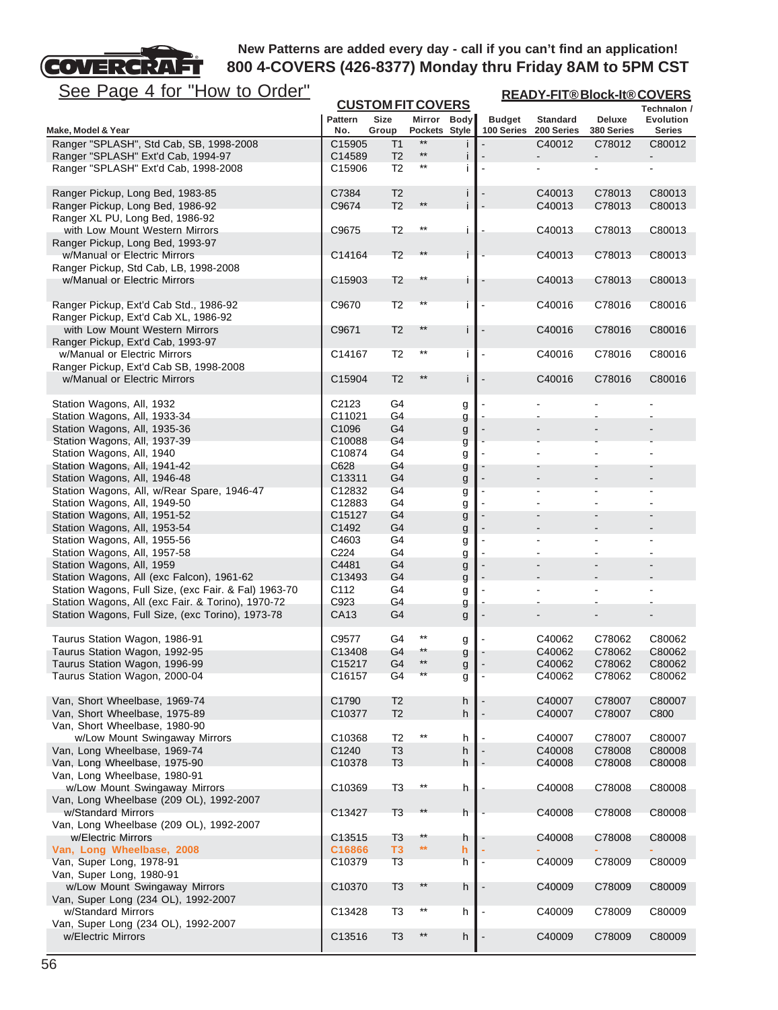## **COVERCRA** FТ

# **New Patterns are added every day - call if you can't find an application! 800 4-COVERS (426-8377) Monday thru Friday 8AM to 5PM CST**

| <u>See Page 4 for "How to Order"</u>                          | <b>CUSTOM FIT COVERS</b> |                      |                              |        |                             |                               |                             | <b>READY-FIT®Block-It®COVERS</b> |  |  |
|---------------------------------------------------------------|--------------------------|----------------------|------------------------------|--------|-----------------------------|-------------------------------|-----------------------------|----------------------------------|--|--|
|                                                               |                          |                      |                              |        |                             |                               |                             | Technalon /                      |  |  |
| Make, Model & Year                                            | <b>Pattern</b><br>No.    | <b>Size</b><br>Group | Mirror Body<br>Pockets Style |        | <b>Budget</b><br>100 Series | <b>Standard</b><br>200 Series | <b>Deluxe</b><br>380 Series | Evolution<br><b>Series</b>       |  |  |
| Ranger "SPLASH", Std Cab, SB, 1998-2008                       | C15905                   | T1                   |                              |        |                             | C40012                        | C78012                      | C80012                           |  |  |
| Ranger "SPLASH" Ext'd Cab, 1994-97                            | C14589                   | T <sub>2</sub>       | $\star\star$                 | j      |                             |                               |                             |                                  |  |  |
| Ranger "SPLASH" Ext'd Cab, 1998-2008                          | C15906                   | T <sub>2</sub>       | **                           |        |                             |                               |                             |                                  |  |  |
| Ranger Pickup, Long Bed, 1983-85                              | C7384                    | T <sub>2</sub>       |                              |        |                             | C40013                        | C78013                      | C80013                           |  |  |
| Ranger Pickup, Long Bed, 1986-92                              | C9674                    | T <sub>2</sub>       | $***$                        |        |                             | C40013                        | C78013                      | C80013                           |  |  |
| Ranger XL PU, Long Bed, 1986-92                               |                          |                      |                              |        |                             |                               |                             |                                  |  |  |
| with Low Mount Western Mirrors                                | C9675                    | T <sub>2</sub>       | $***$                        |        |                             | C40013                        | C78013                      | C80013                           |  |  |
| Ranger Pickup, Long Bed, 1993-97                              |                          |                      |                              |        |                             |                               |                             |                                  |  |  |
| w/Manual or Electric Mirrors                                  | C14164                   | T <sub>2</sub>       | $**$                         | i.     |                             | C40013                        | C78013                      | C80013                           |  |  |
| Ranger Pickup, Std Cab, LB, 1998-2008                         |                          |                      |                              |        |                             |                               |                             |                                  |  |  |
| w/Manual or Electric Mirrors                                  | C15903                   | T <sub>2</sub>       | $***$                        |        |                             | C40013                        | C78013                      | C80013                           |  |  |
| Ranger Pickup, Ext'd Cab Std., 1986-92                        | C9670                    | T <sub>2</sub>       | **                           |        |                             | C40016                        | C78016                      | C80016                           |  |  |
| Ranger Pickup, Ext'd Cab XL, 1986-92                          |                          |                      |                              |        |                             |                               |                             |                                  |  |  |
| with Low Mount Western Mirrors                                | C9671                    | T <sub>2</sub>       | $^{\star\star}$              |        |                             | C40016                        | C78016                      | C80016                           |  |  |
| Ranger Pickup, Ext'd Cab, 1993-97                             |                          |                      |                              |        |                             |                               |                             |                                  |  |  |
| w/Manual or Electric Mirrors                                  | C14167                   | T <sub>2</sub>       | $***$                        |        |                             | C40016                        | C78016                      | C80016                           |  |  |
| Ranger Pickup, Ext'd Cab SB, 1998-2008                        |                          |                      |                              |        |                             |                               |                             |                                  |  |  |
| w/Manual or Electric Mirrors                                  | C15904                   | T <sub>2</sub>       | $***$                        | i      |                             | C40016                        | C78016                      | C80016                           |  |  |
| Station Wagons, All, 1932                                     | C2123                    | G4                   |                              | g      |                             |                               |                             |                                  |  |  |
| Station Wagons, All, 1933-34                                  | C11021                   | G4                   |                              | g      |                             |                               |                             |                                  |  |  |
| Station Wagons, All, 1935-36                                  | C1096                    | G4                   |                              | g      |                             |                               |                             |                                  |  |  |
| Station Wagons, All, 1937-39                                  | C10088                   | G4                   |                              | g      |                             |                               |                             |                                  |  |  |
| Station Wagons, All, 1940                                     | C10874                   | G4                   |                              | g      |                             |                               |                             |                                  |  |  |
| Station Wagons, All, 1941-42                                  | C628                     | G4                   |                              | g      |                             |                               |                             |                                  |  |  |
| Station Wagons, All, 1946-48                                  | C13311                   | G4                   |                              | g      |                             |                               |                             |                                  |  |  |
| Station Wagons, All, w/Rear Spare, 1946-47                    | C12832                   | G4                   |                              | g      |                             |                               |                             |                                  |  |  |
| Station Wagons, All, 1949-50                                  | C12883                   | G4                   |                              | g      |                             |                               |                             |                                  |  |  |
| Station Wagons, All, 1951-52                                  | C15127                   | G4                   |                              | g      |                             |                               |                             |                                  |  |  |
| Station Wagons, All, 1953-54                                  | C1492                    | G4                   |                              | g      |                             |                               |                             |                                  |  |  |
| Station Wagons, All, 1955-56                                  | C4603<br>C224            | G4<br>G4             |                              | g      |                             |                               |                             |                                  |  |  |
| Station Wagons, All, 1957-58<br>Station Wagons, All, 1959     | C4481                    | G4                   |                              | g      |                             |                               |                             |                                  |  |  |
| Station Wagons, All (exc Falcon), 1961-62                     | C <sub>13493</sub>       | G4                   |                              | g<br>g |                             |                               |                             |                                  |  |  |
| Station Wagons, Full Size, (exc Fair. & Fal) 1963-70          | C112                     | G4                   |                              | g      |                             |                               |                             |                                  |  |  |
| Station Wagons, All (exc Fair. & Torino), 1970-72             | C923                     | G4                   |                              | g      |                             |                               |                             |                                  |  |  |
| Station Wagons, Full Size, (exc Torino), 1973-78              | CA13                     | G4                   |                              | g      |                             |                               |                             |                                  |  |  |
| Taurus Station Wagon, 1986-91                                 | C9577                    | G4                   |                              | g      |                             | C40062                        | C78062                      | C80062                           |  |  |
| Taurus Station Wagon, 1992-95                                 | C13408                   | G4                   | **                           | g      |                             | C40062                        | C78062                      | C80062                           |  |  |
| Taurus Station Wagon, 1996-99                                 | C15217                   | G <sub>4</sub>       | **                           | g      |                             | C40062                        | C78062                      | C80062                           |  |  |
| Taurus Station Wagon, 2000-04                                 | C16157                   | G4                   |                              | g      |                             | C40062                        | C78062                      | C80062                           |  |  |
|                                                               |                          |                      |                              |        |                             |                               |                             |                                  |  |  |
| Van, Short Wheelbase, 1969-74                                 | C1790                    | T <sub>2</sub>       |                              | h      |                             | C40007                        | C78007                      | C80007                           |  |  |
| Van, Short Wheelbase, 1975-89                                 | C10377                   | T <sub>2</sub>       |                              | h      |                             | C40007                        | C78007                      | C800                             |  |  |
| Van, Short Wheelbase, 1980-90                                 |                          |                      |                              |        |                             |                               |                             |                                  |  |  |
| w/Low Mount Swingaway Mirrors                                 | C <sub>10368</sub>       | T <sub>2</sub>       | $^{\star\star}$              | h      |                             | C40007                        | C78007                      | C80007                           |  |  |
| Van, Long Wheelbase, 1969-74                                  | C1240                    | T <sub>3</sub>       |                              | h      |                             | C40008                        | C78008                      | C80008                           |  |  |
| Van, Long Wheelbase, 1975-90                                  | C10378                   | T <sub>3</sub>       |                              | h      |                             | C40008                        | C78008                      | C80008                           |  |  |
| Van, Long Wheelbase, 1980-91<br>w/Low Mount Swingaway Mirrors | C10369                   | T <sub>3</sub>       | $***$                        | h      |                             | C40008                        | C78008                      | C80008                           |  |  |
| Van, Long Wheelbase (209 OL), 1992-2007                       |                          |                      |                              |        |                             |                               |                             |                                  |  |  |
| w/Standard Mirrors                                            | C13427                   | T <sub>3</sub>       | $***$                        | h      |                             | C40008                        | C78008                      | C80008                           |  |  |
| Van, Long Wheelbase (209 OL), 1992-2007                       |                          |                      |                              |        |                             |                               |                             |                                  |  |  |
| w/Electric Mirrors                                            | C13515                   | T <sub>3</sub>       | **                           | h      |                             | C40008                        | C78008                      | C80008                           |  |  |
| Van, Long Wheelbase, 2008                                     | C16866                   | T <sub>3</sub>       | $\star\star$                 | h      |                             |                               |                             |                                  |  |  |
| Van, Super Long, 1978-91                                      | C10379                   | T <sub>3</sub>       |                              | h      |                             | C40009                        | C78009                      | C80009                           |  |  |
| Van, Super Long, 1980-91                                      |                          |                      |                              |        |                             |                               |                             |                                  |  |  |
| w/Low Mount Swingaway Mirrors                                 | C10370                   | T <sub>3</sub>       | $^{\star\star}$              | h      |                             | C40009                        | C78009                      | C80009                           |  |  |
| Van, Super Long (234 OL), 1992-2007                           |                          |                      |                              |        |                             |                               |                             |                                  |  |  |
| w/Standard Mirrors                                            | C13428                   | T <sub>3</sub>       | $^{\star\star}$              | h      |                             | C40009                        | C78009                      | C80009                           |  |  |
| Van, Super Long (234 OL), 1992-2007                           |                          |                      | $***$                        |        |                             |                               |                             |                                  |  |  |
| w/Electric Mirrors                                            | C13516                   | T <sub>3</sub>       |                              | h      |                             | C40009                        | C78009                      | C80009                           |  |  |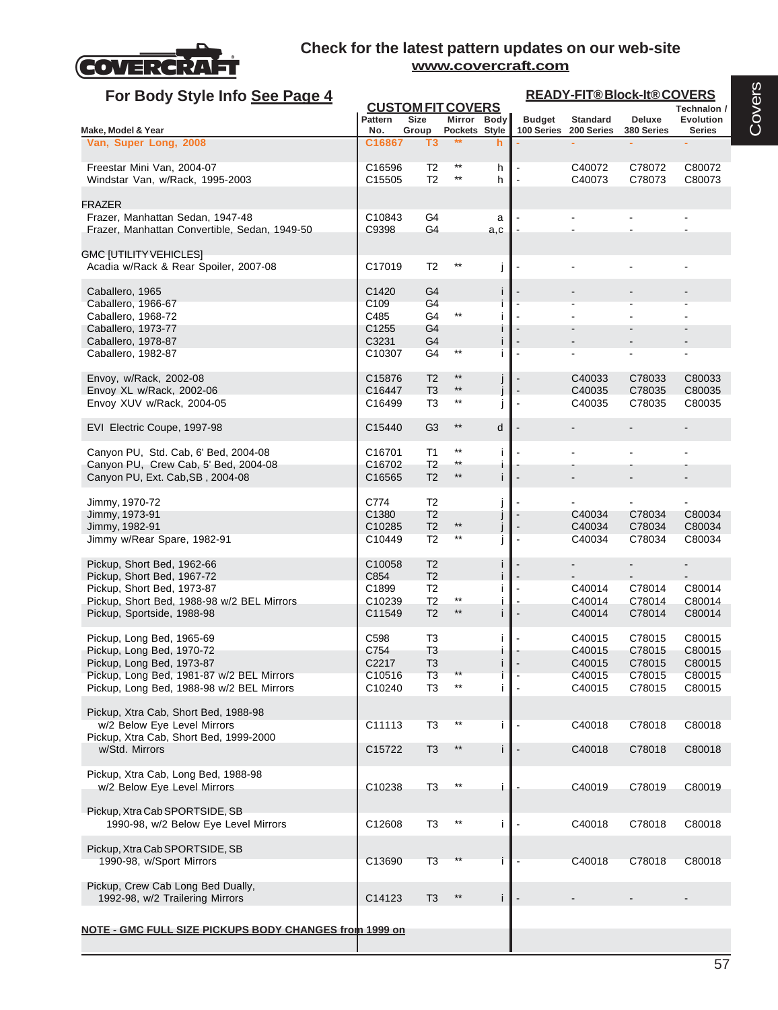

| For Body Style Info See Page 4                                         |                           |                                         |                          |     | <b>READY-FIT®Block-It®COVERS</b> |                  |                  |                          |  |  |
|------------------------------------------------------------------------|---------------------------|-----------------------------------------|--------------------------|-----|----------------------------------|------------------|------------------|--------------------------|--|--|
|                                                                        | <b>Pattern</b>            | <b>CUSTOM FIT COVERS</b><br><b>Size</b> | Mirror Body              |     | <b>Budget</b>                    | <b>Standard</b>  | Deluxe           | Technalon /<br>Evolution |  |  |
| Make, Model & Year                                                     | No.                       | Group                                   | Pockets Style            |     | 100 Series                       | 200 Series       | 380 Series       | <b>Series</b>            |  |  |
| Van, Super Long, 2008                                                  | C16867                    | T3                                      |                          | h   |                                  |                  |                  |                          |  |  |
| Freestar Mini Van, 2004-07                                             | C16596                    | T2                                      | $^{\star\star}$          | h   |                                  | C40072           | C78072           | C80072                   |  |  |
| Windstar Van, w/Rack, 1995-2003                                        | C15505                    | T <sub>2</sub>                          | **                       | h   |                                  | C40073           | C78073           | C80073                   |  |  |
| <b>FRAZER</b>                                                          |                           |                                         |                          |     |                                  |                  |                  |                          |  |  |
| Frazer, Manhattan Sedan, 1947-48                                       | C10843                    | G4                                      |                          | a   |                                  |                  |                  |                          |  |  |
| Frazer, Manhattan Convertible, Sedan, 1949-50                          | C9398                     | G4                                      |                          | a,c |                                  |                  |                  |                          |  |  |
|                                                                        |                           |                                         |                          |     |                                  |                  |                  |                          |  |  |
| <b>GMC [UTILITY VEHICLES]</b><br>Acadia w/Rack & Rear Spoiler, 2007-08 | C17019                    | T <sub>2</sub>                          | **                       | j   |                                  |                  |                  |                          |  |  |
|                                                                        |                           |                                         |                          |     |                                  |                  |                  |                          |  |  |
| Caballero, 1965                                                        | C1420                     | G <sub>4</sub>                          |                          | j.  |                                  |                  |                  |                          |  |  |
| Caballero, 1966-67                                                     | C <sub>109</sub>          | G4<br>G4                                | $^{\star\star}$          |     |                                  |                  |                  |                          |  |  |
| Caballero, 1968-72<br>Caballero, 1973-77                               | C485<br>C <sub>1255</sub> | G4                                      |                          |     |                                  |                  |                  |                          |  |  |
| Caballero, 1978-87                                                     | C3231                     | G4                                      |                          | i   |                                  |                  |                  |                          |  |  |
| Caballero, 1982-87                                                     | C10307                    | G4                                      | **                       |     |                                  |                  |                  |                          |  |  |
|                                                                        |                           |                                         |                          |     |                                  |                  |                  |                          |  |  |
| Envoy, w/Rack, 2002-08                                                 | C15876                    | T <sub>2</sub>                          | $***$<br>$^{\star\star}$ | J   |                                  | C40033           | C78033           | C80033                   |  |  |
| Envoy XL w/Rack, 2002-06<br>Envoy XUV w/Rack, 2004-05                  | C16447<br>C16499          | T <sub>3</sub><br>T3                    | **                       |     | $\blacksquare$                   | C40035<br>C40035 | C78035<br>C78035 | C80035<br>C80035         |  |  |
|                                                                        |                           |                                         |                          |     |                                  |                  |                  |                          |  |  |
| EVI Electric Coupe, 1997-98                                            | C15440                    | G <sub>3</sub>                          | $^{\star\star}$          | d   |                                  |                  |                  |                          |  |  |
| Canyon PU, Std. Cab, 6' Bed, 2004-08                                   | C16701                    | T1                                      | **                       | i   |                                  |                  |                  |                          |  |  |
| Canyon PU, Crew Cab, 5' Bed, 2004-08                                   | C16702                    | T <sub>2</sub>                          | $^{\star\star}$          | ı   |                                  |                  |                  |                          |  |  |
| Canyon PU, Ext. Cab, SB, 2004-08                                       | C16565                    | T <sub>2</sub>                          | $^{\star\star}$          | i.  |                                  |                  |                  |                          |  |  |
| Jimmy, 1970-72                                                         | C774                      | T <sub>2</sub>                          |                          |     |                                  |                  |                  |                          |  |  |
| Jimmy, 1973-91                                                         | C1380                     | T <sub>2</sub>                          |                          |     |                                  | C40034           | C78034           | C80034                   |  |  |
| Jimmy, 1982-91                                                         | C10285                    | T <sub>2</sub>                          | $^{\star\star}$          |     |                                  | C40034           | C78034           | C80034                   |  |  |
| Jimmy w/Rear Spare, 1982-91                                            | C10449                    | T <sub>2</sub>                          | $^{\star\star}$          |     |                                  | C40034           | C78034           | C80034                   |  |  |
| Pickup, Short Bed, 1962-66                                             | C10058                    | T <sub>2</sub>                          |                          |     |                                  |                  |                  |                          |  |  |
| Pickup, Short Bed, 1967-72                                             | C854                      | T <sub>2</sub>                          |                          |     |                                  |                  |                  |                          |  |  |
| Pickup, Short Bed, 1973-87                                             | C1899                     | T <sub>2</sub>                          | $^{\star\star}$          |     |                                  | C40014           | C78014           | C80014                   |  |  |
| Pickup, Short Bed, 1988-98 w/2 BEL Mirrors                             | C10239<br>C11549          | T <sub>2</sub><br>T <sub>2</sub>        | $***$                    | i.  |                                  | C40014<br>C40014 | C78014<br>C78014 | C80014                   |  |  |
| Pickup, Sportside, 1988-98                                             |                           |                                         |                          |     |                                  |                  |                  | C80014                   |  |  |
| Pickup, Long Bed, 1965-69                                              | C598                      | T <sub>3</sub>                          |                          | i   |                                  | C40015           | C78015           | C80015                   |  |  |
| Pickup, Long Bed, 1970-72                                              | C754                      | T3                                      |                          |     |                                  | C40015           | C78015           | C80015                   |  |  |
| Pickup, Long Bed, 1973-87                                              | C2217                     | T <sub>3</sub>                          |                          |     |                                  | C40015           | C78015           | C80015                   |  |  |
| Pickup, Long Bed, 1981-87 w/2 BEL Mirrors                              | C10516                    | T <sub>3</sub>                          | $^{\star\star}$          |     |                                  | C40015           | C78015           | C80015                   |  |  |
| Pickup, Long Bed, 1988-98 w/2 BEL Mirrors                              | C10240                    | T <sub>3</sub>                          |                          |     |                                  | C40015           | C78015           | C80015                   |  |  |
| Pickup, Xtra Cab, Short Bed, 1988-98                                   |                           |                                         |                          |     |                                  |                  |                  |                          |  |  |
| w/2 Below Eye Level Mirrors                                            | C11113                    | T <sub>3</sub>                          | $^{\star\star}$          |     |                                  | C40018           | C78018           | C80018                   |  |  |
| Pickup, Xtra Cab, Short Bed, 1999-2000                                 |                           |                                         |                          |     |                                  |                  |                  |                          |  |  |
| w/Std. Mirrors                                                         | C15722                    | T <sub>3</sub>                          | $^{\star\star}$          |     |                                  | C40018           | C78018           | C80018                   |  |  |
| Pickup, Xtra Cab, Long Bed, 1988-98                                    |                           |                                         |                          |     |                                  |                  |                  |                          |  |  |
| w/2 Below Eye Level Mirrors                                            | C10238                    | T <sub>3</sub>                          | $***$                    | i   |                                  | C40019           | C78019           | C80019                   |  |  |
|                                                                        |                           |                                         |                          |     |                                  |                  |                  |                          |  |  |
| Pickup, Xtra Cab SPORTSIDE, SB                                         |                           |                                         |                          |     |                                  |                  |                  |                          |  |  |
| 1990-98, w/2 Below Eye Level Mirrors                                   | C12608                    | T <sub>3</sub>                          | $^{\star\star}$          | i.  |                                  | C40018           | C78018           | C80018                   |  |  |
| Pickup, Xtra Cab SPORTSIDE, SB                                         |                           |                                         |                          |     |                                  |                  |                  |                          |  |  |
| 1990-98, w/Sport Mirrors                                               | C <sub>13690</sub>        | T <sub>3</sub>                          |                          |     |                                  | C40018           | C78018           | C80018                   |  |  |
|                                                                        |                           |                                         |                          |     |                                  |                  |                  |                          |  |  |
| Pickup, Crew Cab Long Bed Dually,                                      |                           |                                         |                          |     |                                  |                  |                  |                          |  |  |
| 1992-98, w/2 Trailering Mirrors                                        | C14123                    | T <sub>3</sub>                          | $***$                    | i.  |                                  |                  |                  |                          |  |  |
|                                                                        |                           |                                         |                          |     |                                  |                  |                  |                          |  |  |
| NOTE - GMC FULL SIZE PICKUPS BODY CHANGES from 1999 on                 |                           |                                         |                          |     |                                  |                  |                  |                          |  |  |
|                                                                        |                           |                                         |                          |     |                                  |                  |                  |                          |  |  |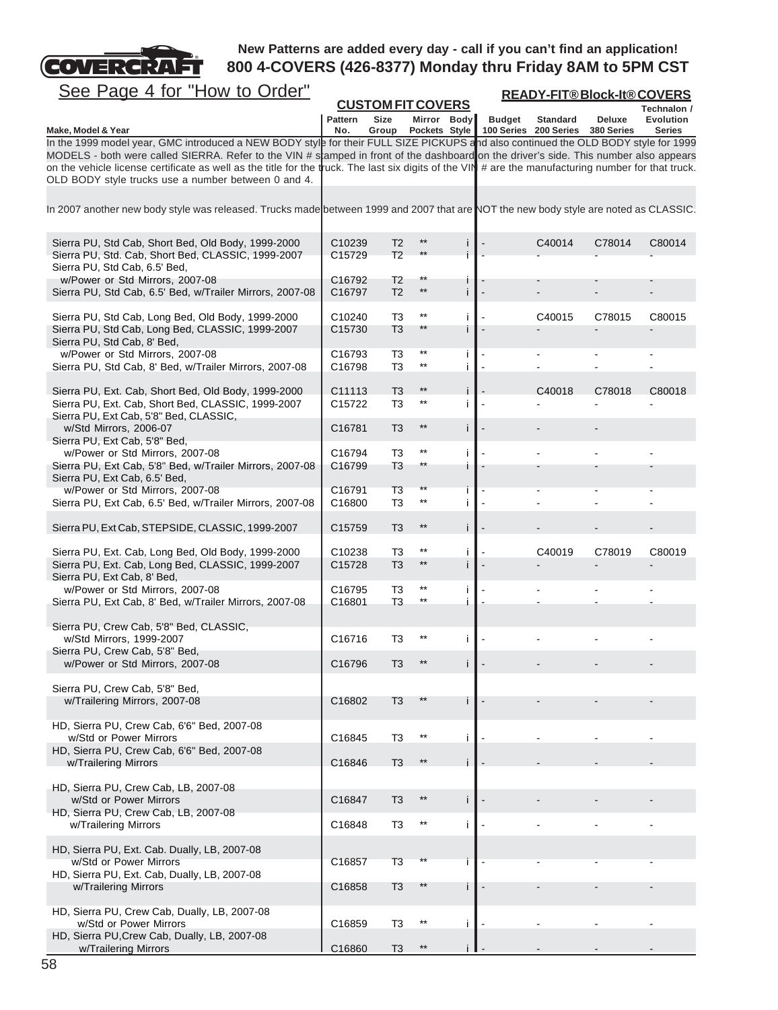

**Technalon / Pattern Size Mirror Body Budget Standard Deluxe Evolution Make, Model & Year No. Group Pockets Style 100 Series 200 Series 380 Series Series CUSTOM FIT COVERS READY-FIT® Block-It® COVERS** See Page 4 for "How to Order" In the 1999 model year, GMC introduced a NEW BODY style for their FULL SIZE PICKUPS and also continued the OLD BODY style for 1999 MODELS - both were called SIERRA. Refer to the VIN # stamped in front of the dashboard on the driver's side. This number also appears on the vehicle license certificate as well as the title for the truck. The last six digits of the VIN # are the manufacturing number for that truck. OLD BODY style trucks use a number between 0 and 4. In 2007 another new body style was released. Trucks made between 1999 and 2007 that are NOT the new body style are noted as CLASSIC. Sierra PU, Std Cab, Short Bed, Old Body, 1999-2000 | C10239 T2 \*\* i |- C40014 C78014 C80014 Sierra PU, Std. Cab, Short Bed, CLASSIC, 1999-2007 | C15729 T2 Sierra PU, Std Cab, 6.5' Bed, w/Power or Std Mirrors, 2007-08  $\begin{array}{ccc} \text{C16792} & \text{T2} & \text{**} \\ \text{C16792} & \text{T1} & \text{C16792} \\ \text{C16707} & \text{T2} & \text{**} \end{array}$ Sierra PU, Std Cab, 6.5' Bed, w/Trailer Mirrors, 2007-08  $\vert$  C16797 T2 \*\* i Sierra PU, Std Cab, Long Bed, Old Body, 1999-2000 | C10240 T3 \*\* i | - C40015 C78015 C80015 Sierra PU, Std Cab, Long Bed, CLASSIC, 1999-2007 C15730 T3 \*\* i - - - - Sierra PU, Std Cab, 8' Bed, w/Power or Std Mirrors, 2007-08  $\begin{array}{|l|}\n\hline\n\text{C16793} & T3 & * \text{i} \\
\hline\n\text{C16793} & T3 & * \text{i} \\
\hline\n\end{array}$ Sierra PU, Std Cab, 8' Bed, w/Trailer Mirrors, 2007-08 | C16798 T3 Sierra PU, Ext. Cab, Short Bed, Old Body, 1999-2000 C11113 T3 \*\* i - C40018 C78018 C80018 Sierra PU, Ext. Cab, Short Bed, CLASSIC, 1999-2007 | C15722 T3 \*\* i Sierra PU, Ext Cab, 5'8" Bed, CLASSIC, w/Std Mirrors, 2006-07 and a set of contract to contract the C16781 and  $\sim$  C16781 and  $\sim$  -  $\sim$  -Sierra PU, Ext Cab, 5'8" Bed, w/Power or Std Mirrors, 2007-08<br>
arra BLL Ext Cab 5'8" Bed w/Trailer Mirrors, 2007-08 C16799 T3 \*\* Sierra PU, Ext Cab, 5'8" Bed, w/Trailer Mirrors, 2007-08 C16799 T3 \*\* i Sierra PU, Ext Cab, 6.5' Bed, w/Power or Std Mirrors, 2007-08 contract to change of C16791 T3 Sierra PU, Ext Cab, 6.5' Bed, w/Trailer Mirrors, 2007-08 | C16800 T3 \*\* i Sierra PU, Ext Cab, STEPSIDE, CLASSIC, 1999-2007 | C15759 T3 \*\* Sierra PU, Ext. Cab, Long Bed, Old Body, 1999-2000 C10238 T3 \*\* i - C40019 C78019 C80019<br>Sierra BU, Ext. Cab Long Bed, CLASSIC 1999-2007 C15728 T3 \*\* i Sierra PU, Ext. Cab, Long Bed, CLASSIC, 1999-2007 | C15728 T3 \*\* i Sierra PU, Ext Cab, 8' Bed, w/Power or Std Mirrors, 2007-08 <br>
orre BU Ext Cob 8' Bod w/Troiler Mirrors, 2007-08 C16801 T2 \*\* i Sierra PU, Ext Cab, 8' Bed, w/Trailer Mirrors, 2007-08 | C16801 T3 Sierra PU, Crew Cab, 5'8" Bed, CLASSIC, w/Std Mirrors, 1999-2007 C16716 T3 \*\* i - - - - Sierra PU, Crew Cab, 5'8" Bed, w/Power or Std Mirrors, 2007-08 **C16796** T3 \*\* i Sierra PU, Crew Cab, 5'8" Bed, w/Trailering Mirrors, 2007-08 **C16802** T3 \*\* i HD, Sierra PU, Crew Cab, 6'6" Bed, 2007-08 w/Std or Power Mirrors **C16845** T3 \*\* i HD, Sierra PU, Crew Cab, 6'6" Bed, 2007-08 w/Trailering Mirrors in the contract of the C16846 T3 \*\* i HD, Sierra PU, Crew Cab, LB, 2007-08 w/Std or Power Mirrors **C16847** T3 \*\* i HD, Sierra PU, Crew Cab, LB, 2007-08 w/Trailering Mirrors and the control of the C16848 T3 \*\* i HD, Sierra PU, Ext. Cab. Dually, LB, 2007-08 w/Std or Power Mirrors and the control of the C16857 T3 \*\* interventional control of the control of the control of the control of the control of the control of the control of the control of the control of the control of th HD, Sierra PU, Ext. Cab, Dually, LB, 2007-08 w/Trailering Mirrors in the contract of the C16858 T3 \*\* i HD, Sierra PU, Crew Cab, Dually, LB, 2007-08 w/Std or Power Mirrors C16859 T3 \*\* i - - - - HD, Sierra PU,Crew Cab, Dually, LB, 2007-08 w/Trailering Mirrors and C16860 T3 \*\* i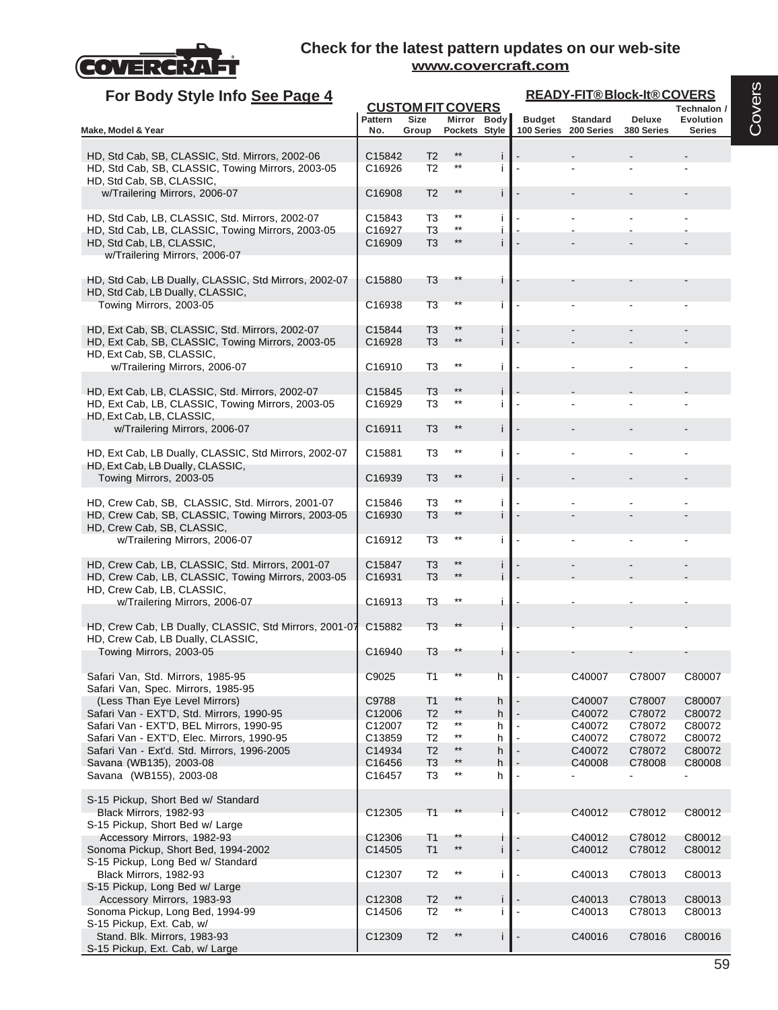

S-15 Pickup, Ext. Cab, w/ Large

| For Body Style Info See Page 4                                                                       |                    |                                  |                                    |         |                             | <b>READY-FIT®Block-It®COVERS</b> |                      |                                   |
|------------------------------------------------------------------------------------------------------|--------------------|----------------------------------|------------------------------------|---------|-----------------------------|----------------------------------|----------------------|-----------------------------------|
|                                                                                                      |                    |                                  | <b>CUSTOM FIT COVERS</b>           |         |                             |                                  |                      | Technalon /                       |
| Make, Model & Year                                                                                   | Pattern<br>No.     | Size<br>Group                    | Mirror Body<br>Pockets Style       |         | <b>Budget</b><br>100 Series | <b>Standard</b><br>200 Series    | Deluxe<br>380 Series | <b>Evolution</b><br><b>Series</b> |
|                                                                                                      |                    |                                  |                                    |         |                             |                                  |                      |                                   |
| HD, Std Cab, SB, CLASSIC, Std. Mirrors, 2002-06                                                      | C15842             | T <sub>2</sub>                   | $***$<br>$***$                     | İ       |                             |                                  |                      |                                   |
| HD, Std Cab, SB, CLASSIC, Towing Mirrors, 2003-05<br>HD, Std Cab, SB, CLASSIC,                       | C16926             | T <sub>2</sub>                   |                                    | Ť       |                             |                                  |                      |                                   |
| w/Trailering Mirrors, 2006-07                                                                        | C16908             | T <sub>2</sub>                   | $***$                              | j.      |                             |                                  |                      |                                   |
|                                                                                                      |                    |                                  |                                    |         |                             |                                  |                      |                                   |
| HD, Std Cab, LB, CLASSIC, Std. Mirrors, 2002-07<br>HD, Std Cab, LB, CLASSIC, Towing Mirrors, 2003-05 | C15843<br>C16927   | T3<br>T3                         | $***$<br>$^{\star\star}$           | Ť       |                             |                                  |                      |                                   |
| HD, Std Cab, LB, CLASSIC,                                                                            | C16909             | T <sub>3</sub>                   | $***$                              | i       |                             |                                  |                      |                                   |
| w/Trailering Mirrors, 2006-07                                                                        |                    |                                  |                                    |         |                             |                                  |                      |                                   |
|                                                                                                      | C15880             | T3                               | $^{\star\star}$                    |         |                             |                                  |                      |                                   |
| HD, Std Cab, LB Dually, CLASSIC, Std Mirrors, 2002-07<br>HD, Std Cab, LB Dually, CLASSIC,            |                    |                                  |                                    | Ť.      |                             |                                  |                      |                                   |
| Towing Mirrors, 2003-05                                                                              | C16938             | T3                               | $***$                              | Ť       |                             |                                  |                      |                                   |
|                                                                                                      | C15844             | T <sub>3</sub>                   | $***$                              |         |                             |                                  |                      |                                   |
| HD, Ext Cab, SB, CLASSIC, Std. Mirrors, 2002-07<br>HD, Ext Cab, SB, CLASSIC, Towing Mirrors, 2003-05 | C16928             | T <sub>3</sub>                   | $***$                              | Ť<br>i. |                             |                                  |                      |                                   |
| HD, Ext Cab, SB, CLASSIC,                                                                            |                    |                                  |                                    |         |                             |                                  |                      |                                   |
| w/Trailering Mirrors, 2006-07                                                                        | C16910             | T3                               | $***$                              | j.      |                             |                                  |                      |                                   |
| HD, Ext Cab, LB, CLASSIC, Std. Mirrors, 2002-07                                                      | C15845             | T <sub>3</sub>                   | $**$                               | i       |                             |                                  |                      |                                   |
| HD, Ext Cab, LB, CLASSIC, Towing Mirrors, 2003-05                                                    | C <sub>16929</sub> | T3                               | $^{\star\star}$                    | j.      |                             |                                  |                      |                                   |
| HD, Ext Cab, LB, CLASSIC,                                                                            |                    |                                  | $***$                              |         |                             |                                  |                      |                                   |
| w/Trailering Mirrors, 2006-07                                                                        | C <sub>16911</sub> | T <sub>3</sub>                   |                                    | j.      |                             |                                  |                      |                                   |
| HD, Ext Cab, LB Dually, CLASSIC, Std Mirrors, 2002-07                                                | C15881             | T3                               | $***$                              | j.      |                             |                                  |                      |                                   |
| HD, Ext Cab, LB Dually, CLASSIC,                                                                     |                    |                                  |                                    |         |                             |                                  |                      |                                   |
| Towing Mirrors, 2003-05                                                                              | C16939             | T <sub>3</sub>                   | $***$                              | i       |                             |                                  |                      |                                   |
| HD, Crew Cab, SB, CLASSIC, Std. Mirrors, 2001-07                                                     | C15846             | T3                               | $***$                              | Ť       |                             |                                  |                      |                                   |
| HD, Crew Cab, SB, CLASSIC, Towing Mirrors, 2003-05                                                   | C <sub>16930</sub> | T <sub>3</sub>                   | $***$                              | İ       |                             |                                  |                      |                                   |
| HD, Crew Cab, SB, CLASSIC,<br>w/Trailering Mirrors, 2006-07                                          | C16912             | T3                               | $***$                              | i       |                             |                                  |                      |                                   |
|                                                                                                      |                    |                                  |                                    |         |                             |                                  |                      |                                   |
| HD, Crew Cab, LB, CLASSIC, Std. Mirrors, 2001-07                                                     | C15847             | T <sub>3</sub>                   | $***$                              | Ť       |                             |                                  |                      |                                   |
| HD, Crew Cab, LB, CLASSIC, Towing Mirrors, 2003-05<br>HD, Crew Cab, LB, CLASSIC,                     | C <sub>16931</sub> | T <sub>3</sub>                   | $***$                              |         |                             |                                  |                      |                                   |
| w/Trailering Mirrors, 2006-07                                                                        | C16913             | T3                               | $^{\star\star}$                    |         |                             |                                  |                      |                                   |
|                                                                                                      |                    |                                  |                                    |         |                             |                                  |                      |                                   |
| HD, Crew Cab, LB Dually, CLASSIC, Std Mirrors, 2001-07                                               | C15882             | T <sub>3</sub>                   |                                    |         |                             |                                  |                      |                                   |
| HD, Crew Cab, LB Dually, CLASSIC,<br>Towing Mirrors, 2003-05                                         | C16940             | T3                               | **                                 | L       |                             |                                  |                      |                                   |
|                                                                                                      |                    |                                  |                                    |         |                             |                                  |                      |                                   |
| Safari Van, Std. Mirrors, 1985-95                                                                    | C9025              | T1                               |                                    | h       |                             | C40007                           | C78007               | C80007                            |
| Safari Van, Spec. Mirrors, 1985-95<br>(Less Than Eye Level Mirrors)                                  | C9788              | T <sub>1</sub>                   | $***$                              | h       |                             | C40007                           | C78007               | C80007                            |
| Safari Van - EXT'D, Std. Mirrors, 1990-95                                                            | C12006             | T <sub>2</sub>                   | $^{\star\star}$                    | h       |                             | C40072                           | C78072               | C80072                            |
| Safari Van - EXT'D, BEL Mirrors, 1990-95                                                             | C <sub>12007</sub> | T <sub>2</sub>                   | $^{\star\star}$                    | h       |                             | C40072                           | C78072               | C80072                            |
| Safari Van - EXT'D, Elec. Mirrors, 1990-95<br>Safari Van - Ext'd. Std. Mirrors, 1996-2005            | C13859<br>C14934   | T <sub>2</sub><br>T <sub>2</sub> | $^{\star\star}$<br>$**$            | h<br>h  |                             | C40072<br>C40072                 | C78072<br>C78072     | C80072<br>C80072                  |
| Savana (WB135), 2003-08                                                                              | C <sub>16456</sub> | T <sub>3</sub>                   | $^{\star\star}$                    | h       |                             | C40008                           | C78008               | C80008                            |
| Savana (WB155), 2003-08                                                                              | C16457             | T <sub>3</sub>                   | $^{\star\star}$                    | h       |                             |                                  |                      |                                   |
|                                                                                                      |                    |                                  |                                    |         |                             |                                  |                      |                                   |
| S-15 Pickup, Short Bed w/ Standard<br>Black Mirrors, 1982-93                                         | C12305             | T <sub>1</sub>                   |                                    |         |                             | C40012                           | C78012               | C80012                            |
| S-15 Pickup, Short Bed w/ Large                                                                      |                    |                                  |                                    |         |                             |                                  |                      |                                   |
| Accessory Mirrors, 1982-93                                                                           | C12306             | T <sub>1</sub>                   | $^{\star\star}$<br>$**$            | T       |                             | C40012                           | C78012               | C80012                            |
| Sonoma Pickup, Short Bed, 1994-2002<br>S-15 Pickup, Long Bed w/ Standard                             | C14505             | T1                               |                                    | i       |                             | C40012                           | C78012               | C80012                            |
| Black Mirrors, 1982-93                                                                               | C12307             | T <sub>2</sub>                   | $***$                              | i       |                             | C40013                           | C78013               | C80013                            |
| S-15 Pickup, Long Bed w/ Large                                                                       |                    |                                  |                                    |         |                             |                                  |                      |                                   |
| Accessory Mirrors, 1983-93<br>Sonoma Pickup, Long Bed, 1994-99                                       | C12308<br>C14506   | T <sub>2</sub><br>T <sub>2</sub> | $^{\star\star}$<br>$^{\star\star}$ | Ť<br>i  |                             | C40013<br>C40013                 | C78013<br>C78013     | C80013<br>C80013                  |
| S-15 Pickup, Ext. Cab, w/                                                                            |                    |                                  |                                    |         |                             |                                  |                      |                                   |
| Stand. Blk. Mirrors, 1983-93                                                                         | C12309             | T <sub>2</sub>                   | $***$                              |         |                             | C40016                           | C78016               | C80016                            |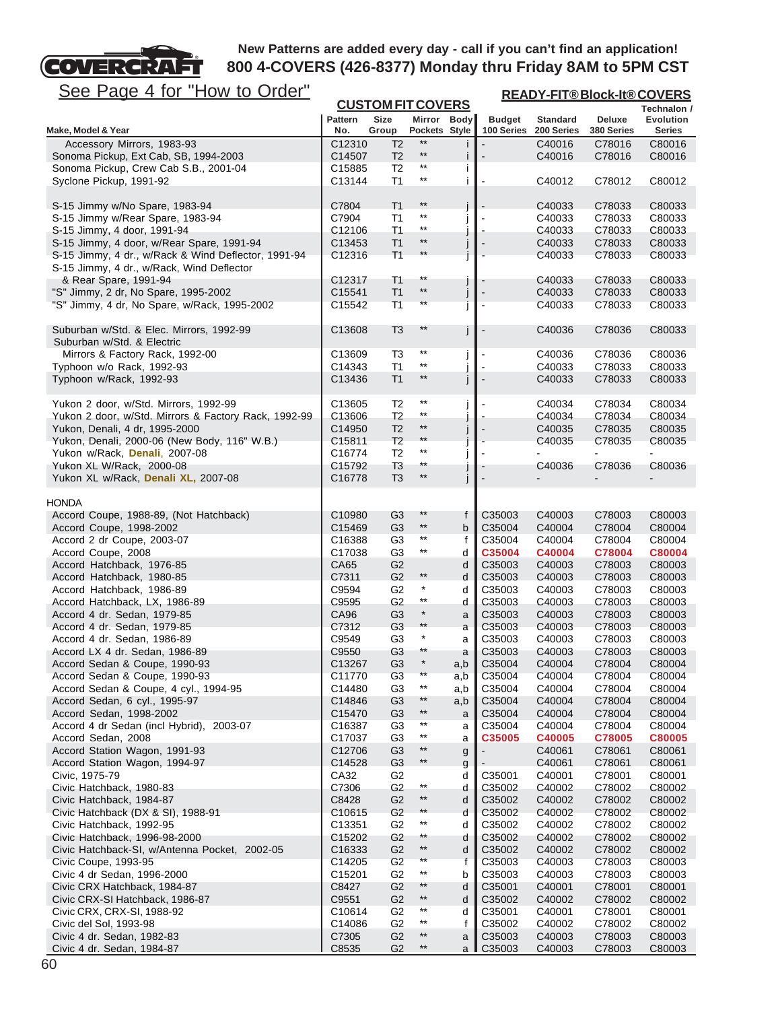# FГ See Page 4 for "How to Order"

**COVERCRA** 

| <u>See Page 4 for "How to Order"</u>                                                             | <b>READY-FIT®Block-It®COVERS</b><br><b>CUSTOM FIT COVERS</b> |                                  |                                    |              |                             |                               |                      |                     |
|--------------------------------------------------------------------------------------------------|--------------------------------------------------------------|----------------------------------|------------------------------------|--------------|-----------------------------|-------------------------------|----------------------|---------------------|
|                                                                                                  |                                                              |                                  |                                    |              |                             |                               |                      | Technalon /         |
| Make, Model & Year                                                                               | <b>Pattern</b><br>No.                                        | Size<br>Group                    | Mirror Body<br>Pockets Style       |              | <b>Budget</b><br>100 Series | <b>Standard</b><br>200 Series | Deluxe<br>380 Series | Evolution<br>Series |
| Accessory Mirrors, 1983-93                                                                       | C12310                                                       | T <sub>2</sub>                   | $**$                               |              |                             | C40016                        | C78016               | C80016              |
| Sonoma Pickup, Ext Cab, SB, 1994-2003                                                            | C14507                                                       | T <sub>2</sub>                   | $***$                              |              |                             | C40016                        | C78016               | C80016              |
| Sonoma Pickup, Crew Cab S.B., 2001-04                                                            | C <sub>15885</sub>                                           | T <sub>2</sub>                   | $^{\star\star}$                    | Ť            |                             |                               |                      |                     |
| Syclone Pickup, 1991-92                                                                          | C13144                                                       | T1                               | **                                 | i            |                             | C40012                        | C78012               | C80012              |
| S-15 Jimmy w/No Spare, 1983-94                                                                   | C7804                                                        | T <sub>1</sub>                   | $***$                              |              |                             | C40033                        | C78033               | C80033              |
| S-15 Jimmy w/Rear Spare, 1983-94                                                                 | C7904                                                        | T <sub>1</sub>                   | $^{\star\star}$                    |              |                             | C40033                        | C78033               | C80033              |
| S-15 Jimmy, 4 door, 1991-94                                                                      | C12106                                                       | T1                               | $^{\star\star}$                    |              |                             | C40033                        | C78033               | C80033              |
| S-15 Jimmy, 4 door, w/Rear Spare, 1991-94                                                        | C13453                                                       | T1                               | $***$                              |              |                             | C40033                        | C78033               | C80033              |
| S-15 Jimmy, 4 dr., w/Rack & Wind Deflector, 1991-94<br>S-15 Jimmy, 4 dr., w/Rack, Wind Deflector | C12316                                                       | T <sub>1</sub>                   | $***$                              |              |                             | C40033                        | C78033               | C80033              |
| & Rear Spare, 1991-94                                                                            | C12317                                                       | T <sub>1</sub>                   | $^{\star\star}$                    |              |                             | C40033                        | C78033               | C80033              |
| "S" Jimmy, 2 dr, No Spare, 1995-2002                                                             | C15541                                                       | T <sub>1</sub>                   | $***$                              | j            | $\overline{\phantom{a}}$    | C40033                        | C78033               | C80033              |
| "S" Jimmy, 4 dr, No Spare, w/Rack, 1995-2002                                                     | C15542                                                       | T1                               | **                                 |              |                             | C40033                        | C78033               | C80033              |
| Suburban w/Std. & Elec. Mirrors, 1992-99                                                         | C13608                                                       | T <sub>3</sub>                   | $***$                              |              |                             | C40036                        | C78036               | C80033              |
| Suburban w/Std. & Electric<br>Mirrors & Factory Rack, 1992-00                                    | C13609                                                       | T3                               | $***$                              |              |                             | C40036                        | C78036               | C80036              |
| Typhoon w/o Rack, 1992-93                                                                        | C14343                                                       | T1                               | $***$                              |              |                             | C40033                        | C78033               | C80033              |
| Typhoon w/Rack, 1992-93                                                                          | C13436                                                       | T1                               | $^{\star\star}$                    |              |                             | C40033                        | C78033               | C80033              |
| Yukon 2 door, w/Std. Mirrors, 1992-99                                                            | C <sub>13605</sub>                                           | T <sub>2</sub>                   | $^{\star\star}$                    |              |                             | C40034                        | C78034               | C80034              |
| Yukon 2 door, w/Std. Mirrors & Factory Rack, 1992-99                                             | C13606                                                       | T <sub>2</sub>                   | $^{\star\star}$                    |              |                             | C40034                        | C78034               | C80034              |
| Yukon, Denali, 4 dr, 1995-2000                                                                   | C14950                                                       | T <sub>2</sub>                   | $***$                              |              |                             | C40035                        | C78035               | C80035              |
| Yukon, Denali, 2000-06 (New Body, 116" W.B.)                                                     | C15811                                                       | T <sub>2</sub>                   | $\star\star$                       |              |                             | C40035                        | C78035               | C80035              |
| Yukon w/Rack, Denali, 2007-08                                                                    | C16774                                                       | T <sub>2</sub>                   | **                                 |              |                             |                               |                      |                     |
| Yukon XL W/Rack, 2000-08                                                                         | C <sub>15792</sub>                                           | T <sub>3</sub>                   | **                                 |              |                             | C40036                        | C78036               | C80036              |
| Yukon XL w/Rack, Denali XL, 2007-08                                                              | C16778                                                       | T <sub>3</sub>                   | **                                 |              |                             |                               |                      |                     |
| <b>HONDA</b>                                                                                     |                                                              |                                  | $***$                              |              |                             |                               |                      |                     |
| Accord Coupe, 1988-89, (Not Hatchback)<br>Accord Coupe, 1998-2002                                | C10980<br>C15469                                             | G <sub>3</sub><br>G <sub>3</sub> | $^{\star\star}$                    | f<br>b       | C35003<br>C35004            | C40003<br>C40004              | C78003<br>C78004     | C80003<br>C80004    |
| Accord 2 dr Coupe, 2003-07                                                                       | C16388                                                       | G <sub>3</sub>                   | $^{\star\star}$                    | f            | C35004                      | C40004                        | C78004               | C80004              |
| Accord Coupe, 2008                                                                               | C17038                                                       | G <sub>3</sub>                   | $^{\star\star}$                    | d            | C35004                      | C40004                        | C78004               | C80004              |
| Accord Hatchback, 1976-85                                                                        | CA65                                                         | G <sub>2</sub>                   |                                    | d            | C35003                      | C40003                        | C78003               | C80003              |
| Accord Hatchback, 1980-85                                                                        | C7311                                                        | G <sub>2</sub>                   | $^{\star\star}$                    | d            | C35003                      | C40003                        | C78003               | C80003              |
| Accord Hatchback, 1986-89                                                                        | C9594                                                        | G <sub>2</sub>                   | $^\star$                           | d            | C35003                      | C40003                        | C78003               | C80003              |
| Accord Hatchback, LX, 1986-89                                                                    | C9595                                                        | G <sub>2</sub>                   | $^{\star\star}$                    | d            | C35003                      | C40003                        | C78003               | C80003              |
| Accord 4 dr. Sedan, 1979-85                                                                      | CA96                                                         | G <sub>3</sub>                   | $\star$<br>$^{\star\star}$         | a            | C35003                      | C40003                        | C78003               | C80003              |
| Accord 4 dr. Sedan, 1979-85                                                                      | C7312<br>C9549                                               | G <sub>3</sub><br>G <sub>3</sub> | $\ast$                             | a            | C35003<br>C35003            | C40003<br>C40003              | C78003<br>C78003     | C80003<br>C80003    |
| Accord 4 dr. Sedan, 1986-89<br>Accord LX 4 dr. Sedan, 1986-89                                    | C9550                                                        | G <sub>3</sub>                   | **                                 | a<br>a       | C35003                      | C40003                        | C78003               | C80003              |
| Accord Sedan & Coupe, 1990-93                                                                    | C <sub>13267</sub>                                           | G <sub>3</sub>                   |                                    | a,b          | C35004                      | C40004                        | C78004               | C80004              |
| Accord Sedan & Coupe, 1990-93                                                                    | C11770                                                       | G <sub>3</sub>                   | $***$                              | a,b          | C35004                      | C40004                        | C78004               | C80004              |
| Accord Sedan & Coupe, 4 cyl., 1994-95                                                            | C14480                                                       | G3                               | $^{\star\star}$                    | a,b          | C35004                      | C40004                        | C78004               | C80004              |
| Accord Sedan, 6 cyl., 1995-97                                                                    | C14846                                                       | G <sub>3</sub>                   | $^{\star\star}$                    | a,b          | C35004                      | C40004                        | C78004               | C80004              |
| Accord Sedan, 1998-2002                                                                          | C15470                                                       | G <sub>3</sub>                   | $^{\star\star}$                    | a            | C35004                      | C40004                        | C78004               | C80004              |
| Accord 4 dr Sedan (incl Hybrid), 2003-07                                                         | C16387                                                       | G <sub>3</sub>                   | $^{\star\star}$                    | a            | C35004                      | C40004                        | C78004               | C80004              |
| Accord Sedan, 2008                                                                               | C17037                                                       | G <sub>3</sub>                   | $^{\star\star}$                    | a            | C35005                      | C40005                        | C78005               | C80005              |
| Accord Station Wagon, 1991-93<br>Accord Station Wagon, 1994-97                                   | C12706                                                       | G <sub>3</sub><br>G <sub>3</sub> | $^{\star\star}$<br>$^{\star\star}$ | g            |                             | C40061                        | C78061               | C80061              |
| Civic, 1975-79                                                                                   | C14528<br>CA32                                               | G <sub>2</sub>                   |                                    | g<br>d       | C35001                      | C40061<br>C40001              | C78061<br>C78001     | C80061<br>C80001    |
| Civic Hatchback, 1980-83                                                                         | C7306                                                        | G <sub>2</sub>                   | $^{\star\star}$                    | d            | C35002                      | C40002                        | C78002               | C80002              |
| Civic Hatchback, 1984-87                                                                         | C8428                                                        | G <sub>2</sub>                   | $^{\star\star}$                    | d            | C35002                      | C40002                        | C78002               | C80002              |
| Civic Hatchback (DX & SI), 1988-91                                                               | C10615                                                       | G <sub>2</sub>                   | $**$                               | d            | C35002                      | C40002                        | C78002               | C80002              |
| Civic Hatchback, 1992-95                                                                         | C13351                                                       | G2                               | $^{\star\star}$                    | d            | C35002                      | C40002                        | C78002               | C80002              |
| Civic Hatchback, 1996-98-2000                                                                    | C15202                                                       | G <sub>2</sub>                   | **                                 | d            | C35002                      | C40002                        | C78002               | C80002              |
| Civic Hatchback-SI, w/Antenna Pocket, 2002-05                                                    | C16333                                                       | G <sub>2</sub>                   | $^{\star\star}$                    | d            | C35002                      | C40002                        | C78002               | C80002              |
| Civic Coupe, 1993-95                                                                             | C14205                                                       | G <sub>2</sub>                   | $***$                              | $\mathsf{f}$ | C35003                      | C40003                        | C78003               | C80003              |
| Civic 4 dr Sedan, 1996-2000                                                                      | C <sub>15201</sub>                                           | G2                               | $^{\star\star}$<br>$^{\star\star}$ | b            | C35003                      | C40003                        | C78003               | C80003              |
| Civic CRX Hatchback, 1984-87<br>Civic CRX-SI Hatchback, 1986-87                                  | C8427<br>C9551                                               | G2<br>G <sub>2</sub>             | $^{\star\star}$                    | d<br>d       | C35001<br>C35002            | C40001<br>C40002              | C78001<br>C78002     | C80001<br>C80002    |
| Civic CRX, CRX-SI, 1988-92                                                                       | C10614                                                       | G <sub>2</sub>                   | $^{\star\star}$                    | d            | C35001                      | C40001                        | C78001               | C80001              |
| Civic del Sol, 1993-98                                                                           | C14086                                                       | G <sub>2</sub>                   | $^{\star\star}$                    | f            | C35002                      | C40002                        | C78002               | C80002              |
| Civic 4 dr. Sedan, 1982-83                                                                       | C7305                                                        | G <sub>2</sub>                   | $^{\star\star}$                    | a            | C35003                      | C40003                        | C78003               | C80003              |
| Civic 4 dr. Sedan, 1984-87                                                                       | C8535                                                        | G <sub>2</sub>                   | $^{\star\star}$                    | a            | C35003                      | C40003                        | C78003               | C80003              |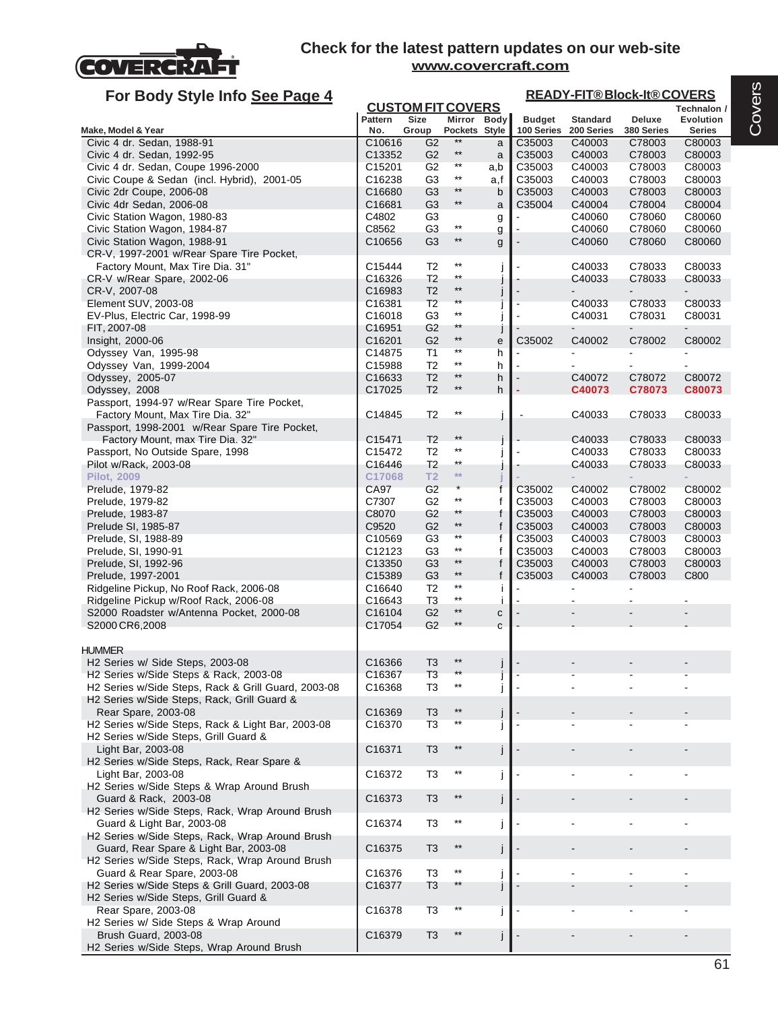

| For Body Style Info See Page 4                                                                |                              |                                  |                                    |              | <b>READY-FIT®Block-It®COVERS</b> |                               |                      |                                   |  |  |
|-----------------------------------------------------------------------------------------------|------------------------------|----------------------------------|------------------------------------|--------------|----------------------------------|-------------------------------|----------------------|-----------------------------------|--|--|
|                                                                                               |                              |                                  | <b>CUSTOM FIT COVERS</b>           |              |                                  |                               |                      | Technalon /                       |  |  |
| Make, Model & Year                                                                            | Pattern<br>No.               | <b>Size</b><br>Group             | Mirror Body<br>Pockets Style       |              | <b>Budget</b><br>100 Series      | <b>Standard</b><br>200 Series | Deluxe<br>380 Series | <b>Evolution</b><br><b>Series</b> |  |  |
| Civic 4 dr. Sedan, 1988-91                                                                    | C10616                       | G <sub>2</sub>                   | $***$                              | a            | C35003                           | C40003                        | C78003               | C80003                            |  |  |
| Civic 4 dr. Sedan, 1992-95                                                                    | C13352                       | G <sub>2</sub>                   | $^{\star\star}$                    | a            | C35003                           | C40003                        | C78003               | C80003                            |  |  |
| Civic 4 dr. Sedan, Coupe 1996-2000                                                            | C15201                       | G <sub>2</sub>                   | $^{\star\star}$                    | a,b          | C35003                           | C40003                        | C78003               | C80003                            |  |  |
| Civic Coupe & Sedan (incl. Hybrid), 2001-05                                                   | C16238                       | G <sub>3</sub>                   | $***$                              | a,f          | C35003                           | C40003                        | C78003               | C80003                            |  |  |
| Civic 2dr Coupe, 2006-08                                                                      | C16680                       | G <sub>3</sub>                   | $^{\star\star}$                    | b            | C35003                           | C40003                        | C78003               | C80003                            |  |  |
| Civic 4dr Sedan, 2006-08                                                                      | C16681                       | G <sub>3</sub>                   | $^{\star\star}$                    | a            | C35004                           | C40004                        | C78004               | C80004                            |  |  |
| Civic Station Wagon, 1980-83                                                                  | C4802                        | G <sub>3</sub>                   | $***$                              | g            |                                  | C40060                        | C78060               | C80060                            |  |  |
| Civic Station Wagon, 1984-87                                                                  | C8562                        | G <sub>3</sub>                   | $^{\star\star}$                    | g            |                                  | C40060                        | C78060               | C80060                            |  |  |
| Civic Station Wagon, 1988-91<br>CR-V, 1997-2001 w/Rear Spare Tire Pocket,                     | C10656                       | G <sub>3</sub>                   |                                    | g            |                                  | C40060                        | C78060               | C80060                            |  |  |
| Factory Mount, Max Tire Dia. 31"                                                              | C15444                       | T <sub>2</sub>                   | $^{\star\star}$                    | J            |                                  | C40033                        | C78033               | C80033                            |  |  |
| CR-V w/Rear Spare, 2002-06                                                                    | C16326                       | T <sub>2</sub>                   | $***$                              |              |                                  | C40033                        | C78033               | C80033                            |  |  |
| CR-V, 2007-08                                                                                 | C16983                       | T <sub>2</sub>                   | $***$                              |              |                                  |                               |                      |                                   |  |  |
| Element SUV, 2003-08                                                                          | C16381                       | T <sub>2</sub>                   | $\star\star$                       |              |                                  | C40033                        | C78033               | C80033                            |  |  |
| EV-Plus, Electric Car, 1998-99                                                                | C <sub>16018</sub>           | G3                               | $^{\star\star}$                    |              | $\blacksquare$                   | C40031                        | C78031               | C80031                            |  |  |
| FIT, 2007-08                                                                                  | C16951                       | G <sub>2</sub>                   | $***$                              | J            |                                  |                               |                      |                                   |  |  |
| Insight, 2000-06                                                                              | C16201                       | G <sub>2</sub>                   | $**$                               | е            | C35002                           | C40002                        | C78002               | C80002                            |  |  |
| Odyssey Van, 1995-98                                                                          | C14875                       | T1                               | $^{\star\star}$<br>$^{\star\star}$ | h            |                                  |                               |                      |                                   |  |  |
| Odyssey Van, 1999-2004                                                                        | C15988                       | T <sub>2</sub>                   | $***$                              | h            | $\blacksquare$                   |                               | $\mathbf{r}$         |                                   |  |  |
| Odyssey, 2005-07                                                                              | C16633                       | T <sub>2</sub><br>T <sub>2</sub> | $***$                              | h            | $\overline{\phantom{a}}$<br>÷    | C40072                        | C78072               | C80072                            |  |  |
| Odyssey, 2008<br>Passport, 1994-97 w/Rear Spare Tire Pocket,                                  | C17025                       |                                  |                                    | h            |                                  | C40073                        | C78073               | C80073                            |  |  |
| Factory Mount, Max Tire Dia. 32"                                                              | C14845                       | T <sub>2</sub>                   | $^{\star\star}$                    | j            |                                  | C40033                        | C78033               | C80033                            |  |  |
| Passport, 1998-2001 w/Rear Spare Tire Pocket,                                                 |                              |                                  |                                    |              |                                  |                               |                      |                                   |  |  |
| Factory Mount, max Tire Dia. 32"                                                              | C15471                       | T <sub>2</sub>                   | $**$                               |              |                                  | C40033                        | C78033               | C80033                            |  |  |
| Passport, No Outside Spare, 1998                                                              | C15472                       | T <sub>2</sub>                   | $^{\star\star}$                    |              |                                  | C40033                        | C78033               | C80033                            |  |  |
| Pilot w/Rack, 2003-08                                                                         | C16446                       | T <sub>2</sub>                   | $***$                              | J            |                                  | C40033                        | C78033               | C80033                            |  |  |
| <b>Pilot, 2009</b>                                                                            | C17068                       | T <sub>2</sub>                   | $**$                               |              |                                  |                               |                      |                                   |  |  |
| Prelude, 1979-82                                                                              | CA97                         | G <sub>2</sub>                   |                                    | $\mathsf{f}$ | C35002                           | C40002                        | C78002               | C80002                            |  |  |
| Prelude, 1979-82                                                                              | C7307                        | G2                               | $***$                              | f            | C35003                           | C40003                        | C78003               | C80003                            |  |  |
| Prelude, 1983-87                                                                              | C8070                        | G <sub>2</sub>                   | $***$<br>$***$                     | f            | C35003                           | C40003                        | C78003               | C80003                            |  |  |
| Prelude SI, 1985-87                                                                           | C9520                        | G <sub>2</sub><br>G3             | $^{\star\star}$                    | f            | C35003<br>C35003                 | C40003<br>C40003              | C78003<br>C78003     | C80003                            |  |  |
| Prelude, SI, 1988-89<br>Prelude, SI, 1990-91                                                  | C <sub>10569</sub><br>C12123 | G <sub>3</sub>                   | $^{\star\star}$                    | f<br>f       | C35003                           | C40003                        | C78003               | C80003<br>C80003                  |  |  |
| Prelude, SI, 1992-96                                                                          | C13350                       | G <sub>3</sub>                   | $^{\star\star}$                    | f            | C35003                           | C40003                        | C78003               | C80003                            |  |  |
| Prelude, 1997-2001                                                                            | C15389                       | G <sub>3</sub>                   | $***$                              | f            | C35003                           | C40003                        | C78003               | C800                              |  |  |
| Ridgeline Pickup, No Roof Rack, 2006-08                                                       | C16640                       | T <sub>2</sub>                   | $^{\star\star}$                    | j            |                                  |                               |                      |                                   |  |  |
| Ridgeline Pickup w/Roof Rack, 2006-08                                                         | C16643                       | T3                               | $^{\star\star}$                    |              |                                  |                               |                      |                                   |  |  |
| S2000 Roadster w/Antenna Pocket, 2000-08                                                      | C16104                       | G <sub>2</sub>                   | $***$                              | C            |                                  |                               |                      |                                   |  |  |
| S2000 CR6,2008                                                                                | C17054                       | G <sub>2</sub>                   | $**$                               | C            |                                  |                               |                      |                                   |  |  |
|                                                                                               |                              |                                  |                                    |              |                                  |                               |                      |                                   |  |  |
| <b>HUMMER</b>                                                                                 |                              |                                  | $***$                              |              |                                  |                               |                      |                                   |  |  |
| H <sub>2</sub> Series w/ Side Steps, 2003-08                                                  | C <sub>16366</sub><br>C16367 | T3                               |                                    |              |                                  |                               |                      |                                   |  |  |
| H2 Series w/Side Steps & Rack, 2003-08<br>H2 Series w/Side Steps, Rack & Grill Guard, 2003-08 | C16368                       | T3<br>T <sub>3</sub>             | $***$                              | j            |                                  |                               |                      |                                   |  |  |
| H2 Series w/Side Steps, Rack, Grill Guard &                                                   |                              |                                  |                                    |              |                                  |                               |                      |                                   |  |  |
| Rear Spare, 2003-08                                                                           | C16369                       | T <sub>3</sub>                   | $***$                              | j            |                                  |                               |                      |                                   |  |  |
| H2 Series w/Side Steps, Rack & Light Bar, 2003-08                                             | C16370                       | T <sub>3</sub>                   | $^{\star\star}$                    |              |                                  |                               |                      |                                   |  |  |
| H2 Series w/Side Steps, Grill Guard &                                                         |                              |                                  |                                    |              |                                  |                               |                      |                                   |  |  |
| Light Bar, 2003-08                                                                            | C16371                       | T <sub>3</sub>                   | $^{\star\star}$                    | j            |                                  |                               |                      |                                   |  |  |
| H2 Series w/Side Steps, Rack, Rear Spare &                                                    |                              |                                  |                                    |              |                                  |                               |                      |                                   |  |  |
| Light Bar, 2003-08                                                                            | C16372                       | T <sub>3</sub>                   | $^{\star\star}$                    | j            |                                  |                               |                      |                                   |  |  |
| H2 Series w/Side Steps & Wrap Around Brush                                                    |                              |                                  |                                    |              |                                  |                               |                      |                                   |  |  |
| Guard & Rack, 2003-08                                                                         | C16373                       | T <sub>3</sub>                   | $***$                              | j            |                                  |                               |                      |                                   |  |  |
| H2 Series w/Side Steps, Rack, Wrap Around Brush                                               | C16374                       | T <sub>3</sub>                   | $***$                              |              |                                  |                               |                      |                                   |  |  |
| Guard & Light Bar, 2003-08<br>H2 Series w/Side Steps, Rack, Wrap Around Brush                 |                              |                                  |                                    | j            |                                  |                               |                      |                                   |  |  |
| Guard, Rear Spare & Light Bar, 2003-08                                                        | C <sub>16375</sub>           | T3                               | $^{\star\star}$                    | j            |                                  |                               |                      |                                   |  |  |
| H2 Series w/Side Steps, Rack, Wrap Around Brush                                               |                              |                                  |                                    |              |                                  |                               |                      |                                   |  |  |
| Guard & Rear Spare, 2003-08                                                                   | C16376                       | T3                               | $^{\star\star}$                    | j            |                                  |                               |                      |                                   |  |  |
| H2 Series w/Side Steps & Grill Guard, 2003-08                                                 | C16377                       | T <sub>3</sub>                   | $**$                               | j            |                                  |                               |                      |                                   |  |  |
| H2 Series w/Side Steps, Grill Guard &                                                         |                              |                                  |                                    |              |                                  |                               |                      |                                   |  |  |
| Rear Spare, 2003-08                                                                           | C16378                       | T3                               | $***$                              |              |                                  |                               |                      |                                   |  |  |
| H2 Series w/ Side Steps & Wrap Around                                                         |                              |                                  |                                    |              |                                  |                               |                      |                                   |  |  |
| Brush Guard, 2003-08                                                                          | C16379                       | T <sub>3</sub>                   | $**$                               |              |                                  |                               |                      |                                   |  |  |
| H2 Series w/Side Steps, Wrap Around Brush                                                     |                              |                                  |                                    |              |                                  |                               |                      |                                   |  |  |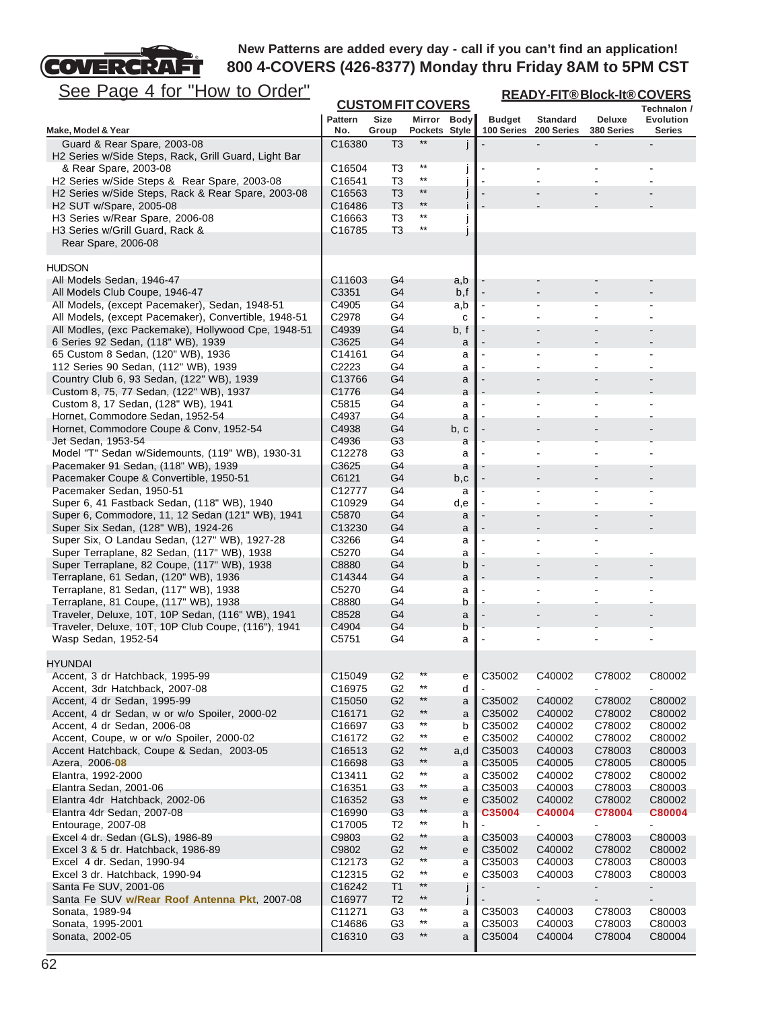

| <u>See Page 4 for "How to Order"</u>                                                                   |                              | <b>READY-FIT®Block-It®COVERS</b><br><b>CUSTOM FIT COVERS</b> |                                    |          |                             |                               |                             |                                   |
|--------------------------------------------------------------------------------------------------------|------------------------------|--------------------------------------------------------------|------------------------------------|----------|-----------------------------|-------------------------------|-----------------------------|-----------------------------------|
|                                                                                                        |                              |                                                              |                                    |          |                             |                               |                             | Technalon /                       |
| Make, Model & Year                                                                                     | <b>Pattern</b><br>No.        | <b>Size</b><br>Group                                         | Mirror Body<br>Pockets Style       |          | <b>Budget</b><br>100 Series | <b>Standard</b><br>200 Series | <b>Deluxe</b><br>380 Series | <b>Evolution</b><br><b>Series</b> |
| Guard & Rear Spare, 2003-08                                                                            | C16380                       | T <sub>3</sub>                                               | $**$                               |          |                             |                               |                             |                                   |
| H2 Series w/Side Steps, Rack, Grill Guard, Light Bar                                                   |                              |                                                              |                                    |          |                             |                               |                             |                                   |
| & Rear Spare, 2003-08                                                                                  | C16504                       | T3                                                           | $^{\star\star}$<br>$^{\star\star}$ | J        |                             |                               |                             |                                   |
| H2 Series w/Side Steps & Rear Spare, 2003-08<br>H2 Series w/Side Steps, Rack & Rear Spare, 2003-08     | C16541<br>C16563             | T <sub>3</sub><br>T <sub>3</sub>                             | $***$                              | J        |                             |                               |                             |                                   |
| H <sub>2</sub> SUT w/Spare, 2005-08                                                                    | C16486                       | T <sub>3</sub>                                               | $***$                              |          |                             |                               |                             |                                   |
| H3 Series w/Rear Spare, 2006-08                                                                        | C <sub>16663</sub>           | T3                                                           | $***$                              | J        |                             |                               |                             |                                   |
| H3 Series w/Grill Guard, Rack &                                                                        | C <sub>16785</sub>           | T3                                                           | $***$                              |          |                             |                               |                             |                                   |
| Rear Spare, 2006-08                                                                                    |                              |                                                              |                                    |          |                             |                               |                             |                                   |
| <b>HUDSON</b>                                                                                          |                              |                                                              |                                    |          |                             |                               |                             |                                   |
| All Models Sedan, 1946-47                                                                              | C11603                       | G4                                                           |                                    | a,b      |                             |                               |                             |                                   |
| All Models Club Coupe, 1946-47                                                                         | C3351                        | G4                                                           |                                    | b,f      |                             |                               |                             |                                   |
| All Models, (except Pacemaker), Sedan, 1948-51<br>All Models, (except Pacemaker), Convertible, 1948-51 | C4905<br>C2978               | G4<br>G4                                                     |                                    | a,b<br>c |                             |                               |                             |                                   |
| All Modles, (exc Packemake), Hollywood Cpe, 1948-51                                                    | C4939                        | G4                                                           |                                    | b, f     |                             |                               |                             |                                   |
| 6 Series 92 Sedan, (118" WB), 1939                                                                     | C3625                        | G <sub>4</sub>                                               |                                    | a        |                             |                               |                             |                                   |
| 65 Custom 8 Sedan, (120" WB), 1936                                                                     | C14161                       | G4                                                           |                                    | а        |                             |                               |                             |                                   |
| 112 Series 90 Sedan, (112" WB), 1939<br>Country Club 6, 93 Sedan, (122" WB), 1939                      | C2223<br>C13766              | G4<br>G4                                                     |                                    | a<br>a   |                             |                               |                             |                                   |
| Custom 8, 75, 77 Sedan, (122" WB), 1937                                                                | C1776                        | G4                                                           |                                    | a        |                             |                               |                             |                                   |
| Custom 8, 17 Sedan, (128" WB), 1941                                                                    | C5815                        | G4                                                           |                                    | a        |                             |                               |                             |                                   |
| Hornet, Commodore Sedan, 1952-54                                                                       | C4937                        | G4                                                           |                                    | а        |                             |                               |                             |                                   |
| Hornet, Commodore Coupe & Conv, 1952-54<br>Jet Sedan, 1953-54                                          | C4938<br>C4936               | G4<br>G <sub>3</sub>                                         |                                    | b, c     |                             |                               |                             |                                   |
| Model "T" Sedan w/Sidemounts, (119" WB), 1930-31                                                       | C12278                       | G <sub>3</sub>                                               |                                    | а<br>a   |                             |                               |                             |                                   |
| Pacemaker 91 Sedan, (118" WB), 1939                                                                    | C3625                        | G4                                                           |                                    | a        |                             |                               |                             |                                   |
| Pacemaker Coupe & Convertible, 1950-51                                                                 | C6121                        | G4                                                           |                                    | b,c      |                             |                               |                             |                                   |
| Pacemaker Sedan, 1950-51                                                                               | C12777                       | G4                                                           |                                    | a        |                             |                               |                             |                                   |
| Super 6, 41 Fastback Sedan, (118" WB), 1940<br>Super 6, Commodore, 11, 12 Sedan (121" WB), 1941        | C10929<br>C5870              | G4<br>G4                                                     |                                    | d,e<br>a |                             |                               |                             |                                   |
| Super Six Sedan, (128" WB), 1924-26                                                                    | C13230                       | G4                                                           |                                    | a        |                             |                               |                             |                                   |
| Super Six, O Landau Sedan, (127" WB), 1927-28                                                          | C3266                        | G4                                                           |                                    | а        |                             |                               |                             |                                   |
| Super Terraplane, 82 Sedan, (117" WB), 1938                                                            | C5270                        | G4                                                           |                                    | а        |                             |                               |                             |                                   |
| Super Terraplane, 82 Coupe, (117" WB), 1938<br>Terraplane, 61 Sedan, (120" WB), 1936                   | C8880<br>C14344              | G4<br>G4                                                     |                                    | b<br>a   |                             |                               |                             |                                   |
| Terraplane, 81 Sedan, (117" WB), 1938                                                                  | C5270                        | G4                                                           |                                    | а        |                             |                               |                             |                                   |
| Terraplane, 81 Coupe, (117" WB), 1938                                                                  | C8880                        | G4                                                           |                                    | b        |                             |                               |                             |                                   |
| Traveler, Deluxe, 10T, 10P Sedan, (116" WB), 1941                                                      | C8528                        | G4                                                           |                                    | a        |                             |                               |                             |                                   |
| Traveler, Deluxe, 10T, 10P Club Coupe, (116"), 1941<br>Wasp Sedan, 1952-54                             | C4904<br>C5751               | G4<br>G4                                                     |                                    | b<br>a   |                             | $\overline{\phantom{a}}$      |                             |                                   |
|                                                                                                        |                              |                                                              |                                    |          |                             |                               |                             |                                   |
| <b>HYUNDAI</b>                                                                                         |                              |                                                              |                                    |          |                             |                               |                             |                                   |
| Accent, 3 dr Hatchback, 1995-99                                                                        | C <sub>15049</sub>           | G <sub>2</sub>                                               | $^{\star\star}$<br>$^{\star\star}$ | е        | C35002                      | C40002                        | C78002                      | C80002                            |
| Accent, 3dr Hatchback, 2007-08<br>Accent, 4 dr Sedan, 1995-99                                          | C16975<br>C <sub>15050</sub> | G <sub>2</sub><br>G <sub>2</sub>                             | $**$                               | d<br>a   | C35002                      | C40002                        | C78002                      | C80002                            |
| Accent, 4 dr Sedan, w or w/o Spoiler, 2000-02                                                          | C16171                       | G <sub>2</sub>                                               | $^{\star\star}$                    | a        | C35002                      | C40002                        | C78002                      | C80002                            |
| Accent, 4 dr Sedan, 2006-08                                                                            | C16697                       | G3                                                           | $***$                              | b        | C35002                      | C40002                        | C78002                      | C80002                            |
| Accent, Coupe, w or w/o Spoiler, 2000-02                                                               | C16172                       | G <sub>2</sub>                                               | $***$                              | е        | C35002                      | C40002                        | C78002                      | C80002                            |
| Accent Hatchback, Coupe & Sedan, 2003-05                                                               | C16513                       | G <sub>2</sub><br>G <sub>3</sub>                             | $^{\star\star}$<br>$^{\star\star}$ | a,d      | C35003<br>C35005            | C40003                        | C78003                      | C80003                            |
| Azera, 2006-08<br>Elantra, 1992-2000                                                                   | C16698<br>C13411             | G <sub>2</sub>                                               | $***$                              | a<br>a   | C35002                      | C40005<br>C40002              | C78005<br>C78002            | C80005<br>C80002                  |
| Elantra Sedan, 2001-06                                                                                 | C16351                       | G <sub>3</sub>                                               | $^{\star\star}$                    | а        | C35003                      | C40003                        | C78003                      | C80003                            |
| Elantra 4dr Hatchback, 2002-06                                                                         | C16352                       | G3                                                           | $***$                              | e        | C35002                      | C40002                        | C78002                      | C80002                            |
| Elantra 4dr Sedan, 2007-08                                                                             | C16990                       | G <sub>3</sub>                                               | $***$<br>$***$                     | a        | C35004                      | C40004                        | C78004                      | C80004                            |
| Entourage, 2007-08<br>Excel 4 dr. Sedan (GLS), 1986-89                                                 | C17005<br>C9803              | T2<br>G <sub>2</sub>                                         | $***$                              | h<br>a   | C35003                      | ۰<br>C40003                   | $\frac{1}{2}$<br>C78003     | $\blacksquare$<br>C80003          |
| Excel 3 & 5 dr. Hatchback, 1986-89                                                                     | C9802                        | G <sub>2</sub>                                               | $***$                              | e        | C35002                      | C40002                        | C78002                      | C80002                            |
| Excel 4 dr. Sedan, 1990-94                                                                             | C12173                       | G <sub>2</sub>                                               | $^{\star\star}$                    | а        | C35003                      | C40003                        | C78003                      | C80003                            |
| Excel 3 dr. Hatchback, 1990-94                                                                         | C12315                       | G <sub>2</sub>                                               | $^{\star\star}$<br>$**$            | е        | C35003                      | C40003                        | C78003                      | C80003                            |
| Santa Fe SUV, 2001-06<br>Santa Fe SUV w/Rear Roof Antenna Pkt, 2007-08                                 | C16242<br>C16977             | T <sub>1</sub><br>T <sub>2</sub>                             | $^{\star\star}$                    | J        |                             | ٠                             | $\overline{\phantom{a}}$    | $\blacksquare$                    |
| Sonata, 1989-94                                                                                        | C11271                       | G3                                                           | $***$                              | j<br>a   | C35003                      | C40003                        | C78003                      | C80003                            |
| Sonata, 1995-2001                                                                                      | C14686                       | G <sub>3</sub>                                               | $***$                              | a        | C35003                      | C40003                        | C78003                      | C80003                            |
| Sonata, 2002-05                                                                                        | C16310                       | G <sub>3</sub>                                               | $^{\star\star}$                    | a        | C35004                      | C40004                        | C78004                      | C80004                            |
|                                                                                                        |                              |                                                              |                                    |          |                             |                               |                             |                                   |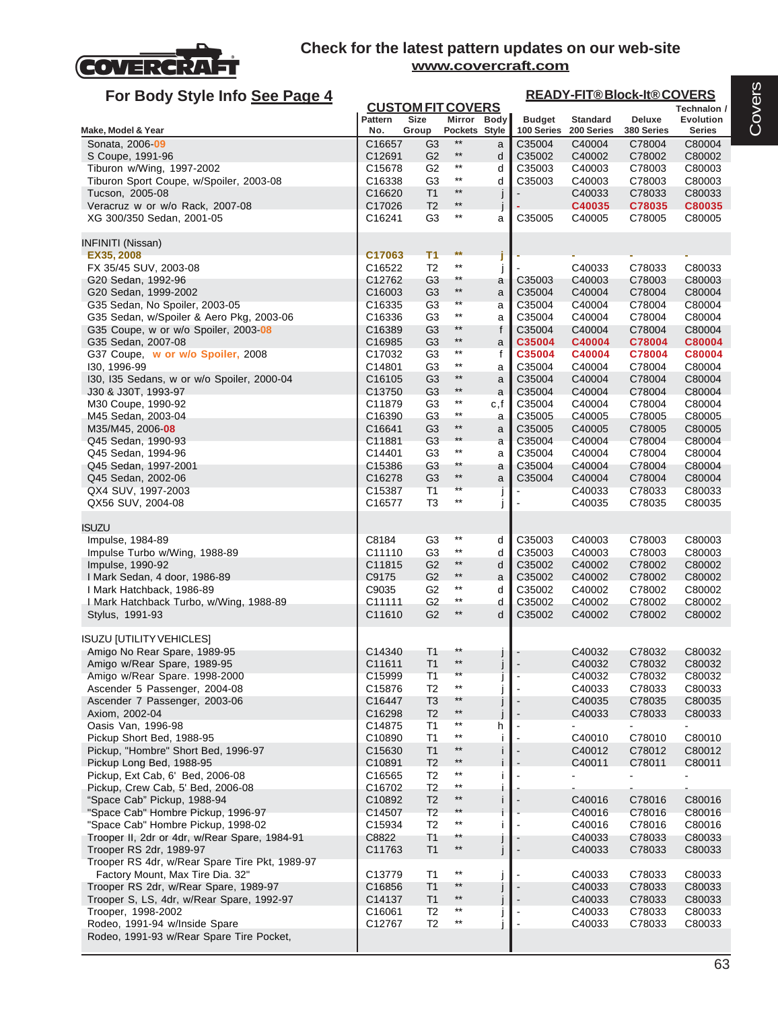

| For Body Style Info See Page 4                                                     |                              |                                         |                                    |             |                          | <b>READY-FIT®Block-It®COVERS</b> |                  |                                 |  |
|------------------------------------------------------------------------------------|------------------------------|-----------------------------------------|------------------------------------|-------------|--------------------------|----------------------------------|------------------|---------------------------------|--|
|                                                                                    | <b>Pattern</b>               | <b>CUSTOM FIT COVERS</b><br><b>Size</b> |                                    | Mirror Body | <b>Budget</b>            | <b>Standard</b>                  | Deluxe           | Technalon /<br><b>Evolution</b> |  |
| Make, Model & Year                                                                 | No.                          | Group                                   | Pockets Style                      |             | 100 Series               | 200 Series                       | 380 Series       | Series                          |  |
| Sonata, 2006-09                                                                    | C16657                       | G <sub>3</sub>                          | $***$                              | a           | C35004                   | C40004                           | C78004           | C80004                          |  |
| S Coupe, 1991-96                                                                   | C12691                       | G <sub>2</sub>                          | $***$                              | d           | C35002                   | C40002                           | C78002           | C80002                          |  |
| Tiburon w/Wing, 1997-2002                                                          | C <sub>15678</sub>           | G <sub>2</sub>                          | $***$                              | d           | C35003                   | C40003                           | C78003           | C80003                          |  |
| Tiburon Sport Coupe, w/Spoiler, 2003-08                                            | C16338                       | G <sub>3</sub>                          | $^{\star\star}$                    | d           | C35003                   | C40003                           | C78003           | C80003                          |  |
| Tucson, 2005-08                                                                    | C <sub>16620</sub>           | T <sub>1</sub>                          | $***$<br>$^{\star\star}$           | j           |                          | C40033                           | C78033           | C80033                          |  |
| Veracruz w or w/o Rack, 2007-08                                                    | C <sub>17026</sub>           | T <sub>2</sub><br>G <sub>3</sub>        | $^{\star\star}$                    |             |                          | C40035                           | C78035           | C80035                          |  |
| XG 300/350 Sedan, 2001-05                                                          | C16241                       |                                         |                                    | a           | C35005                   | C40005                           | C78005           | C80005                          |  |
| <b>INFINITI (Nissan)</b>                                                           |                              |                                         |                                    |             |                          |                                  |                  |                                 |  |
| EX35, 2008                                                                         | C17063                       | T <sub>1</sub>                          | $**$                               |             |                          |                                  |                  |                                 |  |
| FX 35/45 SUV, 2003-08                                                              | C <sub>16522</sub>           | T <sub>2</sub>                          | $***$                              |             |                          | C40033                           | C78033           | C80033                          |  |
| G20 Sedan, 1992-96                                                                 | C12762                       | G <sub>3</sub>                          | $**$<br>$^{\star\star}$            | a           | C35003                   | C40003                           | C78003           | C80003                          |  |
| G20 Sedan, 1999-2002<br>G35 Sedan, No Spoiler, 2003-05                             | C <sub>16003</sub><br>C16335 | G <sub>3</sub><br>G <sub>3</sub>        | $^{\star\star}$                    | a           | C35004<br>C35004         | C40004<br>C40004                 | C78004<br>C78004 | C80004<br>C80004                |  |
| G35 Sedan, w/Spoiler & Aero Pkg, 2003-06                                           | C <sub>16336</sub>           | G <sub>3</sub>                          | $^{\star\star}$                    | a<br>a      | C35004                   | C40004                           | C78004           | C80004                          |  |
| G35 Coupe, w or w/o Spoiler, 2003-08                                               | C <sub>16389</sub>           | G <sub>3</sub>                          | **                                 | f           | C35004                   | C40004                           | C78004           | C80004                          |  |
| G35 Sedan, 2007-08                                                                 | C16985                       | G <sub>3</sub>                          | $^{\star\star}$                    | a           | C35004                   | C40004                           | C78004           | C80004                          |  |
| G37 Coupe, w or w/o Spoiler, 2008                                                  | C17032                       | G <sub>3</sub>                          | $***$                              | f           | C35004                   | C40004                           | C78004           | C80004                          |  |
| 130, 1996-99                                                                       | C14801                       | G <sub>3</sub>                          | $^{\star\star}$                    | a           | C35004                   | C40004                           | C78004           | C80004                          |  |
| 130, 135 Sedans, w or w/o Spoiler, 2000-04                                         | C <sub>16105</sub>           | G <sub>3</sub>                          | $^{\star\star}$                    | a           | C35004                   | C40004                           | C78004           | C80004                          |  |
| J30 & J30T, 1993-97                                                                | C <sub>13750</sub>           | G <sub>3</sub>                          | $^{\star\star}$                    | a           | C35004                   | C40004                           | C78004           | C80004                          |  |
| M30 Coupe, 1990-92                                                                 | C11879                       | G <sub>3</sub>                          | $^{\star\star}$<br>$^{\star\star}$ | c,f         | C35004                   | C40004                           | C78004           | C80004                          |  |
| M45 Sedan, 2003-04                                                                 | C16390                       | G <sub>3</sub>                          | $***$                              | а           | C35005                   | C40005                           | C78005           | C80005                          |  |
| M35/M45, 2006 08                                                                   | C16641                       | G <sub>3</sub><br>G <sub>3</sub>        | $***$                              | a           | C35005                   | C40005                           | C78005           | C80005<br>C80004                |  |
| Q45 Sedan, 1990-93<br>Q45 Sedan, 1994-96                                           | C11881<br>C14401             | G3                                      | $^{\star\star}$                    | a<br>a      | C35004<br>C35004         | C40004<br>C40004                 | C78004<br>C78004 | C80004                          |  |
| Q45 Sedan, 1997-2001                                                               | C15386                       | G <sub>3</sub>                          | $**$                               | a           | C35004                   | C40004                           | C78004           | C80004                          |  |
| Q45 Sedan, 2002-06                                                                 | C16278                       | G <sub>3</sub>                          | $**$                               | a           | C35004                   | C40004                           | C78004           | C80004                          |  |
| QX4 SUV, 1997-2003                                                                 | C15387                       | T1                                      | $^{\star\star}$                    |             |                          | C40033                           | C78033           | C80033                          |  |
| QX56 SUV, 2004-08                                                                  | C16577                       | T <sub>3</sub>                          | $^{\star\star}$                    |             |                          | C40035                           | C78035           | C80035                          |  |
|                                                                                    |                              |                                         |                                    |             |                          |                                  |                  |                                 |  |
| <b>ISUZU</b><br>Impulse, 1984-89                                                   | C8184                        | G <sub>3</sub>                          | $***$                              | d           | C35003                   | C40003                           | C78003           | C80003                          |  |
| Impulse Turbo w/Wing, 1988-89                                                      | C11110                       | G3                                      | $^{\star\star}$                    | d           | C35003                   | C40003                           | C78003           | C80003                          |  |
| Impulse, 1990-92                                                                   | C11815                       | G <sub>2</sub>                          | $**$                               | d           | C35002                   | C40002                           | C78002           | C80002                          |  |
| I Mark Sedan, 4 door, 1986-89                                                      | C9175                        | G <sub>2</sub>                          | $***$                              | a           | C35002                   | C40002                           | C78002           | C80002                          |  |
| I Mark Hatchback, 1986-89                                                          | C9035                        | G <sub>2</sub>                          | **                                 | d           | C35002                   | C40002                           | C78002           | C80002                          |  |
| I Mark Hatchback Turbo, w/Wing, 1988-89                                            | C11111                       | G <sub>2</sub>                          | $^{\star\star}$                    | d           | C35002                   | C40002                           | C78002           | C80002                          |  |
| Stylus, 1991-93                                                                    | C11610                       | G <sub>2</sub>                          | $^{\star\star}$                    | d           | C35002                   | C40002                           | C78002           | C80002                          |  |
| <b>ISUZU [UTILITY VEHICLES]</b>                                                    |                              |                                         |                                    |             |                          |                                  |                  |                                 |  |
| Amigo No Rear Spare, 1989-95                                                       | C14340                       | T <sub>1</sub>                          | **                                 |             |                          | C40032                           | C78032           | C80032                          |  |
| Amigo w/Rear Spare, 1989-95                                                        | C11611                       | T <sub>1</sub>                          | $***$                              |             |                          | C40032                           | C78032           | C80032                          |  |
| Amigo w/Rear Spare. 1998-2000                                                      | C15999                       | T1                                      | $***$                              |             |                          | C40032                           | C78032           | C80032                          |  |
| Ascender 5 Passenger, 2004-08                                                      | C15876                       | T <sub>2</sub>                          | $***$                              |             |                          | C40033                           | C78033           | C80033                          |  |
| Ascender 7 Passenger, 2003-06                                                      | C16447                       | T <sub>3</sub>                          | $***$                              |             | $\blacksquare$           | C40035                           | C78035           | C80035                          |  |
| Axiom, 2002-04                                                                     | C16298                       | T <sub>2</sub>                          | $**$<br>$***$                      |             |                          | C40033                           | C78033           | C80033                          |  |
| Oasis Van, 1996-98<br>Pickup Short Bed, 1988-95                                    | C14875<br>C10890             | T1<br>T <sub>1</sub>                    | $***$                              | h           | $\blacksquare$           | $\blacksquare$<br>C40010         | $\blacksquare$   | $\blacksquare$<br>C80010        |  |
| Pickup, "Hombre" Short Bed, 1996-97                                                | C <sub>15630</sub>           | T <sub>1</sub>                          | $***$                              | j.<br>i.    |                          | C40012                           | C78010<br>C78012 | C80012                          |  |
| Pickup Long Bed, 1988-95                                                           | C <sub>10891</sub>           | T <sub>2</sub>                          | $**$                               |             |                          | C40011                           | C78011           | C80011                          |  |
| Pickup, Ext Cab, 6' Bed, 2006-08                                                   | C16565                       | T <sub>2</sub>                          | $***$                              | i           |                          |                                  |                  |                                 |  |
| Pickup, Crew Cab, 5' Bed, 2006-08                                                  | C16702                       | T <sub>2</sub>                          | $^{\star\star}$                    |             |                          |                                  |                  |                                 |  |
| "Space Cab" Pickup, 1988-94                                                        | C10892                       | T <sub>2</sub>                          | $^{\star\star}$                    | i.          | $\blacksquare$           | C40016                           | C78016           | C80016                          |  |
| "Space Cab" Hombre Pickup, 1996-97                                                 | C14507                       | T <sub>2</sub>                          | $***$                              |             |                          | C40016                           | C78016           | C80016                          |  |
| "Space Cab" Hombre Pickup, 1998-02                                                 | C15934                       | T <sub>2</sub>                          | $^{\star\star}$                    |             | $\blacksquare$           | C40016                           | C78016           | C80016                          |  |
| Trooper II, 2dr or 4dr, w/Rear Spare, 1984-91                                      | C8822                        | T <sub>1</sub>                          | $^{\star\star}$                    |             |                          | C40033                           | C78033           | C80033                          |  |
| Trooper RS 2dr, 1989-97                                                            | C11763                       | T1                                      | $^{\star\star}$                    | J           | $\overline{\phantom{a}}$ | C40033                           | C78033           | C80033                          |  |
| Trooper RS 4dr, w/Rear Spare Tire Pkt, 1989-97                                     |                              |                                         |                                    |             |                          |                                  |                  |                                 |  |
| Factory Mount, Max Tire Dia. 32"                                                   | C13779                       | T <sub>1</sub>                          | $***$<br>$***$                     |             |                          | C40033                           | C78033           | C80033                          |  |
| Trooper RS 2dr, w/Rear Spare, 1989-97<br>Trooper S, LS, 4dr, w/Rear Spare, 1992-97 | C16856<br>C14137             | T1<br>T1                                | $***$                              |             | $\blacksquare$           | C40033                           | C78033<br>C78033 | C80033                          |  |
| Trooper, 1998-2002                                                                 | C16061                       | T2                                      | $^{\star\star}$                    |             | $\overline{\phantom{a}}$ | C40033<br>C40033                 | C78033           | C80033<br>C80033                |  |
| Rodeo, 1991-94 w/Inside Spare                                                      | C12767                       | T <sub>2</sub>                          | $^{\star\star}$                    |             |                          | C40033                           | C78033           | C80033                          |  |
| Rodeo, 1991-93 w/Rear Spare Tire Pocket,                                           |                              |                                         |                                    |             |                          |                                  |                  |                                 |  |
|                                                                                    |                              |                                         |                                    |             |                          |                                  |                  |                                 |  |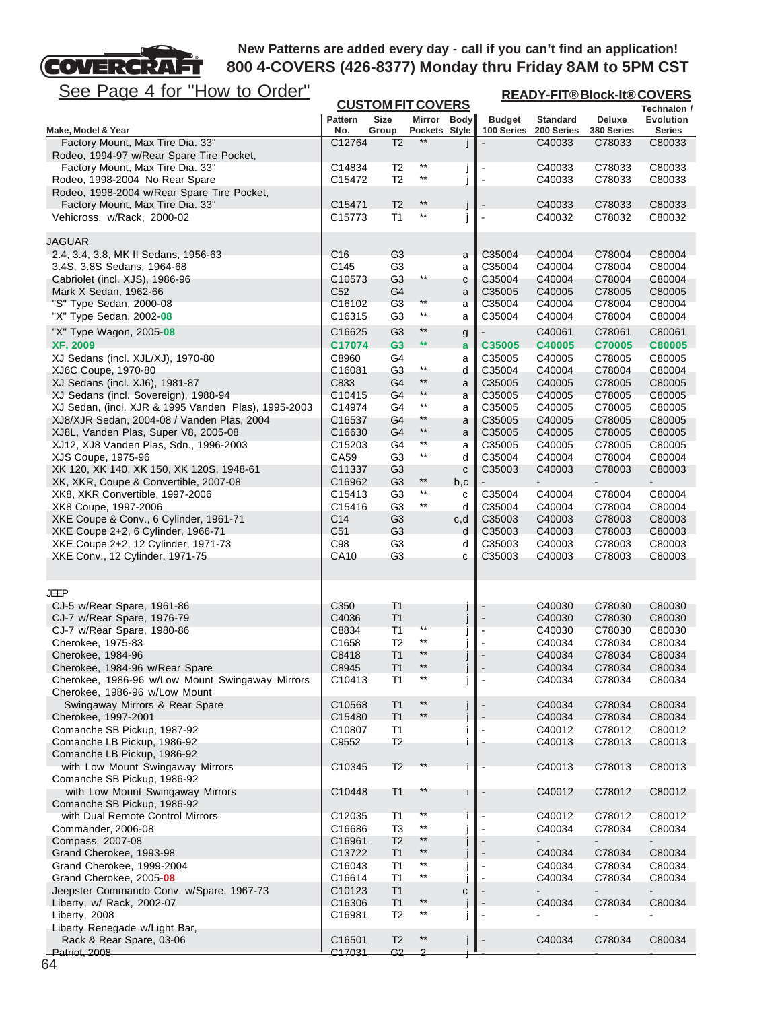**READY-FIT® Block-It® COVERS**

FT See Page 4 for "How to Order"

**COVERCRA** 

| <u>טטט ו</u><br><u>ayu + IVI</u><br><u><b>I IUW WU UIUUI</b></u>                  |                           | <b>CUSTOM FIT COVERS</b>         |                                    |                |                  |                  |                          | <u>READY-FIT®BIOCK-IT®COVERS</u><br>Technalon / |  |  |  |
|-----------------------------------------------------------------------------------|---------------------------|----------------------------------|------------------------------------|----------------|------------------|------------------|--------------------------|-------------------------------------------------|--|--|--|
|                                                                                   | <b>Pattern</b>            | <b>Size</b>                      | Mirror Body                        |                | <b>Budget</b>    | <b>Standard</b>  | Deluxe                   | <b>Evolution</b>                                |  |  |  |
| Make, Model & Year                                                                | No.                       | Group                            | Pockets Style                      |                | 100 Series       | 200 Series       | 380 Series               | <b>Series</b>                                   |  |  |  |
| Factory Mount, Max Tire Dia. 33"                                                  | C12764                    | T <sub>2</sub>                   | $***$                              |                |                  | C40033           | C78033                   | C80033                                          |  |  |  |
| Rodeo, 1994-97 w/Rear Spare Tire Pocket,                                          |                           |                                  | $^{\star\star}$                    |                |                  |                  |                          |                                                 |  |  |  |
| Factory Mount, Max Tire Dia. 33"                                                  | C14834                    | T <sub>2</sub><br>T <sub>2</sub> | $^{\star\star}$                    |                |                  | C40033           | C78033                   | C80033                                          |  |  |  |
| Rodeo, 1998-2004 No Rear Spare<br>Rodeo, 1998-2004 w/Rear Spare Tire Pocket,      | C15472                    |                                  |                                    |                |                  | C40033           | C78033                   | C80033                                          |  |  |  |
| Factory Mount, Max Tire Dia. 33"                                                  | C15471                    | T <sub>2</sub>                   | $***$                              |                |                  | C40033           | C78033                   | C80033                                          |  |  |  |
| Vehicross, w/Rack, 2000-02                                                        | C15773                    | T <sub>1</sub>                   | $^{\star\star}$                    | $\overline{1}$ |                  | C40032           | C78032                   | C80032                                          |  |  |  |
|                                                                                   |                           |                                  |                                    |                |                  |                  |                          |                                                 |  |  |  |
| JAGUAR                                                                            |                           |                                  |                                    |                |                  |                  |                          |                                                 |  |  |  |
| 2.4, 3.4, 3.8, MK II Sedans, 1956-63                                              | C <sub>16</sub>           | G <sub>3</sub>                   |                                    | a              | C35004           | C40004           | C78004                   | C80004                                          |  |  |  |
| 3.4S, 3.8S Sedans, 1964-68                                                        | C145                      | G <sub>3</sub>                   |                                    | a              | C35004           | C40004           | C78004                   | C80004                                          |  |  |  |
| Cabriolet (incl. XJS), 1986-96                                                    | C10573<br>C <sub>52</sub> | G <sub>3</sub><br>G4             | $^{\star\star}$                    | С              | C35004<br>C35005 | C40004<br>C40005 | C78004<br>C78005         | C80004<br>C80005                                |  |  |  |
| Mark X Sedan, 1962-66<br>"S" Type Sedan, 2000-08                                  | C16102                    | G <sub>3</sub>                   | $^{\star\star}$                    | a<br>a         | C35004           | C40004           | C78004                   | C80004                                          |  |  |  |
| "X" Type Sedan, 2002-08                                                           | C16315                    | G <sub>3</sub>                   | $^{\star\star}$                    | a              | C35004           | C40004           | C78004                   | C80004                                          |  |  |  |
| "X" Type Wagon, 2005-08                                                           | C16625                    | G <sub>3</sub>                   | $^{\star\star}$                    |                |                  | C40061           | C78061                   | C80061                                          |  |  |  |
| <b>XF, 2009</b>                                                                   | C17074                    | G <sub>3</sub>                   | $**$                               | g<br>a         | C35005           | C40005           | C70005                   | <b>C80005</b>                                   |  |  |  |
| XJ Sedans (incl. XJL/XJ), 1970-80                                                 | C8960                     | G4                               |                                    | а              | C35005           | C40005           | C78005                   | C80005                                          |  |  |  |
| XJ6C Coupe, 1970-80                                                               | C16081                    | G3                               | $^{\star\star}$                    | d              | C35004           | C40004           | C78004                   | C80004                                          |  |  |  |
| XJ Sedans (incl. XJ6), 1981-87                                                    | C833                      | G4                               | $***$                              | a              | C35005           | C40005           | C78005                   | C80005                                          |  |  |  |
| XJ Sedans (incl. Sovereign), 1988-94                                              | C10415                    | G4                               | $^{\star\star}$                    | a              | C35005           | C40005           | C78005                   | C80005                                          |  |  |  |
| XJ Sedan, (incl. XJR & 1995 Vanden Plas), 1995-2003                               | C14974                    | G4                               | $^{\star\star}$                    | а              | C35005           | C40005           | C78005                   | C80005                                          |  |  |  |
| XJ8/XJR Sedan, 2004-08 / Vanden Plas, 2004                                        | C16537                    | G4                               | **                                 | a              | C35005           | C40005           | C78005                   | C80005                                          |  |  |  |
| XJ8L, Vanden Plas, Super V8, 2005-08                                              | C16630                    | G4                               | $^{\star\star}$<br>$^{\star\star}$ | a              | C35005           | C40005           | C78005                   | C80005                                          |  |  |  |
| XJ12, XJ8 Vanden Plas, Sdn., 1996-2003                                            | C15203<br>CA59            | G4<br>G3                         | $^{\star\star}$                    | а              | C35005<br>C35004 | C40005<br>C40004 | C78005<br>C78004         | C80005<br>C80004                                |  |  |  |
| XJS Coupe, 1975-96<br>XK 120, XK 140, XK 150, XK 120S, 1948-61                    | C11337                    | G <sub>3</sub>                   |                                    | d<br>c         | C35003           | C40003           | C78003                   | C80003                                          |  |  |  |
| XK, XKR, Coupe & Convertible, 2007-08                                             | C16962                    | G <sub>3</sub>                   | $^{\star\star}$                    | b,c            |                  |                  | $\overline{\phantom{0}}$ |                                                 |  |  |  |
| XK8, XKR Convertible, 1997-2006                                                   | C15413                    | G <sub>3</sub>                   | $***$                              | c              | C35004           | C40004           | C78004                   | C80004                                          |  |  |  |
| XK8 Coupe, 1997-2006                                                              | C15416                    | G <sub>3</sub>                   | $^{\star\star}$                    | d              | C35004           | C40004           | C78004                   | C80004                                          |  |  |  |
| XKE Coupe & Conv., 6 Cylinder, 1961-71                                            | C14                       | G <sub>3</sub>                   |                                    | c,d            | C35003           | C40003           | C78003                   | C80003                                          |  |  |  |
| XKE Coupe 2+2, 6 Cylinder, 1966-71                                                | C <sub>51</sub>           | G <sub>3</sub>                   |                                    | d              | C35003           | C40003           | C78003                   | C80003                                          |  |  |  |
| XKE Coupe 2+2, 12 Cylinder, 1971-73                                               | C <sub>98</sub>           | G <sub>3</sub>                   |                                    | d              | C35003           | C40003           | C78003                   | C80003                                          |  |  |  |
| XKE Conv., 12 Cylinder, 1971-75                                                   | <b>CA10</b>               | G3                               |                                    | с              | C35003           | C40003           | C78003                   | C80003                                          |  |  |  |
|                                                                                   |                           |                                  |                                    |                |                  |                  |                          |                                                 |  |  |  |
| JEEP                                                                              |                           |                                  |                                    |                |                  |                  |                          |                                                 |  |  |  |
| CJ-5 w/Rear Spare, 1961-86                                                        | C350                      | T <sub>1</sub>                   |                                    |                |                  | C40030           | C78030                   | C80030                                          |  |  |  |
| CJ-7 w/Rear Spare, 1976-79                                                        | C4036                     | T <sub>1</sub>                   |                                    |                |                  | C40030           | C78030                   | C80030                                          |  |  |  |
| CJ-7 w/Rear Spare, 1980-86                                                        | C8834                     | T1                               | $^{\star\star}$                    |                |                  | C40030           | C78030                   | C80030                                          |  |  |  |
| Cherokee, 1975-83                                                                 | C1658                     | T <sub>2</sub>                   | $^{\star\star}$<br>$^{\star\star}$ |                |                  | C40034           | C78034                   | C80034                                          |  |  |  |
| Cherokee, 1984-96                                                                 | C8418                     | T1                               | $***$                              |                |                  | C40034           | C78034                   | C80034                                          |  |  |  |
| Cherokee, 1984-96 w/Rear Spare<br>Cherokee, 1986-96 w/Low Mount Swingaway Mirrors | C8945<br>C10413           | T <sub>1</sub><br>T <sub>1</sub> | $^{\star\star}$                    |                |                  | C40034<br>C40034 | C78034<br>C78034         | C80034<br>C80034                                |  |  |  |
| Cherokee, 1986-96 w/Low Mount                                                     |                           |                                  |                                    |                |                  |                  |                          |                                                 |  |  |  |
| Swingaway Mirrors & Rear Spare                                                    | C10568                    | T <sub>1</sub>                   | $^{\star\star}$                    |                |                  | C40034           | C78034                   | C80034                                          |  |  |  |
| Cherokee, 1997-2001                                                               | C15480                    | T <sub>1</sub>                   | $^{\star\star}$                    |                |                  | C40034           | C78034                   | C80034                                          |  |  |  |
| Comanche SB Pickup, 1987-92                                                       | C10807                    | T <sub>1</sub>                   |                                    |                |                  | C40012           | C78012                   | C80012                                          |  |  |  |
| Comanche LB Pickup, 1986-92                                                       | C9552                     | T <sub>2</sub>                   |                                    |                |                  | C40013           | C78013                   | C80013                                          |  |  |  |
| Comanche LB Pickup, 1986-92                                                       |                           |                                  |                                    |                |                  |                  |                          |                                                 |  |  |  |
| with Low Mount Swingaway Mirrors                                                  | C10345                    | T <sub>2</sub>                   |                                    |                |                  | C40013           | C78013                   | C80013                                          |  |  |  |
| Comanche SB Pickup, 1986-92<br>with Low Mount Swingaway Mirrors                   | C10448                    | T1                               | $**$                               |                |                  | C40012           | C78012                   | C80012                                          |  |  |  |
| Comanche SB Pickup, 1986-92                                                       |                           |                                  |                                    |                |                  |                  |                          |                                                 |  |  |  |
| with Dual Remote Control Mirrors                                                  | C12035                    | T <sub>1</sub>                   | $^{\star\star}$                    |                |                  | C40012           | C78012                   | C80012                                          |  |  |  |
| Commander, 2006-08                                                                | C16686                    | T <sub>3</sub>                   | $^{\star\star}$                    | J              |                  | C40034           | C78034                   | C80034                                          |  |  |  |
| Compass, 2007-08                                                                  | C16961                    | T <sub>2</sub>                   | $**$                               |                |                  |                  |                          |                                                 |  |  |  |
| Grand Cherokee, 1993-98                                                           | C13722                    | T1                               | $^{\star\star}$                    |                |                  | C40034           | C78034                   | C80034                                          |  |  |  |
| Grand Cherokee, 1999-2004                                                         | C16043                    | T <sub>1</sub>                   | $^{\star\star}$                    | J              |                  | C40034           | C78034                   | C80034                                          |  |  |  |
| Grand Cherokee, 2005-08                                                           | C16614                    | T <sub>1</sub>                   | $^{\star\star}$                    |                |                  | C40034           | C78034                   | C80034                                          |  |  |  |
| Jeepster Commando Conv. w/Spare, 1967-73                                          | C <sub>10123</sub>        | T <sub>1</sub>                   | $\star\star$                       | С              |                  |                  |                          |                                                 |  |  |  |
| Liberty, w/ Rack, 2002-07<br>Liberty, 2008                                        | C16306<br>C16981          | T <sub>1</sub><br>T <sub>2</sub> | $***$                              |                |                  | C40034           | C78034                   | C80034                                          |  |  |  |
| Liberty Renegade w/Light Bar,                                                     |                           |                                  |                                    |                |                  |                  |                          |                                                 |  |  |  |
| Rack & Rear Spare, 03-06                                                          | C16501                    | T <sub>2</sub>                   | $^{\star\star}$                    |                |                  | C40034           | C78034                   | C80034                                          |  |  |  |
| Patriot, 2008                                                                     | C17031                    | G2                               |                                    |                |                  |                  |                          |                                                 |  |  |  |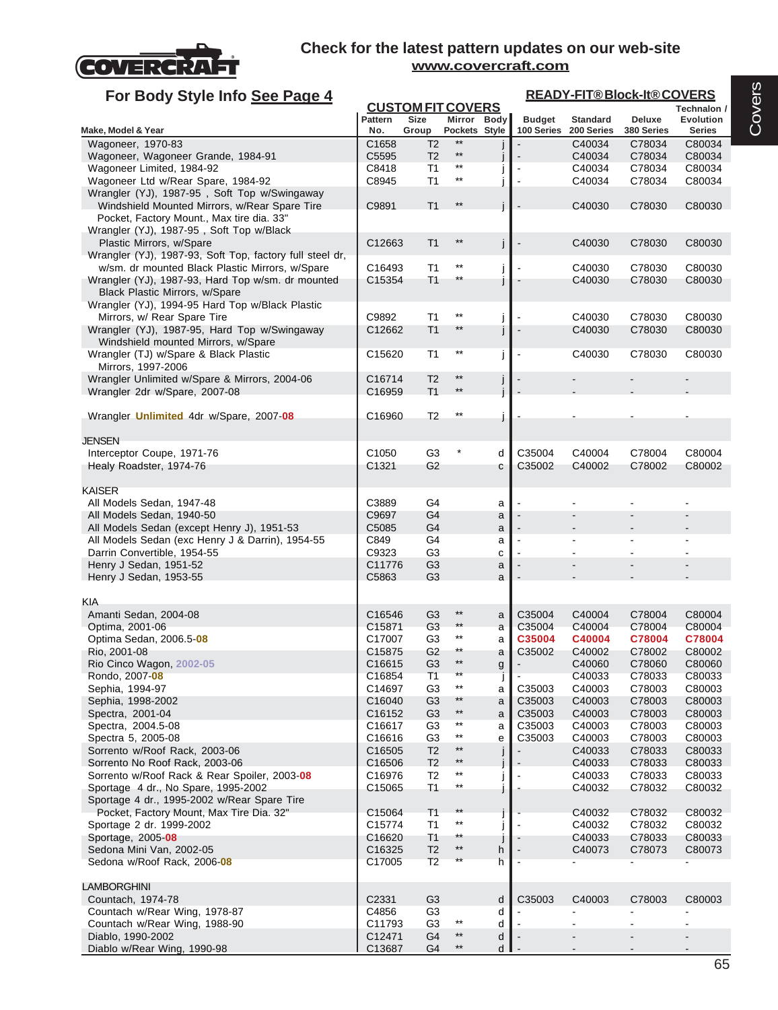

| For Body Style Info See Page 4                                                                |                              |                                         |                                    |             |                |                  | <b>READY-FIT®Block-It®COVERS</b> |                                 |
|-----------------------------------------------------------------------------------------------|------------------------------|-----------------------------------------|------------------------------------|-------------|----------------|------------------|----------------------------------|---------------------------------|
|                                                                                               | Pattern                      | <b>CUSTOM FIT COVERS</b><br><b>Size</b> |                                    | Mirror Body | <b>Budget</b>  | <b>Standard</b>  | Deluxe                           | Technalon /<br><b>Evolution</b> |
| Make, Model & Year                                                                            | No.                          | Group                                   | Pockets Style<br>$**$              |             | 100 Series     | 200 Series       | 380 Series                       | <b>Series</b>                   |
| Wagoneer, 1970-83                                                                             | C1658                        | T <sub>2</sub>                          | $***$                              |             |                | C40034           | C78034                           | C80034                          |
| Wagoneer, Wagoneer Grande, 1984-91                                                            | C5595                        | T <sub>2</sub>                          |                                    |             |                | C40034           | C78034                           | C80034                          |
| Wagoneer Limited, 1984-92                                                                     | C8418                        | T1                                      | $***$                              |             |                | C40034           | C78034                           | C80034                          |
| Wagoneer Ltd w/Rear Spare, 1984-92                                                            | C8945                        | T <sub>1</sub>                          | $***$                              |             |                | C40034           | C78034                           | C80034                          |
| Wrangler (YJ), 1987-95, Soft Top w/Swingaway<br>Windshield Mounted Mirrors, w/Rear Spare Tire | C9891                        | T <sub>1</sub>                          | $***$                              | İ           |                | C40030           | C78030                           | C80030                          |
| Pocket, Factory Mount., Max tire dia. 33"                                                     |                              |                                         |                                    |             |                |                  |                                  |                                 |
| Wrangler (YJ), 1987-95, Soft Top w/Black                                                      |                              |                                         | $***$                              |             |                |                  |                                  |                                 |
| Plastic Mirrors, w/Spare<br>Wrangler (YJ), 1987-93, Soft Top, factory full steel dr,          | C12663                       | T <sub>1</sub>                          |                                    | j           | $\blacksquare$ | C40030           | C78030                           | C80030                          |
| w/sm. dr mounted Black Plastic Mirrors, w/Spare                                               | C16493                       | T1                                      | $***$                              | j           |                | C40030           | C78030                           | C80030                          |
| Wrangler (YJ), 1987-93, Hard Top w/sm. dr mounted                                             | C15354                       | T <sub>1</sub>                          | **                                 | j           |                | C40030           | C78030                           | C80030                          |
| Black Plastic Mirrors, w/Spare                                                                |                              |                                         |                                    |             |                |                  |                                  |                                 |
| Wrangler (YJ), 1994-95 Hard Top w/Black Plastic                                               |                              |                                         |                                    |             |                |                  |                                  |                                 |
| Mirrors, w/ Rear Spare Tire                                                                   | C9892                        | T1                                      | $***$                              |             |                | C40030           | C78030                           | C80030                          |
| Wrangler (YJ), 1987-95, Hard Top w/Swingaway                                                  | C12662                       | T <sub>1</sub>                          | $**$                               | i           | $\blacksquare$ | C40030           | C78030                           | C80030                          |
| Windshield mounted Mirrors, w/Spare                                                           |                              |                                         |                                    |             |                |                  |                                  |                                 |
| Wrangler (TJ) w/Spare & Black Plastic                                                         | C <sub>15620</sub>           | T1                                      | $^{\star\star}$                    |             |                | C40030           | C78030                           | C80030                          |
| Mirrors, 1997-2006                                                                            |                              |                                         |                                    |             |                |                  |                                  |                                 |
| Wrangler Unlimited w/Spare & Mirrors, 2004-06                                                 | C16714                       | T <sub>2</sub>                          | $***$                              |             |                |                  |                                  |                                 |
| Wrangler 2dr w/Spare, 2007-08                                                                 | C <sub>16959</sub>           | T <sub>1</sub>                          | $**$                               | İ           |                |                  |                                  |                                 |
|                                                                                               |                              |                                         | $^{\star\star}$                    |             |                |                  |                                  |                                 |
| Wrangler <b>Unlimited</b> 4dr w/Spare, 2007-08                                                | C16960                       | T <sub>2</sub>                          |                                    |             |                |                  |                                  |                                 |
| JENSEN                                                                                        |                              |                                         |                                    |             |                |                  |                                  |                                 |
| Interceptor Coupe, 1971-76                                                                    | C <sub>1050</sub>            | G <sub>3</sub>                          | $\ast$                             | d           | C35004         | C40004           | C78004                           | C80004                          |
| Healy Roadster, 1974-76                                                                       | C1321                        | G <sub>2</sub>                          |                                    | С           | C35002         | C40002           | C78002                           | C80002                          |
|                                                                                               |                              |                                         |                                    |             |                |                  |                                  |                                 |
| <b>KAISER</b>                                                                                 |                              |                                         |                                    |             |                |                  |                                  |                                 |
| All Models Sedan, 1947-48                                                                     | C3889                        | G4                                      |                                    | a           |                |                  |                                  |                                 |
| All Models Sedan, 1940-50                                                                     | C9697                        | G4                                      |                                    | a           |                |                  |                                  |                                 |
| All Models Sedan (except Henry J), 1951-53                                                    | C5085                        | G4                                      |                                    | a           |                |                  |                                  |                                 |
| All Models Sedan (exc Henry J & Darrin), 1954-55                                              | C849                         | G4                                      |                                    | a           |                |                  |                                  |                                 |
| Darrin Convertible, 1954-55                                                                   | C9323                        | G <sub>3</sub>                          |                                    | C           |                |                  |                                  |                                 |
| Henry J Sedan, 1951-52                                                                        | C11776                       | G <sub>3</sub>                          |                                    | a           |                |                  |                                  |                                 |
| Henry J Sedan, 1953-55                                                                        | C5863                        | G <sub>3</sub>                          |                                    | a           |                |                  |                                  |                                 |
| KIA                                                                                           |                              |                                         |                                    |             |                |                  |                                  |                                 |
| Amanti Sedan, 2004-08                                                                         | C16546                       | G <sub>3</sub>                          | $***$                              | a           | C35004         | C40004           | C78004                           | C80004                          |
| Optima, 2001-06                                                                               | C15871                       | G <sub>3</sub>                          | $***$                              | a           | C35004         | C40004           | C78004                           | C80004                          |
| Optima Sedan, 2006.5-08                                                                       | C17007                       | G3                                      | $^{\star\star}$                    | a           | C35004         | C40004           | C78004                           | C78004                          |
| Rio, 2001-08                                                                                  | C <sub>15875</sub>           | G <sub>2</sub>                          | $***$                              | a           | C35002         | C40002           | C78002                           | C80002                          |
| Rio Cinco Wagon, 2002-05                                                                      | C16615                       | G <sub>3</sub>                          |                                    | g           |                | C40060           | C78060                           | C80060                          |
| Rondo, 2007-08                                                                                | C16854                       | T1                                      | $***$                              |             |                | C40033           | C78033                           | C80033                          |
| Sephia, 1994-97                                                                               | C14697                       | G3                                      | $^{\star\star}$                    | a           | C35003         | C40003           | C78003                           | C80003                          |
| Sephia, 1998-2002                                                                             | C16040                       | G <sub>3</sub>                          | $***$                              | a           | C35003         | C40003           | C78003                           | C80003                          |
| Spectra, 2001-04                                                                              | C <sub>16152</sub>           | G <sub>3</sub>                          | $***$                              | a           | C35003         | C40003           | C78003                           | C80003                          |
| Spectra, 2004.5-08                                                                            | C16617                       | G <sub>3</sub>                          | $^{\star\star}$<br>$^{\star\star}$ | a           | C35003         | C40003           | C78003                           | C80003                          |
| Spectra 5, 2005-08                                                                            | C16616                       | G <sub>3</sub>                          | $\star\star$                       | е           | C35003         | C40003           | C78003                           | C80003                          |
| Sorrento w/Roof Rack, 2003-06                                                                 | C16505                       | T <sub>2</sub>                          | $***$                              |             |                | C40033           | C78033<br>C78033                 | C80033                          |
| Sorrento No Roof Rack, 2003-06<br>Sorrento w/Roof Rack & Rear Spoiler, 2003-08                | C <sub>16506</sub><br>C16976 | T <sub>2</sub><br>T <sub>2</sub>        | $^{\star\star}$                    |             | $\overline{a}$ | C40033<br>C40033 | C78033                           | C80033<br>C80033                |
| Sportage 4 dr., No Spare, 1995-2002                                                           | C <sub>15065</sub>           | T <sub>1</sub>                          | $^{\star\star}$                    |             |                | C40032           | C78032                           | C80032                          |
| Sportage 4 dr., 1995-2002 w/Rear Spare Tire                                                   |                              |                                         |                                    |             |                |                  |                                  |                                 |
| Pocket, Factory Mount, Max Tire Dia. 32"                                                      | C <sub>15064</sub>           | T <sub>1</sub>                          | $**$                               |             |                | C40032           | C78032                           | C80032                          |
| Sportage 2 dr. 1999-2002                                                                      | C15774                       | T <sub>1</sub>                          | $^{\star\star}$                    |             |                | C40032           | C78032                           | C80032                          |
| Sportage, 2005-08                                                                             | C16620                       | T <sub>1</sub>                          | $^{\star\star}$                    |             |                | C40033           | C78033                           | C80033                          |
| Sedona Mini Van, 2002-05                                                                      | C16325                       | T <sub>2</sub>                          | $***$                              | h           |                | C40073           | C78073                           | C80073                          |
| Sedona w/Roof Rack, 2006-08                                                                   | C17005                       | T2                                      | $^{\star\star}$                    | h           | $\blacksquare$ |                  |                                  |                                 |
|                                                                                               |                              |                                         |                                    |             |                |                  |                                  |                                 |
| <b>LAMBORGHINI</b>                                                                            |                              |                                         |                                    |             |                |                  |                                  |                                 |
| Countach, 1974-78                                                                             | C2331                        | G <sub>3</sub>                          |                                    | d           | C35003         | C40003           | C78003                           | C80003                          |
| Countach w/Rear Wing, 1978-87                                                                 | C4856                        | G <sub>3</sub>                          |                                    | d           |                |                  |                                  |                                 |
| Countach w/Rear Wing, 1988-90                                                                 | C11793                       | G <sub>3</sub>                          | $^{\star\star}$                    | d           |                |                  |                                  |                                 |
| Diablo, 1990-2002                                                                             | C12471                       | G <sub>4</sub>                          | $\star\star$                       | d           |                |                  |                                  |                                 |
| Diablo w/Rear Wing, 1990-98                                                                   | C13687                       | G <sub>4</sub>                          | $***$                              | d           |                |                  |                                  |                                 |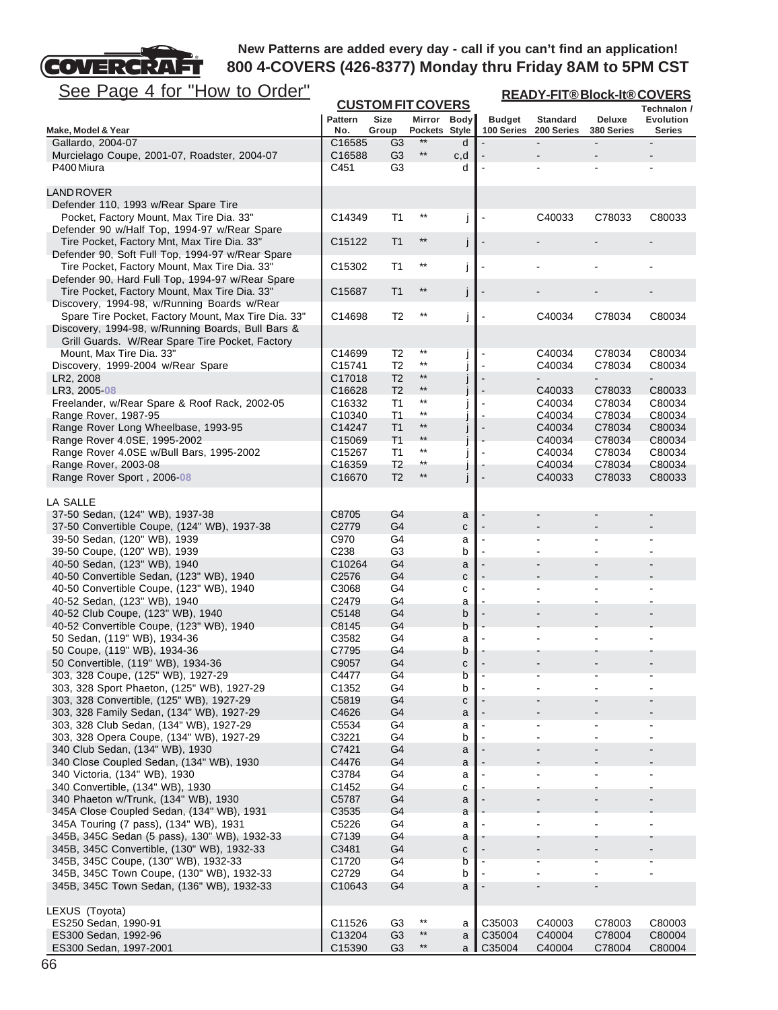

| <u>See Page 4 for "How to Order"</u>                                                                 | <b>READY-FIT®Block-It®COVERS</b> |                          |                                    |        |                |                          |                  |                  |
|------------------------------------------------------------------------------------------------------|----------------------------------|--------------------------|------------------------------------|--------|----------------|--------------------------|------------------|------------------|
|                                                                                                      |                                  | <b>CUSTOM FIT COVERS</b> |                                    |        |                |                          |                  | Technalon /      |
|                                                                                                      | <b>Pattern</b>                   | Size                     | Mirror Body                        |        | <b>Budget</b>  | <b>Standard</b>          | <b>Deluxe</b>    | <b>Evolution</b> |
| Make, Model & Year<br>Gallardo, 2004-07                                                              | No.<br>C16585                    | Group<br>G3              | Pockets Style<br>$**$              | d      | 100 Series     | 200 Series               | 380 Series       | <b>Series</b>    |
| Murcielago Coupe, 2001-07, Roadster, 2004-07                                                         | C16588                           | G <sub>3</sub>           | $^{\star\star}$                    | c,d    |                |                          |                  |                  |
| P400 Miura                                                                                           | C451                             | G <sub>3</sub>           |                                    | d      |                |                          |                  |                  |
|                                                                                                      |                                  |                          |                                    |        |                |                          |                  |                  |
| <b>LAND ROVER</b>                                                                                    |                                  |                          |                                    |        |                |                          |                  |                  |
| Defender 110, 1993 w/Rear Spare Tire                                                                 |                                  |                          |                                    |        |                |                          |                  |                  |
| Pocket, Factory Mount, Max Tire Dia. 33"                                                             | C14349                           | T1                       | $^{\star\star}$                    | j      |                | C40033                   | C78033           | C80033           |
| Defender 90 w/Half Top, 1994-97 w/Rear Spare<br>Tire Pocket, Factory Mnt, Max Tire Dia. 33"          | C15122                           | T1                       | $^{\star\star}$                    | j      |                |                          |                  |                  |
| Defender 90, Soft Full Top, 1994-97 w/Rear Spare                                                     |                                  |                          |                                    |        |                |                          |                  |                  |
| Tire Pocket, Factory Mount, Max Tire Dia. 33"                                                        | C15302                           | T1                       | $^{\star\star}$                    | j      |                |                          |                  |                  |
| Defender 90, Hard Full Top, 1994-97 w/Rear Spare                                                     |                                  |                          |                                    |        |                |                          |                  |                  |
| Tire Pocket, Factory Mount, Max Tire Dia. 33"                                                        | C15687                           | T1                       | **                                 | j      |                |                          |                  |                  |
| Discovery, 1994-98, w/Running Boards w/Rear                                                          |                                  |                          |                                    |        |                |                          |                  |                  |
| Spare Tire Pocket, Factory Mount, Max Tire Dia. 33"                                                  | C14698                           | T <sub>2</sub>           | $^{\star\star}$                    | j      |                | C40034                   | C78034           | C80034           |
| Discovery, 1994-98, w/Running Boards, Bull Bars &<br>Grill Guards. W/Rear Spare Tire Pocket, Factory |                                  |                          |                                    |        |                |                          |                  |                  |
| Mount, Max Tire Dia. 33"                                                                             | C14699                           | T2                       | $^{\star\star}$                    | J      |                | C40034                   | C78034           | C80034           |
| Discovery, 1999-2004 w/Rear Spare                                                                    | C15741                           | T2                       | $^{\star\star}$                    |        |                | C40034                   | C78034           | C80034           |
| LR2, 2008                                                                                            | C17018                           | T <sub>2</sub>           | $***$                              | j      |                |                          |                  |                  |
| LR3, 2005-08                                                                                         | C16628                           | T <sub>2</sub>           | $^{\star\star}$                    |        |                | C40033                   | C78033           | C80033           |
| Freelander, w/Rear Spare & Roof Rack, 2002-05                                                        | C <sub>16332</sub>               | T1                       | $^{\star\star}$<br>$^{\star\star}$ | J      |                | C40034                   | C78034           | C80034           |
| Range Rover, 1987-95                                                                                 | C10340                           | T1                       | $***$                              |        |                | C40034                   | C78034           | C80034           |
| Range Rover Long Wheelbase, 1993-95<br>Range Rover 4.0SE, 1995-2002                                  | C14247<br>C <sub>15069</sub>     | T1<br>T <sub>1</sub>     | $***$                              |        |                | C40034<br>C40034         | C78034<br>C78034 | C80034<br>C80034 |
| Range Rover 4.0SE w/Bull Bars, 1995-2002                                                             | C15267                           | T1                       | $***$                              |        |                | C40034                   | C78034           | C80034           |
| Range Rover, 2003-08                                                                                 | C <sub>16359</sub>               | T <sub>2</sub>           | $^{\star\star}$                    |        |                | C40034                   | C78034           | C80034           |
| Range Rover Sport, 2006-08                                                                           | C <sub>16670</sub>               | T <sub>2</sub>           | $***$                              | j      | $\overline{a}$ | C40033                   | C78033           | C80033           |
|                                                                                                      |                                  |                          |                                    |        |                |                          |                  |                  |
| LA SALLE                                                                                             |                                  |                          |                                    |        |                |                          |                  |                  |
| 37-50 Sedan, (124" WB), 1937-38                                                                      | C8705<br>C2779                   | G4                       |                                    | a      |                |                          |                  |                  |
| 37-50 Convertible Coupe, (124" WB), 1937-38<br>39-50 Sedan, (120" WB), 1939                          | C970                             | G4<br>G4                 |                                    | с<br>a |                |                          |                  |                  |
| 39-50 Coupe, (120" WB), 1939                                                                         | C <sub>238</sub>                 | G <sub>3</sub>           |                                    | b      |                |                          |                  |                  |
| 40-50 Sedan, (123" WB), 1940                                                                         | C10264                           | G <sub>4</sub>           |                                    | a      |                |                          |                  |                  |
| 40-50 Convertible Sedan, (123" WB), 1940                                                             | C <sub>2576</sub>                | G4                       |                                    | C      |                |                          |                  |                  |
| 40-50 Convertible Coupe, (123" WB), 1940                                                             | C3068                            | G4                       |                                    | C      |                |                          |                  |                  |
| 40-52 Sedan, (123" WB), 1940                                                                         | C2479                            | G4                       |                                    | a      |                |                          |                  |                  |
| 40-52 Club Coupe, (123" WB), 1940<br>40-52 Convertible Coupe, (123" WB), 1940                        | C5148<br>C8145                   | G4<br>G4                 |                                    | b<br>b |                |                          |                  |                  |
| 50 Sedan, (119" WB), 1934-36                                                                         | C3582                            | G4                       |                                    | а      |                |                          |                  |                  |
| 50 Coupe, (119" WB), 1934-36                                                                         | C7795                            | G4                       |                                    | b      |                |                          |                  |                  |
| 50 Convertible, (119" WB), 1934-36                                                                   | C9057                            | G4                       |                                    | C      |                |                          |                  |                  |
| 303, 328 Coupe, (125" WB), 1927-29                                                                   | C4477                            | G4                       |                                    | b      |                |                          |                  |                  |
| 303, 328 Sport Phaeton, (125" WB), 1927-29                                                           | C1352                            | G4                       |                                    | b      |                |                          |                  |                  |
| 303, 328 Convertible, (125" WB), 1927-29                                                             | C5819                            | G4                       |                                    | C      |                |                          |                  |                  |
| 303, 328 Family Sedan, (134" WB), 1927-29<br>303, 328 Club Sedan, (134" WB), 1927-29                 | C4626<br>C5534                   | G4<br>G4                 |                                    | a<br>a |                |                          |                  |                  |
| 303, 328 Opera Coupe, (134" WB), 1927-29                                                             | C3221                            | G4                       |                                    | b      |                |                          |                  |                  |
| 340 Club Sedan, (134" WB), 1930                                                                      | C7421                            | G <sub>4</sub>           |                                    | a      |                |                          |                  |                  |
| 340 Close Coupled Sedan, (134" WB), 1930                                                             | C4476                            | G4                       |                                    | a      |                |                          |                  |                  |
| 340 Victoria, (134" WB), 1930                                                                        | C3784                            | G4                       |                                    | a      |                |                          |                  |                  |
| 340 Convertible, (134" WB), 1930                                                                     | C1452                            | G4                       |                                    | с      |                | $\overline{\phantom{a}}$ |                  |                  |
| 340 Phaeton w/Trunk, (134" WB), 1930<br>345A Close Coupled Sedan, (134" WB), 1931                    | C5787<br>C3535                   | G4<br>G4                 |                                    | a      |                |                          |                  |                  |
| 345A Touring (7 pass), (134" WB), 1931                                                               | C5226                            | G4                       |                                    | a<br>a |                |                          |                  |                  |
| 345B, 345C Sedan (5 pass), 130" WB), 1932-33                                                         | C7139                            | G4                       |                                    | a      |                |                          |                  |                  |
| 345B, 345C Convertible, (130" WB), 1932-33                                                           | C3481                            | G4                       |                                    | C      |                |                          |                  |                  |
| 345B, 345C Coupe, (130" WB), 1932-33                                                                 | C1720                            | G <sub>4</sub>           |                                    | b      |                |                          |                  |                  |
| 345B, 345C Town Coupe, (130" WB), 1932-33                                                            | C2729                            | G4                       |                                    | b      |                |                          |                  |                  |
| 345B, 345C Town Sedan, (136" WB), 1932-33                                                            | C <sub>10643</sub>               | G4                       |                                    | a      |                |                          |                  |                  |
| LEXUS (Toyota)                                                                                       |                                  |                          |                                    |        |                |                          |                  |                  |
| ES250 Sedan, 1990-91                                                                                 | C11526                           | G <sub>3</sub>           | $***$                              | a      | C35003         | C40003                   | C78003           | C80003           |
| ES300 Sedan, 1992-96                                                                                 | C13204                           | G <sub>3</sub>           | $^{\star\star}$                    | a      | C35004         | C40004                   | C78004           | C80004           |
| ES300 Sedan, 1997-2001                                                                               | C15390                           | G <sub>3</sub>           | $***$                              | a I    | C35004         | C40004                   | C78004           | C80004           |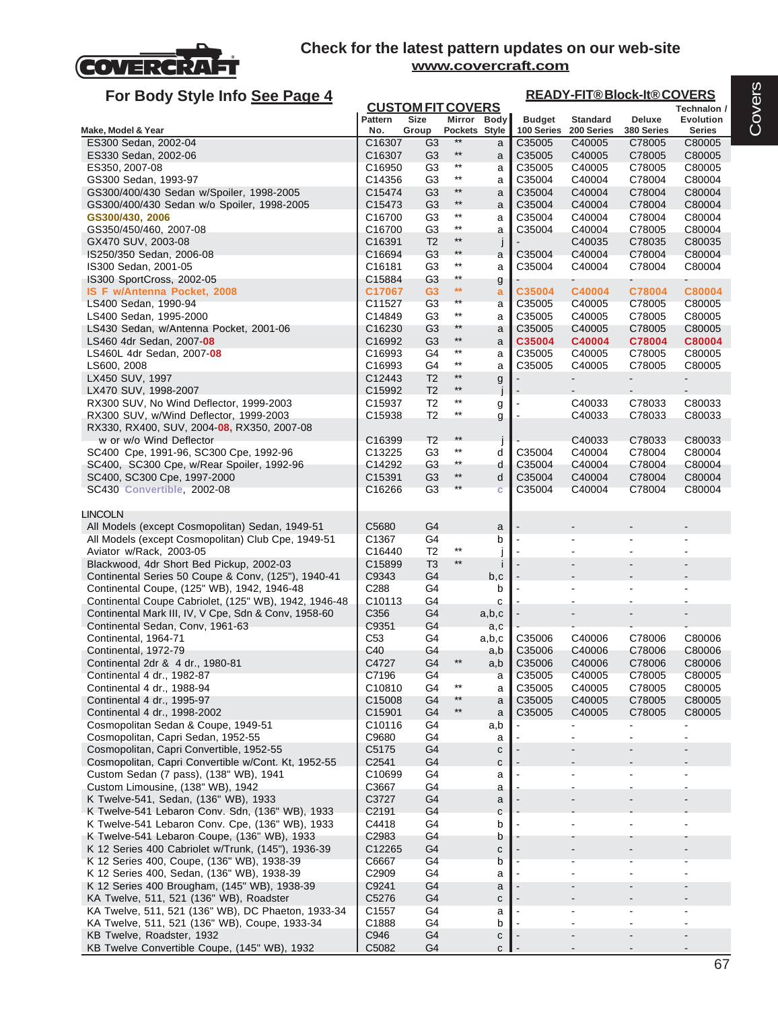

| For Body Style Info See Page 4                                                                    |                                            |                                  |                                 |               |                  |                  | <b>READY-FIT®Block-It®COVERS</b> |                          |
|---------------------------------------------------------------------------------------------------|--------------------------------------------|----------------------------------|---------------------------------|---------------|------------------|------------------|----------------------------------|--------------------------|
|                                                                                                   | <b>CUSTOM FIT COVERS</b><br><b>Pattern</b> | <b>Size</b>                      |                                 | Mirror Body   | <b>Budget</b>    | <b>Standard</b>  | Deluxe                           | Technalon /<br>Evolution |
| Make, Model & Year                                                                                | No.                                        | Group                            | Pockets Style                   |               | 100 Series       | 200 Series       | 380 Series                       | Series                   |
| ES300 Sedan, 2002-04                                                                              | C16307                                     | G3                               | **                              | a             | C35005           | C40005           | C78005                           | C80005                   |
| ES330 Sedan, 2002-06                                                                              | C16307                                     | G3                               | $^{\star\star}$                 | a             | C35005           | C40005           | C78005                           | C80005                   |
| ES350, 2007-08                                                                                    | C <sub>16950</sub>                         | G3                               | $***$<br>$\star\star$           | a             | C35005           | C40005           | C78005                           | C80005                   |
| GS300 Sedan, 1993-97<br>GS300/400/430 Sedan w/Spoiler, 1998-2005                                  | C14356<br>C15474                           | G <sub>3</sub><br>G <sub>3</sub> | $^{\star\star}$                 | a             | C35004<br>C35004 | C40004<br>C40004 | C78004<br>C78004                 | C80004<br>C80004         |
| GS300/400/430 Sedan w/o Spoiler, 1998-2005                                                        | C15473                                     | G <sub>3</sub>                   | $^{\star\star}$                 | a<br>a        | C35004           | C40004           | C78004                           | C80004                   |
| GS300/430, 2006                                                                                   | C <sub>16700</sub>                         | G3                               | $***$                           | a             | C35004           | C40004           | C78004                           | C80004                   |
| GS350/450/460, 2007-08                                                                            | C16700                                     | G <sub>3</sub>                   | $^{\star\star}$                 | a             | C35004           | C40004           | C78005                           | C80004                   |
| GX470 SUV, 2003-08                                                                                | C16391                                     | T <sub>2</sub>                   | $^{\star\star}$                 | $\frac{1}{2}$ |                  | C40035           | C78035                           | C80035                   |
| IS250/350 Sedan, 2006-08                                                                          | C16694                                     | G <sub>3</sub>                   | $**$                            | a             | C35004           | C40004           | C78004                           | C80004                   |
| IS300 Sedan, 2001-05                                                                              | C <sub>16181</sub>                         | G <sub>3</sub>                   | $^{\star\star}$                 | a             | C35004           | C40004           | C78004                           | C80004                   |
| IS300 SportCross, 2002-05                                                                         | C15884                                     | G3                               | $^{\star\star}$<br>$\star\star$ | g             |                  |                  |                                  |                          |
| IS F w/Antenna Pocket, 2008<br>LS400 Sedan, 1990-94                                               | C17067<br>C11527                           | G3<br>G <sub>3</sub>             | $***$                           | a<br>a        | C35004<br>C35005 | C40004<br>C40005 | C78004<br>C78005                 | C80004<br>C80005         |
| LS400 Sedan, 1995-2000                                                                            | C14849                                     | G3                               | $***$                           | a             | C35005           | C40005           | C78005                           | C80005                   |
| LS430 Sedan, w/Antenna Pocket, 2001-06                                                            | C <sub>16230</sub>                         | G <sub>3</sub>                   | **                              | a             | C35005           | C40005           | C78005                           | C80005                   |
| LS460 4dr Sedan, 2007-08                                                                          | C16992                                     | G <sub>3</sub>                   | $^{\star\star}$                 | a             | C35004           | C40004           | C78004                           | C80004                   |
| LS460L 4dr Sedan, 2007-08                                                                         | C16993                                     | G4                               | $^{\star\star}$                 | a             | C35005           | C40005           | C78005                           | C80005                   |
| LS600, 2008                                                                                       | C16993                                     | G4                               | $\star\star$                    | a             | C35005           | C40005           | C78005                           | C80005                   |
| LX450 SUV, 1997                                                                                   | C12443                                     | T <sub>2</sub>                   | $**$<br>$^{\star\star}$         | g             |                  |                  | $\blacksquare$                   | $\blacksquare$           |
| LX470 SUV, 1998-2007                                                                              | C15992                                     | T <sub>2</sub>                   | $***$                           |               |                  |                  |                                  |                          |
| RX300 SUV, No Wind Deflector, 1999-2003<br>RX300 SUV, w/Wind Deflector, 1999-2003                 | C <sub>15937</sub><br>C15938               | T <sub>2</sub><br>T2             | $^{\star\star}$                 | g             |                  | C40033<br>C40033 | C78033<br>C78033                 | C80033<br>C80033         |
| RX330, RX400, SUV, 2004 08, RX350, 2007-08                                                        |                                            |                                  |                                 | g             |                  |                  |                                  |                          |
| w or w/o Wind Deflector                                                                           | C <sub>16399</sub>                         | T <sub>2</sub>                   | $***$                           |               |                  | C40033           | C78033                           | C80033                   |
| SC400 Cpe, 1991-96, SC300 Cpe, 1992-96                                                            | C13225                                     | G <sub>3</sub>                   | $***$                           | d             | C35004           | C40004           | C78004                           | C80004                   |
| SC400, SC300 Cpe, w/Rear Spoiler, 1992-96                                                         | C14292                                     | G3                               | $***$                           | d             | C35004           | C40004           | C78004                           | C80004                   |
| SC400, SC300 Cpe, 1997-2000                                                                       | C15391                                     | G <sub>3</sub>                   | $^{\star\star}$                 | d             | C35004           | C40004           | C78004                           | C80004                   |
| SC430 Convertible, 2002-08                                                                        | C16266                                     | G <sub>3</sub>                   | $***$                           | Ċ             | C35004           | C40004           | C78004                           | C80004                   |
| <b>LINCOLN</b>                                                                                    |                                            |                                  |                                 |               |                  |                  |                                  |                          |
| All Models (except Cosmopolitan) Sedan, 1949-51                                                   | C5680                                      | G4                               |                                 | a             |                  |                  |                                  |                          |
| All Models (except Cosmopolitan) Club Cpe, 1949-51                                                | C1367                                      | G4                               |                                 | b             |                  |                  |                                  | $\blacksquare$           |
| Aviator w/Rack, 2003-05                                                                           | C16440                                     | T <sub>2</sub>                   | $^{\star\star}$                 |               |                  |                  |                                  |                          |
| Blackwood, 4dr Short Bed Pickup, 2002-03                                                          | C15899                                     | T <sub>3</sub>                   | $^{\star\star}$                 | Ť             |                  |                  |                                  |                          |
| Continental Series 50 Coupe & Conv, (125"), 1940-41                                               | C9343                                      | G4                               |                                 | b,c           |                  |                  |                                  |                          |
| Continental Coupe, (125" WB), 1942, 1946-48                                                       | C288                                       | G4                               |                                 | b             |                  |                  |                                  |                          |
| Continental Coupe Cabriolet, (125" WB), 1942, 1946-48                                             | C10113                                     | G4                               |                                 | С             |                  |                  |                                  |                          |
| Continental Mark III, IV, V Cpe, Sdn & Conv, 1958-60                                              | C356<br>C9351                              | G4<br>G4                         |                                 | a,b,c         |                  |                  |                                  |                          |
| Continental Sedan, Conv, 1961-63<br>Continental, 1964-71                                          | C <sub>53</sub>                            | G4                               |                                 | a,c<br>a,b,c  | C35006           | C40006           | C78006                           | C80006                   |
| Continental, 1972-79                                                                              | C40                                        | G4                               |                                 | a,b           | C35006           | C40006           | C78006                           | C80006                   |
| Continental 2dr & 4 dr., 1980-81                                                                  | C4727                                      | G4                               | $***$                           | a,b           | C35006           | C40006           | C78006                           | C80006                   |
| Continental 4 dr., 1982-87                                                                        | C7196                                      | G <sub>4</sub>                   |                                 | a             | C35005           | C40005           | C78005                           | C80005                   |
| Continental 4 dr., 1988-94                                                                        | C10810                                     | G4                               | $^{\star\star}$                 | a             | C35005           | C40005           | C78005                           | C80005                   |
| Continental 4 dr., 1995-97                                                                        | C15008                                     | G4                               | $***$                           | a             | C35005           | C40005           | C78005                           | C80005                   |
| Continental 4 dr., 1998-2002                                                                      | C15901                                     | G4                               | $\star\star$                    | a             | C35005           | C40005           | C78005                           | C80005                   |
| Cosmopolitan Sedan & Coupe, 1949-51<br>Cosmopolitan, Capri Sedan, 1952-55                         | C10116<br>C9680                            | G4<br>G4                         |                                 | a,b           |                  |                  |                                  | $\overline{a}$           |
| Cosmopolitan, Capri Convertible, 1952-55                                                          | C5175                                      | G4                               |                                 | a<br>C        |                  |                  |                                  |                          |
| Cosmopolitan, Capri Convertible w/Cont. Kt, 1952-55                                               | C2541                                      | G4                               |                                 | $\mathbf{C}$  |                  |                  |                                  |                          |
| Custom Sedan (7 pass), (138" WB), 1941                                                            | C <sub>10699</sub>                         | G4                               |                                 | a             |                  |                  |                                  |                          |
| Custom Limousine, (138" WB), 1942                                                                 | C3667                                      | G4                               |                                 | a             |                  |                  |                                  | $\blacksquare$           |
| K Twelve-541, Sedan, (136" WB), 1933                                                              | C3727                                      | G4                               |                                 | a             |                  |                  |                                  |                          |
| K Twelve-541 Lebaron Conv. Sdn, (136" WB), 1933                                                   | C2191                                      | G4                               |                                 | C             |                  |                  |                                  |                          |
| K Twelve-541 Lebaron Conv. Cpe, (136" WB), 1933                                                   | C4418                                      | G4                               |                                 | b             |                  |                  |                                  |                          |
| K Twelve-541 Lebaron Coupe, (136" WB), 1933<br>K 12 Series 400 Cabriolet w/Trunk, (145"), 1936-39 | C2983<br>C12265                            | G4<br>G4                         |                                 | b             |                  |                  |                                  | $\overline{\phantom{a}}$ |
| K 12 Series 400, Coupe, (136" WB), 1938-39                                                        | C6667                                      | G4                               |                                 | C<br>b        |                  |                  |                                  |                          |
| K 12 Series 400, Sedan, (136" WB), 1938-39                                                        | C <sub>2909</sub>                          | G4                               |                                 | a             |                  | ٠                | $\blacksquare$                   | $\overline{\phantom{a}}$ |
| K 12 Series 400 Brougham, (145" WB), 1938-39                                                      | C9241                                      | G4                               |                                 | a             |                  |                  |                                  |                          |
| KA Twelve, 511, 521 (136" WB), Roadster                                                           | C5276                                      | G4                               |                                 | C             |                  |                  |                                  |                          |
| KA Twelve, 511, 521 (136" WB), DC Phaeton, 1933-34                                                | C1557                                      | G4                               |                                 | a             |                  | ۰                | $\blacksquare$                   | $\blacksquare$           |
| KA Twelve, 511, 521 (136" WB), Coupe, 1933-34                                                     | C1888                                      | G4                               |                                 | b             |                  | $\blacksquare$   |                                  | $\overline{a}$           |
| KB Twelve, Roadster, 1932                                                                         | C946                                       | G4                               |                                 | C             |                  |                  |                                  |                          |
| KB Twelve Convertible Coupe, (145" WB), 1932                                                      | C5082                                      | G4                               |                                 | c             |                  |                  |                                  |                          |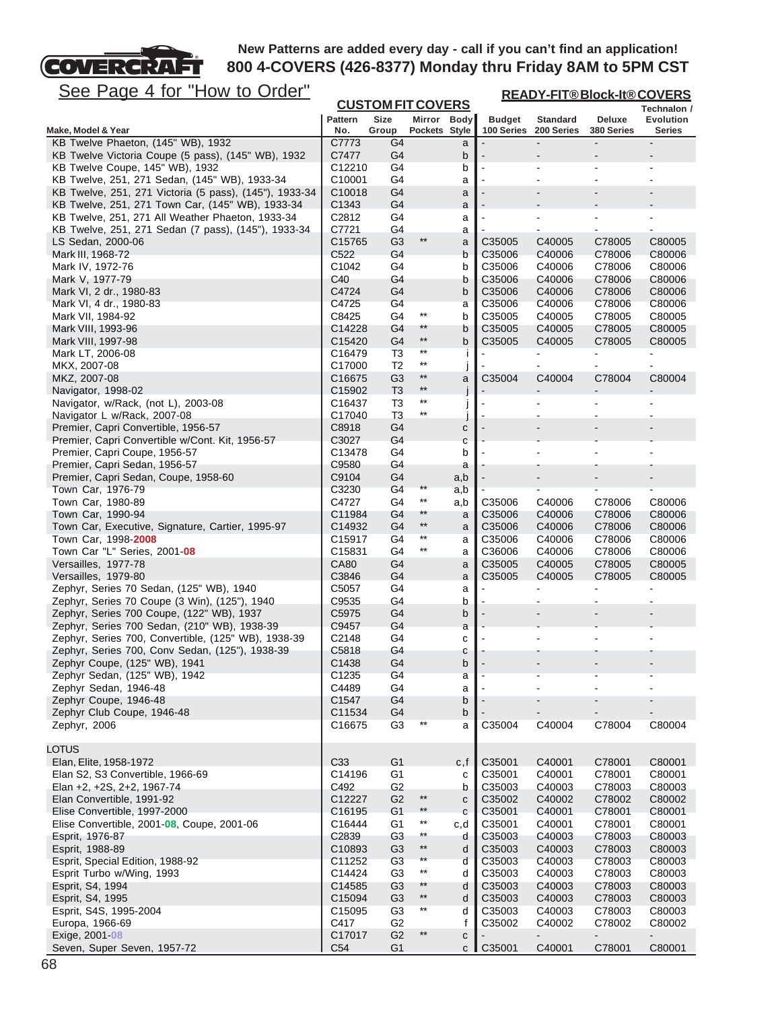

**READY-FIT® Block-It® COVERS**

| <u>JCC FayC + IVI TIUW IV VIUCI</u>                      |                    |                          |                 |               |                          | <u>READY-FIT®BIOCK-It®COVERS</u> |                              |                                 |  |
|----------------------------------------------------------|--------------------|--------------------------|-----------------|---------------|--------------------------|----------------------------------|------------------------------|---------------------------------|--|
|                                                          |                    | <b>CUSTOM FIT COVERS</b> |                 |               |                          |                                  |                              | Technalon /                     |  |
|                                                          | <b>Pattern</b>     | Size                     | Mirror Body     |               | <b>Budget</b>            | <b>Standard</b>                  | Deluxe                       | Evolution                       |  |
| Make, Model & Year<br>KB Twelve Phaeton, (145" WB), 1932 | No.                | Group                    | Pockets Style   |               | 100 Series               | 200 Series                       | 380 Series<br>$\blacksquare$ | <b>Series</b><br>$\blacksquare$ |  |
| KB Twelve Victoria Coupe (5 pass), (145" WB), 1932       | C7773<br>C7477     | G4<br>G4                 |                 | a             |                          | $\blacksquare$                   |                              |                                 |  |
| KB Twelve Coupe, 145" WB), 1932                          | C12210             | G4                       |                 | b<br>b        | $\blacksquare$           |                                  | $\blacksquare$               |                                 |  |
| KB Twelve, 251, 271 Sedan, (145" WB), 1933-34            | C10001             | G4                       |                 | a             | $\blacksquare$           | $\overline{\phantom{a}}$         | $\blacksquare$               |                                 |  |
| KB Twelve, 251, 271 Victoria (5 pass), (145"), 1933-34   | C10018             | G4                       |                 | a             |                          |                                  |                              |                                 |  |
| KB Twelve, 251, 271 Town Car, (145" WB), 1933-34         | C <sub>1343</sub>  | G4                       |                 | a             |                          |                                  |                              |                                 |  |
| KB Twelve, 251, 271 All Weather Phaeton, 1933-34         | C2812              | G4                       |                 | a             |                          | $\blacksquare$                   |                              |                                 |  |
| KB Twelve, 251, 271 Sedan (7 pass), (145"), 1933-34      | C7721              | G4                       |                 | a             |                          |                                  |                              |                                 |  |
| LS Sedan, 2000-06                                        | C15765             | G <sub>3</sub>           | $^{\star\star}$ | a             | C35005                   | C40005                           | C78005                       | C80005                          |  |
| Mark III, 1968-72                                        | C522               | G <sub>4</sub>           |                 | b             | C35006                   | C40006                           | C78006                       | C80006                          |  |
| Mark IV, 1972-76                                         | C1042              | G4                       |                 | b             | C35006                   | C40006                           | C78006                       | C80006                          |  |
| Mark V, 1977-79                                          | C40                | G4                       |                 | b             | C35006                   | C40006                           | C78006                       | C80006                          |  |
| Mark VI, 2 dr., 1980-83                                  | C4724              | G4                       |                 | b             | C35006                   | C40006                           | C78006                       | C80006                          |  |
| Mark VI, 4 dr., 1980-83                                  | C4725              | G4                       |                 | a             | C35006                   | C40006                           | C78006                       | C80006                          |  |
| Mark VII, 1984-92                                        | C8425              | G4                       | $***$           | b             | C35005                   | C40005                           | C78005                       | C80005                          |  |
| Mark VIII, 1993-96                                       | C14228             | G4                       | $**$            | b             | C35005                   | C40005                           | C78005                       | C80005                          |  |
| Mark VIII, 1997-98                                       | C15420             | G4                       | $^{\star\star}$ | b             | C35005                   | C40005                           | C78005                       | C80005                          |  |
| Mark LT, 2006-08                                         | C16479             | T3                       | $***$           | j.            |                          |                                  |                              | $\blacksquare$                  |  |
| MKX, 2007-08                                             | C17000             | T <sub>2</sub>           | $^{\star\star}$ | j             |                          | $\blacksquare$                   | $\blacksquare$               | ÷                               |  |
| MKZ, 2007-08                                             | C16675             | G <sub>3</sub>           | $^{\star\star}$ | a             | C35004                   | C40004                           | C78004                       | C80004                          |  |
| Navigator, 1998-02                                       | C15902             | T <sub>3</sub>           | $***$           | J             |                          |                                  |                              |                                 |  |
| Navigator, w/Rack, (not L), 2003-08                      | C16437             | T3                       | $^{\star\star}$ | j             |                          |                                  |                              |                                 |  |
| Navigator L w/Rack, 2007-08                              | C17040             | T <sub>3</sub>           | $**$            |               |                          |                                  |                              |                                 |  |
| Premier, Capri Convertible, 1956-57                      | C8918              | G4                       |                 | с             | $\overline{\phantom{a}}$ |                                  |                              |                                 |  |
| Premier, Capri Convertible w/Cont. Kit, 1956-57          | C3027              | G <sub>4</sub>           |                 | C             |                          |                                  |                              |                                 |  |
| Premier, Capri Coupe, 1956-57                            | C13478             | G4                       |                 | b             |                          |                                  |                              |                                 |  |
| Premier, Capri Sedan, 1956-57                            | C9580              | G4                       |                 | a             |                          |                                  |                              |                                 |  |
| Premier, Capri Sedan, Coupe, 1958-60                     | C9104              | G <sub>4</sub>           |                 | a,b           |                          |                                  |                              |                                 |  |
| Town Car, 1976-79                                        | C3230              | G4                       | $^{\star\star}$ | a,b           |                          |                                  |                              |                                 |  |
| Town Car, 1980-89                                        | C4727              | G4                       | $***$           | a,b           | C35006                   | C40006                           | C78006                       | C80006                          |  |
| Town Car, 1990-94                                        | C11984             | G4                       | $**$            | a             | C35006                   | C40006                           | C78006                       | C80006                          |  |
| Town Car, Executive, Signature, Cartier, 1995-97         | C14932             | G4                       | $^{\star\star}$ | a             | C35006                   | C40006                           | C78006                       | C80006                          |  |
| Town Car, 1998-2008                                      | C15917             | G4                       | $***$           | a             | C35006                   | C40006                           | C78006                       | C80006                          |  |
| Town Car "L" Series, 2001 08                             | C15831             | G4                       | $^{\star\star}$ | a             | C36006                   | C40006                           | C78006                       | C80006                          |  |
| Versailles, 1977-78                                      | <b>CA80</b>        | G4                       |                 | a             | C35005                   | C40005                           | C78005                       | C80005                          |  |
| Versailles, 1979-80                                      | C3846              | G4                       |                 | a             | C35005                   | C40005                           | C78005                       | C80005                          |  |
| Zephyr, Series 70 Sedan, (125" WB), 1940                 | C5057              | G4                       |                 | a             |                          |                                  |                              |                                 |  |
| Zephyr, Series 70 Coupe (3 Win), (125"), 1940            | C9535              | G4                       |                 | b             |                          |                                  |                              |                                 |  |
| Zephyr, Series 700 Coupe, (122" WB), 1937                | C5975              | G4                       |                 | b             | $\blacksquare$           |                                  |                              |                                 |  |
| Zephyr, Series 700 Sedan, (210" WB), 1938-39             | C9457              | G4                       |                 | a             |                          |                                  |                              |                                 |  |
| Zephyr, Series 700, Convertible, (125" WB), 1938-39      | C2148              | G4                       |                 | c             |                          |                                  |                              |                                 |  |
| Zephyr, Series 700, Conv Sedan, (125"), 1938-39          | C5818              | G4                       |                 | с             |                          |                                  |                              |                                 |  |
| Zephyr Coupe, (125" WB), 1941                            | C1438              | G4                       |                 | b             |                          |                                  |                              |                                 |  |
| Zephyr Sedan, (125" WB), 1942                            | C1235              | G4                       |                 | a             |                          |                                  |                              |                                 |  |
| Zephyr Sedan, 1946-48                                    | C4489              | G4                       |                 | a             |                          |                                  |                              |                                 |  |
| Zephyr Coupe, 1946-48                                    | C1547              | G4                       |                 | b             |                          |                                  |                              |                                 |  |
| Zephyr Club Coupe, 1946-48                               | C11534             | G4                       |                 | b             |                          |                                  |                              |                                 |  |
| Zephyr, 2006                                             | C16675             | G <sub>3</sub>           |                 | a             | C35004                   | C40004                           | C78004                       | C80004                          |  |
|                                                          |                    |                          |                 |               |                          |                                  |                              |                                 |  |
| <b>LOTUS</b>                                             |                    |                          |                 |               |                          |                                  |                              |                                 |  |
| Elan, Elite, 1958-1972                                   | C <sub>33</sub>    | G <sub>1</sub>           |                 | c, f          | C35001                   | C40001                           | C78001                       | C80001                          |  |
| Elan S2, S3 Convertible, 1966-69                         | C14196             | G <sub>1</sub>           |                 | с             | C35001                   | C40001                           | C78001                       | C80001                          |  |
| Elan +2, +2S, 2+2, 1967-74                               | C492               | G <sub>2</sub>           |                 | b             | C35003                   | C40003                           | C78003                       | C80003                          |  |
| Elan Convertible, 1991-92                                | C12227             | G <sub>2</sub>           | $^{\star\star}$ | $\mathbf{C}$  | C35002                   | C40002                           | C78002                       | C80002                          |  |
| Elise Convertible, 1997-2000                             | C16195             | G <sub>1</sub>           | $***$           | $\mathbf c$   | C35001                   | C40001                           | C78001                       | C80001                          |  |
| Elise Convertible, 2001-08, Coupe, 2001-06               | C16444             | G1                       | $^{\star\star}$ | c,d           | C35001                   | C40001                           | C78001                       | C80001                          |  |
| Esprit, 1976-87                                          | C2839              | G <sub>3</sub>           | $^{\star\star}$ | d             | C35003                   | C40003                           | C78003                       | C80003                          |  |
| Esprit, 1988-89                                          | C10893             | G <sub>3</sub>           | $^{\star\star}$ | d             | C35003                   | C40003                           | C78003                       | C80003                          |  |
| Esprit, Special Edition, 1988-92                         | C11252             | G <sub>3</sub>           | $^{\star\star}$ | d             | C35003                   | C40003                           | C78003                       | C80003                          |  |
| Esprit Turbo w/Wing, 1993                                | C14424             | G <sub>3</sub>           | $^{\star\star}$ | d             | C35003                   | C40003                           | C78003                       | C80003                          |  |
| Esprit, S4, 1994                                         | C14585             | G3                       | $**$            | d             | C35003                   | C40003                           | C78003                       | C80003                          |  |
| Esprit, S4, 1995                                         | C15094             | G <sub>3</sub>           | $^{\star\star}$ | d             | C35003                   | C40003                           | C78003                       | C80003                          |  |
| Esprit, S4S, 1995-2004                                   | C <sub>15095</sub> | G <sub>3</sub>           | $^{\star\star}$ | d             | C35003                   | C40003                           | C78003                       | C80003                          |  |
| Europa, 1966-69                                          | C417               | G <sub>2</sub>           |                 | f             | C35002                   | C40002                           | C78002                       | C80002                          |  |
| Exige, 2001-08                                           | C17017             | G <sub>2</sub>           | $***$           | $\mathbf{C}$  |                          |                                  |                              |                                 |  |
| Seven, Super Seven, 1957-72                              | C <sub>54</sub>    | G <sub>1</sub>           |                 | $c \parallel$ | C35001                   | C40001                           | C78001                       | C80001                          |  |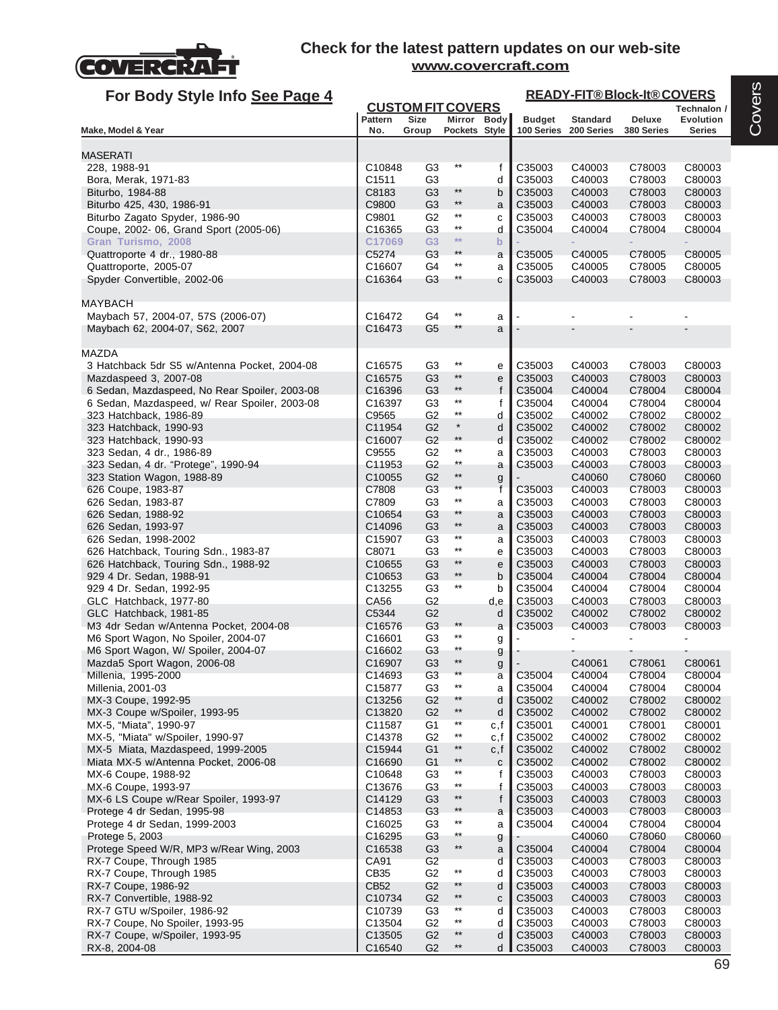

| For Body Style Info See Page 4                                                |                                          |                                  |                         |              | <b>READY-FIT®Block-It®COVERS</b> |                       |                  |                  |
|-------------------------------------------------------------------------------|------------------------------------------|----------------------------------|-------------------------|--------------|----------------------------------|-----------------------|------------------|------------------|
|                                                                               |                                          | <b>CUSTOM FIT COVERS</b>         |                         |              |                                  |                       |                  | Technalon /      |
|                                                                               | Pattern                                  | Size                             | Mirror Body             |              | <b>Budget</b>                    | <b>Standard</b>       | Deluxe           | Evolution        |
| Make, Model & Year                                                            | No.                                      | Group                            | Pockets Style           |              |                                  | 100 Series 200 Series | 380 Series       | Series           |
| <b>MASERATI</b>                                                               |                                          |                                  |                         |              |                                  |                       |                  |                  |
| 228, 1988-91                                                                  | C10848                                   | G3                               | $^{\star\star}$         | f            | C35003                           | C40003                | C78003           | C80003           |
| Bora, Merak, 1971-83                                                          | C1511                                    | G <sub>3</sub>                   |                         | d            | C35003                           | C40003                | C78003           | C80003           |
| Biturbo, 1984-88                                                              | C8183                                    | G <sub>3</sub>                   | $***$                   | b            | C35003                           | C40003                | C78003           | C80003           |
| Biturbo 425, 430, 1986-91                                                     | C9800                                    | G <sub>3</sub>                   | $***$                   | a            | C35003                           | C40003                | C78003           | C80003           |
| Biturbo Zagato Spyder, 1986-90                                                | C9801                                    | G <sub>2</sub>                   | $***$<br>$***$          | с            | C35003                           | C40003                | C78003           | C80003           |
| Coupe, 2002-06, Grand Sport (2005-06)                                         | C16365                                   | G3                               | $**$                    | d            | C35004                           | C40004                | C78004           | C80004           |
| Gran Turismo, 2008                                                            | C17069                                   | G <sub>3</sub>                   | $***$                   | $\mathbf b$  |                                  |                       |                  |                  |
| Quattroporte 4 dr., 1980-88<br>Quattroporte, 2005-07                          | C5274<br>C16607                          | G3<br>G4                         | $^{\star\star}$         | a            | C35005<br>C35005                 | C40005                | C78005<br>C78005 | C80005<br>C80005 |
| Spyder Convertible, 2002-06                                                   | C16364                                   | G <sub>3</sub>                   | $^{\star\star}$         | a<br>С       | C35003                           | C40005<br>C40003      | C78003           | C80003           |
|                                                                               |                                          |                                  |                         |              |                                  |                       |                  |                  |
| MAYBACH<br>Maybach 57, 2004-07, 57S (2006-07)                                 | C16472                                   | G4                               | $^{\star\star}$         | a            |                                  |                       |                  |                  |
| Maybach 62, 2004-07, S62, 2007                                                | C16473                                   | G5                               | $***$                   | a            |                                  |                       |                  |                  |
|                                                                               |                                          |                                  |                         |              |                                  |                       |                  |                  |
| <b>MAZDA</b>                                                                  |                                          |                                  |                         |              |                                  |                       |                  |                  |
| 3 Hatchback 5dr S5 w/Antenna Pocket, 2004-08                                  | C <sub>16575</sub>                       | G <sub>3</sub>                   | $^{\star\star}$         | е            | C35003                           | C40003                | C78003           | C80003           |
| Mazdaspeed 3, 2007-08                                                         | C16575                                   | G <sub>3</sub>                   | $^{\star\star}$         | е            | C35003                           | C40003                | C78003           | C80003           |
| 6 Sedan, Mazdaspeed, No Rear Spoiler, 2003-08                                 | C <sub>16396</sub>                       | G <sub>3</sub>                   | $^{\star\star}$         | f            | C35004                           | C40004                | C78004           | C80004           |
| 6 Sedan, Mazdaspeed, w/ Rear Spoiler, 2003-08                                 | C16397                                   | G <sub>3</sub>                   | $***$<br>$***$          | f            | C35004                           | C40004                | C78004           | C80004           |
| 323 Hatchback, 1986-89                                                        | C9565                                    | G <sub>2</sub>                   | $\ast$                  | d            | C35002                           | C40002                | C78002           | C80002           |
| 323 Hatchback, 1990-93                                                        | C11954                                   | G <sub>2</sub>                   | $^{\star\star}$         | d            | C35002                           | C40002                | C78002           | C80002           |
| 323 Hatchback, 1990-93                                                        | C16007<br>C9555                          | G <sub>2</sub><br>G2             | $^{\star\star}$         | d            | C35002<br>C35003                 | C40002                | C78002<br>C78003 | C80002<br>C80003 |
| 323 Sedan, 4 dr., 1986-89<br>323 Sedan, 4 dr. "Protege", 1990-94              | C11953                                   | G <sub>2</sub>                   | $***$                   | a            | C35003                           | C40003<br>C40003      | C78003           | C80003           |
| 323 Station Wagon, 1988-89                                                    | C10055                                   | G2                               | $***$                   | a<br>g       |                                  | C40060                | C78060           | C80060           |
| 626 Coupe, 1983-87                                                            | C7808                                    | G <sub>3</sub>                   | $\star\star$            | f            | C35003                           | C40003                | C78003           | C80003           |
| 626 Sedan, 1983-87                                                            | C7809                                    | G3                               | $^{\star\star}$         | a            | C35003                           | C40003                | C78003           | C80003           |
| 626 Sedan, 1988-92                                                            | C10654                                   | G3                               | $**$                    | a            | C35003                           | C40003                | C78003           | C80003           |
| 626 Sedan, 1993-97                                                            | C14096                                   | G <sub>3</sub>                   | $***$                   | a            | C35003                           | C40003                | C78003           | C80003           |
| 626 Sedan, 1998-2002                                                          | C <sub>15907</sub>                       | G3                               | $***$                   | а            | C35003                           | C40003                | C78003           | C80003           |
| 626 Hatchback, Touring Sdn., 1983-87                                          | C8071                                    | G <sub>3</sub>                   | $***$                   | е            | C35003                           | C40003                | C78003           | C80003           |
| 626 Hatchback, Touring Sdn., 1988-92                                          | C <sub>10655</sub>                       | G <sub>3</sub>                   | $^{\star\star}$         | e            | C35003                           | C40003                | C78003           | C80003           |
| 929 4 Dr. Sedan, 1988-91                                                      | C <sub>10653</sub>                       | G <sub>3</sub>                   | $^{\star\star}$         | b            | C35004                           | C40004                | C78004           | C80004           |
| 929 4 Dr. Sedan, 1992-95                                                      | C <sub>13255</sub>                       | G <sub>3</sub>                   | $***$                   | b            | C35004                           | C40004                | C78004           | C80004           |
| GLC Hatchback, 1977-80                                                        | CA56                                     | G <sub>2</sub>                   |                         | d,e          | C35003                           | C40003                | C78003           | C80003           |
| GLC Hatchback, 1981-85                                                        | C5344<br>C16576                          | G <sub>2</sub><br>G <sub>3</sub> | $***$                   | d            | C35002<br>C35003                 | C40002                | C78002           | C80002<br>C80003 |
| M3 4dr Sedan w/Antenna Pocket, 2004-08<br>M6 Sport Wagon, No Spoiler, 2004-07 | C16601                                   | G <sub>3</sub>                   | $^{\star\star}$         | a            |                                  | C40003                | C78003           |                  |
| M6 Sport Wagon, W/ Spoiler, 2004-07                                           | C16602                                   | G <sub>3</sub>                   | $^{\star\star}$         | g            |                                  |                       |                  |                  |
| Mazda5 Sport Wagon, 2006-08                                                   | C16907                                   | G <sub>3</sub>                   | $^{\star\star}$         | g<br>g       |                                  | C40061                | C78061           | C80061           |
| Millenia, 1995-2000                                                           | C14693                                   | G <sub>3</sub>                   | $***$                   | a            | C35004                           | C40004                | C78004           | C80004           |
| Millenia, 2001-03                                                             | C15877                                   | G <sub>3</sub>                   | $^{\star\star}$         | a            | C35004                           | C40004                | C78004           | C80004           |
| MX-3 Coupe, 1992-95                                                           | C13256                                   | G <sub>2</sub>                   | $**$                    | d            | C35002                           | C40002                | C78002           | C80002           |
| MX-3 Coupe w/Spoiler, 1993-95                                                 | C13820                                   | G <sub>2</sub>                   | $***$                   | d            | C35002                           | C40002                | C78002           | C80002           |
| MX-5, "Miata", 1990-97                                                        | C11587                                   | G1                               | $^{\star\star}$         | c,f          | C35001                           | C40001                | C78001           | C80001           |
| MX-5, "Miata" w/Spoiler, 1990-97                                              | C14378                                   | G <sub>2</sub>                   | $***$                   | c,f          | C35002                           | C40002                | C78002           | C80002           |
| MX-5 Miata, Mazdaspeed, 1999-2005                                             | C15944                                   | G <sub>1</sub>                   | $^{\star\star}$         | c,f          | C35002                           | C40002                | C78002           | C80002           |
| Miata MX-5 w/Antenna Pocket, 2006-08                                          | C16690                                   | G <sub>1</sub>                   | $^{\star\star}$         | $\mathbf{C}$ | C35002                           | C40002                | C78002           | C80002           |
| MX-6 Coupe, 1988-92                                                           | C10648                                   | G <sub>3</sub>                   | $^{\star\star}$         | f            | C35003                           | C40003                | C78003           | C80003           |
| MX-6 Coupe, 1993-97                                                           | C13676                                   | G3                               | $***$                   | f            | C35003                           | C40003                | C78003           | C80003           |
| MX-6 LS Coupe w/Rear Spoiler, 1993-97                                         | C14129                                   | G <sub>3</sub>                   | $^{\star\star}$<br>$**$ | f            | C35003                           | C40003                | C78003           | C80003           |
| Protege 4 dr Sedan, 1995-98                                                   | C14853                                   | G <sub>3</sub><br>G <sub>3</sub> | $^{\star\star}$         | a            | C35003<br>C35004                 | C40003<br>C40004      | C78003<br>C78004 | C80003<br>C80004 |
| Protege 4 dr Sedan, 1999-2003<br>Protege 5, 2003                              | C <sub>16025</sub><br>C <sub>16295</sub> | G <sub>3</sub>                   | $^{\star\star}$         | a            |                                  | C40060                | C78060           | C80060           |
| Protege Speed W/R, MP3 w/Rear Wing, 2003                                      | C16538                                   | G3                               | $^{\star\star}$         | g<br>a       | C35004                           | C40004                | C78004           | C80004           |
| RX-7 Coupe, Through 1985                                                      | CA91                                     | G <sub>2</sub>                   |                         | d            | C35003                           | C40003                | C78003           | C80003           |
| RX-7 Coupe, Through 1985                                                      | CB35                                     | G <sub>2</sub>                   | $^{\star\star}$         | d            | C35003                           | C40003                | C78003           | C80003           |
| RX-7 Coupe, 1986-92                                                           | CB52                                     | G <sub>2</sub>                   | **                      | d            | C35003                           | C40003                | C78003           | C80003           |
| RX-7 Convertible, 1988-92                                                     | C10734                                   | G <sub>2</sub>                   | $^{\star\star}$         | ${\bf c}$    | C35003                           | C40003                | C78003           | C80003           |
| RX-7 GTU w/Spoiler, 1986-92                                                   | C <sub>10739</sub>                       | G3                               | $^{\star\star}$         | d            | C35003                           | C40003                | C78003           | C80003           |
| RX-7 Coupe, No Spoiler, 1993-95                                               | C13504                                   | G <sub>2</sub>                   | $^{\star\star}$         | d            | C35003                           | C40003                | C78003           | C80003           |
| RX-7 Coupe, w/Spoiler, 1993-95                                                | C13505                                   | G <sub>2</sub>                   | $***$                   | d            | C35003                           | C40003                | C78003           | C80003           |
| RX-8, 2004-08                                                                 | C16540                                   | G <sub>2</sub>                   | $^{\star\star}$         | d            | C35003                           | C40003                | C78003           | C80003           |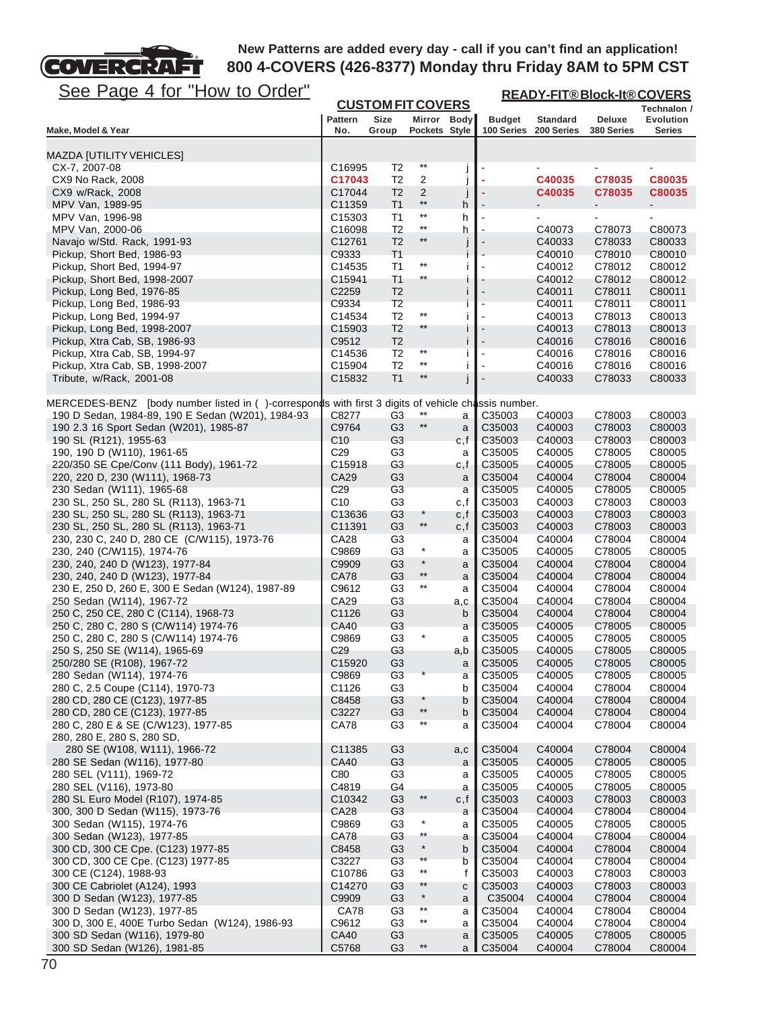# See Page 4 for "How to Order"

FГ

COVERCRA

| <u>See Page 4 for "How to Order"</u>                                                               |                       |                                  |                                  |                | <b>READY-FIT®Block-It®COVERS</b> |                                          |                      |                     |  |
|----------------------------------------------------------------------------------------------------|-----------------------|----------------------------------|----------------------------------|----------------|----------------------------------|------------------------------------------|----------------------|---------------------|--|
|                                                                                                    |                       | <b>CUSTOM FIT COVERS</b>         |                                  |                |                                  |                                          |                      | Technalon /         |  |
| Make, Model & Year                                                                                 | <b>Pattern</b><br>No. | Size<br>Group                    | Mirror Body<br>Pockets Style     |                | <b>Budget</b>                    | <b>Standard</b><br>100 Series 200 Series | Deluxe<br>380 Series | Evolution<br>Series |  |
|                                                                                                    |                       |                                  |                                  |                |                                  |                                          |                      |                     |  |
| <b>MAZDA [UTILITY VEHICLES]</b>                                                                    |                       |                                  |                                  |                |                                  |                                          |                      |                     |  |
| CX-7, 2007-08                                                                                      | C16995                | T2                               | $^{\star\star}$                  | J              |                                  |                                          |                      |                     |  |
| CX9 No Rack, 2008<br>CX9 w/Rack, 2008                                                              | C17043<br>C17044      | T <sub>2</sub><br>T <sub>2</sub> | $\overline{c}$<br>$\overline{2}$ |                |                                  | C40035<br>C40035                         | C78035<br>C78035     | C80035<br>C80035    |  |
| MPV Van, 1989-95                                                                                   | C11359                | T1                               | $***$                            | j<br>h         |                                  |                                          |                      |                     |  |
| MPV Van, 1996-98                                                                                   | C <sub>15303</sub>    | T1                               | $^{\star\star}$                  | h              |                                  |                                          |                      |                     |  |
| MPV Van, 2000-06                                                                                   | C16098                | T <sub>2</sub>                   | $^{\star\star}$                  | h              |                                  | C40073                                   | C78073               | C80073              |  |
| Navajo w/Std. Rack, 1991-93                                                                        | C12761                | T <sub>2</sub>                   | $^{\star\star}$                  |                |                                  | C40033                                   | C78033               | C80033              |  |
| Pickup, Short Bed, 1986-93                                                                         | C9333                 | <b>T1</b>                        | $^{\star\star}$                  |                |                                  | C40010                                   | C78010               | C80010              |  |
| Pickup, Short Bed, 1994-97<br>Pickup, Short Bed, 1998-2007                                         | C14535<br>C15941      | T1<br><b>T1</b>                  | $^{\star\star}$                  | j<br>1         |                                  | C40012<br>C40012                         | C78012<br>C78012     | C80012<br>C80012    |  |
| Pickup, Long Bed, 1976-85                                                                          | C2259                 | T <sub>2</sub>                   |                                  | j              |                                  | C40011                                   | C78011               | C80011              |  |
| Pickup, Long Bed, 1986-93                                                                          | C9334                 | T <sub>2</sub>                   |                                  |                |                                  | C40011                                   | C78011               | C80011              |  |
| Pickup, Long Bed, 1994-97                                                                          | C14534                | T <sub>2</sub>                   | $^{\star\star}$                  | İ              |                                  | C40013                                   | C78013               | C80013              |  |
| Pickup, Long Bed, 1998-2007                                                                        | C15903                | T2                               | **                               |                |                                  | C40013                                   | C78013               | C80013              |  |
| Pickup, Xtra Cab, SB, 1986-93                                                                      | C9512                 | T <sub>2</sub>                   |                                  | Ť              |                                  | C40016                                   | C78016               | C80016              |  |
| Pickup, Xtra Cab, SB, 1994-97                                                                      | C14536                | T <sub>2</sub>                   | $^{\star\star}$<br>$***$         | Ť              | $\blacksquare$                   | C40016                                   | C78016               | C80016              |  |
| Pickup, Xtra Cab, SB, 1998-2007<br>Tribute, w/Rack, 2001-08                                        | C15904<br>C15832      | T <sub>2</sub><br>T1             | $^{\star\star}$                  | İ              |                                  | C40016<br>C40033                         | C78016<br>C78033     | C80016<br>C80033    |  |
|                                                                                                    |                       |                                  |                                  |                |                                  |                                          |                      |                     |  |
| MERCEDES-BENZ [body number listed in ()-corresponds with first 3 digits of vehicle chassis number. |                       |                                  |                                  |                |                                  |                                          |                      |                     |  |
| 190 D Sedan, 1984-89, 190 E Sedan (W201), 1984-93                                                  | C8277                 | G3                               | $***$                            | a              | C35003                           | C40003                                   | C78003               | C80003              |  |
| 190 2.3 16 Sport Sedan (W201), 1985-87                                                             | C9764                 | G <sub>3</sub>                   | $\star\star$                     | a              | C35003                           | C40003                                   | C78003               | C80003              |  |
| 190 SL (R121), 1955-63                                                                             | C10                   | G3                               |                                  | c, f           | C35003                           | C40003                                   | C78003               | C80003              |  |
| 190, 190 D (W110), 1961-65                                                                         | C29                   | G <sub>3</sub>                   |                                  | a              | C35005                           | C40005                                   | C78005               | C80005              |  |
| 220/350 SE Cpe/Conv (111 Body), 1961-72<br>220, 220 D, 230 (W111), 1968-73                         | C15918<br>CA29        | G <sub>3</sub><br>G3             |                                  | c,f            | C35005<br>C35004                 | C40005<br>C40004                         | C78005<br>C78004     | C80005<br>C80004    |  |
| 230 Sedan (W111), 1965-68                                                                          | C <sub>29</sub>       | G <sub>3</sub>                   |                                  | a<br>a         | C35005                           | C40005                                   | C78005               | C80005              |  |
| 230 SL, 250 SL, 280 SL (R113), 1963-71                                                             | C10                   | G3                               |                                  | c,f            | C35003                           | C40003                                   | C78003               | C80003              |  |
| 230 SL, 250 SL, 280 SL (R113), 1963-71                                                             | C13636                | G <sub>3</sub>                   |                                  | c, f           | C35003                           | C40003                                   | C78003               | C80003              |  |
| 230 SL, 250 SL, 280 SL (R113), 1963-71                                                             | C11391                | G3                               | $^{\star\star}$                  | c,f            | C35003                           | C40003                                   | C78003               | C80003              |  |
| 230, 230 C, 240 D, 280 CE (C/W115), 1973-76                                                        | CA28                  | G <sub>3</sub>                   |                                  | a              | C35004                           | C40004                                   | C78004               | C80004              |  |
| 230, 240 (C/W115), 1974-76                                                                         | C9869                 | G <sub>3</sub>                   | $\star$                          | a              | C35005                           | C40005                                   | C78005               | C80005              |  |
| 230, 240, 240 D (W123), 1977-84                                                                    | C9909                 | G <sub>3</sub>                   | $\star$<br>$^{\star\star}$       | a              | C35004                           | C40004                                   | C78004               | C80004              |  |
| 230, 240, 240 D (W123), 1977-84<br>230 E, 250 D, 260 E, 300 E Sedan (W124), 1987-89                | CA78<br>C9612         | G <sub>3</sub><br>G <sub>3</sub> | $^{\star\star}$                  | a<br>а         | C35004<br>C35004                 | C40004<br>C40004                         | C78004<br>C78004     | C80004<br>C80004    |  |
| 250 Sedan (W114), 1967-72                                                                          | CA29                  | G <sub>3</sub>                   |                                  | a,c            | C35004                           | C40004                                   | C78004               | C80004              |  |
| 250 C, 250 CE, 280 C (C114), 1968-73                                                               | C1126                 | G3                               |                                  | b              | C35004                           | C40004                                   | C78004               | C80004              |  |
| 250 C, 280 C, 280 S (C/W114) 1974-76                                                               | CA40                  | G <sub>3</sub>                   |                                  | a              | C35005                           | C40005                                   | C78005               | C80005              |  |
| 250 C, 280 C, 280 S (C/W114) 1974-76                                                               | C9869                 | G <sub>3</sub>                   | *                                | a              | C35005                           | C40005                                   | C78005               | C80005              |  |
| 250 S, 250 SE (W114), 1965-69                                                                      | C29                   | G <sub>3</sub>                   |                                  | a,b            | C35005                           | C40005                                   | C78005               | C80005              |  |
| 250/280 SE (R108), 1967-72                                                                         | C <sub>15920</sub>    | G3                               |                                  | a              | C35005                           | C40005                                   | C78005               | C80005              |  |
| 280 Sedan (W114), 1974-76<br>280 C, 2.5 Coupe (C114), 1970-73                                      | C9869                 | G <sub>3</sub>                   |                                  | a              | C35005<br>C35004                 | C40005                                   | C78005               | C80005              |  |
| 280 CD, 280 CE (C123), 1977-85                                                                     | C1126<br>C8458        | G3<br>G3                         |                                  | b<br>b         | C35004                           | C40004<br>C40004                         | C78004<br>C78004     | C80004<br>C80004    |  |
| 280 CD, 280 CE (C123), 1977-85                                                                     | C3227                 | G <sub>3</sub>                   | $***$                            | b              | C35004                           | C40004                                   | C78004               | C80004              |  |
| 280 C, 280 E & SE (C/W123), 1977-85                                                                | CA78                  | G <sub>3</sub>                   | $^{\star\star}$                  | a              | C35004                           | C40004                                   | C78004               | C80004              |  |
| 280, 280 E, 280 S, 280 SD,                                                                         |                       |                                  |                                  |                |                                  |                                          |                      |                     |  |
| 280 SE (W108, W111), 1966-72                                                                       | C11385                | G3                               |                                  | a,c            | C35004                           | C40004                                   | C78004               | C80004              |  |
| 280 SE Sedan (W116), 1977-80                                                                       | CA40                  | G <sub>3</sub>                   |                                  | a              | C <sub>35005</sub>               | C40005                                   | C78005               | C80005              |  |
| 280 SEL (V111), 1969-72                                                                            | C80                   | G3                               |                                  | a              | C35005                           | C40005                                   | C78005               | C80005              |  |
| 280 SEL (V116), 1973-80<br>280 SL Euro Model (R107), 1974-85                                       | C4819<br>C10342       | G4<br>G <sub>3</sub>             | $^{\star\star}$                  | a              | C35005<br>C35003                 | C40005<br>C40003                         | C78005<br>C78003     | C80005<br>C80003    |  |
| 300, 300 D Sedan (W115), 1973-76                                                                   | <b>CA28</b>           | G <sub>3</sub>                   |                                  | c,f<br>a       | C35004                           | C40004                                   | C78004               | C80004              |  |
| 300 Sedan (W115), 1974-76                                                                          | C9869                 | G3                               | *                                | a              | C35005                           | C40005                                   | C78005               | C80005              |  |
| 300 Sedan (W123), 1977-85                                                                          | CA78                  | G3                               | $^{\star\star}$                  | a              | C35004                           | C40004                                   | C78004               | C80004              |  |
| 300 CD, 300 CE Cpe. (C123) 1977-85                                                                 | C8458                 | G3                               | $\star$                          | b              | C35004                           | C40004                                   | C78004               | C80004              |  |
| 300 CD, 300 CE Cpe. (C123) 1977-85                                                                 | C3227                 | G3                               | $^{\star\star}$                  | b              | C35004                           | C40004                                   | C78004               | C80004              |  |
| 300 CE (C124), 1988-93                                                                             | C <sub>10786</sub>    | G3                               | $^{\star\star}$                  | f              | C35003                           | C40003                                   | C78003               | C80003              |  |
| 300 CE Cabriolet (A124), 1993                                                                      | C14270                | G3                               | $**$<br>$\star$                  | с              | C35003                           | C40003                                   | C78003               | C80003              |  |
| 300 D Sedan (W123), 1977-85<br>300 D Sedan (W123), 1977-85                                         | C9909<br>CA78         | G3<br>G3                         | $^{\star\star}$                  | a<br>a         | C35004<br>C35004                 | C40004<br>C40004                         | C78004<br>C78004     | C80004<br>C80004    |  |
| 300 D, 300 E, 400E Turbo Sedan (W124), 1986-93                                                     | C9612                 | G <sub>3</sub>                   | $***$                            | a              | C35004                           | C40004                                   | C78004               | C80004              |  |
| 300 SD Sedan (W116), 1979-80                                                                       | CA40                  | G <sub>3</sub>                   |                                  | a              | C35005                           | C40005                                   | C78005               | C80005              |  |
| 300 SD Sedan (W126), 1981-85                                                                       | C5768                 | G <sub>3</sub>                   | $***$                            | a <sub>l</sub> | C35004                           | C40004                                   | C78004               | C80004              |  |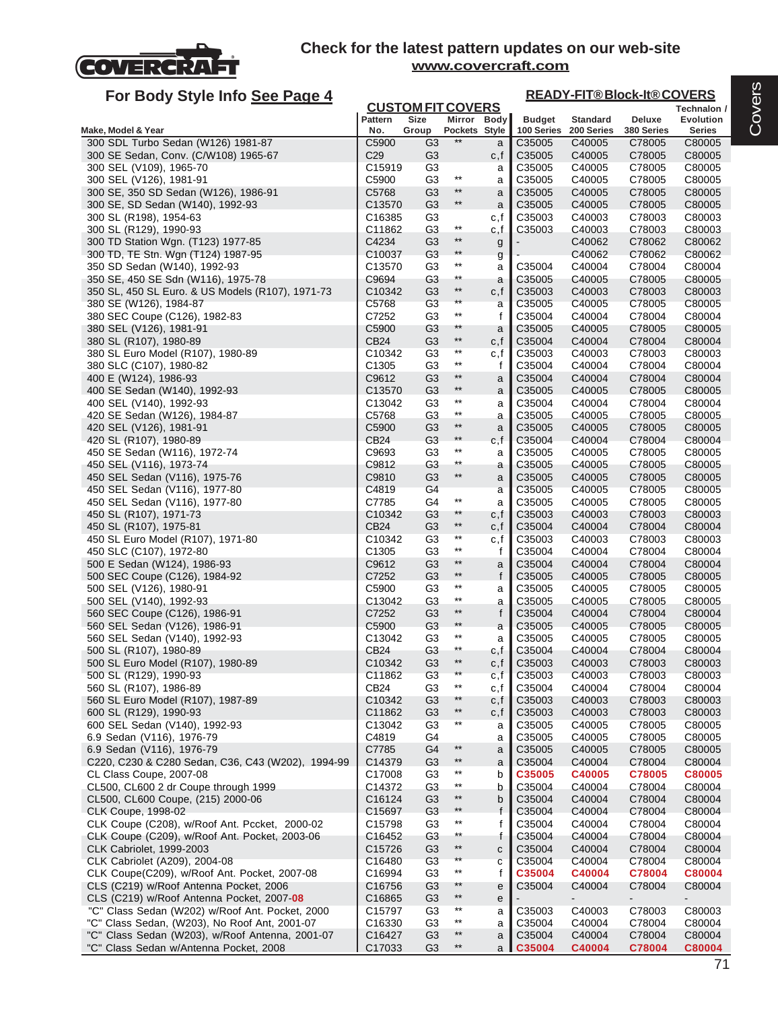

# **For Body Style Info See Page 4**

#### **Technalon / READY-FIT® Block-It® COVERS**

| Ful Duy Jiyit iniu <u>Jtt Fayt 4</u>                                                   |                              | <b>CUSTOM FIT COVERS</b>         |                          |              |                  |                  | <u>INLADI THUURING 60 ILINU</u> | Technalon /      |
|----------------------------------------------------------------------------------------|------------------------------|----------------------------------|--------------------------|--------------|------------------|------------------|---------------------------------|------------------|
|                                                                                        | <b>Pattern</b>               | <b>Size</b>                      |                          | Mirror Body  | <b>Budget</b>    | <b>Standard</b>  | Deluxe                          | Evolution        |
| Make, Model & Year                                                                     | No.                          | Group                            | Pockets Style            |              | 100 Series       | 200 Series       | 380 Series                      | Series           |
| 300 SDL Turbo Sedan (W126) 1981-87                                                     | C5900                        | G3                               | $***$                    | a            | C35005           | C40005           | C78005                          | C80005           |
| 300 SE Sedan, Conv. (C/W108) 1965-67                                                   | C29<br>C15919                | G3<br>G <sub>3</sub>             |                          | c,f          | C35005<br>C35005 | C40005           | C78005                          | C80005           |
| 300 SEL (V109), 1965-70<br>300 SEL (V126), 1981-91                                     | C5900                        | G <sub>3</sub>                   | $^{\star\star}$          | a<br>a       | C35005           | C40005<br>C40005 | C78005<br>C78005                | C80005<br>C80005 |
| 300 SE, 350 SD Sedan (W126), 1986-91                                                   | C5768                        | G <sub>3</sub>                   | $***$                    | a            | C35005           | C40005           | C78005                          | C80005           |
| 300 SE, SD Sedan (W140), 1992-93                                                       | C13570                       | G <sub>3</sub>                   | $***$                    | a            | C35005           | C40005           | C78005                          | C80005           |
| 300 SL (R198), 1954-63                                                                 | C <sub>16385</sub>           | G3                               |                          | c,f          | C35003           | C40003           | C78003                          | C80003           |
| 300 SL (R129), 1990-93                                                                 | C11862                       | G3                               | $^{\star\star}$          | c,f          | C35003           | C40003           | C78003                          | C80003           |
| 300 TD Station Wgn. (T123) 1977-85                                                     | C4234                        | G <sub>3</sub>                   | $***$                    | g            |                  | C40062           | C78062                          | C80062           |
| 300 TD, TE Stn. Wgn (T124) 1987-95                                                     | C <sub>10037</sub>           | G3                               | $***$                    | g            |                  | C40062           | C78062                          | C80062           |
| 350 SD Sedan (W140), 1992-93                                                           | C13570                       | G <sub>3</sub>                   | $***$<br>$^{\star\star}$ | a            | C35004           | C40004           | C78004                          | C80004           |
| 350 SE, 450 SE Sdn (W116), 1975-78<br>350 SL, 450 SL Euro. & US Models (R107), 1971-73 | C9694<br>C10342              | G3<br>G3                         | $^{\star\star}$          | a<br>c, f    | C35005<br>C35003 | C40005<br>C40003 | C78005<br>C78003                | C80005<br>C80003 |
| 380 SE (W126), 1984-87                                                                 | C5768                        | G <sub>3</sub>                   | $***$                    | a            | C35005           | C40005           | C78005                          | C80005           |
| 380 SEC Coupe (C126), 1982-83                                                          | C7252                        | G3                               | $***$                    | f            | C35004           | C40004           | C78004                          | C80004           |
| 380 SEL (V126), 1981-91                                                                | C5900                        | G3                               | $***$                    | a            | C35005           | C40005           | C78005                          | C80005           |
| 380 SL (R107), 1980-89                                                                 | CB24                         | G <sub>3</sub>                   | $^{\star\star}$          | c, f         | C35004           | C40004           | C78004                          | C80004           |
| 380 SL Euro Model (R107), 1980-89                                                      | C10342                       | G3                               | $***$                    | c,f          | C35003           | C40003           | C78003                          | C80003           |
| 380 SLC (C107), 1980-82                                                                | C <sub>1305</sub>            | G <sub>3</sub>                   | $***$                    | f            | C35004           | C40004           | C78004                          | C80004           |
| 400 E (W124), 1986-93                                                                  | C9612                        | G <sub>3</sub>                   | $***$<br>$***$           | a            | C35004           | C40004           | C78004                          | C80004           |
| 400 SE Sedan (W140), 1992-93                                                           | C <sub>13570</sub>           | G <sub>3</sub>                   | $***$                    | a            | C35005           | C40005           | C78005                          | C80005           |
| 400 SEL (V140), 1992-93<br>420 SE Sedan (W126), 1984-87                                | C13042<br>C5768              | G3<br>G3                         | $***$                    | a            | C35004<br>C35005 | C40004<br>C40005 | C78004<br>C78005                | C80004<br>C80005 |
| 420 SEL (V126), 1981-91                                                                | C5900                        | G <sub>3</sub>                   | $***$                    | a            | C35005           | C40005           | C78005                          | C80005           |
| 420 SL (R107), 1980-89                                                                 | CB24                         | G3                               | $**$                     | a<br>c,f     | C35004           | C40004           | C78004                          | C80004           |
| 450 SE Sedan (W116), 1972-74                                                           | C9693                        | G <sub>3</sub>                   | $***$                    | a            | C35005           | C40005           | C78005                          | C80005           |
| 450 SEL (V116), 1973-74                                                                | C9812                        | G3                               | $^{\star\star}$          | a            | C35005           | C40005           | C78005                          | C80005           |
| 450 SEL Sedan (V116), 1975-76                                                          | C9810                        | G <sub>3</sub>                   | $***$                    | a            | C35005           | C40005           | C78005                          | C80005           |
| 450 SEL Sedan (V116), 1977-80                                                          | C4819                        | G <sub>4</sub>                   |                          | a            | C35005           | C40005           | C78005                          | C80005           |
| 450 SEL Sedan (V116), 1977-80                                                          | C7785                        | G4                               | $***$                    | a            | C35005           | C40005           | C78005                          | C80005           |
| 450 SL (R107), 1971-73                                                                 | C10342                       | G3                               | $**$                     | c, f         | C35003           | C40003           | C78003                          | C80003           |
| 450 SL (R107), 1975-81                                                                 | <b>CB24</b>                  | G <sub>3</sub>                   | $**$<br>$***$            | c, f         | C35004           | C40004           | C78004                          | C80004           |
| 450 SL Euro Model (R107), 1971-80<br>450 SLC (C107), 1972-80                           | C10342<br>C <sub>1305</sub>  | G3<br>G <sub>3</sub>             | $***$                    | c,f<br>f     | C35003<br>C35004 | C40003<br>C40004 | C78003<br>C78004                | C80003<br>C80004 |
| 500 E Sedan (W124), 1986-93                                                            | C9612                        | G <sub>3</sub>                   | $***$                    | a            | C35004           | C40004           | C78004                          | C80004           |
| 500 SEC Coupe (C126), 1984-92                                                          | C7252                        | G <sub>3</sub>                   | $***$                    | f            | C35005           | C40005           | C78005                          | C80005           |
| 500 SEL (V126), 1980-91                                                                | C5900                        | G3                               | $***$                    | a            | C35005           | C40005           | C78005                          | C80005           |
| 500 SEL (V140), 1992-93                                                                | C13042                       | G3                               | $***$                    | a            | C35005           | C40005           | C78005                          | C80005           |
| 560 SEC Coupe (C126), 1986-91                                                          | C7252                        | G <sub>3</sub>                   | $***$                    | $\mathsf{f}$ | C35004           | C40004           | C78004                          | C80004           |
| 560 SEL Sedan (V126), 1986-91                                                          | C5900                        | G3                               | $***$                    | a            | C35005           | C40005           | C78005                          | C80005           |
| 560 SEL Sedan (V140), 1992-93                                                          | C13042                       | G <sub>3</sub>                   | $***$                    | a            | C35005           | C40005           | C78005                          | C80005           |
| 500 SL (R107), 1980-89                                                                 | CB24                         | G3                               | $^{\star\star}$<br>$***$ | c,f          | C35004           | C40004           | C78004                          | C80004           |
| 500 SL Euro Model (R107), 1980-89<br>500 SL (R129), 1990-93                            | C <sub>10342</sub><br>C11862 | G <sub>3</sub><br>G <sub>3</sub> | $\star\star$             | c,f<br>c,f   | C35003<br>C35003 | C40003<br>C40003 | C78003<br>C78003                | C80003<br>C80003 |
| 560 SL (R107), 1986-89                                                                 | CB <sub>24</sub>             | G3                               | $***$                    | c,f          | C35004           | C40004           | C78004                          | C80004           |
| 560 SL Euro Model (R107), 1987-89                                                      | C10342                       | G <sub>3</sub>                   | $**$                     | c,f          | C35003           | C40003           | C78003                          | C80003           |
| 600 SL (R129), 1990-93                                                                 | C11862                       | G3                               | $**$                     | c,f          | C35003           | C40003           | C78003                          | C80003           |
| 600 SEL Sedan (V140), 1992-93                                                          | C13042                       | G <sub>3</sub>                   | $***$                    | а            | C35005           | C40005           | C78005                          | C80005           |
| 6.9 Sedan (V116), 1976-79                                                              | C4819                        | G4                               |                          | a            | C35005           | C40005           | C78005                          | C80005           |
| 6.9 Sedan (V116), 1976-79                                                              | C7785                        | G4                               | $***$                    | a            | C35005           | C40005           | C78005                          | C80005           |
| C220, C230 & C280 Sedan, C36, C43 (W202), 1994-99                                      | C14379                       | G <sub>3</sub>                   | $***$                    | a            | C35004           | C40004           | C78004                          | C80004           |
| CL Class Coupe, 2007-08                                                                | C17008                       | G3                               | $***$<br>$***$           | b            | C35005           | C40005           | C78005                          | C80005           |
| CL500, CL600 2 dr Coupe through 1999                                                   | C14372                       | G <sub>3</sub>                   | $^{\star\star}$          | b            | C35004           | C40004           | C78004                          | C80004           |
| CL500, CL600 Coupe, (215) 2000-06                                                      | C16124                       | G <sub>3</sub>                   | $***$                    | b            | C35004           | C40004           | C78004                          | C80004           |
| <b>CLK Coupe, 1998-02</b><br>CLK Coupe (C208), w/Roof Ant. Pccket, 2000-02             | C <sub>15697</sub><br>C15798 | G <sub>3</sub><br>G <sub>3</sub> | $***$                    | f            | C35004<br>C35004 | C40004<br>C40004 | C78004<br>C78004                | C80004<br>C80004 |
| CLK Coupe (C209), w/Roof Ant. Pocket, 2003-06                                          | C16452                       | G3                               | $***$                    | t            | C35004           | C40004           | C78004                          | C80004           |
| <b>CLK Cabriolet, 1999-2003</b>                                                        | C15726                       | G <sub>3</sub>                   | $^{\star\star}$          | C            | C35004           | C40004           | C78004                          | C80004           |
| CLK Cabriolet (A209), 2004-08                                                          | C16480                       | G <sub>3</sub>                   | $\star\star$             | $\mathbf{C}$ | C35004           | C40004           | C78004                          | C80004           |
| CLK Coupe(C209), w/Roof Ant. Pocket, 2007-08                                           | C16994                       | G <sub>3</sub>                   | $^{\star\star}$          | f            | C35004           | C40004           | C78004                          | C80004           |
| CLS (C219) w/Roof Antenna Pocket, 2006                                                 | C16756                       | G <sub>3</sub>                   | $**$                     | e            | C35004           | C40004           | C78004                          | C80004           |
| CLS (C219) w/Roof Antenna Pocket, 2007-08                                              | C16865                       | G3                               | $***$                    | e            |                  | $\blacksquare$   |                                 | ۰.               |
| "C" Class Sedan (W202) w/Roof Ant. Pocket, 2000                                        | C <sub>15797</sub>           | G3                               | $***$                    | а            | C35003           | C40003           | C78003                          | C80003           |
| "C" Class Sedan, (W203), No Roof Ant, 2001-07                                          | C <sub>16330</sub>           | G <sub>3</sub>                   | $^{\star\star}$          | a            | C35004           | C40004           | C78004                          | C80004           |
| "C" Class Sedan (W203), w/Roof Antenna, 2001-07                                        | C16427                       | G <sub>3</sub>                   | $***$                    | a            | C35004           | C40004           | C78004                          | C80004           |
| "C" Class Sedan w/Antenna Pocket, 2008                                                 | C17033                       | G <sub>3</sub>                   | $***$                    | a            | C35004           | C40004           | C78004                          | C80004           |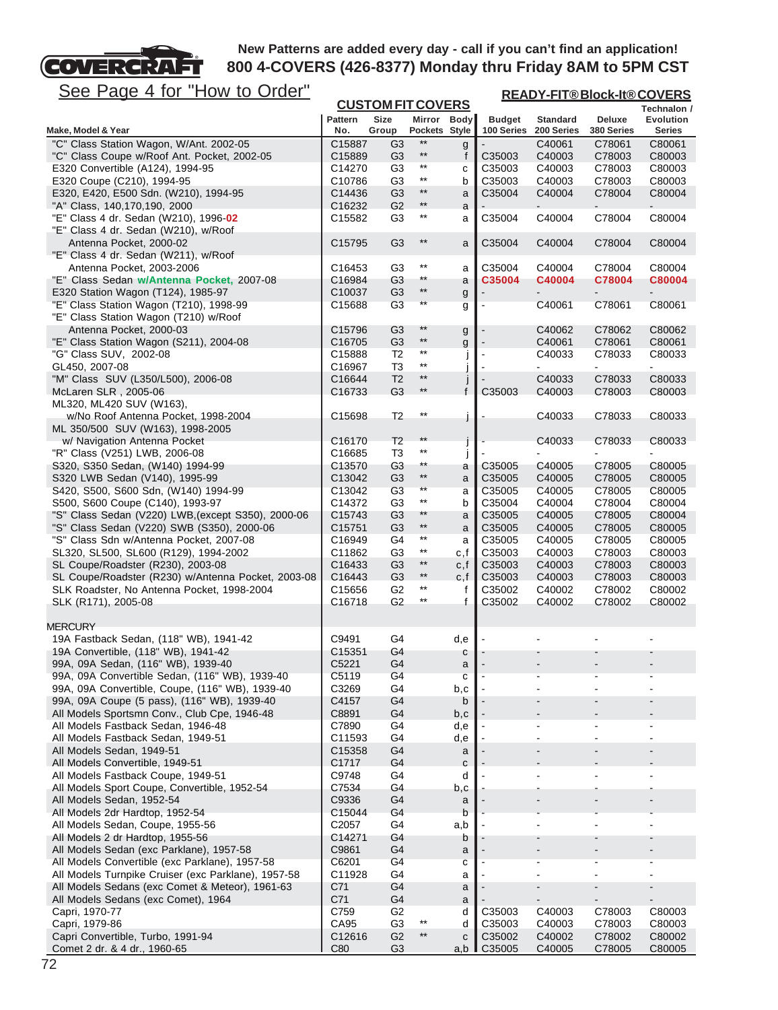# See Page 4 for "How to Order"

т

**COVERCRA** 

| <u>See Page 4 for "How to Order"</u>                                             |                       |                      |                              |              | <b>READY-FIT®Block-It®COVERS</b> |                               |                             |                                   |  |
|----------------------------------------------------------------------------------|-----------------------|----------------------|------------------------------|--------------|----------------------------------|-------------------------------|-----------------------------|-----------------------------------|--|
|                                                                                  |                       | <b>Size</b>          | <b>CUSTOM FIT COVERS</b>     |              |                                  |                               |                             | Technalon /                       |  |
| Make, Model & Year                                                               | <b>Pattern</b><br>No. | Group                | Mirror Body<br>Pockets Style |              | <b>Budget</b><br>100 Series      | <b>Standard</b><br>200 Series | <b>Deluxe</b><br>380 Series | <b>Evolution</b><br><b>Series</b> |  |
| "C" Class Station Wagon, W/Ant. 2002-05                                          | C15887                | G <sub>3</sub>       | **                           | g            |                                  | C40061                        | C78061                      | C80061                            |  |
| "C" Class Coupe w/Roof Ant. Pocket, 2002-05                                      | C15889                | G <sub>3</sub>       | $***$                        | $\mathsf{f}$ | C35003                           | C40003                        | C78003                      | C80003                            |  |
| E320 Convertible (A124), 1994-95                                                 | C14270                | G <sub>3</sub>       | $***$                        | С            | C35003                           | C40003                        | C78003                      | C80003                            |  |
| E320 Coupe (C210), 1994-95                                                       | C10786                | G3                   | $^{\star\star}$              | b            | C35003                           | C40003                        | C78003                      | C80003                            |  |
| E320, E420, E500 Sdn. (W210), 1994-95                                            | C14436                | G <sub>3</sub>       | $***$                        | a            | C35004                           | C40004                        | C78004                      | C80004                            |  |
| "A" Class, 140,170,190, 2000                                                     | C16232                | G <sub>2</sub>       | $^{\star\star}$              | a            |                                  |                               |                             |                                   |  |
| "E" Class 4 dr. Sedan (W210), 1996-02<br>"E" Class 4 dr. Sedan (W210), w/Roof    | C15582                | G <sub>3</sub>       | $^{\star\star}$              | a            | C35004                           | C40004                        | C78004                      | C80004                            |  |
| Antenna Pocket, 2000-02<br>"E" Class 4 dr. Sedan (W211), w/Roof                  | C15795                | G <sub>3</sub>       | $^{\star\star}$              | a            | C35004                           | C40004                        | C78004                      | C80004                            |  |
| Antenna Pocket, 2003-2006                                                        | C16453                | G3                   | $^{\star\star}$              | a            | C35004                           | C40004                        | C78004                      | C80004                            |  |
| "E" Class Sedan w/Antenna Pocket, 2007-08                                        | C16984                | G3                   | **<br>$**$                   | a            | C35004                           | C40004                        | C78004                      | C80004                            |  |
| E320 Station Wagon (T124), 1985-97                                               | C10037                | G <sub>3</sub>       | **                           | g            |                                  |                               |                             |                                   |  |
| "E" Class Station Wagon (T210), 1998-99<br>"E" Class Station Wagon (T210) w/Roof | C15688                | G3                   |                              | g            |                                  | C40061                        | C78061                      | C80061                            |  |
| Antenna Pocket, 2000-03                                                          | C15796                | G <sub>3</sub>       | **                           | g            |                                  | C40062                        | C78062                      | C80062                            |  |
| "E" Class Station Wagon (S211), 2004-08                                          | C16705                | G <sub>3</sub>       | $^{\star\star}$              | g            |                                  | C40061                        | C78061                      | C80061                            |  |
| "G" Class SUV, 2002-08                                                           | C15888                | T <sub>2</sub>       | $***$                        |              | $\blacksquare$                   | C40033                        | C78033                      | C80033                            |  |
| GL450, 2007-08                                                                   | C16967                | T3                   | $^{\star\star}$              |              |                                  |                               |                             | ÷.                                |  |
| "M" Class SUV (L350/L500), 2006-08                                               | C16644                | T <sub>2</sub>       | $***$                        |              |                                  | C40033                        | C78033                      | C80033                            |  |
| McLaren SLR, 2005-06                                                             | C16733                | G <sub>3</sub>       | **                           | $\mathsf{f}$ | C35003                           | C40003                        | C78003                      | C80003                            |  |
| ML320, ML420 SUV (W163),                                                         |                       |                      |                              |              |                                  |                               |                             |                                   |  |
| w/No Roof Antenna Pocket, 1998-2004                                              | C15698                | T <sub>2</sub>       | $***$                        | j            |                                  | C40033                        | C78033                      | C80033                            |  |
| ML 350/500 SUV (W163), 1998-2005                                                 |                       |                      |                              |              |                                  |                               |                             |                                   |  |
| w/ Navigation Antenna Pocket                                                     | C16170                | T <sub>2</sub>       | $***$                        |              |                                  | C40033                        | C78033                      | C80033                            |  |
| "R" Class (V251) LWB, 2006-08                                                    | C16685                | T3                   | $^{\star\star}$<br>**        | j            |                                  |                               |                             |                                   |  |
| S320, S350 Sedan, (W140) 1994-99<br>S320 LWB Sedan (V140), 1995-99               | C13570                | G3<br>G <sub>3</sub> | $^{\star\star}$              | a            | C35005                           | C40005                        | C78005                      | C80005                            |  |
| S420, S500, S600 Sdn, (W140) 1994-99                                             | C13042<br>C13042      | G3                   | **                           | a            | C35005<br>C35005                 | C40005<br>C40005              | C78005<br>C78005            | C80005<br>C80005                  |  |
| S500, S600 Coupe (C140), 1993-97                                                 | C14372                | G <sub>3</sub>       | $^{\star\star}$              | a<br>b       | C35004                           | C40004                        | C78004                      | C80004                            |  |
| "S" Class Sedan (V220) LWB, (except S350), 2000-06                               | C15743                | G <sub>3</sub>       | **                           | a            | C35005                           | C40005                        | C78005                      | C80004                            |  |
| "S" Class Sedan (V220) SWB (S350), 2000-06                                       | C15751                | G <sub>3</sub>       | $^{\star\star}$              | a            | C35005                           | C40005                        | C78005                      | C80005                            |  |
| "S" Class Sdn w/Antenna Pocket, 2007-08                                          | C16949                | G4                   | $^{\star\star}$              | a            | C35005                           | C40005                        | C78005                      | C80005                            |  |
| SL320, SL500, SL600 (R129), 1994-2002                                            | C11862                | G3                   | $^{\star\star}$              | c,f          | C35003                           | C40003                        | C78003                      | C80003                            |  |
| SL Coupe/Roadster (R230), 2003-08                                                | C16433                | G <sub>3</sub>       | $\star\star$                 | c,f          | C35003                           | C40003                        | C78003                      | C80003                            |  |
| SL Coupe/Roadster (R230) w/Antenna Pocket, 2003-08                               | C16443                | G <sub>3</sub>       | $***$                        | c,f          | C35003                           | C40003                        | C78003                      | C80003                            |  |
| SLK Roadster, No Antenna Pocket, 1998-2004                                       | C15656                | G2                   | $^{\star\star}$              | f            | C35002                           | C40002                        | C78002                      | C80002                            |  |
| SLK (R171), 2005-08                                                              | C16718                | G <sub>2</sub>       | **                           | $\mathbf{f}$ | C35002                           | C40002                        | C78002                      | C80002                            |  |
| <b>MERCURY</b>                                                                   |                       |                      |                              |              |                                  |                               |                             |                                   |  |
| 19A Fastback Sedan, (118" WB), 1941-42                                           | C9491                 | G4                   |                              | d,e          |                                  |                               |                             |                                   |  |
| 19A Convertible, (118" WB), 1941-42                                              | C15351                | G4                   |                              | с            |                                  |                               |                             |                                   |  |
| 99A, 09A Sedan, (116" WB), 1939-40                                               | C5221                 | G4                   |                              | a            |                                  |                               |                             |                                   |  |
| 99A, 09A Convertible Sedan, (116" WB), 1939-40                                   | C5119                 | G4                   |                              | с            |                                  |                               |                             |                                   |  |
| 99A, 09A Convertible, Coupe, (116" WB), 1939-40                                  | C3269                 | G4                   |                              | b,c          |                                  |                               |                             |                                   |  |
| 99A, 09A Coupe (5 pass), (116" WB), 1939-40                                      | C4157                 | G4                   |                              | b            |                                  |                               |                             |                                   |  |
| All Models Sportsmn Conv., Club Cpe, 1946-48                                     | C8891                 | G4                   |                              | b,c          |                                  |                               |                             |                                   |  |
| All Models Fastback Sedan, 1946-48<br>All Models Fastback Sedan, 1949-51         | C7890<br>C11593       | G4<br>G4             |                              | d,e<br>d,e   |                                  |                               |                             |                                   |  |
| All Models Sedan, 1949-51                                                        | C15358                | G4                   |                              | a            |                                  |                               |                             |                                   |  |
| All Models Convertible, 1949-51                                                  | C1717                 | G4                   |                              | C            |                                  |                               |                             |                                   |  |
| All Models Fastback Coupe, 1949-51                                               | C9748                 | G4                   |                              | d            |                                  |                               |                             |                                   |  |
| All Models Sport Coupe, Convertible, 1952-54                                     | C7534                 | G4                   |                              | b,c          |                                  |                               |                             |                                   |  |
| All Models Sedan, 1952-54                                                        | C9336                 | G4                   |                              | a            |                                  |                               |                             |                                   |  |
| All Models 2dr Hardtop, 1952-54                                                  | C15044                | G4                   |                              | b            |                                  |                               |                             |                                   |  |
| All Models Sedan, Coupe, 1955-56                                                 | C2057                 | G4                   |                              | a,b          |                                  |                               |                             |                                   |  |
| All Models 2 dr Hardtop, 1955-56                                                 | C14271                | G4                   |                              | b            |                                  |                               |                             |                                   |  |
| All Models Sedan (exc Parklane), 1957-58                                         | C9861                 | G4                   |                              | a            |                                  |                               |                             |                                   |  |
| All Models Convertible (exc Parklane), 1957-58                                   | C6201                 | G4                   |                              | С            |                                  |                               |                             |                                   |  |
| All Models Turnpike Cruiser (exc Parklane), 1957-58                              | C11928                | G4                   |                              | а            |                                  |                               |                             |                                   |  |
| All Models Sedans (exc Comet & Meteor), 1961-63                                  | C71                   | G4                   |                              | a            |                                  |                               |                             |                                   |  |
| All Models Sedans (exc Comet), 1964<br>Capri, 1970-77                            | C71<br>C759           | G4<br>G2             |                              | a<br>d       | C35003                           | C40003                        | C78003                      | C80003                            |  |
| Capri, 1979-86                                                                   | CA95                  | G <sub>3</sub>       | $***$                        | d            | C35003                           | C40003                        | C78003                      | C80003                            |  |
| Capri Convertible, Turbo, 1991-94                                                | C12616                | G <sub>2</sub>       | $^{\star\star}$              | c            | C35002                           | C40002                        | C78002                      | C80002                            |  |
| Comet 2 dr. & 4 dr., 1960-65                                                     | C80                   | G <sub>3</sub>       |                              | a,b          | C35005                           | C40005                        | C78005                      | C80005                            |  |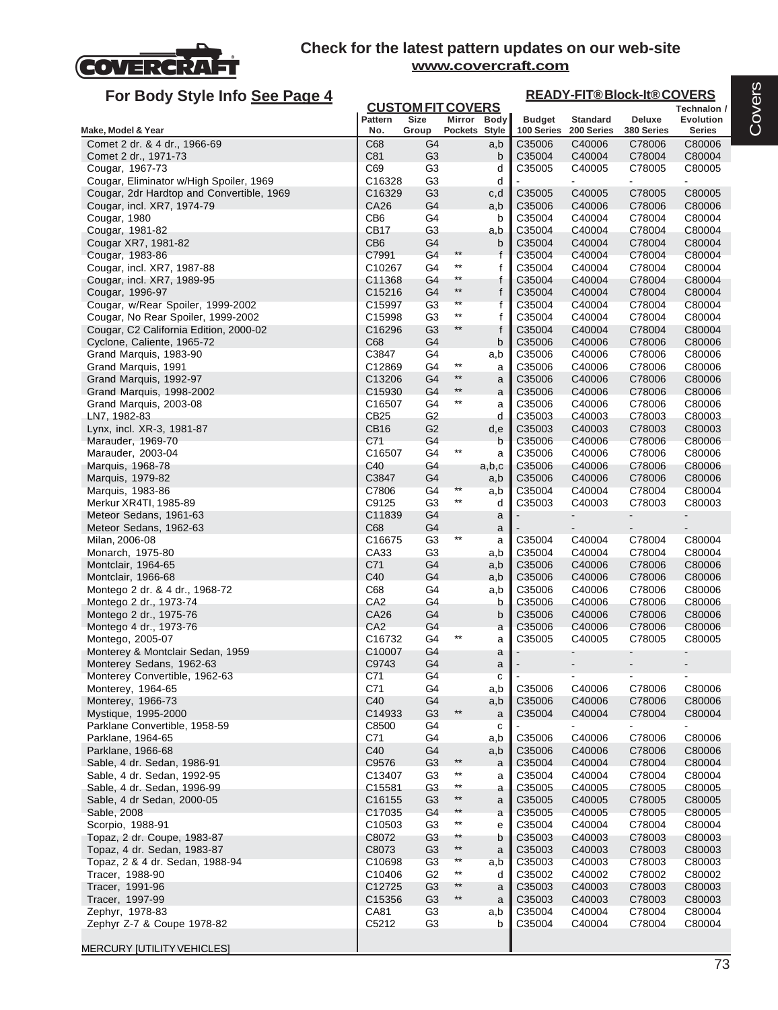

| For Body Style Info See Page 4                                       |                                |                                  |                                 |              |                             | <b>READY-FIT®Block-It®COVERS</b> |                      |                                   |
|----------------------------------------------------------------------|--------------------------------|----------------------------------|---------------------------------|--------------|-----------------------------|----------------------------------|----------------------|-----------------------------------|
|                                                                      |                                | <b>CUSTOM FIT COVERS</b>         |                                 |              |                             |                                  |                      | Technalon /                       |
| Make, Model & Year                                                   | <b>Pattern</b><br>No.          | <b>Size</b><br>Group             | Mirror Body<br>Pockets Style    |              | <b>Budget</b><br>100 Series | <b>Standard</b><br>200 Series    | Deluxe<br>380 Series | <b>Evolution</b><br><b>Series</b> |
| Comet 2 dr. & 4 dr., 1966-69                                         | C68                            | G4                               |                                 | a,b          | C35006                      | C40006                           | C78006               | C80006                            |
| Comet 2 dr., 1971-73                                                 | C81                            | G <sub>3</sub>                   |                                 | b            | C35004                      | C40004                           | C78004               | C80004                            |
| Cougar, 1967-73                                                      | C69                            | G <sub>3</sub>                   |                                 | d            | C35005                      | C40005                           | C78005               | C80005                            |
| Cougar, Eliminator w/High Spoiler, 1969                              | C16328                         | G3                               |                                 | d            |                             |                                  |                      |                                   |
| Cougar, 2dr Hardtop and Convertible, 1969                            | C16329                         | G <sub>3</sub>                   |                                 | c,d          | C35005                      | C40005                           | C78005               | C80005                            |
| Cougar, incl. XR7, 1974-79                                           | CA26                           | G4                               |                                 | a,b          | C35006                      | C40006                           | C78006               | C80006                            |
| Cougar, 1980<br>Cougar, 1981-82                                      | CB <sub>6</sub><br><b>CB17</b> | G4<br>G <sub>3</sub>             |                                 | b<br>a,b     | C35004<br>C35004            | C40004<br>C40004                 | C78004<br>C78004     | C80004<br>C80004                  |
| Cougar XR7, 1981-82                                                  | CB <sub>6</sub>                | G4                               |                                 | b            | C35004                      | C40004                           | C78004               | C80004                            |
| Cougar, 1983-86                                                      | C7991                          | G4                               | $***$                           | $\mathsf{f}$ | C35004                      | C40004                           | C78004               | C80004                            |
| Cougar, incl. XR7, 1987-88                                           | C10267                         | G4                               | $^{\star\star}$                 | f            | C35004                      | C40004                           | C78004               | C80004                            |
| Cougar, incl. XR7, 1989-95                                           | C11368                         | G4                               | $***$                           | f            | C35004                      | C40004                           | C78004               | C80004                            |
| Cougar, 1996-97                                                      | C15216                         | G <sub>4</sub>                   | $***$                           | f            | C35004                      | C40004                           | C78004               | C80004                            |
| Cougar, w/Rear Spoiler, 1999-2002                                    | C15997                         | G3                               | $\star\star$<br>$***$           | f            | C35004                      | C40004                           | C78004               | C80004                            |
| Cougar, No Rear Spoiler, 1999-2002                                   | C15998                         | G3<br>G <sub>3</sub>             | $***$                           | f<br>f       | C35004<br>C35004            | C40004<br>C40004                 | C78004               | C80004                            |
| Cougar, C2 California Edition, 2000-02<br>Cyclone, Caliente, 1965-72 | C16296<br>C68                  | G4                               |                                 | b            | C35006                      | C40006                           | C78004<br>C78006     | C80004<br>C80006                  |
| Grand Marquis, 1983-90                                               | C3847                          | G4                               |                                 | a,b          | C35006                      | C40006                           | C78006               | C80006                            |
| Grand Marquis, 1991                                                  | C12869                         | G4                               | $***$                           | a            | C35006                      | C40006                           | C78006               | C80006                            |
| Grand Marquis, 1992-97                                               | C13206                         | G4                               | $***$                           | a            | C35006                      | C40006                           | C78006               | C80006                            |
| Grand Marquis, 1998-2002                                             | C15930                         | G4                               | $^{\star\star}$                 | a            | C35006                      | C40006                           | C78006               | C80006                            |
| Grand Marquis, 2003-08                                               | C16507                         | G <sub>4</sub>                   | $***$                           | a            | C35006                      | C40006                           | C78006               | C80006                            |
| LN7, 1982-83                                                         | CB25                           | G <sub>2</sub>                   |                                 | d            | C35003                      | C40003                           | C78003               | C80003                            |
| Lynx, incl. XR-3, 1981-87                                            | CB <sub>16</sub><br>C71        | G <sub>2</sub><br>G4             |                                 | d,e<br>b     | C35003<br>C35006            | C40003<br>C40006                 | C78003<br>C78006     | C80003<br>C80006                  |
| Marauder, 1969-70<br>Marauder, 2003-04                               | C <sub>16507</sub>             | G4                               | $^{\star\star}$                 | a            | C35006                      | C40006                           | C78006               | C80006                            |
| Marquis, 1968-78                                                     | C40                            | G <sub>4</sub>                   |                                 | a,b,c        | C35006                      | C40006                           | C78006               | C80006                            |
| Marquis, 1979-82                                                     | C3847                          | G4                               |                                 | a,b          | C35006                      | C40006                           | C78006               | C80006                            |
| Marquis, 1983-86                                                     | C7806                          | G4                               | $***$                           | a,b          | C35004                      | C40004                           | C78004               | C80004                            |
| Merkur XR4TI, 1985-89                                                | C9125                          | G <sub>3</sub>                   | $***$                           | d            | C35003                      | C40003                           | C78003               | C80003                            |
| Meteor Sedans, 1961-63                                               | C11839                         | G4                               |                                 | a            |                             |                                  | $\blacksquare$       | $\overline{\phantom{a}}$          |
| Meteor Sedans, 1962-63                                               | C68                            | G4                               | $***$                           | a            |                             |                                  |                      |                                   |
| Milan, 2006-08<br>Monarch, 1975-80                                   | C16675<br>CA33                 | G <sub>3</sub><br>G <sub>3</sub> |                                 | a<br>a,b     | C35004<br>C35004            | C40004<br>C40004                 | C78004<br>C78004     | C80004<br>C80004                  |
| Montclair, 1964-65                                                   | C71                            | G <sub>4</sub>                   |                                 | a,b          | C35006                      | C40006                           | C78006               | C80006                            |
| Montclair, 1966-68                                                   | C40                            | G4                               |                                 | a,b          | C35006                      | C40006                           | C78006               | C80006                            |
| Montego 2 dr. & 4 dr., 1968-72                                       | C68                            | G4                               |                                 | a,b          | C35006                      | C40006                           | C78006               | C80006                            |
| Montego 2 dr., 1973-74                                               | CA <sub>2</sub>                | G4                               |                                 | b            | C35006                      | C40006                           | C78006               | C80006                            |
| Montego 2 dr., 1975-76                                               | <b>CA26</b>                    | G4                               |                                 | b            | C35006                      | C40006                           | C78006               | C80006                            |
| Montego 4 dr., 1973-76                                               | CA <sub>2</sub>                | G4                               | $^{\star\star}$                 | a            | C35006                      | C40006                           | C78006               | C80006                            |
| Montego, 2005-07<br>Monterey & Montclair Sedan, 1959                 | C16732<br>C10007               | G4<br>G4                         |                                 | a            | C35005                      | C40005                           | C78005               | C80005                            |
| Monterey Sedans, 1962-63                                             | C9743                          | G4                               |                                 | a<br>a       |                             |                                  |                      |                                   |
| Monterey Convertible, 1962-63                                        | C71                            | G4                               |                                 | c            | Ξ                           |                                  |                      |                                   |
| Monterey, 1964-65                                                    | C71                            | G4                               |                                 | a,b          | C35006                      | C40006                           | C78006               | C80006                            |
| Monterey, 1966-73                                                    | C40                            | G4                               |                                 | a,b          | C35006                      | C40006                           | C78006               | C80006                            |
| Mystique, 1995-2000                                                  | C14933                         | G <sub>3</sub>                   | $^{\star\star}$                 | a            | C35004                      | C40004                           | C78004               | C80004                            |
| Parklane Convertible, 1958-59                                        | C8500                          | G4                               |                                 | с            |                             |                                  | Ξ.                   | ٠                                 |
| Parklane, 1964-65                                                    | C71                            | G4                               |                                 | a,b          | C35006                      | C40006                           | C78006               | C80006                            |
| Parklane, 1966-68<br>Sable, 4 dr. Sedan, 1986-91                     | C40<br>C9576                   | G4<br>G <sub>3</sub>             | $^{\star\star}$                 | a,b<br>a     | C35006<br>C35004            | C40006<br>C40004                 | C78006<br>C78004     | C80006<br>C80004                  |
| Sable, 4 dr. Sedan, 1992-95                                          | C13407                         | G <sub>3</sub>                   | $***$                           | a            | C35004                      | C40004                           | C78004               | C80004                            |
| Sable, 4 dr. Sedan, 1996-99                                          | C15581                         | G <sub>3</sub>                   | $^{\star\star}$                 | а            | C35005                      | C40005                           | C78005               | C80005                            |
| Sable, 4 dr Sedan, 2000-05                                           | C16155                         | G <sub>3</sub>                   | $^{\star\star}$                 | a            | C35005                      | C40005                           | C78005               | C80005                            |
| Sable, 2008                                                          | C17035                         | G <sub>4</sub>                   | $***$                           | a            | C35005                      | C40005                           | C78005               | C80005                            |
| Scorpio, 1988-91                                                     | C <sub>10503</sub>             | G <sub>3</sub>                   | $^{\star\star}$                 | e            | C35004                      | C40004                           | C78004               | C80004                            |
| Topaz, 2 dr. Coupe, 1983-87                                          | C8072                          | G <sub>3</sub>                   | $***$                           | b            | C35003                      | C40003                           | C78003               | C80003                            |
| Topaz, 4 dr. Sedan, 1983-87                                          | C8073                          | G <sub>3</sub>                   | $^{\star\star}$<br>$\star\star$ | a            | C35003                      | C40003                           | C78003               | C80003                            |
| Topaz, 2 & 4 dr. Sedan, 1988-94<br>Tracer, 1988-90                   | C10698<br>C10406               | G <sub>3</sub><br>G <sub>2</sub> | $***$                           | a,b          | C35003<br>C35002            | C40003<br>C40002                 | C78003<br>C78002     | C80003<br>C80002                  |
| Tracer, 1991-96                                                      | C <sub>12725</sub>             | G <sub>3</sub>                   | **                              | d<br>a       | C35003                      | C40003                           | C78003               | C80003                            |
| Tracer, 1997-99                                                      | C15356                         | G <sub>3</sub>                   | $^{\star\star}$                 | a            | C35003                      | C40003                           | C78003               | C80003                            |
| Zephyr, 1978-83                                                      | CA81                           | G <sub>3</sub>                   |                                 | a,b          | C35004                      | C40004                           | C78004               | C80004                            |
| Zephyr Z-7 & Coupe 1978-82                                           | C5212                          | G3                               |                                 | b            | C35004                      | C40004                           | C78004               | C80004                            |
|                                                                      |                                |                                  |                                 |              |                             |                                  |                      |                                   |
| MERCURY [UTILITY VEHICLES]                                           |                                |                                  |                                 |              |                             |                                  |                      |                                   |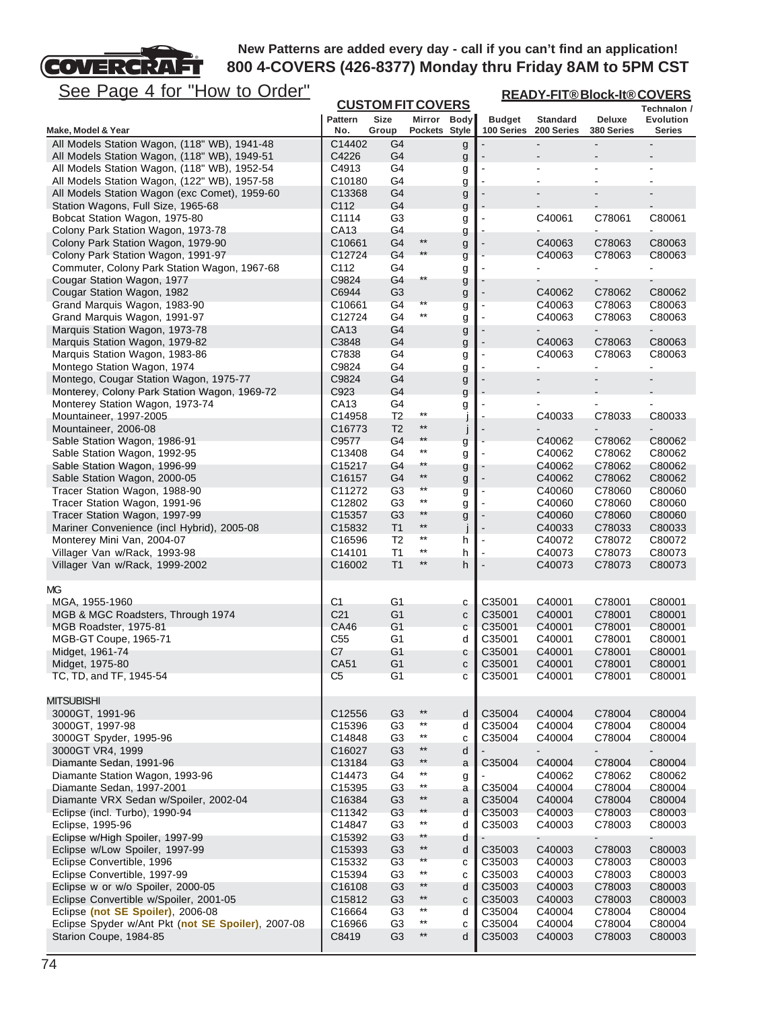**READY-FIT® Block-It® COVERS**

# COVERCRAFT See Page 4 for "How to Order"

| <u>See Page 4 IUI</u><br><u>HOW to Order</u>                                                 |                    |                                  |                          |              |                | <u>READY-FIT®Block-It®COVERS</u> |                  |                  |
|----------------------------------------------------------------------------------------------|--------------------|----------------------------------|--------------------------|--------------|----------------|----------------------------------|------------------|------------------|
|                                                                                              |                    | <b>CUSTOM FIT COVERS</b>         |                          |              |                |                                  |                  | Technalon /      |
|                                                                                              | <b>Pattern</b>     | <b>Size</b>                      | Mirror Body              |              | <b>Budget</b>  | <b>Standard</b>                  | Deluxe           | Evolution        |
| Make, Model & Year                                                                           | No.                | Group                            | Pockets Style            |              | 100 Series     | 200 Series                       | 380 Series       | <b>Series</b>    |
| All Models Station Wagon, (118" WB), 1941-48<br>All Models Station Wagon, (118" WB), 1949-51 | C14402<br>C4226    | G <sub>4</sub><br>G <sub>4</sub> |                          | g            |                |                                  | $\blacksquare$   |                  |
| All Models Station Wagon, (118" WB), 1952-54                                                 | C4913              | G4                               |                          | g<br>g       |                |                                  | $\overline{a}$   |                  |
| All Models Station Wagon, (122" WB), 1957-58                                                 | C10180             | G4                               |                          | g            |                |                                  |                  |                  |
| All Models Station Wagon (exc Comet), 1959-60                                                | C13368             | G4                               |                          | g            |                |                                  |                  |                  |
| Station Wagons, Full Size, 1965-68                                                           | C112               | G <sub>4</sub>                   |                          | g            |                |                                  |                  |                  |
| Bobcat Station Wagon, 1975-80                                                                | C1114              | G <sub>3</sub>                   |                          | g            |                | C40061                           | C78061           | C80061           |
| Colony Park Station Wagon, 1973-78                                                           | CA13               | G4                               |                          | g            |                |                                  |                  |                  |
| Colony Park Station Wagon, 1979-90                                                           | C <sub>10661</sub> | G <sub>4</sub>                   | $***$                    | g            |                | C40063                           | C78063           | C80063           |
| Colony Park Station Wagon, 1991-97                                                           | C12724             | G4                               | $***$                    | g            |                | C40063                           | C78063           | C80063           |
| Commuter, Colony Park Station Wagon, 1967-68                                                 | C112               | G4                               |                          | g            |                |                                  |                  |                  |
| Cougar Station Wagon, 1977                                                                   | C9824              | G4                               | $^{\star\star}$          | g            |                |                                  | $\blacksquare$   |                  |
| Cougar Station Wagon, 1982                                                                   | C6944              | G <sub>3</sub>                   |                          | g            |                | C40062                           | C78062           | C80062           |
| Grand Marquis Wagon, 1983-90                                                                 | C10661             | G4                               | $**$                     | g            |                | C40063                           | C78063           | C80063           |
| Grand Marquis Wagon, 1991-97                                                                 | C12724             | G4                               | $^{\star\star}$          | g            | $\blacksquare$ | C40063                           | C78063           | C80063           |
| Marquis Station Wagon, 1973-78                                                               | CA13               | G4                               |                          | g            |                |                                  |                  |                  |
| Marquis Station Wagon, 1979-82                                                               | C3848              | G4                               |                          | g            |                | C40063                           | C78063           | C80063<br>C80063 |
| Marquis Station Wagon, 1983-86<br>Montego Station Wagon, 1974                                | C7838<br>C9824     | G4<br>G <sub>4</sub>             |                          | g            |                | C40063                           | C78063           | ÷,               |
| Montego, Cougar Station Wagon, 1975-77                                                       | C9824              | G4                               |                          | g            |                |                                  | $\overline{a}$   |                  |
| Monterey, Colony Park Station Wagon, 1969-72                                                 | C923               | G <sub>4</sub>                   |                          | g            |                |                                  |                  |                  |
| Monterey Station Wagon, 1973-74                                                              | CA13               | G4                               |                          | g            |                | $\blacksquare$                   | $\blacksquare$   |                  |
| Mountaineer, 1997-2005                                                                       | C14958             | T2                               | $^{\star\star}$          | g<br>J       |                | C40033                           | C78033           | C80033           |
| Mountaineer, 2006-08                                                                         | C16773             | T <sub>2</sub>                   | $***$                    | j            |                |                                  |                  |                  |
| Sable Station Wagon, 1986-91                                                                 | C9577              | G4                               | $**$                     | g            |                | C40062                           | C78062           | C80062           |
| Sable Station Wagon, 1992-95                                                                 | C13408             | G4                               | $^{\star\star}$          | g            |                | C40062                           | C78062           | C80062           |
| Sable Station Wagon, 1996-99                                                                 | C <sub>15217</sub> | G4                               | $^{\star\star}$          | g            |                | C40062                           | C78062           | C80062           |
| Sable Station Wagon, 2000-05                                                                 | C <sub>16157</sub> | G4                               | $^{\star\star}$          | g            |                | C40062                           | C78062           | C80062           |
| Tracer Station Wagon, 1988-90                                                                | C11272             | G <sub>3</sub>                   | $**$                     | g            |                | C40060                           | C78060           | C80060           |
| Tracer Station Wagon, 1991-96                                                                | C12802             | G <sub>3</sub>                   | $^{\star\star}$          | g            | $\blacksquare$ | C40060                           | C78060           | C80060           |
| Tracer Station Wagon, 1997-99                                                                | C <sub>15357</sub> | G <sub>3</sub>                   | $**$                     | g            |                | C40060                           | C78060           | C80060           |
| Mariner Convenience (incl Hybrid), 2005-08                                                   | C15832             | T <sub>1</sub>                   | $^{\star\star}$          | j            |                | C40033                           | C78033           | C80033           |
| Monterey Mini Van, 2004-07                                                                   | C <sub>16596</sub> | T2                               | $***$                    | h            | $\blacksquare$ | C40072                           | C78072           | C80072           |
| Villager Van w/Rack, 1993-98                                                                 | C14101             | T <sub>1</sub>                   | $***$                    | h            |                | C40073                           | C78073           | C80073           |
| Villager Van w/Rack, 1999-2002                                                               | C16002             | T1                               | $^{\star\star}$          | h            |                | C40073                           | C78073           | C80073           |
| МG                                                                                           |                    |                                  |                          |              |                |                                  |                  |                  |
| MGA, 1955-1960                                                                               | C1                 | G1                               |                          | с            | C35001         | C40001                           | C78001           | C80001           |
| MGB & MGC Roadsters, Through 1974                                                            | C <sub>21</sub>    | G1                               |                          | $\mathbf{C}$ | C35001         | C40001                           | C78001           | C80001           |
| MGB Roadster, 1975-81                                                                        | CA46               | G1                               |                          | C            | C35001         | C40001                           | C78001           | C80001           |
| MGB-GT Coupe, 1965-71                                                                        | C <sub>55</sub>    | G1                               |                          | d            | C35001         | C40001                           | C78001           | C80001           |
| Midget, 1961-74                                                                              | C7                 | G <sub>1</sub>                   |                          | С            | C35001         | C40001                           | C78001           | C80001           |
| Midget, 1975-80                                                                              | CA51               | G1                               |                          | c            | C35001         | C40001                           | C78001           | C80001           |
| TC, TD, and TF, 1945-54                                                                      | C <sub>5</sub>     | G <sub>1</sub>                   |                          | c            | C35001         | C40001                           | C78001           | C80001           |
|                                                                                              |                    |                                  |                          |              |                |                                  |                  |                  |
| <b>MITSUBISHI</b>                                                                            |                    |                                  |                          |              |                |                                  |                  |                  |
| 3000GT, 1991-96                                                                              | C <sub>12556</sub> | G3                               | $***$                    | d            | C35004         | C40004                           | C78004           | C80004           |
| 3000GT, 1997-98                                                                              | C <sub>15396</sub> | G <sub>3</sub>                   | $^{\star\star}$<br>$***$ | d            | C35004         | C40004                           | C78004           | C80004           |
| 3000GT Spyder, 1995-96                                                                       | C14848             | G <sub>3</sub>                   | $***$                    | c            | C35004         | C40004                           | C78004           | C80004           |
| 3000GT VR4, 1999                                                                             | C16027             | G <sub>3</sub>                   | $^{\star\star}$          | d            |                |                                  |                  | $\blacksquare$   |
| Diamante Sedan, 1991-96                                                                      | C13184             | G <sub>3</sub>                   | $^{\star\star}$          | a            | C35004         | C40004                           | C78004           | C80004           |
| Diamante Station Wagon, 1993-96<br>Diamante Sedan, 1997-2001                                 | C14473<br>C15395   | G4<br>G <sub>3</sub>             | $^{\star\star}$          | g            | C35004         | C40062<br>C40004                 | C78062<br>C78004 | C80062<br>C80004 |
| Diamante VRX Sedan w/Spoiler, 2002-04                                                        | C16384             | G <sub>3</sub>                   | $***$                    | a<br>a       | C35004         | C40004                           | C78004           | C80004           |
| Eclipse (incl. Turbo), 1990-94                                                               | C11342             | G <sub>3</sub>                   | $***$                    | d            | C35003         | C40003                           | C78003           | C80003           |
| Eclipse, 1995-96                                                                             | C14847             | G <sub>3</sub>                   | $^{\star\star}$          | d            | C35003         | C40003                           | C78003           | C80003           |
| Eclipse w/High Spoiler, 1997-99                                                              | C <sub>15392</sub> | G3                               | $**$                     | d            |                |                                  |                  |                  |
| Eclipse w/Low Spoiler, 1997-99                                                               | C15393             | G <sub>3</sub>                   | $***$                    | d            | C35003         | C40003                           | C78003           | C80003           |
| Eclipse Convertible, 1996                                                                    | C15332             | G <sub>3</sub>                   | $***$                    | C            | C35003         | C40003                           | C78003           | C80003           |
| Eclipse Convertible, 1997-99                                                                 | C15394             | G <sub>3</sub>                   | $***$                    | C            | C35003         | C40003                           | C78003           | C80003           |
| Eclipse w or w/o Spoiler, 2000-05                                                            | C <sub>16108</sub> | G <sub>3</sub>                   | $***$                    | d            | C35003         | C40003                           | C78003           | C80003           |
| Eclipse Convertible w/Spoiler, 2001-05                                                       | C <sub>15812</sub> | G3                               | $^{\star\star}$          | $\mathbf{C}$ | C35003         | C40003                           | C78003           | C80003           |
| Eclipse (not SE Spoiler), 2006-08                                                            | C16664             | G <sub>3</sub>                   | $^{\star\star}$          | d            | C35004         | C40004                           | C78004           | C80004           |
| Eclipse Spyder w/Ant Pkt (not SE Spoiler), 2007-08                                           | C16966             | G <sub>3</sub>                   | $^{\star\star}$          | c            | C35004         | C40004                           | C78004           | C80004           |
| Starion Coupe, 1984-85                                                                       | C8419              | G <sub>3</sub>                   | $^{\star\star}$          | d            | C35003         | C40003                           | C78003           | C80003           |
|                                                                                              |                    |                                  |                          |              |                |                                  |                  |                  |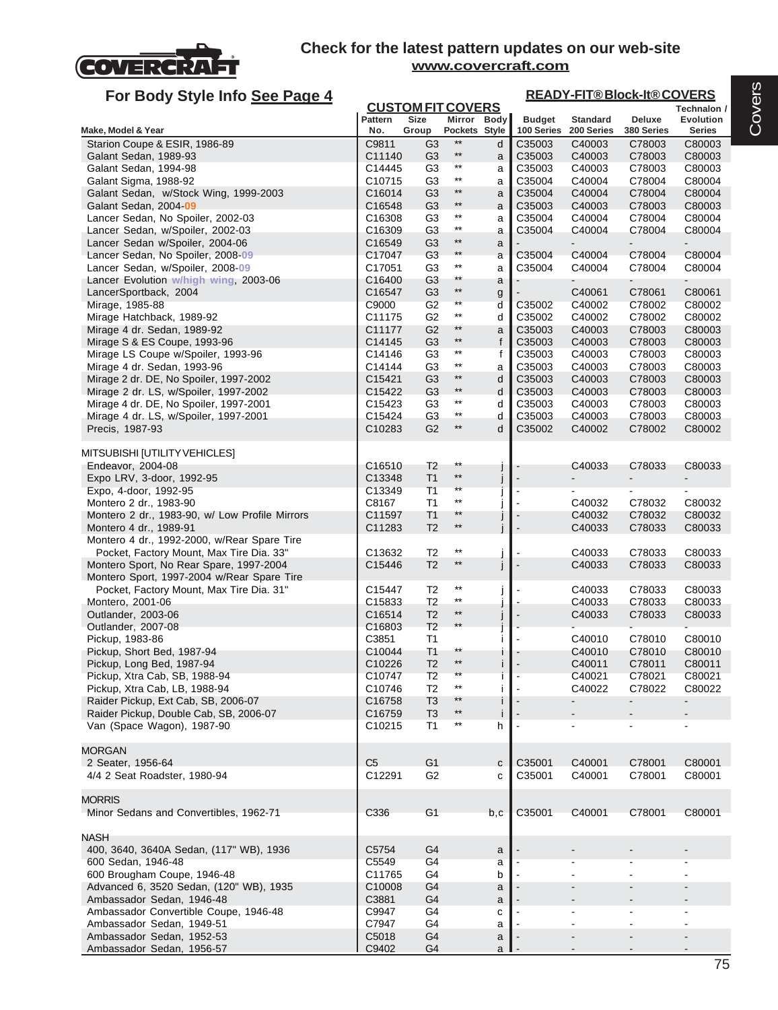

| For Body Style Info See Page 4                                                          |                       |                                  |                                    |        |                             |                               | <b>READY-FIT®Block-It®COVERS</b> |                     |
|-----------------------------------------------------------------------------------------|-----------------------|----------------------------------|------------------------------------|--------|-----------------------------|-------------------------------|----------------------------------|---------------------|
|                                                                                         |                       | <b>CUSTOM FIT COVERS</b>         |                                    |        |                             |                               |                                  | Technalon /         |
| Make, Model & Year                                                                      | <b>Pattern</b><br>No. | Size<br>Group                    | Mirror Body<br>Pockets Style       |        | <b>Budget</b><br>100 Series | <b>Standard</b><br>200 Series | Deluxe<br>380 Series             | Evolution<br>Series |
| Starion Coupe & ESIR, 1986-89                                                           | C9811                 | G <sub>3</sub>                   | $***$                              | d      | C35003                      | C40003                        | C78003                           | C80003              |
| Galant Sedan, 1989-93                                                                   | C11140                | G3                               | $^{\star\star}$                    | a      | C35003                      | C40003                        | C78003                           | C80003              |
| Galant Sedan, 1994-98                                                                   | C14445                | G <sub>3</sub>                   | $^{\star\star}$                    | a      | C35003                      | C40003                        | C78003                           | C80003              |
| Galant Sigma, 1988-92                                                                   | C10715                | G <sub>3</sub>                   | $\star\star$                       | a      | C35004                      | C40004                        | C78004                           | C80004              |
| Galant Sedan, w/Stock Wing, 1999-2003                                                   | C16014                | G <sub>3</sub>                   | $***$                              | a      | C35004                      | C40004                        | C78004                           | C80004              |
| Galant Sedan, 2004-09                                                                   | C16548                | G <sub>3</sub>                   | $^{\star\star}$                    | a      | C35003                      | C40003                        | C78003                           | C80003              |
| Lancer Sedan, No Spoiler, 2002-03                                                       | C <sub>16308</sub>    | G <sub>3</sub>                   | $\star\star$                       | a      | C35004                      | C40004                        | C78004                           | C80004              |
| Lancer Sedan, w/Spoiler, 2002-03                                                        | C16309                | G <sub>3</sub>                   | $^{\star\star}$                    | a      | C35004                      | C40004                        | C78004                           | C80004              |
| Lancer Sedan w/Spoiler, 2004-06                                                         | C16549                | G <sub>3</sub>                   | $***$                              | a      |                             |                               |                                  |                     |
| Lancer Sedan, No Spoiler, 2008-09                                                       | C17047                | G <sub>3</sub>                   | $**$<br>$^{\star\star}$            | a      | C35004                      | C40004                        | C78004                           | C80004              |
| Lancer Sedan, w/Spoiler, 2008-09                                                        | C17051<br>C16400      | G <sub>3</sub><br>G3             | $^{\star\star}$                    | a      | C35004                      | C40004                        | C78004                           | C80004              |
| Lancer Evolution w/high wing, 2003-06<br>LancerSportback, 2004                          | C16547                | G <sub>3</sub>                   | $***$                              | a      |                             | C40061                        | C78061                           | C80061              |
| Mirage, 1985-88                                                                         | C9000                 | G <sub>2</sub>                   | $\star\star$                       | g<br>d | C35002                      | C40002                        | C78002                           | C80002              |
| Mirage Hatchback, 1989-92                                                               | C11175                | G <sub>2</sub>                   | $***$                              | d      | C35002                      | C40002                        | C78002                           | C80002              |
| Mirage 4 dr. Sedan, 1989-92                                                             | C11177                | G <sub>2</sub>                   | $***$                              | a      | C35003                      | C40003                        | C78003                           | C80003              |
| Mirage S & ES Coupe, 1993-96                                                            | C14145                | G <sub>3</sub>                   | $^{\star\star}$                    | f      | C35003                      | C40003                        | C78003                           | C80003              |
| Mirage LS Coupe w/Spoiler, 1993-96                                                      | C14146                | G <sub>3</sub>                   | $^{\star\star}$                    | f      | C35003                      | C40003                        | C78003                           | C80003              |
| Mirage 4 dr. Sedan, 1993-96                                                             | C14144                | G <sub>3</sub>                   | $***$                              | a      | C35003                      | C40003                        | C78003                           | C80003              |
| Mirage 2 dr. DE, No Spoiler, 1997-2002                                                  | C15421                | G <sub>3</sub>                   | $***$                              | d      | C35003                      | C40003                        | C78003                           | C80003              |
| Mirage 2 dr. LS, w/Spoiler, 1997-2002                                                   | C15422                | G <sub>3</sub>                   | $^{\star\star}$<br>$^{\star\star}$ | d      | C35003                      | C40003                        | C78003                           | C80003              |
| Mirage 4 dr. DE, No Spoiler, 1997-2001                                                  | C <sub>15423</sub>    | G3<br>G <sub>3</sub>             | $^{\star\star}$                    | d      | C35003<br>C35003            | C40003<br>C40003              | C78003<br>C78003                 | C80003<br>C80003    |
| Mirage 4 dr. LS, w/Spoiler, 1997-2001<br>Precis, 1987-93                                | C15424<br>C10283      | G <sub>2</sub>                   | $***$                              | d<br>d | C35002                      | C40002                        | C78002                           | C80002              |
|                                                                                         |                       |                                  |                                    |        |                             |                               |                                  |                     |
| MITSUBISHI [UTILITY VEHICLES]                                                           |                       |                                  |                                    |        |                             |                               |                                  |                     |
| Endeavor, 2004-08                                                                       | C <sub>16510</sub>    | T <sub>2</sub>                   | $^{\star\star}$                    |        |                             | C40033                        | C78033                           | C80033              |
| Expo LRV, 3-door, 1992-95                                                               | C13348                | T1                               | $***$                              |        |                             |                               | ۰                                | ۰                   |
| Expo, 4-door, 1992-95                                                                   | C13349                | T1                               | $**$                               |        |                             |                               |                                  |                     |
| Montero 2 dr., 1983-90                                                                  | C8167                 | T1                               | $***$                              |        |                             | C40032                        | C78032                           | C80032              |
| Montero 2 dr., 1983-90, w/ Low Profile Mirrors                                          | C11597                | T1                               | $***$                              |        |                             | C40032                        | C78032                           | C80032              |
| Montero 4 dr., 1989-91                                                                  | C11283                | T <sub>2</sub>                   | $^{\star\star}$                    |        |                             | C40033                        | C78033                           | C80033              |
| Montero 4 dr., 1992-2000, w/Rear Spare Tire<br>Pocket, Factory Mount, Max Tire Dia. 33" | C13632                | T <sub>2</sub>                   | $^{\star\star}$                    |        |                             | C40033                        | C78033                           |                     |
| Montero Sport, No Rear Spare, 1997-2004                                                 | C15446                | T <sub>2</sub>                   | $***$                              |        |                             | C40033                        | C78033                           | C80033<br>C80033    |
| Montero Sport, 1997-2004 w/Rear Spare Tire                                              |                       |                                  |                                    |        |                             |                               |                                  |                     |
| Pocket, Factory Mount, Max Tire Dia. 31"                                                | C15447                | T <sub>2</sub>                   | $^{\star\star}$                    |        |                             | C40033                        | C78033                           | C80033              |
| Montero, 2001-06                                                                        | C15833                | T <sub>2</sub>                   | $^{\star\star}$                    |        |                             | C40033                        | C78033                           | C80033              |
| Outlander, 2003-06                                                                      | C16514                | T <sub>2</sub>                   | $^{\star\star}$                    |        |                             | C40033                        | C78033                           | C80033              |
| Outlander, 2007-08                                                                      | C16803                | T <sub>2</sub>                   | $**$                               |        |                             |                               |                                  |                     |
| Pickup, 1983-86                                                                         | C3851                 | T <sub>1</sub>                   |                                    |        |                             | C40010                        | C78010                           | C80010              |
| Pickup, Short Bed, 1987-94                                                              | C10044                | T <sub>1</sub>                   | $***$<br>$***$                     |        |                             | C40010                        | C78010                           | C80010              |
| Pickup, Long Bed, 1987-94<br>Pickup, Xtra Cab, SB, 1988-94                              | C10226                | T <sub>2</sub><br>T <sub>2</sub> | $***$                              |        |                             | C40011<br>C40021              | C78011<br>C78021                 | C80011<br>C80021    |
| Pickup, Xtra Cab, LB, 1988-94                                                           | C10747<br>C10746      | T <sub>2</sub>                   | $***$                              | I      |                             | C40022                        | C78022                           | C80022              |
| Raider Pickup, Ext Cab, SB, 2006-07                                                     | C16758                | T <sub>3</sub>                   | $***$                              |        |                             |                               |                                  |                     |
| Raider Pickup, Double Cab, SB, 2006-07                                                  | C <sub>16759</sub>    | T <sub>3</sub>                   | $^{\star\star}$                    | i      |                             |                               |                                  |                     |
| Van (Space Wagon), 1987-90                                                              | C10215                | T1                               | $^{\star\star}$                    | h      |                             |                               |                                  |                     |
|                                                                                         |                       |                                  |                                    |        |                             |                               |                                  |                     |
| <b>MORGAN</b>                                                                           |                       |                                  |                                    |        |                             |                               |                                  |                     |
| 2 Seater, 1956-64                                                                       | C <sub>5</sub>        | G <sub>1</sub>                   |                                    | C      | C35001                      | C40001                        | C78001                           | C80001              |
| 4/4 2 Seat Roadster, 1980-94                                                            | C12291                | G <sub>2</sub>                   |                                    | C      | C35001                      | C40001                        | C78001                           | C80001              |
|                                                                                         |                       |                                  |                                    |        |                             |                               |                                  |                     |
| <b>MORRIS</b>                                                                           |                       | G <sub>1</sub>                   |                                    |        |                             |                               | C78001                           |                     |
| Minor Sedans and Convertibles, 1962-71                                                  | C336                  |                                  |                                    | b,c    | C35001                      | C40001                        |                                  | C80001              |
| <b>NASH</b>                                                                             |                       |                                  |                                    |        |                             |                               |                                  |                     |
| 400, 3640, 3640A Sedan, (117" WB), 1936                                                 | C5754                 | G4                               |                                    | a      |                             |                               |                                  |                     |
| 600 Sedan, 1946-48                                                                      | C5549                 | G4                               |                                    | a      |                             |                               |                                  |                     |
| 600 Brougham Coupe, 1946-48                                                             | C11765                | G4                               |                                    | b      |                             |                               |                                  | $\blacksquare$      |
| Advanced 6, 3520 Sedan, (120" WB), 1935                                                 | C10008                | G <sub>4</sub>                   |                                    | a      |                             |                               |                                  |                     |
| Ambassador Sedan, 1946-48                                                               | C3881                 | G4                               |                                    | a      |                             |                               |                                  |                     |
| Ambassador Convertible Coupe, 1946-48                                                   | C9947                 | G4                               |                                    | C      |                             |                               |                                  |                     |
| Ambassador Sedan, 1949-51                                                               | C7947                 | G4                               |                                    | a      |                             |                               |                                  | $\sim$              |
| Ambassador Sedan, 1952-53                                                               | C5018                 | G <sub>4</sub>                   |                                    | a      |                             |                               |                                  | ۰.                  |
| Ambassador Sedan, 1956-57                                                               | C9402                 | G4                               |                                    | a      |                             |                               |                                  |                     |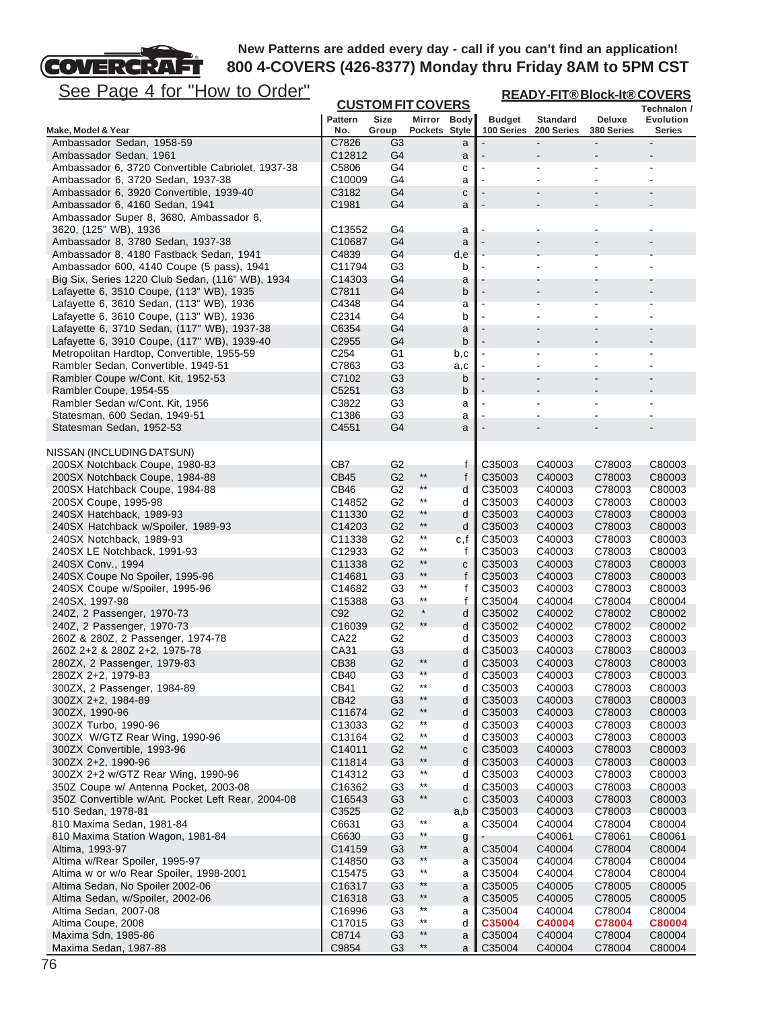See Page 4 for "How to Order"

COVERCRAFT

| <u>See Page 4 for "How to Order"</u>                                                         |                              |                                  |                                    |        | <b>READY-FIT®Block-It®COVERS</b> |                               |                             |                            |  |
|----------------------------------------------------------------------------------------------|------------------------------|----------------------------------|------------------------------------|--------|----------------------------------|-------------------------------|-----------------------------|----------------------------|--|
|                                                                                              |                              | <b>CUSTOM FIT COVERS</b>         |                                    |        |                                  |                               |                             | Technalon /                |  |
| Make, Model & Year                                                                           | <b>Pattern</b><br>No.        | <b>Size</b><br>Group             | Mirror Body<br>Pockets Style       |        | <b>Budget</b><br>100 Series      | <b>Standard</b><br>200 Series | <b>Deluxe</b><br>380 Series | <b>Evolution</b><br>Series |  |
| Ambassador Sedan, 1958-59                                                                    | C7826                        | G3                               |                                    | a      |                                  |                               |                             |                            |  |
| Ambassador Sedan, 1961                                                                       | C12812                       | G4                               |                                    | a      |                                  |                               |                             |                            |  |
| Ambassador 6, 3720 Convertible Cabriolet, 1937-38                                            | C5806                        | G4                               |                                    | с      |                                  |                               |                             |                            |  |
| Ambassador 6, 3720 Sedan, 1937-38                                                            | C10009                       | G4                               |                                    | a      |                                  |                               |                             |                            |  |
| Ambassador 6, 3920 Convertible, 1939-40<br>Ambassador 6, 4160 Sedan, 1941                    | C3182<br>C <sub>1981</sub>   | G4<br>G4                         |                                    | C<br>a |                                  |                               |                             |                            |  |
| Ambassador Super 8, 3680, Ambassador 6,                                                      |                              |                                  |                                    |        |                                  |                               |                             |                            |  |
| 3620, (125" WB), 1936                                                                        | C13552                       | G4                               |                                    | a      |                                  | ٠                             | $\overline{a}$              |                            |  |
| Ambassador 8, 3780 Sedan, 1937-38                                                            | C <sub>10687</sub>           | G4                               |                                    | a      |                                  |                               |                             |                            |  |
| Ambassador 8, 4180 Fastback Sedan, 1941                                                      | C4839                        | G4                               |                                    | d,e    |                                  |                               |                             |                            |  |
| Ambassador 600, 4140 Coupe (5 pass), 1941                                                    | C11794                       | G <sub>3</sub>                   |                                    | b      |                                  |                               |                             |                            |  |
| Big Six, Series 1220 Club Sedan, (116" WB), 1934<br>Lafayette 6, 3510 Coupe, (113" WB), 1935 | C <sub>14303</sub><br>C7811  | G4<br>G4                         |                                    | a      |                                  |                               |                             |                            |  |
| Lafayette 6, 3610 Sedan, (113" WB), 1936                                                     | C4348                        | G4                               |                                    | b<br>a |                                  |                               |                             |                            |  |
| Lafayette 6, 3610 Coupe, (113" WB), 1936                                                     | C2314                        | G4                               |                                    | b      |                                  | $\overline{\phantom{a}}$      |                             |                            |  |
| Lafayette 6, 3710 Sedan, (117" WB), 1937-38                                                  | C6354                        | G4                               |                                    | a      |                                  |                               |                             |                            |  |
| Lafayette 6, 3910 Coupe, (117" WB), 1939-40                                                  | C <sub>2955</sub>            | G4                               |                                    | b      |                                  |                               |                             |                            |  |
| Metropolitan Hardtop, Convertible, 1955-59                                                   | C <sub>254</sub>             | G <sub>1</sub>                   |                                    | b,c    |                                  |                               | $\blacksquare$              |                            |  |
| Rambler Sedan, Convertible, 1949-51                                                          | C7863                        | G <sub>3</sub>                   |                                    | a,c    |                                  |                               |                             |                            |  |
| Rambler Coupe w/Cont. Kit, 1952-53<br>Rambler Coupe, 1954-55                                 | C7102<br>C5251               | G <sub>3</sub><br>G <sub>3</sub> |                                    | b<br>b |                                  | $\overline{a}$                | $\blacksquare$              |                            |  |
| Rambler Sedan w/Cont. Kit, 1956                                                              | C3822                        | G3                               |                                    | a      |                                  |                               |                             |                            |  |
| Statesman, 600 Sedan, 1949-51                                                                | C1386                        | G3                               |                                    | a      |                                  | ÷                             |                             |                            |  |
| Statesman Sedan, 1952-53                                                                     | C4551                        | G4                               |                                    | a      |                                  |                               |                             |                            |  |
|                                                                                              |                              |                                  |                                    |        |                                  |                               |                             |                            |  |
| NISSAN (INCLUDING DATSUN)<br>200SX Notchback Coupe, 1980-83                                  | CB7                          | G <sub>2</sub>                   |                                    | f      | C <sub>35003</sub>               | C40003                        | C78003                      | C80003                     |  |
| 200SX Notchback Coupe, 1984-88                                                               | CB45                         | G <sub>2</sub>                   | $^{\star\star}$                    | f      | C35003                           | C40003                        | C78003                      | C80003                     |  |
| 200SX Hatchback Coupe, 1984-88                                                               | CB46                         | G <sub>2</sub>                   | $\star\star$                       | d      | C35003                           | C40003                        | C78003                      | C80003                     |  |
| 200SX Coupe, 1995-98                                                                         | C14852                       | G <sub>2</sub>                   | $***$                              | d      | C35003                           | C40003                        | C78003                      | C80003                     |  |
| 240SX Hatchback, 1989-93                                                                     | C11330                       | G <sub>2</sub>                   | $**$                               | d      | C35003                           | C40003                        | C78003                      | C80003                     |  |
| 240SX Hatchback w/Spoiler, 1989-93                                                           | C <sub>14203</sub>           | G <sub>2</sub>                   | $^{\star\star}$                    | d      | C35003                           | C40003                        | C78003                      | C80003                     |  |
| 240SX Notchback, 1989-93                                                                     | C <sub>11338</sub>           | G <sub>2</sub><br>G <sub>2</sub> | $^{\star\star}$<br>$***$           | c, f   | C35003<br>C35003                 | C40003                        | C78003                      | C80003                     |  |
| 240SX LE Notchback, 1991-93<br>240SX Conv., 1994                                             | C12933<br>C11338             | G <sub>2</sub>                   | $\star\star$                       | f<br>c | C35003                           | C40003<br>C40003              | C78003<br>C78003            | C80003<br>C80003           |  |
| 240SX Coupe No Spoiler, 1995-96                                                              | C14681                       | G <sub>3</sub>                   | $***$                              | f      | C35003                           | C40003                        | C78003                      | C80003                     |  |
| 240SX Coupe w/Spoiler, 1995-96                                                               | C14682                       | G3                               | $***$                              | f      | C35003                           | C40003                        | C78003                      | C80003                     |  |
| 240SX, 1997-98                                                                               | C15388                       | G <sub>3</sub>                   | $^{\star\star}$                    | f      | C35004                           | C40004                        | C78004                      | C80004                     |  |
| 240Z, 2 Passenger, 1970-73                                                                   | C <sub>92</sub>              | G <sub>2</sub>                   | $\star$                            | d      | C35002                           | C40002                        | C78002                      | C80002                     |  |
| 240Z, 2 Passenger, 1970-73                                                                   | C16039                       | G <sub>2</sub>                   | $^{\star\star}$                    | d      | C35002                           | C40002                        | C78002                      | C80002                     |  |
| 260Z & 280Z, 2 Passenger, 1974-78<br>260Z 2+2 & 280Z 2+2, 1975-78                            | CA22<br>CA31                 | G <sub>2</sub><br>G3             |                                    | d<br>d | C35003<br>C35003                 | C40003<br>C40003              | C78003<br>C78003            | C80003<br>C80003           |  |
| 280ZX, 2 Passenger, 1979-83                                                                  | CB38                         | G <sub>2</sub>                   | $***$                              | d      | C <sub>35003</sub>               | C40003                        | C78003                      | C80003                     |  |
| 280ZX 2+2, 1979-83                                                                           | <b>CB40</b>                  | G <sub>3</sub>                   | $^{\star\star}$                    | d      | C35003                           | C40003                        | C78003                      | C80003                     |  |
| 300ZX, 2 Passenger, 1984-89                                                                  | CB41                         | G <sub>2</sub>                   | $^{\star\star}$                    | d      | C35003                           | C40003                        | C78003                      | C80003                     |  |
| 300ZX 2+2, 1984-89                                                                           | CB42                         | G <sub>3</sub>                   | $**$                               | d      | C35003                           | C40003                        | C78003                      | C80003                     |  |
| 300ZX, 1990-96                                                                               | C11674                       | G <sub>2</sub>                   | $^{\star\star}$<br>$^{\star\star}$ | d      | C35003                           | C40003                        | C78003                      | C80003                     |  |
| 300ZX Turbo, 1990-96<br>300ZX W/GTZ Rear Wing, 1990-96                                       | C <sub>13033</sub><br>C13164 | G <sub>2</sub><br>G <sub>2</sub> | $***$                              | d<br>d | C35003<br>C35003                 | C40003<br>C40003              | C78003<br>C78003            | C80003<br>C80003           |  |
| 300ZX Convertible, 1993-96                                                                   | C14011                       | G <sub>2</sub>                   | $^{\star\star}$                    | С      | C35003                           | C40003                        | C78003                      | C80003                     |  |
| 300ZX 2+2, 1990-96                                                                           | C11814                       | G <sub>3</sub>                   | $***$                              | d      | C35003                           | C40003                        | C78003                      | C80003                     |  |
| 300ZX 2+2 w/GTZ Rear Wing, 1990-96                                                           | C14312                       | G3                               | $^{\star\star}$                    | d      | C35003                           | C40003                        | C78003                      | C80003                     |  |
| 350Z Coupe w/ Antenna Pocket, 2003-08                                                        | C <sub>16362</sub>           | G <sub>3</sub>                   | $***$                              | d      | C35003                           | C40003                        | C78003                      | C80003                     |  |
| 350Z Convertible w/Ant. Pocket Left Rear, 2004-08                                            | C <sub>16543</sub>           | G <sub>3</sub>                   | $***$                              | c      | C35003                           | C40003                        | C78003                      | C80003                     |  |
| 510 Sedan, 1978-81                                                                           | C3525                        | G <sub>2</sub>                   | $^{\star\star}$                    | a,b    | C35003                           | C40003                        | C78003                      | C80003                     |  |
| 810 Maxima Sedan, 1981-84<br>810 Maxima Station Wagon, 1981-84                               | C6631<br>C6630               | G <sub>3</sub><br>G3             | $^{\star\star}$                    | a      | C35004                           | C40004<br>C40061              | C78004<br>C78061            | C80004<br>C80061           |  |
| Altima, 1993-97                                                                              | C14159                       | G3                               | $^{\star\star}$                    | g<br>a | C35004                           | C40004                        | C78004                      | C80004                     |  |
| Altima w/Rear Spoiler, 1995-97                                                               | C <sub>14850</sub>           | G <sub>3</sub>                   | $^{\star\star}$                    | a      | C35004                           | C40004                        | C78004                      | C80004                     |  |
| Altima w or w/o Rear Spoiler, 1998-2001                                                      | C <sub>15475</sub>           | G <sub>3</sub>                   | $^{\star\star}$                    | a      | C35004                           | C40004                        | C78004                      | C80004                     |  |
| Altima Sedan, No Spoiler 2002-06                                                             | C <sub>16317</sub>           | G <sub>3</sub>                   | $**$                               | a      | C35005                           | C40005                        | C78005                      | C80005                     |  |
| Altima Sedan, w/Spoiler, 2002-06                                                             | C <sub>16318</sub>           | G3                               | $^{\star\star}$                    | a      | C35005                           | C40005                        | C78005                      | C80005                     |  |
| Altima Sedan, 2007-08                                                                        | C16996                       | G3                               | $***$<br>$***$                     | а      | C35004                           | C40004                        | C78004                      | C80004                     |  |
| Altima Coupe, 2008<br>Maxima Sdn, 1985-86                                                    | C17015<br>C8714              | G <sub>3</sub><br>G <sub>3</sub> | $^{\star\star}$                    | d<br>a | C35004<br>C35004                 | C40004<br>C40004              | C78004<br>C78004            | C80004<br>C80004           |  |
| Maxima Sedan, 1987-88                                                                        | C9854                        | G <sub>3</sub>                   | $***$                              | a I    | C35004                           | C40004                        | C78004                      | C80004                     |  |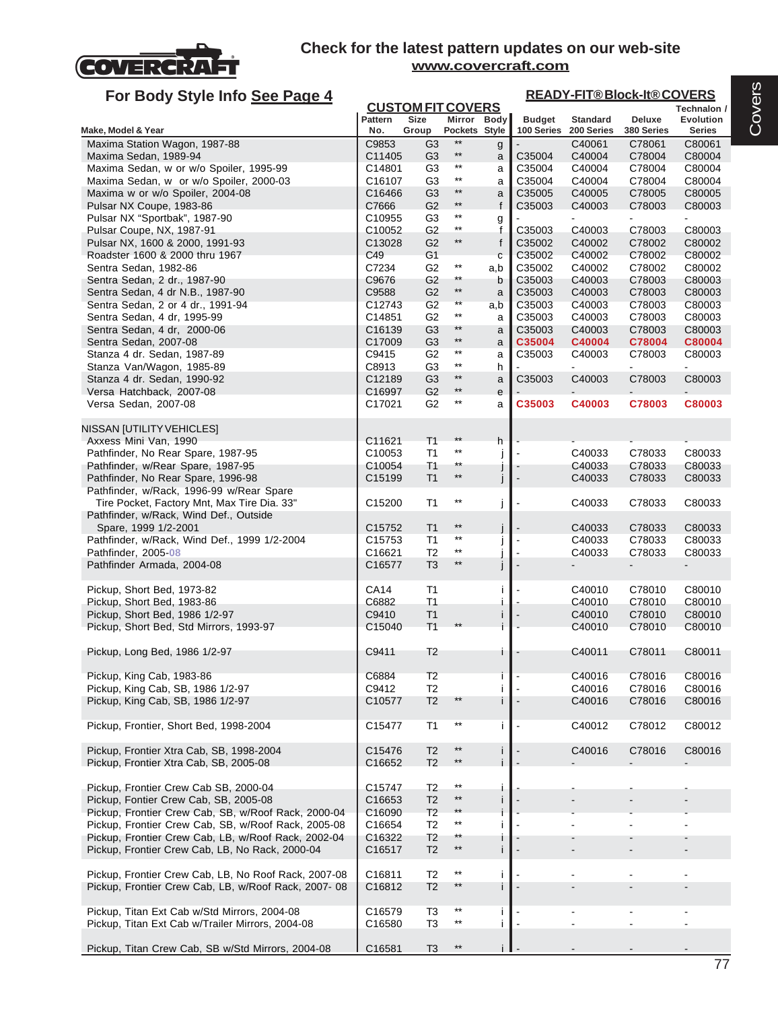

# **For Body Style Info See Page 4**

### **READY-FIT® Block-It® COVERS**

| Ful Duy Jiyit IIIIU <u>JEE Fayt 4</u>                            |                    | <b>CUSTOM FIT COVERS</b>         |                          |              |                  |                  |                  | Technalon /      |
|------------------------------------------------------------------|--------------------|----------------------------------|--------------------------|--------------|------------------|------------------|------------------|------------------|
|                                                                  | <b>Pattern</b>     | Size                             | Mirror Body              |              | <b>Budget</b>    | <b>Standard</b>  | Deluxe           | Evolution        |
| Make, Model & Year                                               | No.                | Group                            | Pockets Style            |              | 100 Series       | 200 Series       | 380 Series       | <b>Series</b>    |
| Maxima Station Wagon, 1987-88                                    | C9853              | G <sub>3</sub>                   | $***$                    | g            |                  | C40061           | C78061           | C80061           |
| Maxima Sedan, 1989-94                                            | C11405             | G <sub>3</sub>                   | $^{\star\star}$          | a            | C35004           | C40004           | C78004           | C80004           |
| Maxima Sedan, w or w/o Spoiler, 1995-99                          | C14801             | G <sub>3</sub>                   | $^{\star\star}$          | a            | C35004           | C40004           | C78004           | C80004           |
| Maxima Sedan, w or w/o Spoiler, 2000-03                          | C16107             | G <sub>3</sub>                   | $^{\star\star}$          | a            | C35004           | C40004           | C78004           | C80004           |
| Maxima w or w/o Spoiler, 2004-08                                 | C16466             | G <sub>3</sub>                   | $***$<br>$^{\star\star}$ | a            | C35005           | C40005           | C78005           | C80005           |
| Pulsar NX Coupe, 1983-86                                         | C7666              | G <sub>2</sub>                   | $^{\star\star}$          | f            | C35003           | C40003           | C78003           | C80003           |
| Pulsar NX "Sportbak", 1987-90                                    | C10955             | G <sub>3</sub>                   | $^{\star\star}$          | g            |                  |                  |                  |                  |
| Pulsar Coupe, NX, 1987-91                                        | C10052             | G <sub>2</sub>                   | $^{\star\star}$          | f            | C35003           | C40003           | C78003           | C80003           |
| Pulsar NX, 1600 & 2000, 1991-93                                  | C13028<br>C49      | G <sub>2</sub>                   |                          | f            | C35002           | C40002<br>C40002 | C78002           | C80002           |
| Roadster 1600 & 2000 thru 1967                                   | C7234              | G <sub>1</sub><br>G <sub>2</sub> | $^{\star\star}$          | $\mathbf{C}$ | C35002<br>C35002 | C40002           | C78002<br>C78002 | C80002<br>C80002 |
| Sentra Sedan, 1982-86                                            | C9676              | G <sub>2</sub>                   | $^{\star\star}$          | a,b          | C35003           |                  |                  |                  |
| Sentra Sedan, 2 dr., 1987-90<br>Sentra Sedan, 4 dr N.B., 1987-90 | C9588              | G <sub>2</sub>                   | $^{\star\star}$          | b<br>a       | C35003           | C40003<br>C40003 | C78003<br>C78003 | C80003<br>C80003 |
| Sentra Sedan, 2 or 4 dr., 1991-94                                | C12743             | G <sub>2</sub>                   | $\star\star$             | a,b          | C35003           | C40003           | C78003           | C80003           |
| Sentra Sedan, 4 dr, 1995-99                                      | C14851             | G <sub>2</sub>                   | $***$                    | a            | C35003           | C40003           | C78003           | C80003           |
| Sentra Sedan, 4 dr, 2000-06                                      | C16139             | G <sub>3</sub>                   | $***$                    | a            | C35003           | C40003           | C78003           | C80003           |
| Sentra Sedan, 2007-08                                            | C17009             | G <sub>3</sub>                   | $^{\star\star}$          | a            | C35004           | C40004           | C78004           | C80004           |
| Stanza 4 dr. Sedan, 1987-89                                      | C9415              | G <sub>2</sub>                   | $^{\star\star}$          | a            | C35003           | C40003           | C78003           | C80003           |
| Stanza Van/Wagon, 1985-89                                        | C8913              | G3                               | $^{\star\star}$          | h            |                  |                  |                  |                  |
| Stanza 4 dr. Sedan, 1990-92                                      | C12189             | G <sub>3</sub>                   | $^{\star\star}$          | a            | C35003           | C40003           | C78003           | C80003           |
| Versa Hatchback, 2007-08                                         | C16997             | G <sub>2</sub>                   | $\star\star$             | e            |                  |                  |                  |                  |
| Versa Sedan, 2007-08                                             | C17021             | G <sub>2</sub>                   | $^{\star\star}$          | a            | C35003           | C40003           | C78003           | C80003           |
|                                                                  |                    |                                  |                          |              |                  |                  |                  |                  |
| NISSAN [UTILITY VEHICLES]                                        |                    |                                  |                          |              |                  |                  |                  |                  |
| Axxess Mini Van, 1990                                            | C11621             | T <sub>1</sub>                   | $***$                    | h            |                  |                  |                  |                  |
| Pathfinder, No Rear Spare, 1987-95                               | C10053             | T1                               | $^{\star\star}$          |              |                  | C40033           | C78033           | C80033           |
| Pathfinder, w/Rear Spare, 1987-95                                | C10054             | T <sub>1</sub>                   | **                       |              |                  | C40033           | C78033           | C80033           |
| Pathfinder, No Rear Spare, 1996-98                               | C15199             | T1                               | $\star\star$             | J            |                  | C40033           | C78033           | C80033           |
| Pathfinder, w/Rack, 1996-99 w/Rear Spare                         |                    |                                  |                          |              |                  |                  |                  |                  |
| Tire Pocket, Factory Mnt, Max Tire Dia. 33"                      | C15200             | T1                               | $^{\star\star}$          | J            |                  | C40033           | C78033           | C80033           |
| Pathfinder, w/Rack, Wind Def., Outside                           |                    |                                  |                          |              |                  |                  |                  |                  |
| Spare, 1999 1/2-2001                                             | C15752             | T <sub>1</sub>                   | $^{\star\star}$          |              |                  | C40033           | C78033           | C80033           |
| Pathfinder, w/Rack, Wind Def., 1999 1/2-2004                     | C15753             | T <sub>1</sub>                   | $***$                    |              |                  | C40033           | C78033           | C80033           |
| Pathfinder, 2005-08                                              | C16621             | T <sub>2</sub>                   | $^{\star\star}$          |              |                  | C40033           | C78033           | C80033           |
| Pathfinder Armada, 2004-08                                       | C16577             | T <sub>3</sub>                   | $***$                    |              |                  |                  |                  |                  |
|                                                                  |                    |                                  |                          |              |                  |                  |                  |                  |
| Pickup, Short Bed, 1973-82                                       | <b>CA14</b>        | T <sub>1</sub>                   |                          |              |                  | C40010           | C78010           | C80010           |
| Pickup, Short Bed, 1983-86                                       | C6882              | T <sub>1</sub>                   |                          |              |                  | C40010           | C78010           | C80010           |
| Pickup, Short Bed, 1986 1/2-97                                   | C9410              | T <sub>1</sub>                   |                          |              |                  | C40010           | C78010           | C80010           |
| Pickup, Short Bed, Std Mirrors, 1993-97                          | C15040             | T <sub>1</sub>                   |                          |              |                  | C40010           | C78010           | C80010           |
|                                                                  |                    |                                  |                          |              |                  |                  |                  |                  |
| Pickup, Long Bed, 1986 1/2-97                                    | C9411              | T <sub>2</sub>                   |                          |              |                  | C40011           | C78011           | C80011           |
|                                                                  |                    |                                  |                          |              |                  |                  |                  |                  |
| Pickup, King Cab, 1983-86                                        | C6884              | T2                               |                          |              |                  | C40016           | C78016           | C80016           |
| Pickup, King Cab, SB, 1986 1/2-97                                | C9412              | T2                               |                          |              |                  | C40016           | C78016           | C80016           |
| Pickup, King Cab, SB, 1986 1/2-97                                | C10577             | T <sub>2</sub>                   | $**$                     |              |                  | C40016           | C78016           | C80016           |
|                                                                  |                    |                                  |                          |              |                  |                  |                  |                  |
| Pickup, Frontier, Short Bed, 1998-2004                           | C15477             | T <sub>1</sub>                   | $^{\star\star}$          | Ť            |                  | C40012           | C78012           | C80012           |
|                                                                  |                    |                                  |                          |              |                  |                  |                  |                  |
| Pickup, Frontier Xtra Cab, SB, 1998-2004                         | C15476             | T <sub>2</sub>                   | $**$                     |              |                  | C40016           | C78016           | C80016           |
| Pickup, Frontier Xtra Cab, SB, 2005-08                           | C16652             | T <sub>2</sub>                   | $***$                    |              |                  |                  |                  |                  |
|                                                                  |                    |                                  | $***$                    |              |                  |                  |                  |                  |
| Pickup, Frontier Crew Cab SB, 2000-04                            | C15747             | T2                               | $***$                    |              |                  |                  |                  |                  |
| Pickup, Fontier Crew Cab, SB, 2005-08                            | C16653             | T <sub>2</sub>                   | $***$                    |              |                  |                  |                  |                  |
| Pickup, Frontier Crew Cab, SB, w/Roof Rack, 2000-04              | C16090             | T <sub>2</sub>                   | $^{\star\star}$          |              |                  |                  |                  |                  |
| Pickup, Frontier Crew Cab, SB, w/Roof Rack, 2005-08              | C16654             | T <sub>2</sub>                   | $^{\star\star}$          |              |                  |                  |                  |                  |
| Pickup, Frontier Crew Cab, LB, w/Roof Rack, 2002-04              | C16322             | T <sub>2</sub>                   | $^{\star\star}$          |              |                  |                  |                  |                  |
| Pickup, Frontier Crew Cab, LB, No Rack, 2000-04                  | C16517             | T <sub>2</sub>                   |                          | Ť            |                  |                  |                  |                  |
|                                                                  |                    |                                  | $***$                    |              |                  |                  |                  |                  |
| Pickup, Frontier Crew Cab, LB, No Roof Rack, 2007-08             | C16811             | T <sub>2</sub>                   | $**$                     | Ť            |                  |                  |                  |                  |
| Pickup, Frontier Crew Cab, LB, w/Roof Rack, 2007-08              | C16812             | T <sub>2</sub>                   |                          | $\mathbf{I}$ |                  |                  |                  |                  |
| Pickup, Titan Ext Cab w/Std Mirrors, 2004-08                     |                    |                                  | $***$                    |              |                  |                  |                  |                  |
|                                                                  | C16579<br>C16580   | T3<br>T3                         | $^{\star\star}$          | j.           |                  |                  |                  | $\overline{a}$   |
| Pickup, Titan Ext Cab w/Trailer Mirrors, 2004-08                 |                    |                                  |                          |              |                  |                  |                  |                  |
|                                                                  |                    |                                  | $^{\star\star}$          |              |                  |                  |                  |                  |
| Pickup, Titan Crew Cab, SB w/Std Mirrors, 2004-08                | C <sub>16581</sub> | T3                               |                          | j I          |                  |                  |                  |                  |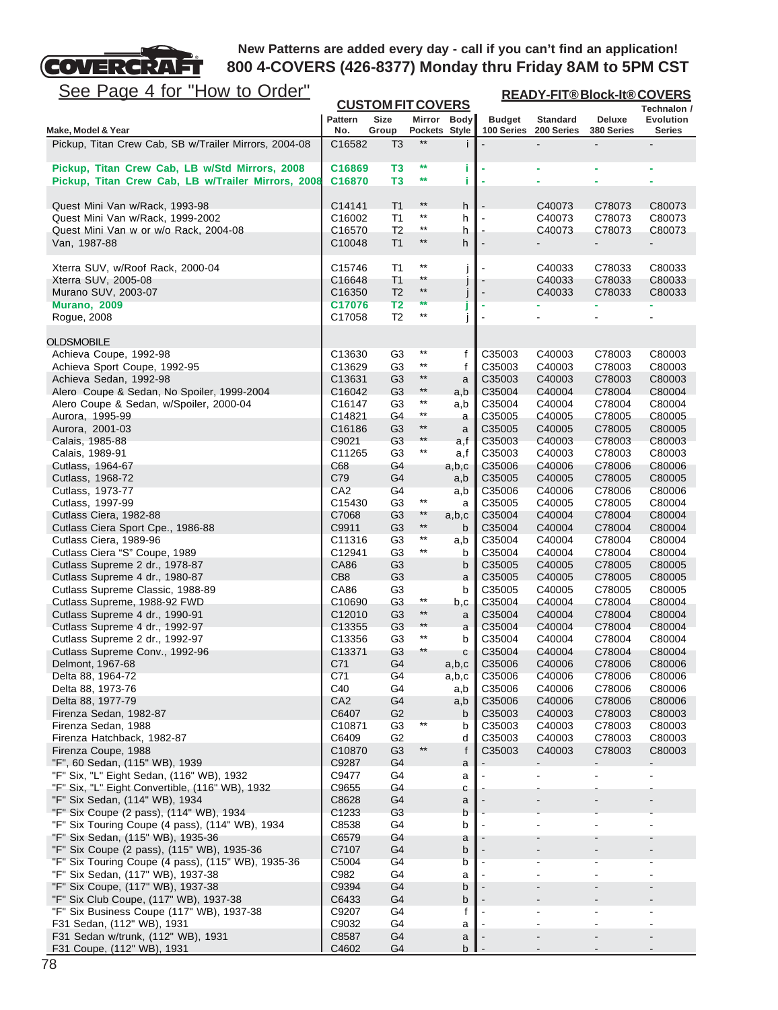

| <u>See Page 4 for "How to Order"</u>                                                  |                              |                                  |                                    |              |                             | <b>READY-FIT®Block-It®COVERS</b> |                      |                            |  |  |
|---------------------------------------------------------------------------------------|------------------------------|----------------------------------|------------------------------------|--------------|-----------------------------|----------------------------------|----------------------|----------------------------|--|--|
|                                                                                       |                              | <b>CUSTOM FIT COVERS</b>         |                                    |              |                             |                                  |                      | Technalon /                |  |  |
| Make, Model & Year                                                                    | <b>Pattern</b><br>No.        | Size<br>Group                    | Mirror Body<br>Pockets Style       |              | <b>Budget</b><br>100 Series | <b>Standard</b><br>200 Series    | Deluxe<br>380 Series | <b>Evolution</b><br>Series |  |  |
| Pickup, Titan Crew Cab, SB w/Trailer Mirrors, 2004-08                                 | C16582                       | T <sub>3</sub>                   | $**$                               |              |                             |                                  | $\blacksquare$       |                            |  |  |
|                                                                                       |                              |                                  |                                    |              |                             |                                  |                      |                            |  |  |
| Pickup, Titan Crew Cab, LB w/Std Mirrors, 2008                                        | C16869                       | T3                               | $\star\star$<br>$\star\star$       | î.           |                             |                                  |                      |                            |  |  |
| Pickup, Titan Crew Cab, LB w/Trailer Mirrors, 2008                                    | C16870                       | T3                               |                                    | i            |                             | ٠                                | ÷,                   |                            |  |  |
| Quest Mini Van w/Rack, 1993-98                                                        | C14141                       | T <sub>1</sub>                   | $**$                               | h            |                             | C40073                           | C78073               | C80073                     |  |  |
| Quest Mini Van w/Rack, 1999-2002                                                      | C <sub>16002</sub>           | T <sub>1</sub>                   | $^{\star\star}$                    | h            |                             | C40073                           | C78073               | C80073                     |  |  |
| Quest Mini Van w or w/o Rack, 2004-08                                                 | C16570                       | T <sub>2</sub>                   | $^{\star\star}$                    | h            |                             | C40073                           | C78073               | C80073                     |  |  |
| Van, 1987-88                                                                          | C10048                       | T1                               | $***$                              | h            |                             |                                  |                      |                            |  |  |
| Xterra SUV, w/Roof Rack, 2000-04                                                      | C15746                       | T1                               | $***$                              | j            |                             | C40033                           | C78033               | C80033                     |  |  |
| Xterra SUV, 2005-08                                                                   | C16648                       | T <sub>1</sub>                   | $^{\star\star}$                    |              |                             | C40033                           | C78033               | C80033                     |  |  |
| Murano SUV, 2003-07                                                                   | C <sub>16350</sub>           | T <sub>2</sub>                   | $***$                              | J            |                             | C40033                           | C78033               | C80033                     |  |  |
| <b>Murano, 2009</b>                                                                   | C17076                       | T2                               | **<br>$^{\star\star}$              | J            |                             |                                  |                      |                            |  |  |
| Rogue, 2008                                                                           | C17058                       | T <sub>2</sub>                   |                                    | İ            |                             |                                  |                      |                            |  |  |
| <b>OLDSMOBILE</b>                                                                     |                              |                                  |                                    |              |                             |                                  |                      |                            |  |  |
| Achieva Coupe, 1992-98                                                                | C13630                       | G <sub>3</sub>                   | $^{\star\star}$                    | f            | C35003                      | C40003                           | C78003               | C80003                     |  |  |
| Achieva Sport Coupe, 1992-95                                                          | C13629                       | G3                               | $^{\star\star}$                    | f            | C35003                      | C40003                           | C78003               | C80003                     |  |  |
| Achieva Sedan, 1992-98                                                                | C13631                       | G <sub>3</sub><br>G <sub>3</sub> | $***$<br>$^{\star\star}$           | a            | C35003<br>C35004            | C40003<br>C40004                 | C78003<br>C78004     | C80003<br>C80004           |  |  |
| Alero Coupe & Sedan, No Spoiler, 1999-2004<br>Alero Coupe & Sedan, w/Spoiler, 2000-04 | C16042<br>C16147             | G3                               | $^{\star\star}$                    | a,b<br>a,b   | C35004                      | C40004                           | C78004               | C80004                     |  |  |
| Aurora, 1995-99                                                                       | C14821                       | G4                               | $^{\star\star}$                    | a            | C35005                      | C40005                           | C78005               | C80005                     |  |  |
| Aurora, 2001-03                                                                       | C16186                       | G <sub>3</sub>                   | $^{\star\star}$                    | a            | C35005                      | C40005                           | C78005               | C80005                     |  |  |
| Calais, 1985-88                                                                       | C9021                        | G3                               | $**$                               | a,f          | C35003                      | C40003                           | C78003               | C80003                     |  |  |
| Calais, 1989-91                                                                       | C11265                       | G <sub>3</sub>                   | $^{\star\star}$                    | a,f          | C35003                      | C40003                           | C78003               | C80003                     |  |  |
| Cutlass, 1964-67<br>Cutlass, 1968-72                                                  | C68<br>C79                   | G4<br>G4                         |                                    | a,b,c<br>a,b | C35006<br>C35005            | C40006<br>C40005                 | C78006<br>C78005     | C80006<br>C80005           |  |  |
| Cutlass, 1973-77                                                                      | CA2                          | G4                               |                                    | a,b          | C35006                      | C40006                           | C78006               | C80006                     |  |  |
| Cutlass, 1997-99                                                                      | C15430                       | G3                               | $^{\star\star}$                    | a            | C35005                      | C40005                           | C78005               | C80004                     |  |  |
| Cutlass Ciera, 1982-88                                                                | C7068                        | G <sub>3</sub>                   | $**$                               | a,b,c        | C35004                      | C40004                           | C78004               | C80004                     |  |  |
| Cutlass Ciera Sport Cpe., 1986-88                                                     | C9911                        | G <sub>3</sub>                   | $***$<br>$^{\star\star}$           | b            | C35004                      | C40004                           | C78004               | C80004                     |  |  |
| Cutlass Ciera, 1989-96<br>Cutlass Ciera "S" Coupe, 1989                               | C11316<br>C12941             | G3<br>G3                         | $***$                              | a,b<br>b     | C35004<br>C35004            | C40004<br>C40004                 | C78004<br>C78004     | C80004<br>C80004           |  |  |
| Cutlass Supreme 2 dr., 1978-87                                                        | CA86                         | G <sub>3</sub>                   |                                    | b            | C35005                      | C40005                           | C78005               | C80005                     |  |  |
| Cutlass Supreme 4 dr., 1980-87                                                        | CB8                          | G <sub>3</sub>                   |                                    | a            | C35005                      | C40005                           | C78005               | C80005                     |  |  |
| Cutlass Supreme Classic, 1988-89                                                      | CA86                         | G3                               |                                    | b            | C35005                      | C40005                           | C78005               | C80005                     |  |  |
| Cutlass Supreme, 1988-92 FWD                                                          | C10690                       | G <sub>3</sub>                   | $^{\star\star}$<br>$^{\star\star}$ | b,c          | C35004                      | C40004                           | C78004               | C80004                     |  |  |
| Cutlass Supreme 4 dr., 1990-91<br>Cutlass Supreme 4 dr., 1992-97                      | C12010<br>C <sub>13355</sub> | G <sub>3</sub><br>G <sub>3</sub> | $***$                              | a<br>a       | C35004<br>C35004            | C40004<br>C40004                 | C78004<br>C78004     | C80004<br>C80004           |  |  |
| Cutlass Supreme 2 dr., 1992-97                                                        | C <sub>13356</sub>           | G <sub>3</sub>                   | $***$                              | b            | C35004                      | C40004                           | C78004               | C80004                     |  |  |
| Cutlass Supreme Conv., 1992-96                                                        | C13371                       | G3                               | **                                 | С            | C35004                      | C40004                           | C78004               | C80004                     |  |  |
| Delmont, 1967-68                                                                      | C71                          | G4                               |                                    | a,b,c        | C35006                      | C40006                           | C78006               | C80006                     |  |  |
| Delta 88, 1964-72                                                                     | C71                          | G4                               |                                    | a,b,c        | C35006                      | C40006                           | C78006               | C80006                     |  |  |
| Delta 88, 1973-76<br>Delta 88, 1977-79                                                | C40<br>CA <sub>2</sub>       | G4<br>G4                         |                                    | a,b<br>a,b   | C35006<br>C35006            | C40006<br>C40006                 | C78006<br>C78006     | C80006<br>C80006           |  |  |
| Firenza Sedan, 1982-87                                                                | C6407                        | G2                               |                                    | b            | C35003                      | C40003                           | C78003               | C80003                     |  |  |
| Firenza Sedan, 1988                                                                   | C <sub>10871</sub>           | G3                               | $^{\star\star}$                    | b            | C35003                      | C40003                           | C78003               | C80003                     |  |  |
| Firenza Hatchback, 1982-87                                                            | C6409                        | G <sub>2</sub>                   |                                    | d            | C35003                      | C40003                           | C78003               | C80003                     |  |  |
| Firenza Coupe, 1988                                                                   | C10870                       | G <sub>3</sub>                   | $^{\star\star}$                    | f            | C35003                      | C40003                           | C78003               | C80003                     |  |  |
| "F", 60 Sedan, (115" WB), 1939<br>"F" Six, "L" Eight Sedan, (116" WB), 1932           | C9287<br>C9477               | G4<br>G4                         |                                    | a            |                             |                                  |                      |                            |  |  |
| "F" Six, "L" Eight Convertible, (116" WB), 1932                                       | C9655                        | G4                               |                                    | a<br>С       |                             |                                  |                      |                            |  |  |
| "F" Six Sedan, (114" WB), 1934                                                        | C8628                        | G4                               |                                    | a            |                             |                                  |                      |                            |  |  |
| "F" Six Coupe (2 pass), (114" WB), 1934                                               | C1233                        | G <sub>3</sub>                   |                                    | b            |                             |                                  |                      |                            |  |  |
| "F" Six Touring Coupe (4 pass), (114" WB), 1934                                       | C8538                        | G4                               |                                    | b            |                             |                                  |                      |                            |  |  |
| "F" Six Sedan, (115" WB), 1935-36<br>"F" Six Coupe (2 pass), (115" WB), 1935-36       | C6579<br>C7107               | G4<br>G4                         |                                    | a<br>b       |                             |                                  |                      |                            |  |  |
| "F" Six Touring Coupe (4 pass), (115" WB), 1935-36                                    | C5004                        | G4                               |                                    | b            |                             |                                  |                      |                            |  |  |
| "F" Six Sedan, (117" WB), 1937-38                                                     | C982                         | G4                               |                                    | a            |                             |                                  |                      |                            |  |  |
| "F" Six Coupe, (117" WB), 1937-38                                                     | C9394                        | G4                               |                                    | b            |                             |                                  |                      |                            |  |  |
| "F" Six Club Coupe, (117" WB), 1937-38                                                | C6433                        | G4                               |                                    | b            |                             |                                  |                      |                            |  |  |
| "F" Six Business Coupe (117" WB), 1937-38<br>F31 Sedan, (112" WB), 1931               | C9207<br>C9032               | G4<br>G4                         |                                    | f            |                             | $\blacksquare$                   | $\blacksquare$       |                            |  |  |
| F31 Sedan w/trunk, (112" WB), 1931                                                    | C8587                        | G4                               |                                    | a<br>a       |                             |                                  |                      |                            |  |  |
| F31 Coupe, (112" WB), 1931                                                            | C4602                        | G4                               |                                    | b            |                             |                                  |                      |                            |  |  |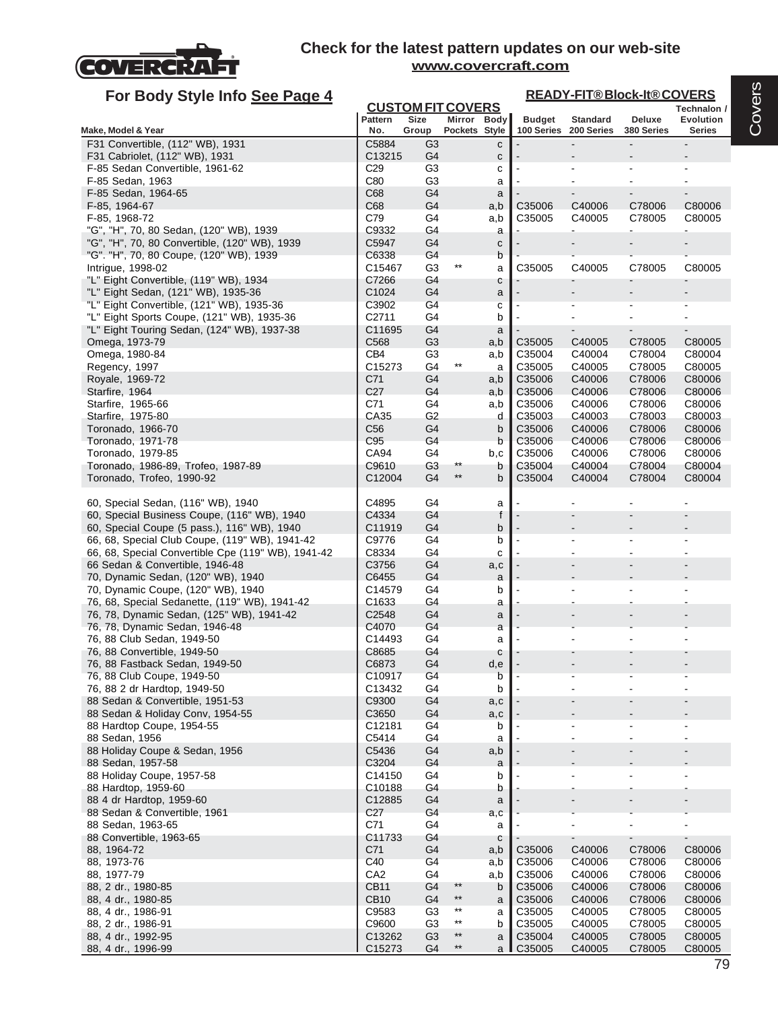

| <b>CUSTOM FIT COVERS</b><br><b>Size</b><br><b>Pattern</b><br>Mirror Body<br><b>Budget</b><br><b>Standard</b><br>Deluxe<br><b>Evolution</b><br>No.<br>Pockets Style<br>100 Series<br>200 Series<br>380 Series<br><b>Series</b><br>Group<br>F31 Convertible, (112" WB), 1931<br>C5884<br>G3<br>$\overline{a}$<br>c<br>C13215<br>G <sub>4</sub><br>F31 Cabriolet, (112" WB), 1931<br>с<br>C <sub>29</sub><br>G3<br>F-85 Sedan Convertible, 1961-62<br>c<br>C80<br>G <sub>3</sub><br>F-85 Sedan, 1963<br>a<br>C68<br>G4<br>F-85 Sedan, 1964-65<br>a<br>C68<br>G <sub>4</sub><br>C35006<br>C40006<br>C78006<br>C80006<br>F-85, 1964-67<br>a,b<br>C79<br>G <sub>4</sub><br>C35005<br>F-85, 1968-72<br>C40005<br>C78005<br>C80005<br>a,b<br>G4<br>"G", "H", 70, 80 Sedan, (120" WB), 1939<br>C9332<br>a<br>"G", "H", 70, 80 Convertible, (120" WB), 1939<br>C5947<br>G4<br>с<br>"G". "H", 70, 80 Coupe, (120" WB), 1939<br>C6338<br>G4<br>b<br>$^{\star\star}$<br>G3<br>C35005<br>C80005<br>Intrigue, 1998-02<br>C15467<br>C40005<br>C78005<br>a<br>"L" Eight Convertible, (119" WB), 1934<br>G4<br>C7266<br>с<br>C1024<br>"L" Eight Sedan, (121" WB), 1935-36<br>G4<br>a<br>"L" Eight Convertible, (121" WB), 1935-36<br>C3902<br>G4<br>C<br>"L" Eight Sports Coupe, (121" WB), 1935-36<br>C2711<br>G4<br>b<br>"L" Eight Touring Sedan, (124" WB), 1937-38<br>C11695<br>G4<br>a<br>C568<br>G <sub>3</sub><br>C78005<br>Omega, 1973-79<br>C35005<br>C40005<br>C80005<br>a,b<br>CB4<br>Omega, 1980-84<br>G3<br>C35004<br>C40004<br>C78004<br>C80004<br>a,b<br>$^{\star\star}$<br>C15273<br>G4<br>C35005<br>C40005<br>C78005<br>C80005<br>Regency, 1997<br>a<br>C71<br>G4<br>C35006<br>C40006<br>C78006<br>Royale, 1969-72<br>C80006<br>a,b<br>C <sub>27</sub><br>G <sub>4</sub><br>C35006<br>C40006<br>C78006<br>C80006<br>Starfire, 1964<br>a,b<br>C71<br>G <sub>4</sub><br>C35006<br>C78006<br>Starfire, 1965-66<br>C40006<br>C80006<br>a,b<br>G2<br>Starfire, 1975-80<br>CA35<br>C35003<br>C40003<br>C78003<br>C80003<br>d<br>C <sub>56</sub><br>G4<br>C35006<br>C40006<br>C78006<br>C80006<br>Toronado, 1966-70<br>b<br>Toronado, 1971-78<br>C95<br>G4<br>C35006<br>C40006<br>C78006<br>C80006<br>b<br>CA94<br>G4<br>C35006<br>C40006<br>C78006<br>C80006<br>Toronado, 1979-85<br>b,c<br>C9610<br>G <sub>3</sub><br>$\star\star$<br>C35004<br>C40004<br>C78004<br>Toronado, 1986-89, Trofeo, 1987-89<br>C80004<br>b<br>$***$<br>C35004<br>C40004<br>Toronado, Trofeo, 1990-92<br>C12004<br>G4<br>C78004<br>C80004<br>b<br>60, Special Sedan, (116" WB), 1940<br>C4895<br>G4<br>a<br>60, Special Business Coupe, (116" WB), 1940<br>C4334<br>$\mathsf{f}$<br>G4<br>60, Special Coupe (5 pass.), 116" WB), 1940<br>G4<br>C11919<br>b<br>G4<br>66, 68, Special Club Coupe, (119" WB), 1941-42<br>C9776<br>b<br>66, 68, Special Convertible Cpe (119" WB), 1941-42<br>C8334<br>G4<br>c<br>66 Sedan & Convertible, 1946-48<br>C3756<br>G4<br>a,c<br>70, Dynamic Sedan, (120" WB), 1940<br>C6455<br>G <sub>4</sub><br>a<br>G4<br>70, Dynamic Coupe, (120" WB), 1940<br>C14579<br>b<br>G4<br>76, 68, Special Sedanette, (119" WB), 1941-42<br>C1633<br>a<br>G4<br>76, 78, Dynamic Sedan, (125" WB), 1941-42<br>C <sub>2548</sub><br>a<br>C4070<br>G4<br>76, 78, Dynamic Sedan, 1946-48<br>a<br>76, 88 Club Sedan, 1949-50<br>C14493<br>G4<br>a<br>G4<br>76, 88 Convertible, 1949-50<br>C8685<br>С<br>76, 88 Fastback Sedan, 1949-50<br>C6873<br>G <sub>4</sub><br>d,e<br>76, 88 Club Coupe, 1949-50<br>C10917<br>G4<br>b<br>76, 88 2 dr Hardtop, 1949-50<br>C13432<br>G4<br>b<br>C9300<br>G <sub>4</sub><br>88 Sedan & Convertible, 1951-53<br>a,c<br>G <sub>4</sub><br>88 Sedan & Holiday Conv, 1954-55<br>C3650<br>a,c<br>88 Hardtop Coupe, 1954-55<br>C12181<br>G4<br>b<br>C5414<br>G4<br>88 Sedan, 1956<br>a<br>88 Holiday Coupe & Sedan, 1956<br>C5436<br>G <sub>4</sub><br>a,b<br>C3204<br>G4<br>88 Sedan, 1957-58<br>a<br>G <sub>4</sub><br>88 Holiday Coupe, 1957-58<br>C14150<br>b<br>G4<br>88 Hardtop, 1959-60<br>C10188<br>b<br>G <sub>4</sub><br>88 4 dr Hardtop, 1959-60<br>C12885<br>a<br>G4<br>C <sub>27</sub><br>88 Sedan & Convertible, 1961<br>a,c<br>C71<br>G4<br>88 Sedan, 1963-65<br>a<br>C11733<br>G4<br>88 Convertible, 1963-65<br>с<br>C71<br>G <sub>4</sub><br>88, 1964-72<br>C35006<br>C40006<br>C78006<br>C80006<br>a,b<br>C40<br>G4<br>88, 1973-76<br>C35006<br>C40006<br>C78006<br>C80006<br>a,b<br>CA <sub>2</sub><br>G4<br>C35006<br>C40006<br>C78006<br>88, 1977-79<br>C80006<br>a,b<br><b>CB11</b><br>G <sub>4</sub><br>$***$<br>C35006<br>C78006<br>C40006<br>C80006<br>88, 2 dr., 1980-85<br>b<br>$**$<br><b>CB10</b><br>G <sub>4</sub><br>C35006<br>88, 4 dr., 1980-85<br>C40006<br>C78006<br>C80006<br>a<br>$***$<br>88, 4 dr., 1986-91<br>C9583<br>G3<br>C35005<br>C40005<br>C78005<br>C80005<br>a<br>$^{\star\star}$<br>C9600<br>G <sub>3</sub><br>C35005<br>C40005<br>C78005<br>C80005<br>88, 2 dr., 1986-91<br>b<br>$^{\star\star}$<br>C13262<br>G <sub>3</sub><br>C35004<br>C40005<br>C78005<br>88, 4 dr., 1992-95<br>C80005<br>a | For Body Style Info See Page 4 |        |                |                 |   |        |        | <b>READY-FIT®Block-It®COVERS</b> |             |
|------------------------------------------------------------------------------------------------------------------------------------------------------------------------------------------------------------------------------------------------------------------------------------------------------------------------------------------------------------------------------------------------------------------------------------------------------------------------------------------------------------------------------------------------------------------------------------------------------------------------------------------------------------------------------------------------------------------------------------------------------------------------------------------------------------------------------------------------------------------------------------------------------------------------------------------------------------------------------------------------------------------------------------------------------------------------------------------------------------------------------------------------------------------------------------------------------------------------------------------------------------------------------------------------------------------------------------------------------------------------------------------------------------------------------------------------------------------------------------------------------------------------------------------------------------------------------------------------------------------------------------------------------------------------------------------------------------------------------------------------------------------------------------------------------------------------------------------------------------------------------------------------------------------------------------------------------------------------------------------------------------------------------------------------------------------------------------------------------------------------------------------------------------------------------------------------------------------------------------------------------------------------------------------------------------------------------------------------------------------------------------------------------------------------------------------------------------------------------------------------------------------------------------------------------------------------------------------------------------------------------------------------------------------------------------------------------------------------------------------------------------------------------------------------------------------------------------------------------------------------------------------------------------------------------------------------------------------------------------------------------------------------------------------------------------------------------------------------------------------------------------------------------------------------------------------------------------------------------------------------------------------------------------------------------------------------------------------------------------------------------------------------------------------------------------------------------------------------------------------------------------------------------------------------------------------------------------------------------------------------------------------------------------------------------------------------------------------------------------------------------------------------------------------------------------------------------------------------------------------------------------------------------------------------------------------------------------------------------------------------------------------------------------------------------------------------------------------------------------------------------------------------------------------------------------------------------------------------------------------------------------------------------------------------------------------------------------------------------------------------------------------------------------------------------------------------------------------------------------------------------------------------------------------------------------------------------------------------------------------------------------------------------------------------------------------------------------------------------------------------------------------------------------------------------------------------------------------------------------------------------------------------------------------------------------------------------------------------------------------------------------------------------------------------------------------|--------------------------------|--------|----------------|-----------------|---|--------|--------|----------------------------------|-------------|
|                                                                                                                                                                                                                                                                                                                                                                                                                                                                                                                                                                                                                                                                                                                                                                                                                                                                                                                                                                                                                                                                                                                                                                                                                                                                                                                                                                                                                                                                                                                                                                                                                                                                                                                                                                                                                                                                                                                                                                                                                                                                                                                                                                                                                                                                                                                                                                                                                                                                                                                                                                                                                                                                                                                                                                                                                                                                                                                                                                                                                                                                                                                                                                                                                                                                                                                                                                                                                                                                                                                                                                                                                                                                                                                                                                                                                                                                                                                                                                                                                                                                                                                                                                                                                                                                                                                                                                                                                                                                                                                                                                                                                                                                                                                                                                                                                                                                                                                                                                                                                                                                  |                                |        |                |                 |   |        |        |                                  | Technalon / |
|                                                                                                                                                                                                                                                                                                                                                                                                                                                                                                                                                                                                                                                                                                                                                                                                                                                                                                                                                                                                                                                                                                                                                                                                                                                                                                                                                                                                                                                                                                                                                                                                                                                                                                                                                                                                                                                                                                                                                                                                                                                                                                                                                                                                                                                                                                                                                                                                                                                                                                                                                                                                                                                                                                                                                                                                                                                                                                                                                                                                                                                                                                                                                                                                                                                                                                                                                                                                                                                                                                                                                                                                                                                                                                                                                                                                                                                                                                                                                                                                                                                                                                                                                                                                                                                                                                                                                                                                                                                                                                                                                                                                                                                                                                                                                                                                                                                                                                                                                                                                                                                                  | Make, Model & Year             |        |                |                 |   |        |        |                                  |             |
|                                                                                                                                                                                                                                                                                                                                                                                                                                                                                                                                                                                                                                                                                                                                                                                                                                                                                                                                                                                                                                                                                                                                                                                                                                                                                                                                                                                                                                                                                                                                                                                                                                                                                                                                                                                                                                                                                                                                                                                                                                                                                                                                                                                                                                                                                                                                                                                                                                                                                                                                                                                                                                                                                                                                                                                                                                                                                                                                                                                                                                                                                                                                                                                                                                                                                                                                                                                                                                                                                                                                                                                                                                                                                                                                                                                                                                                                                                                                                                                                                                                                                                                                                                                                                                                                                                                                                                                                                                                                                                                                                                                                                                                                                                                                                                                                                                                                                                                                                                                                                                                                  |                                |        |                |                 |   |        |        |                                  |             |
|                                                                                                                                                                                                                                                                                                                                                                                                                                                                                                                                                                                                                                                                                                                                                                                                                                                                                                                                                                                                                                                                                                                                                                                                                                                                                                                                                                                                                                                                                                                                                                                                                                                                                                                                                                                                                                                                                                                                                                                                                                                                                                                                                                                                                                                                                                                                                                                                                                                                                                                                                                                                                                                                                                                                                                                                                                                                                                                                                                                                                                                                                                                                                                                                                                                                                                                                                                                                                                                                                                                                                                                                                                                                                                                                                                                                                                                                                                                                                                                                                                                                                                                                                                                                                                                                                                                                                                                                                                                                                                                                                                                                                                                                                                                                                                                                                                                                                                                                                                                                                                                                  |                                |        |                |                 |   |        |        |                                  |             |
|                                                                                                                                                                                                                                                                                                                                                                                                                                                                                                                                                                                                                                                                                                                                                                                                                                                                                                                                                                                                                                                                                                                                                                                                                                                                                                                                                                                                                                                                                                                                                                                                                                                                                                                                                                                                                                                                                                                                                                                                                                                                                                                                                                                                                                                                                                                                                                                                                                                                                                                                                                                                                                                                                                                                                                                                                                                                                                                                                                                                                                                                                                                                                                                                                                                                                                                                                                                                                                                                                                                                                                                                                                                                                                                                                                                                                                                                                                                                                                                                                                                                                                                                                                                                                                                                                                                                                                                                                                                                                                                                                                                                                                                                                                                                                                                                                                                                                                                                                                                                                                                                  |                                |        |                |                 |   |        |        |                                  |             |
|                                                                                                                                                                                                                                                                                                                                                                                                                                                                                                                                                                                                                                                                                                                                                                                                                                                                                                                                                                                                                                                                                                                                                                                                                                                                                                                                                                                                                                                                                                                                                                                                                                                                                                                                                                                                                                                                                                                                                                                                                                                                                                                                                                                                                                                                                                                                                                                                                                                                                                                                                                                                                                                                                                                                                                                                                                                                                                                                                                                                                                                                                                                                                                                                                                                                                                                                                                                                                                                                                                                                                                                                                                                                                                                                                                                                                                                                                                                                                                                                                                                                                                                                                                                                                                                                                                                                                                                                                                                                                                                                                                                                                                                                                                                                                                                                                                                                                                                                                                                                                                                                  |                                |        |                |                 |   |        |        |                                  |             |
|                                                                                                                                                                                                                                                                                                                                                                                                                                                                                                                                                                                                                                                                                                                                                                                                                                                                                                                                                                                                                                                                                                                                                                                                                                                                                                                                                                                                                                                                                                                                                                                                                                                                                                                                                                                                                                                                                                                                                                                                                                                                                                                                                                                                                                                                                                                                                                                                                                                                                                                                                                                                                                                                                                                                                                                                                                                                                                                                                                                                                                                                                                                                                                                                                                                                                                                                                                                                                                                                                                                                                                                                                                                                                                                                                                                                                                                                                                                                                                                                                                                                                                                                                                                                                                                                                                                                                                                                                                                                                                                                                                                                                                                                                                                                                                                                                                                                                                                                                                                                                                                                  |                                |        |                |                 |   |        |        |                                  |             |
|                                                                                                                                                                                                                                                                                                                                                                                                                                                                                                                                                                                                                                                                                                                                                                                                                                                                                                                                                                                                                                                                                                                                                                                                                                                                                                                                                                                                                                                                                                                                                                                                                                                                                                                                                                                                                                                                                                                                                                                                                                                                                                                                                                                                                                                                                                                                                                                                                                                                                                                                                                                                                                                                                                                                                                                                                                                                                                                                                                                                                                                                                                                                                                                                                                                                                                                                                                                                                                                                                                                                                                                                                                                                                                                                                                                                                                                                                                                                                                                                                                                                                                                                                                                                                                                                                                                                                                                                                                                                                                                                                                                                                                                                                                                                                                                                                                                                                                                                                                                                                                                                  |                                |        |                |                 |   |        |        |                                  |             |
|                                                                                                                                                                                                                                                                                                                                                                                                                                                                                                                                                                                                                                                                                                                                                                                                                                                                                                                                                                                                                                                                                                                                                                                                                                                                                                                                                                                                                                                                                                                                                                                                                                                                                                                                                                                                                                                                                                                                                                                                                                                                                                                                                                                                                                                                                                                                                                                                                                                                                                                                                                                                                                                                                                                                                                                                                                                                                                                                                                                                                                                                                                                                                                                                                                                                                                                                                                                                                                                                                                                                                                                                                                                                                                                                                                                                                                                                                                                                                                                                                                                                                                                                                                                                                                                                                                                                                                                                                                                                                                                                                                                                                                                                                                                                                                                                                                                                                                                                                                                                                                                                  |                                |        |                |                 |   |        |        |                                  |             |
|                                                                                                                                                                                                                                                                                                                                                                                                                                                                                                                                                                                                                                                                                                                                                                                                                                                                                                                                                                                                                                                                                                                                                                                                                                                                                                                                                                                                                                                                                                                                                                                                                                                                                                                                                                                                                                                                                                                                                                                                                                                                                                                                                                                                                                                                                                                                                                                                                                                                                                                                                                                                                                                                                                                                                                                                                                                                                                                                                                                                                                                                                                                                                                                                                                                                                                                                                                                                                                                                                                                                                                                                                                                                                                                                                                                                                                                                                                                                                                                                                                                                                                                                                                                                                                                                                                                                                                                                                                                                                                                                                                                                                                                                                                                                                                                                                                                                                                                                                                                                                                                                  |                                |        |                |                 |   |        |        |                                  |             |
|                                                                                                                                                                                                                                                                                                                                                                                                                                                                                                                                                                                                                                                                                                                                                                                                                                                                                                                                                                                                                                                                                                                                                                                                                                                                                                                                                                                                                                                                                                                                                                                                                                                                                                                                                                                                                                                                                                                                                                                                                                                                                                                                                                                                                                                                                                                                                                                                                                                                                                                                                                                                                                                                                                                                                                                                                                                                                                                                                                                                                                                                                                                                                                                                                                                                                                                                                                                                                                                                                                                                                                                                                                                                                                                                                                                                                                                                                                                                                                                                                                                                                                                                                                                                                                                                                                                                                                                                                                                                                                                                                                                                                                                                                                                                                                                                                                                                                                                                                                                                                                                                  |                                |        |                |                 |   |        |        |                                  |             |
|                                                                                                                                                                                                                                                                                                                                                                                                                                                                                                                                                                                                                                                                                                                                                                                                                                                                                                                                                                                                                                                                                                                                                                                                                                                                                                                                                                                                                                                                                                                                                                                                                                                                                                                                                                                                                                                                                                                                                                                                                                                                                                                                                                                                                                                                                                                                                                                                                                                                                                                                                                                                                                                                                                                                                                                                                                                                                                                                                                                                                                                                                                                                                                                                                                                                                                                                                                                                                                                                                                                                                                                                                                                                                                                                                                                                                                                                                                                                                                                                                                                                                                                                                                                                                                                                                                                                                                                                                                                                                                                                                                                                                                                                                                                                                                                                                                                                                                                                                                                                                                                                  |                                |        |                |                 |   |        |        |                                  |             |
|                                                                                                                                                                                                                                                                                                                                                                                                                                                                                                                                                                                                                                                                                                                                                                                                                                                                                                                                                                                                                                                                                                                                                                                                                                                                                                                                                                                                                                                                                                                                                                                                                                                                                                                                                                                                                                                                                                                                                                                                                                                                                                                                                                                                                                                                                                                                                                                                                                                                                                                                                                                                                                                                                                                                                                                                                                                                                                                                                                                                                                                                                                                                                                                                                                                                                                                                                                                                                                                                                                                                                                                                                                                                                                                                                                                                                                                                                                                                                                                                                                                                                                                                                                                                                                                                                                                                                                                                                                                                                                                                                                                                                                                                                                                                                                                                                                                                                                                                                                                                                                                                  |                                |        |                |                 |   |        |        |                                  |             |
|                                                                                                                                                                                                                                                                                                                                                                                                                                                                                                                                                                                                                                                                                                                                                                                                                                                                                                                                                                                                                                                                                                                                                                                                                                                                                                                                                                                                                                                                                                                                                                                                                                                                                                                                                                                                                                                                                                                                                                                                                                                                                                                                                                                                                                                                                                                                                                                                                                                                                                                                                                                                                                                                                                                                                                                                                                                                                                                                                                                                                                                                                                                                                                                                                                                                                                                                                                                                                                                                                                                                                                                                                                                                                                                                                                                                                                                                                                                                                                                                                                                                                                                                                                                                                                                                                                                                                                                                                                                                                                                                                                                                                                                                                                                                                                                                                                                                                                                                                                                                                                                                  |                                |        |                |                 |   |        |        |                                  |             |
|                                                                                                                                                                                                                                                                                                                                                                                                                                                                                                                                                                                                                                                                                                                                                                                                                                                                                                                                                                                                                                                                                                                                                                                                                                                                                                                                                                                                                                                                                                                                                                                                                                                                                                                                                                                                                                                                                                                                                                                                                                                                                                                                                                                                                                                                                                                                                                                                                                                                                                                                                                                                                                                                                                                                                                                                                                                                                                                                                                                                                                                                                                                                                                                                                                                                                                                                                                                                                                                                                                                                                                                                                                                                                                                                                                                                                                                                                                                                                                                                                                                                                                                                                                                                                                                                                                                                                                                                                                                                                                                                                                                                                                                                                                                                                                                                                                                                                                                                                                                                                                                                  |                                |        |                |                 |   |        |        |                                  |             |
|                                                                                                                                                                                                                                                                                                                                                                                                                                                                                                                                                                                                                                                                                                                                                                                                                                                                                                                                                                                                                                                                                                                                                                                                                                                                                                                                                                                                                                                                                                                                                                                                                                                                                                                                                                                                                                                                                                                                                                                                                                                                                                                                                                                                                                                                                                                                                                                                                                                                                                                                                                                                                                                                                                                                                                                                                                                                                                                                                                                                                                                                                                                                                                                                                                                                                                                                                                                                                                                                                                                                                                                                                                                                                                                                                                                                                                                                                                                                                                                                                                                                                                                                                                                                                                                                                                                                                                                                                                                                                                                                                                                                                                                                                                                                                                                                                                                                                                                                                                                                                                                                  |                                |        |                |                 |   |        |        |                                  |             |
|                                                                                                                                                                                                                                                                                                                                                                                                                                                                                                                                                                                                                                                                                                                                                                                                                                                                                                                                                                                                                                                                                                                                                                                                                                                                                                                                                                                                                                                                                                                                                                                                                                                                                                                                                                                                                                                                                                                                                                                                                                                                                                                                                                                                                                                                                                                                                                                                                                                                                                                                                                                                                                                                                                                                                                                                                                                                                                                                                                                                                                                                                                                                                                                                                                                                                                                                                                                                                                                                                                                                                                                                                                                                                                                                                                                                                                                                                                                                                                                                                                                                                                                                                                                                                                                                                                                                                                                                                                                                                                                                                                                                                                                                                                                                                                                                                                                                                                                                                                                                                                                                  |                                |        |                |                 |   |        |        |                                  |             |
|                                                                                                                                                                                                                                                                                                                                                                                                                                                                                                                                                                                                                                                                                                                                                                                                                                                                                                                                                                                                                                                                                                                                                                                                                                                                                                                                                                                                                                                                                                                                                                                                                                                                                                                                                                                                                                                                                                                                                                                                                                                                                                                                                                                                                                                                                                                                                                                                                                                                                                                                                                                                                                                                                                                                                                                                                                                                                                                                                                                                                                                                                                                                                                                                                                                                                                                                                                                                                                                                                                                                                                                                                                                                                                                                                                                                                                                                                                                                                                                                                                                                                                                                                                                                                                                                                                                                                                                                                                                                                                                                                                                                                                                                                                                                                                                                                                                                                                                                                                                                                                                                  |                                |        |                |                 |   |        |        |                                  |             |
|                                                                                                                                                                                                                                                                                                                                                                                                                                                                                                                                                                                                                                                                                                                                                                                                                                                                                                                                                                                                                                                                                                                                                                                                                                                                                                                                                                                                                                                                                                                                                                                                                                                                                                                                                                                                                                                                                                                                                                                                                                                                                                                                                                                                                                                                                                                                                                                                                                                                                                                                                                                                                                                                                                                                                                                                                                                                                                                                                                                                                                                                                                                                                                                                                                                                                                                                                                                                                                                                                                                                                                                                                                                                                                                                                                                                                                                                                                                                                                                                                                                                                                                                                                                                                                                                                                                                                                                                                                                                                                                                                                                                                                                                                                                                                                                                                                                                                                                                                                                                                                                                  |                                |        |                |                 |   |        |        |                                  |             |
|                                                                                                                                                                                                                                                                                                                                                                                                                                                                                                                                                                                                                                                                                                                                                                                                                                                                                                                                                                                                                                                                                                                                                                                                                                                                                                                                                                                                                                                                                                                                                                                                                                                                                                                                                                                                                                                                                                                                                                                                                                                                                                                                                                                                                                                                                                                                                                                                                                                                                                                                                                                                                                                                                                                                                                                                                                                                                                                                                                                                                                                                                                                                                                                                                                                                                                                                                                                                                                                                                                                                                                                                                                                                                                                                                                                                                                                                                                                                                                                                                                                                                                                                                                                                                                                                                                                                                                                                                                                                                                                                                                                                                                                                                                                                                                                                                                                                                                                                                                                                                                                                  |                                |        |                |                 |   |        |        |                                  |             |
|                                                                                                                                                                                                                                                                                                                                                                                                                                                                                                                                                                                                                                                                                                                                                                                                                                                                                                                                                                                                                                                                                                                                                                                                                                                                                                                                                                                                                                                                                                                                                                                                                                                                                                                                                                                                                                                                                                                                                                                                                                                                                                                                                                                                                                                                                                                                                                                                                                                                                                                                                                                                                                                                                                                                                                                                                                                                                                                                                                                                                                                                                                                                                                                                                                                                                                                                                                                                                                                                                                                                                                                                                                                                                                                                                                                                                                                                                                                                                                                                                                                                                                                                                                                                                                                                                                                                                                                                                                                                                                                                                                                                                                                                                                                                                                                                                                                                                                                                                                                                                                                                  |                                |        |                |                 |   |        |        |                                  |             |
|                                                                                                                                                                                                                                                                                                                                                                                                                                                                                                                                                                                                                                                                                                                                                                                                                                                                                                                                                                                                                                                                                                                                                                                                                                                                                                                                                                                                                                                                                                                                                                                                                                                                                                                                                                                                                                                                                                                                                                                                                                                                                                                                                                                                                                                                                                                                                                                                                                                                                                                                                                                                                                                                                                                                                                                                                                                                                                                                                                                                                                                                                                                                                                                                                                                                                                                                                                                                                                                                                                                                                                                                                                                                                                                                                                                                                                                                                                                                                                                                                                                                                                                                                                                                                                                                                                                                                                                                                                                                                                                                                                                                                                                                                                                                                                                                                                                                                                                                                                                                                                                                  |                                |        |                |                 |   |        |        |                                  |             |
|                                                                                                                                                                                                                                                                                                                                                                                                                                                                                                                                                                                                                                                                                                                                                                                                                                                                                                                                                                                                                                                                                                                                                                                                                                                                                                                                                                                                                                                                                                                                                                                                                                                                                                                                                                                                                                                                                                                                                                                                                                                                                                                                                                                                                                                                                                                                                                                                                                                                                                                                                                                                                                                                                                                                                                                                                                                                                                                                                                                                                                                                                                                                                                                                                                                                                                                                                                                                                                                                                                                                                                                                                                                                                                                                                                                                                                                                                                                                                                                                                                                                                                                                                                                                                                                                                                                                                                                                                                                                                                                                                                                                                                                                                                                                                                                                                                                                                                                                                                                                                                                                  |                                |        |                |                 |   |        |        |                                  |             |
|                                                                                                                                                                                                                                                                                                                                                                                                                                                                                                                                                                                                                                                                                                                                                                                                                                                                                                                                                                                                                                                                                                                                                                                                                                                                                                                                                                                                                                                                                                                                                                                                                                                                                                                                                                                                                                                                                                                                                                                                                                                                                                                                                                                                                                                                                                                                                                                                                                                                                                                                                                                                                                                                                                                                                                                                                                                                                                                                                                                                                                                                                                                                                                                                                                                                                                                                                                                                                                                                                                                                                                                                                                                                                                                                                                                                                                                                                                                                                                                                                                                                                                                                                                                                                                                                                                                                                                                                                                                                                                                                                                                                                                                                                                                                                                                                                                                                                                                                                                                                                                                                  |                                |        |                |                 |   |        |        |                                  |             |
|                                                                                                                                                                                                                                                                                                                                                                                                                                                                                                                                                                                                                                                                                                                                                                                                                                                                                                                                                                                                                                                                                                                                                                                                                                                                                                                                                                                                                                                                                                                                                                                                                                                                                                                                                                                                                                                                                                                                                                                                                                                                                                                                                                                                                                                                                                                                                                                                                                                                                                                                                                                                                                                                                                                                                                                                                                                                                                                                                                                                                                                                                                                                                                                                                                                                                                                                                                                                                                                                                                                                                                                                                                                                                                                                                                                                                                                                                                                                                                                                                                                                                                                                                                                                                                                                                                                                                                                                                                                                                                                                                                                                                                                                                                                                                                                                                                                                                                                                                                                                                                                                  |                                |        |                |                 |   |        |        |                                  |             |
|                                                                                                                                                                                                                                                                                                                                                                                                                                                                                                                                                                                                                                                                                                                                                                                                                                                                                                                                                                                                                                                                                                                                                                                                                                                                                                                                                                                                                                                                                                                                                                                                                                                                                                                                                                                                                                                                                                                                                                                                                                                                                                                                                                                                                                                                                                                                                                                                                                                                                                                                                                                                                                                                                                                                                                                                                                                                                                                                                                                                                                                                                                                                                                                                                                                                                                                                                                                                                                                                                                                                                                                                                                                                                                                                                                                                                                                                                                                                                                                                                                                                                                                                                                                                                                                                                                                                                                                                                                                                                                                                                                                                                                                                                                                                                                                                                                                                                                                                                                                                                                                                  |                                |        |                |                 |   |        |        |                                  |             |
|                                                                                                                                                                                                                                                                                                                                                                                                                                                                                                                                                                                                                                                                                                                                                                                                                                                                                                                                                                                                                                                                                                                                                                                                                                                                                                                                                                                                                                                                                                                                                                                                                                                                                                                                                                                                                                                                                                                                                                                                                                                                                                                                                                                                                                                                                                                                                                                                                                                                                                                                                                                                                                                                                                                                                                                                                                                                                                                                                                                                                                                                                                                                                                                                                                                                                                                                                                                                                                                                                                                                                                                                                                                                                                                                                                                                                                                                                                                                                                                                                                                                                                                                                                                                                                                                                                                                                                                                                                                                                                                                                                                                                                                                                                                                                                                                                                                                                                                                                                                                                                                                  |                                |        |                |                 |   |        |        |                                  |             |
|                                                                                                                                                                                                                                                                                                                                                                                                                                                                                                                                                                                                                                                                                                                                                                                                                                                                                                                                                                                                                                                                                                                                                                                                                                                                                                                                                                                                                                                                                                                                                                                                                                                                                                                                                                                                                                                                                                                                                                                                                                                                                                                                                                                                                                                                                                                                                                                                                                                                                                                                                                                                                                                                                                                                                                                                                                                                                                                                                                                                                                                                                                                                                                                                                                                                                                                                                                                                                                                                                                                                                                                                                                                                                                                                                                                                                                                                                                                                                                                                                                                                                                                                                                                                                                                                                                                                                                                                                                                                                                                                                                                                                                                                                                                                                                                                                                                                                                                                                                                                                                                                  |                                |        |                |                 |   |        |        |                                  |             |
|                                                                                                                                                                                                                                                                                                                                                                                                                                                                                                                                                                                                                                                                                                                                                                                                                                                                                                                                                                                                                                                                                                                                                                                                                                                                                                                                                                                                                                                                                                                                                                                                                                                                                                                                                                                                                                                                                                                                                                                                                                                                                                                                                                                                                                                                                                                                                                                                                                                                                                                                                                                                                                                                                                                                                                                                                                                                                                                                                                                                                                                                                                                                                                                                                                                                                                                                                                                                                                                                                                                                                                                                                                                                                                                                                                                                                                                                                                                                                                                                                                                                                                                                                                                                                                                                                                                                                                                                                                                                                                                                                                                                                                                                                                                                                                                                                                                                                                                                                                                                                                                                  |                                |        |                |                 |   |        |        |                                  |             |
|                                                                                                                                                                                                                                                                                                                                                                                                                                                                                                                                                                                                                                                                                                                                                                                                                                                                                                                                                                                                                                                                                                                                                                                                                                                                                                                                                                                                                                                                                                                                                                                                                                                                                                                                                                                                                                                                                                                                                                                                                                                                                                                                                                                                                                                                                                                                                                                                                                                                                                                                                                                                                                                                                                                                                                                                                                                                                                                                                                                                                                                                                                                                                                                                                                                                                                                                                                                                                                                                                                                                                                                                                                                                                                                                                                                                                                                                                                                                                                                                                                                                                                                                                                                                                                                                                                                                                                                                                                                                                                                                                                                                                                                                                                                                                                                                                                                                                                                                                                                                                                                                  |                                |        |                |                 |   |        |        |                                  |             |
|                                                                                                                                                                                                                                                                                                                                                                                                                                                                                                                                                                                                                                                                                                                                                                                                                                                                                                                                                                                                                                                                                                                                                                                                                                                                                                                                                                                                                                                                                                                                                                                                                                                                                                                                                                                                                                                                                                                                                                                                                                                                                                                                                                                                                                                                                                                                                                                                                                                                                                                                                                                                                                                                                                                                                                                                                                                                                                                                                                                                                                                                                                                                                                                                                                                                                                                                                                                                                                                                                                                                                                                                                                                                                                                                                                                                                                                                                                                                                                                                                                                                                                                                                                                                                                                                                                                                                                                                                                                                                                                                                                                                                                                                                                                                                                                                                                                                                                                                                                                                                                                                  |                                |        |                |                 |   |        |        |                                  |             |
|                                                                                                                                                                                                                                                                                                                                                                                                                                                                                                                                                                                                                                                                                                                                                                                                                                                                                                                                                                                                                                                                                                                                                                                                                                                                                                                                                                                                                                                                                                                                                                                                                                                                                                                                                                                                                                                                                                                                                                                                                                                                                                                                                                                                                                                                                                                                                                                                                                                                                                                                                                                                                                                                                                                                                                                                                                                                                                                                                                                                                                                                                                                                                                                                                                                                                                                                                                                                                                                                                                                                                                                                                                                                                                                                                                                                                                                                                                                                                                                                                                                                                                                                                                                                                                                                                                                                                                                                                                                                                                                                                                                                                                                                                                                                                                                                                                                                                                                                                                                                                                                                  |                                |        |                |                 |   |        |        |                                  |             |
|                                                                                                                                                                                                                                                                                                                                                                                                                                                                                                                                                                                                                                                                                                                                                                                                                                                                                                                                                                                                                                                                                                                                                                                                                                                                                                                                                                                                                                                                                                                                                                                                                                                                                                                                                                                                                                                                                                                                                                                                                                                                                                                                                                                                                                                                                                                                                                                                                                                                                                                                                                                                                                                                                                                                                                                                                                                                                                                                                                                                                                                                                                                                                                                                                                                                                                                                                                                                                                                                                                                                                                                                                                                                                                                                                                                                                                                                                                                                                                                                                                                                                                                                                                                                                                                                                                                                                                                                                                                                                                                                                                                                                                                                                                                                                                                                                                                                                                                                                                                                                                                                  |                                |        |                |                 |   |        |        |                                  |             |
|                                                                                                                                                                                                                                                                                                                                                                                                                                                                                                                                                                                                                                                                                                                                                                                                                                                                                                                                                                                                                                                                                                                                                                                                                                                                                                                                                                                                                                                                                                                                                                                                                                                                                                                                                                                                                                                                                                                                                                                                                                                                                                                                                                                                                                                                                                                                                                                                                                                                                                                                                                                                                                                                                                                                                                                                                                                                                                                                                                                                                                                                                                                                                                                                                                                                                                                                                                                                                                                                                                                                                                                                                                                                                                                                                                                                                                                                                                                                                                                                                                                                                                                                                                                                                                                                                                                                                                                                                                                                                                                                                                                                                                                                                                                                                                                                                                                                                                                                                                                                                                                                  |                                |        |                |                 |   |        |        |                                  |             |
|                                                                                                                                                                                                                                                                                                                                                                                                                                                                                                                                                                                                                                                                                                                                                                                                                                                                                                                                                                                                                                                                                                                                                                                                                                                                                                                                                                                                                                                                                                                                                                                                                                                                                                                                                                                                                                                                                                                                                                                                                                                                                                                                                                                                                                                                                                                                                                                                                                                                                                                                                                                                                                                                                                                                                                                                                                                                                                                                                                                                                                                                                                                                                                                                                                                                                                                                                                                                                                                                                                                                                                                                                                                                                                                                                                                                                                                                                                                                                                                                                                                                                                                                                                                                                                                                                                                                                                                                                                                                                                                                                                                                                                                                                                                                                                                                                                                                                                                                                                                                                                                                  |                                |        |                |                 |   |        |        |                                  |             |
|                                                                                                                                                                                                                                                                                                                                                                                                                                                                                                                                                                                                                                                                                                                                                                                                                                                                                                                                                                                                                                                                                                                                                                                                                                                                                                                                                                                                                                                                                                                                                                                                                                                                                                                                                                                                                                                                                                                                                                                                                                                                                                                                                                                                                                                                                                                                                                                                                                                                                                                                                                                                                                                                                                                                                                                                                                                                                                                                                                                                                                                                                                                                                                                                                                                                                                                                                                                                                                                                                                                                                                                                                                                                                                                                                                                                                                                                                                                                                                                                                                                                                                                                                                                                                                                                                                                                                                                                                                                                                                                                                                                                                                                                                                                                                                                                                                                                                                                                                                                                                                                                  |                                |        |                |                 |   |        |        |                                  |             |
|                                                                                                                                                                                                                                                                                                                                                                                                                                                                                                                                                                                                                                                                                                                                                                                                                                                                                                                                                                                                                                                                                                                                                                                                                                                                                                                                                                                                                                                                                                                                                                                                                                                                                                                                                                                                                                                                                                                                                                                                                                                                                                                                                                                                                                                                                                                                                                                                                                                                                                                                                                                                                                                                                                                                                                                                                                                                                                                                                                                                                                                                                                                                                                                                                                                                                                                                                                                                                                                                                                                                                                                                                                                                                                                                                                                                                                                                                                                                                                                                                                                                                                                                                                                                                                                                                                                                                                                                                                                                                                                                                                                                                                                                                                                                                                                                                                                                                                                                                                                                                                                                  |                                |        |                |                 |   |        |        |                                  |             |
|                                                                                                                                                                                                                                                                                                                                                                                                                                                                                                                                                                                                                                                                                                                                                                                                                                                                                                                                                                                                                                                                                                                                                                                                                                                                                                                                                                                                                                                                                                                                                                                                                                                                                                                                                                                                                                                                                                                                                                                                                                                                                                                                                                                                                                                                                                                                                                                                                                                                                                                                                                                                                                                                                                                                                                                                                                                                                                                                                                                                                                                                                                                                                                                                                                                                                                                                                                                                                                                                                                                                                                                                                                                                                                                                                                                                                                                                                                                                                                                                                                                                                                                                                                                                                                                                                                                                                                                                                                                                                                                                                                                                                                                                                                                                                                                                                                                                                                                                                                                                                                                                  |                                |        |                |                 |   |        |        |                                  |             |
|                                                                                                                                                                                                                                                                                                                                                                                                                                                                                                                                                                                                                                                                                                                                                                                                                                                                                                                                                                                                                                                                                                                                                                                                                                                                                                                                                                                                                                                                                                                                                                                                                                                                                                                                                                                                                                                                                                                                                                                                                                                                                                                                                                                                                                                                                                                                                                                                                                                                                                                                                                                                                                                                                                                                                                                                                                                                                                                                                                                                                                                                                                                                                                                                                                                                                                                                                                                                                                                                                                                                                                                                                                                                                                                                                                                                                                                                                                                                                                                                                                                                                                                                                                                                                                                                                                                                                                                                                                                                                                                                                                                                                                                                                                                                                                                                                                                                                                                                                                                                                                                                  |                                |        |                |                 |   |        |        |                                  |             |
|                                                                                                                                                                                                                                                                                                                                                                                                                                                                                                                                                                                                                                                                                                                                                                                                                                                                                                                                                                                                                                                                                                                                                                                                                                                                                                                                                                                                                                                                                                                                                                                                                                                                                                                                                                                                                                                                                                                                                                                                                                                                                                                                                                                                                                                                                                                                                                                                                                                                                                                                                                                                                                                                                                                                                                                                                                                                                                                                                                                                                                                                                                                                                                                                                                                                                                                                                                                                                                                                                                                                                                                                                                                                                                                                                                                                                                                                                                                                                                                                                                                                                                                                                                                                                                                                                                                                                                                                                                                                                                                                                                                                                                                                                                                                                                                                                                                                                                                                                                                                                                                                  |                                |        |                |                 |   |        |        |                                  |             |
|                                                                                                                                                                                                                                                                                                                                                                                                                                                                                                                                                                                                                                                                                                                                                                                                                                                                                                                                                                                                                                                                                                                                                                                                                                                                                                                                                                                                                                                                                                                                                                                                                                                                                                                                                                                                                                                                                                                                                                                                                                                                                                                                                                                                                                                                                                                                                                                                                                                                                                                                                                                                                                                                                                                                                                                                                                                                                                                                                                                                                                                                                                                                                                                                                                                                                                                                                                                                                                                                                                                                                                                                                                                                                                                                                                                                                                                                                                                                                                                                                                                                                                                                                                                                                                                                                                                                                                                                                                                                                                                                                                                                                                                                                                                                                                                                                                                                                                                                                                                                                                                                  |                                |        |                |                 |   |        |        |                                  |             |
|                                                                                                                                                                                                                                                                                                                                                                                                                                                                                                                                                                                                                                                                                                                                                                                                                                                                                                                                                                                                                                                                                                                                                                                                                                                                                                                                                                                                                                                                                                                                                                                                                                                                                                                                                                                                                                                                                                                                                                                                                                                                                                                                                                                                                                                                                                                                                                                                                                                                                                                                                                                                                                                                                                                                                                                                                                                                                                                                                                                                                                                                                                                                                                                                                                                                                                                                                                                                                                                                                                                                                                                                                                                                                                                                                                                                                                                                                                                                                                                                                                                                                                                                                                                                                                                                                                                                                                                                                                                                                                                                                                                                                                                                                                                                                                                                                                                                                                                                                                                                                                                                  |                                |        |                |                 |   |        |        |                                  |             |
|                                                                                                                                                                                                                                                                                                                                                                                                                                                                                                                                                                                                                                                                                                                                                                                                                                                                                                                                                                                                                                                                                                                                                                                                                                                                                                                                                                                                                                                                                                                                                                                                                                                                                                                                                                                                                                                                                                                                                                                                                                                                                                                                                                                                                                                                                                                                                                                                                                                                                                                                                                                                                                                                                                                                                                                                                                                                                                                                                                                                                                                                                                                                                                                                                                                                                                                                                                                                                                                                                                                                                                                                                                                                                                                                                                                                                                                                                                                                                                                                                                                                                                                                                                                                                                                                                                                                                                                                                                                                                                                                                                                                                                                                                                                                                                                                                                                                                                                                                                                                                                                                  |                                |        |                |                 |   |        |        |                                  |             |
|                                                                                                                                                                                                                                                                                                                                                                                                                                                                                                                                                                                                                                                                                                                                                                                                                                                                                                                                                                                                                                                                                                                                                                                                                                                                                                                                                                                                                                                                                                                                                                                                                                                                                                                                                                                                                                                                                                                                                                                                                                                                                                                                                                                                                                                                                                                                                                                                                                                                                                                                                                                                                                                                                                                                                                                                                                                                                                                                                                                                                                                                                                                                                                                                                                                                                                                                                                                                                                                                                                                                                                                                                                                                                                                                                                                                                                                                                                                                                                                                                                                                                                                                                                                                                                                                                                                                                                                                                                                                                                                                                                                                                                                                                                                                                                                                                                                                                                                                                                                                                                                                  |                                |        |                |                 |   |        |        |                                  |             |
|                                                                                                                                                                                                                                                                                                                                                                                                                                                                                                                                                                                                                                                                                                                                                                                                                                                                                                                                                                                                                                                                                                                                                                                                                                                                                                                                                                                                                                                                                                                                                                                                                                                                                                                                                                                                                                                                                                                                                                                                                                                                                                                                                                                                                                                                                                                                                                                                                                                                                                                                                                                                                                                                                                                                                                                                                                                                                                                                                                                                                                                                                                                                                                                                                                                                                                                                                                                                                                                                                                                                                                                                                                                                                                                                                                                                                                                                                                                                                                                                                                                                                                                                                                                                                                                                                                                                                                                                                                                                                                                                                                                                                                                                                                                                                                                                                                                                                                                                                                                                                                                                  |                                |        |                |                 |   |        |        |                                  |             |
|                                                                                                                                                                                                                                                                                                                                                                                                                                                                                                                                                                                                                                                                                                                                                                                                                                                                                                                                                                                                                                                                                                                                                                                                                                                                                                                                                                                                                                                                                                                                                                                                                                                                                                                                                                                                                                                                                                                                                                                                                                                                                                                                                                                                                                                                                                                                                                                                                                                                                                                                                                                                                                                                                                                                                                                                                                                                                                                                                                                                                                                                                                                                                                                                                                                                                                                                                                                                                                                                                                                                                                                                                                                                                                                                                                                                                                                                                                                                                                                                                                                                                                                                                                                                                                                                                                                                                                                                                                                                                                                                                                                                                                                                                                                                                                                                                                                                                                                                                                                                                                                                  |                                |        |                |                 |   |        |        |                                  |             |
|                                                                                                                                                                                                                                                                                                                                                                                                                                                                                                                                                                                                                                                                                                                                                                                                                                                                                                                                                                                                                                                                                                                                                                                                                                                                                                                                                                                                                                                                                                                                                                                                                                                                                                                                                                                                                                                                                                                                                                                                                                                                                                                                                                                                                                                                                                                                                                                                                                                                                                                                                                                                                                                                                                                                                                                                                                                                                                                                                                                                                                                                                                                                                                                                                                                                                                                                                                                                                                                                                                                                                                                                                                                                                                                                                                                                                                                                                                                                                                                                                                                                                                                                                                                                                                                                                                                                                                                                                                                                                                                                                                                                                                                                                                                                                                                                                                                                                                                                                                                                                                                                  |                                |        |                |                 |   |        |        |                                  |             |
|                                                                                                                                                                                                                                                                                                                                                                                                                                                                                                                                                                                                                                                                                                                                                                                                                                                                                                                                                                                                                                                                                                                                                                                                                                                                                                                                                                                                                                                                                                                                                                                                                                                                                                                                                                                                                                                                                                                                                                                                                                                                                                                                                                                                                                                                                                                                                                                                                                                                                                                                                                                                                                                                                                                                                                                                                                                                                                                                                                                                                                                                                                                                                                                                                                                                                                                                                                                                                                                                                                                                                                                                                                                                                                                                                                                                                                                                                                                                                                                                                                                                                                                                                                                                                                                                                                                                                                                                                                                                                                                                                                                                                                                                                                                                                                                                                                                                                                                                                                                                                                                                  |                                |        |                |                 |   |        |        |                                  |             |
|                                                                                                                                                                                                                                                                                                                                                                                                                                                                                                                                                                                                                                                                                                                                                                                                                                                                                                                                                                                                                                                                                                                                                                                                                                                                                                                                                                                                                                                                                                                                                                                                                                                                                                                                                                                                                                                                                                                                                                                                                                                                                                                                                                                                                                                                                                                                                                                                                                                                                                                                                                                                                                                                                                                                                                                                                                                                                                                                                                                                                                                                                                                                                                                                                                                                                                                                                                                                                                                                                                                                                                                                                                                                                                                                                                                                                                                                                                                                                                                                                                                                                                                                                                                                                                                                                                                                                                                                                                                                                                                                                                                                                                                                                                                                                                                                                                                                                                                                                                                                                                                                  |                                |        |                |                 |   |        |        |                                  |             |
|                                                                                                                                                                                                                                                                                                                                                                                                                                                                                                                                                                                                                                                                                                                                                                                                                                                                                                                                                                                                                                                                                                                                                                                                                                                                                                                                                                                                                                                                                                                                                                                                                                                                                                                                                                                                                                                                                                                                                                                                                                                                                                                                                                                                                                                                                                                                                                                                                                                                                                                                                                                                                                                                                                                                                                                                                                                                                                                                                                                                                                                                                                                                                                                                                                                                                                                                                                                                                                                                                                                                                                                                                                                                                                                                                                                                                                                                                                                                                                                                                                                                                                                                                                                                                                                                                                                                                                                                                                                                                                                                                                                                                                                                                                                                                                                                                                                                                                                                                                                                                                                                  |                                |        |                |                 |   |        |        |                                  |             |
|                                                                                                                                                                                                                                                                                                                                                                                                                                                                                                                                                                                                                                                                                                                                                                                                                                                                                                                                                                                                                                                                                                                                                                                                                                                                                                                                                                                                                                                                                                                                                                                                                                                                                                                                                                                                                                                                                                                                                                                                                                                                                                                                                                                                                                                                                                                                                                                                                                                                                                                                                                                                                                                                                                                                                                                                                                                                                                                                                                                                                                                                                                                                                                                                                                                                                                                                                                                                                                                                                                                                                                                                                                                                                                                                                                                                                                                                                                                                                                                                                                                                                                                                                                                                                                                                                                                                                                                                                                                                                                                                                                                                                                                                                                                                                                                                                                                                                                                                                                                                                                                                  |                                |        |                |                 |   |        |        |                                  |             |
|                                                                                                                                                                                                                                                                                                                                                                                                                                                                                                                                                                                                                                                                                                                                                                                                                                                                                                                                                                                                                                                                                                                                                                                                                                                                                                                                                                                                                                                                                                                                                                                                                                                                                                                                                                                                                                                                                                                                                                                                                                                                                                                                                                                                                                                                                                                                                                                                                                                                                                                                                                                                                                                                                                                                                                                                                                                                                                                                                                                                                                                                                                                                                                                                                                                                                                                                                                                                                                                                                                                                                                                                                                                                                                                                                                                                                                                                                                                                                                                                                                                                                                                                                                                                                                                                                                                                                                                                                                                                                                                                                                                                                                                                                                                                                                                                                                                                                                                                                                                                                                                                  |                                |        |                |                 |   |        |        |                                  |             |
|                                                                                                                                                                                                                                                                                                                                                                                                                                                                                                                                                                                                                                                                                                                                                                                                                                                                                                                                                                                                                                                                                                                                                                                                                                                                                                                                                                                                                                                                                                                                                                                                                                                                                                                                                                                                                                                                                                                                                                                                                                                                                                                                                                                                                                                                                                                                                                                                                                                                                                                                                                                                                                                                                                                                                                                                                                                                                                                                                                                                                                                                                                                                                                                                                                                                                                                                                                                                                                                                                                                                                                                                                                                                                                                                                                                                                                                                                                                                                                                                                                                                                                                                                                                                                                                                                                                                                                                                                                                                                                                                                                                                                                                                                                                                                                                                                                                                                                                                                                                                                                                                  |                                |        |                |                 |   |        |        |                                  |             |
|                                                                                                                                                                                                                                                                                                                                                                                                                                                                                                                                                                                                                                                                                                                                                                                                                                                                                                                                                                                                                                                                                                                                                                                                                                                                                                                                                                                                                                                                                                                                                                                                                                                                                                                                                                                                                                                                                                                                                                                                                                                                                                                                                                                                                                                                                                                                                                                                                                                                                                                                                                                                                                                                                                                                                                                                                                                                                                                                                                                                                                                                                                                                                                                                                                                                                                                                                                                                                                                                                                                                                                                                                                                                                                                                                                                                                                                                                                                                                                                                                                                                                                                                                                                                                                                                                                                                                                                                                                                                                                                                                                                                                                                                                                                                                                                                                                                                                                                                                                                                                                                                  |                                |        |                |                 |   |        |        |                                  |             |
|                                                                                                                                                                                                                                                                                                                                                                                                                                                                                                                                                                                                                                                                                                                                                                                                                                                                                                                                                                                                                                                                                                                                                                                                                                                                                                                                                                                                                                                                                                                                                                                                                                                                                                                                                                                                                                                                                                                                                                                                                                                                                                                                                                                                                                                                                                                                                                                                                                                                                                                                                                                                                                                                                                                                                                                                                                                                                                                                                                                                                                                                                                                                                                                                                                                                                                                                                                                                                                                                                                                                                                                                                                                                                                                                                                                                                                                                                                                                                                                                                                                                                                                                                                                                                                                                                                                                                                                                                                                                                                                                                                                                                                                                                                                                                                                                                                                                                                                                                                                                                                                                  |                                |        |                |                 |   |        |        |                                  |             |
|                                                                                                                                                                                                                                                                                                                                                                                                                                                                                                                                                                                                                                                                                                                                                                                                                                                                                                                                                                                                                                                                                                                                                                                                                                                                                                                                                                                                                                                                                                                                                                                                                                                                                                                                                                                                                                                                                                                                                                                                                                                                                                                                                                                                                                                                                                                                                                                                                                                                                                                                                                                                                                                                                                                                                                                                                                                                                                                                                                                                                                                                                                                                                                                                                                                                                                                                                                                                                                                                                                                                                                                                                                                                                                                                                                                                                                                                                                                                                                                                                                                                                                                                                                                                                                                                                                                                                                                                                                                                                                                                                                                                                                                                                                                                                                                                                                                                                                                                                                                                                                                                  |                                |        |                |                 |   |        |        |                                  |             |
|                                                                                                                                                                                                                                                                                                                                                                                                                                                                                                                                                                                                                                                                                                                                                                                                                                                                                                                                                                                                                                                                                                                                                                                                                                                                                                                                                                                                                                                                                                                                                                                                                                                                                                                                                                                                                                                                                                                                                                                                                                                                                                                                                                                                                                                                                                                                                                                                                                                                                                                                                                                                                                                                                                                                                                                                                                                                                                                                                                                                                                                                                                                                                                                                                                                                                                                                                                                                                                                                                                                                                                                                                                                                                                                                                                                                                                                                                                                                                                                                                                                                                                                                                                                                                                                                                                                                                                                                                                                                                                                                                                                                                                                                                                                                                                                                                                                                                                                                                                                                                                                                  |                                |        |                |                 |   |        |        |                                  |             |
|                                                                                                                                                                                                                                                                                                                                                                                                                                                                                                                                                                                                                                                                                                                                                                                                                                                                                                                                                                                                                                                                                                                                                                                                                                                                                                                                                                                                                                                                                                                                                                                                                                                                                                                                                                                                                                                                                                                                                                                                                                                                                                                                                                                                                                                                                                                                                                                                                                                                                                                                                                                                                                                                                                                                                                                                                                                                                                                                                                                                                                                                                                                                                                                                                                                                                                                                                                                                                                                                                                                                                                                                                                                                                                                                                                                                                                                                                                                                                                                                                                                                                                                                                                                                                                                                                                                                                                                                                                                                                                                                                                                                                                                                                                                                                                                                                                                                                                                                                                                                                                                                  |                                |        |                |                 |   |        |        |                                  |             |
|                                                                                                                                                                                                                                                                                                                                                                                                                                                                                                                                                                                                                                                                                                                                                                                                                                                                                                                                                                                                                                                                                                                                                                                                                                                                                                                                                                                                                                                                                                                                                                                                                                                                                                                                                                                                                                                                                                                                                                                                                                                                                                                                                                                                                                                                                                                                                                                                                                                                                                                                                                                                                                                                                                                                                                                                                                                                                                                                                                                                                                                                                                                                                                                                                                                                                                                                                                                                                                                                                                                                                                                                                                                                                                                                                                                                                                                                                                                                                                                                                                                                                                                                                                                                                                                                                                                                                                                                                                                                                                                                                                                                                                                                                                                                                                                                                                                                                                                                                                                                                                                                  |                                |        |                |                 |   |        |        |                                  |             |
|                                                                                                                                                                                                                                                                                                                                                                                                                                                                                                                                                                                                                                                                                                                                                                                                                                                                                                                                                                                                                                                                                                                                                                                                                                                                                                                                                                                                                                                                                                                                                                                                                                                                                                                                                                                                                                                                                                                                                                                                                                                                                                                                                                                                                                                                                                                                                                                                                                                                                                                                                                                                                                                                                                                                                                                                                                                                                                                                                                                                                                                                                                                                                                                                                                                                                                                                                                                                                                                                                                                                                                                                                                                                                                                                                                                                                                                                                                                                                                                                                                                                                                                                                                                                                                                                                                                                                                                                                                                                                                                                                                                                                                                                                                                                                                                                                                                                                                                                                                                                                                                                  | 88, 4 dr., 1996-99             | C15273 | G <sub>4</sub> | $^{\star\star}$ | a | C35005 | C40005 | C78005                           | C80005      |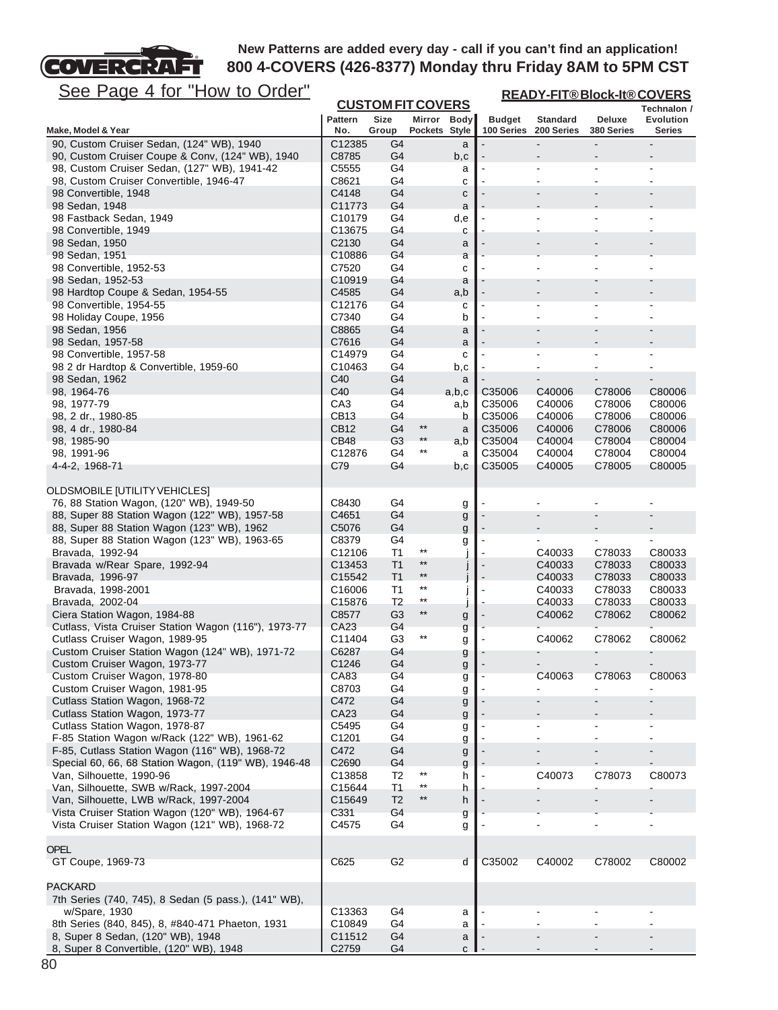

| <u>See Page 4 for "How to Order"</u>                                   |                              |                                  |                         |             | <b>READY-FIT®Block-It®COVERS</b> |                               |                      |                            |  |
|------------------------------------------------------------------------|------------------------------|----------------------------------|-------------------------|-------------|----------------------------------|-------------------------------|----------------------|----------------------------|--|
|                                                                        |                              | <b>CUSTOM FIT COVERS</b>         |                         |             |                                  |                               |                      | Technalon /                |  |
| Make, Model & Year                                                     | <b>Pattern</b><br>No.        | Size<br>Group                    | Pockets Style           | Mirror Body | <b>Budget</b><br>100 Series      | <b>Standard</b><br>200 Series | Deluxe<br>380 Series | <b>Evolution</b><br>Series |  |
| 90, Custom Cruiser Sedan, (124" WB), 1940                              | C12385                       | G4                               |                         | a           |                                  |                               |                      |                            |  |
| 90, Custom Cruiser Coupe & Conv, (124" WB), 1940                       | C8785                        | G4                               |                         | b,c         |                                  |                               |                      |                            |  |
| 98, Custom Cruiser Sedan, (127" WB), 1941-42                           | C5555                        | G4                               |                         | а           |                                  |                               | Ĭ.                   |                            |  |
| 98, Custom Cruiser Convertible, 1946-47                                | C8621                        | G4                               |                         | с           |                                  |                               |                      |                            |  |
| 98 Convertible, 1948                                                   | C4148                        | G4                               |                         | C           |                                  |                               | $\blacksquare$       |                            |  |
| 98 Sedan, 1948<br>98 Fastback Sedan, 1949                              | C11773<br>C <sub>10179</sub> | G4<br>G4                         |                         | a           |                                  |                               |                      |                            |  |
| 98 Convertible, 1949                                                   | C13675                       | G4                               |                         | d,e<br>С    |                                  |                               |                      |                            |  |
| 98 Sedan, 1950                                                         | C2130                        | G4                               |                         | a           |                                  |                               |                      |                            |  |
| 98 Sedan, 1951                                                         | C10886                       | G4                               |                         | a           |                                  |                               |                      |                            |  |
| 98 Convertible, 1952-53                                                | C7520                        | G4                               |                         | с           |                                  |                               |                      |                            |  |
| 98 Sedan, 1952-53                                                      | C10919                       | G4                               |                         | a           |                                  |                               |                      |                            |  |
| 98 Hardtop Coupe & Sedan, 1954-55                                      | C4585                        | G4                               |                         | a,b         |                                  |                               |                      |                            |  |
| 98 Convertible, 1954-55                                                | C12176                       | G4                               |                         | с           |                                  |                               | ٠                    |                            |  |
| 98 Holiday Coupe, 1956<br>98 Sedan, 1956                               | C7340<br>C8865               | G4<br>G4                         |                         | b           |                                  |                               |                      |                            |  |
| 98 Sedan, 1957-58                                                      | C7616                        | G4                               |                         | a<br>a      |                                  |                               |                      |                            |  |
| 98 Convertible, 1957-58                                                | C14979                       | G4                               |                         | с           |                                  |                               | ä,                   |                            |  |
| 98 2 dr Hardtop & Convertible, 1959-60                                 | C10463                       | G4                               |                         | b,c         |                                  |                               |                      |                            |  |
| 98 Sedan, 1962                                                         | C40                          | G4                               |                         | a           |                                  |                               |                      |                            |  |
| 98, 1964-76                                                            | C40                          | G4                               |                         | a,b,c       | C35006                           | C40006                        | C78006               | C80006                     |  |
| 98, 1977-79                                                            | CA3                          | G4                               |                         | a,b         | C35006                           | C40006                        | C78006               | C80006                     |  |
| 98, 2 dr., 1980-85                                                     | CB13                         | G4                               |                         | b           | C35006                           | C40006                        | C78006               | C80006                     |  |
| 98, 4 dr., 1980-84                                                     | <b>CB12</b>                  | G4                               | $^{\star\star}$<br>$**$ | a           | C35006                           | C40006                        | C78006               | C80006                     |  |
| 98, 1985-90<br>98, 1991-96                                             | CB48<br>C12876               | G <sub>3</sub><br>G4             | $***$                   | a,b<br>a    | C35004<br>C35004                 | C40004<br>C40004              | C78004<br>C78004     | C80004<br>C80004           |  |
| 4-4-2, 1968-71                                                         | C79                          | G4                               |                         | b,c         | C35005                           | C40005                        | C78005               | C80005                     |  |
|                                                                        |                              |                                  |                         |             |                                  |                               |                      |                            |  |
| <b>OLDSMOBILE [UTILITY VEHICLES]</b>                                   |                              |                                  |                         |             |                                  |                               |                      |                            |  |
| 76, 88 Station Wagon, (120" WB), 1949-50                               | C8430                        | G4                               |                         | g           |                                  |                               |                      |                            |  |
| 88, Super 88 Station Wagon (122" WB), 1957-58                          | C4651                        | G4                               |                         | g           |                                  |                               |                      |                            |  |
| 88, Super 88 Station Wagon (123" WB), 1962                             | C5076                        | G4                               |                         | g           |                                  |                               |                      |                            |  |
| 88, Super 88 Station Wagon (123" WB), 1963-65                          | C8379                        | G4                               | $^{\star\star}$         | g           |                                  |                               |                      |                            |  |
| Bravada, 1992-94<br>Bravada w/Rear Spare, 1992-94                      | C12106<br>C13453             | T <sub>1</sub><br>T <sub>1</sub> | $^{\star\star}$         |             |                                  | C40033<br>C40033              | C78033<br>C78033     | C80033<br>C80033           |  |
| Bravada, 1996-97                                                       | C15542                       | T <sub>1</sub>                   | $***$                   | J           |                                  | C40033                        | C78033               | C80033                     |  |
| Bravada, 1998-2001                                                     | C16006                       | T <sub>1</sub>                   | $^{\star\star}$         |             |                                  | C40033                        | C78033               | C80033                     |  |
| Bravada, 2002-04                                                       | C15876                       | T <sub>2</sub>                   | $***$                   |             |                                  | C40033                        | C78033               | C80033                     |  |
| Ciera Station Wagon, 1984-88                                           | C8577                        | G <sub>3</sub>                   | $***$                   | g           |                                  | C40062                        | C78062               | C80062                     |  |
| Cutlass, Vista Cruiser Station Wagon (116"), 1973-77                   | CA23                         | G4                               |                         | g           |                                  |                               |                      |                            |  |
| Cutlass Cruiser Wagon, 1989-95                                         | C11404                       | G <sub>3</sub>                   | $^{\star\star}$         | g           |                                  | C40062                        | C78062               | C80062                     |  |
| Custom Cruiser Station Wagon (124" WB), 1971-72                        | C6287<br>C <sub>1246</sub>   | G4<br>G <sub>4</sub>             |                         | g           |                                  |                               |                      |                            |  |
| Custom Cruiser Wagon, 1973-77<br>Custom Cruiser Wagon, 1978-80         | CA83                         | G4                               |                         | g           |                                  | C40063                        | C78063               | C80063                     |  |
| Custom Cruiser Wagon, 1981-95                                          | C8703                        | G4                               |                         | g<br>g      |                                  |                               |                      |                            |  |
| Cutlass Station Wagon, 1968-72                                         | C472                         | G4                               |                         | g           |                                  |                               |                      |                            |  |
| Cutlass Station Wagon, 1973-77                                         | CA23                         | G4                               |                         | g           |                                  |                               |                      |                            |  |
| Cutlass Station Wagon, 1978-87                                         | C5495                        | G4                               |                         | g           |                                  |                               |                      |                            |  |
| F-85 Station Wagon w/Rack (122" WB), 1961-62                           | C1201                        | G4                               |                         | g           |                                  |                               |                      |                            |  |
| F-85, Cutlass Station Wagon (116" WB), 1968-72                         | C472                         | G4                               |                         | g           |                                  |                               |                      |                            |  |
| Special 60, 66, 68 Station Wagon, (119" WB), 1946-48                   | C <sub>2690</sub>            | G4<br>T2                         | $***$                   | g           |                                  |                               |                      |                            |  |
| Van, Silhouette, 1990-96<br>Van, Silhouette, SWB w/Rack, 1997-2004     | C13858<br>C15644             | T1                               | $^{\star\star}$         | h<br>h      |                                  | C40073                        | C78073               | C80073                     |  |
| Van, Silhouette, LWB w/Rack, 1997-2004                                 | C15649                       | T <sub>2</sub>                   | $**$                    | h           |                                  |                               |                      |                            |  |
| Vista Cruiser Station Wagon (120" WB), 1964-67                         | C331                         | G4                               |                         | g           |                                  |                               |                      |                            |  |
| Vista Cruiser Station Wagon (121" WB), 1968-72                         | C4575                        | G4                               |                         | g           |                                  |                               |                      |                            |  |
|                                                                        |                              |                                  |                         |             |                                  |                               |                      |                            |  |
| <b>OPEL</b>                                                            |                              |                                  |                         |             |                                  |                               |                      |                            |  |
| GT Coupe, 1969-73                                                      | C625                         | G <sub>2</sub>                   |                         | d           | C35002                           | C40002                        | C78002               | C80002                     |  |
|                                                                        |                              |                                  |                         |             |                                  |                               |                      |                            |  |
| <b>PACKARD</b><br>7th Series (740, 745), 8 Sedan (5 pass.), (141" WB), |                              |                                  |                         |             |                                  |                               |                      |                            |  |
| w/Spare, 1930                                                          | C13363                       | G4                               |                         | а           |                                  |                               |                      |                            |  |
| 8th Series (840, 845), 8, #840-471 Phaeton, 1931                       | C10849                       | G4                               |                         | a           |                                  |                               |                      |                            |  |
| 8, Super 8 Sedan, (120" WB), 1948                                      | C11512                       | G4                               |                         | a           |                                  |                               |                      |                            |  |
| 8, Super 8 Convertible, (120" WB), 1948                                | C <sub>2759</sub>            | G4                               |                         | C           |                                  |                               |                      |                            |  |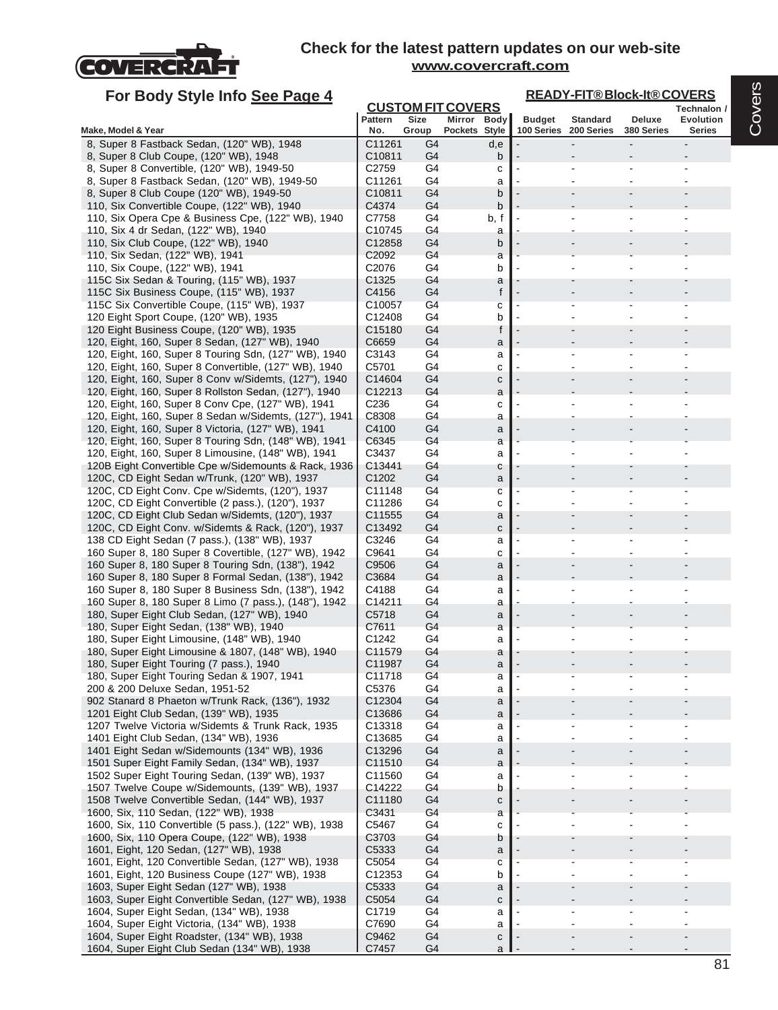

| For Body Style Info See Page 4                                                                              |                            |                      |                          |               |                       | <b>READY-FIT®Block-It®COVERS</b> |                  |
|-------------------------------------------------------------------------------------------------------------|----------------------------|----------------------|--------------------------|---------------|-----------------------|----------------------------------|------------------|
|                                                                                                             |                            |                      | <b>CUSTOM FIT COVERS</b> |               |                       |                                  | Technalon /      |
|                                                                                                             | Pattern                    | Size                 | Mirror Body              | <b>Budget</b> | <b>Standard</b>       | Deluxe                           | <b>Evolution</b> |
| Make, Model & Year<br>8, Super 8 Fastback Sedan, (120" WB), 1948                                            | No.<br>C11261              | Group<br>G4          | Pockets Style            |               | 100 Series 200 Series | 380 Series                       | <b>Series</b>    |
| 8, Super 8 Club Coupe, (120" WB), 1948                                                                      | C10811                     | G4                   | d,e<br>b                 |               |                       |                                  |                  |
| 8, Super 8 Convertible, (120" WB), 1949-50                                                                  | C2759                      | G4                   | с                        |               |                       |                                  |                  |
| 8, Super 8 Fastback Sedan, (120" WB), 1949-50                                                               | C11261                     | G4                   | a                        |               |                       |                                  |                  |
| 8, Super 8 Club Coupe (120" WB), 1949-50                                                                    | C10811                     | G4                   | b                        |               |                       |                                  |                  |
| 110, Six Convertible Coupe, (122" WB), 1940                                                                 | C4374                      | G4                   | b                        |               |                       |                                  |                  |
| 110, Six Opera Cpe & Business Cpe, (122" WB), 1940                                                          | C7758                      | G4                   | b, f                     |               |                       |                                  |                  |
| 110, Six 4 dr Sedan, (122" WB), 1940                                                                        | C10745                     | G4                   | a                        |               |                       |                                  |                  |
| 110, Six Club Coupe, (122" WB), 1940                                                                        | C12858                     | G <sub>4</sub>       | b                        |               |                       |                                  |                  |
| 110, Six Sedan, (122" WB), 1941                                                                             | C <sub>2092</sub>          | G4<br>G4             | a<br>b                   |               |                       |                                  |                  |
| 110, Six Coupe, (122" WB), 1941<br>115C Six Sedan & Touring, (115" WB), 1937                                | C <sub>2076</sub><br>C1325 | G4                   | a                        |               |                       |                                  |                  |
| 115C Six Business Coupe, (115" WB), 1937                                                                    | C4156                      | G4                   | f                        |               |                       |                                  |                  |
| 115C Six Convertible Coupe, (115" WB), 1937                                                                 | C10057                     | G <sub>4</sub>       | с                        |               |                       |                                  |                  |
| 120 Eight Sport Coupe, (120" WB), 1935                                                                      | C12408                     | G4                   | b                        |               |                       |                                  |                  |
| 120 Eight Business Coupe, (120" WB), 1935                                                                   | C15180                     | G4                   | f                        |               |                       |                                  |                  |
| 120, Eight, 160, Super 8 Sedan, (127" WB), 1940                                                             | C6659                      | G4                   | a                        |               |                       |                                  |                  |
| 120, Eight, 160, Super 8 Touring Sdn, (127" WB), 1940                                                       | C3143                      | G4                   | a                        |               |                       |                                  |                  |
| 120, Eight, 160, Super 8 Convertible, (127" WB), 1940                                                       | C5701                      | G4                   | c                        |               |                       |                                  |                  |
| 120, Eight, 160, Super 8 Conv w/Sidemts, (127"), 1940                                                       | C14604                     | G4                   | С                        |               |                       |                                  |                  |
| 120, Eight, 160, Super 8 Rollston Sedan, (127"), 1940<br>120, Eight, 160, Super 8 Conv Cpe, (127" WB), 1941 | C <sub>12213</sub><br>C236 | G4<br>G4             | a                        |               |                       |                                  |                  |
| 120, Eight, 160, Super 8 Sedan w/Sidemts, (127"), 1941                                                      | C8308                      | G4                   | с<br>a                   |               |                       |                                  |                  |
| 120, Eight, 160, Super 8 Victoria, (127" WB), 1941                                                          | C4100                      | G <sub>4</sub>       | a                        |               |                       |                                  |                  |
| 120, Eight, 160, Super 8 Touring Sdn, (148" WB), 1941                                                       | C6345                      | G4                   | a                        |               |                       |                                  |                  |
| 120, Eight, 160, Super 8 Limousine, (148" WB), 1941                                                         | C3437                      | G4                   | a                        |               |                       |                                  |                  |
| 120B Eight Convertible Cpe w/Sidemounts & Rack, 1936                                                        | C13441                     | G4                   | с                        |               |                       |                                  |                  |
| 120C, CD Eight Sedan w/Trunk, (120" WB), 1937                                                               | C <sub>1202</sub>          | G4                   | a                        |               |                       |                                  |                  |
| 120C, CD Eight Conv. Cpe w/Sidemts, (120"), 1937                                                            | C11148                     | G <sub>4</sub>       | с                        |               |                       |                                  |                  |
| 120C, CD Eight Convertible (2 pass.), (120"), 1937                                                          | C11286                     | G4                   | c                        |               |                       |                                  |                  |
| 120C, CD Eight Club Sedan w/Sidemts, (120"), 1937                                                           | C11555                     | G4                   | a                        |               |                       |                                  |                  |
| 120C, CD Eight Conv. w/Sidemts & Rack, (120"), 1937                                                         | C13492<br>C3246            | G4<br>G4             | с                        |               |                       |                                  |                  |
| 138 CD Eight Sedan (7 pass.), (138" WB), 1937<br>160 Super 8, 180 Super 8 Covertible, (127" WB), 1942       | C9641                      | G4                   | a<br>с                   |               |                       |                                  |                  |
| 160 Super 8, 180 Super 8 Touring Sdn, (138"), 1942                                                          | C9506                      | G4                   | a                        |               |                       |                                  |                  |
| 160 Super 8, 180 Super 8 Formal Sedan, (138"), 1942                                                         | C3684                      | G4                   | a                        |               |                       |                                  |                  |
| 160 Super 8, 180 Super 8 Business Sdn, (138"), 1942                                                         | C4188                      | G4                   | a                        |               |                       |                                  |                  |
| 160 Super 8, 180 Super 8 Limo (7 pass.), (148"), 1942                                                       | C14211                     | G4                   | a                        |               |                       |                                  |                  |
| 180, Super Eight Club Sedan, (127" WB), 1940                                                                | C5718                      | G4                   | a                        |               |                       |                                  |                  |
| 180, Super Eight Sedan, (138" WB), 1940                                                                     | C7611                      | G <sub>4</sub>       | a                        |               |                       |                                  |                  |
| 180, Super Eight Limousine, (148" WB), 1940                                                                 | C1242                      | G4                   | a                        |               |                       |                                  |                  |
| 180, Super Eight Limousine & 1807, (148" WB), 1940                                                          | C11579                     | G4                   | a                        |               |                       |                                  |                  |
| 180, Super Eight Touring (7 pass.), 1940<br>180, Super Eight Touring Sedan & 1907, 1941                     | C11987<br>C11718           | G4<br>G <sub>4</sub> | a                        |               |                       |                                  |                  |
| 200 & 200 Deluxe Sedan, 1951-52                                                                             | C5376                      | G4                   | а<br>a                   |               |                       |                                  |                  |
| 902 Stanard 8 Phaeton w/Trunk Rack, (136"), 1932                                                            | C12304                     | G4                   | a                        |               |                       |                                  |                  |
| 1201 Eight Club Sedan, (139" WB), 1935                                                                      | C13686                     | G <sub>4</sub>       | a                        |               |                       |                                  |                  |
| 1207 Twelve Victoria w/Sidemts & Trunk Rack, 1935                                                           | C13318                     | G4                   | a                        |               |                       |                                  |                  |
| 1401 Eight Club Sedan, (134" WB), 1936                                                                      | C13685                     | G4                   | a                        |               |                       |                                  |                  |
| 1401 Eight Sedan w/Sidemounts (134" WB), 1936                                                               | C13296                     | G <sub>4</sub>       | a                        |               |                       |                                  |                  |
| 1501 Super Eight Family Sedan, (134" WB), 1937                                                              | C11510                     | G4                   | a                        |               |                       |                                  |                  |
| 1502 Super Eight Touring Sedan, (139" WB), 1937                                                             | C11560                     | G4                   | a                        |               |                       |                                  |                  |
| 1507 Twelve Coupe w/Sidemounts, (139" WB), 1937                                                             | C14222                     | G4                   | b                        |               |                       |                                  |                  |
| 1508 Twelve Convertible Sedan, (144" WB), 1937<br>1600, Six, 110 Sedan, (122" WB), 1938                     | C11180<br>C3431            | G <sub>4</sub><br>G4 | с                        |               |                       |                                  |                  |
| 1600, Six, 110 Convertible (5 pass.), (122" WB), 1938                                                       | C5467                      | G4                   | a<br>с                   |               |                       |                                  |                  |
| 1600, Six, 110 Opera Coupe, (122" WB), 1938                                                                 | C3703                      | G4                   | b                        |               |                       |                                  |                  |
| 1601, Eight, 120 Sedan, (127" WB), 1938                                                                     | C5333                      | G4                   | a                        |               |                       |                                  |                  |
| 1601, Eight, 120 Convertible Sedan, (127" WB), 1938                                                         | C5054                      | G <sub>4</sub>       | с                        |               |                       |                                  |                  |
| 1601, Eight, 120 Business Coupe (127" WB), 1938                                                             | C12353                     | G4                   | b                        |               |                       |                                  |                  |
| 1603, Super Eight Sedan (127" WB), 1938                                                                     | C5333                      | G4                   | a                        |               |                       |                                  |                  |
| 1603, Super Eight Convertible Sedan, (127" WB), 1938                                                        | C5054                      | G <sub>4</sub>       | с                        |               |                       |                                  |                  |
| 1604, Super Eight Sedan, (134" WB), 1938                                                                    | C1719                      | G4                   | a                        |               |                       |                                  |                  |
| 1604, Super Eight Victoria, (134" WB), 1938                                                                 | C7690                      | G4                   | a                        |               |                       |                                  |                  |
| 1604, Super Eight Roadster, (134" WB), 1938                                                                 | C9462                      | G4                   | с                        |               |                       |                                  |                  |
| 1604, Super Eight Club Sedan (134" WB), 1938                                                                | C7457                      | G4                   | a                        |               |                       |                                  |                  |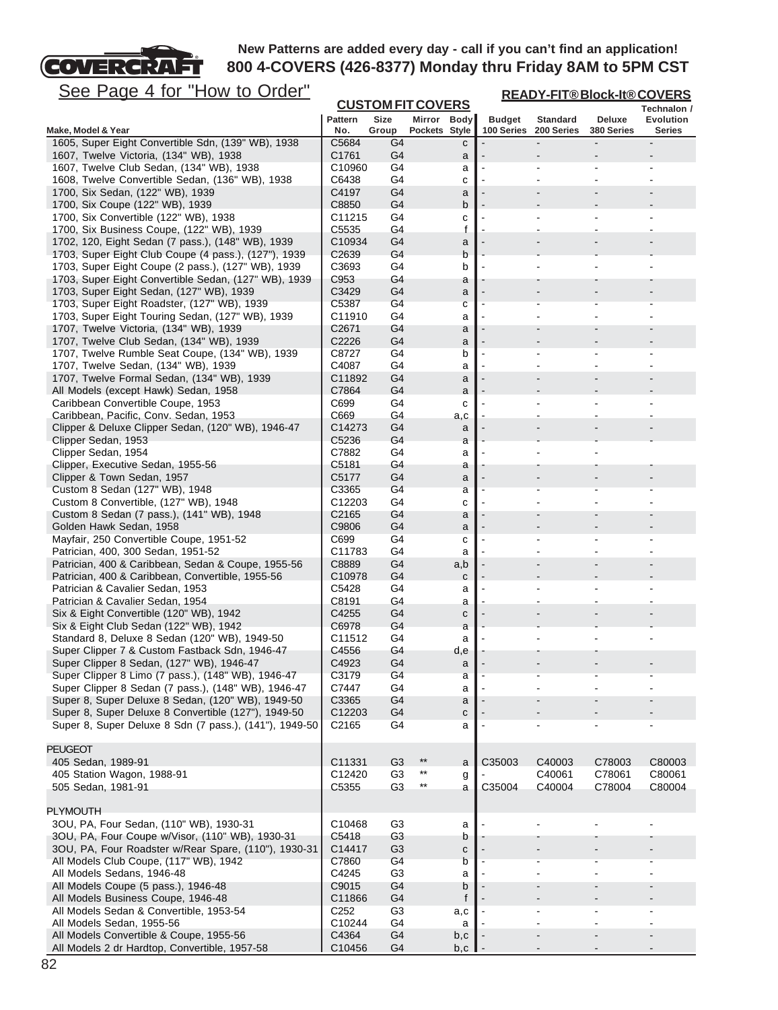**READY-FIT® Block-It® COVERS**

See Page 4 for "How to Order"

COVERCRAFT

| <u>uyu</u><br><u> T IVI</u><br><u><b>I IUW W WUI II</b></u>                                               |                   | <b>CUSTOM FIT COVERS</b> |                          |                                |               |                               | <u>KEAD I-FIT®DI0CK-II®UUVEKS</u> | Technalon /    |
|-----------------------------------------------------------------------------------------------------------|-------------------|--------------------------|--------------------------|--------------------------------|---------------|-------------------------------|-----------------------------------|----------------|
|                                                                                                           | <b>Pattern</b>    | Size                     | Mirror Body              |                                | <b>Budget</b> | <b>Standard</b>               | Deluxe                            | Evolution      |
| Make, Model & Year                                                                                        | No.               | Group                    | Pockets Style            |                                | 100 Series    | 200 Series                    | 380 Series                        | Series         |
| 1605, Super Eight Convertible Sdn, (139" WB), 1938                                                        | C5684             | G4                       |                          | с                              |               |                               |                                   |                |
| 1607, Twelve Victoria, (134" WB), 1938<br>1607, Twelve Club Sedan, (134" WB), 1938                        | C1761<br>C10960   | G4<br>G4                 |                          | a                              |               |                               |                                   |                |
| 1608, Twelve Convertible Sedan, (136" WB), 1938                                                           | C6438             | G4                       |                          | a<br>c                         |               |                               |                                   |                |
| 1700, Six Sedan, (122" WB), 1939                                                                          | C4197             | G4                       |                          | a                              |               |                               |                                   |                |
| 1700, Six Coupe (122" WB), 1939                                                                           | C8850             | G4                       |                          | b                              |               |                               |                                   |                |
| 1700, Six Convertible (122" WB), 1938                                                                     | C11215            | G4                       |                          | C                              |               |                               |                                   |                |
| 1700, Six Business Coupe, (122" WB), 1939                                                                 | C5535             | G4                       |                          | f                              |               |                               |                                   |                |
| 1702, 120, Eight Sedan (7 pass.), (148" WB), 1939                                                         | C10934            | G4                       |                          | a                              |               |                               |                                   |                |
| 1703, Super Eight Club Coupe (4 pass.), (127"), 1939                                                      | C2639             | G4                       |                          | b                              |               |                               |                                   |                |
| 1703, Super Eight Coupe (2 pass.), (127" WB), 1939                                                        | C3693             | G4                       |                          | b                              |               |                               |                                   |                |
| 1703, Super Eight Convertible Sedan, (127" WB), 1939<br>1703, Super Eight Sedan, (127" WB), 1939          | C953<br>C3429     | G4<br>G4                 |                          | a                              |               |                               |                                   |                |
| 1703, Super Eight Roadster, (127" WB), 1939                                                               | C5387             | G4                       |                          | a<br>с                         |               |                               |                                   |                |
| 1703, Super Eight Touring Sedan, (127" WB), 1939                                                          | C11910            | G4                       |                          | a                              |               |                               |                                   |                |
| 1707, Twelve Victoria, (134" WB), 1939                                                                    | C <sub>2671</sub> | G4                       |                          | a                              |               |                               |                                   |                |
| 1707, Twelve Club Sedan, (134" WB), 1939                                                                  | C2226             | G4                       |                          | a                              |               |                               |                                   |                |
| 1707, Twelve Rumble Seat Coupe, (134" WB), 1939                                                           | C8727             | G4                       |                          | b                              |               | $\blacksquare$                | $\blacksquare$                    |                |
| 1707, Twelve Sedan, (134" WB), 1939                                                                       | C4087             | G4                       |                          | a                              |               | ÷                             |                                   |                |
| 1707, Twelve Formal Sedan, (134" WB), 1939                                                                | C11892            | G4                       |                          | a                              |               |                               |                                   |                |
| All Models (except Hawk) Sedan, 1958                                                                      | C7864             | G4                       |                          | a                              |               |                               |                                   |                |
| Caribbean Convertible Coupe, 1953                                                                         | C699              | G4                       |                          | c                              |               |                               |                                   |                |
| Caribbean, Pacific, Conv. Sedan, 1953<br>Clipper & Deluxe Clipper Sedan, (120" WB), 1946-47               | C669<br>C14273    | G4<br>G4                 |                          | a,c                            |               |                               |                                   |                |
| Clipper Sedan, 1953                                                                                       | C5236             | G4                       |                          | a<br>a                         |               |                               |                                   |                |
| Clipper Sedan, 1954                                                                                       | C7882             | G4                       |                          | a                              |               |                               |                                   |                |
| Clipper, Executive Sedan, 1955-56                                                                         | C5181             | G4                       |                          | a                              |               |                               |                                   |                |
| Clipper & Town Sedan, 1957                                                                                | C5177             | G4                       |                          | a                              |               |                               |                                   |                |
| Custom 8 Sedan (127" WB), 1948                                                                            | C3365             | G4                       |                          | a                              |               |                               |                                   |                |
| Custom 8 Convertible, (127" WB), 1948                                                                     | C12203            | G4                       |                          | c                              |               |                               |                                   |                |
| Custom 8 Sedan (7 pass.), (141" WB), 1948                                                                 | C <sub>2165</sub> | G4                       |                          | a                              |               |                               |                                   |                |
| Golden Hawk Sedan, 1958                                                                                   | C9806             | G4                       |                          | a                              |               |                               |                                   |                |
| Mayfair, 250 Convertible Coupe, 1951-52                                                                   | C699              | G4                       |                          | c                              |               | $\overline{\phantom{a}}$<br>÷ | ä,                                |                |
| Patrician, 400, 300 Sedan, 1951-52<br>Patrician, 400 & Caribbean, Sedan & Coupe, 1955-56                  | C11783<br>C8889   | G4<br>G4                 |                          | a<br>a,b                       |               |                               |                                   |                |
| Patrician, 400 & Caribbean, Convertible, 1955-56                                                          | C10978            | G4                       |                          | $\mathbf{C}$                   |               |                               |                                   |                |
| Patrician & Cavalier Sedan, 1953                                                                          | C5428             | G4                       |                          | а                              |               |                               |                                   |                |
| Patrician & Cavalier Sedan, 1954                                                                          | C8191             | G4                       |                          | a                              |               |                               |                                   |                |
| Six & Eight Convertible (120" WB), 1942                                                                   | C4255             | G4                       |                          | с                              |               |                               |                                   |                |
| Six & Eight Club Sedan (122" WB), 1942                                                                    | C6978             | G4                       |                          | a                              |               |                               |                                   |                |
| Standard 8, Deluxe 8 Sedan (120" WB), 1949-50                                                             | C11512            | G4                       |                          | a                              |               |                               |                                   |                |
| Super Clipper 7 & Custom Fastback Sdn, 1946-47                                                            | C4556             | G4                       |                          | d,e                            |               |                               |                                   |                |
| Super Clipper 8 Sedan, (127" WB), 1946-47                                                                 | C4923             | G4<br>G4                 |                          | a                              |               |                               |                                   |                |
| Super Clipper 8 Limo (7 pass.), (148" WB), 1946-47<br>Super Clipper 8 Sedan (7 pass.), (148" WB), 1946-47 | C3179<br>C7447    | G4                       |                          | а<br>a                         |               |                               |                                   |                |
| Super 8, Super Deluxe 8 Sedan, (120" WB), 1949-50                                                         | C3365             | G4                       |                          | a                              |               |                               |                                   |                |
| Super 8, Super Deluxe 8 Convertible (127"), 1949-50                                                       | C12203            | G4                       |                          | $\mathtt{C}$                   |               |                               |                                   |                |
| Super 8, Super Deluxe 8 Sdn (7 pass.), (141"), 1949-50                                                    | C2165             | G4                       |                          | a                              |               |                               |                                   |                |
|                                                                                                           |                   |                          |                          |                                |               |                               |                                   |                |
| <b>PEUGEOT</b>                                                                                            |                   |                          |                          |                                |               |                               |                                   |                |
| 405 Sedan, 1989-91                                                                                        | C11331            | G <sub>3</sub>           | $***$                    | a                              | C35003        | C40003                        | C78003                            | C80003         |
| 405 Station Wagon, 1988-91                                                                                | C12420            | G <sub>3</sub>           | $***$<br>$^{\star\star}$ | g                              |               | C40061                        | C78061                            | C80061         |
| 505 Sedan, 1981-91                                                                                        | C5355             | G <sub>3</sub>           |                          | a                              | C35004        | C40004                        | C78004                            | C80004         |
| <b>PLYMOUTH</b>                                                                                           |                   |                          |                          |                                |               |                               |                                   |                |
| 3OU, PA, Four Sedan, (110" WB), 1930-31                                                                   | C10468            | G <sub>3</sub>           |                          | a                              |               |                               |                                   |                |
| 3OU, PA, Four Coupe w/Visor, (110" WB), 1930-31                                                           | C5418             | G <sub>3</sub>           |                          | b                              |               |                               |                                   |                |
| 3OU, PA, Four Roadster w/Rear Spare, (110"), 1930-31                                                      | C14417            | G3                       |                          | C                              |               |                               |                                   |                |
| All Models Club Coupe, (117" WB), 1942                                                                    | C7860             | G4                       |                          | b                              |               |                               |                                   |                |
| All Models Sedans, 1946-48                                                                                | C4245             | G <sub>3</sub>           |                          | a                              |               | $\overline{\phantom{a}}$      |                                   |                |
| All Models Coupe (5 pass.), 1946-48                                                                       | C9015             | G4                       |                          | b                              |               |                               |                                   |                |
| All Models Business Coupe, 1946-48                                                                        | C11866            | G4                       |                          | f                              |               |                               |                                   |                |
| All Models Sedan & Convertible, 1953-54                                                                   | C <sub>252</sub>  | G <sub>3</sub>           |                          | a,c                            |               | $\blacksquare$                | $\blacksquare$                    | $\blacksquare$ |
| All Models Sedan, 1955-56<br>All Models Convertible & Coupe, 1955-56                                      | C10244<br>C4364   | G4<br>G4                 |                          | a                              |               | $\blacksquare$                |                                   |                |
| All Models 2 dr Hardtop, Convertible, 1957-58                                                             | C10456            | G4                       |                          | b,c<br>$b, c$ $\blacksquare$ - |               |                               |                                   |                |
|                                                                                                           |                   |                          |                          |                                |               |                               |                                   |                |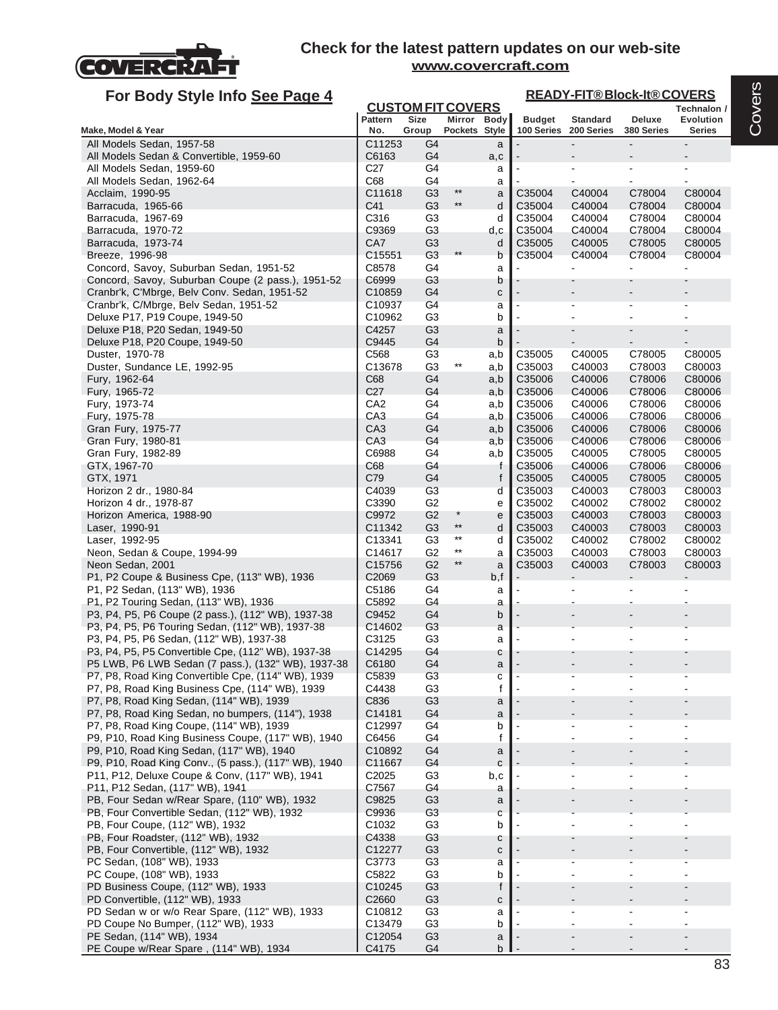

# **For Body Style Info See Page 4**

#### **Technalon / READY-FIT® Block-It® COVERS**

| Ø<br>ĉ<br>Î, |
|--------------|
|              |

| <b>TOT DOUY Oryle ITIO</b> <u>Oce Fage +</u>                                                | <b>CUSTOM FIT COVERS</b>   |                                  |                 |            |                              |                  |                          | Technalon /              |
|---------------------------------------------------------------------------------------------|----------------------------|----------------------------------|-----------------|------------|------------------------------|------------------|--------------------------|--------------------------|
|                                                                                             | <b>Pattern</b>             | <b>Size</b>                      | Mirror Body     |            | <b>Budget</b>                | <b>Standard</b>  | Deluxe                   | Evolution                |
| Make, Model & Year<br>All Models Sedan, 1957-58                                             | No.<br>C11253              | Group<br>G <sub>4</sub>          | Pockets Style   |            | 100 Series                   | 200 Series       | 380 Series               | <b>Series</b>            |
| All Models Sedan & Convertible, 1959-60                                                     | C6163                      | G4                               |                 | a<br>a,c   |                              |                  | $\overline{\phantom{a}}$ |                          |
| All Models Sedan, 1959-60                                                                   | C <sub>27</sub>            | G4                               |                 | a          |                              |                  | ÷                        | $\blacksquare$           |
| All Models Sedan, 1962-64                                                                   | C68                        | G <sub>4</sub>                   |                 | a          |                              |                  |                          |                          |
| Acclaim, 1990-95                                                                            | C11618                     | G <sub>3</sub>                   | $^{\star\star}$ | a          | C35004                       | C40004           | C78004                   | C80004                   |
| Barracuda, 1965-66                                                                          | C41                        | G <sub>3</sub>                   | $\star\star$    | d          | C35004                       | C40004           | C78004                   | C80004                   |
| Barracuda, 1967-69                                                                          | C316                       | G <sub>3</sub>                   |                 | d          | C35004                       | C40004           | C78004                   | C80004                   |
| Barracuda, 1970-72                                                                          | C9369                      | G <sub>3</sub>                   |                 | d,c        | C35004                       | C40004           | C78004                   | C80004                   |
| Barracuda, 1973-74                                                                          | CA7                        | G <sub>3</sub>                   | $***$           | d          | C35005                       | C40005           | C78005                   | C80005<br>C80004         |
| Breeze, 1996-98<br>Concord, Savoy, Suburban Sedan, 1951-52                                  | C15551<br>C8578            | G3<br>G4                         |                 | b<br>a     | C35004                       | C40004           | C78004                   |                          |
| Concord, Savoy, Suburban Coupe (2 pass.), 1951-52                                           | C6999                      | G <sub>3</sub>                   |                 | b          |                              |                  |                          |                          |
| Cranbr'k, C'Mbrge, Belv Conv. Sedan, 1951-52                                                | C10859                     | G4                               |                 | с          |                              |                  |                          |                          |
| Cranbr'k, C/Mbrge, Belv Sedan, 1951-52                                                      | C10937                     | G <sub>4</sub>                   |                 | a          |                              |                  |                          |                          |
| Deluxe P17, P19 Coupe, 1949-50                                                              | C10962                     | G <sub>3</sub>                   |                 | b          | L,                           |                  |                          | $\overline{\phantom{a}}$ |
| Deluxe P18, P20 Sedan, 1949-50                                                              | C4257                      | G <sub>3</sub>                   |                 | a          |                              |                  |                          |                          |
| Deluxe P18, P20 Coupe, 1949-50                                                              | C9445                      | G4                               |                 | b          |                              |                  |                          | $\blacksquare$           |
| Duster, 1970-78<br>Duster, Sundance LE, 1992-95                                             | C <sub>568</sub><br>C13678 | G <sub>3</sub><br>G <sub>3</sub> | $^{\star\star}$ | a,b<br>a,b | C <sub>35005</sub><br>C35003 | C40005<br>C40003 | C78005<br>C78003         | C80005<br>C80003         |
| Fury, 1962-64                                                                               | C68                        | G4                               |                 | a,b        | C35006                       | C40006           | C78006                   | C80006                   |
| Fury, 1965-72                                                                               | C <sub>27</sub>            | G4                               |                 | a,b        | C35006                       | C40006           | C78006                   | C80006                   |
| Fury, 1973-74                                                                               | CA <sub>2</sub>            | G4                               |                 | a,b        | C35006                       | C40006           | C78006                   | C80006                   |
| Fury, 1975-78                                                                               | CA <sub>3</sub>            | G4                               |                 | a,b        | C35006                       | C40006           | C78006                   | C80006                   |
| Gran Fury, 1975-77                                                                          | CA <sub>3</sub>            | G <sub>4</sub>                   |                 | a,b        | C35006                       | C40006           | C78006                   | C80006                   |
| Gran Fury, 1980-81                                                                          | CA <sub>3</sub>            | G4                               |                 | a,b        | C35006                       | C40006           | C78006                   | C80006                   |
| Gran Fury, 1982-89                                                                          | C6988                      | G4                               |                 | a,b        | C35005                       | C40005           | C78005                   | C80005                   |
| GTX, 1967-70<br>GTX, 1971                                                                   | C68<br>C79                 | G4<br>G4                         |                 | f<br>f     | C35006<br>C35005             | C40006<br>C40005 | C78006<br>C78005         | C80006<br>C80005         |
| Horizon 2 dr., 1980-84                                                                      | C4039                      | G <sub>3</sub>                   |                 | d          | C35003                       | C40003           | C78003                   | C80003                   |
| Horizon 4 dr., 1978-87                                                                      | C3390                      | G <sub>2</sub>                   |                 | e          | C35002                       | C40002           | C78002                   | C80002                   |
| Horizon America, 1988-90                                                                    | C9972                      | G <sub>2</sub>                   | $^\star$        | e          | C35003                       | C40003           | C78003                   | C80003                   |
| Laser, 1990-91                                                                              | C11342                     | G <sub>3</sub>                   | $^{\star\star}$ | d          | C35003                       | C40003           | C78003                   | C80003                   |
| Laser, 1992-95                                                                              | C13341                     | G <sub>3</sub>                   | $^{\star\star}$ | d          | C35002                       | C40002           | C78002                   | C80002                   |
| Neon, Sedan & Coupe, 1994-99                                                                | C14617                     | G <sub>2</sub>                   | $^{\star\star}$ | a          | C35003                       | C40003           | C78003                   | C80003                   |
| Neon Sedan, 2001                                                                            | C15756                     | G <sub>2</sub>                   | $\star\star$    | a          | C35003                       | C40003           | C78003                   | C80003                   |
| P1, P2 Coupe & Business Cpe, (113" WB), 1936                                                | C <sub>2069</sub><br>C5186 | G <sub>3</sub><br>G4             |                 | b,f        |                              |                  |                          |                          |
| P1, P2 Sedan, (113" WB), 1936<br>P1, P2 Touring Sedan, (113" WB), 1936                      | C5892                      | G4                               |                 | a<br>a     |                              |                  |                          |                          |
| P3, P4, P5, P6 Coupe (2 pass.), (112" WB), 1937-38                                          | C9452                      | G <sub>4</sub>                   |                 | b          |                              |                  |                          |                          |
| P3, P4, P5, P6 Touring Sedan, (112" WB), 1937-38                                            | C14602                     | G3                               |                 | a          |                              |                  |                          |                          |
| P3, P4, P5, P6 Sedan, (112" WB), 1937-38                                                    | C3125                      | G <sub>3</sub>                   |                 | a          |                              |                  |                          |                          |
| P3, P4, P5, P5 Convertible Cpe, (112" WB), 1937-38                                          | C14295                     | G4                               |                 | с          |                              |                  |                          |                          |
| P5 LWB, P6 LWB Sedan (7 pass.), (132" WB), 1937-38                                          | C6180                      | G4                               |                 | a          |                              |                  |                          |                          |
| P7, P8, Road King Convertible Cpe, (114" WB), 1939                                          | C5839                      | G <sub>3</sub>                   |                 | C          |                              |                  |                          |                          |
| P7, P8, Road King Business Cpe, (114" WB), 1939<br>P7, P8, Road King Sedan, (114" WB), 1939 | C4438<br>C836              | G <sub>3</sub><br>G <sub>3</sub> |                 | f          |                              |                  |                          |                          |
| P7, P8, Road King Sedan, no bumpers, (114"), 1938                                           | C14181                     | G4                               |                 | a<br>a     |                              |                  |                          |                          |
| P7, P8, Road King Coupe, (114" WB), 1939                                                    | C12997                     | G4                               |                 | b          |                              |                  |                          |                          |
| P9, P10, Road King Business Coupe, (117" WB), 1940                                          | C6456                      | G4                               |                 | f          |                              |                  |                          |                          |
| P9, P10, Road King Sedan, (117" WB), 1940                                                   | C10892                     | G4                               |                 | a          |                              |                  |                          |                          |
| P9, P10, Road King Conv., (5 pass.), (117" WB), 1940                                        | C11667                     | G <sub>4</sub>                   |                 | C          |                              |                  |                          |                          |
| P11, P12, Deluxe Coupe & Conv, (117" WB), 1941                                              | C2025                      | G <sub>3</sub>                   |                 | b,c        |                              |                  |                          |                          |
| P11, P12 Sedan, (117" WB), 1941                                                             | C7567                      | G4                               |                 | a          |                              |                  |                          |                          |
| PB, Four Sedan w/Rear Spare, (110" WB), 1932                                                | C9825                      | G <sub>3</sub>                   |                 | a          |                              |                  |                          |                          |
| PB, Four Convertible Sedan, (112" WB), 1932<br>PB, Four Coupe, (112" WB), 1932              | C9936<br>C1032             | G <sub>3</sub><br>G <sub>3</sub> |                 | C<br>b     |                              |                  |                          |                          |
| PB, Four Roadster, (112" WB), 1932                                                          | C4338                      | G3                               |                 | с          |                              |                  |                          |                          |
| PB, Four Convertible, (112" WB), 1932                                                       | C12277                     | G <sub>3</sub>                   |                 | с          |                              |                  |                          |                          |
| PC Sedan, (108" WB), 1933                                                                   | C3773                      | G <sub>3</sub>                   |                 | a          |                              |                  |                          |                          |
| PC Coupe, (108" WB), 1933                                                                   | C5822                      | G <sub>3</sub>                   |                 | b          |                              |                  |                          | $\overline{\phantom{a}}$ |
| PD Business Coupe, (112" WB), 1933                                                          | C10245                     | G <sub>3</sub>                   |                 |            |                              |                  |                          |                          |
| PD Convertible, (112" WB), 1933                                                             | C <sub>2660</sub>          | G <sub>3</sub>                   |                 | с          |                              |                  |                          |                          |
| PD Sedan w or w/o Rear Spare, (112" WB), 1933                                               | C10812                     | G <sub>3</sub>                   |                 | a          |                              |                  |                          |                          |
| PD Coupe No Bumper, (112" WB), 1933                                                         | C13479                     | G <sub>3</sub>                   |                 | b          |                              |                  |                          |                          |
| PE Sedan, (114" WB), 1934<br>PE Coupe w/Rear Spare, (114" WB), 1934                         | C12054<br>C4175            | G <sub>3</sub><br>G4             |                 | a<br>b     |                              |                  |                          |                          |
|                                                                                             |                            |                                  |                 |            |                              |                  |                          |                          |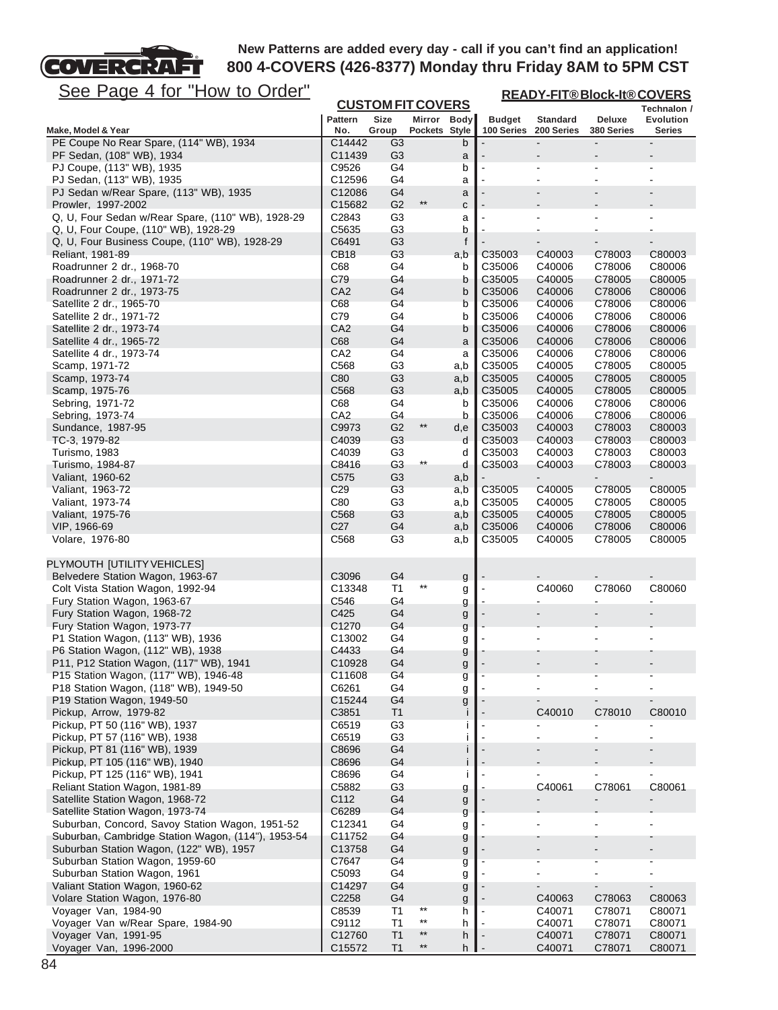

**READY-FIT® Block-It® COVERS**

See Page 4 for "How to Order"

|                                                                |                        |                                  | <b>CUSTOM FIT COVERS</b> |            |                  |                  | <u>KLAD FI HODIOCK-IMOCOVERO</u> | Technalon /              |
|----------------------------------------------------------------|------------------------|----------------------------------|--------------------------|------------|------------------|------------------|----------------------------------|--------------------------|
|                                                                | <b>Pattern</b>         | Size                             | Mirror Body              |            | <b>Budget</b>    | <b>Standard</b>  | Deluxe                           | Evolution                |
| Make, Model & Year                                             | No.                    | Group                            | Pockets Style            |            | 100 Series       | 200 Series       | 380 Series                       | <b>Series</b>            |
| PE Coupe No Rear Spare, (114" WB), 1934                        | C14442                 | G3                               |                          | b          |                  | $\blacksquare$   |                                  |                          |
| PF Sedan, (108" WB), 1934<br>PJ Coupe, (113" WB), 1935         | C11439<br>C9526        | G <sub>3</sub><br>G <sub>4</sub> |                          | a<br>b     |                  |                  |                                  |                          |
| PJ Sedan, (113" WB), 1935                                      | C12596                 | G4                               |                          | a          |                  |                  |                                  |                          |
| PJ Sedan w/Rear Spare, (113" WB), 1935                         | C12086                 | G4                               |                          | a          |                  |                  |                                  |                          |
| Prowler, 1997-2002                                             | C15682                 | G <sub>2</sub>                   | $***$                    | C          |                  |                  |                                  |                          |
| Q, U, Four Sedan w/Rear Spare, (110" WB), 1928-29              | C2843                  | G <sub>3</sub>                   |                          | a          |                  |                  |                                  |                          |
| Q, U, Four Coupe, (110" WB), 1928-29                           | C5635                  | G <sub>3</sub>                   |                          | b          |                  |                  |                                  |                          |
| Q, U, Four Business Coupe, (110" WB), 1928-29                  | C6491                  | G <sub>3</sub>                   |                          | f          |                  |                  |                                  |                          |
| Reliant, 1981-89                                               | <b>CB18</b>            | G <sub>3</sub>                   |                          | a,b        | C35003           | C40003           | C78003                           | C80003                   |
| Roadrunner 2 dr., 1968-70                                      | C68                    | G4                               |                          | b          | C35006           | C40006           | C78006                           | C80006                   |
| Roadrunner 2 dr., 1971-72                                      | C79                    | G4                               |                          | b          | C35005           | C40005           | C78005                           | C80005                   |
| Roadrunner 2 dr., 1973-75                                      | CA <sub>2</sub>        | G4                               |                          | b          | C35006           | C40006           | C78006                           | C80006                   |
| Satellite 2 dr., 1965-70                                       | C68                    | G4                               |                          | b          | C35006           | C40006           | C78006                           | C80006                   |
| Satellite 2 dr., 1971-72                                       | C79                    | G4                               |                          | b          | C35006           | C40006           | C78006                           | C80006                   |
| Satellite 2 dr., 1973-74                                       | CA <sub>2</sub>        | G4                               |                          | b          | C35006           | C40006           | C78006                           | C80006                   |
| Satellite 4 dr., 1965-72                                       | C68<br>CA <sub>2</sub> | G <sub>4</sub><br>G <sub>4</sub> |                          | a          | C35006           | C40006           | C78006                           | C80006                   |
| Satellite 4 dr., 1973-74<br>Scamp, 1971-72                     | C568                   | G <sub>3</sub>                   |                          | а          | C35006<br>C35005 | C40006<br>C40005 | C78006<br>C78005                 | C80006<br>C80005         |
| Scamp, 1973-74                                                 | C80                    | G <sub>3</sub>                   |                          | a,b<br>a,b | C35005           | C40005           | C78005                           | C80005                   |
| Scamp, 1975-76                                                 | C568                   | G <sub>3</sub>                   |                          | a,b        | C35005           | C40005           | C78005                           | C80005                   |
| Sebring, 1971-72                                               | C68                    | G4                               |                          | b          | C35006           | C40006           | C78006                           | C80006                   |
| Sebring, 1973-74                                               | CA <sub>2</sub>        | G4                               |                          | b          | C35006           | C40006           | C78006                           | C80006                   |
| Sundance, 1987-95                                              | C9973                  | G <sub>2</sub>                   | $***$                    | d,e        | C35003           | C40003           | C78003                           | C80003                   |
| TC-3, 1979-82                                                  | C4039                  | G <sub>3</sub>                   |                          | d          | C35003           | C40003           | C78003                           | C80003                   |
| Turismo, 1983                                                  | C4039                  | G <sub>3</sub>                   |                          | d          | C35003           | C40003           | C78003                           | C80003                   |
| Turismo, 1984-87                                               | C8416                  | G <sub>3</sub>                   | $^{\star\star}$          | d          | C35003           | C40003           | C78003                           | C80003                   |
| Valiant, 1960-62                                               | C575                   | G <sub>3</sub>                   |                          | a,b        |                  |                  |                                  |                          |
| Valiant, 1963-72                                               | C <sub>29</sub>        | G <sub>3</sub>                   |                          | a,b        | C35005           | C40005           | C78005                           | C80005                   |
| Valiant, 1973-74                                               | C80                    | G <sub>3</sub>                   |                          | a,b        | C35005           | C40005           | C78005                           | C80005                   |
| Valiant, 1975-76                                               | C <sub>568</sub>       | G <sub>3</sub>                   |                          | a,b        | C35005           | C40005           | C78005                           | C80005                   |
| VIP, 1966-69                                                   | C <sub>27</sub>        | G <sub>4</sub>                   |                          | a,b        | C35006           | C40006           | C78006                           | C80006                   |
| Volare, 1976-80                                                | C <sub>568</sub>       | G <sub>3</sub>                   |                          | a,b        | C35005           | C40005           | C78005                           | C80005                   |
| PLYMOUTH [UTILITY VEHICLES]                                    |                        |                                  |                          |            |                  |                  |                                  |                          |
| Belvedere Station Wagon, 1963-67                               | C3096                  | G <sub>4</sub>                   |                          | g          |                  |                  |                                  |                          |
| Colt Vista Station Wagon, 1992-94                              | C13348                 | Τ1                               |                          | g          |                  | C40060           | C78060                           | C80060                   |
| Fury Station Wagon, 1963-67                                    | C546                   | G4                               |                          | g          |                  |                  |                                  |                          |
| Fury Station Wagon, 1968-72                                    | C425                   | G <sub>4</sub>                   |                          | g          |                  |                  |                                  |                          |
| Fury Station Wagon, 1973-77                                    | C1270                  | G4                               |                          | g          |                  |                  |                                  |                          |
| P1 Station Wagon, (113" WB), 1936                              | C13002                 | G4                               |                          | g          |                  |                  |                                  |                          |
| P6 Station Wagon, (112" WB), 1938                              | C4433                  | G4                               |                          | g          |                  |                  |                                  |                          |
| P11, P12 Station Wagon, (117" WB), 1941                        | C10928                 | G4                               |                          | g          |                  |                  |                                  |                          |
| P15 Station Wagon, (117" WB), 1946-48                          | C11608                 | G <sub>4</sub>                   |                          | g          |                  |                  |                                  |                          |
| P18 Station Wagon, (118" WB), 1949-50                          | C6261                  | G4                               |                          | g          |                  |                  |                                  |                          |
| P19 Station Wagon, 1949-50                                     | C15244                 | G4                               |                          | g          |                  |                  |                                  |                          |
| Pickup, Arrow, 1979-82                                         | C3851                  | T <sub>1</sub>                   |                          |            |                  | C40010           | C78010                           | C80010                   |
| Pickup, PT 50 (116" WB), 1937                                  | C6519                  | G <sub>3</sub>                   |                          |            |                  |                  |                                  | $\blacksquare$           |
| Pickup, PT 57 (116" WB), 1938<br>Pickup, PT 81 (116" WB), 1939 | C6519<br>C8696         | G <sub>3</sub><br>G <sub>4</sub> |                          |            |                  |                  |                                  |                          |
| Pickup, PT 105 (116" WB), 1940                                 | C8696                  | G <sub>4</sub>                   |                          |            |                  |                  |                                  |                          |
| Pickup, PT 125 (116" WB), 1941                                 | C8696                  | G4                               |                          |            |                  |                  |                                  |                          |
| Reliant Station Wagon, 1981-89                                 | C5882                  | G <sub>3</sub>                   |                          | g          |                  | C40061           | C78061                           | C80061                   |
| Satellite Station Wagon, 1968-72                               | C112                   | G4                               |                          | g          |                  |                  |                                  |                          |
| Satellite Station Wagon, 1973-74                               | C6289                  | G4                               |                          | g          |                  |                  |                                  |                          |
| Suburban, Concord, Savoy Station Wagon, 1951-52                | C12341                 | G4                               |                          | g          |                  |                  |                                  |                          |
| Suburban, Cambridge Station Wagon, (114"), 1953-54             | C11752                 | G <sub>4</sub>                   |                          | g          |                  |                  |                                  |                          |
| Suburban Station Wagon, (122" WB), 1957                        | C13758                 | G <sub>4</sub>                   |                          | g          |                  |                  |                                  |                          |
| Suburban Station Wagon, 1959-60                                | C7647                  | G4                               |                          | g          |                  |                  |                                  |                          |
| Suburban Station Wagon, 1961                                   | C5093                  | G4                               |                          | g          |                  |                  |                                  | $\overline{\phantom{a}}$ |
| Valiant Station Wagon, 1960-62                                 | C14297                 | G4                               |                          | g          |                  |                  |                                  | $\blacksquare$           |
| Volare Station Wagon, 1976-80                                  | C2258                  | G <sub>4</sub>                   |                          | g          |                  | C40063           | C78063                           | C80063                   |
| Voyager Van, 1984-90                                           | C8539                  | T1                               | $***$                    | h          |                  | C40071           | C78071                           | C80071                   |
| Voyager Van w/Rear Spare, 1984-90                              | C9112                  | T1                               | $^{\star\star}$          | h          |                  | C40071           | C78071                           | C80071                   |

Voyager Van, 1991-95<br>
Voyager Van, 1996-2000<br>
C12760 T1 \*\* h - C40071 C78071 C80071<br>
C16572 T1 \*\* h - C40071 C78071 C80071 Voyager Van, 1996-2000 **C15572** T1 \*\* h - C40071 C78071 C80071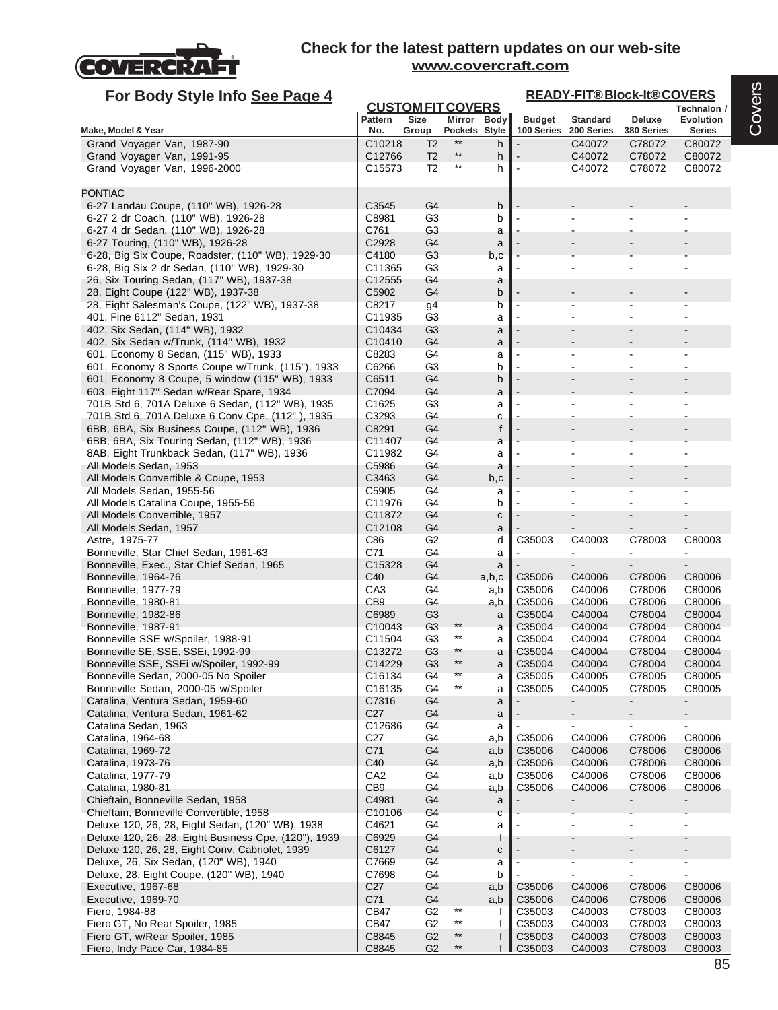

| For Body Style Info See Page 4                                                              |                    |                                  |                          |              |                             | <b>READY-FIT®Block-It®COVERS</b> |                      |                            |
|---------------------------------------------------------------------------------------------|--------------------|----------------------------------|--------------------------|--------------|-----------------------------|----------------------------------|----------------------|----------------------------|
|                                                                                             |                    | <b>CUSTOM FIT COVERS</b>         |                          |              |                             |                                  |                      | Technalon /                |
| Make, Model & Year                                                                          | Pattern<br>No.     | Size<br>Group                    | Pockets Style            | Mirror Body  | <b>Budget</b><br>100 Series | <b>Standard</b><br>200 Series    | Deluxe<br>380 Series | <b>Evolution</b><br>Series |
| Grand Voyager Van, 1987-90                                                                  | C10218             | T <sub>2</sub>                   | $**$                     | h            |                             | C40072                           | C78072               | C80072                     |
| Grand Voyager Van, 1991-95                                                                  | C12766             | T2                               | $**$                     | h            |                             | C40072                           | C78072               | C80072                     |
| Grand Voyager Van, 1996-2000                                                                | C <sub>15573</sub> | T2                               | $^{\star\star}$          | h            |                             | C40072                           | C78072               | C80072                     |
|                                                                                             |                    |                                  |                          |              |                             |                                  |                      |                            |
| <b>PONTIAC</b>                                                                              |                    |                                  |                          |              |                             |                                  |                      |                            |
| 6-27 Landau Coupe, (110" WB), 1926-28<br>6-27 2 dr Coach, (110" WB), 1926-28                | C3545<br>C8981     | G <sub>4</sub><br>G <sub>3</sub> |                          | b            |                             |                                  |                      |                            |
| 6-27 4 dr Sedan, (110" WB), 1926-28                                                         | C761               | G3                               |                          | b<br>a       |                             |                                  |                      |                            |
| 6-27 Touring, (110" WB), 1926-28                                                            | C2928              | G <sub>4</sub>                   |                          | a            |                             |                                  |                      |                            |
| 6-28, Big Six Coupe, Roadster, (110" WB), 1929-30                                           | C4180              | G3                               |                          | b,c          |                             |                                  |                      |                            |
| 6-28, Big Six 2 dr Sedan, (110" WB), 1929-30                                                | C <sub>11365</sub> | G <sub>3</sub>                   |                          | a            |                             |                                  |                      |                            |
| 26, Six Touring Sedan, (117" WB), 1937-38                                                   | C <sub>12555</sub> | G4                               |                          | a            |                             |                                  |                      |                            |
| 28, Eight Coupe (122" WB), 1937-38                                                          | C5902              | G <sub>4</sub>                   |                          | b            |                             |                                  |                      |                            |
| 28, Eight Salesman's Coupe, (122" WB), 1937-38                                              | C8217              | g <sub>4</sub>                   |                          | b            |                             |                                  |                      |                            |
| 401, Fine 6112" Sedan, 1931<br>402, Six Sedan, (114" WB), 1932                              | C11935<br>C10434   | G <sub>3</sub><br>G <sub>3</sub> |                          | a            |                             |                                  |                      |                            |
| 402, Six Sedan w/Trunk, (114" WB), 1932                                                     | C10410             | G <sub>4</sub>                   |                          | a<br>a       |                             |                                  |                      |                            |
| 601, Economy 8 Sedan, (115" WB), 1933                                                       | C8283              | G4                               |                          | a            |                             |                                  |                      |                            |
| 601, Economy 8 Sports Coupe w/Trunk, (115"), 1933                                           | C6266              | G <sub>3</sub>                   |                          | b            |                             |                                  |                      |                            |
| 601, Economy 8 Coupe, 5 window (115" WB), 1933                                              | C6511              | G <sub>4</sub>                   |                          | b            |                             |                                  |                      |                            |
| 603, Eight 117" Sedan w/Rear Spare, 1934                                                    | C7094              | G <sub>4</sub>                   |                          | a            |                             |                                  |                      |                            |
| 701B Std 6, 701A Deluxe 6 Sedan, (112" WB), 1935                                            | C1625              | G <sub>3</sub>                   |                          | a            |                             |                                  |                      |                            |
| 701B Std 6, 701A Deluxe 6 Conv Cpe, (112"), 1935                                            | C3293              | G4                               |                          | C            |                             |                                  |                      |                            |
| 6BB, 6BA, Six Business Coupe, (112" WB), 1936                                               | C8291              | G <sub>4</sub>                   |                          | f            |                             |                                  |                      |                            |
| 6BB, 6BA, Six Touring Sedan, (112" WB), 1936<br>8AB, Eight Trunkback Sedan, (117" WB), 1936 | C11407<br>C11982   | G4<br>G4                         |                          | a<br>a       |                             |                                  |                      |                            |
| All Models Sedan, 1953                                                                      | C5986              | G4                               |                          | a            |                             |                                  |                      |                            |
| All Models Convertible & Coupe, 1953                                                        | C3463              | G <sub>4</sub>                   |                          | b,c          |                             |                                  |                      |                            |
| All Models Sedan, 1955-56                                                                   | C5905              | G <sub>4</sub>                   |                          | a            |                             |                                  |                      |                            |
| All Models Catalina Coupe, 1955-56                                                          | C11976             | G4                               |                          | b            |                             |                                  |                      |                            |
| All Models Convertible, 1957                                                                | C11872             | G <sub>4</sub>                   |                          | C            |                             |                                  |                      |                            |
| All Models Sedan, 1957                                                                      | C12108             | G4                               |                          | a            |                             |                                  |                      |                            |
| Astre, 1975-77                                                                              | C86<br>C71         | G2<br>G4                         |                          | d            | C35003                      | C40003                           | C78003               | C80003<br>ä,               |
| Bonneville, Star Chief Sedan, 1961-63<br>Bonneville, Exec., Star Chief Sedan, 1965          | C15328             | G <sub>4</sub>                   |                          | a<br>a       |                             |                                  |                      |                            |
| Bonneville, 1964-76                                                                         | C40                | G4                               |                          | a,b,c        | C <sub>35006</sub>          | C40006                           | C78006               | C80006                     |
| Bonneville, 1977-79                                                                         | CA <sub>3</sub>    | G4                               |                          | a,b          | C35006                      | C40006                           | C78006               | C80006                     |
| Bonneville, 1980-81                                                                         | CB <sub>9</sub>    | G4                               |                          | a,b          | C35006                      | C40006                           | C78006               | C80006                     |
| Bonneville, 1982-86                                                                         | C6989              | G <sub>3</sub>                   |                          | a            | C35004                      | C40004                           | C78004               | C80004                     |
| Bonneville, 1987-91                                                                         | C <sub>10043</sub> | G3                               | $***$<br>$^{\star\star}$ | a            | C35004                      | C40004                           | C78004               | C80004                     |
| Bonneville SSE w/Spoiler, 1988-91<br>Bonneville SE, SSE, SSEi, 1992-99                      | C11504<br>C13272   | G <sub>3</sub><br>G <sub>3</sub> | **                       | a            | C35004<br>C35004            | C40004<br>C40004                 | C78004<br>C78004     | C80004<br>C80004           |
| Bonneville SSE, SSEi w/Spoiler, 1992-99                                                     | C14229             | G <sub>3</sub>                   | $***$                    | a<br>a       | C35004                      | C40004                           | C78004               | C80004                     |
| Bonneville Sedan, 2000-05 No Spoiler                                                        | C16134             | G <sub>4</sub>                   | $***$                    | a            | C35005                      | C40005                           | C78005               | C80005                     |
| Bonneville Sedan, 2000-05 w/Spoiler                                                         | C <sub>16135</sub> | G4                               | $***$                    | a            | C35005                      | C40005                           | C78005               | C80005                     |
| Catalina, Ventura Sedan, 1959-60                                                            | C7316              | G4                               |                          | a            |                             | ۰                                |                      | $\overline{\phantom{a}}$   |
| Catalina, Ventura Sedan, 1961-62                                                            | C <sub>27</sub>    | G4                               |                          | a            |                             |                                  |                      |                            |
| Catalina Sedan, 1963                                                                        | C12686             | G4                               |                          | a            |                             |                                  | $\blacksquare$       | Ξ.                         |
| Catalina, 1964-68                                                                           | C <sub>27</sub>    | G <sub>4</sub>                   |                          | a,b          | C35006                      | C40006                           | C78006               | C80006                     |
| Catalina, 1969-72<br>Catalina, 1973-76                                                      | C71<br>C40         | G <sub>4</sub><br>G4             |                          | a,b<br>a,b   | C35006<br>C35006            | C40006<br>C40006                 | C78006<br>C78006     | C80006<br>C80006           |
| Catalina, 1977-79                                                                           | CA <sub>2</sub>    | G4                               |                          | a,b          | C35006                      | C40006                           | C78006               | C80006                     |
| Catalina, 1980-81                                                                           | CB <sub>9</sub>    | G4                               |                          | a,b          | C35006                      | C40006                           | C78006               | C80006                     |
| Chieftain, Bonneville Sedan, 1958                                                           | C4981              | G <sub>4</sub>                   |                          | a            |                             |                                  |                      |                            |
| Chieftain, Bonneville Convertible, 1958                                                     | C10106             | G4                               |                          | C            |                             |                                  |                      |                            |
| Deluxe 120, 26, 28, Eight Sedan, (120" WB), 1938                                            | C4621              | G4                               |                          | a            |                             |                                  |                      |                            |
| Deluxe 120, 26, 28, Eight Business Cpe, (120"), 1939                                        | C6929              | G4                               |                          | f            |                             |                                  |                      |                            |
| Deluxe 120, 26, 28, Eight Conv. Cabriolet, 1939                                             | C6127              | G <sub>4</sub>                   |                          | $\mathbf{C}$ |                             |                                  |                      |                            |
| Deluxe, 26, Six Sedan, (120" WB), 1940<br>Deluxe, 28, Eight Coupe, (120" WB), 1940          | C7669<br>C7698     | G <sub>4</sub><br>G4             |                          | a<br>b       |                             |                                  |                      |                            |
| Executive, 1967-68                                                                          | C <sub>27</sub>    | G <sub>4</sub>                   |                          | a,b          | C35006                      | C40006                           | C78006               | C80006                     |
| Executive, 1969-70                                                                          | C71                | G4                               |                          | a,b          | C35006                      | C40006                           | C78006               | C80006                     |
| Fiero, 1984-88                                                                              | CB47               | G <sub>2</sub>                   | $^{\star\star}$          | f            | C35003                      | C40003                           | C78003               | C80003                     |
| Fiero GT, No Rear Spoiler, 1985                                                             | CB47               | G <sub>2</sub>                   | $^{\star\star}$          | f            | C35003                      | C40003                           | C78003               | C80003                     |
| Fiero GT, w/Rear Spoiler, 1985                                                              | C8845              | G <sub>2</sub>                   | $^{\star\star}$          | f            | C35003                      | C40003                           | C78003               | C80003                     |
| Fiero, Indy Pace Car, 1984-85                                                               | C8845              | G <sub>2</sub>                   | $^{\star\star}$          | f            | C35003                      | C40003                           | C78003               | C80003                     |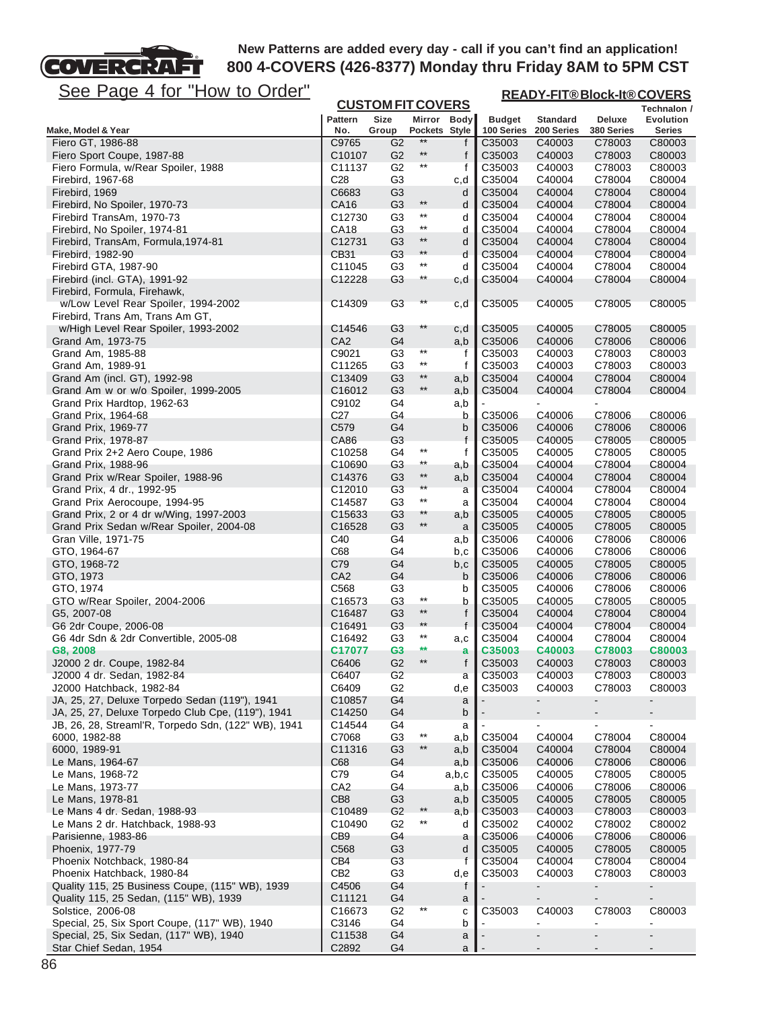**READY-FIT® Block-It® COVERS**

# See Page 4 for "How to Order"

FT

**COVERCRA** 

| <u> Juu</u><br><u>ayu + IVI</u><br><u><b>I IUW IU UIUUI</b></u>           |                             | <b>CUSTOM FIT COVERS</b>         |                         |               |                  | <u>READY-FIT®BIOCK-IT®COVERS</u><br>Technalon / |                  |                                    |
|---------------------------------------------------------------------------|-----------------------------|----------------------------------|-------------------------|---------------|------------------|-------------------------------------------------|------------------|------------------------------------|
|                                                                           | <b>Pattern</b>              | <b>Size</b>                      |                         | Mirror Body   | <b>Budget</b>    | <b>Standard</b>                                 | <b>Deluxe</b>    | <b>Evolution</b>                   |
| Make, Model & Year                                                        | No.                         | Group                            |                         | Pockets Style | 100 Series       | 200 Series                                      | 380 Series       | Series                             |
| Fiero GT, 1986-88                                                         | C9765                       | G <sub>2</sub>                   | $***$                   | f             | C35003           | C40003                                          | C78003           | C80003                             |
| Fiero Sport Coupe, 1987-88                                                | C10107                      | G <sub>2</sub>                   | $***$                   | f             | C35003           | C40003                                          | C78003           | C80003                             |
| Fiero Formula, w/Rear Spoiler, 1988                                       | C11137                      | G <sub>2</sub>                   | $^{\star\star}$         | f             | C35003           | C40003                                          | C78003           | C80003                             |
| Firebird, 1967-68                                                         | C <sub>28</sub>             | G <sub>3</sub>                   |                         | c,d           | C35004           | C40004                                          | C78004           | C80004                             |
| Firebird, 1969                                                            | C6683                       | G <sub>3</sub>                   | $^{\star\star}$         | d             | C35004           | C40004                                          | C78004           | C80004                             |
| Firebird, No Spoiler, 1970-73<br>Firebird TransAm, 1970-73                | CA16<br>C12730              | G <sub>3</sub><br>G3             | $^{\star\star}$         | d             | C35004<br>C35004 | C40004<br>C40004                                | C78004<br>C78004 | C80004<br>C80004                   |
| Firebird, No Spoiler, 1974-81                                             | CA18                        | G3                               | $***$                   | d<br>d        | C35004           | C40004                                          | C78004           | C80004                             |
| Firebird, TransAm, Formula, 1974-81                                       | C12731                      | G <sub>3</sub>                   | $^{\star\star}$         | d             | C35004           | C40004                                          | C78004           | C80004                             |
| Firebird, 1982-90                                                         | CB31                        | G <sub>3</sub>                   | $***$                   | d             | C35004           | C40004                                          | C78004           | C80004                             |
| Firebird GTA, 1987-90                                                     | C11045                      | G <sub>3</sub>                   | $^{\star\star}$         | d             | C35004           | C40004                                          | C78004           | C80004                             |
| Firebird (incl. GTA), 1991-92                                             | C12228                      | G <sub>3</sub>                   | $^{\star\star}$         | c,d           | C35004           | C40004                                          | C78004           | C80004                             |
| Firebird, Formula, Firehawk,                                              |                             |                                  |                         |               |                  |                                                 |                  |                                    |
| w/Low Level Rear Spoiler, 1994-2002                                       | C14309                      | G <sub>3</sub>                   | $^{\star\star}$         | c,d           | C35005           | C40005                                          | C78005           | C80005                             |
| Firebird, Trans Am, Trans Am GT,                                          |                             |                                  |                         |               |                  |                                                 |                  |                                    |
| w/High Level Rear Spoiler, 1993-2002                                      | C14546                      | G <sub>3</sub>                   | $**$                    | c,d           | C35005           | C40005                                          | C78005           | C80005                             |
| Grand Am, 1973-75                                                         | CA <sub>2</sub>             | G4                               | $^{\star\star}$         | a,b           | C35006           | C40006                                          | C78006           | C80006                             |
| Grand Am, 1985-88                                                         | C9021                       | G3                               | $^{\star\star}$         | f             | C35003           | C40003                                          | C78003           | C80003                             |
| Grand Am, 1989-91                                                         | C11265<br>C13409            | G <sub>3</sub><br>G <sub>3</sub> | $\star\star$            | $\mathsf{f}$  | C35003<br>C35004 | C40003<br>C40004                                | C78003<br>C78004 | C80003<br>C80004                   |
| Grand Am (incl. GT), 1992-98<br>Grand Am w or w/o Spoiler, 1999-2005      | C16012                      | G <sub>3</sub>                   | $***$                   | a,b<br>a,b    | C35004           | C40004                                          | C78004           | C80004                             |
| Grand Prix Hardtop, 1962-63                                               | C9102                       | G4                               |                         | a,b           |                  |                                                 |                  |                                    |
| Grand Prix, 1964-68                                                       | C <sub>27</sub>             | G4                               |                         | b             | C35006           | C40006                                          | C78006           | C80006                             |
| Grand Prix, 1969-77                                                       | C579                        | G4                               |                         | b             | C35006           | C40006                                          | C78006           | C80006                             |
| Grand Prix, 1978-87                                                       | CA86                        | G <sub>3</sub>                   |                         | f             | C35005           | C40005                                          | C78005           | C80005                             |
| Grand Prix 2+2 Aero Coupe, 1986                                           | C10258                      | G4                               | $^{\star\star}$         | f             | C35005           | C40005                                          | C78005           | C80005                             |
| Grand Prix, 1988-96                                                       | C <sub>10690</sub>          | G3                               | $^{\star\star}$         | a,b           | C35004           | C40004                                          | C78004           | C80004                             |
| Grand Prix w/Rear Spoiler, 1988-96                                        | C14376                      | G3                               | $^{\star\star}$         | a,b           | C35004           | C40004                                          | C78004           | C80004                             |
| Grand Prix, 4 dr., 1992-95                                                | C <sub>12010</sub>          | G <sub>3</sub>                   | $\star\star$            | a             | C35004           | C40004                                          | C78004           | C80004                             |
| Grand Prix Aerocoupe, 1994-95                                             | C14587                      | G3                               | $^{\star\star}$         | a             | C35004           | C40004                                          | C78004           | C80004                             |
| Grand Prix, 2 or 4 dr w/Wing, 1997-2003                                   | C <sub>15633</sub>          | G <sub>3</sub>                   | $**$<br>$^{\star\star}$ | a,b           | C35005           | C40005                                          | C78005           | C80005                             |
| Grand Prix Sedan w/Rear Spoiler, 2004-08                                  | C16528                      | G <sub>3</sub>                   |                         | a             | C35005           | C40005                                          | C78005           | C80005                             |
| Gran Ville, 1971-75<br>GTO, 1964-67                                       | C40<br>C68                  | G4<br>G4                         |                         | a,b<br>b,c    | C35006<br>C35006 | C40006<br>C40006                                | C78006<br>C78006 | C80006<br>C80006                   |
| GTO, 1968-72                                                              | C79                         | G4                               |                         | b,c           | C35005           | C40005                                          | C78005           | C80005                             |
| GTO, 1973                                                                 | CA <sub>2</sub>             | G4                               |                         | b             | C35006           | C40006                                          | C78006           | C80006                             |
| GTO, 1974                                                                 | C <sub>568</sub>            | G3                               |                         | b             | C35005           | C40006                                          | C78006           | C80006                             |
| GTO w/Rear Spoiler, 2004-2006                                             | C16573                      | G <sub>3</sub>                   | $^{\star\star}$         | b             | C35005           | C40005                                          | C78005           | C80005                             |
| G5, 2007-08                                                               | C16487                      | G <sub>3</sub>                   | $***$                   | f             | C35004           | C40004                                          | C78004           | C80004                             |
| G6 2dr Coupe, 2006-08                                                     | C <sub>16491</sub>          | G <sub>3</sub>                   | $***$                   | $\mathsf{f}$  | C35004           | C40004                                          | C78004           | C80004                             |
| G6 4dr Sdn & 2dr Convertible, 2005-08                                     | C16492                      | G <sub>3</sub>                   | $***$                   | a,c           | C35004           | C40004                                          | C78004           | C80004                             |
| G8, 2008                                                                  | C17077                      | G <sub>3</sub>                   | **                      | a             | C35003           | C40003                                          | C78003           | C80003                             |
| J2000 2 dr. Coupe, 1982-84                                                | C6406                       | G <sub>2</sub>                   | $***$                   | f             | C35003           | C40003                                          | C78003           | C80003                             |
| J2000 4 dr. Sedan, 1982-84                                                | C6407                       | G2                               |                         | а             | C35003           | C40003                                          | C78003           | C80003                             |
| J2000 Hatchback, 1982-84<br>JA, 25, 27, Deluxe Torpedo Sedan (119"), 1941 | C6409<br>C <sub>10857</sub> | G <sub>2</sub><br>G4             |                         | d,e<br>a      | C35003           | C40003                                          | C78003           | C80003<br>$\overline{\phantom{0}}$ |
| JA, 25, 27, Deluxe Torpedo Club Cpe, (119"), 1941                         | C14250                      | G4                               |                         | b             |                  |                                                 |                  | $\blacksquare$                     |
| JB, 26, 28, Streaml'R, Torpedo Sdn, (122" WB), 1941                       | C14544                      | G4                               |                         | a             |                  |                                                 | ۰                | $\blacksquare$                     |
| 6000, 1982-88                                                             | C7068                       | G <sub>3</sub>                   | $***$                   | a,b           | C35004           | C40004                                          | C78004           | C80004                             |
| 6000, 1989-91                                                             | C11316                      | G <sub>3</sub>                   | $\star\star$            | a,b           | C35004           | C40004                                          | C78004           | C80004                             |
| Le Mans, 1964-67                                                          | C68                         | G4                               |                         | a,b           | C35006           | C40006                                          | C78006           | C80006                             |
| Le Mans, 1968-72                                                          | C79                         | G4                               |                         | a,b,c         | C35005           | C40005                                          | C78005           | C80005                             |
| Le Mans, 1973-77                                                          | CA <sub>2</sub>             | G4                               |                         | a,b           | C35006           | C40006                                          | C78006           | C80006                             |
| Le Mans, 1978-81                                                          | CB <sub>8</sub>             | G <sub>3</sub>                   |                         | a,b           | C35005           | C40005                                          | C78005           | C80005                             |
| Le Mans 4 dr. Sedan, 1988-93                                              | C10489                      | G <sub>2</sub>                   | $***$                   | a,b           | C35003           | C40003                                          | C78003           | C80003                             |
| Le Mans 2 dr. Hatchback, 1988-93                                          | C10490                      | G <sub>2</sub>                   | $***$                   | d             | C35002           | C40002                                          | C78002           | C80002                             |
| Parisienne, 1983-86                                                       | CB <sub>9</sub><br>C568     | G4                               |                         | a             | C35006<br>C35005 | C40006                                          | C78006<br>C78005 | C80006<br>C80005                   |
| Phoenix, 1977-79<br>Phoenix Notchback, 1980-84                            | CB <sub>4</sub>             | G3<br>G <sub>3</sub>             |                         | d<br>f        | C35004           | C40005<br>C40004                                | C78004           | C80004                             |
| Phoenix Hatchback, 1980-84                                                | CB <sub>2</sub>             | G <sub>3</sub>                   |                         | d,e           | C35003           | C40003                                          | C78003           | C80003                             |
| Quality 115, 25 Business Coupe, (115" WB), 1939                           | C4506                       | G4                               |                         | f             |                  | ۰                                               | ۰                | $\blacksquare$                     |
| Quality 115, 25 Sedan, (115" WB), 1939                                    | C11121                      | G4                               |                         | a             |                  |                                                 |                  | $\blacksquare$                     |
| Solstice, 2006-08                                                         | C <sub>16673</sub>          | G <sub>2</sub>                   |                         | с             | C35003           | C40003                                          | C78003           | C80003                             |
| Special, 25, Six Sport Coupe, (117" WB), 1940                             | C3146                       | G4                               |                         | b             |                  |                                                 | ä,               | $\blacksquare$                     |
| Special, 25, Six Sedan, (117" WB), 1940                                   | C11538                      | G4                               |                         | a             |                  |                                                 |                  |                                    |
| Star Chief Sedan, 1954                                                    | C2892                       | G4                               |                         | a             |                  |                                                 |                  |                                    |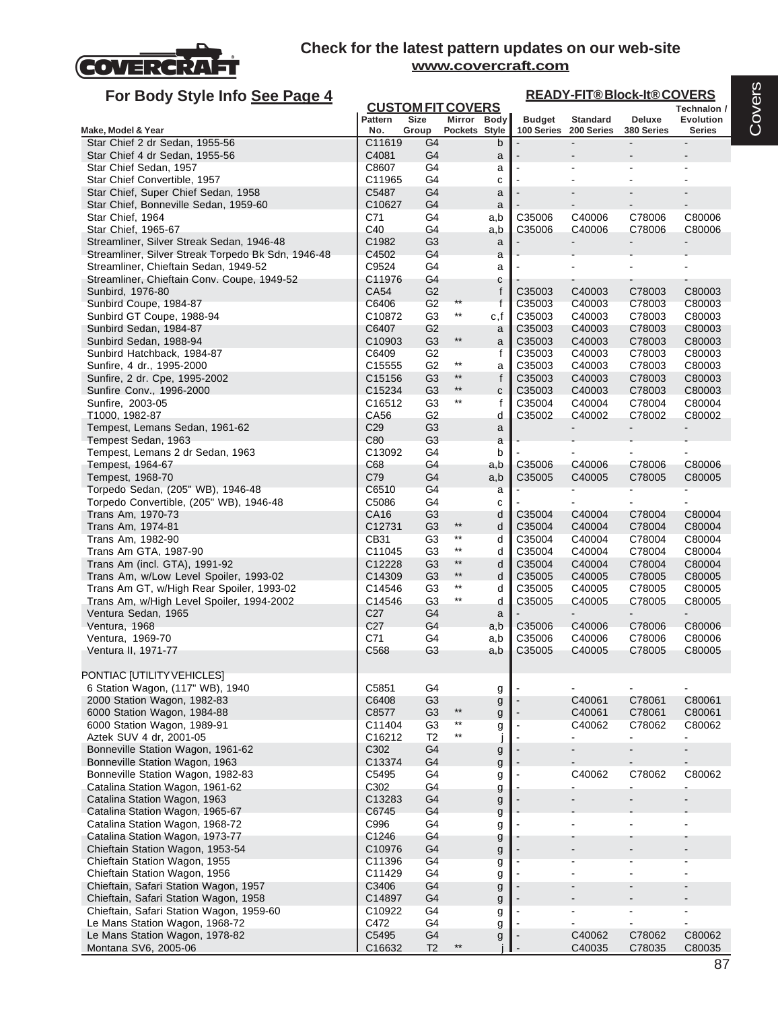

| For Body Style Info See Page 4                                     |                                                                                                                                                    |                                  |                                 |             |                    |                          | <b>READY-FIT®Block-It®COVERS</b> |                          |  |  |
|--------------------------------------------------------------------|----------------------------------------------------------------------------------------------------------------------------------------------------|----------------------------------|---------------------------------|-------------|--------------------|--------------------------|----------------------------------|--------------------------|--|--|
|                                                                    | <b>CUSTOM FIT COVERS</b><br>Technalon /<br><b>Size</b><br>Mirror Body<br><b>Budget</b><br><b>Standard</b><br>Pattern<br>Deluxe<br><b>Evolution</b> |                                  |                                 |             |                    |                          |                                  |                          |  |  |
| Make, Model & Year                                                 | No.                                                                                                                                                | Group                            | Pockets Style                   |             | 100 Series         | 200 Series               | 380 Series                       | <b>Series</b>            |  |  |
| Star Chief 2 dr Sedan, 1955-56                                     | C11619                                                                                                                                             | G4                               |                                 | b           |                    |                          | $\overline{a}$                   |                          |  |  |
| Star Chief 4 dr Sedan, 1955-56                                     | C4081                                                                                                                                              | G4                               |                                 | a           |                    |                          |                                  |                          |  |  |
| Star Chief Sedan, 1957<br>Star Chief Convertible, 1957             | C8607<br>C11965                                                                                                                                    | G4<br>G4                         |                                 | a           |                    |                          |                                  |                          |  |  |
| Star Chief, Super Chief Sedan, 1958                                | C5487                                                                                                                                              | G <sub>4</sub>                   |                                 | c<br>a      |                    |                          |                                  |                          |  |  |
| Star Chief, Bonneville Sedan, 1959-60                              | C10627                                                                                                                                             | G4                               |                                 | a           |                    |                          |                                  |                          |  |  |
| Star Chief, 1964                                                   | C71                                                                                                                                                | G4                               |                                 | a,b         | C35006             | C40006                   | C78006                           | C80006                   |  |  |
| Star Chief, 1965-67                                                | C40                                                                                                                                                | G4                               |                                 | a,b         | C35006             | C40006                   | C78006                           | C80006                   |  |  |
| Streamliner, Silver Streak Sedan, 1946-48                          | C1982                                                                                                                                              | G <sub>3</sub>                   |                                 | a           |                    |                          |                                  |                          |  |  |
| Streamliner, Silver Streak Torpedo Bk Sdn, 1946-48                 | C4502                                                                                                                                              | G4                               |                                 | a           |                    |                          |                                  |                          |  |  |
| Streamliner, Chieftain Sedan, 1949-52                              | C9524                                                                                                                                              | G4                               |                                 | a           |                    |                          | $\blacksquare$                   |                          |  |  |
| Streamliner, Chieftain Conv. Coupe, 1949-52                        | C11976                                                                                                                                             | G4                               |                                 | с           |                    |                          |                                  |                          |  |  |
| Sunbird, 1976-80<br>Sunbird Coupe, 1984-87                         | CA54<br>C6406                                                                                                                                      | G <sub>2</sub><br>G <sub>2</sub> | $***$                           | f<br>f      | C35003<br>C35003   | C40003<br>C40003         | C78003<br>C78003                 | C80003<br>C80003         |  |  |
| Sunbird GT Coupe, 1988-94                                          | C10872                                                                                                                                             | G <sub>3</sub>                   | $^{\star\star}$                 | c,f         | C35003             | C40003                   | C78003                           | C80003                   |  |  |
| Sunbird Sedan, 1984-87                                             | C6407                                                                                                                                              | G <sub>2</sub>                   |                                 | a           | C <sub>35003</sub> | C40003                   | C78003                           | C80003                   |  |  |
| Sunbird Sedan, 1988-94                                             | C10903                                                                                                                                             | G <sub>3</sub>                   | $^{\star\star}$                 | a           | C35003             | C40003                   | C78003                           | C80003                   |  |  |
| Sunbird Hatchback, 1984-87                                         | C6409                                                                                                                                              | G2                               |                                 | f           | C35003             | C40003                   | C78003                           | C80003                   |  |  |
| Sunfire, 4 dr., 1995-2000                                          | C15555                                                                                                                                             | G <sub>2</sub>                   | $^{\star\star}$                 | a           | C35003             | C40003                   | C78003                           | C80003                   |  |  |
| Sunfire, 2 dr. Cpe, 1995-2002                                      | C15156                                                                                                                                             | G <sub>3</sub>                   | $^{\star\star}$                 | $\mathsf f$ | C35003             | C40003                   | C78003                           | C80003                   |  |  |
| Sunfire Conv., 1996-2000                                           | C15234                                                                                                                                             | G <sub>3</sub>                   | $\star\star$                    | C           | C35003             | C40003                   | C78003                           | C80003                   |  |  |
| Sunfire, 2003-05                                                   | C16512                                                                                                                                             | G3                               | $^{\star\star}$                 | f           | C35004             | C40004                   | C78004                           | C80004                   |  |  |
| T1000, 1982-87                                                     | CA56                                                                                                                                               | G <sub>2</sub>                   |                                 | d           | C35002             | C40002                   | C78002                           | C80002                   |  |  |
| Tempest, Lemans Sedan, 1961-62<br>Tempest Sedan, 1963              | C <sub>29</sub><br>C80                                                                                                                             | G <sub>3</sub><br>G <sub>3</sub> |                                 | a<br>a      |                    |                          |                                  |                          |  |  |
| Tempest, Lemans 2 dr Sedan, 1963                                   | C13092                                                                                                                                             | G4                               |                                 | b           |                    |                          |                                  |                          |  |  |
| Tempest, 1964-67                                                   | C68                                                                                                                                                | G4                               |                                 | a,b         | C35006             | C40006                   | C78006                           | C80006                   |  |  |
| Tempest, 1968-70                                                   | C79                                                                                                                                                | G4                               |                                 | a,b         | C35005             | C40005                   | C78005                           | C80005                   |  |  |
| Torpedo Sedan, (205" WB), 1946-48                                  | C6510                                                                                                                                              | G4                               |                                 | a           |                    |                          |                                  |                          |  |  |
| Torpedo Convertible, (205" WB), 1946-48                            | C5086                                                                                                                                              | G4                               |                                 | c           |                    |                          |                                  |                          |  |  |
| Trans Am, 1970-73                                                  | CA16                                                                                                                                               | G3                               |                                 | d           | C35004             | C40004                   | C78004                           | C80004                   |  |  |
| Trans Am, 1974-81                                                  | C12731                                                                                                                                             | G <sub>3</sub>                   | $\star\star$<br>$^{\star\star}$ | d           | C35004             | C40004                   | C78004                           | C80004                   |  |  |
| Trans Am, 1982-90                                                  | CB31                                                                                                                                               | G <sub>3</sub>                   | $^{\star\star}$                 | d           | C35004             | C40004                   | C78004                           | C80004                   |  |  |
| Trans Am GTA, 1987-90<br>Trans Am (incl. GTA), 1991-92             | C11045<br>C12228                                                                                                                                   | G <sub>3</sub><br>G <sub>3</sub> | $^{\star\star}$                 | d<br>d      | C35004<br>C35004   | C40004<br>C40004         | C78004<br>C78004                 | C80004<br>C80004         |  |  |
| Trans Am, w/Low Level Spoiler, 1993-02                             | C14309                                                                                                                                             | G <sub>3</sub>                   | $\star\star$                    | d           | C35005             | C40005                   | C78005                           | C80005                   |  |  |
| Trans Am GT, w/High Rear Spoiler, 1993-02                          | C14546                                                                                                                                             | G3                               | $^{\star\star}$                 | d           | C35005             | C40005                   | C78005                           | C80005                   |  |  |
| Trans Am, w/High Level Spoiler, 1994-2002                          | C14546                                                                                                                                             | G <sub>3</sub>                   | $^{\star\star}$                 | d           | C35005             | C40005                   | C78005                           | C80005                   |  |  |
| Ventura Sedan, 1965                                                | C <sub>27</sub>                                                                                                                                    | G4                               |                                 | a           |                    |                          |                                  |                          |  |  |
| Ventura, 1968                                                      | C <sub>27</sub>                                                                                                                                    | G4                               |                                 | a,b         | C35006             | C40006                   | C78006                           | C80006                   |  |  |
| Ventura, 1969-70                                                   | C71                                                                                                                                                | G4                               |                                 | a,b         | C35006             | C40006                   | C78006                           | C80006                   |  |  |
| Ventura II, 1971-77                                                | C568                                                                                                                                               | G3                               |                                 | a,b         | C35005             | C40005                   | C78005                           | C80005                   |  |  |
| PONTIAC [UTILITY VEHICLES]                                         |                                                                                                                                                    |                                  |                                 |             |                    |                          |                                  |                          |  |  |
| 6 Station Wagon, (117" WB), 1940                                   | C5851                                                                                                                                              | G4                               |                                 |             |                    |                          |                                  |                          |  |  |
| 2000 Station Wagon, 1982-83                                        | C6408                                                                                                                                              | G <sub>3</sub>                   |                                 | g<br>g      |                    | C40061                   | C78061                           | C80061                   |  |  |
| 6000 Station Wagon, 1984-88                                        | C8577                                                                                                                                              | G <sub>3</sub>                   | $^{\star\star}$                 | g           |                    | C40061                   | C78061                           | C80061                   |  |  |
| 6000 Station Wagon, 1989-91                                        | C11404                                                                                                                                             | G <sub>3</sub>                   | $^{\star\star}$                 | g           |                    | C40062                   | C78062                           | C80062                   |  |  |
| Aztek SUV 4 dr, 2001-05                                            | C16212                                                                                                                                             | T <sub>2</sub>                   | $^{\star\star}$                 | J           |                    | $\blacksquare$           | $\blacksquare$                   | $\blacksquare$           |  |  |
| Bonneville Station Wagon, 1961-62                                  | C302                                                                                                                                               | G4                               |                                 | g           |                    |                          | $\overline{a}$                   | $\blacksquare$           |  |  |
| Bonneville Station Wagon, 1963                                     | C13374                                                                                                                                             | G4                               |                                 | g           |                    |                          |                                  |                          |  |  |
| Bonneville Station Wagon, 1982-83                                  | C5495                                                                                                                                              | G4                               |                                 | g           |                    | C40062                   | C78062                           | C80062                   |  |  |
| Catalina Station Wagon, 1961-62                                    | C302                                                                                                                                               | G4                               |                                 | g           |                    | $\blacksquare$           | $\blacksquare$                   | $\blacksquare$           |  |  |
| Catalina Station Wagon, 1963                                       | C13283                                                                                                                                             | G4                               |                                 | g           |                    | $\overline{\phantom{a}}$ | $\overline{\phantom{a}}$         | $\overline{\phantom{a}}$ |  |  |
| Catalina Station Wagon, 1965-67<br>Catalina Station Wagon, 1968-72 | C6745<br>C996                                                                                                                                      | G4<br>G4                         |                                 | g           |                    |                          |                                  |                          |  |  |
| Catalina Station Wagon, 1973-77                                    | C1246                                                                                                                                              | G4                               |                                 | g<br>g      |                    |                          |                                  |                          |  |  |
| Chieftain Station Wagon, 1953-54                                   | C10976                                                                                                                                             | G4                               |                                 | g           |                    |                          |                                  |                          |  |  |
| Chieftain Station Wagon, 1955                                      | C11396                                                                                                                                             | G4                               |                                 | g           |                    |                          |                                  |                          |  |  |
| Chieftain Station Wagon, 1956                                      | C11429                                                                                                                                             | G4                               |                                 | g           |                    |                          |                                  |                          |  |  |
| Chieftain, Safari Station Wagon, 1957                              | C3406                                                                                                                                              | G4                               |                                 | g           |                    |                          |                                  |                          |  |  |
| Chieftain, Safari Station Wagon, 1958                              | C14897                                                                                                                                             | G4                               |                                 | g           |                    |                          |                                  |                          |  |  |
| Chieftain, Safari Station Wagon, 1959-60                           | C10922                                                                                                                                             | G4                               |                                 | g           |                    |                          |                                  |                          |  |  |
| Le Mans Station Wagon, 1968-72                                     | C472                                                                                                                                               | G4                               |                                 | g           |                    |                          |                                  | $\blacksquare$           |  |  |
| Le Mans Station Wagon, 1978-82                                     | C5495                                                                                                                                              | G4                               |                                 | g           |                    | C40062                   | C78062                           | C80062                   |  |  |
| Montana SV6, 2005-06                                               | C16632                                                                                                                                             | T <sub>2</sub>                   | **                              |             |                    | C40035                   | C78035                           | C80035                   |  |  |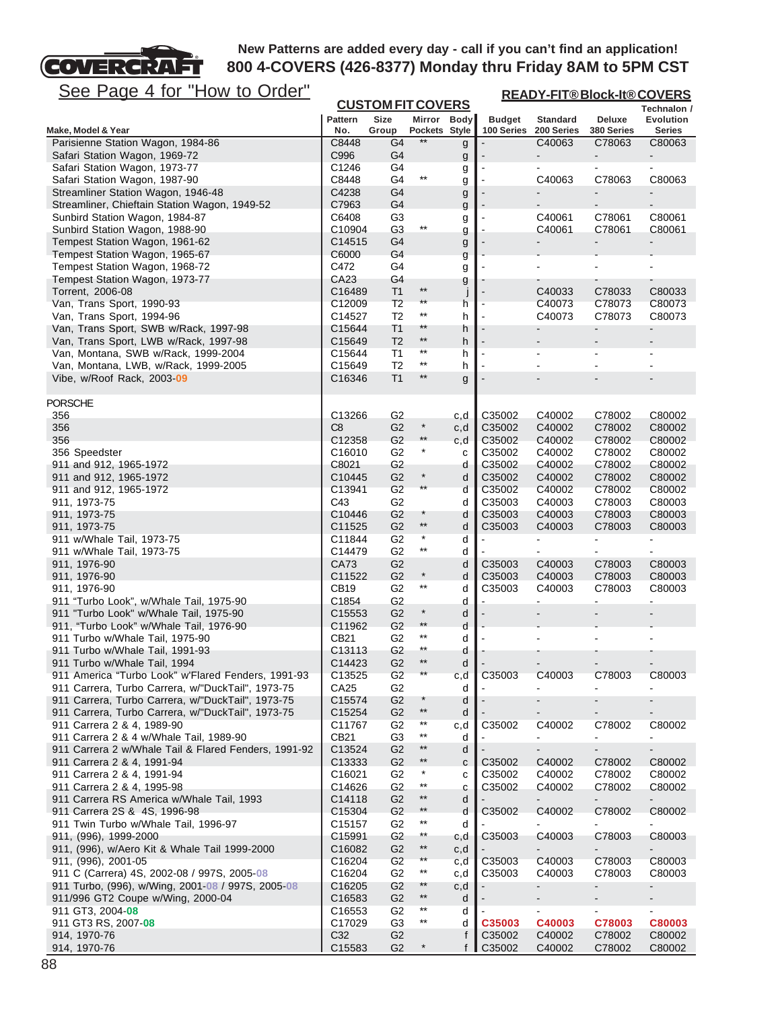# See Page 4 for "How to Order"

COVERCRAFT

| <u>See Page 4 for "How to Order"</u>                                                                    |                              |                                  |                              |                   | <b>READY-FIT®Block-It®COVERS</b> |                               |                              |                            |  |
|---------------------------------------------------------------------------------------------------------|------------------------------|----------------------------------|------------------------------|-------------------|----------------------------------|-------------------------------|------------------------------|----------------------------|--|
|                                                                                                         |                              | <b>CUSTOM FIT COVERS</b>         |                              |                   |                                  |                               |                              | Technalon /                |  |
| Make, Model & Year                                                                                      | <b>Pattern</b><br>No.        | Size<br>Group                    | Mirror Body<br>Pockets Style |                   | <b>Budget</b><br>100 Series      | <b>Standard</b><br>200 Series | <b>Deluxe</b><br>380 Series  | Evolution<br><b>Series</b> |  |
| Parisienne Station Wagon, 1984-86                                                                       | C8448                        | G4                               | $***$                        | g                 |                                  | C40063                        | C78063                       | C80063                     |  |
| Safari Station Wagon, 1969-72                                                                           | C996                         | G <sub>4</sub>                   |                              | g                 |                                  |                               |                              |                            |  |
| Safari Station Wagon, 1973-77                                                                           | C1246                        | G4                               |                              | g                 |                                  |                               |                              |                            |  |
| Safari Station Wagon, 1987-90                                                                           | C8448                        | G4                               | $^{\star\star}$              | g                 |                                  | C40063                        | C78063                       | C80063                     |  |
| Streamliner Station Wagon, 1946-48<br>Streamliner, Chieftain Station Wagon, 1949-52                     | C4238<br>C7963               | G4<br>G4                         |                              | g                 |                                  |                               |                              |                            |  |
| Sunbird Station Wagon, 1984-87                                                                          | C6408                        | G3                               |                              | g<br>g            |                                  | C40061                        | C78061                       | C80061                     |  |
| Sunbird Station Wagon, 1988-90                                                                          | C10904                       | G <sub>3</sub>                   | $^{\star\star}$              | g                 |                                  | C40061                        | C78061                       | C80061                     |  |
| Tempest Station Wagon, 1961-62                                                                          | C14515                       | G4                               |                              | g                 |                                  |                               |                              |                            |  |
| Tempest Station Wagon, 1965-67                                                                          | C6000                        | G4                               |                              | g                 |                                  |                               |                              |                            |  |
| Tempest Station Wagon, 1968-72                                                                          | C472                         | G4                               |                              | g                 |                                  |                               |                              |                            |  |
| Tempest Station Wagon, 1973-77                                                                          | CA23                         | G4                               | $**$                         | g                 |                                  |                               |                              |                            |  |
| Torrent, 2006-08<br>Van, Trans Sport, 1990-93                                                           | C16489<br>C12009             | T <sub>1</sub><br>T <sub>2</sub> | $^{\star\star}$              | $\mathsf{I}$<br>h |                                  | C40033<br>C40073              | C78033<br>C78073             | C80033<br>C80073           |  |
| Van, Trans Sport, 1994-96                                                                               | C14527                       | T <sub>2</sub>                   | $^{\star\star}$              | h                 |                                  | C40073                        | C78073                       | C80073                     |  |
| Van, Trans Sport, SWB w/Rack, 1997-98                                                                   | C15644                       | T <sub>1</sub>                   | $**$                         | h                 |                                  |                               | $\qquad \qquad \blacksquare$ |                            |  |
| Van, Trans Sport, LWB w/Rack, 1997-98                                                                   | C15649                       | T <sub>2</sub>                   | $^{\star\star}$              | h                 |                                  |                               |                              |                            |  |
| Van, Montana, SWB w/Rack, 1999-2004                                                                     | C15644                       | T <sub>1</sub>                   | $***$                        | h                 |                                  |                               | ä,                           |                            |  |
| Van, Montana, LWB, w/Rack, 1999-2005                                                                    | C15649                       | T <sub>2</sub>                   | $^{\star\star}$              | h                 |                                  |                               |                              |                            |  |
| Vibe, w/Roof Rack, 2003-09                                                                              | C16346                       | T <sub>1</sub>                   | $^{\star\star}$              | g                 |                                  |                               |                              |                            |  |
| <b>PORSCHE</b>                                                                                          |                              |                                  |                              |                   |                                  |                               |                              |                            |  |
| 356                                                                                                     | C13266                       | G <sub>2</sub>                   |                              | c,d               | C35002                           | C40002                        | C78002                       | C80002                     |  |
| 356                                                                                                     | C8                           | G <sub>2</sub>                   | $\ast$                       | c,d               | C35002                           | C40002                        | C78002                       | C80002                     |  |
| 356                                                                                                     | C12358                       | G <sub>2</sub>                   | $^{\star\star}$              | c,d               | C35002                           | C40002                        | C78002                       | C80002                     |  |
| 356 Speedster                                                                                           | C <sub>16010</sub>           | G2                               | $\star$                      | с                 | C35002                           | C40002                        | C78002                       | C80002                     |  |
| 911 and 912, 1965-1972                                                                                  | C8021                        | G <sub>2</sub>                   |                              | d                 | C35002                           | C40002                        | C78002                       | C80002                     |  |
| 911 and 912, 1965-1972                                                                                  | C10445                       | G <sub>2</sub>                   | $\ast$<br>$\star\star$       | d                 | C35002                           | C40002                        | C78002                       | C80002                     |  |
| 911 and 912, 1965-1972<br>911, 1973-75                                                                  | C13941<br>C43                | G <sub>2</sub><br>G2             |                              | d<br>d            | C35002<br>C35003                 | C40002<br>C40003              | C78002<br>C78003             | C80002<br>C80003           |  |
| 911, 1973-75                                                                                            | C10446                       | G <sub>2</sub>                   |                              | d                 | C35003                           | C40003                        | C78003                       | C80003                     |  |
| 911, 1973-75                                                                                            | C11525                       | G <sub>2</sub>                   | $^{\star\star}$              | d                 | C35003                           | C40003                        | C78003                       | C80003                     |  |
| 911 w/Whale Tail, 1973-75                                                                               | C11844                       | G2                               | $\ast$                       | d                 |                                  |                               |                              |                            |  |
| 911 w/Whale Tail, 1973-75                                                                               | C14479                       | G <sub>2</sub>                   | $^{\star\star}$              | d                 |                                  |                               |                              |                            |  |
| 911, 1976-90                                                                                            | CA73                         | G <sub>2</sub>                   | $\ast$                       | d                 | C35003                           | C40003                        | C78003                       | C80003                     |  |
| 911, 1976-90                                                                                            | C11522                       | G <sub>2</sub>                   | $^{\star\star}$              | d                 | C35003                           | C40003                        | C78003<br>C78003             | C80003                     |  |
| 911, 1976-90<br>911 "Turbo Look", w/Whale Tail, 1975-90                                                 | CB <sub>19</sub><br>C1854    | G2<br>G2                         |                              | d<br>d            | C35003                           | C40003<br>۰                   | $\blacksquare$               | C80003<br>۰                |  |
| 911 "Turbo Look" w/Whale Tail, 1975-90                                                                  | C15553                       | G <sub>2</sub>                   | $\star$                      | d                 |                                  |                               |                              |                            |  |
| 911, "Turbo Look" w/Whale Tail, 1976-90                                                                 | C11962                       | G <sub>2</sub>                   | $\star\star$                 | d                 |                                  |                               |                              |                            |  |
| 911 Turbo w/Whale Tail, 1975-90                                                                         | CB21                         | G <sub>2</sub>                   | $^{\star\star}$              | d                 |                                  |                               |                              |                            |  |
| 911 Turbo w/Whale Tail, 1991-93                                                                         | C13113                       | G <sub>2</sub>                   | $^{\star\star}$<br>$**$      | d                 |                                  |                               |                              |                            |  |
| 911 Turbo w/Whale Tail, 1994                                                                            | C14423                       | G2                               | $***$                        | d                 |                                  |                               | C78003                       |                            |  |
| 911 America "Turbo Look" w'Flared Fenders, 1991-93<br>911 Carrera, Turbo Carrera, w/"DuckTail", 1973-75 | C13525<br>CA25               | G <sub>2</sub><br>G2             |                              | c,d<br>d          | C35003                           | C40003                        |                              | C80003                     |  |
| 911 Carrera, Turbo Carrera, w/"DuckTail", 1973-75                                                       | C15574                       | G2                               |                              | d                 |                                  |                               |                              |                            |  |
| 911 Carrera, Turbo Carrera, w/"DuckTail", 1973-75                                                       | C15254                       | G <sub>2</sub>                   | $***$                        | d                 |                                  |                               |                              |                            |  |
| 911 Carrera 2 & 4, 1989-90                                                                              | C11767                       | G2                               | $^{\star\star}$              | c,d               | C35002                           | C40002                        | C78002                       | C80002                     |  |
| 911 Carrera 2 & 4 w/Whale Tail, 1989-90                                                                 | CB21                         | G <sub>3</sub>                   | $***$                        | d                 |                                  | ÷.                            | $\blacksquare$               | ٠                          |  |
| 911 Carrera 2 w/Whale Tail & Flared Fenders, 1991-92                                                    | C13524                       | G <sub>2</sub>                   | $^{\star\star}$<br>$***$     | d                 |                                  | $\blacksquare$                |                              |                            |  |
| 911 Carrera 2 & 4, 1991-94<br>911 Carrera 2 & 4, 1991-94                                                | C <sub>13333</sub><br>C16021 | G <sub>2</sub><br>G2             | $\ast$                       | С                 | C35002<br>C35002                 | C40002<br>C40002              | C78002<br>C78002             | C80002<br>C80002           |  |
| 911 Carrera 2 & 4, 1995-98                                                                              | C14626                       | G2                               | $***$                        | с<br>С            | C35002                           | C40002                        | C78002                       | C80002                     |  |
| 911 Carrera RS America w/Whale Tail, 1993                                                               | C14118                       | G <sub>2</sub>                   | $**$                         | d                 |                                  |                               |                              |                            |  |
| 911 Carrera 2S & 4S, 1996-98                                                                            | C15304                       | G <sub>2</sub>                   | $**$                         | d                 | C35002                           | C40002                        | C78002                       | C80002                     |  |
| 911 Twin Turbo w/Whale Tail, 1996-97                                                                    | C <sub>15157</sub>           | G <sub>2</sub>                   | $^{\star\star}$              | d                 |                                  |                               |                              |                            |  |
| 911, (996), 1999-2000                                                                                   | C15991                       | G2                               | $^{\star\star}$              | c,d               | C35003                           | C40003                        | C78003                       | C80003                     |  |
| 911, (996), w/Aero Kit & Whale Tail 1999-2000                                                           | C16082                       | G2                               | $**$<br>$^{\star\star}$      | c,d               |                                  |                               |                              |                            |  |
| 911, (996), 2001-05<br>911 C (Carrera) 4S, 2002-08 / 997S, 2005-08                                      | C16204<br>C16204             | G <sub>2</sub><br>G2             | $***$                        | c,d               | C35003<br>C35003                 | C40003<br>C40003              | C78003<br>C78003             | C80003<br>C80003           |  |
| 911 Turbo, (996), w/Wing, 2001-08 / 997S, 2005-08                                                       | C <sub>16205</sub>           | G2                               | $**$                         | c,d<br>c,d        |                                  | ۰                             | ۰                            | ۰                          |  |
| 911/996 GT2 Coupe w/Wing, 2000-04                                                                       | C16583                       | G2                               | $^{\star\star}$              | d                 |                                  |                               |                              |                            |  |
| 911 GT3, 2004-08                                                                                        | C <sub>16553</sub>           | G2                               | $^{\star\star}$              | d                 |                                  |                               |                              |                            |  |
| 911 GT3 RS, 2007- <mark>08</mark>                                                                       | C17029                       | G3                               | $***$                        | d                 | C35003                           | C40003                        | C78003                       | C80003                     |  |
| 914, 1970-76                                                                                            | C32                          | G <sub>2</sub>                   |                              | f                 | C35002                           | C40002                        | C78002                       | C80002                     |  |
| 914, 1970-76                                                                                            | C15583                       | G <sub>2</sub>                   | $\ast$                       | f                 | C35002                           | C40002                        | C78002                       | C80002                     |  |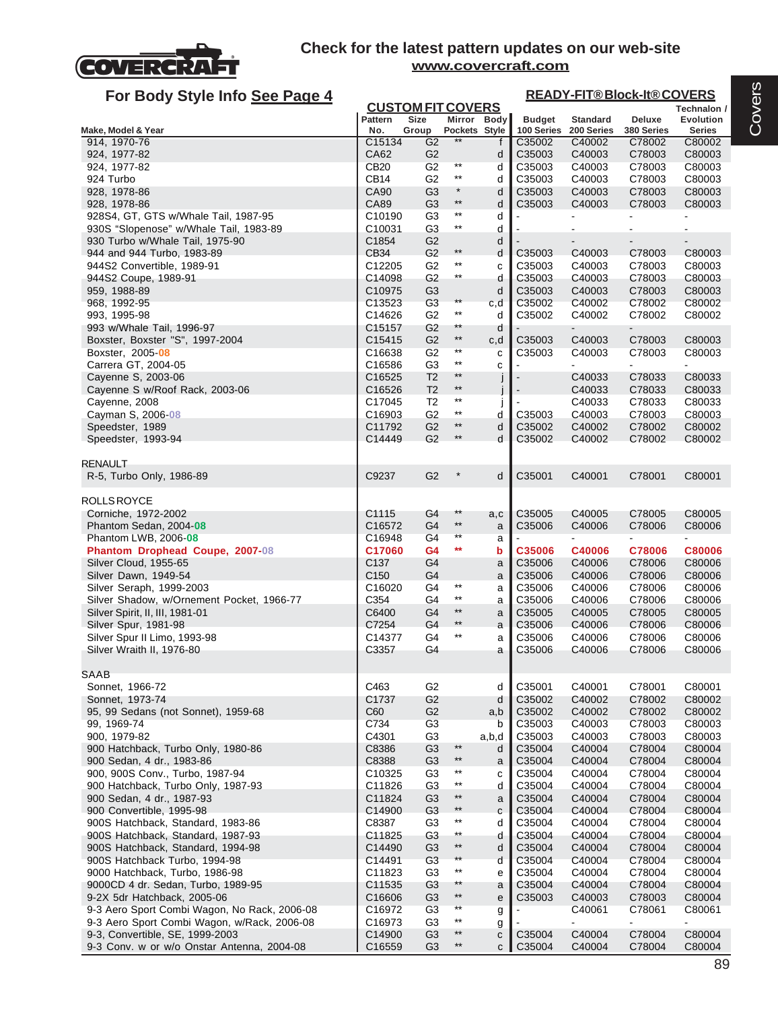

| For Body Style Info See Page 4               |                    |                          |                 |              |               | <b>READY-FIT®Block-It®COVERS</b> |                |                  |
|----------------------------------------------|--------------------|--------------------------|-----------------|--------------|---------------|----------------------------------|----------------|------------------|
|                                              |                    | <b>CUSTOM FIT COVERS</b> |                 |              |               |                                  |                | Technalon /      |
|                                              | <b>Pattern</b>     | <b>Size</b>              |                 | Mirror Body  | <b>Budget</b> | <b>Standard</b>                  | <b>Deluxe</b>  | <b>Evolution</b> |
| Make, Model & Year                           | No.                | Group                    | Pockets Style   |              | 100 Series    | 200 Series                       | 380 Series     | <b>Series</b>    |
| 914, 1970-76                                 | C15134             | G2                       |                 | f            | C35002        | C40002                           | C78002         | C80002           |
| 924, 1977-82                                 | CA62               | G <sub>2</sub>           |                 | d            | C35003        | C40003                           | C78003         | C80003           |
| 924, 1977-82                                 | <b>CB20</b>        | G <sub>2</sub>           | $***$           | d            | C35003        | C40003                           | C78003         | C80003           |
| 924 Turbo                                    | CB <sub>14</sub>   | G <sub>2</sub>           | $^{\star\star}$ | d            | C35003        | C40003                           | C78003         | C80003           |
| 928, 1978-86                                 | CA90               | G <sub>3</sub>           | $\star$         | d            | C35003        | C40003                           | C78003         | C80003           |
| 928, 1978-86                                 | CA89               | G <sub>3</sub>           | $***$           | d            | C35003        | C40003                           | C78003         | C80003           |
| 928S4, GT, GTS w/Whale Tail, 1987-95         | C10190             | G <sub>3</sub>           | $^{\star\star}$ | d            |               |                                  |                |                  |
| 930S "Slopenose" w/Whale Tail, 1983-89       | C10031             | G <sub>3</sub>           | $^{\star\star}$ | d            |               |                                  |                |                  |
| 930 Turbo w/Whale Tail, 1975-90              | C1854              | G <sub>2</sub>           |                 | d            |               |                                  |                |                  |
| 944 and 944 Turbo, 1983-89                   | CB34               | G <sub>2</sub>           | $^{\star\star}$ | d            | C35003        | C40003                           | C78003         | C80003           |
| 944S2 Convertible, 1989-91                   | C12205             | G <sub>2</sub>           | $^{\star\star}$ | С            | C35003        | C40003                           | C78003         | C80003           |
| 944S2 Coupe, 1989-91                         | C14098             | G <sub>2</sub>           | $***$           | d            | C35003        | C40003                           | C78003         | C80003           |
| 959, 1988-89                                 | C10975             | G <sub>3</sub>           |                 | d            | C35003        | C40003                           | C78003         | C80003           |
| 968, 1992-95                                 | C13523             | G <sub>3</sub>           | $^{\star\star}$ | c,d          | C35002        | C40002                           | C78002         | C80002           |
| 993, 1995-98                                 | C14626             | G <sub>2</sub>           | $***$           | d            | C35002        | C40002                           | C78002         | C80002           |
| 993 w/Whale Tail, 1996-97                    | C <sub>15157</sub> | G <sub>2</sub>           | $**$            | d            |               |                                  |                |                  |
| Boxster, Boxster "S", 1997-2004              | C15415             | G <sub>2</sub>           | $***$           | c,d          | C35003        | C40003                           | C78003         | C80003           |
| Boxster, 2005-08                             | C16638             | G <sub>2</sub>           | $***$           | C            | C35003        | C40003                           | C78003         | C80003           |
| Carrera GT, 2004-05                          | C16586             | G <sub>3</sub>           | $***$           | C            |               |                                  | $\blacksquare$ | ٠                |
| Cayenne S, 2003-06                           | C16525             | T <sub>2</sub>           | $^{\star\star}$ |              |               | C40033                           | C78033         | C80033           |
| Cayenne S w/Roof Rack, 2003-06               | C16526             | T <sub>2</sub>           | $^{\star\star}$ |              |               | C40033                           | C78033         | C80033           |
| Cayenne, 2008                                | C17045             | T <sub>2</sub>           | $***$           |              |               | C40033                           | C78033         | C80033           |
| Cayman S, 2006-08                            | C16903             | G <sub>2</sub>           | $^{\star\star}$ | d            | C35003        | C40003                           | C78003         | C80003           |
| Speedster, 1989                              | C11792             | G <sub>2</sub>           | $^{\star\star}$ | d            | C35002        | C40002                           | C78002         | C80002           |
| Speedster, 1993-94                           | C14449             | G <sub>2</sub>           | $^{\star\star}$ | d            | C35002        | C40002                           | C78002         | C80002           |
|                                              |                    |                          |                 |              |               |                                  |                |                  |
| <b>RENAULT</b>                               |                    |                          |                 |              |               |                                  |                |                  |
| R-5, Turbo Only, 1986-89                     | C9237              | G <sub>2</sub>           |                 | d            | C35001        | C40001                           | C78001         | C80001           |
|                                              |                    |                          |                 |              |               |                                  |                |                  |
| <b>ROLLS ROYCE</b>                           |                    |                          |                 |              |               |                                  |                |                  |
| Corniche, 1972-2002                          | C1115              | G4                       | $***$           | a,c          | C35005        | C40005                           | C78005         | C80005           |
| Phantom Sedan, 2004-08                       | C16572             | G4                       | $***$           | a            | C35006        | C40006                           | C78006         | C80006           |
| Phantom LWB, 2006-08                         | C16948             | G <sub>4</sub>           | $^{\star\star}$ | а            |               |                                  |                |                  |
| Phantom Drophead Coupe, 2007-08              | C17060             | G4                       | $***$           | b            | C35006        | C40006                           | C78006         | C80006           |
| Silver Cloud, 1955-65                        | C <sub>137</sub>   | G <sub>4</sub>           |                 | a            | C35006        | C40006                           | C78006         | C80006           |
| Silver Dawn, 1949-54                         | C <sub>150</sub>   | G4                       |                 | a            | C35006        | C40006                           | C78006         | C80006           |
| Silver Seraph, 1999-2003                     | C16020             | G4                       | $***$           | a            | C35006        | C40006                           | C78006         | C80006           |
| Silver Shadow, w/Ornement Pocket, 1966-77    | C354               | G4                       | $^{\star\star}$ | a            | C35006        | C40006                           | C78006         | C80006           |
| Silver Spirit, II, III, 1981-01              | C6400              | G <sub>4</sub>           | $***$           | a            | C35005        | C40005                           | C78005         | C80005           |
| Silver Spur, 1981-98                         | C7254              | G4                       | $***$           | a            | C35006        | C40006                           | C78006         | C80006           |
| Silver Spur II Limo, 1993-98                 | C14377             | G <sub>4</sub>           | $^{\star\star}$ | a            | C35006        | C40006                           | C78006         | C80006           |
| Silver Wraith II, 1976-80                    | C3357              | G4                       |                 | a            | C35006        | C40006                           | C78006         | C80006           |
|                                              |                    |                          |                 |              |               |                                  |                |                  |
| <b>SAAB</b>                                  |                    |                          |                 |              |               |                                  |                |                  |
| Sonnet, 1966-72                              | C463               | G <sub>2</sub>           |                 | d            | C35001        | C40001                           | C78001         | C80001           |
| Sonnet, 1973-74                              | C <sub>1737</sub>  | G <sub>2</sub>           |                 | d            | C35002        | C40002                           | C78002         | C80002           |
| 95, 99 Sedans (not Sonnet), 1959-68          | C60                | G <sub>2</sub>           |                 | a,b          | C35002        | C40002                           | C78002         | C80002           |
| 99, 1969-74                                  | C734               | G <sub>3</sub>           |                 | b            | C35003        | C40003                           | C78003         | C80003           |
| 900, 1979-82                                 | C4301              | G <sub>3</sub>           |                 | a,b,d        | C35003        | C40003                           | C78003         | C80003           |
| 900 Hatchback, Turbo Only, 1980-86           | C8386              | G <sub>3</sub>           | $***$           | d            | C35004        | C40004                           | C78004         | C80004           |
| 900 Sedan, 4 dr., 1983-86                    | C8388              | G <sub>3</sub>           | $^{\star\star}$ | a            | C35004        | C40004                           | C78004         | C80004           |
| 900, 900S Conv., Turbo, 1987-94              | C10325             | G <sub>3</sub>           | $^{\star\star}$ | C            | C35004        | C40004                           | C78004         | C80004           |
| 900 Hatchback, Turbo Only, 1987-93           | C11826             | G <sub>3</sub>           | $^{\star\star}$ | d            | C35004        | C40004                           | C78004         | C80004           |
| 900 Sedan, 4 dr., 1987-93                    | C11824             | G <sub>3</sub>           | $***$           | $\mathsf a$  | C35004        | C40004                           | C78004         | C80004           |
| 900 Convertible, 1995-98                     | C14900             | G <sub>3</sub>           | $**$            | C            | C35004        | C40004                           | C78004         | C80004           |
| 900S Hatchback, Standard, 1983-86            | C8387              | G <sub>3</sub>           | $^{\star\star}$ | d            | C35004        | C40004                           | C78004         | C80004           |
| 900S Hatchback, Standard, 1987-93            | C11825             | G3                       | $***$           | d            | C35004        | C40004                           | C78004         | C80004           |
| 900S Hatchback, Standard, 1994-98            | C14490             | G <sub>3</sub>           | $^{\star\star}$ | d            | C35004        | C40004                           | C78004         | C80004           |
| 900S Hatchback Turbo, 1994-98                | C14491             | G <sub>3</sub>           | $***$           | d            | C35004        | C40004                           | C78004         | C80004           |
| 9000 Hatchback, Turbo, 1986-98               | C11823             | G <sub>3</sub>           | $***$           | e            | C35004        | C40004                           | C78004         | C80004           |
| 9000CD 4 dr. Sedan, Turbo, 1989-95           | C11535             | G <sub>3</sub>           | $^{\star\star}$ | a            | C35004        | C40004                           | C78004         | C80004           |
| 9-2X 5dr Hatchback, 2005-06                  | C16606             | G <sub>3</sub>           | $^{\star\star}$ | e            | C35003        | C40003                           | C78003         | C80004           |
| 9-3 Aero Sport Combi Wagon, No Rack, 2006-08 | C16972             | G <sub>3</sub>           | $^{\star\star}$ | g            |               | C40061                           | C78061         | C80061           |
| 9-3 Aero Sport Combi Wagon, w/Rack, 2006-08  | C16973             | G <sub>3</sub>           | $^{\star\star}$ | g            |               | $\overline{\phantom{a}}$         | $\blacksquare$ | $\blacksquare$   |
| 9-3, Convertible, SE, 1999-2003              | C14900             | G <sub>3</sub>           | $***$           | C            | C35004        | C40004                           | C78004         | C80004           |
| 9-3 Conv. w or w/o Onstar Antenna, 2004-08   | C16559             | G <sub>3</sub>           | $^{\star\star}$ | $\mathsf{C}$ | C35004        | C40004                           | C78004         | C80004           |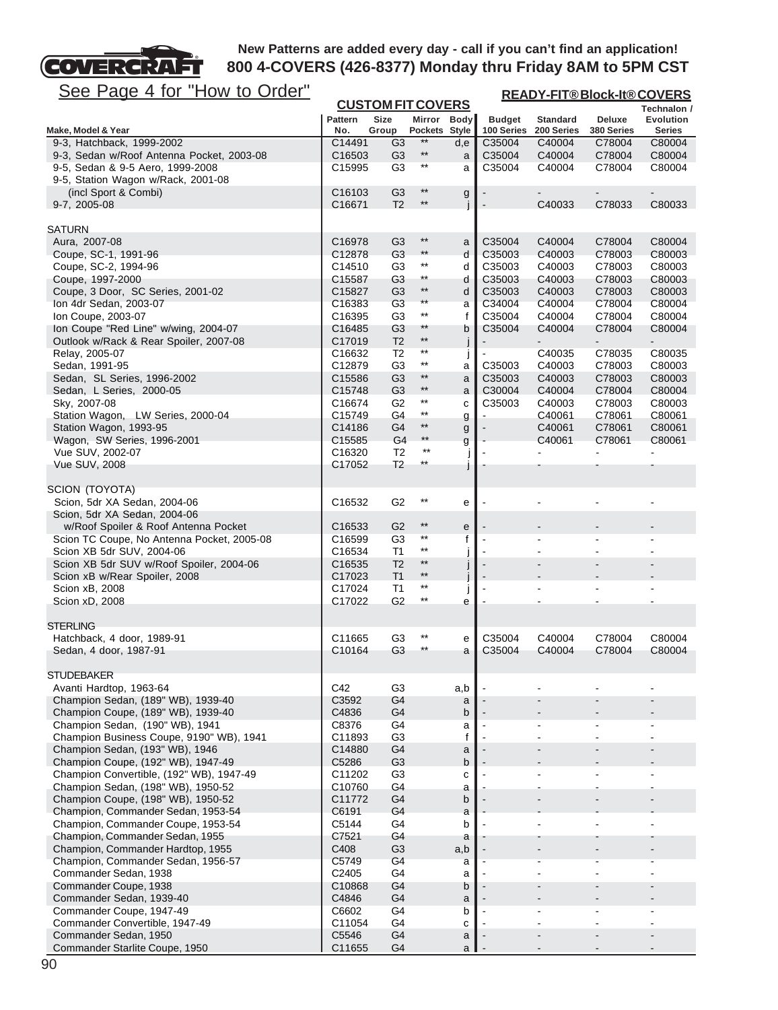

| <u>See Page 4 for "How to Order"</u>                                               |                              |                                  |                          |             |                             | <b>READY-FIT®Block-It®COVERS</b> |                                    |                                    |
|------------------------------------------------------------------------------------|------------------------------|----------------------------------|--------------------------|-------------|-----------------------------|----------------------------------|------------------------------------|------------------------------------|
|                                                                                    |                              |                                  | <b>CUSTOM FIT COVERS</b> |             |                             |                                  |                                    | Technalon /                        |
| Make, Model & Year                                                                 | <b>Pattern</b><br>No.        | <b>Size</b><br>Group             | Mirror<br>Pockets Style  | <b>Body</b> | <b>Budget</b><br>100 Series | <b>Standard</b><br>200 Series    | <b>Deluxe</b><br>380 Series        | Evolution<br><b>Series</b>         |
| 9-3, Hatchback, 1999-2002                                                          | C14491                       | G <sub>3</sub>                   | **                       | d,e         | C35004                      | C40004                           | C78004                             | C80004                             |
| 9-3, Sedan w/Roof Antenna Pocket, 2003-08                                          | C16503                       | G <sub>3</sub>                   | $^{\star\star}$          | a           | C35004                      | C40004                           | C78004                             | C80004                             |
| 9-5, Sedan & 9-5 Aero, 1999-2008                                                   | C15995                       | G3                               | $***$                    | a           | C35004                      | C40004                           | C78004                             | C80004                             |
| 9-5, Station Wagon w/Rack, 2001-08                                                 |                              |                                  | $***$                    |             |                             |                                  |                                    |                                    |
| (incl Sport & Combi)<br>9-7, 2005-08                                               | C <sub>16103</sub><br>C16671 | G <sub>3</sub><br>T <sub>2</sub> | $***$                    | g           |                             | $\blacksquare$<br>C40033         | $\overline{\phantom{a}}$<br>C78033 | $\overline{\phantom{a}}$<br>C80033 |
|                                                                                    |                              |                                  |                          |             |                             |                                  |                                    |                                    |
| <b>SATURN</b>                                                                      |                              |                                  |                          |             |                             |                                  |                                    |                                    |
| Aura, 2007-08                                                                      | C16978                       | G <sub>3</sub>                   | $***$                    | a           | C35004                      | C40004                           | C78004                             | C80004                             |
| Coupe, SC-1, 1991-96                                                               | C12878                       | G <sub>3</sub>                   | $***$                    | d           | C35003                      | C40003                           | C78003                             | C80003                             |
| Coupe, SC-2, 1994-96                                                               | C14510                       | G <sub>3</sub>                   | $***$                    | d           | C35003                      | C40003                           | C78003                             | C80003                             |
| Coupe, 1997-2000                                                                   | C15587<br>C15827             | G <sub>3</sub>                   | $***$<br>$***$           | d           | C35003                      | C40003                           | C78003                             | C80003                             |
| Coupe, 3 Door, SC Series, 2001-02<br>Ion 4dr Sedan, 2003-07                        | C16383                       | G <sub>3</sub><br>G <sub>3</sub> | $^{\star\star}$          | d           | C35003<br>C34004            | C40003<br>C40004                 | C78003<br>C78004                   | C80003<br>C80004                   |
| Ion Coupe, 2003-07                                                                 | C16395                       | G <sub>3</sub>                   | $***$                    | a<br>f      | C35004                      | C40004                           | C78004                             | C80004                             |
| Ion Coupe "Red Line" w/wing, 2004-07                                               | C16485                       | G <sub>3</sub>                   | $***$                    | b           | C35004                      | C40004                           | C78004                             | C80004                             |
| Outlook w/Rack & Rear Spoiler, 2007-08                                             | C17019                       | T <sub>2</sub>                   | $^{\star\star}$          |             |                             |                                  |                                    |                                    |
| Relay, 2005-07                                                                     | C16632                       | T2                               | $***$                    | J           |                             | C40035                           | C78035                             | C80035                             |
| Sedan, 1991-95                                                                     | C12879                       | G <sub>3</sub>                   | $^{\star\star}$          | a           | C35003                      | C40003                           | C78003                             | C80003                             |
| Sedan, SL Series, 1996-2002                                                        | C15586                       | G <sub>3</sub>                   | $***$                    | a           | C35003                      | C40003                           | C78003                             | C80003                             |
| Sedan, L Series, 2000-05                                                           | C <sub>15748</sub>           | G <sub>3</sub>                   | $^{\star\star}$          | a           | C30004                      | C40004                           | C78004                             | C80004                             |
| Sky, 2007-08                                                                       | C16674                       | G <sub>2</sub>                   | $***$<br>$^{\star\star}$ | C           | C35003                      | C40003                           | C78003                             | C80003                             |
| Station Wagon, LW Series, 2000-04<br>Station Wagon, 1993-95                        | C15749<br>C14186             | G4<br>G4                         | $***$                    | g           |                             | C40061<br>C40061                 | C78061<br>C78061                   | C80061<br>C80061                   |
| Wagon, SW Series, 1996-2001                                                        | C15585                       | G <sub>4</sub>                   | $***$                    | g<br>g      |                             | C40061                           | C78061                             | C80061                             |
| Vue SUV, 2002-07                                                                   | C16320                       | T <sub>2</sub>                   | $***$                    |             |                             |                                  |                                    | $\overline{\phantom{0}}$           |
| Vue SUV, 2008                                                                      | C17052                       | T <sub>2</sub>                   | $***$                    |             |                             |                                  |                                    |                                    |
|                                                                                    |                              |                                  |                          |             |                             |                                  |                                    |                                    |
| SCION (TOYOTA)                                                                     |                              |                                  |                          |             |                             |                                  |                                    |                                    |
| Scion, 5dr XA Sedan, 2004-06                                                       | C16532                       | G <sub>2</sub>                   | $^{\star\star}$          | е           |                             |                                  |                                    |                                    |
| Scion, 5dr XA Sedan, 2004-06                                                       |                              |                                  | $***$                    |             |                             |                                  |                                    |                                    |
| w/Roof Spoiler & Roof Antenna Pocket<br>Scion TC Coupe, No Antenna Pocket, 2005-08 | C <sub>16533</sub>           | G <sub>2</sub><br>G3             | $***$                    | e<br>f      |                             | ۰                                |                                    |                                    |
| Scion XB 5dr SUV, 2004-06                                                          | C16599<br>C16534             | T1                               | $***$                    |             | $\blacksquare$              |                                  |                                    |                                    |
| Scion XB 5dr SUV w/Roof Spoiler, 2004-06                                           | C16535                       | T <sub>2</sub>                   | $^{\star\star}$          |             | $\overline{\phantom{a}}$    |                                  |                                    |                                    |
| Scion xB w/Rear Spoiler, 2008                                                      | C17023                       | T1                               | $^{\star\star}$          |             | $\overline{\phantom{a}}$    |                                  |                                    |                                    |
| Scion xB, 2008                                                                     | C17024                       | T1                               | $***$                    |             | ÷,                          |                                  |                                    |                                    |
| Scion xD, 2008                                                                     | C17022                       | G <sub>2</sub>                   | $***$                    | e           |                             |                                  |                                    |                                    |
|                                                                                    |                              |                                  |                          |             |                             |                                  |                                    |                                    |
| <b>STERLING</b><br>Hatchback, 4 door, 1989-91                                      |                              |                                  | $^{\star\star}$          |             |                             |                                  |                                    | C80004                             |
| Sedan, 4 door, 1987-91                                                             | C11665<br>C10164             | G <sub>3</sub><br>G <sub>3</sub> | $***$                    | е<br>a      | C35004<br>C35004            | C40004<br>C40004                 | C78004<br>C78004                   | C80004                             |
|                                                                                    |                              |                                  |                          |             |                             |                                  |                                    |                                    |
| <b>STUDEBAKER</b>                                                                  |                              |                                  |                          |             |                             |                                  |                                    |                                    |
| Avanti Hardtop, 1963-64                                                            | C42                          | G <sub>3</sub>                   |                          | a,b         |                             |                                  |                                    |                                    |
| Champion Sedan, (189" WB), 1939-40                                                 | C3592                        | G4                               |                          | a           |                             |                                  |                                    |                                    |
| Champion Coupe, (189" WB), 1939-40                                                 | C4836                        | G4                               |                          | b           |                             |                                  |                                    |                                    |
| Champion Sedan, (190" WB), 1941                                                    | C8376                        | G4                               |                          | a           | $\blacksquare$              | ۰                                | $\blacksquare$                     | $\blacksquare$                     |
| Champion Business Coupe, 9190" WB), 1941<br>Champion Sedan, (193" WB), 1946        | C11893<br>C14880             | G <sub>3</sub><br>G <sub>4</sub> |                          | f           |                             |                                  | $\blacksquare$                     |                                    |
| Champion Coupe, (192" WB), 1947-49                                                 | C5286                        | G <sub>3</sub>                   |                          | a<br>b      |                             |                                  |                                    |                                    |
| Champion Convertible, (192" WB), 1947-49                                           | C11202                       | G <sub>3</sub>                   |                          | C           |                             |                                  |                                    |                                    |
| Champion Sedan, (198" WB), 1950-52                                                 | C10760                       | G4                               |                          | a           |                             |                                  |                                    |                                    |
| Champion Coupe, (198" WB), 1950-52                                                 | C11772                       | G4                               |                          | b           |                             |                                  |                                    |                                    |
| Champion, Commander Sedan, 1953-54                                                 | C6191                        | G4                               |                          | a           |                             |                                  |                                    |                                    |
| Champion, Commander Coupe, 1953-54                                                 | C5144                        | G4                               |                          | b           |                             |                                  |                                    |                                    |
| Champion, Commander Sedan, 1955                                                    | C7521                        | G4                               |                          | a           |                             |                                  |                                    |                                    |
| Champion, Commander Hardtop, 1955                                                  | C408                         | G <sub>3</sub>                   |                          | a,b         |                             |                                  |                                    |                                    |
| Champion, Commander Sedan, 1956-57<br>Commander Sedan, 1938                        | C5749<br>C2405               | G4<br>G <sub>4</sub>             |                          | a<br>a      |                             | $\blacksquare$                   | $\overline{a}$                     |                                    |
| Commander Coupe, 1938                                                              | C10868                       | G4                               |                          | b           |                             |                                  |                                    |                                    |
| Commander Sedan, 1939-40                                                           | C4846                        | G <sub>4</sub>                   |                          | a           |                             |                                  | $\blacksquare$                     |                                    |
| Commander Coupe, 1947-49                                                           | C6602                        | G4                               |                          | b           | $\blacksquare$              | $\blacksquare$                   | $\sim$                             | $\blacksquare$                     |
| Commander Convertible, 1947-49                                                     | C11054                       | G4                               |                          | с           |                             |                                  |                                    |                                    |
| Commander Sedan, 1950                                                              | C5546                        | G <sub>4</sub>                   |                          | a           |                             |                                  | $\blacksquare$                     |                                    |
| Commander Starlite Coupe, 1950                                                     | C11655                       | G <sub>4</sub>                   |                          | a           |                             |                                  |                                    |                                    |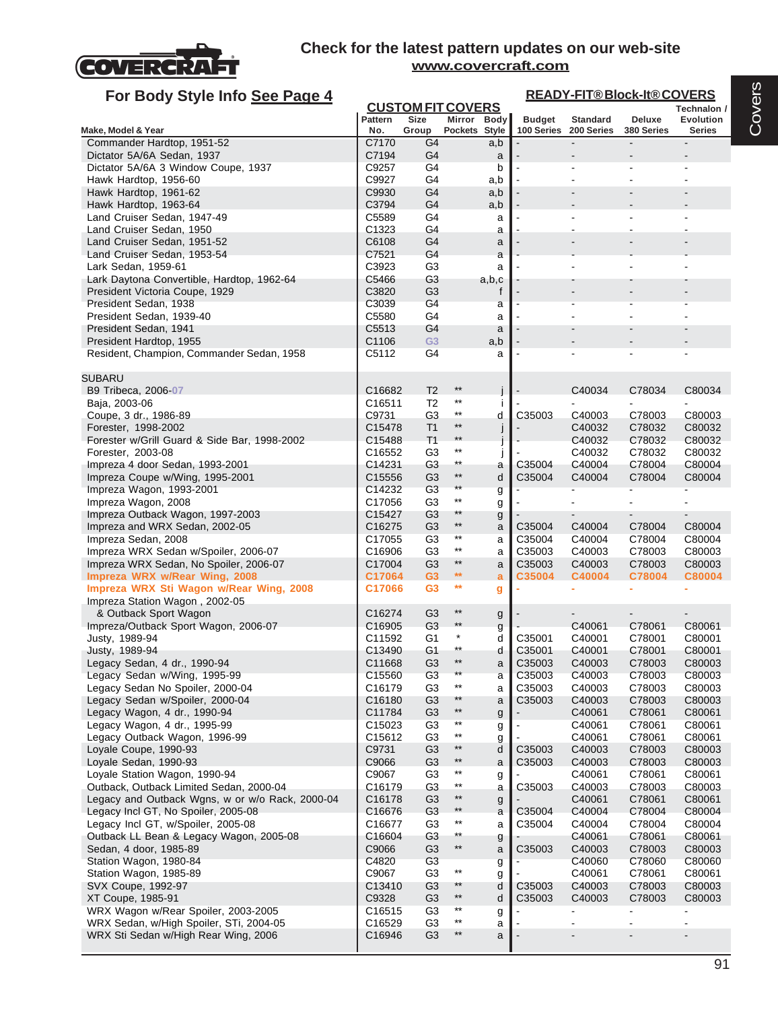

| For Body Style Info See Page 4                                                         |                              |                                  |                                    |              |                             |                               | <b>READY-FIT®Block-It®COVERS</b> |                                   |
|----------------------------------------------------------------------------------------|------------------------------|----------------------------------|------------------------------------|--------------|-----------------------------|-------------------------------|----------------------------------|-----------------------------------|
|                                                                                        |                              | <b>CUSTOM FIT COVERS</b>         |                                    |              |                             |                               |                                  | Technalon /                       |
| Make, Model & Year                                                                     | Pattern<br>No.               | <b>Size</b><br>Group             | Mirror<br>Pockets Style            | <b>Body</b>  | <b>Budget</b><br>100 Series | <b>Standard</b><br>200 Series | Deluxe<br>380 Series             | <b>Evolution</b><br><b>Series</b> |
| Commander Hardtop, 1951-52                                                             | C7170                        | G4                               |                                    | a,b          |                             |                               |                                  |                                   |
| Dictator 5A/6A Sedan, 1937                                                             | C7194                        | G4                               |                                    | a            |                             |                               |                                  |                                   |
| Dictator 5A/6A 3 Window Coupe, 1937                                                    | C9257                        | G4                               |                                    | b            |                             |                               |                                  |                                   |
| Hawk Hardtop, 1956-60                                                                  | C9927                        | G4                               |                                    | a,b          |                             |                               |                                  |                                   |
| Hawk Hardtop, 1961-62<br>Hawk Hardtop, 1963-64                                         | C9930<br>C3794               | G4<br>G4                         |                                    | a,b<br>a,b   |                             |                               |                                  |                                   |
| Land Cruiser Sedan, 1947-49                                                            | C5589                        | G4                               |                                    | a            |                             |                               |                                  |                                   |
| Land Cruiser Sedan, 1950                                                               | C <sub>1323</sub>            | G4                               |                                    | a            |                             |                               |                                  |                                   |
| Land Cruiser Sedan, 1951-52                                                            | C6108                        | G4                               |                                    | a            |                             |                               |                                  |                                   |
| Land Cruiser Sedan, 1953-54                                                            | C7521                        | G4                               |                                    | a            |                             |                               |                                  |                                   |
| Lark Sedan, 1959-61                                                                    | C3923                        | G3                               |                                    | a            |                             |                               |                                  |                                   |
| Lark Daytona Convertible, Hardtop, 1962-64<br>President Victoria Coupe, 1929           | C5466<br>C3820               | G <sub>3</sub><br>G <sub>3</sub> |                                    | a,b,c<br>f   |                             |                               |                                  |                                   |
| President Sedan, 1938                                                                  | C3039                        | G4                               |                                    | a            |                             |                               |                                  |                                   |
| President Sedan, 1939-40                                                               | C5580                        | G4                               |                                    | a            |                             |                               |                                  |                                   |
| President Sedan, 1941                                                                  | C5513                        | G4                               |                                    | a            |                             |                               |                                  |                                   |
| President Hardtop, 1955                                                                | C1106                        | G <sub>3</sub>                   |                                    | a,b          |                             |                               |                                  |                                   |
| Resident, Champion, Commander Sedan, 1958                                              | C5112                        | G4                               |                                    | a            |                             |                               |                                  |                                   |
| <b>SUBARU</b>                                                                          |                              |                                  |                                    |              |                             |                               |                                  |                                   |
| B9 Tribeca, 2006-07                                                                    | C16682                       | T <sub>2</sub>                   | $***$                              |              |                             | C40034                        | C78034                           | C80034                            |
| Baja, 2003-06                                                                          | C16511                       | T <sub>2</sub>                   | $^{\star\star}$                    |              |                             |                               |                                  |                                   |
| Coupe, 3 dr., 1986-89                                                                  | C9731                        | G3                               | $^{\star\star}$                    | d            | C35003                      | C40003                        | C78003                           | C80003                            |
| Forester, 1998-2002                                                                    | C15478                       | T <sub>1</sub>                   | $***$                              | H            |                             | C40032                        | C78032                           | C80032                            |
| Forester w/Grill Guard & Side Bar, 1998-2002<br>Forester, 2003-08                      | C15488<br>C16552             | T1<br>G3                         | **<br>$^{\star\star}$              |              |                             | C40032<br>C40032              | C78032<br>C78032                 | C80032<br>C80032                  |
| Impreza 4 door Sedan, 1993-2001                                                        | C14231                       | G <sub>3</sub>                   | $***$                              | a            | C35004                      | C40004                        | C78004                           | C80004                            |
| Impreza Coupe w/Wing, 1995-2001                                                        | C <sub>15556</sub>           | G <sub>3</sub>                   | $^{\star\star}$                    | d            | C35004                      | C40004                        | C78004                           | C80004                            |
| Impreza Wagon, 1993-2001                                                               | C14232                       | G <sub>3</sub>                   | $***$                              | g            |                             |                               |                                  |                                   |
| Impreza Wagon, 2008                                                                    | C17056                       | G <sub>3</sub>                   | $^{\star\star}$                    | g            |                             |                               |                                  |                                   |
| Impreza Outback Wagon, 1997-2003                                                       | C15427                       | G <sub>3</sub>                   | **<br>$^{\star\star}$              | g            |                             |                               |                                  |                                   |
| Impreza and WRX Sedan, 2002-05<br>Impreza Sedan, 2008                                  | C16275<br>C17055             | G <sub>3</sub><br>G3             | $***$                              | a<br>a       | C35004<br>C35004            | C40004<br>C40004              | C78004<br>C78004                 | C80004<br>C80004                  |
| Impreza WRX Sedan w/Spoiler, 2006-07                                                   | C16906                       | G <sub>3</sub>                   | $***$                              | a            | C35003                      | C40003                        | C78003                           | C80003                            |
| Impreza WRX Sedan, No Spoiler, 2006-07                                                 | C17004                       | G <sub>3</sub>                   | $^{\star\star}$                    | a            | C35003                      | C40003                        | C78003                           | C80003                            |
| Impreza WRX w/Rear Wing, 2008                                                          | C17064                       | G <sub>3</sub>                   | $\star\star$                       | a            | C35004                      | C40004                        | C78004                           | C80004                            |
| Impreza WRX Sti Wagon w/Rear Wing, 2008                                                | C17066                       | G <sub>3</sub>                   | $**$                               | g            |                             |                               |                                  |                                   |
| Impreza Station Wagon, 2002-05                                                         |                              |                                  | $***$                              |              |                             |                               |                                  |                                   |
| & Outback Sport Wagon<br>Impreza/Outback Sport Wagon, 2006-07                          | C16274<br>C16905             | G <sub>3</sub><br>G <sub>3</sub> | $***$                              | g<br>g       |                             | C40061                        | C78061                           | C80061                            |
| Justy, 1989-94                                                                         | C11592                       | G1                               | $^{\star}$                         | d            | C35001                      | C40001                        | C78001                           | C80001                            |
| Justy, 1989-94                                                                         | C13490                       | G1                               | **                                 | d            | C35001                      | C40001                        | C78001                           | C80001                            |
| Legacy Sedan, 4 dr., 1990-94                                                           | C11668                       | G3                               | $***$                              | a            | C35003                      | C40003                        | C78003                           | C80003                            |
| Legacy Sedan w/Wing, 1995-99                                                           | C15560                       | G <sub>3</sub>                   |                                    | a            | C35003                      | C40003                        | C78003                           | C80003                            |
| Legacy Sedan No Spoiler, 2000-04                                                       | C16179                       | G <sub>3</sub>                   | $***$<br>$**$                      | a            | C35003                      | C40003                        | C78003                           | C80003                            |
| Legacy Sedan w/Spoiler, 2000-04<br>Legacy Wagon, 4 dr., 1990-94                        | C <sub>16180</sub><br>C11784 | G <sub>3</sub><br>G <sub>3</sub> | $^{\star\star}$                    | a            | C35003                      | C40003<br>C40061              | C78003<br>C78061                 | C80003<br>C80061                  |
| Legacy Wagon, 4 dr., 1995-99                                                           | C <sub>15023</sub>           | G <sub>3</sub>                   | $^{\star\star}$                    | g<br>g       |                             | C40061                        | C78061                           | C80061                            |
| Legacy Outback Wagon, 1996-99                                                          | C15612                       | G <sub>3</sub>                   | $^{\star\star}$                    | g            |                             | C40061                        | C78061                           | C80061                            |
| Loyale Coupe, 1990-93                                                                  | C9731                        | G <sub>3</sub>                   | $***$                              | d            | C35003                      | C40003                        | C78003                           | C80003                            |
| Loyale Sedan, 1990-93                                                                  | C9066                        | G <sub>3</sub>                   | $^{\star\star}$                    | a            | C35003                      | C40003                        | C78003                           | C80003                            |
| Loyale Station Wagon, 1990-94                                                          | C9067                        | G <sub>3</sub>                   | $^{\star\star}$<br>$^{\star\star}$ | g            |                             | C40061                        | C78061                           | C80061                            |
| Outback, Outback Limited Sedan, 2000-04                                                | C <sub>16179</sub><br>C16178 | G <sub>3</sub>                   | $^{\star\star}$                    | a            | C35003                      | C40003                        | C78003                           | C80003<br>C80061                  |
| Legacy and Outback Wgns, w or w/o Rack, 2000-04<br>Legacy Incl GT, No Spoiler, 2005-08 | C16676                       | G <sub>3</sub><br>G <sub>3</sub> | $***$                              | g<br>a       | C35004                      | C40061<br>C40004              | C78061<br>C78004                 | C80004                            |
| Legacy Incl GT, w/Spoiler, 2005-08                                                     | C16677                       | G <sub>3</sub>                   | $^{\star\star}$                    | a            | C35004                      | C40004                        | C78004                           | C80004                            |
| Outback LL Bean & Legacy Wagon, 2005-08                                                | C16604                       | G <sub>3</sub>                   | $^{\star\star}$                    | g            |                             | C40061                        | C78061                           | C80061                            |
| Sedan, 4 door, 1985-89                                                                 | C9066                        | G <sub>3</sub>                   | $^{\star\star}$                    | a            | C35003                      | C40003                        | C78003                           | C80003                            |
| Station Wagon, 1980-84                                                                 | C4820                        | G <sub>3</sub>                   |                                    | g            |                             | C40060                        | C78060                           | C80060                            |
| Station Wagon, 1985-89                                                                 | C9067                        | G <sub>3</sub>                   | $^{\star\star}$                    | g            |                             | C40061                        | C78061                           | C80061                            |
| SVX Coupe, 1992-97                                                                     | C13410                       | G <sub>3</sub>                   | **                                 | d            | C35003                      | C40003                        | C78003                           | C80003                            |
| XT Coupe, 1985-91                                                                      | C9328                        | G <sub>3</sub>                   | $\star\star$<br>$^{\star\star}$    | d            | C35003                      | C40003                        | C78003                           | C80003                            |
| WRX Wagon w/Rear Spoiler, 2003-2005                                                    | C <sub>16515</sub>           | G <sub>3</sub>                   | $***$                              | g            |                             |                               |                                  |                                   |
| WRX Sedan, w/High Spoiler, STi, 2004-05<br>WRX Sti Sedan w/High Rear Wing, 2006        | C16529<br>C16946             | G <sub>3</sub><br>G <sub>3</sub> | $***$                              | a            |                             | $\blacksquare$                |                                  |                                   |
|                                                                                        |                              |                                  |                                    | $\mathsf{a}$ |                             |                               |                                  | $\overline{\phantom{a}}$          |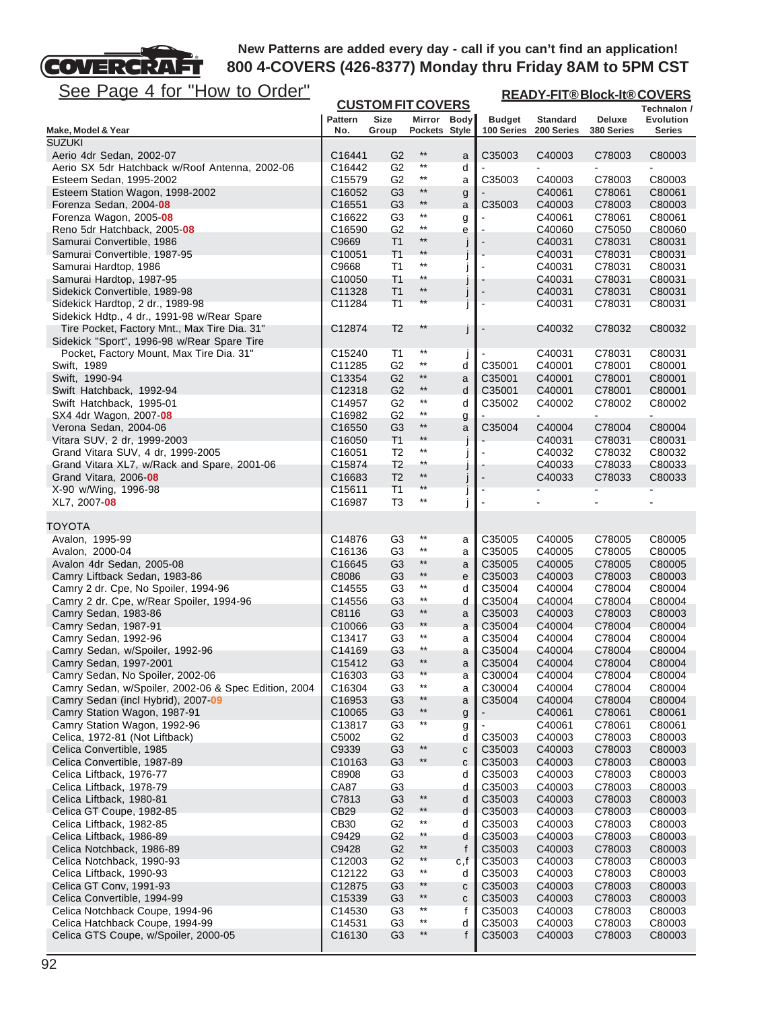# See Page 4 for "How to Order"

EТ

**COVERCRA** 

| See Page 4 for "How to Order"                                                               |                                          |                                  |                              |              |                             | <b>READY-FIT®Block-It®COVERS</b> |                      |                                   |
|---------------------------------------------------------------------------------------------|------------------------------------------|----------------------------------|------------------------------|--------------|-----------------------------|----------------------------------|----------------------|-----------------------------------|
|                                                                                             |                                          | <b>CUSTOM FIT COVERS</b>         |                              |              |                             |                                  |                      | Technalon /                       |
| Make, Model & Year                                                                          | <b>Pattern</b><br>No.                    | <b>Size</b><br>Group             | Mirror Body<br>Pockets Style |              | <b>Budget</b><br>100 Series | <b>Standard</b><br>200 Series    | Deluxe<br>380 Series | <b>Evolution</b><br><b>Series</b> |
| <b>SUZUKI</b>                                                                               |                                          |                                  |                              |              |                             |                                  |                      |                                   |
| Aerio 4dr Sedan, 2002-07                                                                    | C <sub>16441</sub>                       | G <sub>2</sub>                   | $^{\star\star}$              | a            | C35003                      | C40003                           | C78003               | C80003                            |
| Aerio SX 5dr Hatchback w/Roof Antenna, 2002-06                                              | C16442                                   | G <sub>2</sub>                   | $^{\star\star}$              | d            |                             |                                  |                      |                                   |
| Esteem Sedan, 1995-2002                                                                     | C15579                                   | G <sub>2</sub>                   | $***$                        | a            | C35003                      | C40003                           | C78003               | C80003                            |
| Esteem Station Wagon, 1998-2002                                                             | C16052                                   | G <sub>3</sub>                   | $***$<br>$***$               | g            |                             | C40061                           | C78061               | C80061                            |
| Forenza Sedan, 2004 08                                                                      | C <sub>16551</sub>                       | G <sub>3</sub>                   | $***$                        | a            | C35003                      | C40003<br>C40061                 | C78003               | C80003                            |
| Forenza Wagon, 2005-08<br>Reno 5dr Hatchback, 2005-08                                       | C <sub>16622</sub><br>C <sub>16590</sub> | G <sub>3</sub><br>G <sub>2</sub> | $^{\star\star}$              | g<br>е       |                             | C40060                           | C78061<br>C75050     | C80061<br>C80060                  |
| Samurai Convertible, 1986                                                                   | C9669                                    | T1                               | $***$                        | J            |                             | C40031                           | C78031               | C80031                            |
| Samurai Convertible, 1987-95                                                                | C <sub>10051</sub>                       | T1                               | $**$                         |              |                             | C40031                           | C78031               | C80031                            |
| Samurai Hardtop, 1986                                                                       | C9668                                    | Τ1                               | $***$                        |              |                             | C40031                           | C78031               | C80031                            |
| Samurai Hardtop, 1987-95                                                                    | C10050                                   | T1                               | $^{\star\star}$              |              |                             | C40031                           | C78031               | C80031                            |
| Sidekick Convertible, 1989-98                                                               | C11328                                   | T <sub>1</sub>                   | $***$                        | $\bigcup$    |                             | C40031                           | C78031               | C80031                            |
| Sidekick Hardtop, 2 dr., 1989-98                                                            | C11284                                   | T1                               | $\star\star$                 |              |                             | C40031                           | C78031               | C80031                            |
| Sidekick Hdtp., 4 dr., 1991-98 w/Rear Spare                                                 |                                          |                                  | $**$                         |              |                             |                                  |                      |                                   |
| Tire Pocket, Factory Mnt., Max Tire Dia. 31"<br>Sidekick "Sport", 1996-98 w/Rear Spare Tire | C12874                                   | T2                               |                              | J            |                             | C40032                           | C78032               | C80032                            |
| Pocket, Factory Mount, Max Tire Dia. 31"                                                    | C <sub>15240</sub>                       | T1                               | $***$                        |              |                             | C40031                           | C78031               | C80031                            |
| Swift, 1989                                                                                 | C11285                                   | G <sub>2</sub>                   | $***$                        | d            | C35001                      | C40001                           | C78001               | C80001                            |
| Swift, 1990-94                                                                              | C13354                                   | G <sub>2</sub>                   | $^{\star\star}$              | а            | C35001                      | C40001                           | C78001               | C80001                            |
| Swift Hatchback, 1992-94                                                                    | C12318                                   | G <sub>2</sub>                   | $***$                        | d            | C35001                      | C40001                           | C78001               | C80001                            |
| Swift Hatchback, 1995-01                                                                    | C14957                                   | G2                               | $***$                        | d            | C35002                      | C40002                           | C78002               | C80002                            |
| SX4 4dr Wagon, 2007-08                                                                      | C16982                                   | G <sub>2</sub>                   | $^{\star\star}$              | g            |                             | $\overline{a}$                   |                      | ÷.                                |
| Verona Sedan, 2004-06                                                                       | C16550                                   | G <sub>3</sub>                   | $***$                        | a            | C35004                      | C40004                           | C78004               | C80004                            |
| Vitara SUV, 2 dr, 1999-2003                                                                 | C16050                                   | T <sub>1</sub>                   | $**$<br>$^{\star\star}$      |              |                             | C40031                           | C78031               | C80031                            |
| Grand Vitara SUV, 4 dr, 1999-2005<br>Grand Vitara XL7, w/Rack and Spare, 2001-06            | C <sub>16051</sub><br>C15874             | T2<br>T2                         | $^{\star\star}$              | J            |                             | C40032<br>C40033                 | C78032<br>C78033     | C80032<br>C80033                  |
| Grand Vitara, 2006-08                                                                       | C <sub>16683</sub>                       | T <sub>2</sub>                   | $***$                        | J            |                             | C40033                           | C78033               | C80033                            |
| X-90 w/Wing, 1996-98                                                                        | C15611                                   | T1                               | $\star\star$                 | J            |                             |                                  |                      |                                   |
| XL7, 2007-08                                                                                | C16987                                   | T3                               | $***$                        |              |                             |                                  |                      |                                   |
|                                                                                             |                                          |                                  |                              |              |                             |                                  |                      |                                   |
| TOYOTA<br>Avalon, 1995-99                                                                   |                                          | G <sub>3</sub>                   | $***$                        |              | C35005                      | C40005                           | C78005               | C80005                            |
| Avalon, 2000-04                                                                             | C14876<br>C16136                         | G <sub>3</sub>                   | $***$                        | а<br>a       | C35005                      | C40005                           | C78005               | C80005                            |
| Avalon 4dr Sedan, 2005-08                                                                   | C16645                                   | G <sub>3</sub>                   | $***$                        | a            | C35005                      | C40005                           | C78005               | C80005                            |
| Camry Liftback Sedan, 1983-86                                                               | C8086                                    | G3                               | $***$                        | е            | C35003                      | C40003                           | C78003               | C80003                            |
| Camry 2 dr. Cpe, No Spoiler, 1994-96                                                        | C14555                                   | G <sub>3</sub>                   | $***$                        | d            | C35004                      | C40004                           | C78004               | C80004                            |
| Camry 2 dr. Cpe, w/Rear Spoiler, 1994-96                                                    | C14556                                   | G <sub>3</sub>                   | $^{\star\star}$              | d            | C35004                      | C40004                           | C78004               | C80004                            |
| Camry Sedan, 1983-86                                                                        | C8116                                    | G <sub>3</sub>                   | $***$                        | a            | C35003                      | C40003                           | C78003               | C80003                            |
| Camry Sedan, 1987-91                                                                        | C <sub>10066</sub>                       | G <sub>3</sub>                   | $^{\star\star}$              | a            | C35004                      | C40004                           | C78004               | C80004                            |
| Camry Sedan, 1992-96                                                                        | C13417                                   | G3                               | $^{\star\star}$<br>$***$     | a            | C35004                      | C40004                           | C78004               | C80004                            |
| Camry Sedan, w/Spoiler, 1992-96<br>Camry Sedan, 1997-2001                                   | C14169                                   | G3<br>G <sub>3</sub>             | $***$                        | а            | C35004<br>C35004            | C40004                           | C78004<br>C78004     | C80004                            |
| Camry Sedan, No Spoiler, 2002-06                                                            | C15412<br>C <sub>16303</sub>             | G3                               | $^{\star\star}$              | a<br>а       | C30004                      | C40004<br>C40004                 | C78004               | C80004<br>C80004                  |
| Camry Sedan, w/Spoiler, 2002-06 & Spec Edition, 2004                                        | C16304                                   | G <sub>3</sub>                   | $^{\star\star}$              | а            | C30004                      | C40004                           | C78004               | C80004                            |
| Camry Sedan (incl Hybrid), 2007-09                                                          | C <sub>16953</sub>                       | G3                               | $**$                         | a            | C35004                      | C40004                           | C78004               | C80004                            |
| Camry Station Wagon, 1987-91                                                                | C10065                                   | G <sub>3</sub>                   | $***$                        | g            |                             | C40061                           | C78061               | C80061                            |
| Camry Station Wagon, 1992-96                                                                | C13817                                   | G <sub>3</sub>                   | $***$                        | g            |                             | C40061                           | C78061               | C80061                            |
| Celica, 1972-81 (Not Liftback)                                                              | C5002                                    | G <sub>2</sub>                   |                              | d            | C35003                      | C40003                           | C78003               | C80003                            |
| Celica Convertible, 1985                                                                    | C9339                                    | G <sub>3</sub>                   | $***$                        | C            | C35003                      | C40003                           | C78003               | C80003                            |
| Celica Convertible, 1987-89                                                                 | C10163                                   | G <sub>3</sub>                   | $^{\star\star}$              | C            | C35003                      | C40003                           | C78003               | C80003                            |
| Celica Liftback, 1976-77<br>Celica Liftback, 1978-79                                        | C8908<br>CA87                            | G <sub>3</sub><br>G <sub>3</sub> |                              | d<br>d       | C35003<br>C35003            | C40003<br>C40003                 | C78003<br>C78003     | C80003<br>C80003                  |
| Celica Liftback, 1980-81                                                                    | C7813                                    | G <sub>3</sub>                   | $^{\star\star}$              | d            | C35003                      | C40003                           | C78003               | C80003                            |
| Celica GT Coupe, 1982-85                                                                    | <b>CB29</b>                              | G <sub>2</sub>                   | $^{\star\star}$              | d            | C35003                      | C40003                           | C78003               | C80003                            |
| Celica Liftback, 1982-85                                                                    | CB30                                     | G <sub>2</sub>                   | $^{\star\star}$              | d            | C35003                      | C40003                           | C78003               | C80003                            |
| Celica Liftback, 1986-89                                                                    | C9429                                    | G <sub>2</sub>                   | $^{\star\star}$              | d            | C35003                      | C40003                           | C78003               | C80003                            |
| Celica Notchback, 1986-89                                                                   | C9428                                    | G <sub>2</sub>                   | $***$                        | f            | C35003                      | C40003                           | C78003               | C80003                            |
| Celica Notchback, 1990-93                                                                   | C <sub>12003</sub>                       | G <sub>2</sub>                   | $^{\star\star}$              | c,f          | C35003                      | C40003                           | C78003               | C80003                            |
| Celica Liftback, 1990-93                                                                    | C12122                                   | G <sub>3</sub>                   | $^{\star\star}$              | d            | C35003                      | C40003                           | C78003               | C80003                            |
| Celica GT Conv, 1991-93                                                                     | C12875                                   | G3                               | $**$<br>$^{\star\star}$      | С            | C35003                      | C40003                           | C78003               | C80003                            |
| Celica Convertible, 1994-99                                                                 | C <sub>15339</sub>                       | G <sub>3</sub>                   | $***$                        | С            | C35003                      | C40003                           | C78003               | C80003                            |
| Celica Notchback Coupe, 1994-96<br>Celica Hatchback Coupe, 1994-99                          | C14530<br>C14531                         | G3<br>G <sub>3</sub>             | $***$                        | f<br>d       | C35003<br>C35003            | C40003<br>C40003                 | C78003<br>C78003     | C80003<br>C80003                  |
| Celica GTS Coupe, w/Spoiler, 2000-05                                                        | C16130                                   | G <sub>3</sub>                   | $***$                        | $\mathsf{f}$ | C35003                      | C40003                           | C78003               | C80003                            |
|                                                                                             |                                          |                                  |                              |              |                             |                                  |                      |                                   |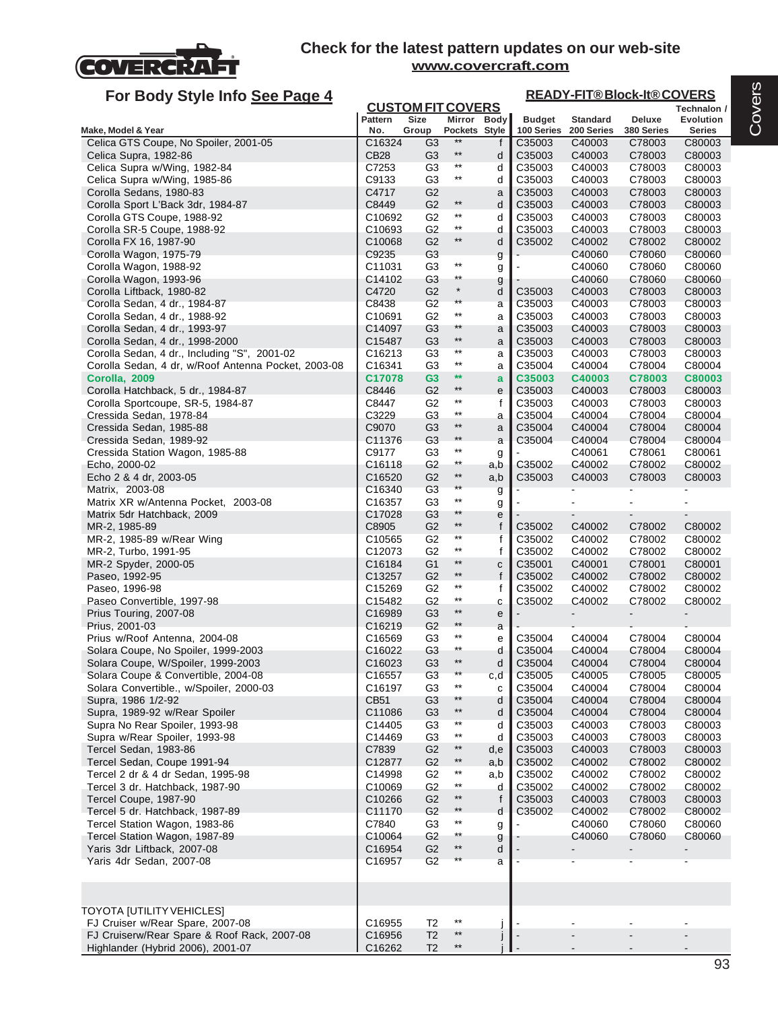

| For Body Style Info See Page 4                                                   |                              |                                  |                                    |                  |                             | <b>READY-FIT®Block-It®COVERS</b> |                      |                            |
|----------------------------------------------------------------------------------|------------------------------|----------------------------------|------------------------------------|------------------|-----------------------------|----------------------------------|----------------------|----------------------------|
|                                                                                  |                              | <b>CUSTOM FIT COVERS</b>         |                                    |                  |                             |                                  |                      | Technalon /                |
| Make, Model & Year                                                               | <b>Pattern</b><br>No.        | Size<br>Group                    | Pockets Style                      | Mirror Body      | <b>Budget</b><br>100 Series | <b>Standard</b><br>200 Series    | Deluxe<br>380 Series | <b>Evolution</b><br>Series |
| Celica GTS Coupe, No Spoiler, 2001-05                                            | C <sub>16324</sub>           | G3                               | $**$                               | f                | C35003                      | C40003                           | C78003               | C80003                     |
| Celica Supra, 1982-86                                                            | <b>CB28</b>                  | G <sub>3</sub>                   | $***$                              | d                | C35003                      | C40003                           | C78003               | C80003                     |
| Celica Supra w/Wing, 1982-84                                                     | C7253                        | G <sub>3</sub>                   | $***$                              | d                | C35003                      | C40003                           | C78003               | C80003                     |
| Celica Supra w/Wing, 1985-86                                                     | C9133                        | G <sub>3</sub>                   | $^{\star\star}$                    | d                | C35003                      | C40003                           | C78003               | C80003                     |
| Corolla Sedans, 1980-83                                                          | C4717                        | G <sub>2</sub>                   | $***$                              | a                | C35003                      | C40003                           | C78003               | C80003                     |
| Corolla Sport L'Back 3dr, 1984-87<br>Corolla GTS Coupe, 1988-92                  | C8449<br>C10692              | G <sub>2</sub><br>G <sub>2</sub> | $***$                              | d<br>d           | C35003<br>C35003            | C40003<br>C40003                 | C78003<br>C78003     | C80003                     |
| Corolla SR-5 Coupe, 1988-92                                                      | C10693                       | G <sub>2</sub>                   | $^{\star\star}$                    | d                | C35003                      | C40003                           | C78003               | C80003<br>C80003           |
| Corolla FX 16, 1987-90                                                           | C <sub>10068</sub>           | G <sub>2</sub>                   | $***$                              | d                | C35002                      | C40002                           | C78002               | C80002                     |
| Corolla Wagon, 1975-79                                                           | C9235                        | G <sub>3</sub>                   |                                    | g                |                             | C40060                           | C78060               | C80060                     |
| Corolla Wagon, 1988-92                                                           | C11031                       | G3                               | $^{\star\star}$                    | g                |                             | C40060                           | C78060               | C80060                     |
| Corolla Wagon, 1993-96                                                           | C14102                       | G <sub>3</sub>                   | $^{\star\star}$                    | g                |                             | C40060                           | C78060               | C80060                     |
| Corolla Liftback, 1980-82                                                        | C4720                        | G <sub>2</sub>                   | $\star$                            | d                | C35003                      | C40003                           | C78003               | C80003                     |
| Corolla Sedan, 4 dr., 1984-87                                                    | C8438                        | G <sub>2</sub>                   | **<br>$^{\star\star}$              | a                | C35003                      | C40003                           | C78003               | C80003                     |
| Corolla Sedan, 4 dr., 1988-92                                                    | C <sub>10691</sub><br>C14097 | G <sub>2</sub><br>G3             | $**$                               | a                | C35003                      | C40003<br>C40003                 | C78003               | C80003                     |
| Corolla Sedan, 4 dr., 1993-97<br>Corolla Sedan, 4 dr., 1998-2000                 | C <sub>15487</sub>           | G <sub>3</sub>                   | $***$                              | a<br>a           | C35003<br>C35003            | C40003                           | C78003<br>C78003     | C80003<br>C80003           |
| Corolla Sedan, 4 dr., Including "S", 2001-02                                     | C <sub>16213</sub>           | G <sub>3</sub>                   | $***$                              | a                | C35003                      | C40003                           | C78003               | C80003                     |
| Corolla Sedan, 4 dr, w/Roof Antenna Pocket, 2003-08                              | C16341                       | G <sub>3</sub>                   | $^{\star\star}$                    | a                | C35004                      | C40004                           | C78004               | C80004                     |
| Corolla, 2009                                                                    | C17078                       | G <sub>3</sub>                   | $**$                               | a                | C35003                      | C40003                           | C78003               | C80003                     |
| Corolla Hatchback, 5 dr., 1984-87                                                | C8446                        | G <sub>2</sub>                   | $^{\star\star}$                    | e                | C35003                      | C40003                           | C78003               | C80003                     |
| Corolla Sportcoupe, SR-5, 1984-87                                                | C8447                        | G2                               | $***$                              | f                | C35003                      | C40003                           | C78003               | C80003                     |
| Cressida Sedan, 1978-84                                                          | C3229                        | G <sub>3</sub>                   | $^{\star\star}$                    | a                | C35004                      | C40004                           | C78004               | C80004                     |
| Cressida Sedan, 1985-88                                                          | C9070                        | G <sub>3</sub>                   | $***$                              | a                | C35004                      | C40004                           | C78004               | C80004                     |
| Cressida Sedan, 1989-92                                                          | C11376                       | G3                               | $^{\star\star}$<br>$***$           | a                | C35004                      | C40004                           | C78004               | C80004                     |
| Cressida Station Wagon, 1985-88<br>Echo, 2000-02                                 | C9177<br>C16118              | G3<br>G <sub>2</sub>             | $^{\star\star}$                    | g                | C35002                      | C40061<br>C40002                 | C78061<br>C78002     | C80061<br>C80002           |
| Echo 2 & 4 dr, 2003-05                                                           | C <sub>16520</sub>           | G <sub>2</sub>                   | $***$                              | a,b<br>a,b       | C35003                      | C40003                           | C78003               | C80003                     |
| Matrix, 2003-08                                                                  | C <sub>16340</sub>           | G <sub>3</sub>                   | $^{\star\star}$                    | g                |                             |                                  |                      |                            |
| Matrix XR w/Antenna Pocket, 2003-08                                              | C <sub>16357</sub>           | G3                               | $^{\star\star}$                    | g                |                             |                                  |                      |                            |
| Matrix 5dr Hatchback, 2009                                                       | C17028                       | G3                               | $**$                               | e                |                             |                                  |                      |                            |
| MR-2, 1985-89                                                                    | C8905                        | G <sub>2</sub>                   | $^{\star\star}$                    | f                | C35002                      | C40002                           | C78002               | C80002                     |
| MR-2, 1985-89 w/Rear Wing                                                        | C <sub>10565</sub>           | G <sub>2</sub>                   | $***$                              | f                | C35002                      | C40002                           | C78002               | C80002                     |
| MR-2, Turbo, 1991-95                                                             | C12073                       | G <sub>2</sub>                   | $^{\star\star}$<br>$^{\star\star}$ | f                | C35002                      | C40002                           | C78002               | C80002                     |
| MR-2 Spyder, 2000-05<br>Paseo, 1992-95                                           | C16184<br>C <sub>13257</sub> | G <sub>1</sub><br>G <sub>2</sub> | $***$                              | $\mathbf C$<br>f | C35001<br>C35002            | C40001<br>C40002                 | C78001<br>C78002     | C80001<br>C80002           |
| Paseo, 1996-98                                                                   | C15269                       | G <sub>2</sub>                   | $***$                              | f                | C35002                      | C40002                           | C78002               | C80002                     |
| Paseo Convertible, 1997-98                                                       | C15482                       | G <sub>2</sub>                   | $***$                              | С                | C35002                      | C40002                           | C78002               | C80002                     |
| Prius Touring, 2007-08                                                           | C16989                       | G <sub>3</sub>                   | $^{\star\star}$                    | e                |                             |                                  |                      |                            |
| Prius, 2001-03                                                                   | C <sub>16219</sub>           | G <sub>2</sub>                   | $**$                               | a                |                             |                                  |                      |                            |
| Prius w/Roof Antenna, 2004-08                                                    | C16569                       | G3                               | $^{\star\star}$                    | e                | C35004                      | C40004                           | C78004               | C80004                     |
| Solara Coupe, No Spoiler, 1999-2003                                              | C16022                       | G <sub>3</sub>                   | $^{\star\star}$                    | d                | C35004                      | C40004                           | C78004               | C80004                     |
| Solara Coupe, W/Spoiler, 1999-2003                                               | C16023                       | G <sub>3</sub>                   | $**$<br>$^{\star\star}$            | d                | C35004                      | C40004                           | C78004               | C80004                     |
| Solara Coupe & Convertible, 2004-08                                              | C <sub>16557</sub>           | G <sub>3</sub>                   | $^{\star\star}$                    | c,d              | C35005                      | C40005                           | C78005               | C80005                     |
| Solara Convertible., w/Spoiler, 2000-03<br>Supra, 1986 1/2-92                    | C16197<br>CB51               | G <sub>3</sub><br>G3             | $**$                               | C<br>d           | C35004<br>C35004            | C40004<br>C40004                 | C78004<br>C78004     | C80004<br>C80004           |
| Supra, 1989-92 w/Rear Spoiler                                                    | C11086                       | G <sub>3</sub>                   | $***$                              | d                | C35004                      | C40004                           | C78004               | C80004                     |
| Supra No Rear Spoiler, 1993-98                                                   | C14405                       | G <sub>3</sub>                   | $***$                              | d                | C35003                      | C40003                           | C78003               | C80003                     |
| Supra w/Rear Spoiler, 1993-98                                                    | C14469                       | G <sub>3</sub>                   | $^{\star\star}$                    | d                | C35003                      | C40003                           | C78003               | C80003                     |
| Tercel Sedan, 1983-86                                                            | C7839                        | G <sub>2</sub>                   | $***$                              | d,e              | C35003                      | C40003                           | C78003               | C80003                     |
| Tercel Sedan, Coupe 1991-94                                                      | C12877                       | G <sub>2</sub>                   | $^{\star\star}$                    | a,b              | C35002                      | C40002                           | C78002               | C80002                     |
| Tercel 2 dr & 4 dr Sedan, 1995-98                                                | C14998                       | G <sub>2</sub>                   | $^{\star\star}$                    | a,b              | C35002                      | C40002                           | C78002               | C80002                     |
| Tercel 3 dr. Hatchback, 1987-90                                                  | C <sub>10069</sub>           | G <sub>2</sub>                   | $^{\star\star}$                    | d                | C35002                      | C40002                           | C78002               | C80002                     |
| Tercel Coupe, 1987-90                                                            | C <sub>10266</sub>           | G <sub>2</sub>                   | $^{\star\star}$                    | f                | C35003                      | C40003                           | C78003               | C80003                     |
| Tercel 5 dr. Hatchback, 1987-89                                                  | C11170                       | G <sub>2</sub>                   | $^{\star\star}$<br>$^{\star\star}$ | d                | C35002                      | C40002<br>C40060                 | C78002<br>C78060     | C80002                     |
| Tercel Station Wagon, 1983-86<br>Tercel Station Wagon, 1987-89                   | C7840<br>C10064              | G3<br>G <sub>2</sub>             | $^{\star\star}$                    | g                |                             | C40060                           | C78060               | C80060<br>C80060           |
| Yaris 3dr Liftback, 2007-08                                                      | C16954                       | G <sub>2</sub>                   | $**$                               | g<br>d           |                             |                                  |                      |                            |
| Yaris 4dr Sedan, 2007-08                                                         | C <sub>16957</sub>           | G <sub>2</sub>                   |                                    | a                |                             |                                  |                      |                            |
|                                                                                  |                              |                                  |                                    |                  |                             |                                  |                      |                            |
|                                                                                  |                              |                                  |                                    |                  |                             |                                  |                      |                            |
| TOYOTA [UTILITY VEHICLES]                                                        |                              |                                  |                                    |                  |                             |                                  |                      |                            |
| FJ Cruiser w/Rear Spare, 2007-08                                                 | C16955                       | T <sub>2</sub>                   | $^{\star\star}$<br>$***$           |                  |                             |                                  |                      |                            |
| FJ Cruiserw/Rear Spare & Roof Rack, 2007-08<br>Highlander (Hybrid 2006), 2001-07 | C16956<br>C16262             | T <sub>2</sub><br>T <sub>2</sub> | $^{\star\star}$                    |                  |                             |                                  |                      | $\overline{\phantom{a}}$   |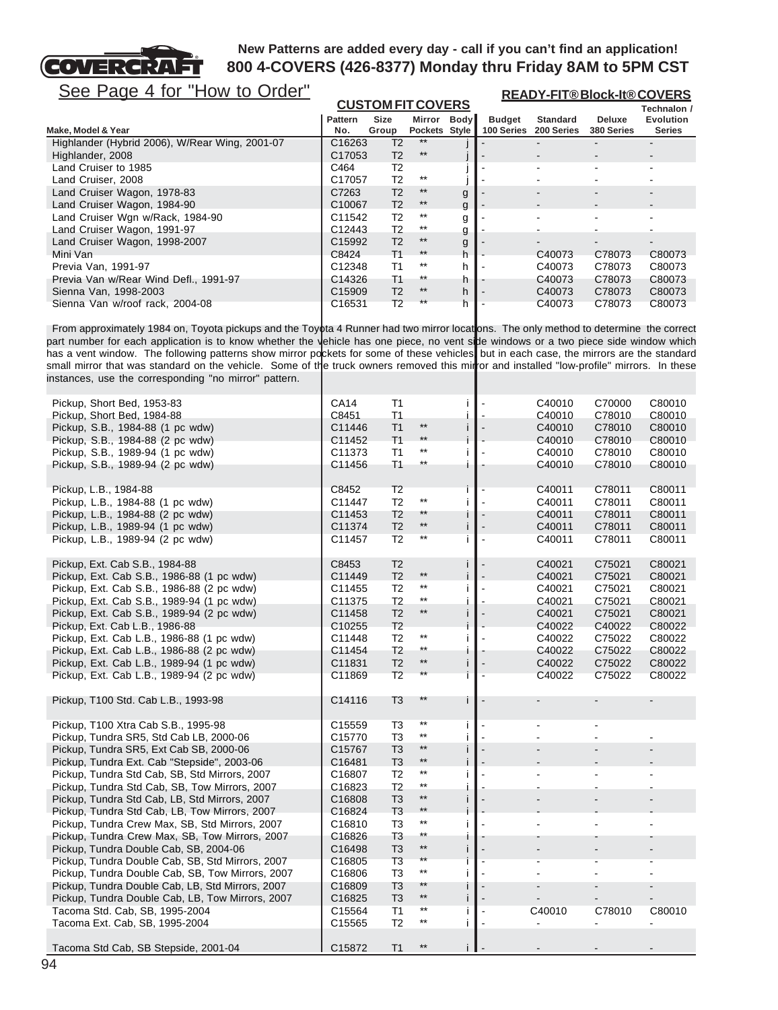

**READY-FIT® Block-It® COVERS**

# See Page 4 for "How to Order"

|                                                | <b>CUSTOM FIT COVERS</b> |                |               |             |               |                 |               | Technalon /      |
|------------------------------------------------|--------------------------|----------------|---------------|-------------|---------------|-----------------|---------------|------------------|
|                                                | <b>Pattern</b>           | <b>Size</b>    | Mirror        | <b>Body</b> | <b>Budget</b> | <b>Standard</b> | <b>Deluxe</b> | <b>Evolution</b> |
| Make, Model & Year                             | No.                      | Group          | Pockets Style |             | 100 Series    | 200 Series      | 380 Series    | <b>Series</b>    |
| Highlander (Hybrid 2006), W/Rear Wing, 2001-07 | C <sub>16263</sub>       | T <sub>2</sub> | $**$          |             |               |                 |               |                  |
| Highlander, 2008                               | C17053                   | T <sub>2</sub> | $**$          |             |               |                 |               |                  |
| Land Cruiser to 1985                           | C464                     | T <sub>2</sub> |               |             |               |                 | ۰             |                  |
| Land Cruiser, 2008                             | C17057                   | T <sub>2</sub> | $***$         |             |               |                 |               |                  |
| Land Cruiser Wagon, 1978-83                    | C7263                    | T <sub>2</sub> | $***$         | g           |               |                 | ۰.            | -                |
| Land Cruiser Wagon, 1984-90                    | C <sub>10067</sub>       | T <sub>2</sub> | $***$         | g           |               |                 |               |                  |
| Land Cruiser Wgn w/Rack, 1984-90               | C11542                   | T <sub>2</sub> | $***$         | g           |               |                 |               |                  |
| Land Cruiser Wagon, 1991-97                    | C12443                   | T <sub>2</sub> | $***$         | g           |               |                 |               |                  |
| Land Cruiser Wagon, 1998-2007                  | C15992                   | T <sub>2</sub> | $***$         | g           |               |                 |               |                  |
| Mini Van                                       | C8424                    | <b>T1</b>      | $***$         | h           |               | C40073          | C78073        | C80073           |
| Previa Van, 1991-97                            | C12348                   | T1             | $***$         | h           |               | C40073          | C78073        | C80073           |
| Previa Van w/Rear Wind Defl., 1991-97          | C14326                   | T1             | $***$         | h           |               | C40073          | C78073        | C80073           |
| Sienna Van, 1998-2003                          | C15909                   | T <sub>2</sub> | $***$         | h           |               | C40073          | C78073        | C80073           |
| Sienna Van w/roof rack, 2004-08                | C16531                   | T <sub>2</sub> | $***$         | h           |               | C40073          | C78073        | C80073           |

From approximately 1984 on, Toyota pickups and the Toyota 4 Runner had two mirror locations. The only method to determine the correct part number for each application is to know whether the vehicle has one piece, no vent side windows or a two piece side window which has a vent window. The following patterns show mirror pockets for some of these vehicles, but in each case, the mirrors are the standard small mirror that was standard on the vehicle. Some of the truck owners removed this miror and installed "low-profile" mirrors. In these instances, use the corresponding "no mirror" pattern.

| Pickup, Short Bed, 1953-83                       | <b>CA14</b> | Τ1             |                 | Ť            |                          | C40010 | C70000         | C80010 |
|--------------------------------------------------|-------------|----------------|-----------------|--------------|--------------------------|--------|----------------|--------|
| Pickup, Short Bed, 1984-88                       | C8451       | T1             |                 | j.           |                          | C40010 | C78010         | C80010 |
| Pickup, S.B., 1984-88 (1 pc wdw)                 | C11446      | T1             | $***$           | i            |                          | C40010 | C78010         | C80010 |
| Pickup, S.B., 1984-88 (2 pc wdw)                 | C11452      | T1             | $**$            | i            |                          | C40010 | C78010         | C80010 |
| Pickup, S.B., 1989-94 (1 pc wdw)                 | C11373      | T1             | $^{\star\star}$ | i            | $\tilde{\phantom{a}}$    | C40010 | C78010         | C80010 |
| Pickup, S.B., 1989-94 (2 pc wdw)                 | C11456      | T1             | $^{\star\star}$ |              |                          | C40010 | C78010         | C80010 |
|                                                  |             |                |                 |              |                          |        |                |        |
| Pickup, L.B., 1984-88                            | C8452       | T <sub>2</sub> |                 | Ť            | $\blacksquare$           | C40011 | C78011         | C80011 |
| Pickup, L.B., 1984-88 (1 pc wdw)                 | C11447      | T <sub>2</sub> | $^{\star\star}$ | İ            | $\blacksquare$           | C40011 | C78011         | C80011 |
| Pickup, L.B., 1984-88 (2 pc wdw)                 | C11453      | T <sub>2</sub> | **              | Ť            | $\blacksquare$           | C40011 | C78011         | C80011 |
| Pickup, L.B., 1989-94 (1 pc wdw)                 | C11374      | T <sub>2</sub> | $***$           | j            | $\overline{\phantom{a}}$ | C40011 | C78011         | C80011 |
| Pickup, L.B., 1989-94 (2 pc wdw)                 | C11457      | T <sub>2</sub> | $^{\star\star}$ | j.           | $\blacksquare$           | C40011 | C78011         | C80011 |
|                                                  |             |                |                 |              |                          |        |                |        |
| Pickup, Ext. Cab S.B., 1984-88                   | C8453       | T <sub>2</sub> |                 | İ            |                          | C40021 | C75021         | C80021 |
| Pickup, Ext. Cab S.B., 1986-88 (1 pc wdw)        | C11449      | T <sub>2</sub> | $***$           | Ť            |                          | C40021 | C75021         | C80021 |
| Pickup, Ext. Cab S.B., 1986-88 (2 pc wdw)        | C11455      | T <sub>2</sub> | $^{\star\star}$ | i            | ÷,                       | C40021 | C75021         | C80021 |
| Pickup, Ext. Cab S.B., 1989-94 (1 pc wdw)        | C11375      | T <sub>2</sub> | $^{\star\star}$ | j.           | ÷,                       | C40021 | C75021         | C80021 |
| Pickup, Ext. Cab S.B., 1989-94 (2 pc wdw)        | C11458      | T <sub>2</sub> | $^{\star\star}$ | i            |                          | C40021 | C75021         | C80021 |
| Pickup, Ext. Cab L.B., 1986-88                   | C10255      | T <sub>2</sub> |                 | i            |                          | C40022 | C40022         | C80022 |
| Pickup, Ext. Cab L.B., 1986-88 (1 pc wdw)        | C11448      | T <sub>2</sub> | $***$           | i            | $\blacksquare$           | C40022 | C75022         | C80022 |
| Pickup, Ext. Cab L.B., 1986-88 (2 pc wdw)        | C11454      | T <sub>2</sub> | $^{\star\star}$ | Ť            |                          | C40022 | C75022         | C80022 |
| Pickup, Ext. Cab L.B., 1989-94 (1 pc wdw)        | C11831      | T <sub>2</sub> | $***$           | i            | $\blacksquare$           | C40022 | C75022         | C80022 |
| Pickup, Ext. Cab L.B., 1989-94 (2 pc wdw)        | C11869      | T <sub>2</sub> | $\star\star$    | i            | $\blacksquare$           | C40022 | C75022         | C80022 |
|                                                  |             |                |                 |              |                          |        |                |        |
| Pickup, T100 Std. Cab L.B., 1993-98              | C14116      | T <sub>3</sub> | $**$            | ÷            |                          |        |                |        |
|                                                  |             |                |                 |              |                          |        |                |        |
| Pickup, T100 Xtra Cab S.B., 1995-98              | C15559      | T <sub>3</sub> | $***$           | Ť            |                          |        |                |        |
| Pickup, Tundra SR5, Std Cab LB, 2000-06          | C15770      | T <sub>3</sub> | $^{\star\star}$ | $\mathbf{i}$ | $\overline{\phantom{a}}$ |        |                |        |
| Pickup, Tundra SR5, Ext Cab SB, 2000-06          | C15767      | T <sub>3</sub> | $^{\star\star}$ | İ            |                          |        |                |        |
| Pickup, Tundra Ext. Cab "Stepside", 2003-06      | C16481      | T <sub>3</sub> | $\star\star$    | İ            | $\blacksquare$           |        |                |        |
| Pickup, Tundra Std Cab, SB, Std Mirrors, 2007    | C16807      | T <sub>2</sub> | $^{\star\star}$ | j            | $\overline{\phantom{a}}$ |        | $\overline{a}$ |        |
| Pickup, Tundra Std Cab, SB, Tow Mirrors, 2007    | C16823      | T <sub>2</sub> | $^{\star\star}$ | İ            |                          |        |                |        |
| Pickup, Tundra Std Cab, LB, Std Mirrors, 2007    | C16808      | T <sub>3</sub> | $***$           | İ            |                          |        |                |        |
| Pickup, Tundra Std Cab, LB, Tow Mirrors, 2007    | C16824      | T <sub>3</sub> | $***$           | ì            |                          |        |                |        |
| Pickup, Tundra Crew Max, SB, Std Mirrors, 2007   | C16810      | T <sub>3</sub> | $^{\star\star}$ | İ            |                          |        | ä,             |        |
| Pickup, Tundra Crew Max, SB, Tow Mirrors, 2007   | C16826      | T <sub>3</sub> | $^{\star\star}$ | f.           |                          |        |                |        |
| Pickup, Tundra Double Cab, SB, 2004-06           | C16498      | T <sub>3</sub> | $**$            | j            |                          |        |                |        |
| Pickup, Tundra Double Cab, SB, Std Mirrors, 2007 | C16805      | T <sub>3</sub> | $^{\star\star}$ | $\mathbf{i}$ |                          |        |                |        |
|                                                  |             |                | $^{\star\star}$ | İ            | $\Box$                   |        | ä,             |        |
| Pickup, Tundra Double Cab, SB, Tow Mirrors, 2007 | C16806      | T <sub>3</sub> | $**$            |              |                          |        |                |        |
| Pickup, Tundra Double Cab, LB, Std Mirrors, 2007 | C16809      | T <sub>3</sub> | $^{\star\star}$ | i            | $\blacksquare$           |        |                |        |
| Pickup, Tundra Double Cab, LB, Tow Mirrors, 2007 | C16825      | T <sub>3</sub> | $***$           | İ            | $\overline{\phantom{a}}$ |        |                |        |
| Tacoma Std. Cab, SB, 1995-2004                   | C15564      | T1             |                 | j            | $\blacksquare$           | C40010 | C78010         | C80010 |
| Tacoma Ext. Cab, SB, 1995-2004                   | C15565      | T <sub>2</sub> | $^{\star\star}$ | i.           |                          |        |                |        |
|                                                  | C15872      | T1             | $***$           |              |                          |        |                |        |
| Tacoma Std Cab, SB Stepside, 2001-04             |             |                |                 |              |                          |        |                |        |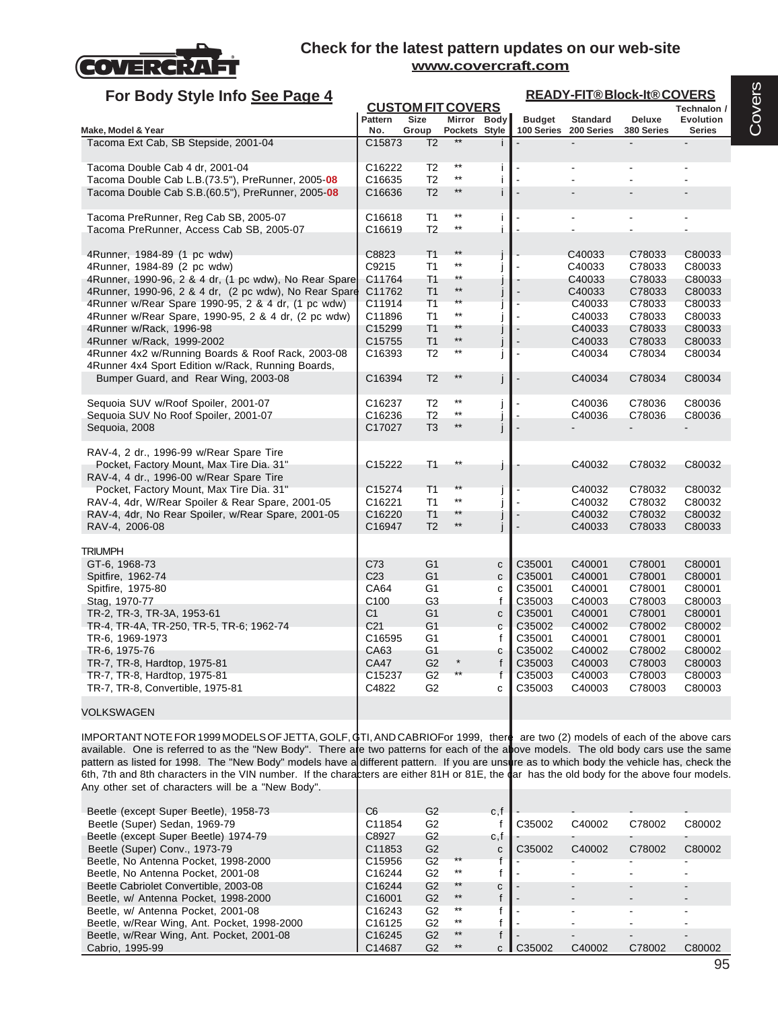

| For Body Style Info See Page 4                                                                                                         |                              |                                                    |                                                 |                        |                  | <b>READY-FIT®Block-It®COVERS</b>         |                            |                            |
|----------------------------------------------------------------------------------------------------------------------------------------|------------------------------|----------------------------------------------------|-------------------------------------------------|------------------------|------------------|------------------------------------------|----------------------------|----------------------------|
|                                                                                                                                        |                              | <b>CUSTOM FIT COVERS</b>                           |                                                 |                        |                  |                                          |                            | Technalon /                |
| Make, Model & Year                                                                                                                     | Pattern<br>No.               | <b>Size</b><br>Group                               | Mirror<br>Pockets Style                         | Body                   | <b>Budget</b>    | <b>Standard</b><br>100 Series 200 Series | Deluxe<br>380 Series       | Evolution<br><b>Series</b> |
| Tacoma Ext Cab, SB Stepside, 2001-04                                                                                                   | C <sub>15873</sub>           | T <sub>2</sub>                                     | $***$                                           |                        | $\blacksquare$   |                                          |                            |                            |
| Tacoma Double Cab 4 dr, 2001-04                                                                                                        | C16222                       | T <sub>2</sub>                                     | $***$<br>$\star\star$                           | j.                     |                  |                                          |                            |                            |
| Tacoma Double Cab L.B. (73.5"), PreRunner, 2005-08<br>Tacoma Double Cab S.B.(60.5"), PreRunner, 2005-08                                | C16635<br>C16636             | T <sub>2</sub><br>T <sub>2</sub>                   | $\star\star$                                    | j.<br>i.               |                  |                                          |                            |                            |
| Tacoma PreRunner, Reg Cab SB, 2005-07<br>Tacoma PreRunner, Access Cab SB, 2005-07                                                      | C16618<br>C16619             | T1<br>T <sub>2</sub>                               | $^{\star\star}$<br>$\star\star$                 | j.<br>j.               |                  |                                          |                            |                            |
| 4Runner, 1984-89 (1 pc wdw)<br>4Runner, 1984-89 (2 pc wdw)                                                                             | C8823<br>C9215               | T <sub>1</sub><br>T1                               | $***$<br>$^{\star\star}$                        |                        |                  | C40033<br>C40033                         | C78033<br>C78033           | C80033<br>C80033           |
| 4Runner, 1990-96, 2 & 4 dr, (1 pc wdw), No Rear Spare<br>4Runner, 1990-96, 2 & 4 dr, (2 pc wdw), No Rear Spare                         | C11764<br>C11762             | T <sub>1</sub><br>T <sub>1</sub>                   | $^{\star\star}$<br>$\star\star$<br>$\star\star$ |                        |                  | C40033<br>C40033                         | C78033<br>C78033           | C80033<br>C80033           |
| 4 Runner w/Rear Spare 1990-95, 2 & 4 dr, (1 pc wdw)<br>4 Runner w/Rear Spare, 1990-95, 2 & 4 dr, (2 pc wdw)<br>4Runner w/Rack, 1996-98 | C11914<br>C11896<br>C15299   | T <sub>1</sub><br>T <sub>1</sub><br>T <sub>1</sub> | $^{\star\star}$<br>$***$                        | I<br>j                 |                  | C40033<br>C40033<br>C40033               | C78033<br>C78033<br>C78033 | C80033<br>C80033<br>C80033 |
| 4Runner w/Rack, 1999-2002<br>4Runner 4x2 w/Running Boards & Roof Rack, 2003-08                                                         | C <sub>15755</sub><br>C16393 | T <sub>1</sub><br>T <sub>2</sub>                   | $\star\star$<br>$\star\star$                    | j                      | $\blacksquare$   | C40033<br>C40034                         | C78033<br>C78034           | C80033<br>C80034           |
| 4Runner 4x4 Sport Edition w/Rack, Running Boards,<br>Bumper Guard, and Rear Wing, 2003-08                                              | C16394                       | T <sub>2</sub>                                     | $\star\star$                                    | j                      | $\blacksquare$   | C40034                                   | C78034                     | C80034                     |
| Sequoia SUV w/Roof Spoiler, 2001-07<br>Sequoia SUV No Roof Spoiler, 2001-07                                                            | C16237<br>C16236             | T <sub>2</sub><br>T <sub>2</sub>                   | $***$<br>$^{\star\star}$                        | j<br>J                 |                  | C40036<br>C40036                         | C78036<br>C78036           | C80036<br>C80036           |
| Sequoia, 2008                                                                                                                          | C17027                       | T <sub>3</sub>                                     | $***$                                           | j                      |                  |                                          |                            |                            |
| RAV-4, 2 dr., 1996-99 w/Rear Spare Tire<br>Pocket, Factory Mount, Max Tire Dia. 31"<br>RAV-4, 4 dr., 1996-00 w/Rear Spare Tire         | C15222                       | T1                                                 | $***$                                           | j                      |                  | C40032                                   | C78032                     | C80032                     |
| Pocket, Factory Mount, Max Tire Dia. 31"<br>RAV-4, 4dr, W/Rear Spoiler & Rear Spare, 2001-05                                           | C15274<br>C16221             | T <sub>1</sub><br>T <sub>1</sub>                   | $\star\star$<br>$***$                           | Ĵ<br>j                 |                  | C40032<br>C40032                         | C78032<br>C78032           | C80032<br>C80032           |
| RAV-4, 4dr, No Rear Spoiler, w/Rear Spare, 2001-05<br>RAV-4, 2006-08                                                                   | C16220<br>C16947             | T <sub>1</sub><br>T <sub>2</sub>                   | $^{\star\star}$                                 | j                      |                  | C40032<br>C40033                         | C78032<br>C78033           | C80032<br>C80033           |
| <b>TRIUMPH</b>                                                                                                                         | C73                          | G <sub>1</sub>                                     |                                                 |                        | C35001           | C40001                                   | C78001                     | C80001                     |
| GT-6, 1968-73<br>Spitfire, 1962-74<br>Spitfire, 1975-80                                                                                | C <sub>23</sub><br>CA64      | G <sub>1</sub><br>G1                               |                                                 | C<br>$\mathbf{C}$<br>C | C35001<br>C35001 | C40001<br>C40001                         | C78001<br>C78001           | C80001<br>C80001           |
| Stag, 1970-77<br>TR-2, TR-3, TR-3A, 1953-61                                                                                            | C <sub>100</sub><br>C1       | G <sub>3</sub><br>G <sub>1</sub>                   |                                                 | f<br>$\mathbf{C}$      | C35003<br>C35001 | C40003<br>C40001                         | C78003<br>C78001           | C80003<br>C80001           |
| TR-4, TR-4A, TR-250, TR-5, TR-6; 1962-74<br>TR-6, 1969-1973                                                                            | C <sub>21</sub><br>C16595    | G <sub>1</sub><br>G <sub>1</sub>                   |                                                 | C<br>f                 | C35002<br>C35001 | C40002<br>C40001                         | C78002<br>C78001           | C80002<br>C80001           |
| TR-6, 1975-76<br>TR-7, TR-8, Hardtop, 1975-81                                                                                          | CA63<br>CA47                 | G1<br>G <sub>2</sub>                               | $\star$                                         | C<br>f                 | C35002<br>C35003 | C40002<br>C40003                         | C78002<br>C78003           | C80002<br>C80003           |
| TR-7, TR-8, Hardtop, 1975-81<br>TR-7, TR-8, Convertible, 1975-81                                                                       | C15237<br>C4822              | G <sub>2</sub><br>G <sub>2</sub>                   |                                                 | $\mathsf{f}$<br>c      | C35003<br>C35003 | C40003<br>C40003                         | C78003<br>C78003           | C80003<br>C80003           |
| <b>VOLKSWAGEN</b>                                                                                                                      |                              |                                                    |                                                 |                        |                  |                                          |                            |                            |

IMPORTANT NOTE FOR 1999 MODELS OF JETTA, GOLF, GTI, AND CABRIOFor 1999, there are two (2) models of each of the above cars available. One is referred to as the "New Body". There are two patterns for each of the above models. The old body cars use the same pattern as listed for 1998. The "New Body" models have a different pattern. If you are unsure as to which body the vehicle has, check the 6th, 7th and 8th characters in the VIN number. If the characters are either 81H or 81E, the dar has the old body for the above four models. Any other set of characters will be a "New Body".

| Beetle (except Super Beetle), 1958-73       | C6                 | G2             |       | c,f |        |        |        |        |
|---------------------------------------------|--------------------|----------------|-------|-----|--------|--------|--------|--------|
| Beetle (Super) Sedan, 1969-79               | C11854             | G <sub>2</sub> |       |     | C35002 | C40002 | C78002 | C80002 |
| Beetle (except Super Beetle) 1974-79        | C8927              | G <sub>2</sub> |       | c,t |        |        |        |        |
| Beetle (Super) Conv., 1973-79               | C11853             | G <sub>2</sub> |       | C   | C35002 | C40002 | C78002 | C80002 |
| Beetle, No Antenna Pocket, 1998-2000        | C <sub>15956</sub> | G2             | $***$ |     |        |        |        |        |
| Beetle, No Antenna Pocket, 2001-08          | C16244             | G2             | $***$ |     |        |        |        |        |
| Beetle Cabriolet Convertible, 2003-08       | C <sub>16244</sub> | G <sub>2</sub> | $***$ | C   |        |        |        | -      |
| Beetle, w/ Antenna Pocket, 1998-2000        | C <sub>16001</sub> | G <sub>2</sub> | $***$ |     |        |        |        |        |
| Beetle, w/ Antenna Pocket, 2001-08          | C <sub>16243</sub> | G2             | $***$ |     |        |        |        |        |
| Beetle, w/Rear Wing, Ant. Pocket, 1998-2000 | C16125             | G2             | $***$ |     |        |        |        |        |
| Beetle, w/Rear Wing, Ant. Pocket, 2001-08   | C16245             | G <sub>2</sub> | $***$ |     |        |        |        |        |
| Cabrio, 1995-99                             | C14687             | G2             | $***$ | r.  | C35002 | C40002 | C78002 | C80002 |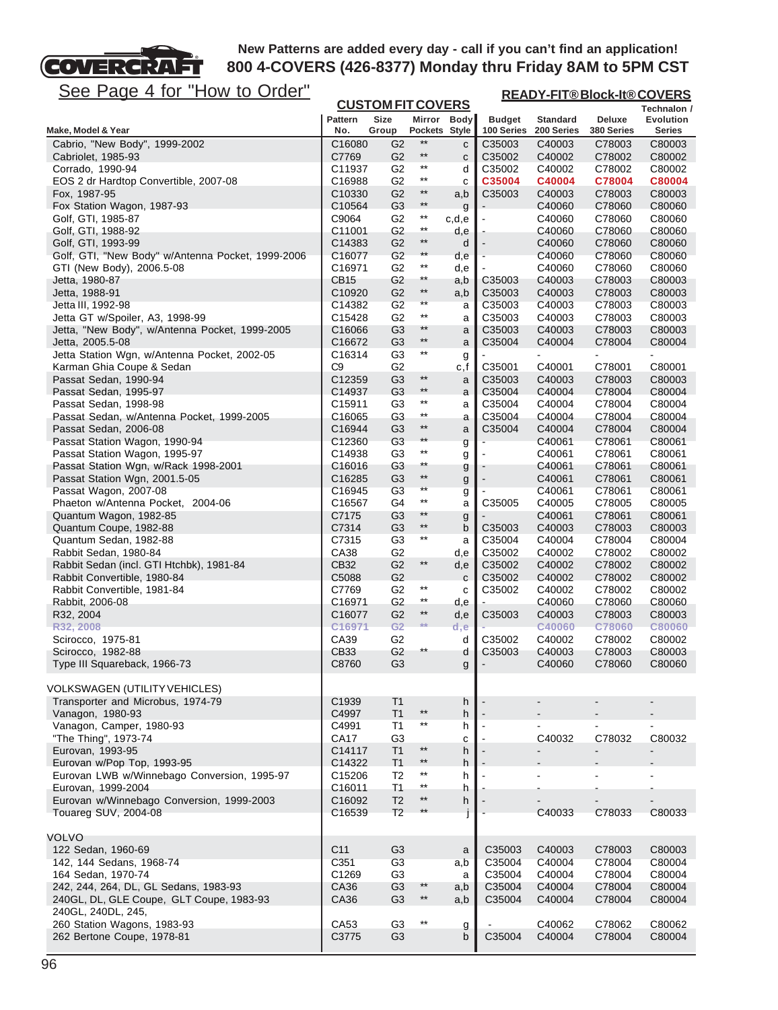

**READY-FIT® Block-It® COVERS**

| <u>JCC FayC 4 IVI TIUW IU UIUCI</u>                         |                       |                          |                 |              |                             | <b>READY-FIL®BIOCK-It®COVERS</b> |                          |                     |
|-------------------------------------------------------------|-----------------------|--------------------------|-----------------|--------------|-----------------------------|----------------------------------|--------------------------|---------------------|
|                                                             |                       | <b>CUSTOM FIT COVERS</b> |                 |              |                             |                                  |                          | Technalon /         |
| Make, Model & Year                                          | <b>Pattern</b><br>No. | Size<br>Group            | Pockets Style   | Mirror Body  | <b>Budget</b><br>100 Series | <b>Standard</b><br>200 Series    | Deluxe<br>380 Series     | Evolution<br>Series |
| Cabrio, "New Body", 1999-2002                               | C16080                | G <sub>2</sub>           | $^{\star\star}$ | C            | C35003                      | C40003                           | C78003                   | C80003              |
| Cabriolet, 1985-93                                          | C7769                 | G <sub>2</sub>           | $\star\star$    | C            | C35002                      | C40002                           | C78002                   | C80002              |
| Corrado, 1990-94                                            | C11937                | G <sub>2</sub>           | $^{\star\star}$ | d            | C35002                      | C40002                           | C78002                   | C80002              |
| EOS 2 dr Hardtop Convertible, 2007-08                       | C16988                | G <sub>2</sub>           | $^{\star\star}$ | c            | C35004                      | C40004                           | C78004                   | C80004              |
| Fox, 1987-95                                                | C10330                | G <sub>2</sub>           | $***$           | a,b          | C35003                      | C40003                           | C78003                   | C80003              |
| Fox Station Wagon, 1987-93                                  | C10564                | G <sub>3</sub>           | $^{\star\star}$ | g            |                             | C40060                           | C78060                   | C80060              |
| Golf, GTI, 1985-87                                          | C9064                 | G2                       | $^{\star\star}$ | c,d,e        |                             | C40060                           | C78060                   | C80060              |
| Golf, GTI, 1988-92                                          | C11001                | G <sub>2</sub>           | $^{\star\star}$ | d,e          |                             | C40060                           | C78060                   | C80060              |
| Golf, GTI, 1993-99                                          | C14383                | G <sub>2</sub>           | $\star\star$    | d            |                             | C40060                           | C78060                   | C80060              |
| Golf, GTI, "New Body" w/Antenna Pocket, 1999-2006           | C16077                | G <sub>2</sub>           | $^{\star\star}$ | d,e          |                             | C40060                           | C78060                   | C80060              |
| GTI (New Body), 2006.5-08                                   | C16971                | G <sub>2</sub>           | $^{\star\star}$ | d,e          |                             | C40060                           | C78060                   | C80060              |
| Jetta, 1980-87                                              | CB15                  | G2                       | **              | a,b          | C35003                      | C40003                           | C78003                   | C80003              |
| Jetta, 1988-91                                              | C10920                | G <sub>2</sub>           | $^{\star\star}$ | a,b          | C35003                      | C40003                           | C78003                   | C80003              |
| Jetta III, 1992-98                                          | C14382                | G <sub>2</sub>           | **              | a            | C35003                      | C40003                           | C78003                   | C80003              |
| Jetta GT w/Spoiler, A3, 1998-99                             | C15428                | G <sub>2</sub>           | $^{\star\star}$ | a            | C35003                      | C40003                           | C78003                   | C80003              |
| Jetta, "New Body", w/Antenna Pocket, 1999-2005              | C16066                | G <sub>3</sub>           | $***$           | a            | C35003                      | C40003                           | C78003                   | C80003              |
| Jetta, 2005.5-08                                            | C16672                | G <sub>3</sub>           | $\star\star$    | a            | C35004                      | C40004                           | C78004                   | C80004              |
| Jetta Station Wgn, w/Antenna Pocket, 2002-05                | C16314                | G <sub>3</sub>           | $^{\star\star}$ | g            |                             |                                  |                          |                     |
| Karman Ghia Coupe & Sedan                                   | C9                    | G <sub>2</sub>           |                 | c,f          | C35001                      | C40001                           | C78001                   | C80001              |
| Passat Sedan, 1990-94                                       | C12359                | G <sub>3</sub>           | $^{\star\star}$ | a            | C35003                      | C40003                           | C78003                   | C80003              |
| Passat Sedan, 1995-97                                       | C14937                | G <sub>3</sub>           | $^{\star\star}$ | a            | C35004                      | C40004                           | C78004                   | C80004              |
| Passat Sedan, 1998-98                                       | C <sub>15911</sub>    | G <sub>3</sub>           | $^{\star\star}$ | a            | C35004                      | C40004                           | C78004                   | C80004              |
| Passat Sedan, w/Antenna Pocket, 1999-2005                   | C16065                | G <sub>3</sub>           | $^{\star\star}$ | а            | C35004                      | C40004                           | C78004                   | C80004              |
| Passat Sedan, 2006-08                                       | C16944                | G <sub>3</sub>           | $***$           | a            | C35004                      | C40004                           | C78004                   | C80004              |
| Passat Station Wagon, 1990-94                               | C12360                | G <sub>3</sub>           | $**$            | g            |                             | C40061                           | C78061                   | C80061              |
| Passat Station Wagon, 1995-97                               | C14938                | G <sub>3</sub>           | $^{\star\star}$ | g            |                             | C40061                           | C78061                   | C80061              |
| Passat Station Wgn, w/Rack 1998-2001                        | C16016                | G3                       | **              |              |                             | C40061                           | C78061                   | C80061              |
| Passat Station Wgn, 2001.5-05                               | C16285                | G <sub>3</sub>           | $^{\star\star}$ | g            |                             | C40061                           | C78061                   | C80061              |
| Passat Wagon, 2007-08                                       | C16945                | G3                       | **              | g            |                             | C40061                           | C78061                   | C80061              |
| Phaeton w/Antenna Pocket, 2004-06                           | C16567                | G4                       | $^{\star\star}$ | g<br>a       | C35005                      | C40005                           | C78005                   | C80005              |
| Quantum Wagon, 1982-85                                      | C7175                 | G <sub>3</sub>           | $**$            | g            |                             | C40061                           | C78061                   | C80061              |
| Quantum Coupe, 1982-88                                      | C7314                 | G <sub>3</sub>           | $^{\star\star}$ | b            | C35003                      | C40003                           | C78003                   | C80003              |
| Quantum Sedan, 1982-88                                      | C7315                 | G <sub>3</sub>           | $^{\star\star}$ | a            | C35004                      | C40004                           | C78004                   | C80004              |
| Rabbit Sedan, 1980-84                                       | CA38                  | G <sub>2</sub>           |                 | d,e          | C35002                      | C40002                           | C78002                   | C80002              |
| Rabbit Sedan (incl. GTI Htchbk), 1981-84                    | CB32                  | G <sub>2</sub>           | $^{\star\star}$ | d,e          | C35002                      | C40002                           | C78002                   | C80002              |
| Rabbit Convertible, 1980-84                                 | C5088                 | G <sub>2</sub>           |                 | $\mathbf{C}$ | C35002                      | C40002                           | C78002                   | C80002              |
| Rabbit Convertible, 1981-84                                 | C7769                 | G2                       | $^{\star\star}$ | c            | C35002                      | C40002                           | C78002                   | C80002              |
| Rabbit, 2006-08                                             | C16971                | G <sub>2</sub>           | $^{\star\star}$ | d,e          |                             | C40060                           | C78060                   | C80060              |
| R32, 2004                                                   | C16077                | G <sub>2</sub>           | $^{\star\star}$ | d,e          | C35003                      | C40003                           | C78003                   | C80003              |
| R32, 2008                                                   | C16971                | G <sub>2</sub>           | $**$            | d,e          |                             | C40060                           | C78060                   | <b>C80060</b>       |
| Scirocco, 1975-81                                           | CA39                  | G <sub>2</sub>           |                 | d            | C35002                      | C40002                           | C78002                   | C80002              |
| Scirocco, 1982-88                                           | CB33                  | G <sub>2</sub>           | **              | d            | C35003                      | C40003                           | C78003                   | C80003              |
| Type III Squareback, 1966-73                                | C8760                 | G <sub>3</sub>           |                 | g            |                             | C40060                           | C78060                   | C80060              |
|                                                             |                       |                          |                 |              |                             |                                  |                          |                     |
| <b>VOLKSWAGEN (UTILITY VEHICLES)</b>                        |                       |                          |                 |              |                             |                                  |                          |                     |
| Transporter and Microbus, 1974-79                           | C <sub>1939</sub>     | T <sub>1</sub>           |                 | h            |                             |                                  |                          |                     |
| Vanagon, 1980-93                                            | C4997                 | T1                       | $^{\star\star}$ | h            |                             |                                  |                          |                     |
| Vanagon, Camper, 1980-93                                    | C4991                 | T1                       | $^{\star\star}$ | h            |                             | $\blacksquare$                   |                          |                     |
| "The Thing", 1973-74                                        | CA17                  | G <sub>3</sub>           |                 | С            |                             | C40032                           | C78032                   | C80032              |
| Eurovan, 1993-95                                            | C14117                | T1                       | $\star\star$    | h            |                             |                                  | -                        |                     |
| Eurovan w/Pop Top, 1993-95                                  | C14322                | T <sub>1</sub>           | $***$           | h            |                             |                                  |                          |                     |
| Eurovan LWB w/Winnebago Conversion, 1995-97                 | C15206                | T <sub>2</sub>           | $^{\star\star}$ | h            |                             |                                  | L.                       |                     |
| Eurovan, 1999-2004                                          | C16011                | T <sub>1</sub>           | $^{\star\star}$ | h            |                             |                                  |                          |                     |
| Eurovan w/Winnebago Conversion, 1999-2003                   | C16092                | T <sub>2</sub>           | $***$           | h            |                             | $\blacksquare$                   | $\overline{\phantom{0}}$ | $\blacksquare$      |
| Touareg SUV, 2004-08                                        | C16539                | T <sub>2</sub>           | $**$            |              |                             | C40033                           | C78033                   | C80033              |
|                                                             |                       |                          |                 |              |                             |                                  |                          |                     |
| <b>VOLVO</b>                                                |                       |                          |                 |              |                             |                                  |                          |                     |
| 122 Sedan, 1960-69                                          | C <sub>11</sub>       | G <sub>3</sub>           |                 | a            | C35003                      | C40003                           | C78003                   | C80003              |
| 142, 144 Sedans, 1968-74                                    | C351                  | G <sub>3</sub>           |                 | a,b          | C35004                      | C40004                           | C78004                   | C80004              |
|                                                             |                       |                          |                 |              |                             |                                  |                          |                     |
| 164 Sedan, 1970-74<br>242, 244, 264, DL, GL Sedans, 1983-93 | C1269<br>CA36         | G3<br>G <sub>3</sub>     | $***$           | a<br>a,b     | C35004<br>C35004            | C40004<br>C40004                 | C78004<br>C78004         | C80004<br>C80004    |
| 240GL, DL, GLE Coupe, GLT Coupe, 1983-93                    | CA36                  | G <sub>3</sub>           | $^{\star\star}$ |              | C35004                      |                                  | C78004                   | C80004              |
|                                                             |                       |                          |                 | a,b          |                             | C40004                           |                          |                     |
| 240GL, 240DL, 245,<br>260 Station Wagons, 1983-93           | CA53                  | G <sub>3</sub>           | $^{\star\star}$ |              |                             | C40062                           | C78062                   | C80062              |
| 262 Bertone Coupe, 1978-81                                  | C3775                 | G <sub>3</sub>           |                 | g<br>b       | C35004                      | C40004                           | C78004                   | C80004              |
|                                                             |                       |                          |                 |              |                             |                                  |                          |                     |
|                                                             |                       |                          |                 |              |                             |                                  |                          |                     |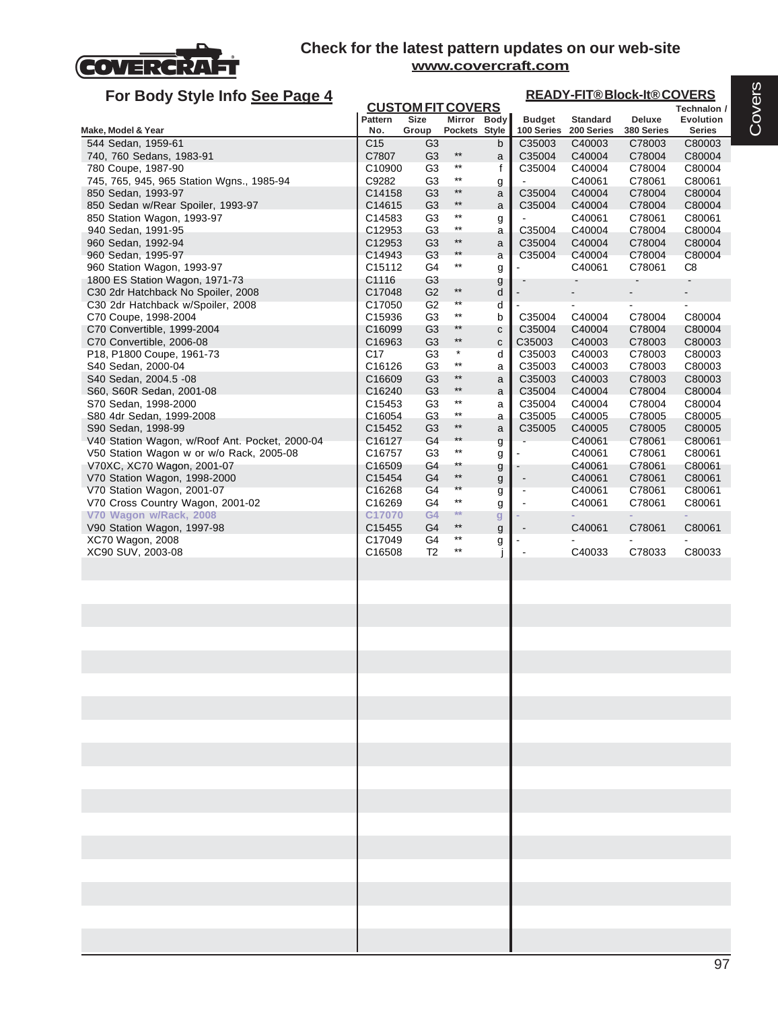

| For Body Style Info See Page 4                                                      |                              |                                  |                                    |        |                                            |                               | <b>READY-FIT®Block-It®COVERS</b> |                            |
|-------------------------------------------------------------------------------------|------------------------------|----------------------------------|------------------------------------|--------|--------------------------------------------|-------------------------------|----------------------------------|----------------------------|
|                                                                                     |                              | <b>CUSTOM FIT COVERS</b>         |                                    |        |                                            |                               |                                  | Technalon /                |
| Make, Model & Year                                                                  | <b>Pattern</b><br>No.        | <b>Size</b><br>Group             | Mirror Body<br>Pockets Style       |        | <b>Budget</b><br>100 Series                | <b>Standard</b><br>200 Series | Deluxe<br>380 Series             | <b>Evolution</b><br>Series |
| 544 Sedan, 1959-61                                                                  | C <sub>15</sub>              | G3                               |                                    | b      | C35003                                     | C40003                        | C78003                           | C80003                     |
| 740, 760 Sedans, 1983-91                                                            | C7807                        | G <sub>3</sub>                   | $***$                              | a      | C35004                                     | C40004                        | C78004                           | C80004                     |
| 780 Coupe, 1987-90                                                                  | C10900                       | G <sub>3</sub>                   | $***$                              | f      | C35004                                     | C40004                        | C78004                           | C80004                     |
| 745, 765, 945, 965 Station Wgns., 1985-94                                           | C9282                        | G <sub>3</sub>                   | $***$<br>$***$                     | g      |                                            | C40061                        | C78061                           | C80061                     |
| 850 Sedan, 1993-97<br>850 Sedan w/Rear Spoiler, 1993-97                             | C14158<br>C14615             | G <sub>3</sub><br>G <sub>3</sub> | $^{\star\star}$                    | a<br>a | C35004<br>C35004                           | C40004<br>C40004              | C78004<br>C78004                 | C80004<br>C80004           |
| 850 Station Wagon, 1993-97                                                          | C14583                       | G <sub>3</sub>                   | $^{\star\star}$                    | g      |                                            | C40061                        | C78061                           | C80061                     |
| 940 Sedan, 1991-95                                                                  | C12953                       | G <sub>3</sub>                   | $^{\star\star}$                    | а      | C35004                                     | C40004                        | C78004                           | C80004                     |
| 960 Sedan, 1992-94                                                                  | C12953                       | G <sub>3</sub>                   | $^{\star\star}$                    | a      | C35004                                     | C40004                        | C78004                           | C80004                     |
| 960 Sedan, 1995-97                                                                  | C14943                       | G <sub>3</sub>                   | $**$                               | a      | C35004                                     | C40004                        | C78004                           | C80004                     |
| 960 Station Wagon, 1993-97                                                          | C <sub>15112</sub>           | G4                               | $^{\star\star}$                    | g      |                                            | C40061                        | C78061                           | C8                         |
| 1800 ES Station Wagon, 1971-73                                                      | C1116                        | G <sub>3</sub>                   | $^{\star\star}$                    | g      |                                            |                               |                                  |                            |
| C <sub>30</sub> 2dr Hatchback No Spoiler, 2008<br>C30 2dr Hatchback w/Spoiler, 2008 | C17048<br>C17050             | G <sub>2</sub><br>G <sub>2</sub> | $\star\star$                       | d<br>d |                                            |                               | $\blacksquare$                   | $\frac{1}{2}$              |
| C70 Coupe, 1998-2004                                                                | C15936                       | G <sub>3</sub>                   | $^{\star\star}$                    | b      | C35004                                     | C40004                        | C78004                           | C80004                     |
| C70 Convertible, 1999-2004                                                          | C <sub>16099</sub>           | G <sub>3</sub>                   | $***$                              | C      | C35004                                     | C40004                        | C78004                           | C80004                     |
| C70 Convertible, 2006-08                                                            | C16963                       | G <sub>3</sub>                   | $\star\star$                       | c      | C35003                                     | C40003                        | C78003                           | C80003                     |
| P18, P1800 Coupe, 1961-73                                                           | C17                          | G <sub>3</sub>                   | $\star$                            | d      | C35003                                     | C40003                        | C78003                           | C80003                     |
| S40 Sedan, 2000-04                                                                  | C16126                       | G3                               | $^{\star\star}$<br>$***$           | а      | C35003                                     | C40003                        | C78003                           | C80003                     |
| S40 Sedan, 2004.5 -08<br>S60, S60R Sedan, 2001-08                                   | C16609<br>C <sub>16240</sub> | G <sub>3</sub><br>G <sub>3</sub> | $^{\star\star}$                    | a<br>a | C35003<br>C35004                           | C40003<br>C40004              | C78003<br>C78004                 | C80003<br>C80004           |
| S70 Sedan, 1998-2000                                                                | C <sub>15453</sub>           | G <sub>3</sub>                   | $^{\star\star}$                    | a      | C35004                                     | C40004                        | C78004                           | C80004                     |
| S80 4dr Sedan, 1999-2008                                                            | C16054                       | G <sub>3</sub>                   | $^{\star\star}$                    | а      | C35005                                     | C40005                        | C78005                           | C80005                     |
| S90 Sedan, 1998-99                                                                  | C15452                       | G <sub>3</sub>                   | $^{\star\star}$                    | a      | C35005                                     | C40005                        | C78005                           | C80005                     |
| V40 Station Wagon, w/Roof Ant. Pocket, 2000-04                                      | C16127                       | G4                               | $**$                               | g      |                                            | C40061                        | C78061                           | C80061                     |
| V50 Station Wagon w or w/o Rack, 2005-08                                            | C16757                       | G <sub>3</sub>                   | $^{\star\star}$                    | g      |                                            | C40061                        | C78061                           | C80061                     |
| V70XC, XC70 Wagon, 2001-07                                                          | C <sub>16509</sub>           | G4                               | $^{\star\star}$<br>$^{\star\star}$ | g      |                                            | C40061                        | C78061                           | C80061                     |
| V70 Station Wagon, 1998-2000<br>V70 Station Wagon, 2001-07                          | C15454<br>C16268             | G <sub>4</sub><br>G4             | $\star\star$                       | g      | $\blacksquare$<br>$\overline{\phantom{a}}$ | C40061<br>C40061              | C78061<br>C78061                 | C80061<br>C80061           |
| V70 Cross Country Wagon, 2001-02                                                    | C16269                       | G4                               | $^{\star\star}$                    | g<br>g | $\overline{a}$                             | C40061                        | C78061                           | C80061                     |
| V70 Wagon w/Rack, 2008                                                              | C17070                       | G4                               | **                                 | g      |                                            |                               |                                  |                            |
| V90 Station Wagon, 1997-98                                                          | C15455                       | G4                               | $^{\star\star}$                    | g      |                                            | C40061                        | C78061                           | C80061                     |
| XC70 Wagon, 2008                                                                    | C17049                       | G4                               | $^{\star\star}$                    | g      |                                            |                               |                                  | ä,                         |
| XC90 SUV, 2003-08                                                                   | C16508                       | T <sub>2</sub>                   | $^{\star\star}$                    |        |                                            | C40033                        | C78033                           | C80033                     |
|                                                                                     |                              |                                  |                                    |        |                                            |                               |                                  |                            |
|                                                                                     |                              |                                  |                                    |        |                                            |                               |                                  |                            |
|                                                                                     |                              |                                  |                                    |        |                                            |                               |                                  |                            |
|                                                                                     |                              |                                  |                                    |        |                                            |                               |                                  |                            |
|                                                                                     |                              |                                  |                                    |        |                                            |                               |                                  |                            |
|                                                                                     |                              |                                  |                                    |        |                                            |                               |                                  |                            |
|                                                                                     |                              |                                  |                                    |        |                                            |                               |                                  |                            |
|                                                                                     |                              |                                  |                                    |        |                                            |                               |                                  |                            |
|                                                                                     |                              |                                  |                                    |        |                                            |                               |                                  |                            |
|                                                                                     |                              |                                  |                                    |        |                                            |                               |                                  |                            |
|                                                                                     |                              |                                  |                                    |        |                                            |                               |                                  |                            |
|                                                                                     |                              |                                  |                                    |        |                                            |                               |                                  |                            |
|                                                                                     |                              |                                  |                                    |        |                                            |                               |                                  |                            |
|                                                                                     |                              |                                  |                                    |        |                                            |                               |                                  |                            |
|                                                                                     |                              |                                  |                                    |        |                                            |                               |                                  |                            |
|                                                                                     |                              |                                  |                                    |        |                                            |                               |                                  |                            |
|                                                                                     |                              |                                  |                                    |        |                                            |                               |                                  |                            |
|                                                                                     |                              |                                  |                                    |        |                                            |                               |                                  |                            |
|                                                                                     |                              |                                  |                                    |        |                                            |                               |                                  |                            |
|                                                                                     |                              |                                  |                                    |        |                                            |                               |                                  |                            |
|                                                                                     |                              |                                  |                                    |        |                                            |                               |                                  |                            |
|                                                                                     |                              |                                  |                                    |        |                                            |                               |                                  |                            |
|                                                                                     |                              |                                  |                                    |        |                                            |                               |                                  |                            |
|                                                                                     |                              |                                  |                                    |        |                                            |                               |                                  |                            |
|                                                                                     |                              |                                  |                                    |        |                                            |                               |                                  |                            |
|                                                                                     |                              |                                  |                                    |        |                                            |                               |                                  |                            |
|                                                                                     |                              |                                  |                                    |        |                                            |                               |                                  |                            |